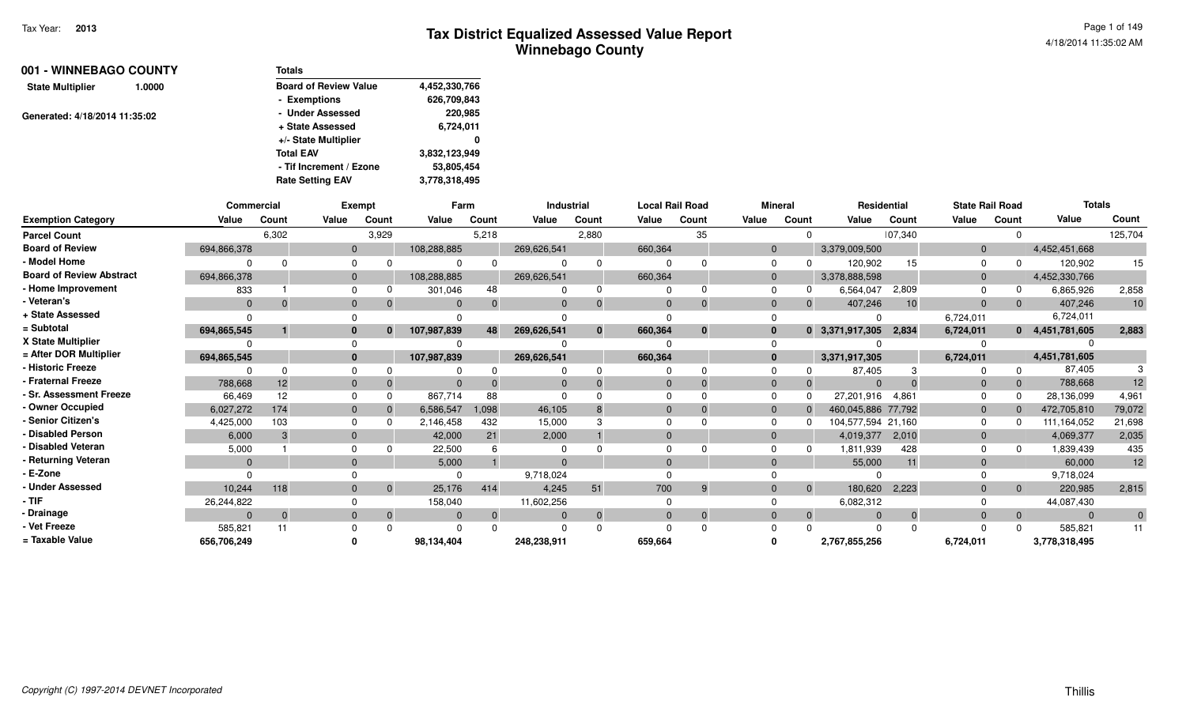| 001 - WINNEBAGO COUNTY<br>1.0000 | <b>Totals</b>                |               |
|----------------------------------|------------------------------|---------------|
| <b>State Multiplier</b>          | <b>Board of Review Value</b> | 4,452,330,766 |
|                                  | - Exemptions                 | 626,709,843   |
| Generated: 4/18/2014 11:35:02    | - Under Assessed             | 220,985       |
|                                  | + State Assessed             | 6,724,011     |
|                                  | +/- State Multiplier         | 0             |
|                                  | <b>Total EAV</b>             | 3,832,123,949 |
|                                  | - Tif Increment / Ezone      | 53,805,454    |
|                                  | <b>Rate Setting EAV</b>      | 3,778,318,495 |
|                                  |                              |               |

|                                 | Commercial   |                |              | <b>Exempt</b> | Farm        |                | <b>Industrial</b> |                |              | <b>Local Rail Road</b> |                | <b>Mineral</b> | Residential        |                 | <b>State Rail Road</b> |                | <b>Totals</b>   |                |
|---------------------------------|--------------|----------------|--------------|---------------|-------------|----------------|-------------------|----------------|--------------|------------------------|----------------|----------------|--------------------|-----------------|------------------------|----------------|-----------------|----------------|
| <b>Exemption Category</b>       | Value        | Count          | Value        | Count         | Value       | Count          | Value             | Count          | Value        | Count                  | Value          | Count          | Value              | Count           | Value                  | Count          | Value           | Count          |
| <b>Parcel Count</b>             |              | 6,302          |              | 3,929         |             | 5,218          |                   | 2,880          |              | 35                     |                |                |                    | 07,340          |                        |                |                 | 125,704        |
| <b>Board of Review</b>          | 694,866,378  |                | $\Omega$     |               | 108,288,885 |                | 269,626,541       |                | 660,364      |                        | $\Omega$       |                | 3,379,009,500      |                 | $\mathbf 0$            |                | 4,452,451,668   |                |
| - Model Home                    |              |                | $\Omega$     |               |             |                |                   | $\Omega$       |              |                        | $\Omega$       |                | 120,902            | 15              | $\Omega$               |                | 120,902         |                |
| <b>Board of Review Abstract</b> | 694,866,378  |                | $\mathbf{0}$ |               | 108,288,885 |                | 269,626,541       |                | 660,364      |                        | $\Omega$       |                | 3,378,888,598      |                 | $\mathbf 0$            |                | 4,452,330,766   |                |
| - Home Improvement              | 833          |                | $\Omega$     |               | 301,046     | 48             |                   | $\Omega$       |              |                        | $\Omega$       |                | 6,564,047          | 2,809           |                        |                | 6,865,926       | 2,858          |
| - Veteran's                     | $\mathbf{0}$ |                | $\Omega$     |               |             | $\Omega$       |                   | $\Omega$       | $\Omega$     | $\Omega$               | $\Omega$       |                | 407,246            | 10 <sup>1</sup> | $\Omega$               | $\overline{0}$ | 407,246         | 10             |
| + State Assessed                |              |                | $\Omega$     |               |             |                |                   |                | <sup>0</sup> |                        |                |                |                    |                 | 6,724,011              |                | 6,724,011       |                |
| $=$ Subtotal                    | 694,865,545  |                | $\bf{0}$     |               | 107,987,839 | 48             | 269,626,541       | $\mathbf{0}$   | 660,364      | $\bf{0}$               | $\bf{0}$       |                | $0$ 3,371,917,305  | 2,834           | 6,724,011              |                | 0 4,451,781,605 | 2,883          |
| X State Multiplier              |              |                | $\Omega$     |               |             |                |                   |                |              |                        | $\Omega$       |                |                    |                 |                        |                |                 |                |
| = After DOR Multiplier          | 694,865,545  |                | $\mathbf{0}$ |               | 107,987,839 |                | 269,626,541       |                | 660,364      |                        | $\mathbf{0}$   |                | 3,371,917,305      |                 | 6,724,011              |                | 4,451,781,605   |                |
| - Historic Freeze               |              | $\Omega$       |              |               |             |                |                   | $\Omega$       |              |                        |                |                | 87,405             |                 |                        | $\Omega$       | 87,405          |                |
| - Fraternal Freeze              | 788,668      | 12             | $\mathbf{0}$ |               |             |                |                   | $\Omega$       | $\mathbf{0}$ |                        | $\Omega$       |                | $\Omega$           |                 | 0                      | $\Omega$       | 788,668         |                |
| - Sr. Assessment Freeze         | 66,469       | 12             | $\Omega$     |               | 867,714     | 88             |                   |                | <sup>0</sup> |                        | $\Omega$       |                | 27,201,916         | 4,861           | 0                      |                | 28,136,099      | 4,961          |
| - Owner Occupied                | 6,027,272    | 174            | $\Omega$     |               | 6,586,547   | 1,098          | 46,105            | 8              | $\Omega$     |                        | $\Omega$       |                | 460,045,886 77,792 |                 | $\Omega$               |                | 472,705,810     | 79,072         |
| - Senior Citizen's              | 4,425,000    | 103            | $\Omega$     |               | 2,146,458   | 432            | 15,000            |                |              |                        | $\Omega$       |                | 104,577,594 21,160 |                 | $\Omega$               |                | 111,164,052     | 21,698         |
| - Disabled Person               | 6,000        |                | $\Omega$     |               | 42,000      | 21             | 2,000             |                | $\Omega$     |                        | $\Omega$       |                | 4,019,377          | 2,010           | $\Omega$               |                | 4,069,377       | 2,035          |
| - Disabled Veteran              | 5,000        |                | $\Omega$     |               | 22,500      |                |                   |                |              |                        |                |                | 1,811,939          | 428             |                        |                | 1,839,439       | 435            |
| - Returning Veteran             | $\Omega$     |                | $\Omega$     |               | 5,000       |                |                   |                | $\Omega$     |                        | $\Omega$       |                | 55,000             | 11              |                        |                | 60,000          | 12             |
| - E-Zone                        |              |                |              |               |             |                | 9,718,024         |                |              |                        |                |                |                    |                 |                        |                | 9,718,024       |                |
| - Under Assessed                | 10,244       | 118            | $\Omega$     |               | 25,176      | 414            | 4,245             | 51             | 700          | 9                      | $\Omega$       | $\overline{0}$ | 180,620            | 2,223           | $\Omega$               | $\overline{0}$ | 220,985         | 2,815          |
| - TIF                           | 26,244,822   |                | $\Omega$     |               | 158,040     |                | 11,602,256        |                | 0            |                        |                |                | 6,082,312          |                 |                        |                | 44,087,430      |                |
| - Drainage                      |              | $\overline{0}$ | $\mathbf{0}$ | $\mathbf 0$   |             | $\overline{0}$ |                   | $\overline{0}$ | $\Omega$     | $\Omega$               | $\overline{0}$ |                | $\Omega$           |                 | $\Omega$               | $\overline{0}$ | $\Omega$        | $\overline{0}$ |
| - Vet Freeze                    | 585,821      | 11             | $\Omega$     |               |             |                |                   | $\Omega$       | <sup>n</sup> |                        |                |                | $\Omega$           |                 |                        | $\Omega$       | 585,821         | 11             |
| = Taxable Value                 | 656,706,249  |                |              |               | 98,134,404  |                | 248,238,911       |                | 659,664      |                        |                |                | 2,767,855,256      |                 | 6,724,011              |                | 3,778,318,495   |                |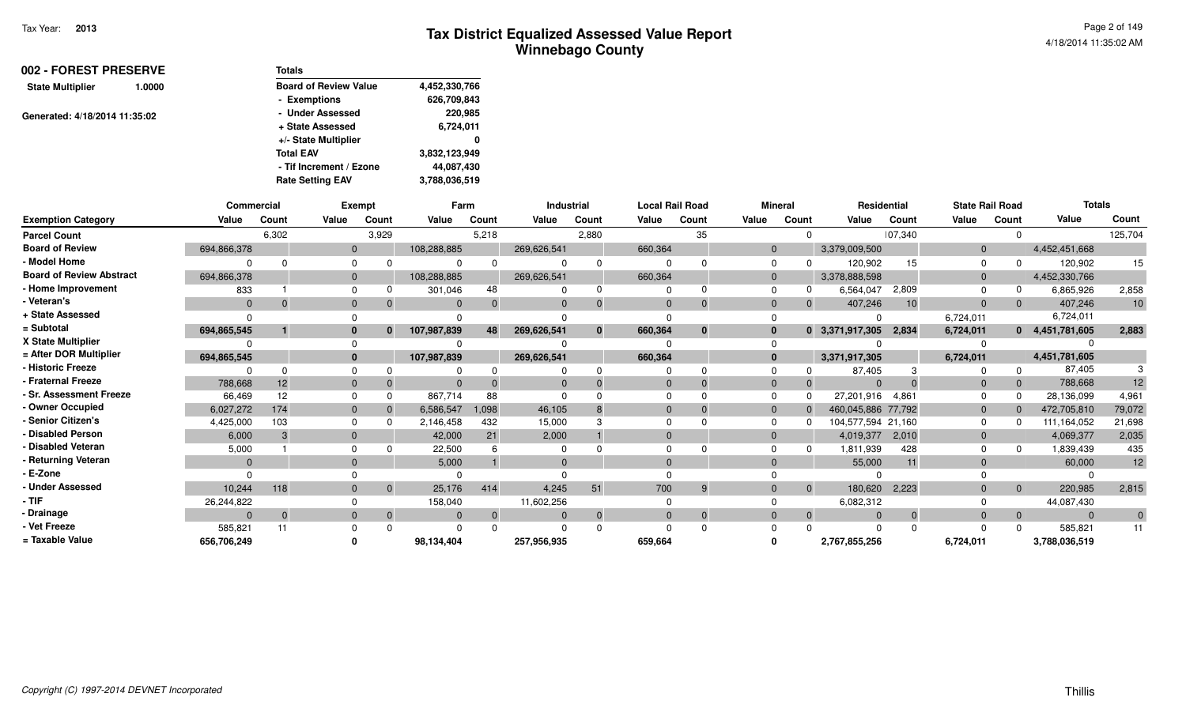| <b>Totals</b>                |               |
|------------------------------|---------------|
| <b>Board of Review Value</b> | 4,452,330,766 |
| - Exemptions                 | 626,709,843   |
| - Under Assessed             | 220,985       |
| + State Assessed             | 6,724,011     |
| +/- State Multiplier         | 0             |
| <b>Total EAV</b>             | 3,832,123,949 |
| - Tif Increment / Ezone      | 44,087,430    |
| <b>Rate Setting EAV</b>      | 3,788,036,519 |
|                              |               |

|                                 | Commercial  |          |          | <b>Exempt</b> | Farm        |          |             | <b>Industrial</b> |          | <b>Local Rail Road</b> |                | <b>Mineral</b> |                    | Residential |                | <b>State Rail Road</b> | <b>Totals</b>   |                 |
|---------------------------------|-------------|----------|----------|---------------|-------------|----------|-------------|-------------------|----------|------------------------|----------------|----------------|--------------------|-------------|----------------|------------------------|-----------------|-----------------|
| <b>Exemption Category</b>       | Value       | Count    | Value    | Count         | Value       | Count    | Value       | Count             | Value    | Count                  | Value          | Count          | Value              | Count       | Value          | Count                  | Value           | Count           |
| <b>Parcel Count</b>             |             | 6,302    |          | 3,929         |             | 5,218    |             | 2,880             |          | 35                     |                |                |                    | 07,340      |                | $\Omega$               |                 | 125,704         |
| <b>Board of Review</b>          | 694,866,378 |          | $\Omega$ |               | 108,288,885 |          | 269,626,541 |                   | 660,364  |                        | $\overline{0}$ |                | 3,379,009,500      |             | $\mathbf 0$    |                        | 4,452,451,668   |                 |
| - Model Home                    |             |          |          |               |             |          |             |                   |          |                        | $\Omega$       |                | 120,902            | 15          |                |                        | 120,902         | 15              |
| <b>Board of Review Abstract</b> | 694,866,378 |          | $\Omega$ |               | 108,288,885 |          | 269,626,541 |                   | 660,364  |                        | $\Omega$       |                | 3,378,888,598      |             | $\Omega$       |                        | 4,452,330,766   |                 |
| - Home Improvement              | 833         |          |          |               | 301,046     | 48       |             |                   |          |                        |                |                | 6,564,047          | 2,809       |                |                        | 6,865,926       | 2,858           |
| - Veteran's                     | $\Omega$    | $\Omega$ |          | $\Omega$      | $\Omega$    |          |             | $\Omega$          | $\Omega$ | $\Omega$               | $\Omega$       |                | 407,246            | 10          | $\Omega$       | $\overline{0}$         | 407,246         | 10              |
| + State Assessed                |             |          |          |               |             |          |             |                   |          |                        |                |                |                    |             | 6,724,011      |                        | 6,724,011       |                 |
| = Subtotal                      | 694,865,545 |          |          | 0             | 107,987,839 | 48       | 269,626,541 | $\mathbf{0}$      | 660,364  | $\bf{0}$               | - 0            |                | 0 3,371,917,305    | 2,834       | 6,724,011      |                        | 0 4,451,781,605 | 2,883           |
| X State Multiplier              |             |          |          |               |             |          |             |                   |          |                        |                |                |                    |             |                |                        |                 |                 |
| = After DOR Multiplier          | 694,865,545 |          |          |               | 107,987,839 |          | 269,626,541 |                   | 660,364  |                        | $\mathbf{0}$   |                | 3,371,917,305      |             | 6,724,011      |                        | 4,451,781,605   |                 |
| - Historic Freeze               |             | $\Omega$ |          |               |             |          |             |                   |          |                        |                |                | 87,405             |             |                |                        | 87,405          |                 |
| - Fraternal Freeze              | 788,668     | 12       |          |               | $\Omega$    |          |             | $\Omega$          | $\Omega$ |                        | $\Omega$       |                | $\Omega$           |             | $\Omega$       | $\overline{0}$         | 788,668         | 12 <sup>2</sup> |
| - Sr. Assessment Freeze         | 66,469      | 12       |          |               | 867,714     | 88       |             |                   |          |                        |                |                | 27,201,916         | 4,861       |                |                        | 28,136,099      | 4,961           |
| - Owner Occupied                | 6,027,272   | 174      |          | $\Omega$      | 6,586,547   | 1,098    | 46,105      |                   |          |                        | $\Omega$       |                | 460,045,886 77,792 |             | $\overline{0}$ |                        | 472,705,810     | 79,072          |
| - Senior Citizen's              | 4,425,000   | 103      |          | $\Omega$      | 2,146,458   | 432      | 15,000      |                   |          |                        | $\Omega$       |                | 104,577,594 21,160 |             | 0              |                        | 111,164,052     | 21,698          |
| - Disabled Person               | 6,000       |          |          |               | 42,000      | 21       | 2,000       |                   |          |                        | $\Omega$       |                | 4,019,377          | 2,010       | $\Omega$       |                        | 4,069,377       | 2,035           |
| - Disabled Veteran              | 5,000       |          |          |               | 22,500      |          |             |                   |          |                        |                |                | 1,811,939          | 428         |                |                        | 1,839,439       | 435             |
| - Returning Veteran             | $\Omega$    |          |          |               | 5,000       |          |             |                   |          |                        | $\Omega$       |                | 55,000             | 11          |                |                        | 60,000          | 12              |
| - E-Zone                        |             |          |          |               |             |          |             |                   |          |                        |                |                |                    |             |                |                        |                 |                 |
| - Under Assessed                | 10,244      | 118      |          | $\Omega$      | 25,176      | 414      | 4,245       | 51                | 700      | 9                      | $\Omega$       | $\overline{0}$ | 180,620            | 2.223       | $\Omega$       | $\overline{0}$         | 220,985         | 2,815           |
| - TIF-                          | 26,244,822  |          |          |               | 158,040     |          | 11,602,256  |                   |          |                        |                |                | 6,082,312          |             |                |                        | 44,087,430      |                 |
| - Drainage                      | $\Omega$    | $\Omega$ | $\Omega$ | $\Omega$      | $\Omega$    | $\Omega$ |             | $\mathbf 0$       | $\Omega$ | $\Omega$               | $\Omega$       |                | $\Omega$           |             | $\Omega$       | $\Omega$               | $\Omega$        | $\overline{0}$  |
| - Vet Freeze                    | 585,821     | 11       |          |               |             |          |             | $\Omega$          |          |                        |                |                | $\Omega$           |             |                |                        | 585,821         | 11              |
| = Taxable Value                 | 656,706,249 |          |          |               | 98,134,404  |          | 257,956,935 |                   | 659,664  |                        |                |                | 2,767,855,256      |             | 6,724,011      |                        | 3,788,036,519   |                 |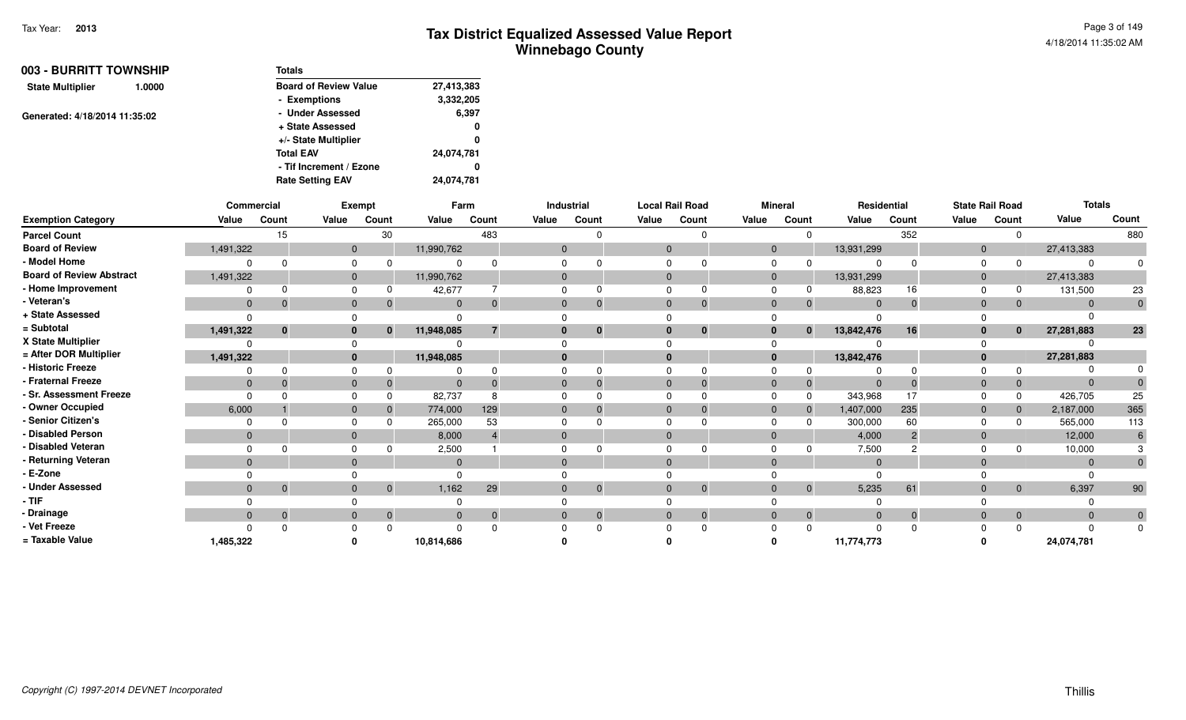| 003 - BURRITT TOWNSHIP<br>1.0000 | <b>Totals</b>                |            |
|----------------------------------|------------------------------|------------|
| <b>State Multiplier</b>          | <b>Board of Review Value</b> | 27,413,383 |
|                                  | - Exemptions                 | 3,332,205  |
| Generated: 4/18/2014 11:35:02    | - Under Assessed             | 6,397      |
|                                  | + State Assessed             | 0          |
|                                  | +/- State Multiplier         | 0          |
|                                  | <b>Total EAV</b>             | 24,074,781 |
|                                  | - Tif Increment / Ezone      | 0          |
|                                  | <b>Rate Setting EAV</b>      | 24,074,781 |

|                                 | Commercial   |              |              | Exempt       |              | Farm  |              | Industrial | <b>Local Rail Road</b> |          |              | <b>Mineral</b> |              | Residential    |              | <b>State Rail Road</b> | <b>Totals</b> |                |
|---------------------------------|--------------|--------------|--------------|--------------|--------------|-------|--------------|------------|------------------------|----------|--------------|----------------|--------------|----------------|--------------|------------------------|---------------|----------------|
| <b>Exemption Category</b>       | Value        | Count        | Value        | Count        | Value        | Count | Value        | Count      | Value                  | Count    | Value        | Count          | Value        | Count          | Value        | Count                  | Value         | Count          |
| <b>Parcel Count</b>             |              | 15           |              | 30           |              | 483   |              |            |                        | $\cap$   |              | $\Omega$       |              | 352            |              | O                      |               | 880            |
| <b>Board of Review</b>          | 1,491,322    |              | $\mathbf{0}$ |              | 11,990,762   |       | $\mathbf{0}$ |            |                        |          | $\mathbf{0}$ |                | 13,931,299   |                | 0            |                        | 27,413,383    |                |
| - Model Home                    |              |              | $\Omega$     |              |              |       |              |            |                        |          |              |                |              |                | 0            |                        |               |                |
| <b>Board of Review Abstract</b> | 1,491,322    |              | $\mathbf{0}$ |              | 11,990,762   |       |              |            |                        |          | 0            |                | 13,931,299   |                | 0            |                        | 27,413,383    |                |
| - Home Improvement              |              |              | 0            |              | 42,677       |       |              |            |                        |          |              |                | 88,823       | 16             | 0            |                        | 131,500       | 23             |
| Veteran's                       | $\mathbf{0}$ | $\Omega$     | $\mathbf{0}$ |              | $\mathbf{0}$ |       |              | $\Omega$   |                        | $\Omega$ |              | $\overline{0}$ | $\mathbf{0}$ | $\mathbf{0}$   | $\mathbf{0}$ | $\mathbf 0$            | $\Omega$      |                |
| + State Assessed                | $\Omega$     |              |              |              |              |       |              |            |                        |          |              |                |              |                |              |                        |               |                |
| = Subtotal                      | 1,491,322    | $\mathbf{0}$ | $\bf{0}$     | $\mathbf{0}$ | 11,948,085   |       |              | $\bf{0}$   |                        | 0        |              | $\bf{0}$       | 13,842,476   | 16             |              | $\mathbf{0}$           | 27,281,883    | 23             |
| X State Multiplier              |              |              |              |              |              |       |              |            |                        |          |              |                |              |                |              |                        |               |                |
| = After DOR Multiplier          | 1,491,322    |              | $\bf{0}$     |              | 11,948,085   |       |              |            |                        |          |              |                | 13,842,476   |                |              |                        | 27,281,883    |                |
| <b>Historic Freeze</b>          |              |              |              |              |              |       |              |            |                        |          |              |                |              |                |              |                        |               |                |
| Fraternal Freeze                | $\Omega$     |              | $\Omega$     |              | $\Omega$     |       |              |            |                        |          |              | $\overline{0}$ | $\Omega$     | $\mathbf{0}$   | 0            | $\mathbf 0$            | $\Omega$      |                |
| <b>Sr. Assessment Freeze</b>    | $\Omega$     |              |              |              | 82,737       |       |              |            |                        |          |              | $\Omega$       | 343,968      | 17             |              | $\Omega$               | 426,705       | 25             |
| - Owner Occupied                | 6,000        |              | $\mathbf{0}$ |              | 774,000      | 129   |              |            |                        |          |              | $\overline{0}$ | 1,407,000    | 235            | 0            | $\mathbf{0}$           | 2,187,000     | 365            |
| Senior Citizen's                | $\Omega$     |              | $\Omega$     |              | 265,000      | 53    |              |            |                        |          |              | $\Omega$       | 300,000      | 60             | 0            |                        | 565,000       | 113            |
| <b>Disabled Person</b>          | $\Omega$     |              | $\Omega$     |              | 8,000        |       |              |            |                        |          | $\Omega$     |                | 4,000        | $\overline{2}$ | $\Omega$     |                        | 12,000        |                |
| - Disabled Veteran              |              |              |              |              | 2,500        |       |              |            |                        |          |              |                | 7,500        |                |              |                        | 10,000        |                |
| Returning Veteran               | $\Omega$     |              | $\Omega$     |              | $\Omega$     |       |              |            |                        |          |              |                | $\Omega$     |                | 0            |                        | $\Omega$      |                |
| · E-Zone                        |              |              |              |              |              |       |              |            |                        |          |              |                |              |                |              |                        |               |                |
| <b>Under Assessed</b>           | $\mathbf{0}$ | $\mathbf{0}$ | $\mathbf{0}$ | $\mathbf{0}$ | 1,162        | 29    |              | $\Omega$   |                        | $\Omega$ |              | $\overline{0}$ | 5,235        | 61             | 0            | $\mathbf{0}$           | 6,397         | 90             |
| - TIF                           |              |              |              |              |              |       |              |            |                        |          |              |                |              |                |              |                        |               |                |
| · Drainage                      | $\Omega$     | $\mathbf{0}$ | $\Omega$     | $\Omega$     | $\Omega$     |       |              | $\Omega$   |                        | $\Omega$ |              | $\overline{0}$ | $\Omega$     | $\overline{0}$ | $\Omega$     | $\mathbf{0}$           | $\Omega$      | $\overline{0}$ |
| Vet Freeze                      |              |              |              |              |              |       |              |            |                        |          |              |                |              |                |              |                        |               | $\mathbf 0$    |
| = Taxable Value                 | 1,485,322    |              |              |              | 10,814,686   |       |              |            |                        |          |              |                | 11,774,773   |                |              |                        | 24,074,781    |                |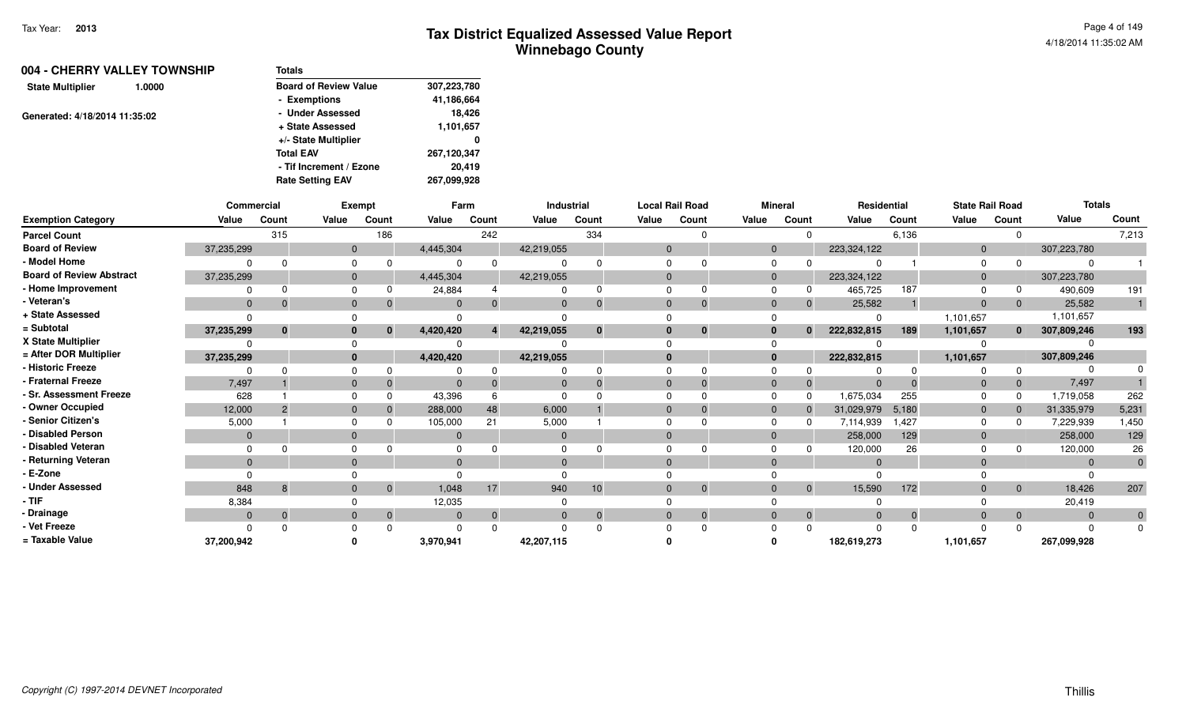| 004 - CHERRY VALLEY TOWNSHIP      | <b>Totals</b>                |             |
|-----------------------------------|------------------------------|-------------|
| <b>State Multiplier</b><br>1.0000 | <b>Board of Review Value</b> | 307,223,780 |
|                                   | - Exemptions                 | 41,186,664  |
| Generated: 4/18/2014 11:35:02     | - Under Assessed             | 18,426      |
|                                   | + State Assessed             | 1,101,657   |
|                                   | +/- State Multiplier         | 0           |
|                                   | <b>Total EAV</b>             | 267,120,347 |
|                                   | - Tif Increment / Ezone      | 20.419      |
|                                   | <b>Rate Setting EAV</b>      | 267,099,928 |

|                                 | Commercial   |              |              | <b>Exempt</b> | Farm         |              |            | Industrial     |              | <b>Local Rail Road</b> |                | <b>Mineral</b> | Residential |       | <b>State Rail Road</b> |                | <b>Totals</b> |                |
|---------------------------------|--------------|--------------|--------------|---------------|--------------|--------------|------------|----------------|--------------|------------------------|----------------|----------------|-------------|-------|------------------------|----------------|---------------|----------------|
| <b>Exemption Category</b>       | Value        | Count        | Value        | Count         | Value        | Count        | Value      | Count          | Value        | Count                  | Value          | Count          | Value       | Count | Value                  | Count          | Value         | Count          |
| <b>Parcel Count</b>             |              | 315          |              | 186           |              | 242          |            | 334            |              |                        |                |                |             | 6,136 |                        | $\Omega$       |               | 7,213          |
| <b>Board of Review</b>          | 37,235,299   |              | $\mathbf{0}$ |               | 4,445,304    |              | 42,219,055 |                | $\mathbf{0}$ |                        | $\overline{0}$ |                | 223,324,122 |       | $\mathbf{0}$           |                | 307,223,780   |                |
| - Model Home                    |              |              | $\Omega$     |               |              | 0            |            |                |              |                        | $\Omega$       |                |             |       | $\Omega$               |                | $\Omega$      |                |
| <b>Board of Review Abstract</b> | 37,235,299   |              | $\mathbf{0}$ |               | 4,445,304    |              | 42,219,055 |                | $\Omega$     |                        | $\Omega$       |                | 223,324,122 |       | $\Omega$               |                | 307,223,780   |                |
| - Home Improvement              |              |              | $\Omega$     |               | 24,884       |              |            |                | $\Omega$     |                        | $\Omega$       |                | 465,725     | 187   |                        |                | 490,609       | 191            |
| - Veteran's                     | $\Omega$     |              | $\Omega$     |               | $\Omega$     | $\Omega$     |            | $\Omega$       | $\Omega$     | $\Omega$               | $\Omega$       | 0              | 25,582      |       | $\Omega$               | $\overline{0}$ | 25,582        |                |
| + State Assessed                |              |              | $\Omega$     |               |              |              |            |                |              |                        |                |                |             |       | 1,101,657              |                | 1,101,657     |                |
| $=$ Subtotal                    | 37,235,299   | $\mathbf{0}$ | $\bf{0}$     |               | 4,420,420    | 4            | 42,219,055 | $\bf{0}$       | $\bf{0}$     | 0                      | 0              |                | 222,832,815 | 189   | 1,101,657              | $\mathbf{0}$   | 307,809,246   | 193            |
| X State Multiplier              |              |              | $\Omega$     |               |              |              |            |                |              |                        |                |                |             |       |                        |                |               |                |
| = After DOR Multiplier          | 37,235,299   |              | $\bf{0}$     |               | 4,420,420    |              | 42,219,055 |                | $\Omega$     |                        |                |                | 222,832,815 |       | 1,101,657              |                | 307,809,246   |                |
| - Historic Freeze               |              |              |              |               |              |              |            | n              |              |                        |                |                |             |       |                        |                |               |                |
| - Fraternal Freeze              | 7,497        |              | $\Omega$     |               | $\Omega$     |              |            |                | $\Omega$     |                        | $\Omega$       |                | $\Omega$    |       | $\Omega$               | $\overline{0}$ | 7,497         |                |
| - Sr. Assessment Freeze         | 628          |              |              |               | 43,396       |              |            |                |              |                        | $\Omega$       |                | 1,675,034   | 255   |                        |                | 1,719,058     | 262            |
| - Owner Occupied                | 12,000       |              | $\mathbf{0}$ |               | 288,000      | 48           | 6,000      |                | $\Omega$     |                        | $\Omega$       |                | 31,029,979  | 5,180 | $\mathbf 0$            |                | 31,335,979    | 5,231          |
| - Senior Citizen's              | 5,000        |              | $\Omega$     |               | 105,000      | 21           | 5,000      |                |              |                        | $\Omega$       |                | 7,114,939   | 1,427 | $\Omega$               |                | 7,229,939     | 1,450          |
| - Disabled Person               | $\Omega$     |              | $\Omega$     |               |              |              |            |                | $\Omega$     |                        | $\Omega$       |                | 258,000     | 129   | $\Omega$               |                | 258,000       | 129            |
| - Disabled Veteran              |              |              |              |               |              |              |            |                |              |                        |                |                | 120,000     | 26    |                        |                | 120,000       | 26             |
| - Returning Veteran             | $\Omega$     |              | $\Omega$     |               |              |              |            |                | $\Omega$     |                        | $\Omega$       |                | $\Omega$    |       |                        |                | $\Omega$      | $\overline{0}$ |
| - E-Zone                        |              |              |              |               |              |              |            |                |              |                        |                |                |             |       |                        |                |               |                |
| - Under Assessed                | 848          | 8            | $\Omega$     | $\Omega$      | 1,048        | 17           | 940        | 10             | $\Omega$     | $\Omega$               |                | $\Omega$       | 15,590      | 172   | $\Omega$               | $\overline{0}$ | 18,426        | 207            |
| - TIF                           | 8,384        |              |              |               | 12,035       |              |            |                |              |                        |                |                |             |       |                        |                | 20,419        |                |
| - Drainage                      | $\mathbf{0}$ |              | $\Omega$     | $\mathbf 0$   | $\mathbf{0}$ | $\mathbf{0}$ |            | $\overline{0}$ | $\Omega$     | $\Omega$               | $\Omega$       |                | $\Omega$    |       | $\Omega$               | $\overline{0}$ | $\Omega$      | $\mathbf{0}$   |
| - Vet Freeze                    |              |              |              |               |              |              |            |                |              |                        |                |                | $\Omega$    |       |                        |                | $\Omega$      | $\Omega$       |
| = Taxable Value                 | 37,200,942   |              |              |               | 3,970,941    |              | 42,207,115 |                |              |                        |                |                | 182,619,273 |       | 1,101,657              |                | 267,099,928   |                |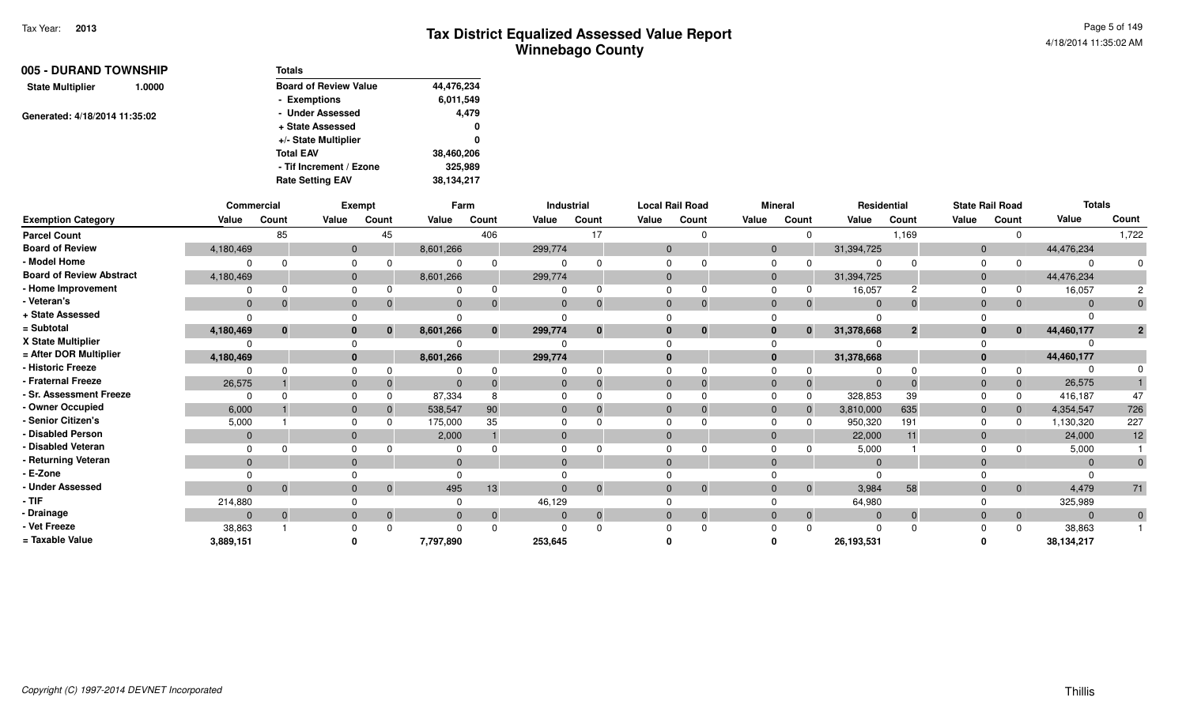| 005 - DURAND TOWNSHIP<br>1.0000 | <b>Totals</b>                |            |
|---------------------------------|------------------------------|------------|
| <b>State Multiplier</b>         | <b>Board of Review Value</b> | 44,476,234 |
|                                 | - Exemptions                 | 6,011,549  |
| Generated: 4/18/2014 11:35:02   | - Under Assessed             | 4,479      |
|                                 | + State Assessed             | 0          |
|                                 | +/- State Multiplier         | 0          |
|                                 | <b>Total EAV</b>             | 38,460,206 |
|                                 | - Tif Increment / Ezone      | 325,989    |
|                                 | <b>Rate Setting EAV</b>      | 38,134,217 |

|                                 | Commercial     |          |              | <b>Exempt</b>  |              | Farm      |                | <b>Industrial</b> |             |              | <b>Local Rail Road</b> |                | <b>Mineral</b> | Residential |                | <b>State Rail Road</b> |                | <b>Totals</b>  |                |
|---------------------------------|----------------|----------|--------------|----------------|--------------|-----------|----------------|-------------------|-------------|--------------|------------------------|----------------|----------------|-------------|----------------|------------------------|----------------|----------------|----------------|
| <b>Exemption Category</b>       | Value          | Count    | Value        | Count          |              | Value     | Count          | Value             | Count       | Value        | Count                  | Value          | Count          | Value       | Count          | Value                  | Count          | Value          | Count          |
| <b>Parcel Count</b>             |                | 85       |              |                | 45           |           | 406            |                   | 17          |              |                        |                |                |             | 1,169          |                        | $\Omega$       |                | 1,722          |
| <b>Board of Review</b>          | 4,180,469      |          |              | $\mathbf 0$    |              | 8,601,266 |                | 299,774           |             | $\Omega$     |                        | $\Omega$       |                | 31,394,725  |                | $\mathbf 0$            |                | 44,476,234     |                |
| - Model Home                    | O              |          | <sup>0</sup> |                |              |           | $\Omega$       |                   |             |              |                        | $\Omega$       |                |             |                | $\Omega$               |                | $\Omega$       |                |
| <b>Board of Review Abstract</b> | 4,180,469      |          |              | $\mathbf{0}$   |              | 8,601,266 |                | 299,774           |             | $\Omega$     |                        | $\overline{0}$ |                | 31,394,725  |                | $\mathbf{0}$           |                | 44,476,234     |                |
| - Home Improvement              | $\Omega$       |          | $\Omega$     |                |              |           |                |                   |             | $\Omega$     |                        | $\Omega$       |                | 16,057      |                |                        |                | 16,057         |                |
| - Veteran's                     | $\mathbf{0}$   |          |              | $\mathbf{0}$   | $\mathbf 0$  | $\Omega$  | $\Omega$       | $\Omega$          | 0           | $\Omega$     |                        | $\Omega$       | $\mathbf{0}$   | $\Omega$    | $\Omega$       | $\Omega$               | $\overline{0}$ | $\mathbf{0}$   |                |
| + State Assessed                |                |          |              |                |              |           |                |                   |             |              |                        |                |                |             |                |                        |                |                |                |
| = Subtotal                      | 4,180,469      | $\bf{0}$ | $\bf{0}$     |                | $\bf{0}$     | 8,601,266 | $\mathbf{0}$   | 299,774           | $\bf{0}$    | $\bf{0}$     | $\bf{0}$               |                | $\bf{0}$       | 31,378,668  | 2 <sup>1</sup> | 0                      | $\mathbf{0}$   | 44,460,177     | $\overline{2}$ |
| X State Multiplier              |                |          |              |                |              |           |                |                   |             |              |                        |                |                |             |                |                        |                |                |                |
| = After DOR Multiplier          | 4,180,469      |          |              | $\mathbf{0}$   |              | 8,601,266 |                | 299,774           |             | $\mathbf{0}$ |                        |                |                | 31,378,668  |                |                        |                | 44,460,177     |                |
| - Historic Freeze               | $\Omega$       |          |              |                |              |           | $\Omega$       |                   |             |              |                        |                |                |             |                |                        |                | $\Omega$       |                |
| - Fraternal Freeze              | 26,575         |          | $\mathbf{0}$ |                |              | $\Omega$  | $\Omega$       |                   |             | $\Omega$     |                        |                | $\Omega$       | $\Omega$    |                | $\mathbf 0$            | $\mathbf{0}$   | 26,575         |                |
| - Sr. Assessment Freeze         | $\Omega$       |          |              |                |              | 87,334    |                |                   |             |              |                        |                |                | 328,853     | 39             |                        | $\Omega$       | 416,187        | 47             |
| - Owner Occupied                | 6,000          |          | $\Omega$     |                |              | 538,547   | 90             |                   |             | $\Omega$     |                        |                | $\Omega$       | 3,810,000   | 635            | $\mathbf{0}$           | $\overline{0}$ | 4,354,547      | 726            |
| - Senior Citizen's              | 5,000          |          | $\Omega$     |                |              | 175,000   | 35             |                   |             | $\Omega$     |                        |                |                | 950,320     | 191            | $\Omega$               |                | 1,130,320      | 227            |
| - Disabled Person               | $\overline{0}$ |          |              | $\mathbf{0}$   |              | 2,000     |                |                   |             | $\Omega$     |                        | $\Omega$       |                | 22,000      | 11             | $\Omega$               |                | 24,000         | 12             |
| - Disabled Veteran              | $\Omega$       |          | $\Omega$     |                |              |           |                |                   |             |              |                        |                |                | 5,000       |                |                        |                | 5,000          |                |
| - Returning Veteran             | $\Omega$       |          |              | $\Omega$       |              | $\Omega$  |                | $\Omega$          |             | $\Omega$     |                        |                |                | $\Omega$    |                |                        |                | $\Omega$       | $\overline{0}$ |
| - E-Zone                        |                |          |              |                |              |           |                |                   |             |              |                        |                |                |             |                |                        |                |                |                |
| - Under Assessed                | $\Omega$       | $\Omega$ |              | $\overline{0}$ | $\mathbf{0}$ | 495       | 13             |                   | $\Omega$    | $\Omega$     | $\Omega$               |                | $\overline{0}$ | 3,984       | 58             | $\Omega$               | $\overline{0}$ | 4,479          | 71             |
| - TIF                           | 214,880        |          |              |                |              |           |                | 46,129            |             |              |                        |                |                | 64,980      |                |                        |                | 325,989        |                |
| - Drainage                      | $\overline{0}$ | $\Omega$ |              | $\mathbf{0}$   | $\mathbf 0$  | $\Omega$  | $\overline{0}$ |                   | $\mathbf 0$ | $\Omega$     | $\Omega$               | $\Omega$       | $\mathbf{0}$   | $\Omega$    | $\Omega$       | $\Omega$               | $\overline{0}$ | $\overline{0}$ | $\mathbf{0}$   |
| - Vet Freeze                    | 38,863         |          |              |                |              |           | $\Omega$       |                   |             |              |                        |                |                |             |                |                        | $\Omega$       | 38,863         |                |
| = Taxable Value                 | 3,889,151      |          |              |                |              | 7,797,890 |                | 253,645           |             |              |                        |                |                | 26,193,531  |                |                        |                | 38,134,217     |                |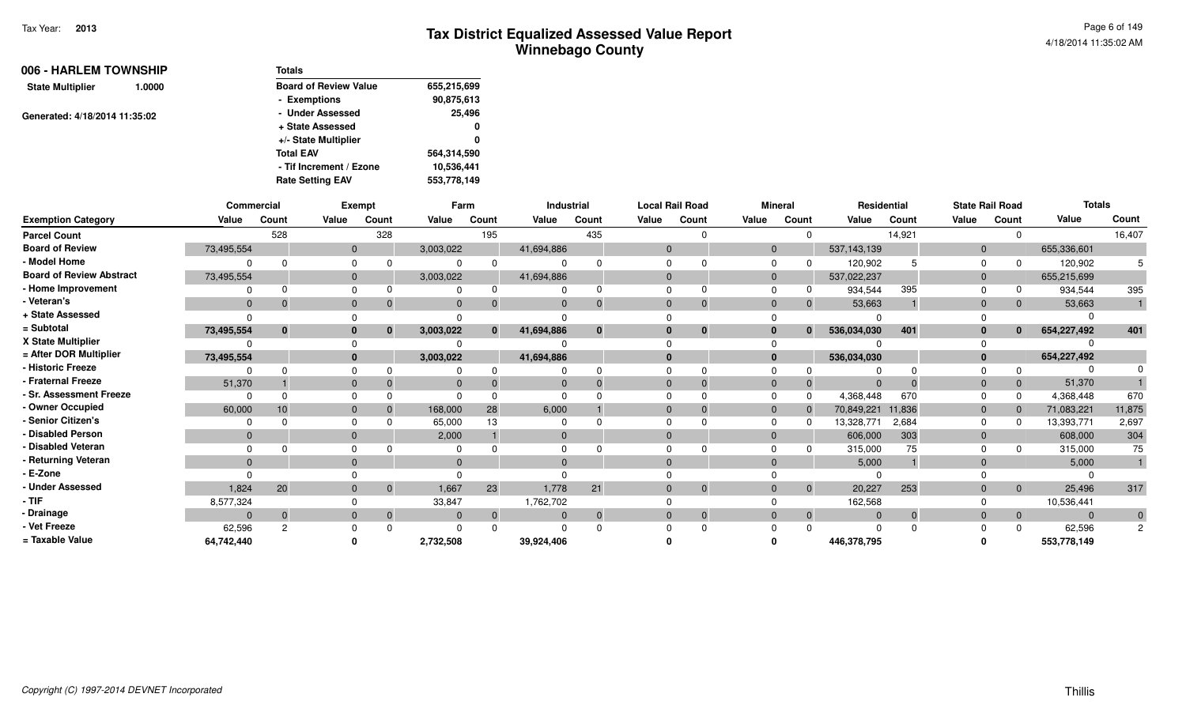| 006 - HARLEM TOWNSHIP         |        | <b>Totals</b>                |             |
|-------------------------------|--------|------------------------------|-------------|
| <b>State Multiplier</b>       | 1.0000 | <b>Board of Review Value</b> | 655,215,699 |
|                               |        | - Exemptions                 | 90,875,613  |
| Generated: 4/18/2014 11:35:02 |        | - Under Assessed             | 25,496      |
|                               |        | + State Assessed             | 0           |
|                               |        | +/- State Multiplier         | 0           |
|                               |        | <b>Total EAV</b>             | 564,314,590 |
|                               |        | - Tif Increment / Ezone      | 10,536,441  |
|                               |        | <b>Rate Setting EAV</b>      | 553,778,149 |

|                                 | <b>Commercial</b> |               |              | <b>Exempt</b> |                       | Farm           |            | <b>Industrial</b> | <b>Local Rail Road</b> |          |          | <b>Mineral</b> | Residential   |          | <b>State Rail Road</b> |                | <b>Totals</b> |                |
|---------------------------------|-------------------|---------------|--------------|---------------|-----------------------|----------------|------------|-------------------|------------------------|----------|----------|----------------|---------------|----------|------------------------|----------------|---------------|----------------|
| <b>Exemption Category</b>       | Value             | Count         | Value        | Count         | Value                 | Count          | Value      | Count             | Value                  | Count    | Value    | Count          | Value         | Count    | Value                  | Count          | Value         | Count          |
| <b>Parcel Count</b>             |                   | 528           |              | 328           |                       | 195            |            | 435               |                        |          |          |                |               | 14,921   |                        | $\Omega$       |               | 16,407         |
| <b>Board of Review</b>          | 73,495,554        |               |              | $\mathbf 0$   | 3,003,022             |                | 41,694,886 |                   | $\Omega$               |          | $\Omega$ |                | 537, 143, 139 |          | $\mathbf 0$            |                | 655,336,601   |                |
| - Model Home                    | $\Omega$          |               | <sup>0</sup> |               |                       | $\Omega$       |            |                   |                        |          | $\Omega$ |                | 120,902       |          | $\Omega$               |                | 120,902       |                |
| <b>Board of Review Abstract</b> | 73,495,554        |               |              | $\mathbf{0}$  | 3,003,022             |                | 41,694,886 |                   | $\Omega$               |          | $\Omega$ |                | 537,022,237   |          | $\mathbf{0}$           |                | 655,215,699   |                |
| - Home Improvement              | $\Omega$          |               | $\Omega$     |               |                       |                |            |                   | $\Omega$               |          | $\Omega$ |                | 934,544       | 395      |                        |                | 934,544       | 395            |
| - Veteran's                     | $\mathbf{0}$      |               | $\Omega$     |               | $\Omega$              | $\Omega$       |            | 0                 | $\Omega$               |          | $\Omega$ | $\overline{0}$ | 53,663        |          | $\Omega$               | $\overline{0}$ | 53,663        |                |
| + State Assessed                |                   |               |              |               |                       |                |            |                   |                        |          |          |                |               |          |                        |                |               |                |
| = Subtotal                      | 73,495,554        | $\bf{0}$      | $\bf{0}$     |               | 3,003,022<br>$\bf{0}$ | $\bf{0}$       | 41,694,886 | $\mathbf{0}$      | $\mathbf{0}$           | $\bf{0}$ |          | $\Omega$       | 536,034,030   | 401      | 0                      | $\mathbf{0}$   | 654,227,492   | 401            |
| X State Multiplier              |                   |               |              |               |                       |                |            |                   |                        |          |          |                |               |          |                        |                |               |                |
| = After DOR Multiplier          | 73,495,554        |               |              | $\mathbf{0}$  | 3,003,022             |                | 41,694,886 |                   | $\mathbf{0}$           |          |          |                | 536,034,030   |          |                        |                | 654,227,492   |                |
| - Historic Freeze               | $\Omega$          |               |              |               |                       | $\Omega$       |            |                   |                        |          |          |                |               |          |                        |                |               |                |
| - Fraternal Freeze              | 51,370            |               | $\mathbf{0}$ |               |                       |                |            |                   | $\Omega$               |          |          | $\Omega$       | $\Omega$      |          | 0                      | $\overline{0}$ | 51,370        |                |
| - Sr. Assessment Freeze         | $\Omega$          |               |              |               |                       |                |            |                   |                        |          |          |                | 4,368,448     | 670      |                        |                | 4,368,448     | 670            |
| - Owner Occupied                | 60,000            | 10            | $\Omega$     |               | 168,000               | 28             | 6,000      |                   | $\Omega$               |          | $\Omega$ |                | 70,849,221    | 11,836   | $\mathbf{0}$           |                | 71,083,221    | 11,875         |
| - Senior Citizen's              |                   |               |              |               | 65,000                | 13             |            |                   | $\Omega$               |          | $\Omega$ |                | 13,328,771    | 2,684    | $\Omega$               |                | 13,393,771    | 2,697          |
| - Disabled Person               | $\mathbf{0}$      |               |              | $\mathbf{0}$  | 2,000                 |                |            |                   | $\Omega$               |          | $\Omega$ |                | 606,000       | 303      | $\Omega$               |                | 608,000       | 304            |
| - Disabled Veteran              | $\Omega$          |               |              |               |                       |                |            |                   |                        |          |          |                | 315,000       | 75       |                        |                | 315,000       | 75             |
| - Returning Veteran             | $\Omega$          |               | $\Omega$     |               |                       | $\Omega$       | $\Omega$   |                   | $\Omega$               |          |          |                | 5,000         |          |                        |                | 5,000         |                |
| - E-Zone                        |                   |               |              |               |                       |                |            |                   |                        |          |          |                |               |          |                        |                |               |                |
| - Under Assessed                | 1,824             | 20            |              | $\mathbf{0}$  | 1,667<br>$\mathbf 0$  | 23             | 1,778      | 21                | $\Omega$               | $\Omega$ |          | $\overline{0}$ | 20,227        | 253      | $\Omega$               | $\overline{0}$ | 25,496        | 317            |
| - TIF                           | 8,577,324         |               |              |               | 33,847                |                | 1,762,702  |                   |                        |          |          |                | 162,568       |          |                        |                | 10,536,441    |                |
| - Drainage                      | $\Omega$          | $\Omega$      |              | $\mathbf{0}$  | $\mathbf 0$           | $\overline{0}$ |            | $\overline{0}$    | $\Omega$               | $\Omega$ | $\Omega$ | $\mathbf{0}$   | $\Omega$      | $\Omega$ | $\Omega$               | $\overline{0}$ | $\Omega$      | $\overline{0}$ |
| - Vet Freeze                    | 62,596            | $\mathcal{P}$ |              |               |                       |                |            |                   |                        |          |          |                |               |          |                        | $\Omega$       | 62,596        | $\overline{2}$ |
| = Taxable Value                 | 64,742,440        |               |              |               | 2,732,508             |                | 39,924,406 |                   |                        |          |          |                | 446,378,795   |          |                        |                | 553,778,149   |                |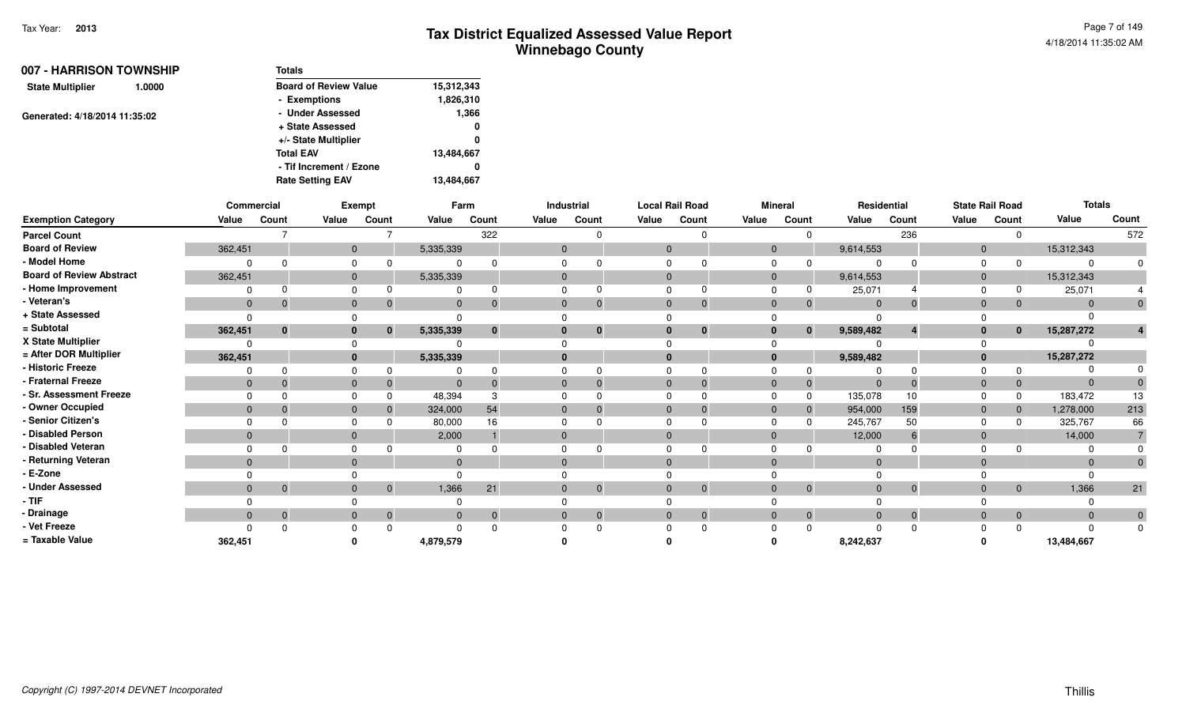| 007 - HARRISON TOWNSHIP<br>1.0000 | Totals                       |            |
|-----------------------------------|------------------------------|------------|
| <b>State Multiplier</b>           | <b>Board of Review Value</b> | 15,312,343 |
|                                   | - Exemptions                 | 1,826,310  |
| Generated: 4/18/2014 11:35:02     | - Under Assessed             | 1,366      |
|                                   | + State Assessed             | 0          |
|                                   | +/- State Multiplier         | 0          |
|                                   | <b>Total EAV</b>             | 13,484,667 |
|                                   | - Tif Increment / Ezone      | 0          |
|                                   | <b>Rate Setting EAV</b>      | 13,484,667 |

|                                 |              | Commercial     |              | Exempt         |              | Farm     |              | Industrial |              | <b>Local Rail Road</b> |                | <b>Mineral</b> |              | Residential |              | <b>State Rail Road</b> | <b>Totals</b> |              |
|---------------------------------|--------------|----------------|--------------|----------------|--------------|----------|--------------|------------|--------------|------------------------|----------------|----------------|--------------|-------------|--------------|------------------------|---------------|--------------|
| <b>Exemption Category</b>       | Value        | Count          | Value        | Count          | Value        | Count    | Value        | Count      | Value        | Count                  | Value          | Count          | Value        | Count       | Value        | Count                  | Value         | Count        |
| <b>Parcel Count</b>             |              |                |              |                |              | 322      |              | $\Omega$   |              | $\Omega$               |                |                |              | 236         |              |                        |               | 572          |
| <b>Board of Review</b>          | 362,451      |                | $\mathbf 0$  |                | 5,335,339    |          | $\mathbf 0$  |            | $\mathbf{0}$ |                        |                | $\mathbf{0}$   | 9,614,553    |             | $\mathbf 0$  |                        | 15,312,343    |              |
| - Model Home                    |              |                | $\Omega$     |                | $\Omega$     |          | $\Omega$     |            | $\Omega$     | $\Omega$               | $\Omega$       |                |              |             | $\Omega$     |                        |               | $\Omega$     |
| <b>Board of Review Abstract</b> | 362,451      |                | $\mathbf 0$  |                | 5,335,339    |          | $\mathbf{0}$ |            | $\mathbf{0}$ |                        |                | $\mathbf{0}$   | 9,614,553    |             | $\mathbf 0$  |                        | 15,312,343    |              |
| - Home Improvement              | $\Omega$     |                | $\Omega$     |                | 0            |          | $\Omega$     |            |              | $\Omega$               | $\Omega$       |                | 25,071       |             | $\Omega$     |                        | 25,071        |              |
| - Veteran's                     | $\mathbf{0}$ | $\Omega$       | $\mathbf{0}$ | $\Omega$       | $\mathbf{0}$ |          | $\mathbf{0}$ | $\Omega$   | $\mathbf{0}$ | $\mathbf{0}$           | $\mathbf{0}$   | $\Omega$       | $\mathbf{0}$ |             | $\mathbf{0}$ | $\overline{0}$         | $\Omega$      | $\Omega$     |
| + State Assessed                |              |                | $\Omega$     |                | $\Omega$     |          |              |            |              |                        | $\Omega$       |                |              |             |              |                        |               |              |
| = Subtotal                      | 362,451      | 0              | $\mathbf{0}$ | 0              | 5,335,339    | $\bf{0}$ | $\bf{0}$     | $\bf{0}$   | 0            | $\bf{0}$               | $\bf{0}$       | $\mathbf{0}$   | 9,589,482    |             | $\bf{0}$     | $\bf{0}$               | 15,287,272    |              |
| X State Multiplier              |              |                | 0            |                | $\Omega$     |          |              |            |              |                        | $\Omega$       |                |              |             |              |                        |               |              |
| = After DOR Multiplier          | 362,451      |                | $\mathbf{0}$ |                | 5,335,339    |          | $\bf{0}$     |            | $\bf{0}$     |                        |                | $\mathbf{0}$   | 9,589,482    |             | $\mathbf{0}$ |                        | 15,287,272    |              |
| - Historic Freeze               |              |                | $\Omega$     |                | $\Omega$     |          | 0            |            |              | ∩                      | $\Omega$       |                |              |             |              |                        |               |              |
| - Fraternal Freeze              | $\mathbf{0}$ |                | $\mathbf{0}$ | $\Omega$       | $\mathbf{0}$ |          | $\mathbf{0}$ |            | $\mathbf{0}$ | $\Omega$               | $\overline{0}$ |                | $\Omega$     |             | $\Omega$     | $\Omega$               |               |              |
| - Sr. Assessment Freeze         | $\Omega$     |                | $\Omega$     |                | 48,394       |          | 0            |            |              |                        | $\Omega$       |                | 135,078      | 10          |              |                        | 183,472       | 13           |
| - Owner Occupied                | $\mathbf{0}$ |                | $\mathbf{0}$ |                | 324,000      | 54       | $\mathbf{0}$ |            | $\mathbf{0}$ | $\mathbf 0$            | $\mathbf{0}$   |                | 954,000      | 159         | $\mathbf 0$  | $\mathbf{0}$           | 1,278,000     | 213          |
| - Senior Citizen's              |              |                | $\Omega$     |                | 80,000       | 16       | $\Omega$     |            |              | $\Omega$               | $\Omega$       |                | 245,767      | 50          | $\Omega$     |                        | 325,767       | 66           |
| - Disabled Person               | $\mathbf{0}$ |                | $\mathbf 0$  |                | 2,000        |          | $\mathbf{0}$ |            | $\Omega$     |                        |                | $\overline{0}$ | 12,000       |             | $\mathbf{0}$ |                        | 14,000        |              |
| - Disabled Veteran              |              |                | $\Omega$     |                | 0            |          | 0            |            |              |                        | $\Omega$       |                |              |             |              |                        |               |              |
| - Returning Veteran             | $\Omega$     |                | $\mathbf{0}$ |                | $\mathbf{0}$ |          | $\mathbf{0}$ |            |              |                        | $\mathbf{0}$   |                | $\Omega$     |             | $\Omega$     |                        |               | $\mathbf{0}$ |
| - E-Zone                        |              |                |              |                | $\Omega$     |          |              |            |              |                        |                |                |              |             |              |                        |               |              |
| - Under Assessed                | $\mathbf{0}$ | $\overline{0}$ | $\mathbf{0}$ | $\overline{0}$ | 1,366        | 21       | $\mathbf 0$  | $\Omega$   | $\mathbf{0}$ | $\mathbf 0$            | $\mathbf{0}$   | $\Omega$       | $\mathbf{0}$ | $\mathbf 0$ | $\mathbf 0$  | $\overline{0}$         | 1,366         | 21           |
| $-$ TIF                         |              |                |              |                |              |          |              |            |              |                        |                |                |              |             |              |                        |               |              |
| - Drainage                      | $\Omega$     | $\Omega$       | $\mathbf{0}$ | $\overline{0}$ | $\Omega$     | $\Omega$ | $\Omega$     | $\Omega$   | $\Omega$     | $\mathbf{0}$           | $\Omega$       | $\Omega$       | $\Omega$     |             |              | $\overline{0}$         |               | $\mathbf{0}$ |
| - Vet Freeze                    |              |                |              |                | $\Omega$     |          |              | $\Omega$   |              | $\Omega$               |                |                |              |             |              |                        |               |              |
| = Taxable Value                 | 362,451      |                |              |                | 4,879,579    |          |              |            |              |                        |                |                | 8,242,637    |             |              |                        | 13,484,667    |              |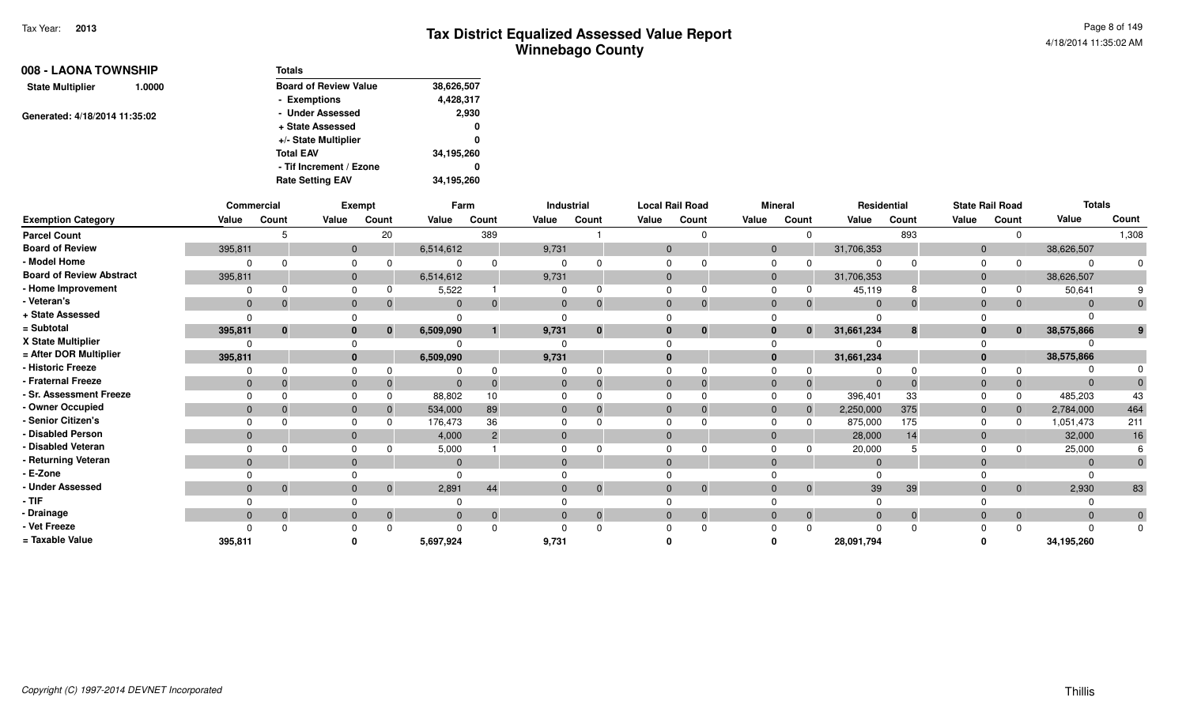| 008 - LAONA TOWNSHIP              | <b>Totals</b>                |            |
|-----------------------------------|------------------------------|------------|
| <b>State Multiplier</b><br>1.0000 | <b>Board of Review Value</b> | 38,626,507 |
|                                   | - Exemptions                 | 4,428,317  |
| Generated: 4/18/2014 11:35:02     | - Under Assessed             | 2,930      |
|                                   | + State Assessed             | 0          |
|                                   | +/- State Multiplier         | 0          |
|                                   | <b>Total EAV</b>             | 34,195,260 |
|                                   | - Tif Increment / Ezone      | 0          |
|                                   | <b>Rate Setting EAV</b>      | 34,195,260 |

|                                 |              | Commercial |              | Exempt      |             | Farm           |              | Industrial   |              | <b>Local Rail Road</b> |              | <b>Mineral</b> | Residential  |                |                | <b>State Rail Road</b> | <b>Totals</b> |                |
|---------------------------------|--------------|------------|--------------|-------------|-------------|----------------|--------------|--------------|--------------|------------------------|--------------|----------------|--------------|----------------|----------------|------------------------|---------------|----------------|
| <b>Exemption Category</b>       | Value        | Count      | Value        | Count       | Value       | Count          | Value        | Count        | Value        | Count                  | Value        | Count          | Value        | Count          | Value          | Count                  | Value         | Count          |
| <b>Parcel Count</b>             |              |            |              | 20          |             | 389            |              |              |              |                        |              | $\Omega$       |              | 893            |                | $\Omega$               |               | 1,308          |
| <b>Board of Review</b>          | 395,811      |            | $\mathbf 0$  |             | 6,514,612   |                | 9,731        |              | $\mathbf{0}$ |                        | $\mathbf{0}$ |                | 31,706,353   |                | 0              |                        | 38,626,507    |                |
| - Model Home                    |              |            | $\Omega$     |             |             |                | <sup>n</sup> |              |              |                        |              |                |              | $\Omega$       | $\Omega$       |                        |               |                |
| <b>Board of Review Abstract</b> | 395,811      |            | $\mathbf{0}$ |             | 6,514,612   |                | 9,731        |              | $\Omega$     |                        | $\mathbf{0}$ |                | 31,706,353   |                | $\overline{0}$ |                        | 38,626,507    |                |
| - Home Improvement              |              |            |              |             | 5,522       |                |              |              |              |                        |              |                | 45,119       |                | $\Omega$       |                        | 50,641        |                |
| - Veteran's                     | $\mathbf{0}$ |            | $\mathbf{0}$ |             | $\mathbf 0$ | $\Omega$       | $\mathbf{0}$ | $\mathbf{0}$ | $\mathbf{0}$ |                        |              | $\Omega$       | $\mathbf{0}$ | $\overline{0}$ | $\mathbf{0}$   | $\mathbf{0}$           | $\Omega$      |                |
| + State Assessed                |              |            |              |             |             |                |              |              |              |                        |              |                |              |                |                |                        |               |                |
| = Subtotal                      | 395,811      | $\bf{0}$   |              | $\bf{0}$    | 6,509,090   |                | 9,731        | $\mathbf{0}$ | 0            | 0                      |              | 0              | 31,661,234   | 8              |                | $\mathbf{0}$           | 38,575,866    |                |
| X State Multiplier              |              |            |              |             |             |                |              |              |              |                        |              |                |              |                |                |                        |               |                |
| = After DOR Multiplier          | 395,811      |            | $\bf{0}$     |             | 6,509,090   |                | 9,731        |              | $\bf{0}$     |                        |              |                | 31,661,234   |                |                |                        | 38,575,866    |                |
| - Historic Freeze               |              |            |              |             |             |                |              |              |              |                        |              |                |              |                |                |                        |               |                |
| - Fraternal Freeze              | $\Omega$     |            |              |             | $\Omega$    |                | $\Omega$     |              | $\Omega$     |                        |              |                |              | $\Omega$       | $\Omega$       | $\mathbf{0}$           | $\Omega$      |                |
| - Sr. Assessment Freeze         |              |            |              |             | 88,802      | 10             |              |              |              |                        |              |                | 396,401      | 33             |                | $\Omega$               | 485,203       | 43             |
| - Owner Occupied                | $\mathbf{0}$ |            | $\mathbf{0}$ |             | 534,000     | 89             | $\mathbf{0}$ |              | $\mathbf{0}$ |                        |              | $\overline{0}$ | 2,250,000    | 375            | $\mathbf{0}$   | $\mathbf{0}$           | 2,784,000     | 464            |
| - Senior Citizen's              |              |            |              |             | 176,473     | 36             | $\Omega$     |              | <sup>0</sup> |                        |              |                | 875,000      | 175            | 0              | 0                      | 1,051,473     | 211            |
| - Disabled Person               | $\mathbf{0}$ |            | $\mathbf{0}$ |             | 4,000       | $\overline{2}$ | $\Omega$     |              | $\Omega$     |                        |              |                | 28,000       | 14             | $\Omega$       |                        | 32,000        | 16             |
| - Disabled Veteran              |              |            |              |             | 5,000       |                | $\Omega$     |              |              |                        |              |                | 20,000       |                |                |                        | 25,000        |                |
| - Returning Veteran             | $\Omega$     |            | $\Omega$     |             | $\Omega$    |                | $\Omega$     |              | $\Omega$     |                        |              |                |              |                | 0              |                        | $\Omega$      |                |
| - E-Zone                        |              |            |              |             |             |                |              |              |              |                        |              |                |              |                |                |                        |               |                |
| - Under Assessed                | $\Omega$     | $\Omega$   | $\Omega$     | $\mathbf 0$ | 2,891       | 44             | $\Omega$     | $\mathbf{0}$ | $\Omega$     | $\Omega$               |              | $\Omega$       | 39           | 39             | 0              | $\overline{0}$         | 2,930         | 83             |
| - TIF                           |              |            |              |             |             |                |              |              |              |                        |              |                |              |                |                |                        |               |                |
| - Drainage                      | $\Omega$     |            |              |             | $\Omega$    | $\overline{0}$ | $\Omega$     | $\mathbf{0}$ | $\mathbf{0}$ | $\Omega$               |              | $\Omega$       | $\mathbf{0}$ | $\overline{0}$ | $\Omega$       | $\mathbf{0}$           | $\Omega$      | $\overline{0}$ |
| - Vet Freeze                    |              |            |              |             |             |                |              |              |              |                        |              |                |              |                |                |                        |               | $\Omega$       |
| = Taxable Value                 | 395,811      |            |              |             | 5,697,924   |                | 9,731        |              |              |                        |              |                | 28,091,794   |                |                |                        | 34,195,260    |                |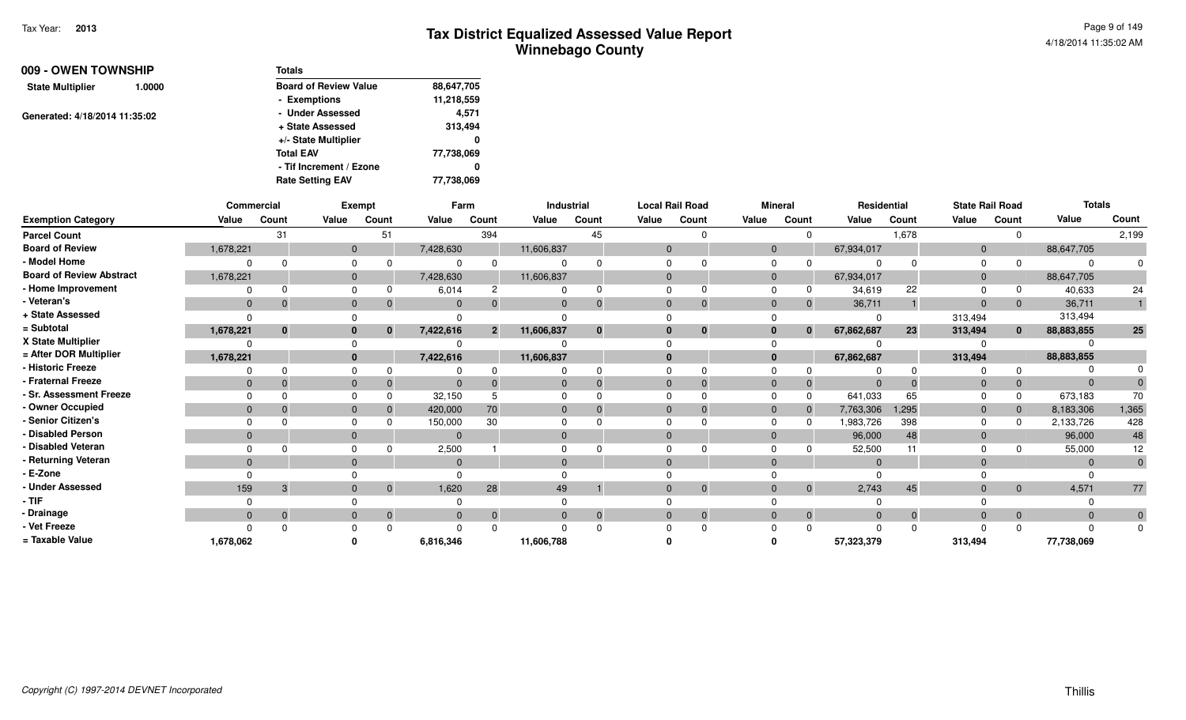| 009 - OWEN TOWNSHIP           |        | <b>Totals</b>                |            |
|-------------------------------|--------|------------------------------|------------|
| <b>State Multiplier</b>       | 1.0000 | <b>Board of Review Value</b> | 88,647,705 |
|                               |        | - Exemptions                 | 11,218,559 |
| Generated: 4/18/2014 11:35:02 |        | - Under Assessed             | 4.571      |
|                               |        | + State Assessed             | 313,494    |
|                               |        | +/- State Multiplier         | 0          |
|                               |        | <b>Total EAV</b>             | 77,738,069 |
|                               |        | - Tif Increment / Ezone      | 0          |
|                               |        | <b>Rate Setting EAV</b>      | 77,738,069 |

|                                 |              | Commercial   |              | Exempt       |             | Farm           |              | Industrial   |              | <b>Local Rail Road</b> |              | <b>Mineral</b> |            | Residential    | <b>State Rail Road</b> |                | <b>Totals</b> |                |
|---------------------------------|--------------|--------------|--------------|--------------|-------------|----------------|--------------|--------------|--------------|------------------------|--------------|----------------|------------|----------------|------------------------|----------------|---------------|----------------|
| <b>Exemption Category</b>       | Value        | Count        | Value        | Count        | Value       | Count          | Value        | Count        | Value        | Count                  | Value        | Count          | Value      | Count          | Value                  | Count          | Value         | Count          |
| <b>Parcel Count</b>             |              | 31           |              | 51           |             | 394            |              | 45           |              |                        |              | $\Omega$       |            | 1,678          |                        | $\Omega$       |               | 2,199          |
| <b>Board of Review</b>          | 1,678,221    |              |              | $\mathbf{0}$ | 7,428,630   |                | 11,606,837   |              | $\Omega$     |                        | 0            |                | 67,934,017 |                | $\mathbf{0}$           |                | 88,647,705    |                |
| - Model Home                    |              | $\Omega$     | $\Omega$     |              |             |                |              |              |              |                        |              |                |            |                |                        |                |               |                |
| <b>Board of Review Abstract</b> | 1,678,221    |              | $\mathbf{0}$ |              | 7,428,630   |                | 11,606,837   |              | $\mathbf{0}$ |                        | $\mathbf{0}$ |                | 67,934,017 |                | $\mathbf{0}$           |                | 88,647,705    |                |
| - Home Improvement              |              | $\Omega$     | $\Omega$     |              | 6,014       |                |              |              |              |                        |              |                | 34,619     | 22             |                        |                | 40,633        | 24             |
| - Veteran's                     | $\mathbf{0}$ | $\Omega$     | $\mathbf 0$  | $\mathbf 0$  | $\mathbf 0$ |                | $\Omega$     | $\mathbf{0}$ | $\Omega$     |                        |              | $\overline{0}$ | 36,711     |                | $\mathbf{0}$           | $\overline{0}$ | 36,711        |                |
| + State Assessed                |              |              |              |              |             |                |              |              |              |                        |              |                |            |                | 313,494                |                | 313,494       |                |
| = Subtotal                      | 1,678,221    | $\bf{0}$     | 0            | $\bf{0}$     | 7,422,616   | 2 <sup>1</sup> | 11,606,837   | $\bf{0}$     |              | $\bf{0}$               |              | $\mathbf{0}$   | 67,862,687 | 23             | 313,494                | $\mathbf{0}$   | 88,883,855    | 25             |
| X State Multiplier              |              |              | $\Omega$     |              |             |                |              |              |              |                        |              |                |            |                |                        |                |               |                |
| = After DOR Multiplier          | 1,678,221    |              |              | $\mathbf{0}$ | 7,422,616   |                | 11,606,837   |              | $\bf{0}$     |                        |              |                | 67,862,687 |                | 313,494                |                | 88,883,855    |                |
| - Historic Freeze               |              | $\Omega$     | $\Omega$     |              |             |                |              |              |              |                        |              |                |            |                |                        | $\Omega$       |               |                |
| - Fraternal Freeze              | $\mathbf{0}$ |              | $\mathbf{0}$ |              | $\Omega$    |                | $\mathbf{0}$ |              | $\mathbf{0}$ |                        |              | $\overline{0}$ | $\Omega$   |                |                        | $\mathbf{0}$   |               |                |
| - Sr. Assessment Freeze         |              |              | $\Omega$     |              | 32,150      |                |              |              |              |                        |              | $\Omega$       | 641,033    | 65             |                        | $\Omega$       | 673,183       | 70             |
| - Owner Occupied                | $\mathbf{0}$ | $\Omega$     | $\mathbf{0}$ |              | 420,000     | 70             | $\mathbf{0}$ |              | $\Omega$     |                        |              | $\mathbf{0}$   | 7,763,306  | 1,295          |                        | $\overline{0}$ | 8,183,306     | 1,365          |
| - Senior Citizen's              |              |              | $\Omega$     |              | 150,000     | 30             | $\Omega$     |              |              |                        |              | $\Omega$       | 1,983,726  | 398            |                        | $\Omega$       | 2,133,726     | 428            |
| - Disabled Person               | $\Omega$     |              | $\mathbf{0}$ |              | $\Omega$    |                | $\Omega$     |              |              |                        |              |                | 96,000     | 48             | $\Omega$               |                | 96,000        | 48             |
| - Disabled Veteran              |              |              | $\Omega$     |              | 2,500       |                |              |              |              |                        |              |                | 52,500     |                |                        |                | 55,000        | 12             |
| - Returning Veteran             | $\Omega$     |              | $\mathbf{0}$ |              | $\Omega$    |                | $\Omega$     |              | $\Omega$     |                        |              |                | $\Omega$   |                | $\Omega$               |                |               |                |
| - E-Zone                        |              |              |              |              |             |                |              |              |              |                        |              |                |            |                |                        |                |               |                |
| - Under Assessed                | 159          | 3            | $\Omega$     | $\mathbf{0}$ | 1,620       | 28             | 49           |              | $\Omega$     |                        |              | $\overline{0}$ | 2,743      | 45             |                        | $\overline{0}$ | 4,571         | $77\,$         |
| - TIF                           |              |              |              |              |             |                |              |              |              |                        |              |                |            |                |                        |                |               |                |
| - Drainage                      | $\mathbf{0}$ | $\mathbf{0}$ | $\mathbf{0}$ | $\Omega$     | $\Omega$    | $\Omega$       | $\mathbf{0}$ | $\mathbf{0}$ | $\Omega$     | $\Omega$               |              | $\overline{0}$ | $\Omega$   | $\overline{0}$ |                        | $\overline{0}$ |               | $\overline{0}$ |
| - Vet Freeze                    |              | $\Omega$     |              |              |             |                | $\Omega$     |              |              |                        |              |                |            |                |                        |                |               | $\Omega$       |
| = Taxable Value                 | 1,678,062    |              |              |              | 6,816,346   |                | 11,606,788   |              |              |                        |              |                | 57,323,379 |                | 313,494                |                | 77,738,069    |                |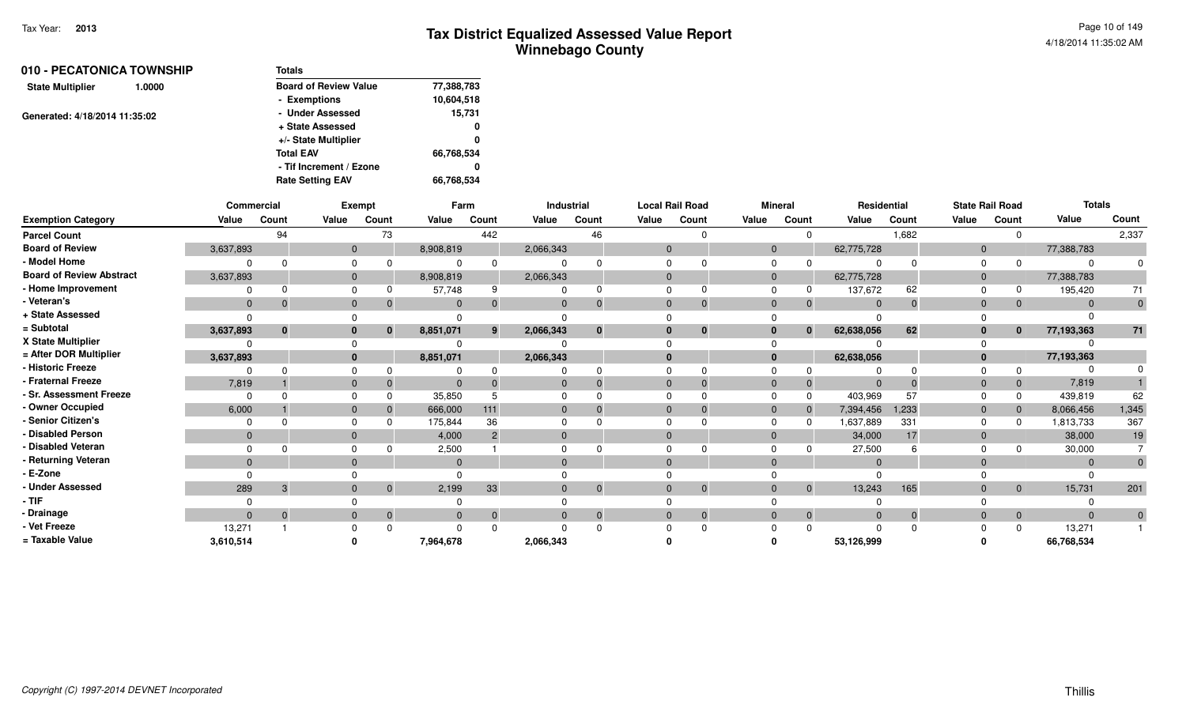| 010 - PECATONICA TOWNSHIP         | <b>Totals</b>                |            |
|-----------------------------------|------------------------------|------------|
| <b>State Multiplier</b><br>1.0000 | <b>Board of Review Value</b> | 77,388,783 |
|                                   | - Exemptions                 | 10,604,518 |
| Generated: 4/18/2014 11:35:02     | - Under Assessed             | 15,731     |
|                                   | + State Assessed             | 0          |
|                                   | +/- State Multiplier         | 0          |
|                                   | <b>Total EAV</b>             | 66,768,534 |
|                                   | - Tif Increment / Ezone      | 0          |
|                                   | <b>Rate Setting EAV</b>      | 66,768,534 |

|                                 | Commercial   |             |              | <b>Exempt</b> | Farm         |          |           | Industrial     |          | <b>Local Rail Road</b> |                | <b>Mineral</b> | Residential |       |              | <b>State Rail Road</b> | <b>Totals</b> |                |
|---------------------------------|--------------|-------------|--------------|---------------|--------------|----------|-----------|----------------|----------|------------------------|----------------|----------------|-------------|-------|--------------|------------------------|---------------|----------------|
| <b>Exemption Category</b>       | Value        | Count       | Value        | Count         | Value        | Count    | Value     | Count          | Value    | Count                  | Value          | Count          | Value       | Count | Value        | Count                  | Value         | Count          |
| <b>Parcel Count</b>             |              | 94          |              | 73            |              | 442      |           | 46             |          |                        |                |                |             | 1,682 |              | $\Omega$               |               | 2,337          |
| <b>Board of Review</b>          | 3,637,893    |             | $\mathbf{0}$ |               | 8,908,819    |          | 2,066,343 |                | $\Omega$ |                        | $\overline{0}$ |                | 62,775,728  |       | $\mathbf{0}$ |                        | 77,388,783    |                |
| - Model Home                    |              | U           |              | $\Omega$      |              |          |           |                |          |                        | $\Omega$       |                | $\Omega$    |       | $\Omega$     |                        | $\Omega$      |                |
| <b>Board of Review Abstract</b> | 3,637,893    |             |              |               | 8,908,819    |          | 2,066,343 |                |          |                        | $\overline{0}$ |                | 62,775,728  |       | 0            |                        | 77,388,783    |                |
| - Home Improvement              |              |             |              |               | 57,748       |          |           |                |          |                        | <sup>0</sup>   |                | 137,672     | 62    |              |                        | 195,420       | 71             |
| - Veteran's                     | $\Omega$     | $\Omega$    |              |               | $\Omega$     |          |           | $\mathbf{0}$   | $\Omega$ | $\Omega$               | $\Omega$       |                | $\Omega$    |       | $\Omega$     | $\overline{0}$         | $\Omega$      | $\overline{0}$ |
| + State Assessed                |              |             |              |               |              |          |           |                |          |                        |                |                | $\Omega$    |       |              |                        |               |                |
| = Subtotal                      | 3,637,893    | $\mathbf 0$ |              | 0             | 8,851,071    | 9        | 2,066,343 | $\bf{0}$       |          | $\bf{0}$               | 0              |                | 62,638,056  | 62    | 0            | $\bf{0}$               | 77,193,363    | 71             |
| X State Multiplier              |              |             |              |               |              |          |           |                |          |                        |                |                |             |       |              |                        |               |                |
| = After DOR Multiplier          | 3,637,893    |             |              |               | 8,851,071    |          | 2,066,343 |                |          |                        | $\mathbf{0}$   |                | 62,638,056  |       |              |                        | 77,193,363    |                |
| - Historic Freeze               |              | U           |              |               |              |          |           |                |          |                        |                |                |             |       |              |                        |               |                |
| - Fraternal Freeze              | 7,819        |             |              |               | $\Omega$     |          |           |                | $\Omega$ |                        | $\Omega$       |                | $\Omega$    |       |              | $\mathbf{0}$           | 7,819         |                |
| - Sr. Assessment Freeze         | $\Omega$     |             |              |               | 35,850       |          |           |                |          |                        |                |                | 403,969     | 57    |              | $\Omega$               | 439,819       | 62             |
| - Owner Occupied                | 6,000        |             |              |               | 666,000      | 111      |           |                |          |                        | $\overline{0}$ |                | 7,394,456   | 1,233 | $\mathbf{0}$ |                        | 8,066,456     | 1,345          |
| - Senior Citizen's              |              |             |              |               | 175,844      | 36       |           |                |          |                        | $\Omega$       |                | 1,637,889   | 331   |              |                        | 1,813,733     | 367            |
| - Disabled Person               | $\mathbf{0}$ |             |              |               | 4,000        | 2        | $\Omega$  |                |          |                        | $\Omega$       |                | 34,000      | 17    |              |                        | 38,000        | 19             |
| - Disabled Veteran              |              |             |              |               | 2,500        |          |           |                |          |                        |                |                | 27,500      |       |              |                        | 30,000        |                |
| - Returning Veteran             | $\Omega$     |             |              |               | $\Omega$     |          | $\Omega$  |                |          |                        | $\Omega$       |                | $\Omega$    |       |              |                        | $\Omega$      |                |
| - E-Zone                        |              |             |              |               |              |          |           |                |          |                        |                |                | $\Omega$    |       |              |                        |               |                |
| - Under Assessed                | 289          | 3           |              | $\Omega$      | 2,199        | 33       |           | $\mathbf{0}$   | $\Omega$ | $\Omega$               | $\Omega$       | $\Omega$       | 13,243      | 165   | $\Omega$     | $\overline{0}$         | 15,731        | 201            |
| - TIF                           |              |             |              |               |              |          |           |                |          |                        |                |                |             |       |              |                        |               |                |
| - Drainage                      | $\Omega$     | $\Omega$    |              | $\Omega$      | $\mathbf{0}$ | $\Omega$ |           | $\overline{0}$ | $\Omega$ | $\mathbf{0}$           | $\Omega$       |                | $\Omega$    |       | $\Omega$     | $\overline{0}$         | $\Omega$      | $\overline{0}$ |
| - Vet Freeze                    | 13,271       |             |              |               |              |          |           |                |          |                        |                |                | $\Omega$    |       |              | $\Omega$               | 13,271        |                |
| = Taxable Value                 | 3,610,514    |             |              |               | 7,964,678    |          | 2,066,343 |                |          |                        |                |                | 53,126,999  |       |              |                        | 66,768,534    |                |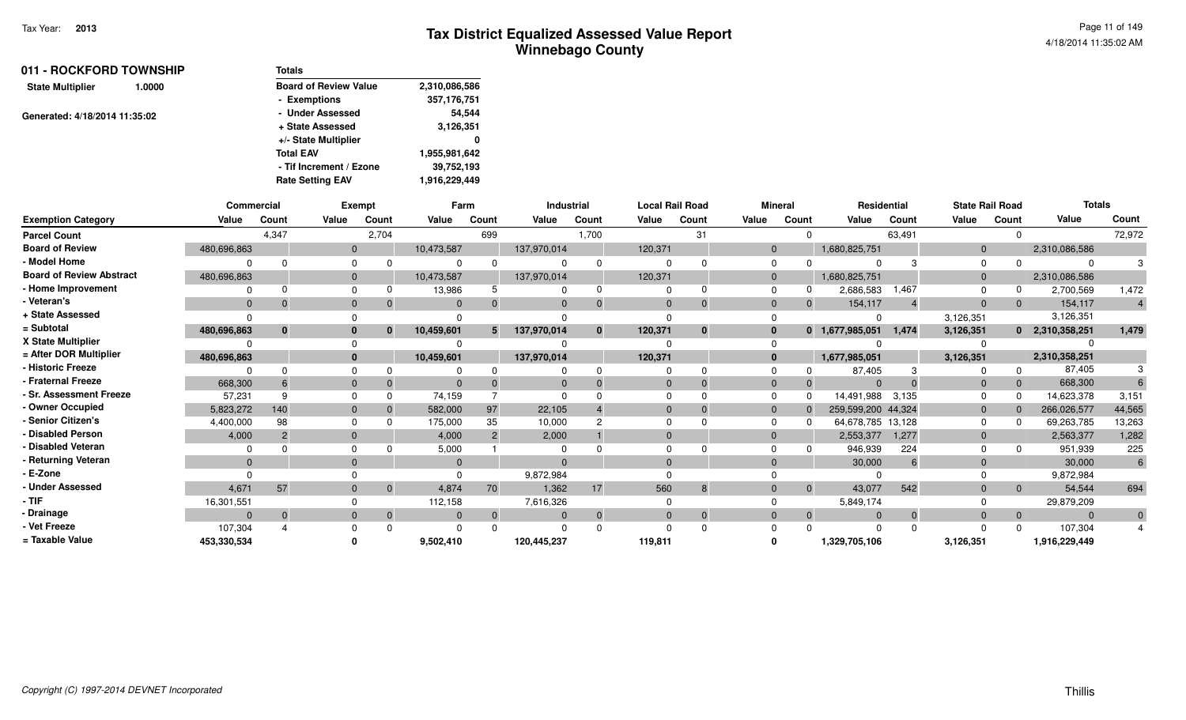| 011 - ROCKFORD TOWNSHIP<br>1.0000 | <b>Totals</b>                |               |  |  |  |
|-----------------------------------|------------------------------|---------------|--|--|--|
| <b>State Multiplier</b>           | <b>Board of Review Value</b> | 2,310,086,586 |  |  |  |
|                                   | - Exemptions                 | 357,176,751   |  |  |  |
| Generated: 4/18/2014 11:35:02     | - Under Assessed             | 54.544        |  |  |  |
|                                   | + State Assessed             | 3,126,351     |  |  |  |
|                                   | +/- State Multiplier         | 0             |  |  |  |
|                                   | <b>Total EAV</b>             | 1,955,981,642 |  |  |  |
|                                   | - Tif Increment / Ezone      | 39,752,193    |  |  |  |
|                                   | <b>Rate Setting EAV</b>      | 1,916,229,449 |  |  |  |
|                                   |                              |               |  |  |  |

|                                 | <b>Commercial</b> |                |              | Exempt       | Farm       |                | Industrial  |                | <b>Local Rail Road</b> |              | <b>Mineral</b> |              | Residential        |          | <b>State Rail Road</b> |                | <b>Totals</b>   |              |
|---------------------------------|-------------------|----------------|--------------|--------------|------------|----------------|-------------|----------------|------------------------|--------------|----------------|--------------|--------------------|----------|------------------------|----------------|-----------------|--------------|
| <b>Exemption Category</b>       | Value             | Count          | Value        | Count        | Value      | Count          | Value       | Count          | Value                  | Count        | Value          | Count        | Value              | Count    | Value                  | Count          | Value           | Count        |
| <b>Parcel Count</b>             |                   | 4,347          |              | 2,704        |            | 699            |             | 1,700          |                        | 31           |                |              |                    | 63,491   |                        |                |                 | 72,972       |
| <b>Board of Review</b>          | 480,696,863       |                | $\mathbf 0$  |              | 10,473,587 |                | 137,970,014 |                | 120,371                |              | $\Omega$       |              | 1,680,825,751      |          | $\overline{0}$         |                | 2,310,086,586   |              |
| - Model Home                    |                   | $\Omega$       |              |              | $\Omega$   |                |             | $\Omega$       |                        |              | $\Omega$       |              |                    |          | $\Omega$               |                |                 |              |
| <b>Board of Review Abstract</b> | 480,696,863       |                | $\mathbf 0$  |              | 10,473,587 |                | 137,970,014 |                | 120,371                |              | $\Omega$       |              | 1,680,825,751      |          | $\Omega$               |                | 2,310,086,586   |              |
| - Home Improvement              |                   | $\Omega$       |              |              | 13,986     |                |             | $\Omega$       |                        |              | $\Omega$       |              | 2,686,583          | 1,467    |                        |                | 2,700,569       | 1,472        |
| - Veteran's                     | $\overline{0}$    | $\mathbf{0}$   | $\mathbf{0}$ |              | $\Omega$   |                |             | $\overline{0}$ | $\Omega$               |              | $\Omega$       | $\mathbf{0}$ | 154,117            |          | $\Omega$               | $\overline{0}$ | 154,117         |              |
| + State Assessed                |                   |                |              |              |            |                |             |                |                        |              |                |              |                    |          | 3,126,351              |                | 3,126,351       |              |
| = Subtotal                      | 480,696,863       | $\bf{0}$       |              | 0            | 10,459,601 | 5 <sup>1</sup> | 137,970,014 | $\mathbf{0}$   | 120,371                | $\mathbf{0}$ | $\bf{0}$       |              | 0 1,677,985,051    | 1,474    | 3,126,351              |                | 0 2,310,358,251 | 1,479        |
| X State Multiplier              |                   |                |              |              |            |                |             |                |                        |              | $\Omega$       |              |                    |          |                        |                |                 |              |
| = After DOR Multiplier          | 480,696,863       |                | $\bf{0}$     |              | 10,459,601 |                | 137,970,014 |                | 120,371                |              | $\bf{0}$       |              | 1,677,985,051      |          | 3,126,351              |                | 2,310,358,251   |              |
| - Historic Freeze               |                   | $\Omega$       |              |              |            |                |             | 0              |                        |              |                |              | 87,405             |          |                        |                | 87,405          |              |
| - Fraternal Freeze              | 668,300           | 6              | $\mathbf{0}$ |              | $\Omega$   |                |             | $\Omega$       | $\mathbf{0}$           |              | $\Omega$       |              | $\Omega$           |          | $\overline{0}$         | $\mathbf{0}$   | 668,300         |              |
| - Sr. Assessment Freeze         | 57,231            | 9              |              |              | 74,159     |                |             |                |                        |              |                |              | 14,491,988         | 3,135    |                        |                | 14,623,378      | 3,151        |
| - Owner Occupied                | 5,823,272         | 140            | $\mathbf{0}$ |              | 582,000    | 97             | 22,105      |                |                        |              | $\Omega$       |              | 259,599,200 44,324 |          | $\overline{0}$         |                | 266,026,577     | 44,565       |
| - Senior Citizen's              | 4,400,000         | 98             |              |              | 175,000    | 35             | 10,000      | C              |                        |              | $\Omega$       |              | 64,678,785 13,128  |          | $\Omega$               |                | 69,263,785      | 13,263       |
| - Disabled Person               | 4,000             | $\overline{2}$ | $\mathbf{0}$ |              | 4,000      |                | 2,000       |                |                        |              | $\Omega$       |              | 2,553,377          | 1,277    | $\Omega$               |                | 2,563,377       | 1,282        |
| - Disabled Veteran              |                   |                |              |              | 5,000      |                |             |                |                        |              |                |              | 946,939            | 224      |                        |                | 951,939         | 225          |
| - Returning Veteran             | $\Omega$          |                | $\Omega$     |              | $\Omega$   |                |             |                |                        |              | $\Omega$       |              | 30,000             | 6        | $\Omega$               |                | 30,000          | 6            |
| - E-Zone                        |                   |                |              |              |            |                | 9,872,984   |                |                        |              |                |              |                    |          |                        |                | 9,872,984       |              |
| - Under Assessed                | 4,671             | 57             | $\mathbf{0}$ | $\mathbf{0}$ | 4,874      | 70             | 1,362       | 17             | 560                    | 8            | $\Omega$       | $\mathbf 0$  | 43,077             | 542      | $\overline{0}$         | $\mathbf{0}$   | 54,544          | 694          |
| - TIF                           | 16,301,551        |                |              |              | 112,158    |                | 7,616,326   |                |                        |              |                |              | 5,849,174          |          |                        |                | 29,879,209      |              |
| - Drainage                      | $\Omega$          | $\mathbf 0$    | $\mathbf{0}$ |              | $\Omega$   | $\mathbf{0}$   |             | $\mathbf 0$    | $\mathbf{0}$           |              | $\Omega$       | $\mathbf{0}$ |                    | $\Omega$ | $\overline{0}$         | $\overline{0}$ | $\mathsf{C}$    | $\mathbf{0}$ |
| - Vet Freeze                    | 107,304           |                |              |              |            |                |             | 0              |                        |              |                |              |                    |          |                        |                | 107,304         |              |
| = Taxable Value                 | 453,330,534       |                |              |              | 9,502,410  |                | 120,445,237 |                | 119,811                |              |                |              | 1,329,705,106      |          | 3,126,351              |                | 1,916,229,449   |              |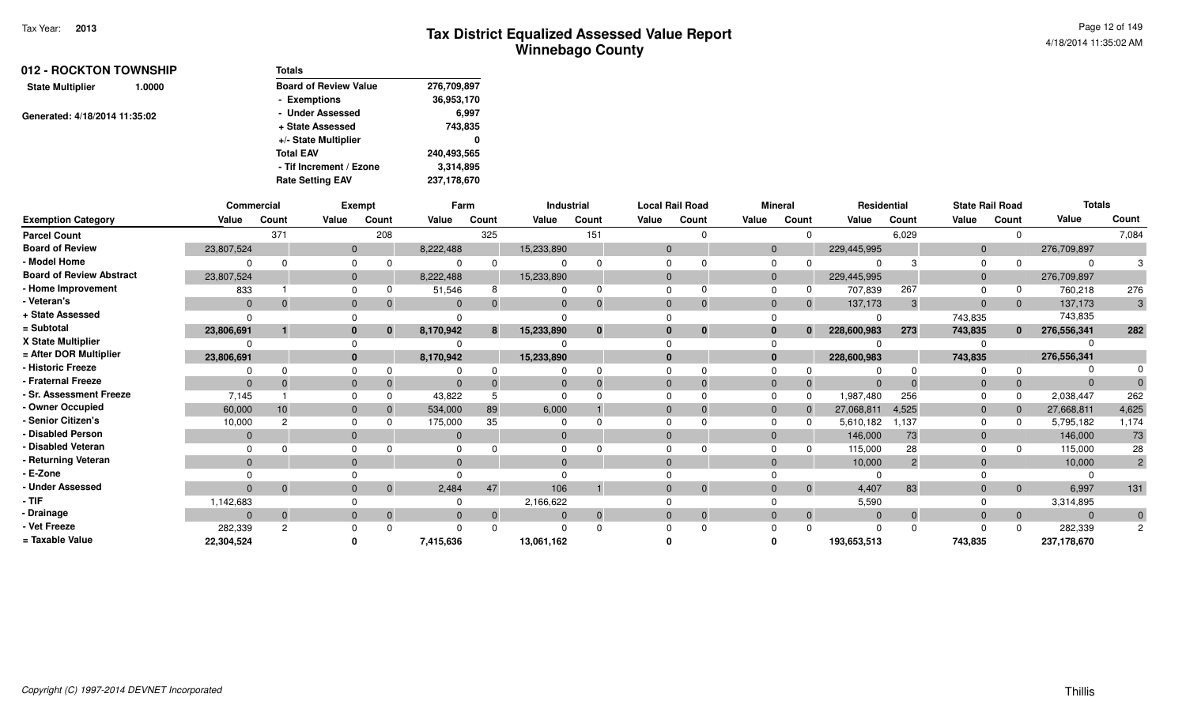| 012 - ROCKTON TOWNSHIP<br>1.0000 | <b>Totals</b>                |             |
|----------------------------------|------------------------------|-------------|
| <b>State Multiplier</b>          | <b>Board of Review Value</b> | 276,709,897 |
|                                  | - Exemptions                 | 36,953,170  |
| Generated: 4/18/2014 11:35:02    | - Under Assessed             | 6.997       |
|                                  | + State Assessed             | 743,835     |
|                                  | +/- State Multiplier         | 0           |
|                                  | <b>Total EAV</b>             | 240,493,565 |
|                                  | - Tif Increment / Ezone      | 3,314,895   |
|                                  | <b>Rate Setting EAV</b>      | 237,178,670 |

|                                 | Commercial   |       |              | <b>Exempt</b> |           | Farm         |            | Industrial  |              | <b>Local Rail Road</b> |                | <b>Mineral</b> | Residential |               | <b>State Rail Road</b> |                | <b>Totals</b> |                |
|---------------------------------|--------------|-------|--------------|---------------|-----------|--------------|------------|-------------|--------------|------------------------|----------------|----------------|-------------|---------------|------------------------|----------------|---------------|----------------|
| <b>Exemption Category</b>       | Value        | Count | Value        | Count         | Value     | Count        | Value      | Count       | Value        | Count                  | Value          | Count          | Value       | Count         | Value                  | Count          | Value         | Count          |
| <b>Parcel Count</b>             |              | 371   |              | 208           |           | 325          |            | 151         |              |                        |                |                |             | 6,029         |                        | $\Omega$       |               | 7,084          |
| <b>Board of Review</b>          | 23,807,524   |       | $\mathbf{0}$ |               | 8,222,488 |              | 15,233,890 |             | $\Omega$     |                        | $\overline{0}$ |                | 229,445,995 |               | $\mathbf 0$            |                | 276,709,897   |                |
| - Model Home                    |              |       | $\Omega$     |               |           | $\Omega$     |            |             | <sup>n</sup> |                        | $\Omega$       |                |             |               | $\Omega$               |                | $\Omega$      |                |
| <b>Board of Review Abstract</b> | 23,807,524   |       | $\Omega$     |               | 8,222,488 |              | 15,233,890 |             | $\Omega$     |                        | $\overline{0}$ |                | 229,445,995 |               | $\Omega$               |                | 276,709,897   |                |
| - Home Improvement              | 833          |       | $\Omega$     |               | 51,546    |              |            |             | $\Omega$     |                        | $\Omega$       |                | 707,839     | 267           |                        |                | 760,218       | 276            |
| - Veteran's                     | $\mathbf{0}$ |       | $\Omega$     |               |           | $\Omega$     |            | $\Omega$    | $\Omega$     |                        |                | $\mathbf{0}$   | 137,173     |               | $\Omega$               | $\overline{0}$ | 137,173       | $3^{\circ}$    |
| + State Assessed                |              |       |              |               |           |              |            |             |              |                        |                |                |             |               | 743,835                |                | 743,835       |                |
| = Subtotal                      | 23,806,691   |       | $\bf{0}$     | 0             | 8,170,942 | 8            | 15,233,890 | $\bf{0}$    | $\bf{0}$     | $\bf{0}$               |                |                | 228,600,983 | 273           | 743,835                | $\mathbf{0}$   | 276,556,341   | 282            |
| X State Multiplier              |              |       |              |               |           |              |            |             |              |                        |                |                |             |               |                        |                |               |                |
| = After DOR Multiplier          | 23,806,691   |       | $\mathbf{0}$ |               | 8,170,942 |              | 15,233,890 |             | $\mathbf{0}$ |                        |                |                | 228,600,983 |               | 743,835                |                | 276,556,341   |                |
| - Historic Freeze               |              |       |              |               |           |              |            |             |              |                        |                |                |             |               |                        |                |               |                |
| - Fraternal Freeze              | $\Omega$     |       | $\Omega$     |               |           | $\Omega$     |            |             | $\Omega$     |                        | $\Omega$       |                | $\Omega$    |               | $\Omega$               | $\mathbf{0}$   | $\Omega$      |                |
| - Sr. Assessment Freeze         | 7,145        |       |              |               | 43,822    |              |            |             |              |                        |                |                | 1,987,480   | 256           |                        |                | 2,038,447     | 262            |
| - Owner Occupied                | 60,000       | 10    | $\Omega$     |               | 534,000   | 89           | 6,000      |             | $\Omega$     |                        |                |                | 27,068,811  | 4,525         | $\mathbf 0$            |                | 27,668,811    | 4,625          |
| - Senior Citizen's              | 10,000       | c     | $\Omega$     |               | 175,000   | 35           |            |             | $\Omega$     |                        | $\Omega$       |                | 5,610,182   | 1,137         | $\Omega$               |                | 5,795,182     | 1,174          |
| - Disabled Person               | $\mathbf{0}$ |       | $\Omega$     |               | $\Omega$  |              |            |             | $\Omega$     |                        | $\Omega$       |                | 146,000     | 73            | $\Omega$               |                | 146,000       | 73             |
| - Disabled Veteran              |              |       | $\Omega$     |               |           |              |            |             |              |                        |                |                | 115,000     | 28            |                        |                | 115,000       | 28             |
| - Returning Veteran             | $\Omega$     |       | $\Omega$     |               |           |              |            |             | $\Omega$     |                        |                |                | 10,000      | $\mathcal{P}$ |                        |                | 10,000        | $2^{\circ}$    |
| - E-Zone                        |              |       |              |               |           |              |            |             |              |                        |                |                |             |               |                        |                |               |                |
| - Under Assessed                | $\Omega$     |       | $\Omega$     | $\mathbf{0}$  | 2,484     | 47           | 106        |             | $\Omega$     | $\Omega$               |                | $\overline{0}$ | 4,407       | 83            | $\mathbf 0$            | $\overline{0}$ | 6,997         | 131            |
| - TIF                           | 1,142,683    |       |              |               |           |              | 2,166,622  |             |              |                        |                |                | 5,590       |               |                        |                | 3,314,895     |                |
| - Drainage                      | $\Omega$     |       | $\Omega$     | $\mathbf{0}$  |           | $\mathbf{0}$ |            | $\mathbf 0$ | $\Omega$     | $\Omega$               | $\Omega$       | $\Omega$       | $\Omega$    |               | $\Omega$               | $\overline{0}$ | $\Omega$      | $\mathbf{0}$   |
| - Vet Freeze                    | 282,339      | 2     |              |               |           | $\Omega$     |            |             |              |                        |                |                | $\Omega$    |               |                        | $\Omega$       | 282,339       | $\overline{2}$ |
| = Taxable Value                 | 22,304,524   |       |              |               | 7,415,636 |              | 13,061,162 |             |              |                        |                |                | 193,653,513 |               | 743,835                |                | 237,178,670   |                |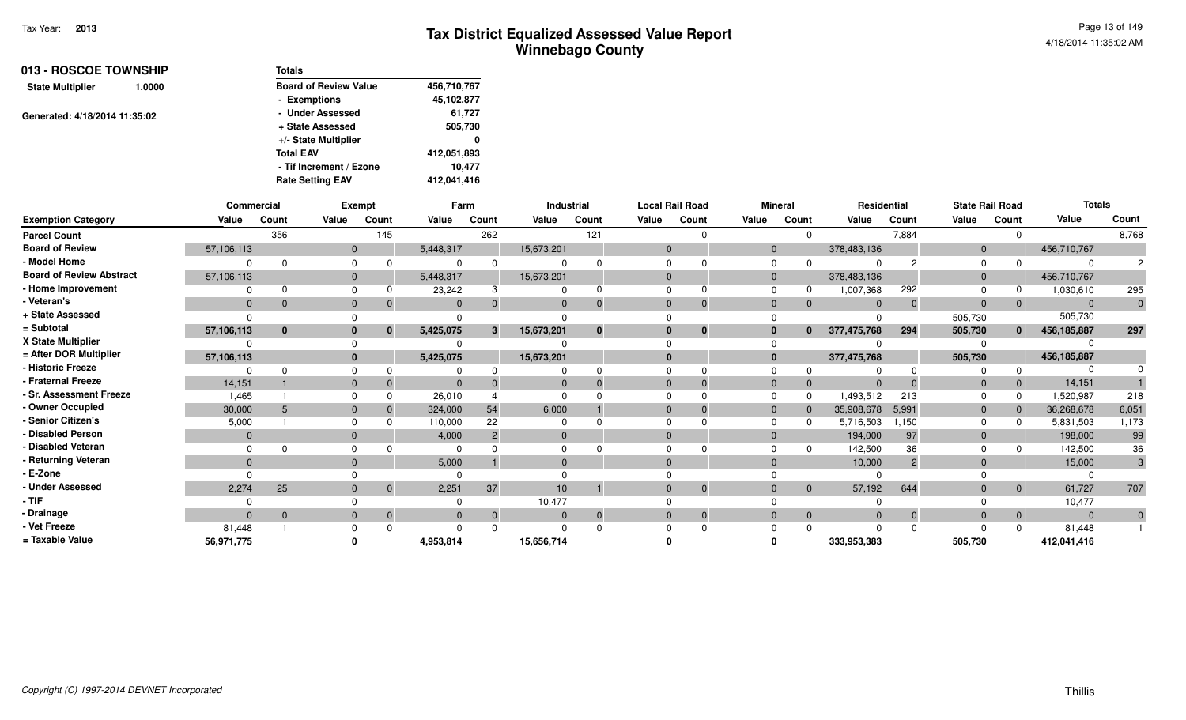| 013 - ROSCOE TOWNSHIP             | <b>Totals</b>                |             |
|-----------------------------------|------------------------------|-------------|
| <b>State Multiplier</b><br>1.0000 | <b>Board of Review Value</b> | 456,710,767 |
|                                   | - Exemptions                 | 45,102,877  |
| Generated: 4/18/2014 11:35:02     | - Under Assessed             | 61,727      |
|                                   | + State Assessed             | 505,730     |
|                                   | +/- State Multiplier         | 0           |
|                                   | <b>Total EAV</b>             | 412,051,893 |
|                                   | - Tif Increment / Ezone      | 10.477      |
|                                   | <b>Rate Setting EAV</b>      | 412,041,416 |

|                                 | Commercial   |          |          | <b>Exempt</b> | Farm      |                |            | Industrial   |          | <b>Local Rail Road</b> |                | <b>Mineral</b> | Residential |       | <b>State Rail Road</b> |                | <b>Totals</b>  |                |
|---------------------------------|--------------|----------|----------|---------------|-----------|----------------|------------|--------------|----------|------------------------|----------------|----------------|-------------|-------|------------------------|----------------|----------------|----------------|
| <b>Exemption Category</b>       | Value        | Count    | Value    | Count         | Value     | Count          | Value      | Count        | Value    | Count                  | Value          | Count          | Value       | Count | Value                  | Count          | Value          | Count          |
| <b>Parcel Count</b>             |              | 356      |          | 145           |           | 262            |            | 121          |          |                        |                |                |             | 7,884 |                        | $\Omega$       |                | 8,768          |
| <b>Board of Review</b>          | 57,106,113   |          | $\Omega$ |               | 5,448,317 |                | 15,673,201 |              | $\Omega$ |                        | $\overline{0}$ |                | 378,483,136 |       | $\mathbf 0$            |                | 456,710,767    |                |
| - Model Home                    |              |          |          |               |           |                |            |              |          |                        | $\Omega$       |                | $\Omega$    |       | $\Omega$               |                | $\Omega$       |                |
| <b>Board of Review Abstract</b> | 57,106,113   |          |          |               | 5,448,317 |                | 15,673,201 |              |          |                        | $\overline{0}$ |                | 378,483,136 |       | $\mathbf{0}$           |                | 456,710,767    |                |
| - Home Improvement              |              |          |          |               | 23,242    |                |            |              |          |                        |                |                | 1,007,368   | 292   |                        |                | 1,030,610      | 295            |
| Veteran's                       | $\Omega$     | $\Omega$ | $\Omega$ | $\Omega$      | $\Omega$  |                |            | $\mathbf{0}$ | $\Omega$ | $\Omega$               | $\Omega$       |                | $\Omega$    |       | $\Omega$               | $\overline{0}$ | $\overline{0}$ | $\overline{0}$ |
| + State Assessed                |              |          |          |               |           |                |            |              |          |                        |                |                | $\Omega$    |       | 505,730                |                | 505,730        |                |
| = Subtotal                      | 57,106,113   | $\bf{0}$ |          | $\bf{0}$      | 5,425,075 | 3              | 15,673,201 | $\bf{0}$     |          | $\bf{0}$               | 0              |                | 377,475,768 | 294   | 505,730                | $\mathbf{0}$   | 456,185,887    | 297            |
| X State Multiplier              |              |          |          |               |           |                |            |              |          |                        | $\Omega$       |                |             |       |                        |                |                |                |
| = After DOR Multiplier          | 57,106,113   |          |          |               | 5,425,075 |                | 15,673,201 |              |          |                        | $\mathbf{0}$   |                | 377,475,768 |       | 505,730                |                | 456,185,887    |                |
| - Historic Freeze               |              | U        |          |               |           |                |            |              |          |                        |                |                | $\Omega$    |       |                        |                |                |                |
| - Fraternal Freeze              | 14,151       |          |          |               | $\Omega$  |                |            |              | $\Omega$ |                        | $\Omega$       |                | $\Omega$    |       | 0                      | $\mathbf{0}$   | 14,151         |                |
| - Sr. Assessment Freeze         | 1,465        |          |          |               | 26,010    |                |            |              |          |                        |                |                | 1,493,512   | 213   |                        |                | 1,520,987      | 218            |
| - Owner Occupied                | 30,000       |          |          |               | 324,000   | 54             | 6,000      |              |          |                        | $\Omega$       |                | 35,908,678  | 5,991 | $\overline{0}$         |                | 36,268,678     | 6,051          |
| - Senior Citizen's              | 5,000        |          |          |               | 110,000   | 22             |            |              |          |                        | $\Omega$       |                | 5,716,503   | 1,150 |                        |                | 5,831,503      | 1,173          |
| - Disabled Person               | $\mathbf{0}$ |          |          |               | 4,000     | 2              | $\Omega$   |              |          |                        | $\Omega$       |                | 194,000     | 97    | $\Omega$               |                | 198,000        | 99             |
| - Disabled Veteran              |              |          |          |               |           |                |            |              |          |                        |                |                | 142,500     | 36    |                        |                | 142,500        | 36             |
| - Returning Veteran             | $\Omega$     |          |          |               | 5,000     |                | $\Omega$   |              | $\Omega$ |                        | $\Omega$       |                | 10,000      | 2     |                        |                | 15,000         | $3^{\circ}$    |
| - E-Zone                        |              |          |          |               |           |                |            |              |          |                        |                |                |             |       |                        |                |                |                |
| - Under Assessed                | 2,274        | 25       |          | $\Omega$      | 2,251     | 37             | 10         |              |          | $\Omega$               | $\Omega$       | $\mathbf{0}$   | 57,192      | 644   | $\Omega$               | $\overline{0}$ | 61,727         | 707            |
| - TIF                           |              |          |          |               |           |                | 10,477     |              |          |                        |                |                |             |       |                        |                | 10,477         |                |
| - Drainage                      | $\Omega$     | $\Omega$ |          | $\Omega$      | $\Omega$  | $\overline{0}$ | $\Omega$   | $\mathbf 0$  |          | $\Omega$               | $\Omega$       |                | $\Omega$    |       | $\Omega$               | $\overline{0}$ | $\Omega$       | $\mathbf{0}$   |
| - Vet Freeze                    | 81,448       |          |          |               |           |                |            |              |          | $\Omega$               |                |                | $\Omega$    |       |                        | $\Omega$       | 81,448         |                |
| = Taxable Value                 | 56,971,775   |          |          |               | 4,953,814 |                | 15,656,714 |              |          |                        |                |                | 333,953,383 |       | 505,730                |                | 412,041,416    |                |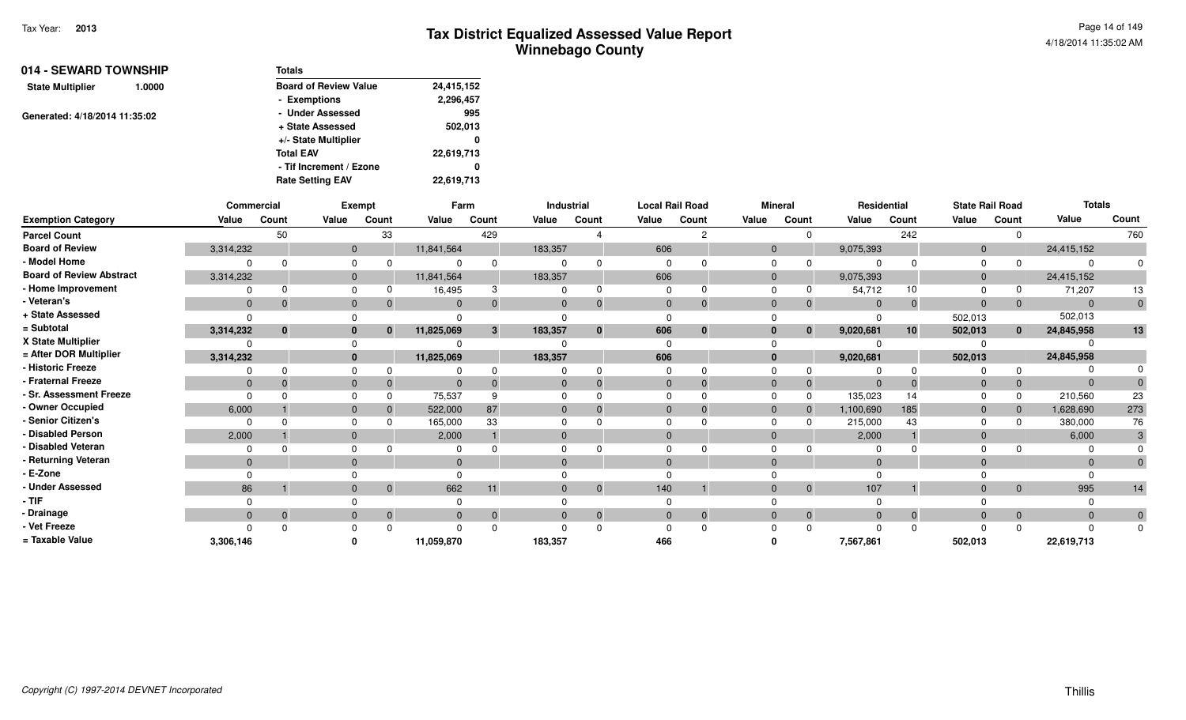| 014 - SEWARD TOWNSHIP             | <b>Totals</b>                |            |
|-----------------------------------|------------------------------|------------|
| <b>State Multiplier</b><br>1.0000 | <b>Board of Review Value</b> | 24,415,152 |
|                                   | - Exemptions                 | 2,296,457  |
| Generated: 4/18/2014 11:35:02     | - Under Assessed             | 995        |
|                                   | + State Assessed             | 502,013    |
|                                   | +/- State Multiplier         | 0          |
|                                   | <b>Total EAV</b>             | 22,619,713 |
|                                   | - Tif Increment / Ezone      | 0          |
|                                   | <b>Rate Setting EAV</b>      | 22,619,713 |

|                                 | <b>Commercial</b> |          |              | <b>Exempt</b>  | Farm       |              |          | Industrial  |                | <b>Local Rail Road</b> |                | <b>Mineral</b> | Residential  |                 | <b>State Rail Road</b> |                | <b>Totals</b> |              |
|---------------------------------|-------------------|----------|--------------|----------------|------------|--------------|----------|-------------|----------------|------------------------|----------------|----------------|--------------|-----------------|------------------------|----------------|---------------|--------------|
| <b>Exemption Category</b>       | Value             | Count    | Value        | Count          | Value      | Count        | Value    | Count       | Value          | Count                  | Value          | Count          | Value        | Count           | Value                  | Count          | Value         | Count        |
| <b>Parcel Count</b>             |                   | 50       |              | 33             |            | 429          |          |             |                | ົ                      |                |                |              | 242             |                        | <sup>n</sup>   |               | 760          |
| <b>Board of Review</b>          | 3,314,232         |          | $\mathbf{0}$ |                | 11,841,564 |              | 183,357  |             | 606            |                        | $\overline{0}$ |                | 9,075,393    |                 | $\mathbf{0}$           |                | 24,415,152    |              |
| - Model Home                    |                   |          |              |                |            |              |          |             |                |                        |                |                | $\Omega$     |                 |                        |                | $\Omega$      |              |
| <b>Board of Review Abstract</b> | 3,314,232         |          |              |                | 11,841,564 |              | 183,357  |             | 606            |                        | $\overline{0}$ |                | 9,075,393    |                 | $\mathbf{0}$           |                | 24,415,152    |              |
| - Home Improvement              |                   |          |              |                | 16,495     |              |          |             |                |                        |                |                | 54,712       |                 |                        |                | 71,207        |              |
| - Veteran's                     | $\mathbf{0}$      |          |              | $\overline{0}$ | $\Omega$   |              | $\Omega$ | $\Omega$    | $\Omega$       | $\Omega$               | $\Omega$       |                | $\Omega$     |                 | $\Omega$               | $\mathbf{0}$   | $\mathbf{0}$  | $\mathbf{0}$ |
| + State Assessed                | <sup>n</sup>      |          |              |                |            |              |          |             |                |                        |                |                | $\Omega$     |                 | 502,013                |                | 502,013       |              |
| = Subtotal                      | 3,314,232         | $\bf{0}$ |              | $\bf{0}$       | 11,825,069 | $\mathbf{3}$ | 183,357  | $\bf{0}$    | 606            | $\bf{0}$               |                |                | 9,020,681    | 10 <sup>1</sup> | 502,013                | $\mathbf{0}$   | 24,845,958    | 13           |
| X State Multiplier              |                   |          |              |                |            |              |          |             |                |                        |                |                |              |                 |                        |                |               |              |
| = After DOR Multiplier          | 3,314,232         |          |              |                | 11,825,069 |              | 183,357  |             | 606            |                        | $\mathbf{0}$   |                | 9,020,681    |                 | 502,013                |                | 24,845,958    |              |
| - Historic Freeze               |                   |          |              |                |            |              |          |             |                |                        |                |                | $\Omega$     |                 |                        |                |               |              |
| - Fraternal Freeze              | $\mathbf{0}$      |          |              | $\Omega$       | $\Omega$   |              | $\Omega$ |             | $\Omega$       | $\Omega$               | $\Omega$       |                | $\mathbf{0}$ |                 |                        | $\mathbf{0}$   | $\Omega$      |              |
| - Sr. Assessment Freeze         | $\Omega$          |          |              | <sup>0</sup>   | 75,537     |              |          |             |                |                        |                |                | 135,023      | 14              |                        | $\Omega$       | 210,560       | 23           |
| - Owner Occupied                | 6,000             |          |              | $\mathbf 0$    | 522,000    | 87           |          |             |                |                        | $\Omega$       |                | 1,100,690    | 185             | 0                      | $\Omega$       | 1,628,690     | 273          |
| - Senior Citizen's              |                   |          |              |                | 165,000    | 33           |          |             |                |                        |                |                | 215,000      | 43              |                        |                | 380,000       | 76           |
| - Disabled Person               | 2,000             |          |              |                | 2,000      |              | $\Omega$ |             |                |                        | $\Omega$       |                | 2,000        |                 |                        |                | 6,000         | 3            |
| - Disabled Veteran              | $\Omega$          |          |              |                |            |              |          |             |                |                        |                |                | $\Omega$     |                 |                        |                |               |              |
| - Returning Veteran             | $\Omega$          |          |              |                | $\Omega$   |              | $\Omega$ |             |                |                        | $\Omega$       |                | $\Omega$     |                 |                        |                | $\Omega$      |              |
| - E-Zone                        |                   |          |              |                |            |              |          |             |                |                        |                |                | $\Omega$     |                 |                        |                |               |              |
| - Under Assessed                | 86                |          |              | $\Omega$       | 662        | 11           | $\Omega$ | $\Omega$    | 140            |                        | $\Omega$       | $\overline{0}$ | 107          |                 |                        | $\overline{0}$ | 995           | 14           |
| - TIF                           |                   |          |              |                |            |              |          |             |                |                        |                |                | $\Omega$     |                 |                        |                | $\Omega$      |              |
| · Drainage                      | $\mathbf{0}$      | $\Omega$ |              | $\overline{0}$ | $\Omega$   | $\mathbf 0$  | $\Omega$ | $\mathbf 0$ | $\overline{0}$ | $\mathbf{0}$           | $\Omega$       | $\overline{0}$ | $\Omega$     |                 | $\Omega$               | $\overline{0}$ | $\Omega$      | $\mathbf{0}$ |
| - Vet Freeze                    |                   |          |              |                |            |              |          |             |                |                        |                |                | $\Omega$     |                 |                        |                | $\Omega$      | $\mathbf{0}$ |
| = Taxable Value                 | 3,306,146         |          |              |                | 11,059,870 |              | 183,357  |             | 466            |                        |                |                | 7,567,861    |                 | 502,013                |                | 22,619,713    |              |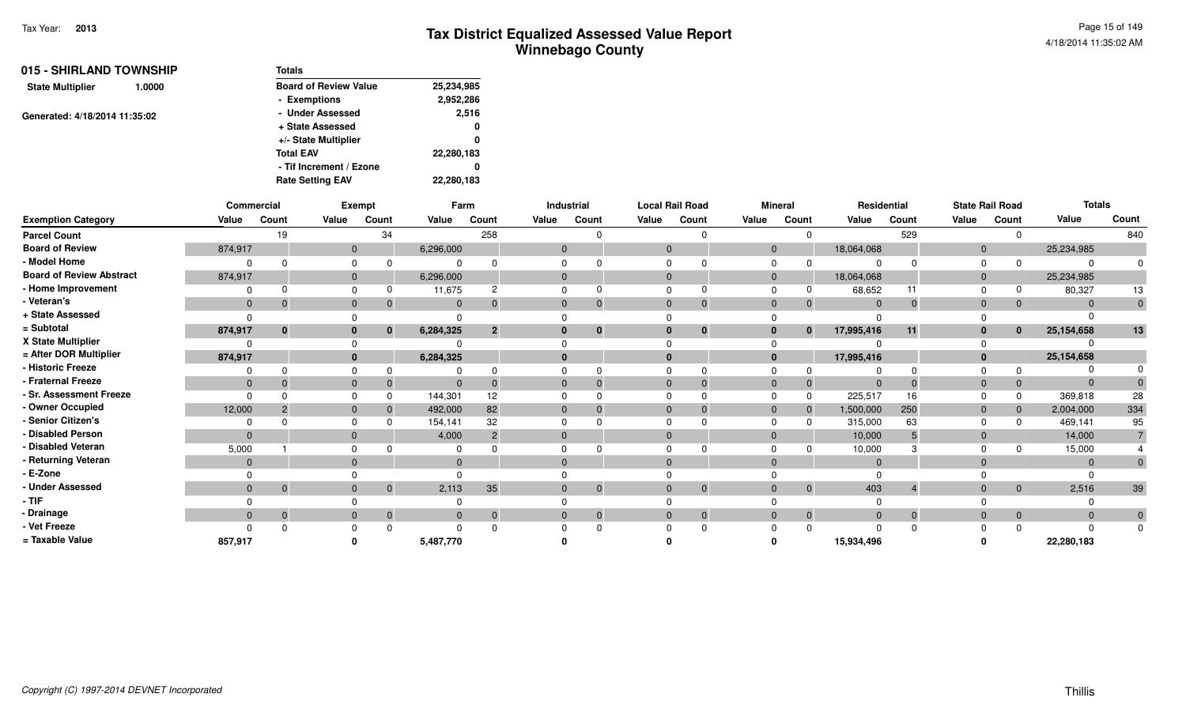| <b>Totals</b>                |            |  |  |  |
|------------------------------|------------|--|--|--|
| <b>Board of Review Value</b> | 25,234,985 |  |  |  |
| - Exemptions                 | 2,952,286  |  |  |  |
| - Under Assessed             | 2,516      |  |  |  |
| + State Assessed             | 0          |  |  |  |
| +/- State Multiplier         | 0          |  |  |  |
| <b>Total EAV</b>             | 22,280,183 |  |  |  |
| - Tif Increment / Ezone      | 0          |  |  |  |
| <b>Rate Setting EAV</b>      | 22,280,183 |  |  |  |
|                              |            |  |  |  |

|                                 | Commercial     |                |              | Exempt       |           | Farm           |              | Industrial  | <b>Local Rail Road</b> |          |              | <b>Mineral</b> | Residential  |              |              | <b>State Rail Road</b> | <b>Totals</b> |                |
|---------------------------------|----------------|----------------|--------------|--------------|-----------|----------------|--------------|-------------|------------------------|----------|--------------|----------------|--------------|--------------|--------------|------------------------|---------------|----------------|
| <b>Exemption Category</b>       | Value          | Count          | Value        | Count        | Value     | Count          | Value        | Count       | Value                  | Count    | Value        | Count          | Value        | Count        | Value        | Count                  | Value         | Count          |
| <b>Parcel Count</b>             |                | 19             |              | 34           |           | 258            |              |             |                        | $\Omega$ |              | $\Omega$       |              | 529          |              | $\Omega$               |               | 840            |
| <b>Board of Review</b>          | 874,917        |                | $\mathbf{0}$ |              | 6,296,000 |                | $\mathbf{0}$ |             | $\overline{0}$         |          | $\mathbf{0}$ |                | 18,064,068   |              | $\mathbf{0}$ |                        | 25,234,985    |                |
| - Model Home                    | 0              |                |              |              |           | ŋ              |              |             |                        |          | $\Omega$     |                |              |              |              |                        |               |                |
| <b>Board of Review Abstract</b> | 874,917        |                | $\mathbf{0}$ |              | 6,296,000 |                | $\mathbf{0}$ |             |                        |          | $\mathbf 0$  |                | 18,064,068   |              | $\mathbf{0}$ |                        | 25,234,985    |                |
| - Home Improvement              | 0              |                |              |              | 11,675    | 2              |              |             |                        |          | $\Omega$     |                | 68,652       | 11           | $\Omega$     |                        | 80,327        | 13             |
| - Veteran's                     | $\mathbf{0}$   | $\mathbf 0$    | $\mathbf{0}$ |              | $\Omega$  | $\overline{0}$ | $\mathbf{0}$ |             |                        | $\Omega$ | $\mathbf{0}$ | $\mathbf{0}$   | $\Omega$     | $\mathbf 0$  | $\mathbf{0}$ | $\mathbf{0}$           |               |                |
| + State Assessed                | $\Omega$       |                |              |              |           |                |              |             |                        |          |              |                |              |              |              |                        |               |                |
| = Subtotal                      | 874,917        | $\mathbf{0}$   |              | $\bf{0}$     | 6,284,325 | 2 <sup>1</sup> | $\bf{0}$     | $\bf{0}$    |                        | $\bf{0}$ |              | $\mathbf{0}$   | 17,995,416   | 11           |              | $\bf{0}$               | 25, 154, 658  | 13             |
| X State Multiplier              |                |                |              |              |           |                |              |             |                        |          |              |                |              |              |              |                        |               |                |
| = After DOR Multiplier          | 874,917        |                | $\bf{0}$     |              | 6,284,325 |                | $\bf{0}$     |             |                        |          |              |                | 17,995,416   |              |              |                        | 25, 154, 658  |                |
| - Historic Freeze               | $\Omega$       |                |              |              |           |                |              |             |                        |          |              |                |              |              |              |                        |               |                |
| - Fraternal Freeze              | $\mathbf{0}$   |                | $\mathbf{0}$ |              | $\Omega$  | $\mathbf{0}$   | $\Omega$     |             |                        |          |              | $\mathbf{0}$   | $\Omega$     |              | $\Omega$     | $\overline{0}$         |               |                |
| - Sr. Assessment Freeze         | $\Omega$       |                |              |              | 144,301   | 12             |              |             |                        |          |              | 0              | 225,517      | 16           |              | $\Omega$               | 369,818       | 28             |
| - Owner Occupied                | 12,000         | $\overline{2}$ | $\mathbf{0}$ |              | 492,000   | 82             | $\mathbf{0}$ |             |                        |          |              | $\mathbf{0}$   | 1,500,000    | 250          |              | $\mathbf{0}$           | 2,004,000     | 334            |
| - Senior Citizen's              | $\Omega$       |                |              |              | 154,141   | 32             |              |             |                        |          | $\Omega$     | 0              | 315,000      | 63           | $\Omega$     | $\Omega$               | 469,141       | 95             |
| - Disabled Person               | $\overline{0}$ |                | $\mathbf{0}$ |              | 4,000     | $\overline{2}$ | $\Omega$     |             |                        |          | $\mathbf{0}$ |                | 10,000       | 5            | $\Omega$     |                        | 14,000        |                |
| - Disabled Veteran              | 5,000          |                |              |              |           |                |              |             |                        |          |              |                | 10,000       |              |              |                        | 15,000        |                |
| - Returning Veteran             | $\Omega$       |                | $\Omega$     |              | $\Omega$  |                | $\Omega$     |             |                        |          | $\Omega$     |                |              |              | $\Omega$     |                        |               |                |
| - E-Zone                        |                |                |              |              |           |                |              |             |                        |          |              |                |              |              |              |                        |               |                |
| - Under Assessed                | $\mathbf{0}$   | $\mathbf{0}$   | $\mathbf{0}$ | $\mathbf{0}$ | 2,113     | 35             | $\Omega$     | $\Omega$    |                        | $\Omega$ |              | $\overline{0}$ | 403          |              |              | $\overline{0}$         | 2,516         | $39\,$         |
| - TIF                           |                |                |              |              |           |                |              |             |                        |          |              |                |              |              |              |                        |               |                |
| - Drainage                      | $\mathbf{0}$   | $\mathbf{0}$   | $\Omega$     |              | $\Omega$  | $\mathbf 0$    | $\mathbf{0}$ | $\mathbf 0$ |                        | $\Omega$ | $\Omega$     | $\overline{0}$ | $\mathbf{0}$ | $\mathbf{0}$ | $\Omega$     | $\overline{0}$         |               | $\overline{0}$ |
| - Vet Freeze                    |                |                |              |              |           |                |              |             |                        | $\Omega$ |              |                |              |              |              |                        |               |                |
| = Taxable Value                 | 857,917        |                |              |              | 5,487,770 |                |              |             |                        |          |              |                | 15,934,496   |              |              |                        | 22,280,183    |                |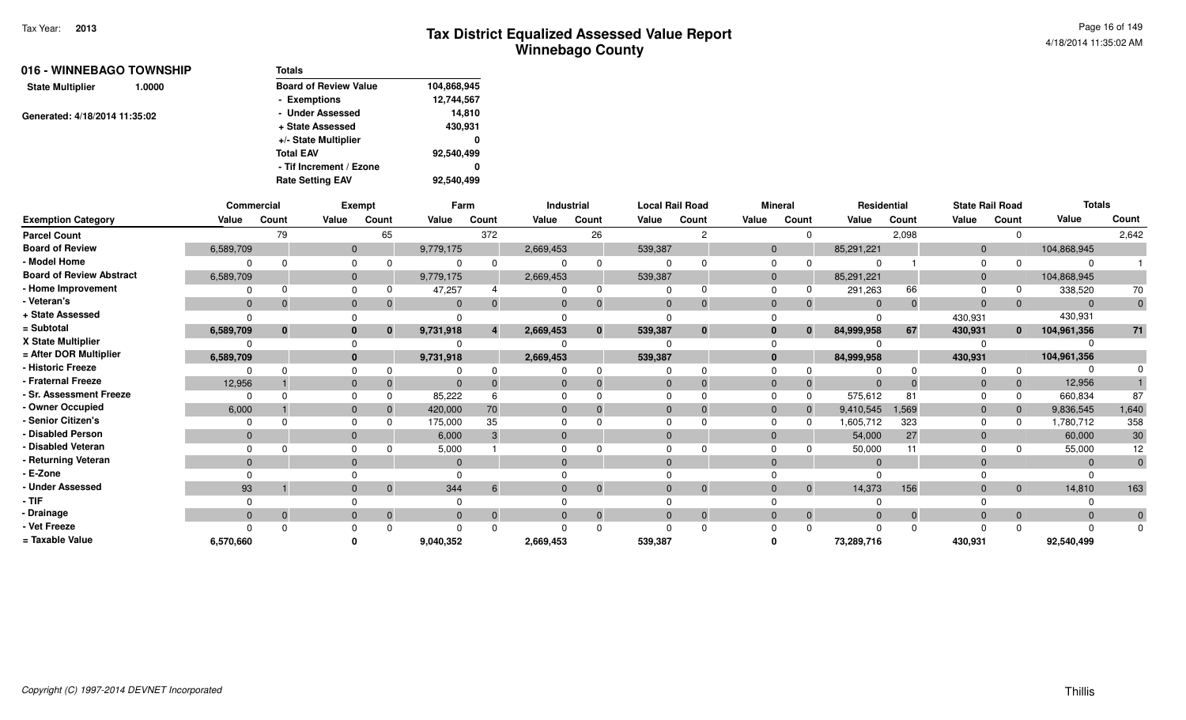| 016 - WINNEBAGO TOWNSHIP          | <b>Totals</b>                |             |
|-----------------------------------|------------------------------|-------------|
| <b>State Multiplier</b><br>1.0000 | <b>Board of Review Value</b> | 104,868,945 |
|                                   | - Exemptions                 | 12,744,567  |
| Generated: 4/18/2014 11:35:02     | - Under Assessed             | 14.810      |
|                                   | + State Assessed             | 430,931     |
|                                   | +/- State Multiplier         | 0           |
|                                   | <b>Total EAV</b>             | 92,540,499  |
|                                   | - Tif Increment / Ezone      | 0           |
|                                   | <b>Rate Setting EAV</b>      | 92,540,499  |

|                                 | <b>Commercial</b> |          |              | <b>Exempt</b> | Farm           |                  |           | <b>Industrial</b> |          | <b>Local Rail Road</b> |                | <b>Mineral</b> | Residential |          | <b>State Rail Road</b> |                | <b>Totals</b>  |                 |
|---------------------------------|-------------------|----------|--------------|---------------|----------------|------------------|-----------|-------------------|----------|------------------------|----------------|----------------|-------------|----------|------------------------|----------------|----------------|-----------------|
| <b>Exemption Category</b>       | Value             | Count    | Value        | Count         | Value          | Count            | Value     | Count             | Value    | Count                  | Value          | Count          | Value       | Count    | Value                  | Count          | Value          | Count           |
| <b>Parcel Count</b>             |                   | 79       |              | 65            |                | 372              |           | 26                |          |                        |                |                |             | 2,098    |                        |                |                | 2,642           |
| <b>Board of Review</b>          | 6,589,709         |          | $\mathbf 0$  |               | 9,779,175      |                  | 2,669,453 |                   | 539,387  |                        | $\Omega$       |                | 85,291,221  |          | $\boldsymbol{0}$       |                | 104,868,945    |                 |
| - Model Home                    | $\Omega$          |          |              |               |                | $\Omega$         |           |                   |          |                        | $\Omega$       |                |             |          | $\Omega$               |                |                |                 |
| <b>Board of Review Abstract</b> | 6,589,709         |          | $\mathbf 0$  |               | 9,779,175      |                  | 2,669,453 |                   | 539,387  |                        | $\overline{0}$ |                | 85,291,221  |          | $\mathbf 0$            |                | 104,868,945    |                 |
| - Home Improvement              | $\Omega$          |          | $\Omega$     |               | 47,257         |                  |           |                   |          |                        | $\Omega$       |                | 291,263     | 66       |                        |                | 338,520        | 70              |
| - Veteran's                     | $\mathbf{0}$      |          | $\mathbf 0$  | $\Omega$      | $\overline{0}$ | $\Omega$         |           | $\Omega$          | $\Omega$ |                        | $\Omega$       | $\Omega$       | $\Omega$    | $\Omega$ | $\Omega$               | $\overline{0}$ | $\overline{0}$ | $\overline{0}$  |
| + State Assessed                | $\Omega$          |          |              |               |                |                  |           |                   |          |                        |                |                |             |          | 430,931                |                | 430,931        |                 |
| = Subtotal                      | 6,589,709         | $\bf{0}$ | $\bf{0}$     | $\bf{0}$      | 9,731,918      | $\boldsymbol{4}$ | 2,669,453 | $\bf{0}$          | 539,387  | 0                      |                | $\Omega$       | 84,999,958  | 67       | 430,931                | $\mathbf{0}$   | 104,961,356    | 71              |
| X State Multiplier              |                   |          |              |               |                |                  |           |                   |          |                        |                |                |             |          |                        |                |                |                 |
| = After DOR Multiplier          | 6,589,709         |          | $\mathbf{0}$ |               | 9,731,918      |                  | 2,669,453 |                   | 539,387  |                        |                |                | 84,999,958  |          | 430,931                |                | 104,961,356    |                 |
| - Historic Freeze               | 0                 |          |              |               |                | $\Omega$         |           | $\Omega$          |          |                        |                |                |             |          |                        | $\Omega$       |                |                 |
| - Fraternal Freeze              | 12,956            |          | $\Omega$     |               |                |                  |           |                   | $\Omega$ |                        |                |                | $\Omega$    |          |                        | $\overline{0}$ | 12,956         |                 |
| - Sr. Assessment Freeze         | $\Omega$          |          |              |               | 85,222         |                  |           |                   |          |                        |                |                | 575,612     | 81       |                        | $\Omega$       | 660,834        | 87              |
| - Owner Occupied                | 6,000             |          | $\Omega$     |               | 420,000        | 70               |           |                   | $\Omega$ |                        | $\Omega$       | $\Omega$       | 9,410,545   | 1,569    | $\mathbf{0}$           | $\Omega$       | 9,836,545      | 1,640           |
| - Senior Citizen's              | 0                 |          | $\Omega$     |               | 175,000        | 35               |           |                   | $\Omega$ |                        |                |                | 1,605,712   | 323      | $\Omega$               |                | 1,780,712      | 358             |
| - Disabled Person               | $\mathbf{0}$      |          | $\mathbf{0}$ |               | 6,000          | 3                |           |                   | $\Omega$ |                        | $\Omega$       |                | 54,000      | 27       | $\mathbf 0$            |                | 60,000         | 30 <sup>°</sup> |
| - Disabled Veteran              | $\Omega$          |          | $\Omega$     |               | 5,000          |                  |           |                   |          |                        |                |                | 50,000      |          |                        |                | 55,000         | 12              |
| - Returning Veteran             | $\Omega$          |          | $\Omega$     |               |                |                  | $\Omega$  |                   | $\Omega$ |                        |                |                | $\Omega$    |          |                        |                | $\Omega$       | $\overline{0}$  |
| - E-Zone                        |                   |          |              |               |                |                  |           |                   |          |                        |                |                |             |          |                        |                |                |                 |
| - Under Assessed                | 93                |          | $\mathbf{0}$ | $\mathbf 0$   | 344            | 6                |           | $\overline{0}$    | $\Omega$ | $\Omega$               |                | $\Omega$       | 14,373      | 156      | $\Omega$               | $\overline{0}$ | 14,810         | 163             |
| $-$ TIF                         |                   |          |              |               |                |                  |           |                   |          |                        |                |                |             |          |                        |                |                |                 |
| - Drainage                      | $\mathbf{0}$      | $\Omega$ | $\mathbf{0}$ | $\mathbf 0$   | $\mathbf{0}$   | $\overline{0}$   |           | $\overline{0}$    | $\Omega$ | $\Omega$               | $\Omega$       | $\mathbf{0}$   | $\Omega$    |          | $\Omega$               | $\overline{0}$ | $\Omega$       | $\overline{0}$  |
| - Vet Freeze                    |                   |          |              |               |                | $\Omega$         |           |                   |          |                        |                |                |             |          |                        |                |                | $\mathbf 0$     |
| = Taxable Value                 | 6,570,660         |          |              |               | 9,040,352      |                  | 2,669,453 |                   | 539,387  |                        |                |                | 73,289,716  |          | 430,931                |                | 92,540,499     |                 |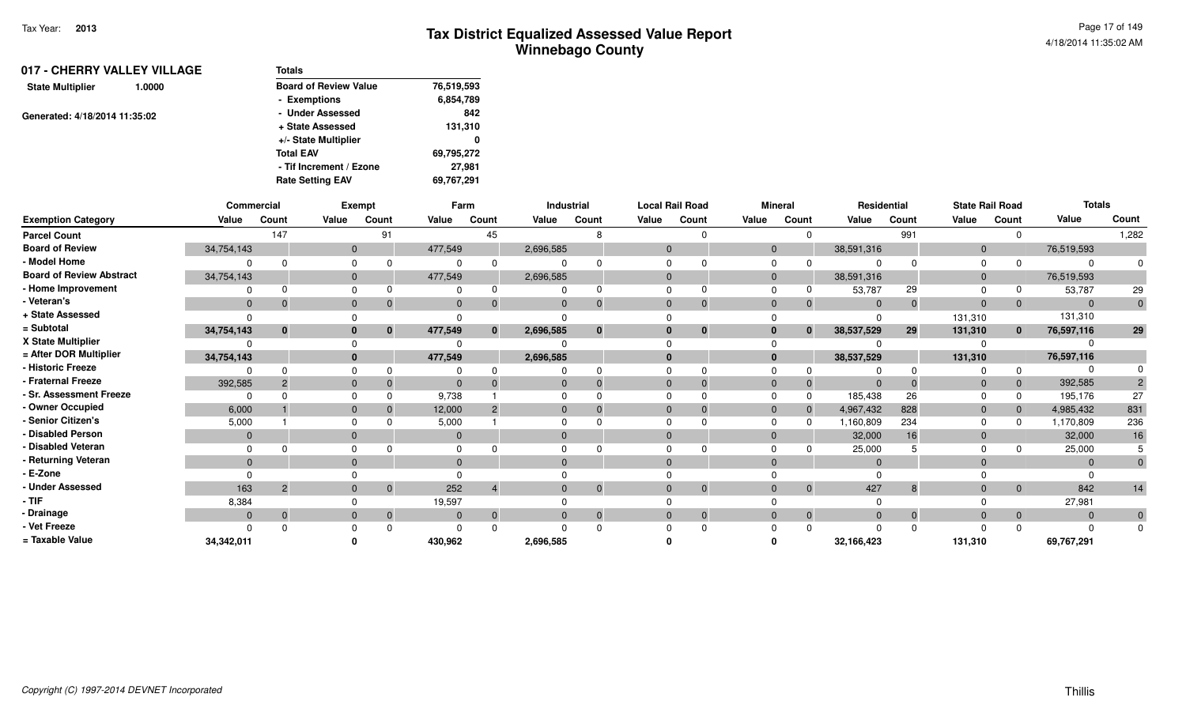| 017 - CHERRY VALLEY VILLAGE<br>1.0000 | Totals                       |            |  |  |  |  |  |  |  |
|---------------------------------------|------------------------------|------------|--|--|--|--|--|--|--|
| <b>State Multiplier</b>               | <b>Board of Review Value</b> | 76,519,593 |  |  |  |  |  |  |  |
|                                       | - Exemptions                 | 6,854,789  |  |  |  |  |  |  |  |
| Generated: 4/18/2014 11:35:02         | - Under Assessed             | 842        |  |  |  |  |  |  |  |
|                                       | + State Assessed             | 131,310    |  |  |  |  |  |  |  |
|                                       | +/- State Multiplier         | 0          |  |  |  |  |  |  |  |
|                                       | <b>Total EAV</b>             | 69,795,272 |  |  |  |  |  |  |  |
|                                       | - Tif Increment / Ezone      | 27.981     |  |  |  |  |  |  |  |
|                                       | <b>Rate Setting EAV</b>      | 69,767,291 |  |  |  |  |  |  |  |

|                                 | Commercial   |                |              | Exempt         |              | Farm           |           | Industrial     | <b>Local Rail Road</b> |              |                | <b>Mineral</b> |            | Residential | <b>State Rail Road</b> |                | <b>Totals</b>  |                |
|---------------------------------|--------------|----------------|--------------|----------------|--------------|----------------|-----------|----------------|------------------------|--------------|----------------|----------------|------------|-------------|------------------------|----------------|----------------|----------------|
| <b>Exemption Category</b>       | Value        | Count          | Value        | Count          | Value        | Count          | Value     | Count          | Value                  | Count        | Value          | Count          | Value      | Count       | Value                  | Count          | Value          | Count          |
| <b>Parcel Count</b>             |              | 147            |              | 91             |              | 45             |           |                |                        |              |                |                |            | 991         |                        | $\Omega$       |                | 1,282          |
| <b>Board of Review</b>          | 34,754,143   |                | $\mathbf{0}$ |                | 477,549      |                | 2,696,585 |                | $\Omega$               |              | $\Omega$       |                | 38,591,316 |             | $\mathbf{0}$           |                | 76,519,593     |                |
| - Model Home                    |              | $\Omega$       |              |                |              |                |           |                |                        |              |                |                |            |             | $\Omega$               |                |                |                |
| <b>Board of Review Abstract</b> | 34,754,143   |                | $\mathbf{0}$ |                | 477,549      |                | 2,696,585 |                | $\Omega$               |              | $\overline{0}$ |                | 38,591,316 |             | $\mathbf{0}$           |                | 76,519,593     |                |
| - Home Improvement              |              | <sup>0</sup>   |              |                |              |                |           |                | $\Omega$               |              |                |                | 53,787     | 29          | $\Omega$               |                | 53,787         | 29             |
| - Veteran's                     | $\mathbf 0$  | $\mathbf{0}$   | $\mathbf 0$  |                | $\Omega$     |                | $\Omega$  |                | $\Omega$               | 0            | $\Omega$       | $\overline{0}$ | $\Omega$   |             | $\Omega$               | $\overline{0}$ | $\overline{0}$ | $\overline{0}$ |
| + State Assessed                |              |                |              |                |              |                |           |                |                        |              |                |                |            |             | 131,310                |                | 131,310        |                |
| = Subtotal                      | 34,754,143   | $\mathbf{0}$   |              | $\bf{0}$       | 477,549      | $\mathbf{0}$   | 2,696,585 | $\mathbf{0}$   | $\mathbf{0}$           | $\bf{0}$     |                | $\bf{0}$       | 38,537,529 | 29          | 131,310                | $\mathbf{0}$   | 76,597,116     | 29             |
| X State Multiplier              |              |                |              |                |              |                |           |                |                        |              |                |                |            |             |                        |                |                |                |
| = After DOR Multiplier          | 34,754,143   |                |              |                | 477,549      |                | 2,696,585 |                |                        |              |                |                | 38,537,529 |             | 131,310                |                | 76,597,116     |                |
| - Historic Freeze               |              | $\Omega$       |              |                |              |                |           |                |                        |              |                |                |            |             |                        | $\Omega$       | $\Omega$       |                |
| - Fraternal Freeze              | 392,585      |                | $\mathbf 0$  |                | $\Omega$     |                | $\Omega$  |                | $\Omega$               |              |                | $\mathbf{0}$   | $\Omega$   |             | $\Omega$               | $\overline{0}$ | 392,585        |                |
| - Sr. Assessment Freeze         |              |                |              |                | 9,738        |                |           |                |                        |              |                | $\Omega$       | 185,438    | 26          |                        |                | 195,176        | 27             |
| - Owner Occupied                | 6,000        |                | $\Omega$     |                | 12,000       |                |           |                |                        |              |                | $\Omega$       | 4,967,432  | 828         | $\Omega$               | $\Omega$       | 4,985,432      | 831            |
| - Senior Citizen's              | 5,000        |                |              |                | 5,000        |                |           |                |                        |              |                |                | 1,160,809  | 234         | 0                      |                | 1,170,809      | 236            |
| - Disabled Person               | $\mathbf{0}$ |                | $\mathbf{0}$ |                | $\mathbf{0}$ |                | $\Omega$  |                | $\Omega$               |              | $\Omega$       |                | 32,000     | 16          | $\mathbf 0$            |                | 32,000         | 16             |
| - Disabled Veteran              |              |                |              |                |              |                |           |                | $\Omega$               |              |                |                | 25,000     |             |                        |                | 25,000         |                |
| - Returning Veteran             | $\Omega$     |                | $\Omega$     |                | $\Omega$     |                | $\Omega$  |                | $\Omega$               |              |                |                | $\Omega$   |             |                        |                | $\Omega$       |                |
| - E-Zone                        |              |                |              |                |              |                |           |                |                        |              |                |                |            |             |                        |                |                |                |
| - Under Assessed                | 163          | $\overline{2}$ | $\mathbf{0}$ | $\overline{0}$ | 252          | $\overline{a}$ | $\Omega$  | $\overline{0}$ | $\mathbf{0}$           | $\mathbf{0}$ |                | $\overline{0}$ | 427        | 8           | $\Omega$               | $\overline{0}$ | 842            | 14             |
| $-$ TIF                         | 8,384        |                |              |                | 19,597       |                |           |                |                        |              |                |                |            |             |                        |                | 27,981         |                |
| - Drainage                      | $\mathbf 0$  | $\mathbf{0}$   | $\Omega$     |                | $\Omega$     | $\Omega$       | $\Omega$  | $\overline{0}$ | $\Omega$               | $\mathbf 0$  | $\Omega$       | $\mathbf{0}$   | $\Omega$   |             | $\Omega$               | $\overline{0}$ | $\Omega$       | $\mathbf{0}$   |
| - Vet Freeze                    |              | $\Omega$       |              |                |              |                |           |                |                        |              |                |                |            |             |                        | $\Omega$       | $\Omega$       | $\Omega$       |
| = Taxable Value                 | 34,342,011   |                |              |                | 430,962      |                | 2,696,585 |                |                        |              |                |                | 32,166,423 |             | 131,310                |                | 69,767,291     |                |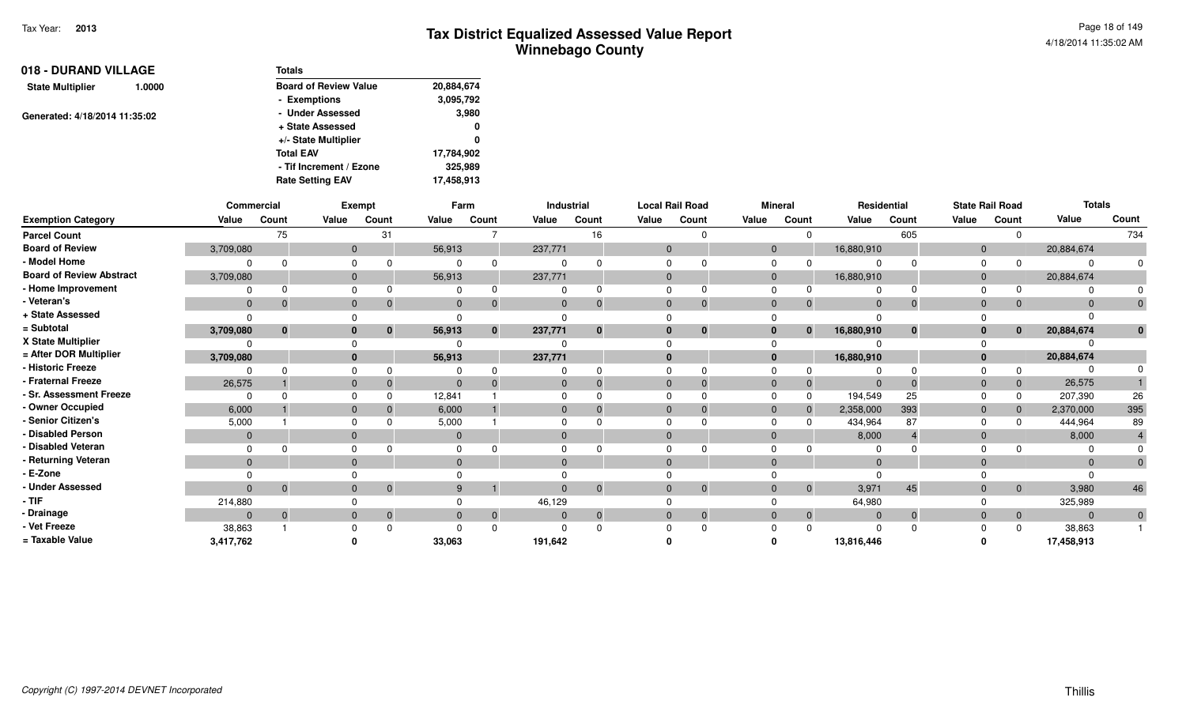| 018 - DURAND VILLAGE          |        | <b>Totals</b>                |            |
|-------------------------------|--------|------------------------------|------------|
| <b>State Multiplier</b>       | 1.0000 | <b>Board of Review Value</b> | 20,884,674 |
|                               |        | - Exemptions                 | 3,095,792  |
| Generated: 4/18/2014 11:35:02 |        | - Under Assessed             | 3,980      |
|                               |        | + State Assessed             | 0          |
|                               |        | +/- State Multiplier         | 0          |
|                               |        | <b>Total EAV</b>             | 17,784,902 |
|                               |        | - Tif Increment / Ezone      | 325,989    |
|                               |        | <b>Rate Setting EAV</b>      | 17,458,913 |

|                                 | Commercial     |          |          | <b>Exempt</b> |                    | Farm                             |         | Industrial     | <b>Local Rail Road</b> |          |                | <b>Mineral</b> | Residential    |              |             | <b>State Rail Road</b> | <b>Totals</b>  |              |
|---------------------------------|----------------|----------|----------|---------------|--------------------|----------------------------------|---------|----------------|------------------------|----------|----------------|----------------|----------------|--------------|-------------|------------------------|----------------|--------------|
| <b>Exemption Category</b>       | Value          | Count    | Value    | Count         | Value              | Count                            | Value   | Count          | Value                  | Count    | Value          | Count          | Value          | Count        | Value       | Count                  | Value          | Count        |
| <b>Parcel Count</b>             |                | 75       |          |               | 31                 |                                  |         | 16             |                        |          |                |                |                | 605          |             |                        |                | 734          |
| <b>Board of Review</b>          | 3,709,080      |          |          | $\mathbf{0}$  | 56,913             |                                  | 237,771 |                | $\Omega$               |          | $\overline{0}$ |                | 16,880,910     |              | $\mathbf 0$ |                        | 20,884,674     |              |
| - Model Home                    | U              |          |          | $\Omega$      |                    | $\Omega$                         |         |                | $\Omega$               |          | $\Omega$       |                |                |              | $\Omega$    |                        | $\Omega$       |              |
| <b>Board of Review Abstract</b> | 3,709,080      |          |          | $\mathbf{0}$  | 56,913             |                                  | 237,771 |                | $\mathbf{0}$           |          | $\overline{0}$ |                | 16,880,910     |              | $\mathbf 0$ |                        | 20,884,674     |              |
| - Home Improvement              |                |          |          | $\Omega$      |                    |                                  |         |                | $\Omega$               |          | $\Omega$       |                |                |              | $\Omega$    |                        |                |              |
| - Veteran's                     | $\mathbf{0}$   |          |          | $\mathbf{0}$  |                    | $\overline{0}$<br>$\overline{0}$ |         | $\Omega$       | $\mathbf{0}$           |          | $\Omega$       | $\Omega$       | $\overline{0}$ | $\Omega$     | $\mathbf 0$ | $\overline{0}$         | $\Omega$       |              |
| + State Assessed                |                |          |          |               |                    |                                  |         |                |                        |          |                |                |                |              |             |                        |                |              |
| = Subtotal                      | 3,709,080      | $\bf{0}$ |          | $\bf{0}$      | 56,913<br>$\bf{0}$ | $\mathbf 0$                      | 237,771 | $\bf{0}$       | $\bf{0}$               | 0        | $\Omega$       | 0              | 16,880,910     | $\mathbf{0}$ | 0           | $\mathbf{0}$           | 20,884,674     | $\bf{0}$     |
| X State Multiplier              |                |          |          |               |                    |                                  |         |                | <sup>0</sup>           |          |                |                |                |              |             |                        |                |              |
| = After DOR Multiplier          | 3,709,080      |          |          | $\bf{0}$      | 56,913             |                                  | 237,771 |                | $\bf{0}$               |          |                |                | 16,880,910     |              |             |                        | 20,884,674     |              |
| - Historic Freeze               |                |          |          |               |                    | $\Omega$                         |         |                |                        |          |                |                |                |              |             |                        | $\Omega$       |              |
| - Fraternal Freeze              | 26,575         |          |          | $\Omega$      |                    | $\Omega$                         |         |                | $\Omega$               |          |                |                | $\Omega$       |              | $\mathbf 0$ | $\overline{0}$         | 26,575         |              |
| - Sr. Assessment Freeze         |                |          |          |               | 12,841             |                                  |         |                | <sup>n</sup>           |          |                |                | 194,549        | 25           |             | $\Omega$               | 207,390        | 26           |
| - Owner Occupied                | 6,000          |          |          | $\Omega$      | 6,000              |                                  |         | 0              | $\Omega$               |          | $\Omega$       |                | 2,358,000      | 393          | $\mathbf 0$ | $\overline{0}$         | 2,370,000      | 395          |
| - Senior Citizen's              | 5,000          |          |          |               | 5,000              |                                  |         |                |                        |          |                |                | 434,964        | 87           |             |                        | 444,964        | 89           |
| - Disabled Person               | $\mathbf{0}$   |          |          | $\Omega$      |                    |                                  |         |                | $\Omega$               |          | $\Omega$       |                | 8,000          |              | $\Omega$    |                        | 8,000          |              |
| - Disabled Veteran              |                |          | $\Omega$ |               |                    |                                  |         |                | $\Omega$               |          |                |                |                |              |             |                        |                |              |
| - Returning Veteran             | $\Omega$       |          |          | $\Omega$      |                    |                                  |         |                | $\Omega$               |          |                |                | $\Omega$       |              |             |                        | $\Omega$       |              |
| - E-Zone                        |                |          |          |               |                    |                                  |         |                |                        |          |                |                |                |              |             |                        |                |              |
| - Under Assessed                | $\Omega$       | $\Omega$ |          | $\mathbf{0}$  | $\mathbf{0}$       | 9                                |         | $\overline{0}$ | $\Omega$               | $\Omega$ | $\Omega$       | $\overline{0}$ | 3,971          | 45           | $\Omega$    | $\overline{0}$         | 3,980          | 46           |
| - TIF                           | 214,880        |          |          |               |                    |                                  | 46,129  |                |                        |          |                |                | 64,980         |              |             |                        | 325,989        |              |
| - Drainage                      | $\overline{0}$ | $\Omega$ |          | $\mathbf{0}$  | $\mathbf{0}$       | $\mathbf{0}$<br>$\overline{0}$   |         | $\overline{0}$ | $\mathbf{0}$           | $\Omega$ | $\Omega$       | $\mathbf{0}$   | $\overline{0}$ | $\Omega$     | $\mathbf 0$ | $\overline{0}$         | $\overline{0}$ | $\mathbf{0}$ |
| - Vet Freeze                    | 38,863         |          |          |               |                    | $\Omega$                         |         |                |                        |          |                |                |                |              |             | $\Omega$               | 38,863         |              |
| = Taxable Value                 | 3,417,762      |          |          |               | 33,063             |                                  | 191,642 |                |                        |          |                |                | 13,816,446     |              |             |                        | 17,458,913     |              |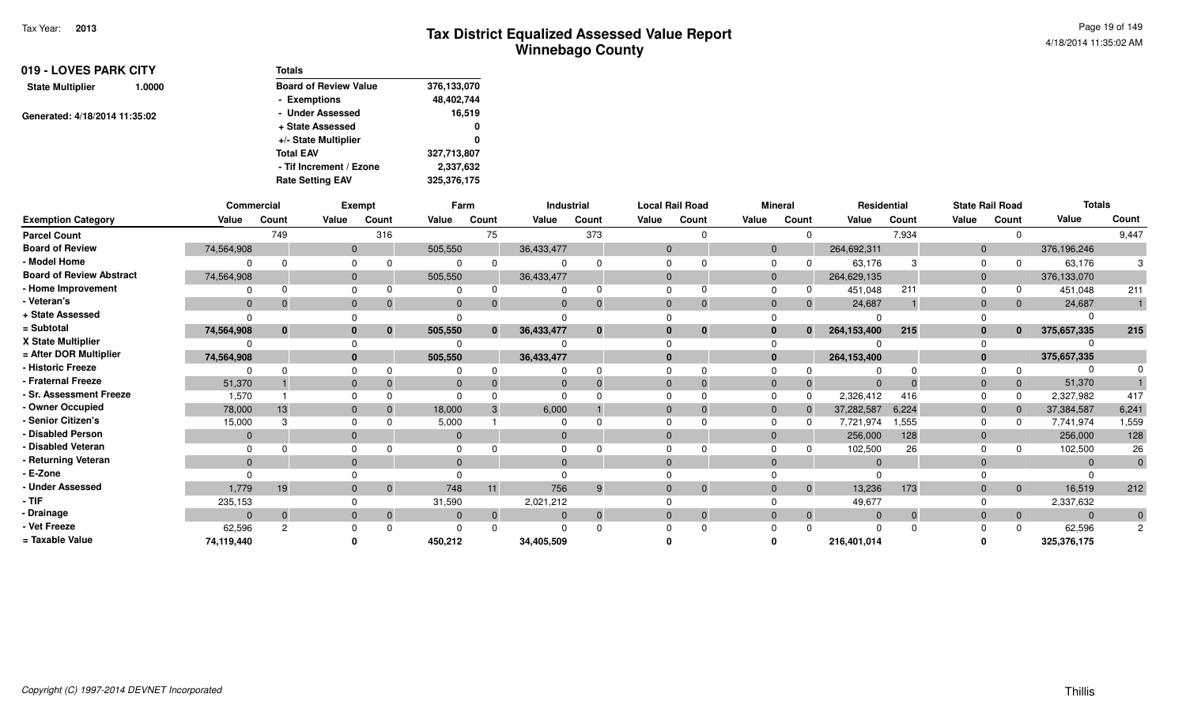| 019 - LOVES PARK CITY             | <b>Totals</b>                |             |
|-----------------------------------|------------------------------|-------------|
| <b>State Multiplier</b><br>1.0000 | <b>Board of Review Value</b> | 376,133,070 |
|                                   | - Exemptions                 | 48,402,744  |
| Generated: 4/18/2014 11:35:02     | - Under Assessed             | 16,519      |
|                                   | + State Assessed             | 0           |
|                                   | +/- State Multiplier         | 0           |
|                                   | <b>Total EAV</b>             | 327,713,807 |
|                                   | - Tif Increment / Ezone      | 2,337,632   |
|                                   | <b>Rate Setting EAV</b>      | 325,376,175 |

|                                 | Commercial |                |              | <b>Exempt</b> | Farm         |              |            | Industrial     |          | <b>Local Rail Road</b> |                | <b>Mineral</b> | Residential |       |                | <b>State Rail Road</b> | <b>Totals</b> |                |
|---------------------------------|------------|----------------|--------------|---------------|--------------|--------------|------------|----------------|----------|------------------------|----------------|----------------|-------------|-------|----------------|------------------------|---------------|----------------|
| <b>Exemption Category</b>       | Value      | Count          | Value        | Count         | Value        | Count        | Value      | Count          | Value    | Count                  | Value          | Count          | Value       | Count | Value          | Count                  | Value         | Count          |
| <b>Parcel Count</b>             |            | 749            |              | 316           |              | 75           |            | 373            |          |                        |                |                |             | 7,934 |                | $\Omega$               |               | 9,447          |
| <b>Board of Review</b>          | 74,564,908 |                | $\mathbf{0}$ |               | 505,550      |              | 36,433,477 |                | $\Omega$ |                        | $\overline{0}$ |                | 264,692,311 |       | $\mathbf{0}$   |                        | 376,196,246   |                |
| - Model Home                    |            |                |              |               |              |              |            |                |          |                        | $\Omega$       |                | 63,176      |       | $\Omega$       |                        | 63,176        |                |
| <b>Board of Review Abstract</b> | 74,564,908 |                |              |               | 505,550      |              | 36,433,477 |                | $\Omega$ |                        | $\overline{0}$ |                | 264,629,135 |       | $\mathbf 0$    |                        | 376,133,070   |                |
| - Home Improvement              |            |                |              |               |              |              |            |                |          |                        | $\Omega$       |                | 451,048     | 211   |                |                        | 451,048       | 211            |
| - Veteran's                     | $\Omega$   | $\Omega$       |              | $\Omega$      | $\Omega$     |              | $\Omega$   | $\mathbf{0}$   | $\Omega$ | $\Omega$               | $\Omega$       |                | 24,687      |       | $\Omega$       | $\overline{0}$         | 24,687        |                |
| + State Assessed                |            |                |              |               |              |              |            |                |          |                        |                |                |             |       |                |                        |               |                |
| = Subtotal                      | 74,564,908 | $\mathbf{0}$   |              | $\bf{0}$      | 505,550      | $\mathbf{0}$ | 36,433,477 | $\bf{0}$       |          | $\bf{0}$               | 0              |                | 264,153,400 | 215   | 0              | $\mathbf{0}$           | 375,657,335   | 215            |
| X State Multiplier              |            |                |              |               |              |              |            |                |          |                        | $\Omega$       |                |             |       |                |                        |               |                |
| = After DOR Multiplier          | 74,564,908 |                |              |               | 505,550      |              | 36,433,477 |                |          |                        | $\mathbf{0}$   |                | 264,153,400 |       |                |                        | 375,657,335   |                |
| - Historic Freeze               |            | $\Omega$       |              |               |              |              |            |                |          |                        |                |                | $\Omega$    |       |                |                        |               |                |
| - Fraternal Freeze              | 51,370     |                |              |               | $\mathbf{0}$ |              | $\Omega$   |                | $\Omega$ | $\Omega$               | $\Omega$       |                | $\Omega$    |       | $\Omega$       | $\overline{0}$         | 51,370        |                |
| - Sr. Assessment Freeze         | 1,570      |                |              |               |              |              |            |                |          |                        |                |                | 2,326,412   | 416   |                |                        | 2,327,982     | 417            |
| - Owner Occupied                | 78,000     | 13             |              |               | 18,000       |              | 6,000      |                |          |                        | $\overline{0}$ |                | 37,282,587  | 6,224 | $\mathbf{0}$   |                        | 37,384,587    | 6,241          |
| - Senior Citizen's              | 15,000     | З              |              |               | 5,000        |              |            |                |          |                        | $\Omega$       |                | 7,721,974   | 1,555 | $\Omega$       |                        | 7,741,974     | 1,559          |
| - Disabled Person               | $\Omega$   |                |              |               | $\Omega$     |              | $\Omega$   |                |          |                        | $\Omega$       |                | 256,000     | 128   | $\Omega$       |                        | 256,000       | 128            |
| - Disabled Veteran              |            |                |              |               |              |              |            |                |          |                        |                |                | 102,500     | 26    |                |                        | 102,500       | 26             |
| - Returning Veteran             | $\Omega$   |                | $\Omega$     |               | $\Omega$     |              | $\Omega$   |                | $\Omega$ |                        | $\Omega$       |                | $\Omega$    |       |                |                        | $\Omega$      | $\overline{0}$ |
| - E-Zone                        |            |                |              |               |              |              |            |                |          |                        |                |                | $\Omega$    |       |                |                        |               |                |
| - Under Assessed                | 1,779      | 19             |              | $\Omega$      | 748          | 11           | 756        | 9              |          | $\Omega$               | $\Omega$       | $\overline{0}$ | 13,236      | 173   | $\Omega$       | $\overline{0}$         | 16,519        | 212            |
| - TIF                           | 235,153    |                |              |               | 31,590       |              | 2,021,212  |                |          |                        |                |                | 49,677      |       |                |                        | 2,337,632     |                |
| - Drainage                      | $\Omega$   | $\mathbf 0$    |              | $\mathbf{0}$  | $\mathbf{0}$ | $\mathbf{0}$ | $\Omega$   | $\overline{0}$ | $\Omega$ | $\Omega$               | $\overline{0}$ |                | $\Omega$    |       | $\overline{0}$ | $\overline{0}$         | $\Omega$      | $\overline{0}$ |
| - Vet Freeze                    | 62,596     | $\overline{c}$ |              | $\Omega$      |              |              |            |                |          | $\Omega$               |                |                | $\Omega$    |       |                | $\Omega$               | 62,596        | $\overline{2}$ |
| = Taxable Value                 | 74,119,440 |                |              |               | 450,212      |              | 34,405,509 |                |          |                        |                |                | 216,401,014 |       |                |                        | 325,376,175   |                |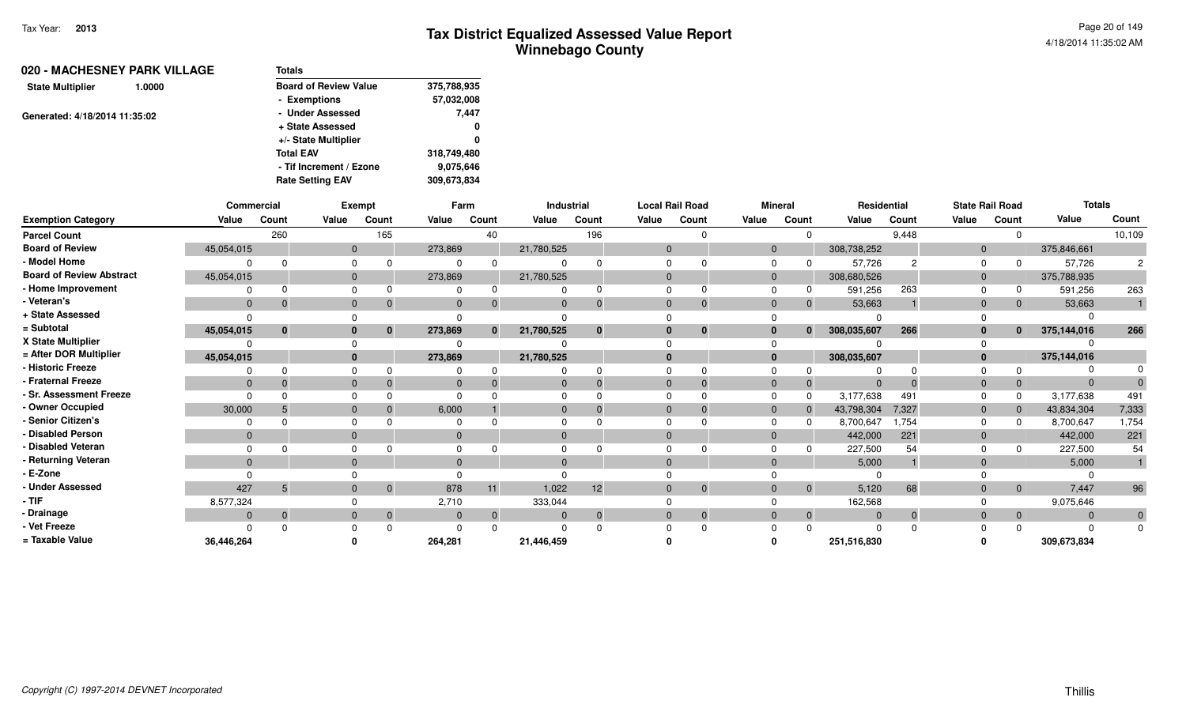| Totals                       |             |  |  |
|------------------------------|-------------|--|--|
| <b>Board of Review Value</b> | 375,788,935 |  |  |
| - Exemptions                 | 57,032,008  |  |  |
| - Under Assessed             | 7.447       |  |  |
| + State Assessed             | 0           |  |  |
| +/- State Multiplier         | 0           |  |  |
| <b>Total EAV</b>             | 318,749,480 |  |  |
| - Tif Increment / Ezone      | 9,075,646   |  |  |
| <b>Rate Setting EAV</b>      | 309,673,834 |  |  |
|                              |             |  |  |

|                                 | Commercial   |              |              | Exempt   | Farm         |                | Industrial |                |          | <b>Local Rail Road</b> |                | <b>Mineral</b> | Residential |          |                | <b>State Rail Road</b> | <b>Totals</b>  |              |
|---------------------------------|--------------|--------------|--------------|----------|--------------|----------------|------------|----------------|----------|------------------------|----------------|----------------|-------------|----------|----------------|------------------------|----------------|--------------|
| <b>Exemption Category</b>       | Value        | Count        | Value        | Count    | Value        | Count          | Value      | Count          | Value    | Count                  | Value          | Count          | Value       | Count    | Value          | Count                  | Value          | Count        |
| <b>Parcel Count</b>             |              | 260          |              | 165      |              | 40             |            | 196            |          |                        |                |                |             | 9,448    |                | $\Omega$               |                | 10,109       |
| <b>Board of Review</b>          | 45,054,015   |              | $\mathbf{0}$ |          | 273,869      |                | 21,780,525 |                | $\Omega$ |                        | $\overline{0}$ |                | 308,738,252 |          | $\mathbf{0}$   |                        | 375,846,661    |              |
| - Model Home                    |              |              |              |          |              |                |            |                |          |                        | $\Omega$       |                | 57,726      |          | 0              |                        | 57,726         |              |
| <b>Board of Review Abstract</b> | 45,054,015   |              | $\Omega$     |          | 273,869      |                | 21,780,525 |                | $\Omega$ |                        | $\Omega$       |                | 308,680,526 |          | $\overline{0}$ |                        | 375,788,935    |              |
| - Home Improvement              |              |              |              |          |              |                |            |                |          |                        | $\Omega$       |                | 591,256     | 263      | $\Omega$       |                        | 591,256        | 263          |
| - Veteran's                     | $\mathbf{0}$ |              | $\mathbf{0}$ |          | $\mathbf{0}$ |                | $\Omega$   | $\mathbf{0}$   | $\Omega$ | $\Omega$               | $\Omega$       |                | 53,663      |          | 0              | $\overline{0}$         | 53,663         |              |
| + State Assessed                |              |              |              |          |              |                |            |                |          |                        |                |                | $\Omega$    |          |                |                        |                |              |
| = Subtotal                      | 45,054,015   | $\mathbf{0}$ | $\bf{0}$     | $\bf{0}$ | 273,869      | $\mathbf{0}$   | 21,780,525 | $\bf{0}$       | $\Omega$ | $\bf{0}$               | $\bf{0}$       |                | 308,035,607 | 266      | $\bf{0}$       | $\mathbf{0}$           | 375,144,016    | 266          |
| X State Multiplier              |              |              |              |          |              |                |            |                |          |                        |                |                |             |          |                |                        |                |              |
| = After DOR Multiplier          | 45,054,015   |              | $\bf{0}$     |          | 273,869      |                | 21,780,525 |                |          |                        |                |                | 308,035,607 |          |                |                        | 375,144,016    |              |
| - Historic Freeze               |              | $\bigcap$    |              |          |              |                |            | <sup>0</sup>   |          |                        |                |                | $\Omega$    |          |                |                        | $\Omega$       |              |
| - Fraternal Freeze              | $\Omega$     |              | $\Omega$     |          | $\Omega$     |                |            | $\Omega$       | $\Omega$ |                        | $\Omega$       |                | $\Omega$    |          | $\Omega$       | $\mathbf{0}$           | $\Omega$       |              |
| - Sr. Assessment Freeze         |              |              |              |          |              |                |            |                |          |                        | $\Omega$       |                | 3,177,638   | 491      |                |                        | 3,177,638      | 491          |
| - Owner Occupied                | 30,000       |              | $\Omega$     |          | 6,000        |                |            | $\Omega$       | $\Omega$ |                        | $\Omega$       |                | 43,798,304  | 7,327    | $\mathbf 0$    | $\Omega$               | 43,834,304     | 7,333        |
| - Senior Citizen's              |              |              |              |          |              |                |            |                |          |                        | $\Omega$       |                | 8,700,647   | 1,754    | $\Omega$       |                        | 8,700,647      | 1,754        |
| <b>Disabled Person</b>          | $\Omega$     |              | $\Omega$     |          | $\Omega$     |                | $\Omega$   |                | $\Omega$ |                        | $\Omega$       |                | 442,000     | 221      | $\mathbf{0}$   |                        | 442,000        | 221          |
| - Disabled Veteran              |              |              |              |          |              |                |            |                |          |                        | $\Omega$       |                | 227,500     | 54       |                |                        | 227,500        | 54           |
| - Returning Veteran             | $\Omega$     |              | $\Omega$     |          | $\Omega$     |                | $\Omega$   |                | $\Omega$ |                        | $\Omega$       |                | 5,000       |          |                |                        | 5,000          |              |
| - E-Zone                        |              |              |              |          |              |                |            |                |          |                        |                |                |             |          |                |                        |                |              |
| - Under Assessed                | 427          | 5            | $\Omega$     | $\Omega$ | 878          | 11             | 1,022      | 12             | $\Omega$ | $\Omega$               | $\Omega$       | $\mathbf{0}$   | 5,120       | 68       | $\Omega$       | $\overline{0}$         | 7,447          | 96           |
| $-$ TIF                         | 8,577,324    |              |              |          | 2,710        |                | 333,044    |                |          |                        |                |                | 162,568     |          |                |                        | 9,075,646      |              |
| - Drainage                      | $\Omega$     | $\Omega$     | $\Omega$     | $\Omega$ | $\mathbf{0}$ | $\overline{0}$ |            | $\overline{0}$ | $\Omega$ | $\Omega$               | $\overline{0}$ | $\Omega$       | $\Omega$    | $\Omega$ | $\Omega$       | $\overline{0}$         | $\overline{0}$ | $\mathbf{0}$ |
| - Vet Freeze                    |              |              |              |          |              |                |            |                |          |                        |                |                | $\Omega$    |          |                |                        | $\Omega$       | $\mathbf{0}$ |
| = Taxable Value                 | 36,446,264   |              |              |          | 264,281      |                | 21,446,459 |                |          |                        |                |                | 251,516,830 |          |                |                        | 309,673,834    |              |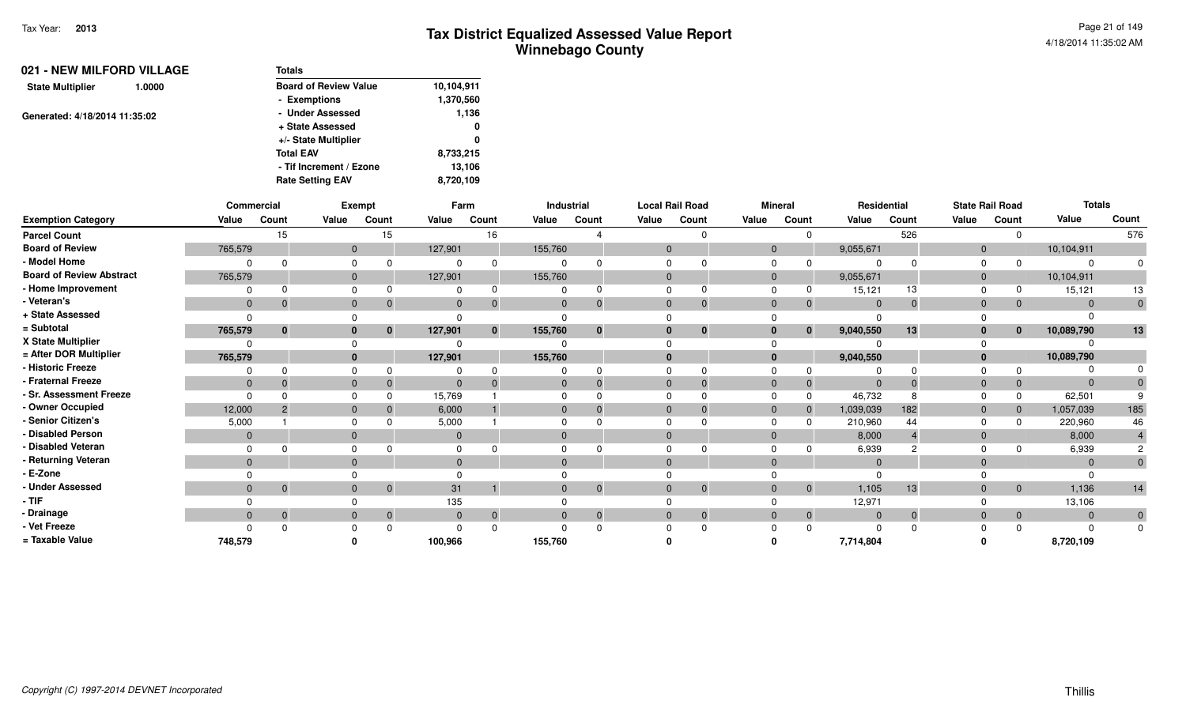| 021 - NEW MILFORD VILLAGE<br>1.0000 | <b>Totals</b>                |            |
|-------------------------------------|------------------------------|------------|
| <b>State Multiplier</b>             | <b>Board of Review Value</b> | 10,104,911 |
|                                     | - Exemptions                 | 1,370,560  |
| Generated: 4/18/2014 11:35:02       | - Under Assessed             | 1,136      |
|                                     | + State Assessed             | 0          |
|                                     | +/- State Multiplier         | 0          |
|                                     | <b>Total EAV</b>             | 8,733,215  |
|                                     | - Tif Increment / Ezone      | 13.106     |
|                                     | <b>Rate Setting EAV</b>      | 8,720,109  |

|                                 | Commercial     |              |          | <b>Exempt</b> |              | Farm         |              | Industrial     |          | <b>Local Rail Road</b> |                | <b>Mineral</b> | Residential    |          |                | <b>State Rail Road</b> | <b>Totals</b>  |                |
|---------------------------------|----------------|--------------|----------|---------------|--------------|--------------|--------------|----------------|----------|------------------------|----------------|----------------|----------------|----------|----------------|------------------------|----------------|----------------|
| <b>Exemption Category</b>       | Value          | Count        | Value    | Count         | Value        | Count        | Value        | Count          | Value    | Count                  | Value          | Count          | Value          | Count    | Value          | Count                  | Value          | Count          |
| <b>Parcel Count</b>             |                | 15           |          | 15            |              | 16           |              |                |          |                        |                |                |                | 526      |                | $\Omega$               |                | 576            |
| <b>Board of Review</b>          | 765,579        |              | $\Omega$ |               | 127,901      |              | 155,760      |                | $\Omega$ |                        | $\overline{0}$ |                | 9,055,671      |          | $\mathbf 0$    |                        | 10,104,911     |                |
| - Model Home                    |                | U            |          |               |              |              |              |                |          |                        | $\Omega$       |                | $\Omega$       |          | $\Omega$       |                        | $\Omega$       |                |
| <b>Board of Review Abstract</b> | 765,579        |              | $\Omega$ |               | 127,901      |              | 155,760      |                | $\Omega$ |                        | $\mathbf{0}$   |                | 9,055,671      |          | $\mathbf 0$    |                        | 10,104,911     |                |
| - Home Improvement              |                |              |          |               |              |              |              |                |          |                        | $\Omega$       |                | 15,121         | 13       |                |                        | 15,121         |                |
| - Veteran's                     | $\overline{0}$ | $\Omega$     |          | $\Omega$      | $\mathbf{0}$ |              | $\mathbf{0}$ | $\mathbf 0$    | $\Omega$ | $\Omega$               | $\Omega$       |                | $\mathbf{0}$   | $\Omega$ | $\mathbf{0}$   | $\overline{0}$         | $\Omega$       | $\overline{0}$ |
| + State Assessed                |                |              |          |               |              |              |              |                |          |                        |                |                | $\Omega$       |          |                |                        |                |                |
| = Subtotal                      | 765,579        | $\mathbf{0}$ |          | $\bf{0}$      | 127,901      | $\mathbf{0}$ | 155,760      | $\bf{0}$       | $\bf{0}$ | $\bf{0}$               | 0              |                | 9,040,550      | 13       | 0              | $\mathbf{0}$           | 10,089,790     | 13             |
| X State Multiplier              |                |              |          |               |              |              |              |                |          |                        | $\Omega$       |                |                |          |                |                        |                |                |
| = After DOR Multiplier          | 765,579        |              |          |               | 127,901      |              | 155,760      |                |          |                        | $\bf{0}$       |                | 9,040,550      |          |                |                        | 10,089,790     |                |
| - Historic Freeze               |                | 0            |          |               |              |              |              |                |          |                        |                |                | $\Omega$       |          |                |                        |                |                |
| - Fraternal Freeze              | $\mathbf{0}$   |              |          |               | $\mathbf{0}$ |              | $\Omega$     | $\Omega$       | $\Omega$ | $\Omega$               | $\Omega$       |                | $\Omega$       |          |                | $\mathbf{0}$           | $\Omega$       |                |
| - Sr. Assessment Freeze         | $\Omega$       |              |          |               | 15,769       |              |              |                |          |                        | <sup>0</sup>   |                | 46,732         |          |                | $\Omega$               | 62,501         |                |
| - Owner Occupied                | 12,000         |              |          |               | 6,000        |              |              | 0              |          |                        | $\overline{0}$ |                | 1,039,039      | 182      | 0              | $\overline{0}$         | 1,057,039      | 185            |
| - Senior Citizen's              | 5,000          |              |          |               | 5,000        |              |              |                |          |                        | $\Omega$       |                | 210,960        | 44       |                |                        | 220,960        | 46             |
| - Disabled Person               | $\mathbf{0}$   |              | $\Omega$ |               | $\mathbf{0}$ |              | $\Omega$     |                |          |                        | $\Omega$       |                | 8,000          |          | $\overline{0}$ |                        | 8,000          |                |
| - Disabled Veteran              |                |              |          |               |              |              |              |                |          |                        |                |                | 6,939          |          |                |                        | 6,939          |                |
| - Returning Veteran             | $\mathbf{0}$   |              |          |               | $\Omega$     |              | $\Omega$     |                |          |                        | $\Omega$       |                | $\overline{0}$ |          |                |                        | $\overline{0}$ |                |
| - E-Zone                        |                |              |          |               |              |              |              |                |          |                        |                |                | $\Omega$       |          |                |                        |                |                |
| <b>Under Assessed</b>           | $\overline{0}$ | $\Omega$     | $\Omega$ | $\Omega$      | 31           |              | $\Omega$     | $\overline{0}$ | $\Omega$ | $\Omega$               | $\overline{0}$ | $\overline{0}$ | 1,105          | 13       | $\mathbf{0}$   | $\overline{0}$         | 1,136          | 14             |
| - TIF                           |                |              |          |               | 135          |              |              |                |          |                        |                |                | 12,971         |          |                |                        | 13,106         |                |
| - Drainage                      | $\Omega$       | $\mathbf{0}$ |          | $\Omega$      | $\mathbf 0$  |              |              | $\overline{0}$ | $\Omega$ | $\Omega$               | $\overline{0}$ |                | $\Omega$       |          | $\Omega$       | $\overline{0}$         | $\overline{0}$ | $\overline{0}$ |
| - Vet Freeze                    |                |              |          |               |              |              |              |                |          |                        |                |                | $\Omega$       |          |                | $\Omega$               | $\Omega$       | $\Omega$       |
| = Taxable Value                 | 748,579        |              |          |               | 100,966      |              | 155,760      |                |          |                        |                |                | 7,714,804      |          |                |                        | 8,720,109      |                |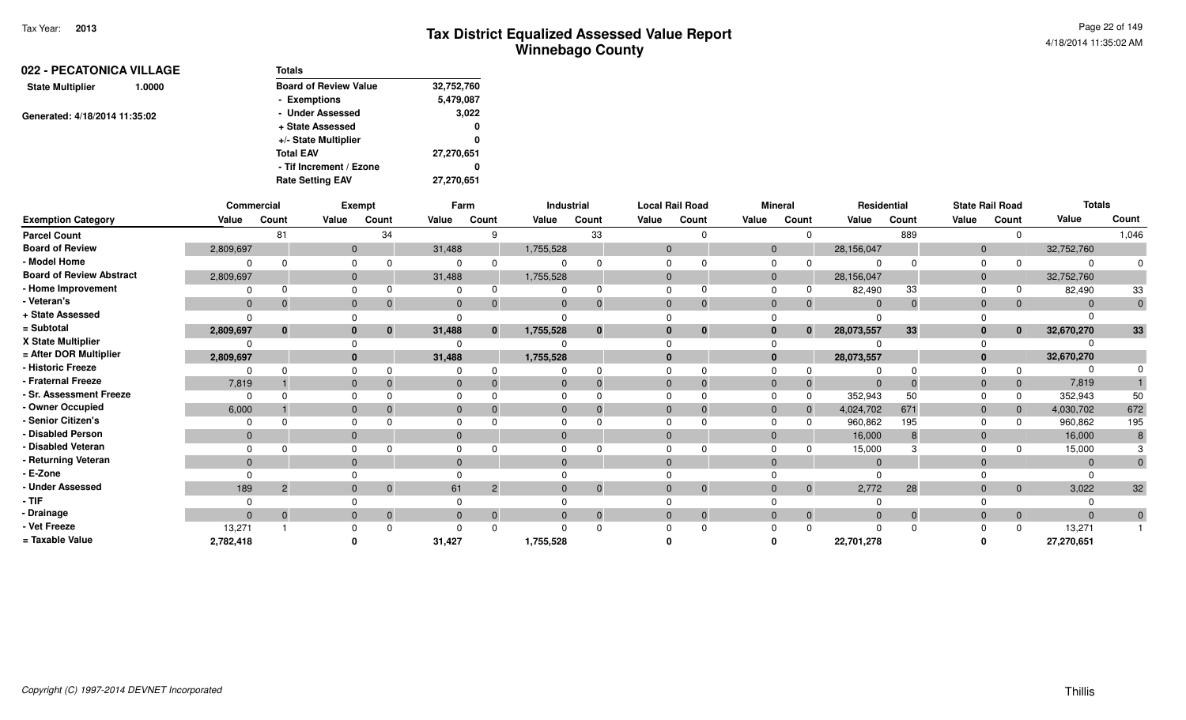| 022 - PECATONICA VILLAGE<br>1.0000 | <b>Totals</b>                |            |
|------------------------------------|------------------------------|------------|
| <b>State Multiplier</b>            | <b>Board of Review Value</b> | 32,752,760 |
|                                    | - Exemptions                 | 5,479,087  |
| Generated: 4/18/2014 11:35:02      | - Under Assessed             | 3,022      |
|                                    | + State Assessed             | 0          |
|                                    | +/- State Multiplier         | 0          |
|                                    | <b>Total EAV</b>             | 27,270,651 |
|                                    | - Tif Increment / Ezone      | 0          |
|                                    | <b>Rate Setting EAV</b>      | 27.270.651 |

|                                 |              | Commercial     |       | Exempt       |                        | Farm                 |           | Industrial |       | <b>Local Rail Road</b> |              | <b>Mineral</b> |            | Residential    |              | <b>State Rail Road</b> | <b>Totals</b> |                |
|---------------------------------|--------------|----------------|-------|--------------|------------------------|----------------------|-----------|------------|-------|------------------------|--------------|----------------|------------|----------------|--------------|------------------------|---------------|----------------|
| <b>Exemption Category</b>       | Value        | Count          | Value | Count        | Value                  | Count                | Value     | Count      | Value | Count                  | Value        | Count          | Value      | Count          | Value        | Count                  | Value         | Count          |
| <b>Parcel Count</b>             |              | 81             |       |              | 34                     | 9                    |           | 33         |       | $\Omega$               |              | $\Omega$       |            | 889            |              | ∩                      |               | 1,046          |
| <b>Board of Review</b>          | 2,809,697    |                |       | $\mathbf 0$  | 31,488                 |                      | 1,755,528 |            | 0     |                        | 0            |                | 28,156,047 |                | $\mathbf{0}$ |                        | 32,752,760    |                |
| - Model Home                    |              |                |       | $\Omega$     | 0                      |                      |           |            |       |                        | 0            |                |            |                | $\Omega$     |                        |               |                |
| <b>Board of Review Abstract</b> | 2,809,697    |                |       | $\mathbf 0$  | 31,488                 |                      | 1,755,528 |            |       |                        | $\mathbf{0}$ |                | 28,156,047 |                | $\Omega$     |                        | 32,752,760    |                |
| - Home Improvement              |              |                |       | $\Omega$     |                        |                      |           |            |       |                        |              |                | 82,490     | 33             |              |                        | 82,490        | 33             |
| - Veteran's                     | $\mathbf{0}$ |                |       | $\mathbf{0}$ | $\mathbf 0$            | $\Omega$             |           | $\Omega$   |       | $\Omega$               | $\mathbf{0}$ |                |            | -0             | $\Omega$     | $\overline{0}$         |               |                |
| + State Assessed                |              |                |       |              |                        |                      |           |            |       |                        |              |                |            |                |              |                        |               |                |
| = Subtotal                      | 2,809,697    | $\mathbf{0}$   |       | $\bf{0}$     | 31,488<br>$\mathbf{0}$ | $\mathbf{0}$         | 1,755,528 | $\bf{0}$   |       | $\mathbf 0$            |              | $\bf{0}$       | 28,073,557 | 33             |              | $\mathbf{0}$           | 32,670,270    | 33             |
| X State Multiplier              |              |                |       |              |                        |                      |           |            |       |                        |              |                |            |                |              |                        |               |                |
| = After DOR Multiplier          | 2,809,697    |                |       | $\bf{0}$     | 31,488                 |                      | 1,755,528 |            |       |                        | 0            |                | 28,073,557 |                | $\mathbf{0}$ |                        | 32,670,270    |                |
| - Historic Freeze               |              |                |       |              |                        |                      |           |            |       |                        |              |                |            |                |              |                        |               |                |
| - Fraternal Freeze              | 7,819        |                |       | $\Omega$     |                        | $\mathbf{0}$         |           |            |       | $\Omega$               | 0            |                | $\Omega$   |                | $\Omega$     | $\overline{0}$         | 7,819         |                |
| - Sr. Assessment Freeze         |              |                |       |              |                        |                      |           |            |       |                        |              | $\Omega$       | 352,943    | 50             |              | $\Omega$               | 352,943       | 50             |
| - Owner Occupied                | 6,000        |                |       | $\Omega$     |                        | $\Omega$             |           |            |       |                        | $\mathbf{0}$ | $\Omega$       | 4,024,702  | 671            |              | $\overline{0}$         | 4,030,702     | 672            |
| - Senior Citizen's              |              |                |       |              |                        |                      |           |            |       |                        |              |                | 960,862    | 195            | $\Omega$     |                        | 960,862       | 195            |
| - Disabled Person               | $\Omega$     |                |       | $\mathbf{0}$ |                        | $\Omega$             |           |            |       |                        | $\Omega$     |                | 16,000     | 8              | $\Omega$     |                        | 16,000        |                |
| - Disabled Veteran              |              |                |       |              |                        |                      |           |            |       |                        |              |                | 15,000     |                |              |                        | 15,000        |                |
| - Returning Veteran             | $\Omega$     |                |       | $\Omega$     |                        | $\Omega$             |           |            |       |                        | $\Omega$     |                |            |                | $\Omega$     |                        |               |                |
| - E-Zone                        |              |                |       |              |                        |                      |           |            |       |                        |              |                |            |                |              |                        |               |                |
| - Under Assessed                | 189          | $\overline{2}$ |       | $\mathbf{0}$ | 61<br>$\overline{0}$   | $\overline{2}$       |           | $\Omega$   | 0     | $\mathbf{0}$           | $\Omega$     | $\mathbf{0}$   | 2,772      | 28             |              | $\overline{0}$         | 3,022         | $32\,$         |
| - TIF                           |              |                |       |              |                        |                      |           |            |       |                        |              |                |            |                |              |                        |               |                |
| - Drainage                      |              | $\Omega$       |       | $\Omega$     | $\overline{0}$         | $\Omega$<br>$\Omega$ |           | $\Omega$   |       | $\mathbf{0}$           | $\Omega$     | $\mathbf{0}$   |            | $\overline{0}$ | $\Omega$     | $\overline{0}$         |               | $\overline{0}$ |
| - Vet Freeze                    | 13,271       |                |       |              |                        |                      |           |            |       | $\Omega$               |              |                |            |                |              | $\Omega$               | 13,271        |                |
| = Taxable Value                 | 2,782,418    |                |       |              | 31,427                 |                      | 1,755,528 |            |       |                        |              |                | 22,701,278 |                |              |                        | 27,270,651    |                |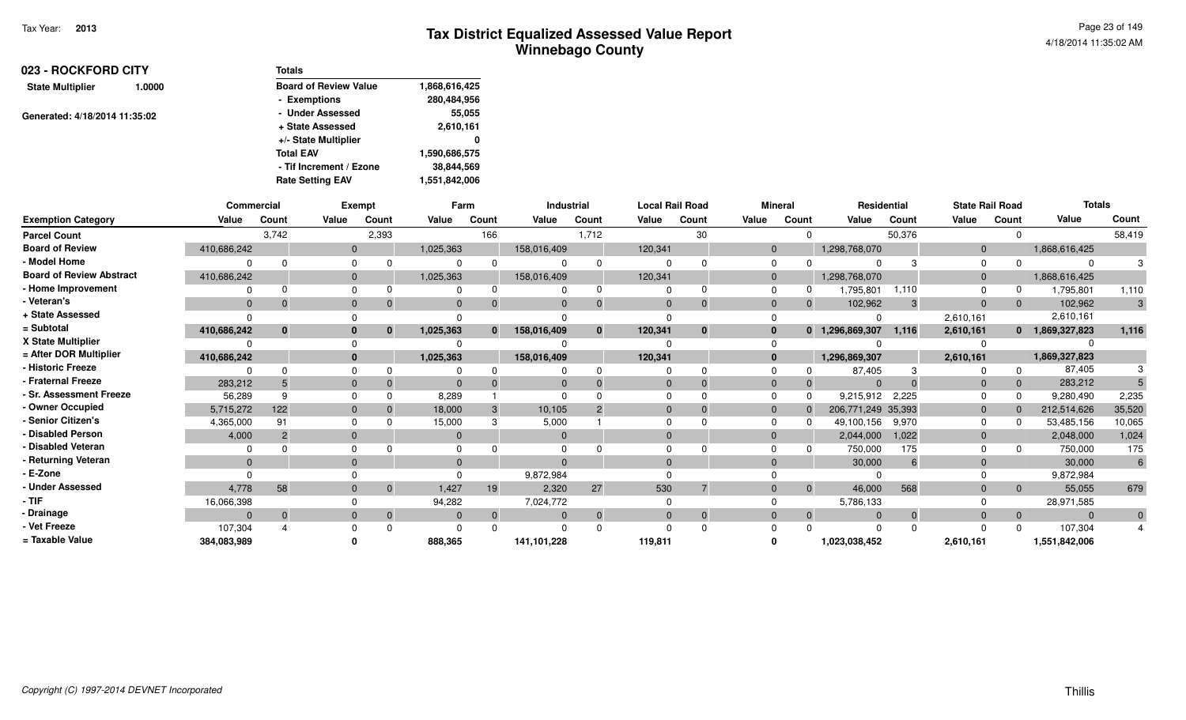| 023 - ROCKFORD CITY           |        | <b>Totals</b>                |               |
|-------------------------------|--------|------------------------------|---------------|
| <b>State Multiplier</b>       | 1.0000 | <b>Board of Review Value</b> | 1,868,616,425 |
|                               |        | - Exemptions                 | 280,484,956   |
| Generated: 4/18/2014 11:35:02 |        | - Under Assessed             | 55,055        |
|                               |        | + State Assessed             | 2,610,161     |
|                               |        | +/- State Multiplier         | 0             |
|                               |        | <b>Total EAV</b>             | 1,590,686,575 |
|                               |        | - Tif Increment / Ezone      | 38,844,569    |
|                               |        | <b>Rate Setting EAV</b>      | 1,551,842,006 |

|                                 | Commercial  |          |              | <b>Exempt</b> |                | Farm           |              | Industrial |          | <b>Local Rail Road</b> |                | <b>Mineral</b> |                    | Residential | <b>State Rail Road</b> |                | <b>Totals</b>   |              |
|---------------------------------|-------------|----------|--------------|---------------|----------------|----------------|--------------|------------|----------|------------------------|----------------|----------------|--------------------|-------------|------------------------|----------------|-----------------|--------------|
| <b>Exemption Category</b>       | Value       | Count    | Value        | Count         | Value          | Count          | Value        | Count      | Value    | Count                  | Value          | Count          | Value              | Count       | Value                  | Count          | Value           | Count        |
| <b>Parcel Count</b>             |             | 3.742    |              | 2,393         |                | 166            |              | 1,712      |          | 30                     |                | $\Omega$       |                    | 50,376      |                        | $\Omega$       |                 | 58,419       |
| <b>Board of Review</b>          | 410,686,242 |          | $\mathbf{0}$ |               | 1,025,363      |                | 158,016,409  |            | 120,341  |                        | $\mathbf 0$    |                | 1,298,768,070      |             | $\mathbf{0}$           |                | 1,868,616,425   |              |
| - Model Home                    |             |          | 0            |               | $\Omega$       |                | $\Omega$     |            |          |                        | $\Omega$       |                |                    | З           | $\Omega$               |                |                 | 3            |
| <b>Board of Review Abstract</b> | 410,686,242 |          | $\mathbf{0}$ |               | 1,025,363      |                | 158,016,409  |            | 120,341  |                        | $\mathbf 0$    |                | 1,298,768,070      |             | $\mathbf{0}$           |                | 1,868,616,425   |              |
| - Home Improvement              |             |          | 0            |               | $\Omega$       |                | O            |            |          |                        | $\Omega$       |                | 1,795,801          | 1.110       | $\Omega$               |                | 1,795,801       | 1,110        |
| - Veteran's                     | $\Omega$    |          | $\Omega$     | $\Omega$      | $\Omega$       | $\mathbf{0}$   | $\Omega$     |            | $\Omega$ |                        | $\mathbf{0}$   | $\Omega$       | 102,962            | -3          | $\Omega$               | $\overline{0}$ | 102,962         | 3            |
| + State Assessed                |             |          |              |               |                |                |              |            |          |                        |                |                | $\Omega$           |             | 2,610,161              |                | 2,610,161       |              |
| = Subtotal                      | 410,686,242 | $\bf{0}$ | 0            | $\bf{0}$      | 1,025,363      | $\bf{0}$       | 158,016,409  | $\bf{0}$   | 120,341  | $\mathbf{0}$           | $\mathbf{0}$   | $\mathbf{0}$   | 1,296,869,307      | 1,116       | 2,610,161              |                | 0 1,869,327,823 | 1,116        |
| X State Multiplier              |             |          |              |               |                |                |              |            |          |                        |                |                |                    |             |                        |                |                 |              |
| = After DOR Multiplier          | 410,686,242 |          | $\bf{0}$     |               | 1,025,363      |                | 158,016,409  |            | 120,341  |                        | $\mathbf{0}$   |                | 1,296,869,307      |             | 2,610,161              |                | 1,869,327,823   |              |
| - Historic Freeze               | 0           |          | 0            |               | $\Omega$       |                | $\Omega$     |            |          |                        | $\Omega$       |                | 87,405             | 3           |                        |                | 87,405          |              |
| - Fraternal Freeze              | 283,212     |          | $\mathbf 0$  |               | $\Omega$       |                | $\mathbf{0}$ |            | $\Omega$ |                        | $\mathbf{0}$   |                | $\Omega$           |             | $\mathbf{0}$           |                | 283,212         |              |
| - Sr. Assessment Freeze         | 56,289      | 9        | 0            |               | 8,289          |                | $\Omega$     |            |          |                        |                |                | 9,215,912 2,225    |             |                        |                | 9,280,490       | 2,235        |
| - Owner Occupied                | 5,715,272   | 122      | $\mathbf{0}$ |               | 18,000         | 3              | 10,105       |            |          |                        | $\overline{0}$ |                | 206,771,249 35,393 |             | $\mathbf{0}$           |                | 212,514,626     | 35,520       |
| - Senior Citizen's              | 4,365,000   | 91       | 0            |               | 15,000         | 3              | 5,000        |            |          |                        | $\Omega$       |                | 49,100,156         | 9,970       | 0                      |                | 53,485,156      | 10,065       |
| - Disabled Person               | 4,000       |          | $\Omega$     |               | $\overline{0}$ |                | $\Omega$     |            |          |                        | $\mathbf{0}$   |                | 2,044,000          | 1,022       | $\Omega$               |                | 2,048,000       | 1,024        |
| - Disabled Veteran              |             |          |              |               | $\Omega$       |                |              |            |          |                        | $\Omega$       |                | 750,000            | 175         |                        |                | 750,000         | 175          |
| - Returning Veteran             | $\Omega$    |          | $\Omega$     |               | $\Omega$       |                | $\Omega$     |            | $\Omega$ |                        | $\Omega$       |                | 30,000             | 6           | $\Omega$               |                | 30,000          | 6            |
| - E-Zone                        |             |          |              |               |                |                | 9,872,984    |            |          |                        |                |                |                    |             |                        |                | 9,872,984       |              |
| - Under Assessed                | 4,778       | 58       | $\Omega$     | $\Omega$      | 1,427          | 19             | 2,320        | 27         | 530      | $\overline{7}$         | $\overline{0}$ | $\mathbf 0$    | 46,000             | 568         | $\Omega$               | $\mathbf{0}$   | 55,055          | 679          |
| - TIF                           | 16,066,398  |          |              |               | 94,282         |                | 7,024,772    |            |          |                        | $\Omega$       |                | 5,786,133          |             |                        |                | 28,971,585      |              |
| - Drainage                      | $\Omega$    | $\Omega$ | $\mathbf 0$  | $\Omega$      | $\overline{0}$ | $\overline{0}$ | $\mathbf{0}$ | $\Omega$   | $\Omega$ | $\Omega$               | $\mathbf 0$    | $\overline{0}$ | $\Omega$           | $\Omega$    | $\Omega$               | $\mathbf{0}$   | $\Omega$        | $\mathbf{0}$ |
| - Vet Freeze                    | 107,304     |          |              | $\Omega$      | $\Omega$       |                | $\Omega$     |            |          |                        |                |                | $\Omega$           |             | $\Omega$               | $\Omega$       | 107,304         |              |
| = Taxable Value                 | 384,083,989 |          |              |               | 888,365        |                | 141,101,228  |            | 119,811  |                        |                |                | 1,023,038,452      |             | 2,610,161              |                | 1,551,842,006   |              |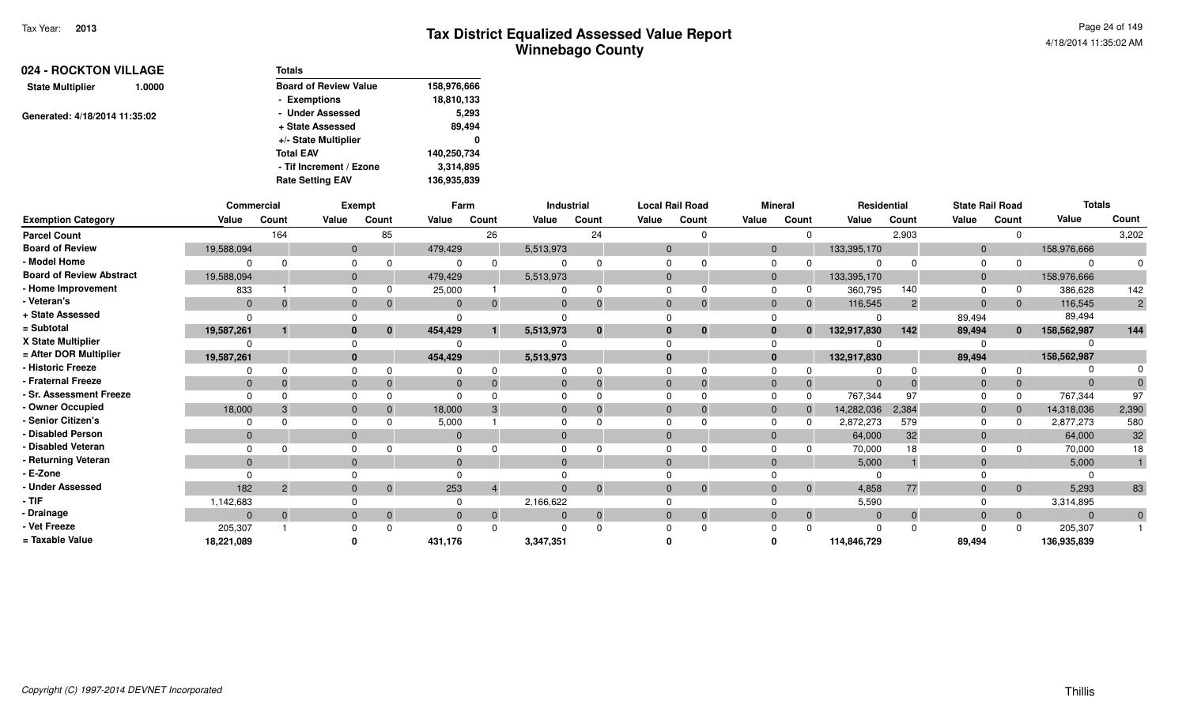| 024 - ROCKTON VILLAGE             | Totals                       |             |
|-----------------------------------|------------------------------|-------------|
| <b>State Multiplier</b><br>1.0000 | <b>Board of Review Value</b> | 158,976,666 |
|                                   | - Exemptions                 | 18,810,133  |
| Generated: 4/18/2014 11:35:02     | - Under Assessed             | 5.293       |
|                                   | + State Assessed             | 89,494      |
|                                   | +/- State Multiplier         | 0           |
|                                   | <b>Total EAV</b>             | 140,250,734 |
|                                   | - Tif Increment / Ezone      | 3,314,895   |
|                                   | <b>Rate Setting EAV</b>      | 136,935,839 |

|                                 | Commercial   |                |              | <b>Exempt</b> |          | Farm         |           | Industrial     |              | <b>Local Rail Road</b> |              | <b>Mineral</b> | Residential |          | <b>State Rail Road</b> |                | <b>Totals</b> |                |
|---------------------------------|--------------|----------------|--------------|---------------|----------|--------------|-----------|----------------|--------------|------------------------|--------------|----------------|-------------|----------|------------------------|----------------|---------------|----------------|
| <b>Exemption Category</b>       | Value        | Count          | Value        | Count         | Value    | Count        | Value     | Count          | Value        | Count                  | Value        | Count          | Value       | Count    | Value                  | Count          | Value         | Count          |
| <b>Parcel Count</b>             |              | 164            |              | 85            |          | 26           |           | 24             |              |                        |              |                |             | 2,903    |                        |                |               | 3,202          |
| <b>Board of Review</b>          | 19,588,094   |                | $\mathbf{0}$ |               | 479,429  |              | 5,513,973 |                | $\mathbf{0}$ |                        | $\Omega$     |                | 133,395,170 |          | $\mathbf 0$            |                | 158,976,666   |                |
| - Model Home                    |              |                | $\Omega$     |               |          | $\Omega$     |           |                |              |                        | $\Omega$     |                |             |          | $\Omega$               |                | $\Omega$      |                |
| <b>Board of Review Abstract</b> | 19,588,094   |                | $\mathbf{0}$ |               | 479,429  |              | 5,513,973 |                | $\Omega$     |                        | $\Omega$     |                | 133,395,170 |          | $\Omega$               |                | 158,976,666   |                |
| - Home Improvement              | 833          |                | $\cap$       |               | 25,000   |              |           |                | $\cap$       |                        |              |                | 360,795     | 140      |                        |                | 386,628       | 142            |
| - Veteran's                     | $\mathbf{0}$ |                | $\mathbf{0}$ |               |          | $\Omega$     |           | 0              | $\Omega$     |                        | $\Omega$     | $\Omega$       | 116,545     | 2        | $\Omega$               | 0 <sup>1</sup> | 116,545       | $2^{\circ}$    |
| + State Assessed                | $\Omega$     |                |              |               |          |              |           |                |              |                        |              |                |             |          | 89,494                 |                | 89,494        |                |
| = Subtotal                      | 19,587,261   |                | $\bf{0}$     | $\bf{0}$      | 454,429  |              | 5,513,973 | $\bf{0}$       | $\bf{0}$     | 0                      |              |                | 132,917,830 | 142      | 89,494                 |                | 158,562,987   | 144            |
| X State Multiplier              |              |                |              |               |          |              |           |                |              |                        |              |                |             |          |                        |                |               |                |
| = After DOR Multiplier          | 19,587,261   |                | $\bf{0}$     |               | 454,429  |              | 5,513,973 |                | $\mathbf{0}$ |                        | $\mathbf{0}$ |                | 132,917,830 |          | 89,494                 |                | 158,562,987   |                |
| - Historic Freeze               |              |                |              |               |          |              |           |                |              |                        |              |                |             |          |                        |                |               |                |
| - Fraternal Freeze              | $\mathbf{0}$ |                | $\Omega$     |               |          |              |           |                | $\Omega$     |                        |              |                | $\Omega$    |          |                        | $\Omega$       | $\Omega$      |                |
| - Sr. Assessment Freeze         |              |                |              |               |          |              |           |                |              |                        |              |                | 767,344     | 97       |                        |                | 767,344       | 97             |
| - Owner Occupied                | 18,000       |                | $\mathbf{0}$ |               | 18,000   |              |           |                | $\mathbf 0$  |                        |              |                | 14,282,036  | 2,384    | $\mathbf 0$            |                | 14,318,036    | 2,390          |
| - Senior Citizen's              |              |                | $\Omega$     |               | 5,000    |              |           |                | $\Omega$     |                        | $\Omega$     |                | 2,872,273   | 579      |                        |                | 2,877,273     | 580            |
| - Disabled Person               | $\mathbf{0}$ |                | $\Omega$     |               |          |              |           |                | $\Omega$     |                        | $\Omega$     |                | 64,000      | 32       | $\mathbf 0$            |                | 64,000        | 32             |
| - Disabled Veteran              |              |                |              |               |          |              |           |                |              |                        |              |                | 70,000      |          |                        |                | 70,000        | 18             |
| - Returning Veteran             | $\Omega$     |                | $\Omega$     |               |          |              |           |                | $\Omega$     |                        |              |                | 5,000       |          |                        |                | 5,000         |                |
| - E-Zone                        |              |                |              |               |          |              |           |                |              |                        |              |                |             |          |                        |                |               |                |
| - Under Assessed                | 182          | $\overline{2}$ | $\Omega$     | $\mathbf{0}$  | 253      |              |           | $\overline{0}$ | $\Omega$     | $\Omega$               |              | $\overline{0}$ | 4,858       | 77       | $\Omega$               | $\overline{0}$ | 5,293         | 83             |
| - TIF                           | 1,142,683    |                |              |               |          |              | 2,166,622 |                |              |                        |              |                | 5,590       |          |                        |                | 3,314,895     |                |
| - Drainage                      | $\Omega$     |                | $\mathbf{0}$ | $\mathbf{0}$  | $\Omega$ | $\mathbf{0}$ |           | $\overline{0}$ | $\Omega$     | $\Omega$               | $\Omega$     | $\mathbf{0}$   | $\Omega$    | $\Omega$ | $\Omega$               | $\overline{0}$ | $\Omega$      | $\overline{0}$ |
| - Vet Freeze                    | 205,307      |                |              |               |          | $\Omega$     |           |                |              |                        |              |                |             |          |                        | $\Omega$       | 205,307       |                |
| = Taxable Value                 | 18,221,089   |                |              |               | 431,176  |              | 3,347,351 |                |              |                        |              |                | 114,846,729 |          | 89,494                 |                | 136,935,839   |                |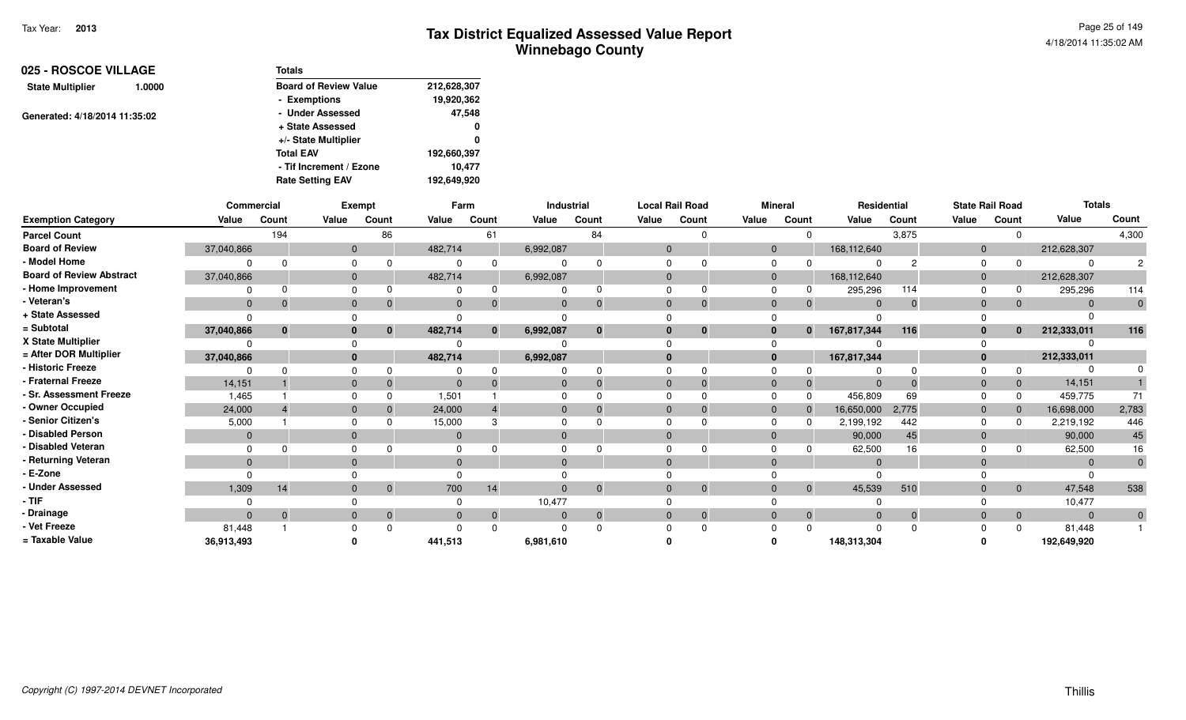| 025 - ROSCOE VILLAGE          |        | <b>Totals</b>                |             |
|-------------------------------|--------|------------------------------|-------------|
| <b>State Multiplier</b>       | 1.0000 | <b>Board of Review Value</b> | 212,628,307 |
|                               |        | - Exemptions                 | 19,920,362  |
| Generated: 4/18/2014 11:35:02 |        | - Under Assessed             | 47,548      |
|                               |        | + State Assessed             | 0           |
|                               |        | +/- State Multiplier         | 0           |
|                               |        | <b>Total EAV</b>             | 192,660,397 |
|                               |        | - Tif Increment / Ezone      | 10.477      |
|                               |        | <b>Rate Setting EAV</b>      | 192,649,920 |

|                                 | Commercial   |          |              | Exempt | Farm         |              |           | Industrial     |                | <b>Local Rail Road</b> |              | <b>Mineral</b> | Residential |          | <b>State Rail Road</b> |                | <b>Totals</b> |              |
|---------------------------------|--------------|----------|--------------|--------|--------------|--------------|-----------|----------------|----------------|------------------------|--------------|----------------|-------------|----------|------------------------|----------------|---------------|--------------|
| <b>Exemption Category</b>       | Value        | Count    | Value        | Count  | Value        | Count        | Value     | Count          | Value          | Count                  | Value        | Count          | Value       | Count    | Value                  | Count          | Value         | Count        |
| <b>Parcel Count</b>             |              | 194      |              | 86     |              | 61           |           | 84             |                |                        |              |                |             | 3,875    |                        |                |               | 4,300        |
| <b>Board of Review</b>          | 37,040,866   |          | $\mathbf 0$  |        | 482,714      |              | 6,992,087 |                | $\Omega$       |                        | $\mathbf{0}$ |                | 168,112,640 |          | $\overline{0}$         |                | 212,628,307   |              |
| - Model Home                    |              | $\Omega$ | $\Omega$     |        |              |              |           |                |                |                        | $\Omega$     |                |             |          | $\Omega$               |                |               |              |
| <b>Board of Review Abstract</b> | 37,040,866   |          | $\mathbf 0$  |        | 482,714      |              | 6,992,087 |                | $\Omega$       |                        | $\mathbf{0}$ |                | 168,112,640 |          | $\overline{0}$         |                | 212,628,307   |              |
| - Home Improvement              |              | $\Omega$ | $\Omega$     |        |              |              |           |                | $\Omega$       |                        | $\Omega$     |                | 295,296     | 114      | $\Omega$               |                | 295,296       | 114          |
| - Veteran's                     | $\mathbf{0}$ | $\Omega$ | $\mathbf{0}$ |        | $\Omega$     | $\Omega$     |           | $\Omega$       | $\mathbf{0}$   |                        | $\Omega$     | $\mathbf{0}$   | $\Omega$    | $\Omega$ | $\overline{0}$         | $\mathbf{0}$   |               |              |
| + State Assessed                |              |          |              |        |              |              |           |                |                |                        |              |                |             |          |                        |                |               |              |
| = Subtotal                      | 37,040,866   | $\bf{0}$ | $\bf{0}$     | 0      | 482,714      | $\mathbf{0}$ | 6,992,087 | $\bf{0}$       | $\bf{0}$       | 0                      | $\bf{0}$     | $\mathbf{0}$   | 167,817,344 | 116      | -0                     | 0              | 212,333,011   | 116          |
| X State Multiplier              |              |          | $\Omega$     |        |              |              |           |                |                |                        |              |                |             |          | $\Omega$               |                |               |              |
| = After DOR Multiplier          | 37,040,866   |          | $\mathbf{0}$ |        | 482,714      |              | 6,992,087 |                |                |                        | $\bf{0}$     |                | 167,817,344 |          | $\mathbf 0$            |                | 212,333,011   |              |
| - Historic Freeze               |              | $\Omega$ | $\Omega$     |        |              |              |           | $\cap$         |                |                        |              |                |             | $\Omega$ |                        |                |               |              |
| - Fraternal Freeze              | 14,151       |          | $\mathbf 0$  |        | $\Omega$     |              |           |                | $\Omega$       |                        | $\Omega$     | $\mathbf 0$    | $\Omega$    | $\Omega$ | $\Omega$               | $\overline{0}$ | 14,151        |              |
| - Sr. Assessment Freeze         | 1,465        |          | $\Omega$     |        | 1,501        |              |           |                |                |                        |              |                | 456,809     | 69       | $\cap$                 |                | 459,775       | 71           |
| - Owner Occupied                | 24,000       |          | $\mathbf{0}$ |        | 24,000       |              |           |                | $\Omega$       |                        |              | 0              | 16,650,000  | 2,775    | - 0                    |                | 16,698,000    | 2,783        |
| - Senior Citizen's              | 5,000        |          | $\Omega$     |        | 15,000       |              |           |                |                |                        |              |                | 2,199,192   | 442      | $\Omega$               |                | 2,219,192     | 446          |
| - Disabled Person               | $\mathbf{0}$ |          | $\mathbf{0}$ |        | $\mathbf{0}$ |              |           |                | $\Omega$       |                        | $\Omega$     |                | 90,000      | 45       | $\overline{0}$         |                | 90,000        | 45           |
| - Disabled Veteran              |              |          | $\Omega$     |        | $\Omega$     |              |           |                |                |                        | $\Omega$     |                | 62,500      | 16       |                        |                | 62,500        | 16           |
| - Returning Veteran             | $\Omega$     |          | $\mathbf{0}$ |        | $\Omega$     |              |           |                | $\Omega$       |                        | $\Omega$     |                |             |          | $\Omega$               |                |               |              |
| - E-Zone                        |              |          |              |        |              |              |           |                |                |                        |              |                |             |          |                        |                |               |              |
| - Under Assessed                | 1,309        | 14       | $\mathbf{0}$ |        | 700          | 14           |           | $\overline{0}$ | $\overline{0}$ | $\Omega$               | $\Omega$     | $\overline{0}$ | 45,539      | 510      | $\overline{0}$         | $\overline{0}$ | 47,548        | 538          |
| $-$ TIF                         |              |          |              |        |              |              | 10,477    |                |                |                        |              |                |             |          |                        |                | 10,477        |              |
| - Drainage                      | $\Omega$     | $\Omega$ | $\mathbf{0}$ |        | $\Omega$     | $\mathbf 0$  |           | $\Omega$       | $\mathbf{0}$   |                        | $\Omega$     | $\overline{0}$ | $\Omega$    | $\Omega$ | $\overline{0}$         | $\overline{0}$ | $\mathsf{C}$  | $\mathbf{0}$ |
| - Vet Freeze                    | 81,448       |          |              |        |              |              |           |                |                |                        |              |                |             |          |                        |                | 81,448        |              |
| = Taxable Value                 | 36,913,493   |          |              |        | 441,513      |              | 6,981,610 |                |                |                        |              |                | 148,313,304 |          |                        |                | 192,649,920   |              |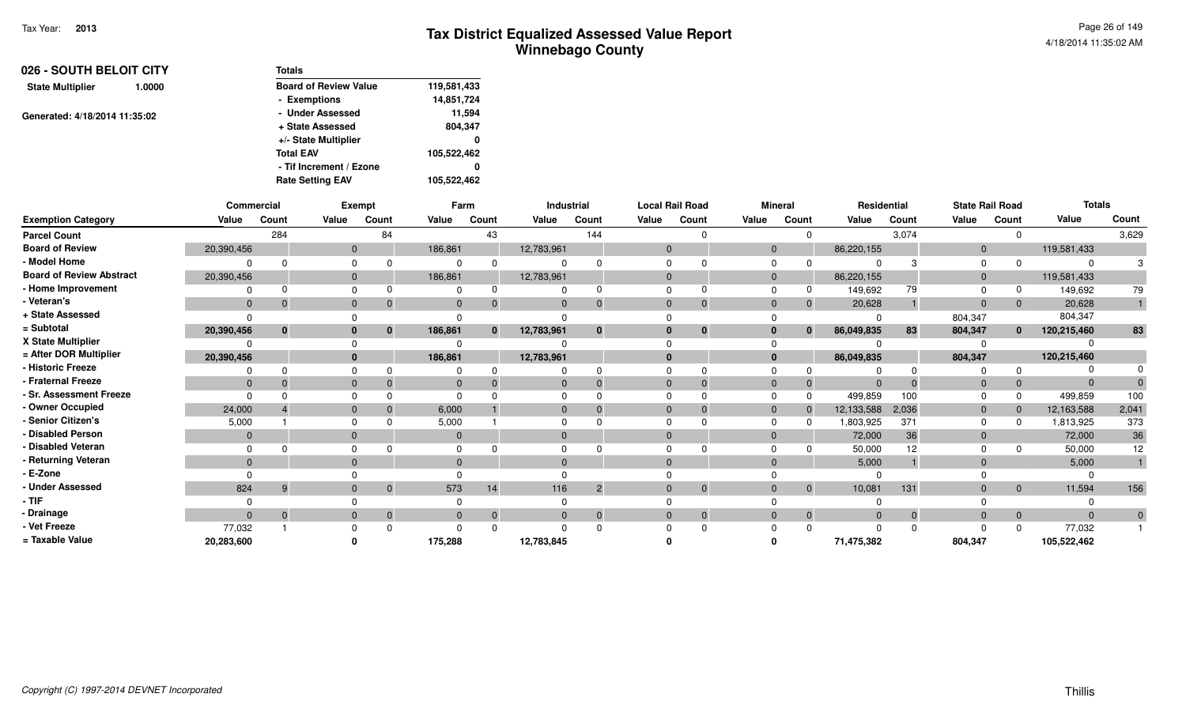| 026 - SOUTH BELOIT CITY           | <b>Totals</b>                |             |
|-----------------------------------|------------------------------|-------------|
| <b>State Multiplier</b><br>1.0000 | <b>Board of Review Value</b> | 119,581,433 |
|                                   | - Exemptions                 | 14,851,724  |
| Generated: 4/18/2014 11:35:02     | - Under Assessed             | 11.594      |
|                                   | + State Assessed             | 804,347     |
|                                   | +/- State Multiplier         | 0           |
|                                   | <b>Total EAV</b>             | 105,522,462 |
|                                   | - Tif Increment / Ezone      | 0           |
|                                   | <b>Rate Setting EAV</b>      | 105.522.462 |

|                                 | Commercial   |              |              | <b>Exempt</b> | Farm         |              |            | Industrial     |              | <b>Local Rail Road</b> |                | <b>Mineral</b> | Residential |       | <b>State Rail Road</b> |                | <b>Totals</b> |                |
|---------------------------------|--------------|--------------|--------------|---------------|--------------|--------------|------------|----------------|--------------|------------------------|----------------|----------------|-------------|-------|------------------------|----------------|---------------|----------------|
| <b>Exemption Category</b>       | Value        | Count        | Value        | Count         | Value        | Count        | Value      | Count          | Value        | Count                  | Value          | Count          | Value       | Count | Value                  | Count          | Value         | Count          |
| <b>Parcel Count</b>             |              | 284          |              | 84            |              | 43           |            | 144            |              |                        |                |                |             | 3,074 |                        | $\Omega$       |               | 3,629          |
| <b>Board of Review</b>          | 20,390,456   |              | $\mathbf{0}$ |               | 186,861      |              | 12,783,961 |                | $\mathbf{0}$ |                        | $\overline{0}$ |                | 86,220,155  |       | $\mathbf{0}$           |                | 119,581,433   |                |
| - Model Home                    |              |              | $\Omega$     |               |              | 0            |            |                | $\Omega$     |                        | $\Omega$       |                |             |       | $\Omega$               |                | $\Omega$      |                |
| <b>Board of Review Abstract</b> | 20,390,456   |              | $\Omega$     |               | 186,861      |              | 12,783,961 |                | $\Omega$     |                        | $\Omega$       |                | 86,220,155  |       | $\mathbf 0$            |                | 119,581,433   |                |
| - Home Improvement              |              |              | $\Omega$     |               |              |              |            |                | $\Omega$     |                        | $\Omega$       |                | 149,692     | 79    |                        |                | 149,692       | 79             |
| - Veteran's                     | $\mathbf{0}$ |              | $\Omega$     |               | $\mathbf{0}$ | $\Omega$     |            | $\overline{0}$ | $\mathbf{0}$ | $\Omega$               | $\Omega$       | 0              | 20,628      |       | $\Omega$               | $\overline{0}$ | 20,628        |                |
| + State Assessed                |              |              |              |               |              |              |            |                |              |                        |                |                |             |       | 804,347                |                | 804,347       |                |
| = Subtotal                      | 20,390,456   | $\mathbf{0}$ | $\bf{0}$     | $\bf{0}$      | 186,861      | $\mathbf{0}$ | 12,783,961 | $\bf{0}$       | $\bf{0}$     | 0                      | $\bf{0}$       |                | 86,049,835  | 83    | 804,347                | $\mathbf{0}$   | 120,215,460   | 83             |
| X State Multiplier              |              |              | $\Omega$     |               |              |              |            |                |              |                        |                |                |             |       |                        |                |               |                |
| = After DOR Multiplier          | 20,390,456   |              | $\bf{0}$     |               | 186,861      |              | 12,783,961 |                | $\Omega$     |                        |                |                | 86,049,835  |       | 804,347                |                | 120,215,460   |                |
| - Historic Freeze               |              |              |              |               |              |              |            | $\Omega$       |              |                        |                |                |             |       |                        |                |               |                |
| - Fraternal Freeze              | $\Omega$     |              | $\Omega$     |               |              |              |            | $\Omega$       | $\Omega$     |                        | $\Omega$       |                | $\Omega$    |       |                        | $\mathbf{0}$   | $\Omega$      |                |
| - Sr. Assessment Freeze         |              |              |              |               |              |              |            |                |              |                        |                |                | 499,859     | 100   |                        |                | 499,859       | 100            |
| - Owner Occupied                | 24,000       |              | $\mathbf{0}$ |               | 6,000        |              |            |                | $\Omega$     |                        | $\Omega$       |                | 12,133,588  | 2,036 | $\mathbf 0$            |                | 12,163,588    | 2,041          |
| - Senior Citizen's              | 5,000        |              |              |               | 5,000        |              |            |                |              |                        | $\Omega$       |                | 1,803,925   | 371   | $\Omega$               |                | 1,813,925     | 373            |
| - Disabled Person               | $\Omega$     |              | $\Omega$     |               |              |              |            |                | $\Omega$     |                        | $\Omega$       |                | 72,000      | 36    | $\Omega$               |                | 72,000        | 36             |
| - Disabled Veteran              |              |              |              |               |              |              |            |                |              |                        | ∩              |                | 50,000      | 12    |                        |                | 50,000        | 12             |
| - Returning Veteran             | $\Omega$     |              | $\Omega$     |               |              |              |            |                | $\Omega$     |                        | $\Omega$       |                | 5,000       |       |                        |                | 5,000         |                |
| - E-Zone                        |              |              |              |               |              |              |            |                |              |                        |                |                |             |       |                        |                |               |                |
| - Under Assessed                | 824          | 9            | $\Omega$     |               | 573          | 14           | 116        | $\overline{2}$ | $\Omega$     | $\Omega$               |                | $\mathbf{0}$   | 10,081      | 131   | $\Omega$               | $\overline{0}$ | 11,594        | 156            |
| - TIF                           |              |              |              |               |              |              |            |                |              |                        |                |                |             |       |                        |                |               |                |
| - Drainage                      |              | $\Omega$     | $\Omega$     |               |              | $\mathbf{0}$ |            | $\mathbf{0}$   | $\Omega$     | $\Omega$               | $\Omega$       |                | $\Omega$    |       | $\Omega$               | $\overline{0}$ | $\Omega$      | $\overline{0}$ |
| - Vet Freeze                    | 77,032       |              |              |               |              | <sup>0</sup> |            |                |              |                        |                |                | $\Omega$    |       |                        | $\Omega$       | 77,032        |                |
| = Taxable Value                 | 20,283,600   |              |              |               | 175,288      |              | 12,783,845 |                |              |                        |                |                | 71,475,382  |       | 804,347                |                | 105,522,462   |                |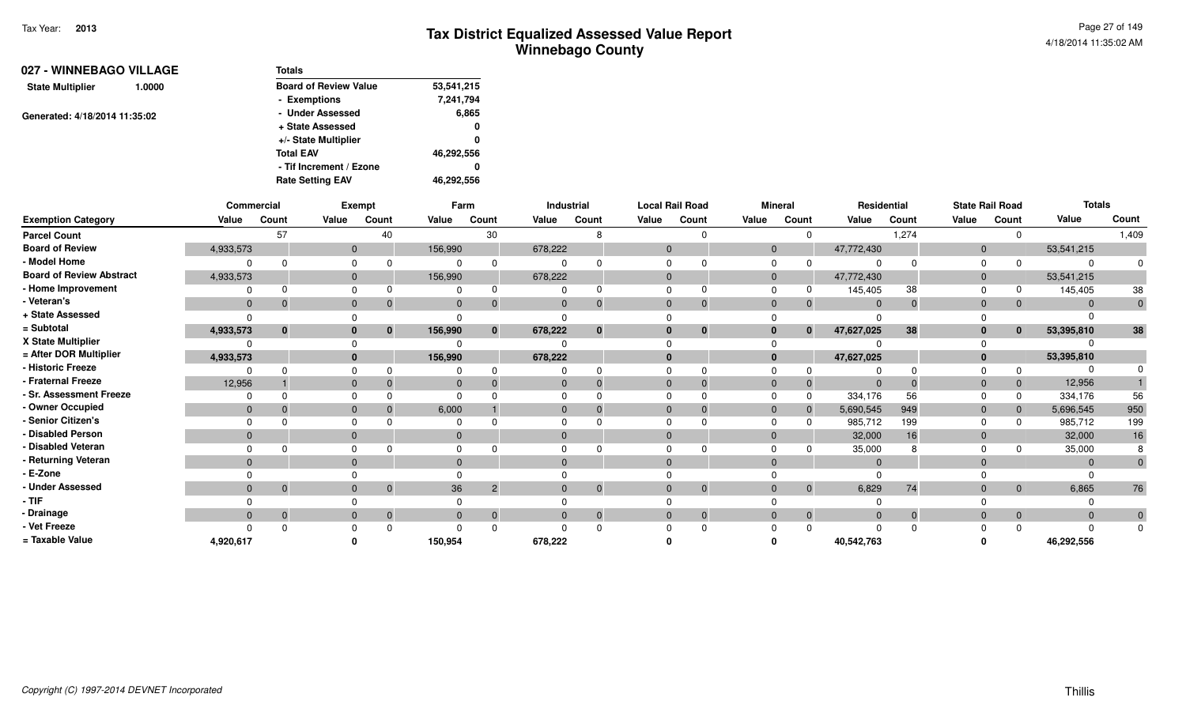| 027 - WINNEBAGO VILLAGE<br>1.0000 | <b>Totals</b>                |            |
|-----------------------------------|------------------------------|------------|
| <b>State Multiplier</b>           | <b>Board of Review Value</b> | 53,541,215 |
|                                   | - Exemptions                 | 7,241,794  |
| Generated: 4/18/2014 11:35:02     | - Under Assessed             | 6,865      |
|                                   | + State Assessed             | 0          |
|                                   | +/- State Multiplier         | 0          |
|                                   | <b>Total EAV</b>             | 46,292,556 |
|                                   | - Tif Increment / Ezone      | 0          |
|                                   | <b>Rate Setting EAV</b>      | 46.292.556 |

|                                 | Commercial   |          |       | Exempt         |          | Farm           |          | Industrial  |          | <b>Local Rail Road</b> |                | <b>Mineral</b> | Residential |       |              | <b>State Rail Road</b> | <b>Totals</b> |                |
|---------------------------------|--------------|----------|-------|----------------|----------|----------------|----------|-------------|----------|------------------------|----------------|----------------|-------------|-------|--------------|------------------------|---------------|----------------|
| <b>Exemption Category</b>       | Value        | Count    | Value | Count          | Value    | Count          | Value    | Count       | Value    | Count                  | Value          | Count          | Value       | Count | Value        | Count                  | Value         | Count          |
| <b>Parcel Count</b>             |              | 57       |       | 40             |          | 30             |          |             |          |                        |                |                |             | 1,274 |              | $\Omega$               |               | 1,409          |
| <b>Board of Review</b>          | 4,933,573    |          | 0     |                | 156,990  |                | 678,222  |             | $\Omega$ |                        | $\mathbf{0}$   |                | 47,772,430  |       | $\mathbf{0}$ |                        | 53,541,215    |                |
| - Model Home                    |              |          |       | <sup>0</sup>   |          |                |          |             |          |                        |                |                | $\Omega$    |       | $\Omega$     |                        |               |                |
| <b>Board of Review Abstract</b> | 4,933,573    |          |       |                | 156,990  |                | 678,222  |             |          |                        | $\overline{0}$ |                | 47,772,430  |       | $\mathbf 0$  |                        | 53,541,215    |                |
| - Home Improvement              |              |          |       |                |          |                |          |             |          |                        |                |                | 145,405     | 38    |              |                        | 145,405       | 38             |
| - Veteran's                     | $\mathbf{0}$ |          |       | $\overline{0}$ | $\Omega$ |                | $\Omega$ |             | $\Omega$ | $\Omega$               | $\Omega$       |                | $\Omega$    |       | $\Omega$     | $\mathbf{0}$           | $\Omega$      |                |
| + State Assessed                | n            |          |       |                |          |                |          |             |          |                        |                |                | $\Omega$    |       |              |                        |               |                |
| = Subtotal                      | 4,933,573    | $\bf{0}$ |       | $\bf{0}$       | 156,990  | $\bf{0}$       | 678,222  | $\bf{0}$    |          | $\bf{0}$               |                |                | 47,627,025  | 38    | 0            | $\mathbf{0}$           | 53,395,810    | 38             |
| X State Multiplier              |              |          |       |                |          |                |          |             |          |                        |                |                |             |       |              |                        |               |                |
| = After DOR Multiplier          | 4,933,573    |          |       |                | 156,990  |                | 678,222  |             |          |                        | $\mathbf{0}$   |                | 47,627,025  |       |              |                        | 53,395,810    |                |
| - Historic Freeze               |              |          |       |                |          |                |          |             |          |                        |                |                |             |       |              |                        |               |                |
| - Fraternal Freeze              | 12,956       |          |       | $\Omega$       |          |                | $\Omega$ |             | $\Omega$ | $\Omega$               | $\Omega$       |                | $\Omega$    |       |              | $\mathbf{0}$           | 12,956        |                |
| - Sr. Assessment Freeze         |              |          |       |                |          |                |          |             |          |                        |                |                | 334,176     | 56    |              | <sup>0</sup>           | 334,176       | 56             |
| - Owner Occupied                | $\Omega$     |          |       | $\Omega$       | 6,000    |                |          |             |          |                        | $\Omega$       |                | 5,690,545   | 949   | $\mathbf{0}$ | $\mathbf{0}$           | 5,696,545     | 950            |
| - Senior Citizen's              |              |          |       |                |          |                |          |             |          |                        |                |                | 985,712     | 199   |              |                        | 985,712       | 199            |
| - Disabled Person               | $\Omega$     |          |       |                |          |                | $\Omega$ |             |          |                        | $\Omega$       |                | 32,000      | 16    |              |                        | 32,000        | 16             |
| - Disabled Veteran              |              |          |       |                |          |                |          |             |          |                        |                |                | 35,000      |       |              |                        | 35,000        |                |
| - Returning Veteran             | $\Omega$     |          |       |                |          |                | $\Omega$ |             |          |                        | $\Omega$       |                | $\Omega$    |       |              |                        | $\Omega$      | $\overline{0}$ |
| - E-Zone                        |              |          |       |                |          |                |          |             |          |                        |                |                |             |       |              |                        |               |                |
| - Under Assessed                | $\Omega$     | $\Omega$ |       | $\overline{0}$ | 36       | $\overline{2}$ | $\Omega$ | $\Omega$    | $\Omega$ | $\Omega$               | $\Omega$       | $\mathbf{0}$   | 6,829       | 74    | $\Omega$     | $\mathbf{0}$           | 6,865         | 76             |
| - TIF                           |              |          |       |                |          |                |          |             |          |                        |                |                |             |       |              |                        |               |                |
| - Drainage                      | $\mathbf{0}$ |          |       | $\overline{0}$ |          | $\mathbf 0$    | $\Omega$ | $\mathbf 0$ | $\Omega$ | $\mathbf{0}$           | $\Omega$       |                | $\Omega$    |       | $\Omega$     | $\mathbf{0}$           | $\mathbf{0}$  | $\mathbf{0}$   |
| - Vet Freeze                    |              |          |       |                |          |                |          |             |          |                        |                |                | $\Omega$    |       |              |                        | $\Omega$      | $\mathbf{0}$   |
| = Taxable Value                 | 4,920,617    |          |       |                | 150,954  |                | 678,222  |             |          |                        |                |                | 40,542,763  |       |              |                        | 46,292,556    |                |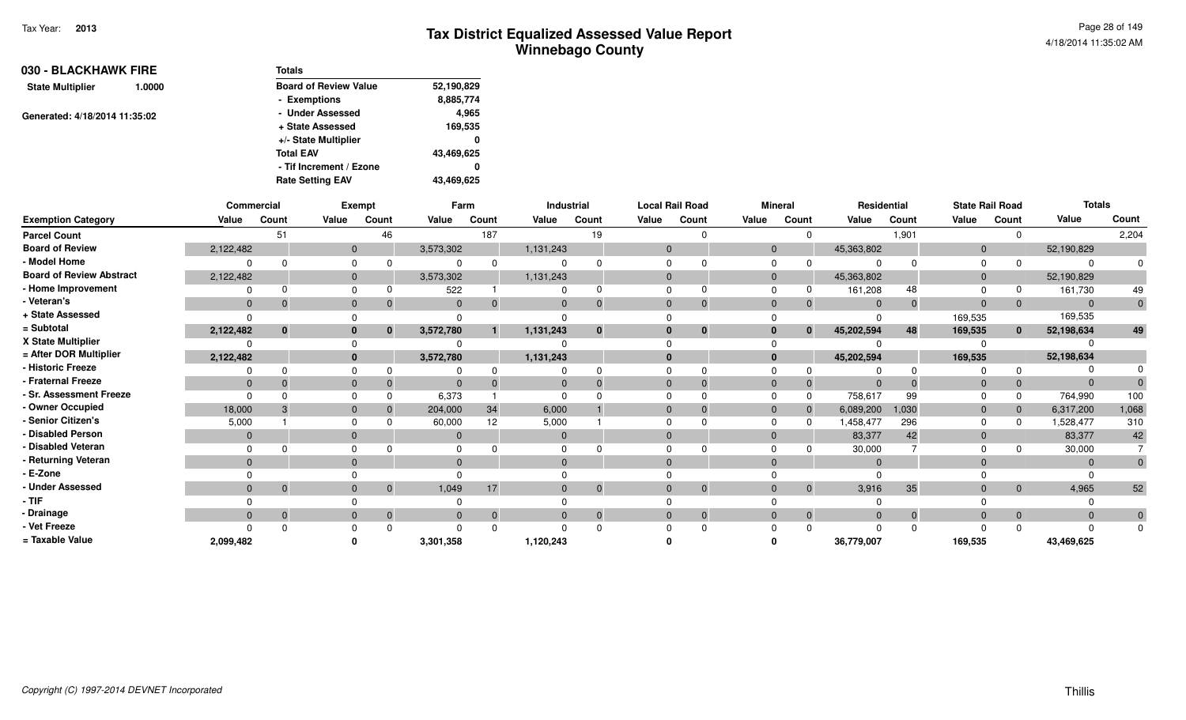|                         | 030 - BLACKHAWK FIRE<br>1.0000<br>Generated: 4/18/2014 11:35:02 | <b>Totals</b>                |            |  |  |  |  |  |  |  |
|-------------------------|-----------------------------------------------------------------|------------------------------|------------|--|--|--|--|--|--|--|
| <b>State Multiplier</b> |                                                                 | <b>Board of Review Value</b> | 52,190,829 |  |  |  |  |  |  |  |
|                         |                                                                 | - Exemptions                 | 8,885,774  |  |  |  |  |  |  |  |
|                         |                                                                 | - Under Assessed             | 4,965      |  |  |  |  |  |  |  |
|                         |                                                                 | + State Assessed             | 169,535    |  |  |  |  |  |  |  |
|                         |                                                                 | +/- State Multiplier         | 0          |  |  |  |  |  |  |  |
|                         |                                                                 | <b>Total EAV</b>             | 43,469,625 |  |  |  |  |  |  |  |
|                         |                                                                 | - Tif Increment / Ezone      | 0          |  |  |  |  |  |  |  |
|                         |                                                                 | <b>Rate Setting EAV</b>      | 43,469,625 |  |  |  |  |  |  |  |

|                                 | Commercial   |              |              | <b>Exempt</b> | Farm         |          |           | Industrial   |          | <b>Local Rail Road</b> |                | <b>Mineral</b> | Residential |       | <b>State Rail Road</b> |                | <b>Totals</b>  |                |
|---------------------------------|--------------|--------------|--------------|---------------|--------------|----------|-----------|--------------|----------|------------------------|----------------|----------------|-------------|-------|------------------------|----------------|----------------|----------------|
| <b>Exemption Category</b>       | Value        | Count        | Value        | Count         | Value        | Count    | Value     | Count        | Value    | Count                  | Value          | Count          | Value       | Count | Value                  | Count          | Value          | Count          |
| <b>Parcel Count</b>             |              | 51           |              | 46            |              | 187      |           | 19           |          |                        |                |                |             | 1,901 |                        | $\Omega$       |                | 2,204          |
| <b>Board of Review</b>          | 2,122,482    |              | $\mathbf{0}$ |               | 3,573,302    |          | 1,131,243 |              | $\Omega$ |                        | $\overline{0}$ |                | 45,363,802  |       | $\mathbf{0}$           |                | 52,190,829     |                |
| - Model Home                    |              |              |              |               |              |          |           |              |          |                        | $\Omega$       |                | $\Omega$    |       | $\Omega$               |                | $\Omega$       |                |
| <b>Board of Review Abstract</b> | 2,122,482    |              | $\Omega$     |               | 3,573,302    |          | 1,131,243 |              | $\Omega$ |                        | $\overline{0}$ |                | 45,363,802  |       | $\mathbf 0$            |                | 52,190,829     |                |
| - Home Improvement              |              |              |              |               | 522          |          |           |              |          |                        | $\Omega$       |                | 161,208     |       |                        |                | 161,730        | 49             |
| - Veteran's                     | $\mathbf{0}$ | $\Omega$     |              | $\Omega$      | $\mathbf{0}$ |          | $\Omega$  | $\mathbf{0}$ | $\Omega$ | $\Omega$               | $\Omega$       |                | $\Omega$    |       | $\Omega$               | $\overline{0}$ | $\overline{0}$ | $\mathbf{0}$   |
| + State Assessed                |              |              |              |               |              |          |           |              |          |                        |                |                | $\Omega$    |       | 169,535                |                | 169,535        |                |
| = Subtotal                      | 2,122,482    | $\mathbf{0}$ |              | $\bf{0}$      | 3,572,780    |          | 1,131,243 | $\bf{0}$     |          | $\bf{0}$               | 0              |                | 45,202,594  | 48    | 169,535                | $\mathbf{0}$   | 52,198,634     | 49             |
| X State Multiplier              |              |              |              |               |              |          |           |              |          |                        |                |                |             |       |                        |                |                |                |
| = After DOR Multiplier          | 2,122,482    |              |              |               | 3,572,780    |          | 1,131,243 |              |          |                        | $\mathbf{0}$   |                | 45,202,594  |       | 169,535                |                | 52,198,634     |                |
| - Historic Freeze               |              | ŋ            |              |               |              |          |           |              |          |                        |                |                | $\Omega$    |       |                        |                |                |                |
| - Fraternal Freeze              | $\Omega$     |              |              |               | $\mathbf{0}$ |          |           |              | $\Omega$ | $\Omega$               | $\Omega$       |                | $\Omega$    |       |                        | $\mathbf{0}$   | $\Omega$       |                |
| - Sr. Assessment Freeze         |              |              |              |               | 6,373        |          |           |              |          |                        |                |                | 758,617     | 99    |                        |                | 764,990        | 100            |
| - Owner Occupied                | 18,000       |              |              |               | 204,000      | 34       | 6,000     |              |          |                        | $\overline{0}$ |                | 6,089,200   | 1,030 | $\mathbf{0}$           |                | 6,317,200      | 1,068          |
| - Senior Citizen's              | 5,000        |              |              |               | 60,000       | 12       | 5,000     |              |          |                        | $\Omega$       |                | 1,458,477   | 296   |                        |                | 1,528,477      | 310            |
| - Disabled Person               | $\Omega$     |              |              |               | $\Omega$     |          | $\Omega$  |              |          |                        | $\Omega$       |                | 83,377      | 42    |                        |                | 83,377         | 42             |
| - Disabled Veteran              |              |              |              |               |              |          |           |              |          |                        |                |                | 30,000      |       |                        |                | 30,000         |                |
| - Returning Veteran             | $\Omega$     |              | $\Omega$     |               | $\Omega$     |          | $\Omega$  |              | $\Omega$ |                        | $\Omega$       |                | $\Omega$    |       |                        |                | $\Omega$       | $\overline{0}$ |
| - E-Zone                        |              |              |              |               |              |          |           |              |          |                        |                |                |             |       |                        |                |                |                |
| - Under Assessed                | $\Omega$     | $\Omega$     |              | $\Omega$      | 1,049        | 17       |           | $\mathbf 0$  | $\Omega$ | $\Omega$               | $\Omega$       |                | 3,916       | 35    |                        | $\mathbf{0}$   | 4,965          | 52             |
| - TIF                           |              |              |              |               |              |          |           |              |          |                        |                |                |             |       |                        |                |                |                |
| - Drainage                      | $\mathbf{0}$ | $\mathbf{0}$ |              | $\Omega$      | $\Omega$     | $\Omega$ | $\Omega$  | $\mathbf 0$  |          | $\Omega$               | $\Omega$       |                | $\Omega$    |       | $\Omega$               | $\mathbf{0}$   | $\Omega$       | $\mathbf{0}$   |
| - Vet Freeze                    |              | ŋ            |              |               |              |          |           |              |          | $\Omega$               |                |                | $\Omega$    |       |                        |                | $\Omega$       | $\Omega$       |
| = Taxable Value                 | 2,099,482    |              |              |               | 3,301,358    |          | 1,120,243 |              |          |                        |                |                | 36,779,007  |       | 169,535                |                | 43,469,625     |                |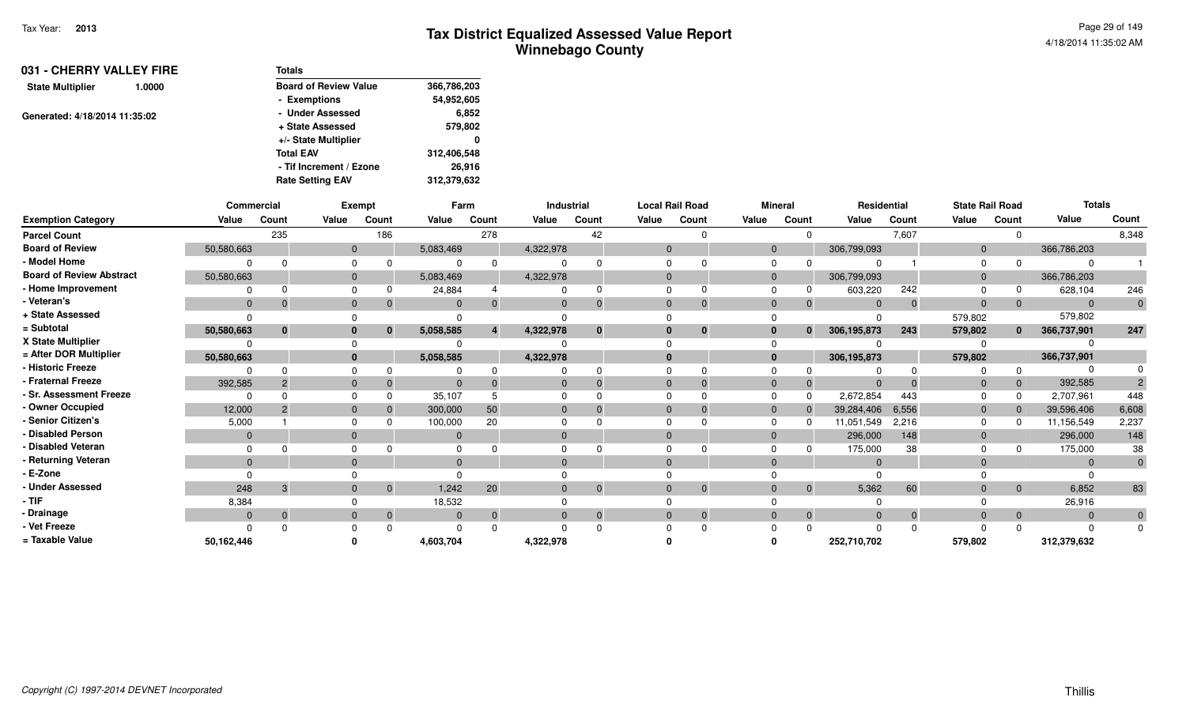| Totals                       |             |
|------------------------------|-------------|
| <b>Board of Review Value</b> | 366,786,203 |
| - Exemptions                 | 54,952,605  |
| - Under Assessed             | 6,852       |
| + State Assessed             | 579,802     |
| +/- State Multiplier         | 0           |
| <b>Total EAV</b>             | 312,406,548 |
| - Tif Increment / Ezone      | 26.916      |
| <b>Rate Setting EAV</b>      | 312,379,632 |
|                              |             |

|                                 | Commercial     |                |          | <b>Exempt</b>              |                | Farm     |                | <b>Industrial</b> |              | <b>Local Rail Road</b> |                | <b>Mineral</b> | Residential |                |              | <b>State Rail Road</b> | <b>Totals</b>  |              |
|---------------------------------|----------------|----------------|----------|----------------------------|----------------|----------|----------------|-------------------|--------------|------------------------|----------------|----------------|-------------|----------------|--------------|------------------------|----------------|--------------|
| <b>Exemption Category</b>       | Value          | Count          | Value    | Count                      | Value          | Count    | Value          | Count             | Value        | Count                  | Value          | Count          | Value       | Count          | Value        | Count                  | Value          | Count        |
| <b>Parcel Count</b>             |                | 235            |          | 186                        |                | 278      |                | 42                |              |                        |                | $\Omega$       |             | 7,607          |              | $\Omega$               |                | 8,348        |
| <b>Board of Review</b>          | 50,580,663     |                |          | $\mathbf 0$                | 5,083,469      |          | 4,322,978      |                   | $\mathbf{0}$ |                        | $\overline{0}$ |                | 306,799,093 |                | $\mathbf{0}$ |                        | 366,786,203    |              |
| - Model Home                    | $\Omega$       |                |          | $\Omega$                   |                | $\Omega$ | $\Omega$       |                   | $\Omega$     |                        | $\Omega$       |                |             |                | 0            |                        |                |              |
| <b>Board of Review Abstract</b> | 50,580,663     |                |          | $\overline{0}$             | 5,083,469      |          | 4,322,978      |                   | $\Omega$     |                        | $\overline{0}$ |                | 306,799,093 |                | $\mathbf{0}$ |                        | 366,786,203    |              |
| - Home Improvement              | $\Omega$       |                |          | $\Omega$                   | 24,884         |          | 0              |                   |              |                        |                |                | 603,220     | 242            | 0            |                        | 628,104        | 246          |
| - Veteran's                     | $\overline{0}$ | $\Omega$       |          | $\mathbf{0}$               | $\Omega$       | $\Omega$ | $\mathbf{0}$   | $\Omega$          | $\Omega$     |                        | $\mathbf{0}$   |                | $\Omega$    | $\overline{0}$ | $\mathbf{0}$ | $\overline{0}$         | $\overline{0}$ | $\mathbf{0}$ |
| + State Assessed                | $\Omega$       |                |          | $\Omega$                   |                |          |                |                   |              |                        |                |                |             |                | 579,802      |                        | 579,802        |              |
| = Subtotal                      | 50,580,663     | $\bf{0}$       |          | $\mathbf{0}$               | 5,058,585      | 4        | 4,322,978      | $\bf{0}$          | $\bf{0}$     | $\bf{0}$               |                | $\bf{0}$       | 306,195,873 | 243            | 579,802      | $\mathbf{0}$           | 366,737,901    | 247          |
| X State Multiplier              |                |                |          | $\mathbf 0$                |                |          |                |                   |              |                        |                |                |             |                |              |                        |                |              |
| = After DOR Multiplier          | 50,580,663     |                |          | $\mathbf{0}$               | 5,058,585      |          | 4,322,978      |                   | $\mathbf{0}$ |                        | $\mathbf{0}$   |                | 306,195,873 |                | 579,802      |                        | 366,737,901    |              |
| - Historic Freeze               | $\Omega$       |                |          | $\Omega$                   |                | $\Omega$ | $\Omega$       |                   |              |                        |                |                |             | O              |              |                        |                | $\Omega$     |
| - Fraternal Freeze              | 392,585        |                |          | $\mathbf 0$                | $\Omega$       | $\Omega$ | $\overline{0}$ |                   | $\mathbf{0}$ |                        | $\mathbf{0}$   |                | $\Omega$    |                | $\mathbf{0}$ |                        | 392,585        |              |
| - Sr. Assessment Freeze         | $\Omega$       |                |          | $\Omega$                   | 35,107         |          | $\Omega$       |                   |              |                        |                |                | 2,672,854   | 443            |              | $\Omega$               | 2,707,961      | 448          |
| - Owner Occupied                | 12,000         |                |          | $\mathbf 0$                | 300,000        | 50       | $\mathbf{0}$   |                   | $\mathbf{0}$ |                        | $\mathbf{0}$   |                | 39,284,406  | 6,556          | $\mathbf{0}$ | $\mathbf{0}$           | 39,596,406     | 6,608        |
| - Senior Citizen's              | 5,000          |                |          | $\Omega$                   | 100,000        | 20       | $\Omega$       |                   |              |                        | $\Omega$       |                | 11,051,549  | 2,216          | 0            | $\Omega$               | 11,156,549     | 2,237        |
| - Disabled Person               | $\Omega$       |                |          | $\mathbf{0}$               | $\mathbf{0}$   |          | $\mathbf{0}$   |                   | $\Omega$     |                        | $\mathbf{0}$   |                | 296,000     | 148            | $\mathbf{0}$ |                        | 296,000        | 148          |
| - Disabled Veteran              | $\Omega$       |                | $\Omega$ |                            |                |          | $\Omega$       |                   |              |                        | $\Omega$       |                | 175,000     | 38             |              |                        | 175,000        | 38           |
| - Returning Veteran             | $\Omega$       |                |          | $\mathbf{0}$               | $\Omega$       |          | $\mathbf{0}$   |                   | $\Omega$     |                        | $\Omega$       |                | $\Omega$    |                | $\Omega$     |                        | $\Omega$       | $\mathbf{0}$ |
| - E-Zone                        |                |                |          |                            |                |          |                |                   |              |                        |                |                |             |                |              |                        |                |              |
| - Under Assessed                | 248            | 3              |          | $\overline{0}$<br>$\Omega$ | 1,242          | 20       | $\mathbf{0}$   | $\Omega$          | $\Omega$     | $\Omega$               | $\Omega$       | $\mathbf{0}$   | 5,362       | 60             | $\Omega$     | $\overline{0}$         | 6,852          | 83           |
| - TIF                           | 8,384          |                |          | 0                          | 18,532         |          | $\Omega$       |                   |              |                        |                |                |             |                |              |                        | 26,916         |              |
| - Drainage                      | $\Omega$       | $\overline{0}$ |          | $\mathbf{0}$               | $\overline{0}$ | $\Omega$ | $\mathbf{0}$   | $\mathbf{0}$      | $\mathbf{0}$ | 0                      | $\mathbf{0}$   |                | $\Omega$    | $\mathbf{0}$   | $\mathbf{0}$ | $\overline{0}$         | $\Omega$       | $\mathbf{0}$ |
| - Vet Freeze                    | $\Omega$       |                |          | $\Omega$                   | O              | $\Omega$ | $\Omega$       |                   |              |                        |                |                |             | $\Omega$       |              |                        |                | $\Omega$     |
| = Taxable Value                 | 50,162,446     |                |          |                            | 4,603,704      |          | 4,322,978      |                   |              |                        |                |                | 252,710,702 |                | 579,802      |                        | 312,379,632    |              |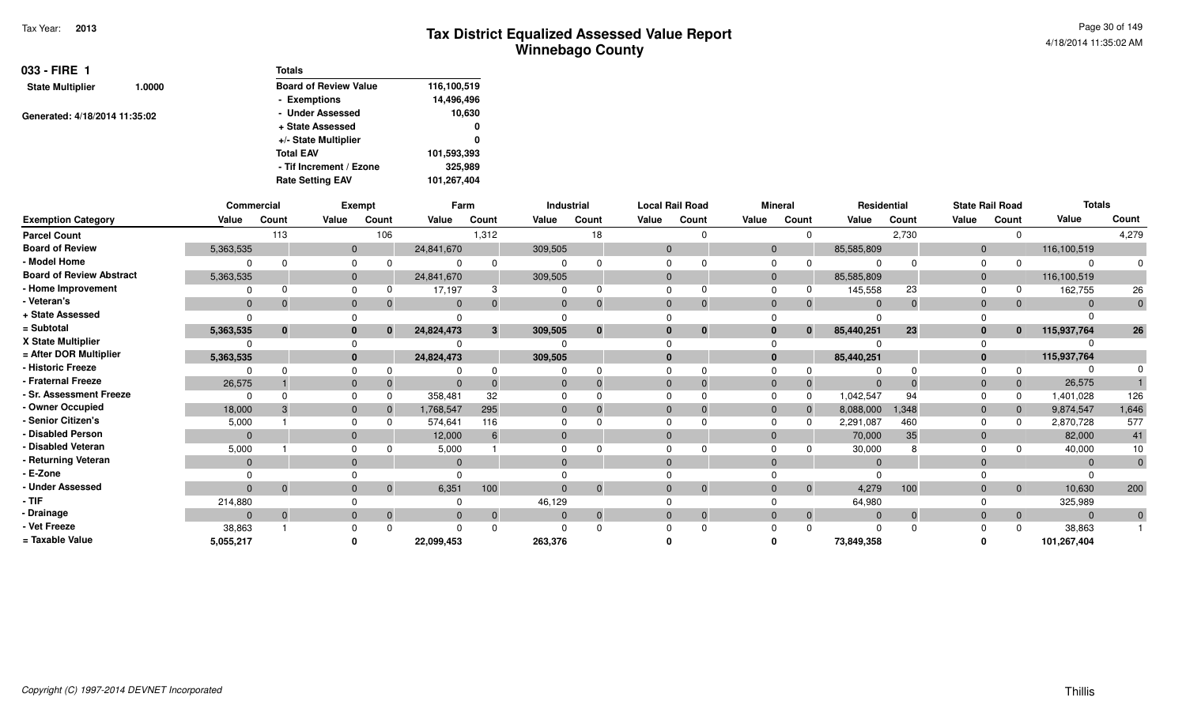| $033 - FIRE$ 1                    | <b>Totals</b>                               |
|-----------------------------------|---------------------------------------------|
| <b>State Multiplier</b><br>1.0000 | <b>Board of Review Value</b><br>116,100,519 |
|                                   | 14,496,496<br>- Exemptions                  |
| Generated: 4/18/2014 11:35:02     | - Under Assessed<br>10,630                  |
|                                   | + State Assessed<br>0                       |
|                                   | +/- State Multiplier<br>0                   |
|                                   | <b>Total EAV</b><br>101,593,393             |
|                                   | - Tif Increment / Ezone<br>325,989          |
|                                   | 101,267,404<br><b>Rate Setting EAV</b>      |

|                                 |                | Commercial |              | <b>Exempt</b> |              | Farm     |              | <b>Industrial</b> |          | <b>Local Rail Road</b> |       | <b>Mineral</b> |                | Residential  |              |       | <b>State Rail Road</b>         | <b>Totals</b> |              |
|---------------------------------|----------------|------------|--------------|---------------|--------------|----------|--------------|-------------------|----------|------------------------|-------|----------------|----------------|--------------|--------------|-------|--------------------------------|---------------|--------------|
| <b>Exemption Category</b>       | Value          | Count      | Value        | Count         | Value        | Count    | Value        | Count             | Value    | Count                  | Value | Count          |                | Value        | Count        | Value | Count                          | Value         | Count        |
| <b>Parcel Count</b>             |                | 113        |              | 106           |              | 1,312    |              | 18                |          |                        |       |                | 0              |              | 2,730        |       | $\Omega$                       |               | 4,279        |
| <b>Board of Review</b>          | 5,363,535      |            | $\mathbf 0$  |               | 24,841,670   |          | 309,505      |                   | $\Omega$ |                        |       | $\mathbf 0$    |                | 85,585,809   |              |       | $\mathbf{0}$                   | 116,100,519   |              |
| - Model Home                    |                | $\Omega$   | $\mathbf 0$  | $\Omega$      | $\Omega$     |          |              |                   |          |                        |       | $\Omega$       |                | $\Omega$     |              |       | 0                              |               | $\Omega$     |
| <b>Board of Review Abstract</b> | 5,363,535      |            | $\mathbf 0$  |               | 24,841,670   |          | 309,505      |                   |          |                        |       | $\mathbf{0}$   |                | 85,585,809   |              |       | $\mathbf{0}$                   | 116,100,519   |              |
| - Home Improvement              |                |            | $\Omega$     |               | 17,197       | З        |              |                   |          |                        |       | $\Omega$       |                | 145,558      | 23           |       |                                | 162,755       | 26           |
| - Veteran's                     | $\mathbf{0}$   | $\Omega$   | $\mathbf{0}$ | $\Omega$      | $\mathbf{0}$ | $\Omega$ | $\Omega$     |                   | $\Omega$ |                        |       | $\mathbf{0}$   | $\Omega$       | $\mathbf{0}$ | $\Omega$     |       | $\overline{0}$<br>$\mathbf{0}$ | $\Omega$      | $\mathbf{0}$ |
| + State Assessed                | U              |            |              |               | $\Omega$     |          |              |                   |          |                        |       |                |                |              |              |       |                                |               |              |
| = Subtotal                      | 5,363,535      | $\bf{0}$   | $\mathbf{0}$ | $\bf{0}$      | 24,824,473   | 3        | 309,505      | $\bf{0}$          |          | $\bf{0}$               |       | $\bf{0}$       | $\bf{0}$       | 85,440,251   | 23           |       | $\mathbf{0}$                   | 115,937,764   | 26           |
| X State Multiplier              |                |            | $\Omega$     |               |              |          |              |                   |          |                        |       | $\Omega$       |                |              |              |       |                                |               |              |
| = After DOR Multiplier          | 5,363,535      |            | $\mathbf{0}$ |               | 24,824,473   |          | 309,505      |                   |          |                        |       | $\mathbf{0}$   |                | 85,440,251   |              |       | $\bf{0}$                       | 115,937,764   |              |
| - Historic Freeze               |                | $\Omega$   | $\Omega$     |               | $\Omega$     |          |              |                   |          |                        |       |                |                |              |              |       |                                |               |              |
| - Fraternal Freeze              | 26,575         |            | $\mathbf{0}$ | $\Omega$      | $\Omega$     |          | $\mathbf{0}$ |                   |          |                        |       | $\mathbf{0}$   |                | $\Omega$     |              |       | $\mathbf 0$<br>$\mathbf{0}$    | 26,575        |              |
| - Sr. Assessment Freeze         |                |            |              |               | 358,481      | 32       |              |                   |          |                        |       |                |                | 1,042,547    | 94           |       | $\Omega$                       | 1,401,028     | 126          |
| - Owner Occupied                | 18,000         |            | $\mathbf{0}$ | $\Omega$      | 1,768,547    | 295      | $\mathbf{0}$ |                   |          |                        |       | $\mathbf 0$    |                | 8,088,000    | 1,348        |       | $\mathbf{0}$<br>$\mathbf{0}$   | 9,874,547     | 1,646        |
| - Senior Citizen's              | 5,000          |            | $\mathbf 0$  |               | 574,641      | 116      |              |                   |          |                        |       | $\Omega$       |                | 2,291,087    | 460          |       | 0<br>$\Omega$                  | 2,870,728     | 577          |
| - Disabled Person               | $\overline{0}$ |            | $\mathbf{0}$ |               | 12,000       |          | $\mathbf{0}$ |                   | $\Omega$ |                        |       | $\mathbf{0}$   |                | 70,000       | 35           |       | $\Omega$                       | 82,000        | 41           |
| - Disabled Veteran              | 5,000          |            |              |               | 5,000        |          |              |                   |          |                        |       |                |                | 30,000       |              |       |                                | 40,000        | 10           |
| - Returning Veteran             | $\Omega$       |            | $\mathbf{0}$ |               | $\Omega$     |          | $\Omega$     |                   |          |                        |       | $\Omega$       |                | $\Omega$     |              |       | $\Omega$                       | $\Omega$      | $\mathbf{0}$ |
| - E-Zone                        |                |            |              |               |              |          |              |                   |          |                        |       |                |                |              |              |       |                                |               |              |
| <b>Under Assessed</b>           | $\Omega$       | $\Omega$   | $\mathbf{0}$ | $\mathbf{0}$  | 6,351        | 100      | $\Omega$     |                   |          | $\mathbf 0$            |       | $\mathbf{0}$   | $\mathbf{0}$   | 4,279        | 100          |       | $\overline{0}$<br>$\mathbf{0}$ | 10,630        | 200          |
| - TIF                           | 214,880        |            |              |               | $\Omega$     |          | 46,129       |                   |          |                        |       |                |                | 64,980       |              |       |                                | 325,989       |              |
| - Drainage                      | $\mathbf{0}$   | $\Omega$   | $\mathbf{0}$ | $\mathbf{0}$  | $\mathbf 0$  | $\Omega$ | $\mathbf{0}$ | $\Omega$          | $\Omega$ | $\Omega$               |       | $\mathbf 0$    | $\overline{0}$ | $\Omega$     | $\mathbf{0}$ |       | $\mathbf{0}$<br>$\mathbf{0}$   | $\Omega$      | $\Omega$     |
| - Vet Freeze                    | 38,863         |            |              | $\Omega$      | $\Omega$     |          |              |                   |          |                        |       |                |                | $\Omega$     |              |       |                                | 38,863        |              |
| = Taxable Value                 | 5,055,217      |            |              |               | 22,099,453   |          | 263,376      |                   |          |                        |       |                |                | 73,849,358   |              |       |                                | 101,267,404   |              |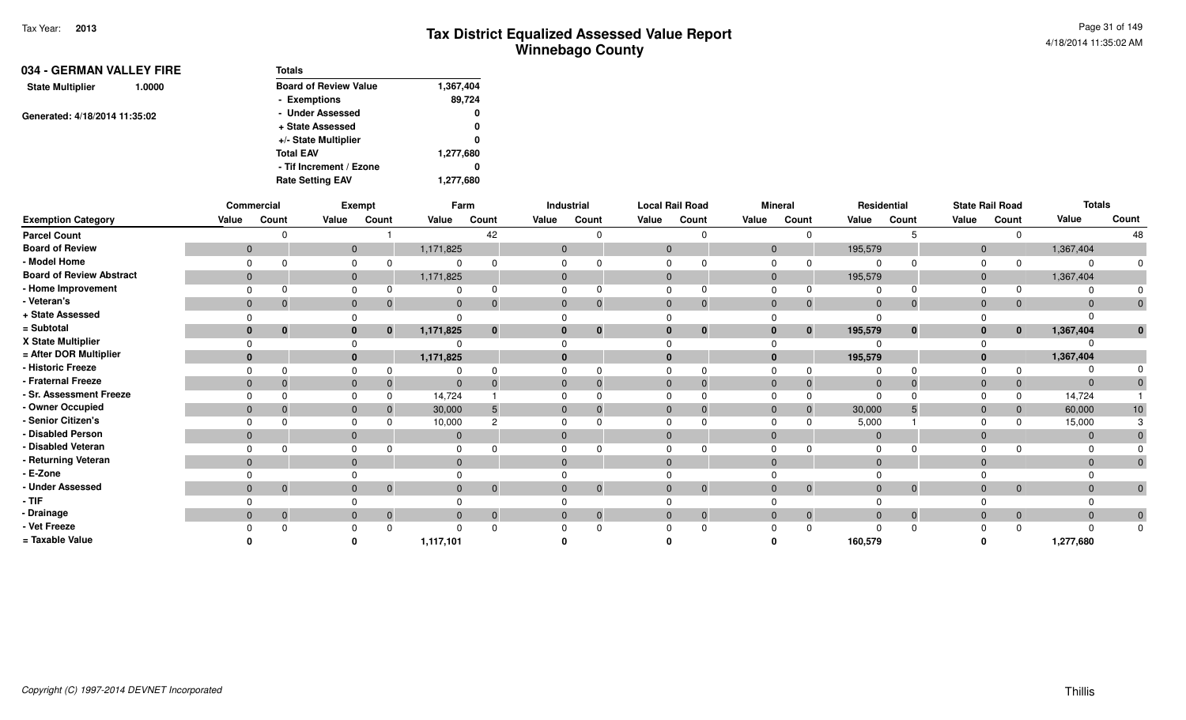| 034 - GERMAN VALLEY FIRE          | <b>Totals</b>                |           |
|-----------------------------------|------------------------------|-----------|
| <b>State Multiplier</b><br>1.0000 | <b>Board of Review Value</b> | 1,367,404 |
|                                   | - Exemptions                 | 89,724    |
| Generated: 4/18/2014 11:35:02     | - Under Assessed             | 0         |
|                                   | + State Assessed             | 0         |
|                                   | +/- State Multiplier         | 0         |
|                                   | <b>Total EAV</b>             | 1,277,680 |
|                                   | - Tif Increment / Ezone      | 0         |
|                                   | <b>Rate Setting EAV</b>      | 1,277,680 |

|                                 |                | Commercial   |       | Exempt                     |                | Farm           |              | Industrial     | <b>Local Rail Road</b> |              |                | <b>Mineral</b> | Residential    |              |              | <b>State Rail Road</b> | <b>Totals</b>  |                 |
|---------------------------------|----------------|--------------|-------|----------------------------|----------------|----------------|--------------|----------------|------------------------|--------------|----------------|----------------|----------------|--------------|--------------|------------------------|----------------|-----------------|
| <b>Exemption Category</b>       | Value          | Count        | Value | Count                      | Value          | Count          | Value        | Count          | Value                  | Count        | Value          | Count          | Value          | Count        | Value        | Count                  | Value          | Count           |
| <b>Parcel Count</b>             |                |              |       |                            |                | 42             |              |                |                        |              |                |                |                |              |              |                        |                | 48              |
| <b>Board of Review</b>          | $\mathbf{0}$   |              |       | $\mathbf{0}$               | 1,171,825      |                | $\mathbf{0}$ |                | $\mathbf 0$            |              | $\overline{0}$ |                | 195,579        |              | $\mathbf 0$  |                        | 1,367,404      |                 |
| - Model Home                    |                |              |       |                            |                |                |              |                |                        |              | $\Omega$       |                | $\Omega$       |              | n            |                        | $\Omega$       |                 |
| <b>Board of Review Abstract</b> | $\mathbf 0$    |              |       | $\mathbf{0}$               | 1,171,825      |                | $\mathbf{0}$ |                | $\mathbf 0$            |              | $\mathbf{0}$   |                | 195,579        |              | $\mathbf{0}$ |                        | 1,367,404      |                 |
| - Home Improvement              | $\Omega$       |              |       |                            |                |                | $\Omega$     |                |                        |              | $\Omega$       |                | $\Omega$       |              |              |                        |                |                 |
| - Veteran's                     | $\mathbf 0$    | $\Omega$     |       | $\mathbf{0}$<br>$\Omega$   | $\mathbf{0}$   |                | $\mathbf{0}$ | $\mathbf{0}$   | $\mathbf{0}$           | $\Omega$     | $\overline{0}$ |                | $\overline{0}$ | 0            | $\mathbf{0}$ | $\overline{0}$         | $\Omega$       |                 |
| + State Assessed                |                |              |       |                            |                |                |              |                |                        |              |                |                | $\Omega$       |              |              |                        |                |                 |
| = Subtotal                      | $\bf{0}$       | $\bf{0}$     |       | $\mathbf 0$                | 1,171,825      | $\bf{0}$       |              | $\bf{0}$       | $\bf{0}$               | $\bf{0}$     | $\mathbf{0}$   | $\mathbf{0}$   | 195,579        | $\mathbf{0}$ | 0            | $\mathbf{0}$           | 1,367,404      | $\bf{0}$        |
| X State Multiplier              |                |              |       |                            |                |                |              |                |                        |              |                |                |                |              |              |                        |                |                 |
| = After DOR Multiplier          | $\bf{0}$       |              |       |                            | 1,171,825      |                |              |                |                        |              | $\bf{0}$       |                | 195,579        |              |              |                        | 1,367,404      |                 |
| - Historic Freeze               |                |              |       |                            |                |                |              |                |                        |              |                |                | $\Omega$       |              |              |                        |                |                 |
| - Fraternal Freeze              | $\mathbf{0}$   |              |       |                            | $\overline{0}$ |                |              |                | $\Omega$               | $\Omega$     | $\overline{0}$ |                | $\mathbf{0}$   |              |              | $\overline{0}$         | $\Omega$       |                 |
| - Sr. Assessment Freeze         |                |              |       |                            | 14,724         |                |              |                |                        |              |                |                | $\Omega$       |              |              | $\Omega$               | 14,724         |                 |
| - Owner Occupied                | $\Omega$       |              |       |                            | 30,000         | 5              |              | $\Omega$       | $\Omega$               | $\Omega$     | $\Omega$       |                | 30,000         |              | $\Omega$     | $\mathbf{0}$           | 60,000         | 10 <sup>1</sup> |
| - Senior Citizen's              |                |              |       |                            | 10,000         |                |              |                |                        |              | $\Omega$       |                | 5,000          |              |              |                        | 15,000         |                 |
| - Disabled Person               | $\overline{0}$ |              |       |                            | $\mathbf{0}$   |                | $\Omega$     |                |                        |              | $\Omega$       |                | $\Omega$       |              |              |                        | $\Omega$       |                 |
| - Disabled Veteran              |                |              |       |                            | 0              |                |              |                |                        |              |                |                | $\Omega$       |              |              |                        | $\Omega$       |                 |
| - Returning Veteran             | $\Omega$       |              |       | $\Omega$                   | $\Omega$       |                | $\Omega$     |                |                        |              | $\Omega$       |                | $\Omega$       |              |              |                        | $\Omega$       |                 |
| - E-Zone                        |                |              |       |                            |                |                |              |                |                        |              |                |                |                |              |              |                        |                |                 |
| - Under Assessed                | $\overline{0}$ | $\mathbf{0}$ |       | $\Omega$                   | $\mathbf{0}$   | $\mathbf{0}$   | $\Omega$     | $\overline{0}$ | $\Omega$               | $\Omega$     | $\overline{0}$ | $\mathbf{0}$   | $\overline{0}$ | $\Omega$     | $\Omega$     | $\overline{0}$         | $\overline{0}$ | $\overline{0}$  |
| $-$ TIF                         |                |              |       |                            |                |                |              |                |                        |              |                |                | $\Omega$       |              |              |                        |                |                 |
| - Drainage                      | $\mathbf{0}$   | $\mathbf 0$  |       | $\Omega$<br>$\overline{0}$ | $\mathbf{0}$   | $\overline{0}$ | $\Omega$     | $\overline{0}$ | $\Omega$               | $\mathbf{0}$ | $\overline{0}$ | $\overline{0}$ | $\mathbf{0}$   | $\Omega$     | $\mathbf{0}$ | $\overline{0}$         | $\mathbf{0}$   | $\overline{0}$  |
| - Vet Freeze                    |                |              |       |                            |                |                |              |                |                        | $\Omega$     |                |                | $\Omega$       |              |              |                        | $\Omega$       | $\mathbf 0$     |
| = Taxable Value                 |                |              |       |                            | 1,117,101      |                |              |                |                        |              |                |                | 160,579        |              |              |                        | 1,277,680      |                 |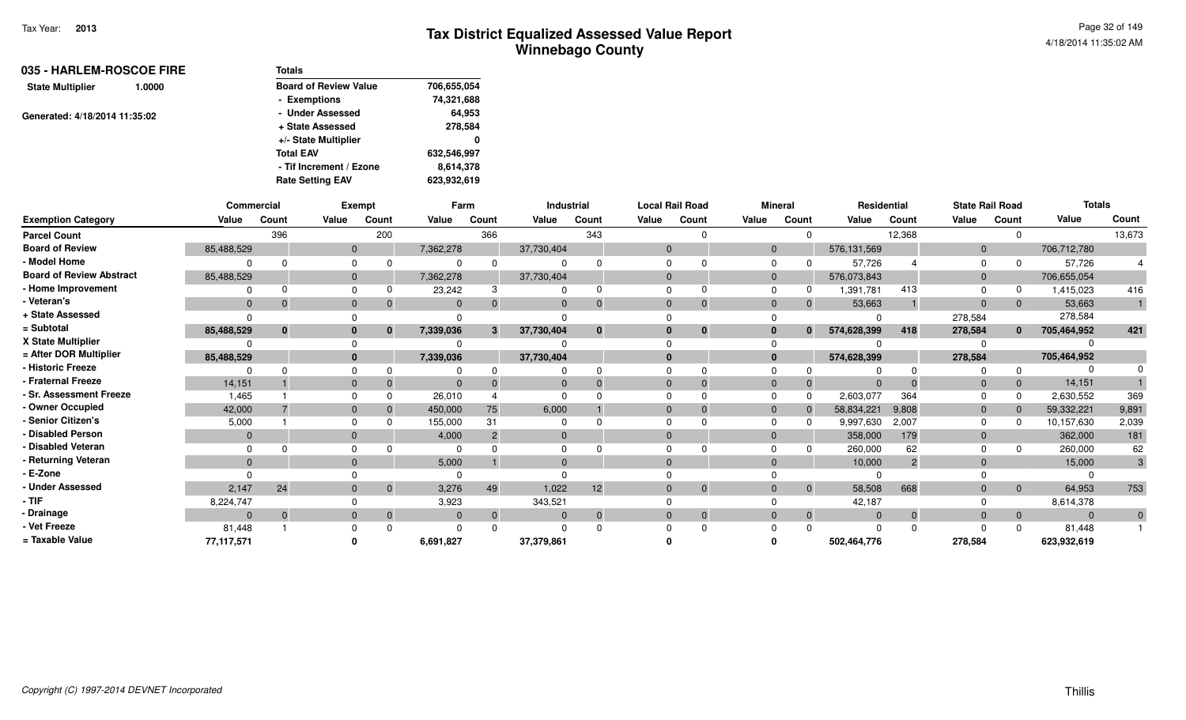| 035 - HARLEM-ROSCOE FIRE<br>1.0000 | <b>Totals</b>                |             |
|------------------------------------|------------------------------|-------------|
| <b>State Multiplier</b>            | <b>Board of Review Value</b> | 706,655,054 |
|                                    | - Exemptions                 | 74,321,688  |
| Generated: 4/18/2014 11:35:02      | - Under Assessed             | 64,953      |
|                                    | + State Assessed             | 278,584     |
|                                    | +/- State Multiplier         | 0           |
|                                    | <b>Total EAV</b>             | 632,546,997 |
|                                    | - Tif Increment / Ezone      | 8,614,378   |
|                                    | <b>Rate Setting EAV</b>      | 623,932,619 |

|                                 | Commercial |          |              | <b>Exempt</b> |           | Farm           |            | Industrial     |              | <b>Local Rail Road</b> |                | <b>Mineral</b> | Residential |               | <b>State Rail Road</b> |                | <b>Totals</b> |                |
|---------------------------------|------------|----------|--------------|---------------|-----------|----------------|------------|----------------|--------------|------------------------|----------------|----------------|-------------|---------------|------------------------|----------------|---------------|----------------|
| <b>Exemption Category</b>       | Value      | Count    | Value        | Count         | Value     | Count          | Value      | Count          | Value        | Count                  | Value          | Count          | Value       | Count         | Value                  | Count          | Value         | Count          |
| <b>Parcel Count</b>             |            | 396      |              | 200           |           | 366            |            | 343            |              |                        |                |                |             | 12,368        |                        | $\Omega$       |               | 13,673         |
| <b>Board of Review</b>          | 85,488,529 |          | $\mathbf{0}$ |               | 7,362,278 |                | 37,730,404 |                | $\mathbf{0}$ |                        | $\overline{0}$ |                | 576,131,569 |               | $\mathbf 0$            |                | 706,712,780   |                |
| - Model Home                    |            |          | $\Omega$     |               |           | $\Omega$       |            |                | $\Omega$     |                        | $\Omega$       |                | 57,726      |               | $\Omega$               |                | 57,726        |                |
| <b>Board of Review Abstract</b> | 85,488,529 |          | $\mathbf{0}$ |               | 7,362,278 |                | 37,730,404 |                | $\Omega$     |                        | $\Omega$       |                | 576,073,843 |               | $\Omega$               |                | 706,655,054   |                |
| - Home Improvement              |            |          | $\Omega$     |               | 23,242    |                |            |                | $\Omega$     |                        | $\Omega$       |                | 1,391,781   | 413           |                        |                | 1,415,023     | 416            |
| - Veteran's                     | $\Omega$   |          | $\Omega$     |               |           | $\overline{0}$ |            | $\Omega$       | $\Omega$     |                        | $\Omega$       | $\mathbf{0}$   | 53,663      |               | $\Omega$               | $\overline{0}$ | 53,663        |                |
| + State Assessed                |            |          |              |               |           |                |            |                |              |                        |                |                |             |               | 278,584                |                | 278,584       |                |
| $=$ Subtotal                    | 85,488,529 | $\bf{0}$ | $\bf{0}$     | $\bf{0}$      | 7,339,036 | $\mathbf{3}$   | 37,730,404 | $\bf{0}$       | $\bf{0}$     | $\bf{0}$               |                |                | 574,628,399 | 418           | 278,584                | $\mathbf{0}$   | 705,464,952   | 421            |
| X State Multiplier              |            |          | $\Omega$     |               |           |                |            |                |              |                        |                |                |             |               |                        |                |               |                |
| = After DOR Multiplier          | 85,488,529 |          | $\mathbf{0}$ |               | 7,339,036 |                | 37,730,404 |                | $\mathbf{0}$ |                        |                |                | 574,628,399 |               | 278,584                |                | 705,464,952   |                |
| - Historic Freeze               |            |          |              |               |           | $\Omega$       |            | $\cap$         |              |                        |                |                |             |               |                        |                |               |                |
| - Fraternal Freeze              | 14,151     |          | $\Omega$     |               | $\Omega$  | $\Omega$       |            |                | $\Omega$     |                        | $\Omega$       |                | $\Omega$    |               | $\Omega$               | $\overline{0}$ | 14,151        |                |
| - Sr. Assessment Freeze         | 1,465      |          |              |               | 26,010    |                |            |                |              |                        | $\Omega$       |                | 2,603,077   | 364           |                        |                | 2,630,552     | 369            |
| - Owner Occupied                | 42,000     |          | $\Omega$     |               | 450,000   | 75             | 6,000      |                | $\Omega$     |                        | $\Omega$       |                | 58,834,221  | 9,808         | $\mathbf 0$            |                | 59,332,221    | 9,891          |
| - Senior Citizen's              | 5,000      |          | $\Omega$     |               | 155,000   | 31             |            |                |              |                        | $\Omega$       |                | 9,997,630   | 2,007         | $\Omega$               |                | 10,157,630    | 2,039          |
| - Disabled Person               | $\Omega$   |          | $\Omega$     |               | 4,000     | $\overline{2}$ |            |                | $\Omega$     |                        | $\Omega$       |                | 358,000     | 179           | $\Omega$               |                | 362,000       | 181            |
| - Disabled Veteran              |            |          |              |               |           |                |            |                |              |                        | ∩              |                | 260,000     | 62            |                        |                | 260,000       | 62             |
| - Returning Veteran             | $\Omega$   |          | $\Omega$     |               | 5,000     |                |            |                | $\Omega$     |                        | $\Omega$       |                | 10,000      | $\mathcal{P}$ |                        |                | 15,000        | $\mathbf{3}$   |
| - E-Zone                        |            |          |              |               |           |                |            |                |              |                        |                |                |             |               |                        |                |               |                |
| - Under Assessed                | 2,147      | 24       | $\Omega$     | $\mathbf{0}$  | 3,276     | 49             | 1,022      | 12             | $\Omega$     | $\Omega$               |                | $\overline{0}$ | 58,508      | 668           | $\Omega$               | $\overline{0}$ | 64,953        | 753            |
| - TIF                           | 8,224,747  |          |              |               | 3,923     |                | 343,521    |                |              |                        |                |                | 42,187      |               |                        |                | 8,614,378     |                |
| - Drainage                      | $\Omega$   |          | $\Omega$     | $\mathbf{0}$  |           | $\overline{0}$ |            | $\overline{0}$ | $\Omega$     | $\Omega$               | $\Omega$       | $\Omega$       | $\Omega$    | $\Omega$      | $\Omega$               | $\overline{0}$ | $\Omega$      | $\overline{0}$ |
| - Vet Freeze                    | 81,448     |          |              |               |           | $\Omega$       |            |                |              |                        |                |                | $\Omega$    |               |                        | $\Omega$       | 81,448        |                |
| = Taxable Value                 | 77,117,571 |          |              |               | 6,691,827 |                | 37,379,861 |                |              |                        |                |                | 502,464,776 |               | 278,584                |                | 623,932,619   |                |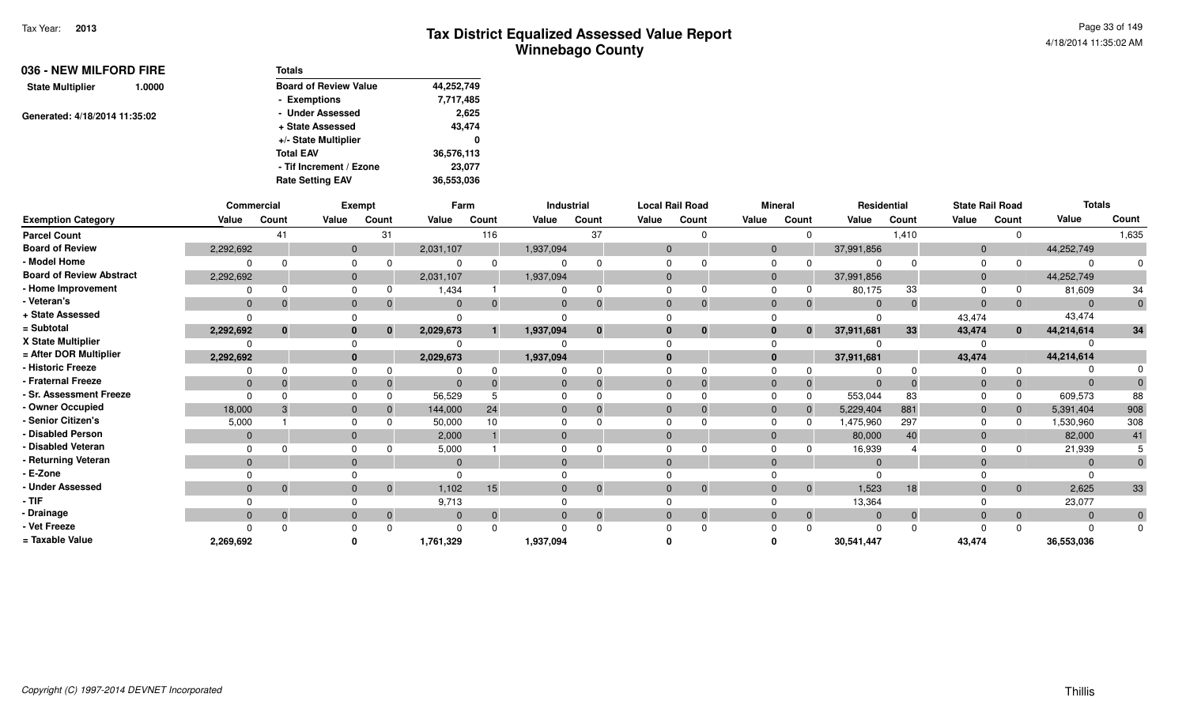| 036 - NEW MILFORD FIRE        |        | <b>Totals</b>                |            |
|-------------------------------|--------|------------------------------|------------|
| <b>State Multiplier</b>       | 1.0000 | <b>Board of Review Value</b> | 44,252,749 |
|                               |        | - Exemptions                 | 7,717,485  |
| Generated: 4/18/2014 11:35:02 |        | - Under Assessed             | 2,625      |
|                               |        | + State Assessed             | 43,474     |
|                               |        | +/- State Multiplier         | 0          |
|                               |        | <b>Total EAV</b>             | 36,576,113 |
|                               |        | - Tif Increment / Ezone      | 23,077     |
|                               |        | <b>Rate Setting EAV</b>      | 36,553,036 |

|                                 | Commercial   |              |              | <b>Exempt</b> |              | Farm  |              | Industrial   |              | <b>Local Rail Road</b> |              | <b>Mineral</b> |              | Residential |              | <b>State Rail Road</b> | <b>Totals</b>  |              |
|---------------------------------|--------------|--------------|--------------|---------------|--------------|-------|--------------|--------------|--------------|------------------------|--------------|----------------|--------------|-------------|--------------|------------------------|----------------|--------------|
| <b>Exemption Category</b>       | Value        | Count        | Value        | Count         | Value        | Count | Value        | Count        | Value        | Count                  | Value        | Count          | Value        | Count       | Value        | Count                  | Value          | Count        |
| <b>Parcel Count</b>             |              | 41           |              | 31            |              | 116   |              | 37           |              |                        |              |                |              | 1,410       |              | $\Omega$               |                | 1,635        |
| <b>Board of Review</b>          | 2,292,692    |              | $\mathbf 0$  |               | 2,031,107    |       | 1,937,094    |              | $\mathbf{0}$ |                        | $\mathbf{0}$ |                | 37,991,856   |             | $\mathbf{0}$ |                        | 44,252,749     |              |
| - Model Home                    |              |              | $\Omega$     |               |              |       |              |              | $\Omega$     |                        | $\Omega$     |                |              |             |              |                        |                | $\Omega$     |
| <b>Board of Review Abstract</b> | 2,292,692    |              | $\mathbf{0}$ |               | 2,031,107    |       | 1,937,094    |              | $\mathbf{0}$ |                        | $\mathbf{0}$ |                | 37,991,856   |             | $\mathbf{0}$ |                        | 44,252,749     |              |
| - Home Improvement              |              |              |              |               | 1,434        |       |              |              |              |                        | $\Omega$     |                | 80,175       | 33          |              |                        | 81,609         | 34           |
| - Veteran's                     | $\mathbf 0$  | $\Omega$     | $\mathbf{0}$ |               | $\Omega$     |       | $\Omega$     |              | $\Omega$     | $\Omega$               | $\Omega$     | $\Omega$       | $\mathbf{0}$ |             | $\Omega$     | $\overline{0}$         | $\overline{0}$ | $\mathbf{0}$ |
| + State Assessed                | $\Omega$     |              |              |               |              |       |              |              |              |                        |              |                |              |             | 43,474       |                        | 43,474         |              |
| = Subtotal                      | 2,292,692    | $\bf{0}$     | 0            | 0             | 2,029,673    |       | 1,937,094    | $\mathbf{0}$ | $\bf{0}$     | $\bf{0}$               | $\bf{0}$     | $\bf{0}$       | 37,911,681   | 33          | 43,474       | $\mathbf{0}$           | 44,214,614     | 34           |
| X State Multiplier              |              |              |              |               |              |       |              |              |              |                        | $\Omega$     |                |              |             |              |                        |                |              |
| = After DOR Multiplier          | 2,292,692    |              | $\mathbf{0}$ |               | 2,029,673    |       | 1,937,094    |              | $\mathbf{0}$ |                        | $\mathbf{0}$ |                | 37,911,681   |             | 43,474       |                        | 44,214,614     |              |
| - Historic Freeze               |              |              |              |               |              |       |              |              |              |                        |              |                |              |             |              |                        |                |              |
| - Fraternal Freeze              | $\mathbf{0}$ |              | $\mathbf{0}$ |               | $\Omega$     |       | $\Omega$     |              | $\Omega$     |                        | $\mathbf{0}$ |                | $\Omega$     |             |              | $\mathbf{0}$           | $\Omega$       | $\Omega$     |
| - Sr. Assessment Freeze         | $\Omega$     |              |              |               | 56,529       |       |              |              |              |                        |              |                | 553,044      | 83          |              | $\Omega$               | 609,573        | 88           |
| - Owner Occupied                | 18,000       |              | $\mathbf{0}$ |               | 144,000      | 24    | $\mathbf{0}$ |              | $\Omega$     |                        | $\Omega$     |                | 5,229,404    | 881         |              | $\mathbf{0}$           | 5,391,404      | 908          |
| - Senior Citizen's              | 5,000        |              |              |               | 50,000       | 10    |              |              |              |                        | $\Omega$     |                | 1,475,960    | 297         |              | $\Omega$               | 1,530,960      | 308          |
| - Disabled Person               | $\mathbf{0}$ |              | $\Omega$     |               | 2,000        |       | $\Omega$     |              | $\Omega$     |                        | $\Omega$     |                | 80,000       | 40          | $\Omega$     |                        | 82,000         | 41           |
| - Disabled Veteran              |              |              |              |               | 5,000        |       |              |              |              |                        | $\Omega$     |                | 16,939       |             |              |                        | 21,939         |              |
| - Returning Veteran             | $\Omega$     |              | $\Omega$     |               | $\Omega$     |       | $\Omega$     |              | $\Omega$     |                        | $\Omega$     |                | $\Omega$     |             |              |                        | $\Omega$       | $\mathbf{0}$ |
| - E-Zone                        |              |              |              |               |              |       |              |              |              |                        |              |                |              |             |              |                        |                |              |
| - Under Assessed                | $\mathbf{0}$ | $\Omega$     | $\mathbf{0}$ | $\Omega$      | 1,102        | 15    | $\mathbf{0}$ | $\Omega$     | $\Omega$     | $\Omega$               | $\Omega$     | $\overline{0}$ | 1,523        | 18          | $\Omega$     | $\overline{0}$         | 2,625          | 33           |
| - TIF                           |              |              |              |               | 9,713        |       |              |              |              |                        |              |                | 13,364       |             |              |                        | 23,077         |              |
| Drainage                        | $\mathbf{0}$ | $\mathbf{0}$ | $\mathbf{0}$ |               | $\mathbf{0}$ |       | $\mathbf{0}$ | $\Omega$     | $\mathbf{0}$ | $\mathbf{0}$           | $\mathbf{0}$ | $\mathbf{0}$   | $\mathbf{0}$ |             | $\Omega$     | $\mathbf{0}$           | $\Omega$       | $\mathbf{0}$ |
| - Vet Freeze                    |              |              |              |               |              |       |              |              |              |                        |              |                |              |             |              |                        |                | $\Omega$     |
| = Taxable Value                 | 2,269,692    |              |              |               | 1,761,329    |       | 1,937,094    |              |              |                        |              |                | 30,541,447   |             | 43,474       |                        | 36,553,036     |              |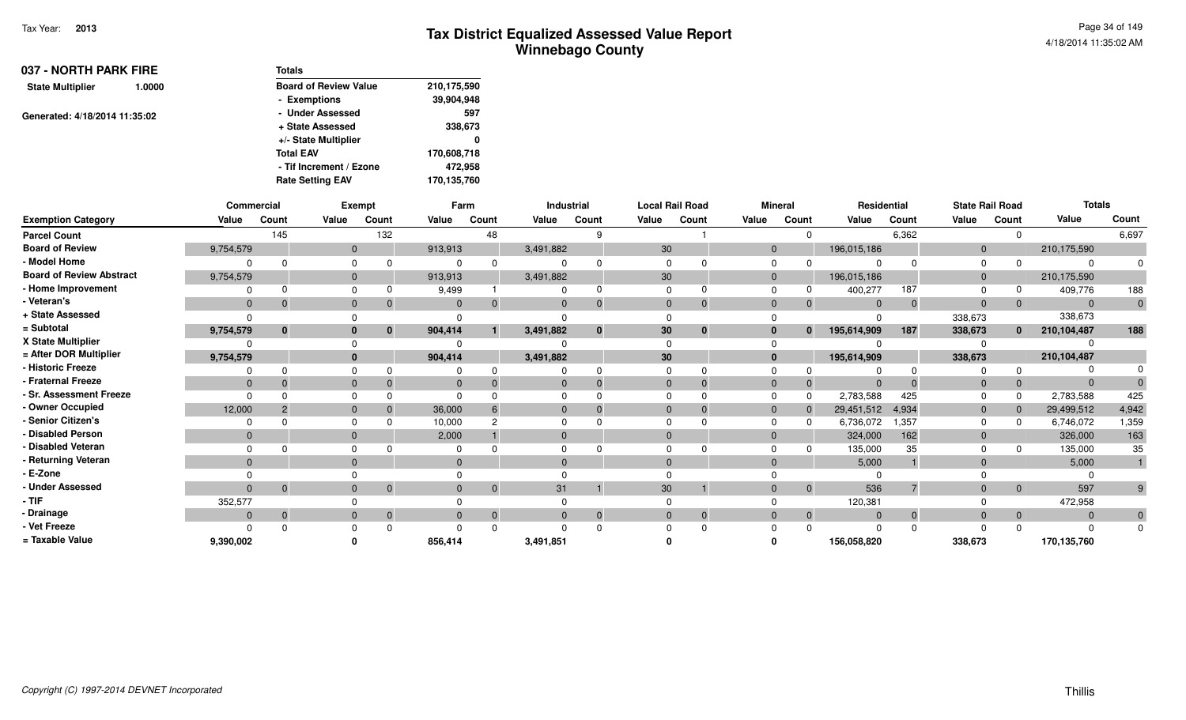| 037 - NORTH PARK FIRE         |        | <b>Totals</b>                |             |
|-------------------------------|--------|------------------------------|-------------|
| <b>State Multiplier</b>       | 1.0000 | <b>Board of Review Value</b> | 210,175,590 |
|                               |        | - Exemptions                 | 39,904,948  |
| Generated: 4/18/2014 11:35:02 |        | - Under Assessed             | 597         |
|                               |        | + State Assessed             | 338,673     |
|                               |        | +/- State Multiplier         | 0           |
|                               |        | <b>Total EAV</b>             | 170,608,718 |
|                               |        | - Tif Increment / Ezone      | 472.958     |
|                               |        | <b>Rate Setting EAV</b>      | 170,135,760 |

|                                 | Commercial   |                |              | <b>Exempt</b>  |              | Farm           |           | Industrial |          | <b>Local Rail Road</b> |                | <b>Mineral</b> | Residential |       | <b>State Rail Road</b> |                | <b>Totals</b> |                |
|---------------------------------|--------------|----------------|--------------|----------------|--------------|----------------|-----------|------------|----------|------------------------|----------------|----------------|-------------|-------|------------------------|----------------|---------------|----------------|
| <b>Exemption Category</b>       | Value        | Count          | Value        | Count          | Value        | Count          | Value     | Count      | Value    | Count                  | Value          | Count          | Value       | Count | Value                  | Count          | Value         | Count          |
| <b>Parcel Count</b>             |              | 145            |              | 132            |              | 48             |           |            |          |                        |                |                |             | 6,362 |                        | <sup>n</sup>   |               | 6,697          |
| <b>Board of Review</b>          | 9,754,579    |                | $\mathbf{0}$ |                | 913,913      |                | 3,491,882 |            | 30       |                        | $\overline{0}$ |                | 196,015,186 |       | $\mathbf 0$            |                | 210,175,590   |                |
| - Model Home                    |              |                |              | $\Omega$       |              |                |           |            |          |                        |                |                | $\Omega$    |       | O                      |                | $\Omega$      |                |
| <b>Board of Review Abstract</b> | 9,754,579    |                |              |                | 913,913      |                | 3,491,882 |            | 30       |                        | $\overline{0}$ |                | 196,015,186 |       | $\mathbf 0$            |                | 210,175,590   |                |
| - Home Improvement              |              |                |              |                | 9,499        |                |           |            |          |                        |                |                | 400,277     | 187   |                        |                | 409,776       | 188            |
| - Veteran's                     | $\mathbf{0}$ |                |              | $\overline{0}$ | $\mathbf{0}$ |                | $\Omega$  | $\Omega$   | $\Omega$ | $\Omega$               | $\Omega$       |                | $\Omega$    |       | $\mathbf{0}$           | $\mathbf{0}$   | $\mathbf{0}$  | $\overline{0}$ |
| + State Assessed                | <sup>n</sup> |                |              |                |              |                |           |            |          |                        |                |                | $\Omega$    |       | 338,673                |                | 338,673       |                |
| = Subtotal                      | 9,754,579    | $\bf{0}$       |              | $\bf{0}$       | 904,414      |                | 3,491,882 | $\bf{0}$   | 30       | $\bf{0}$               |                | 0              | 195,614,909 | 187   | 338,673                | $\mathbf{0}$   | 210,104,487   | 188            |
| X State Multiplier              |              |                |              |                |              |                |           |            |          |                        |                |                |             |       |                        |                |               |                |
| = After DOR Multiplier          | 9,754,579    |                |              |                | 904,414      |                | 3,491,882 |            | 30       |                        | $\bf{0}$       |                | 195,614,909 |       | 338,673                |                | 210,104,487   |                |
| - Historic Freeze               |              |                |              | 0              |              |                |           |            |          |                        |                |                | $\Omega$    |       |                        |                |               |                |
| - Fraternal Freeze              | $\mathbf{0}$ |                |              | $\Omega$       |              |                | $\Omega$  |            |          | $\Omega$               | $\Omega$       |                | $\Omega$    |       |                        | $\mathbf{0}$   | $\Omega$      |                |
| - Sr. Assessment Freeze         |              |                |              |                |              |                |           |            |          |                        |                |                | 2,783,588   | 425   |                        |                | 2,783,588     | 425            |
| - Owner Occupied                | 12,000       |                |              | 0              | 36,000       |                | $\Omega$  |            |          | $\Omega$               | $\overline{0}$ |                | 29,451,512  | 4,934 | $\mathbf 0$            |                | 29,499,512    | 4,942          |
| - Senior Citizen's              |              |                |              |                | 10,000       |                |           |            |          |                        |                |                | 6,736,072   | 1,357 |                        |                | 6,746,072     | 1,359          |
| - Disabled Person               | $\mathbf{0}$ |                |              |                | 2,000        |                | $\Omega$  |            |          |                        | $\Omega$       |                | 324,000     | 162   | $\mathbf{0}$           |                | 326,000       | 163            |
| - Disabled Veteran              |              |                |              |                |              |                |           |            |          |                        |                |                | 135,000     | 35    |                        |                | 135,000       | 35             |
| - Returning Veteran             | $\Omega$     |                |              |                |              |                | $\Omega$  |            |          |                        | $\Omega$       |                | 5,000       |       |                        |                | 5,000         |                |
| - E-Zone                        |              |                |              |                |              |                |           |            |          |                        |                |                |             |       |                        |                |               |                |
| - Under Assessed                | $\Omega$     | $\overline{0}$ |              | $\overline{0}$ | $\Omega$     | $\overline{0}$ | 31        |            | 30       |                        | $\Omega$       | $\overline{0}$ | 536         |       | $\Omega$               | $\overline{0}$ | 597           | 9              |
| - TIF                           | 352,577      |                |              |                |              |                |           |            |          |                        |                |                | 120,381     |       |                        |                | 472,958       |                |
| · Drainage                      | $\mathbf{0}$ |                |              | $\overline{0}$ |              |                | $\Omega$  | $\Omega$   | $\Omega$ | $\mathbf{0}$           | $\Omega$       |                | $\Omega$    |       | $\Omega$               | $\mathbf{0}$   | $\Omega$      | $\overline{0}$ |
| - Vet Freeze                    |              |                |              | <sup>0</sup>   |              |                |           |            |          |                        |                |                | $\Omega$    |       |                        |                | $\Omega$      | $\Omega$       |
| = Taxable Value                 | 9,390,002    |                |              |                | 856,414      |                | 3,491,851 |            |          |                        |                |                | 156,058,820 |       | 338,673                |                | 170,135,760   |                |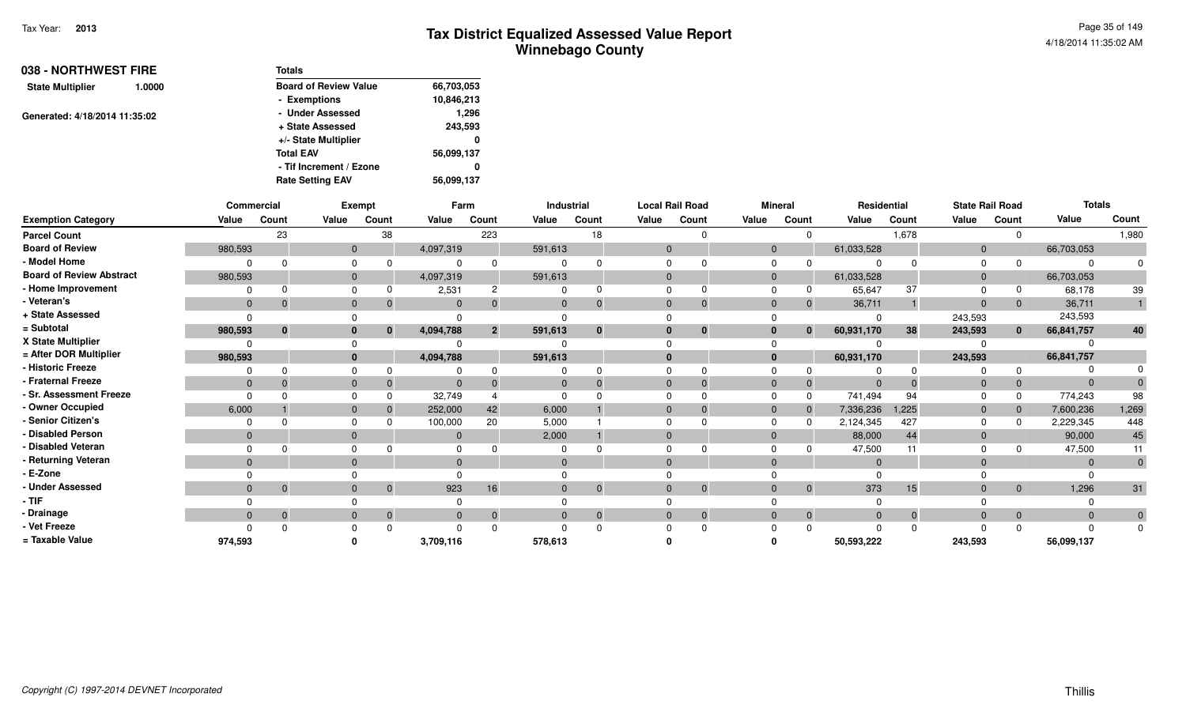| 038 - NORTHWEST FIRE<br>1.0000 | <b>Totals</b>                              |
|--------------------------------|--------------------------------------------|
| <b>State Multiplier</b>        | <b>Board of Review Value</b><br>66,703,053 |
|                                | 10,846,213<br>- Exemptions                 |
| Generated: 4/18/2014 11:35:02  | - Under Assessed<br>1,296                  |
|                                | + State Assessed<br>243,593                |
|                                | +/- State Multiplier<br>0                  |
|                                | <b>Total EAV</b><br>56,099,137             |
|                                | - Tif Increment / Ezone<br>0               |
|                                | <b>Rate Setting EAV</b><br>56,099,137      |

|                                 | Commercial   |          |              | <b>Exempt</b> |           | Farm           |         | Industrial     |              | <b>Local Rail Road</b> |                | <b>Mineral</b> | Residential |       | <b>State Rail Road</b> |                | <b>Totals</b> |                |
|---------------------------------|--------------|----------|--------------|---------------|-----------|----------------|---------|----------------|--------------|------------------------|----------------|----------------|-------------|-------|------------------------|----------------|---------------|----------------|
| <b>Exemption Category</b>       | Value        | Count    | Value        | Count         | Value     | Count          | Value   | Count          | Value        | Count                  | Value          | Count          | Value       | Count | Value                  | Count          | Value         | Count          |
| <b>Parcel Count</b>             |              | 23       |              | 38            |           | 223            |         | 18             |              |                        |                |                |             | 1,678 |                        | $\Omega$       |               | 1,980          |
| <b>Board of Review</b>          | 980,593      |          | $\mathbf{0}$ |               | 4,097,319 |                | 591,613 |                | $\mathbf{0}$ |                        | $\overline{0}$ |                | 61,033,528  |       | $\mathbf 0$            |                | 66,703,053    |                |
| - Model Home                    |              |          | $\Omega$     |               |           | $\Omega$       |         |                | $\Omega$     |                        | $\Omega$       |                |             |       | $\Omega$               |                | $\Omega$      |                |
| <b>Board of Review Abstract</b> | 980,593      |          | $\mathbf{0}$ |               | 4,097,319 |                | 591,613 |                | $\Omega$     |                        | $\Omega$       |                | 61,033,528  |       | $\Omega$               |                | 66,703,053    |                |
| - Home Improvement              |              |          | $\Omega$     |               | 2,531     |                |         |                | $\Omega$     |                        | $\Omega$       |                | 65,647      | 37    |                        |                | 68,178        | 39             |
| - Veteran's                     | $\mathbf{0}$ |          | $\mathbf{0}$ |               | 0         | $\overline{0}$ |         | $\Omega$       | $\mathbf{0}$ |                        |                | $\Omega$       | 36,711      |       | $\Omega$               | $\mathbf{0}$   | 36,711        |                |
| + State Assessed                |              |          |              |               |           |                |         |                |              |                        |                |                |             |       | 243,593                |                | 243,593       |                |
| = Subtotal                      | 980,593      | $\bf{0}$ | $\bf{0}$     | $\bf{0}$      | 4,094,788 | $\overline{2}$ | 591,613 | $\bf{0}$       | $\bf{0}$     | 0                      |                | 0              | 60,931,170  | 38    | 243,593                | $\mathbf{0}$   | 66,841,757    | 40             |
| X State Multiplier              |              |          |              |               |           |                |         |                |              |                        |                |                |             |       |                        |                |               |                |
| = After DOR Multiplier          | 980,593      |          | $\mathbf{0}$ |               | 4,094,788 |                | 591,613 |                | $\mathbf{0}$ |                        |                |                | 60,931,170  |       | 243,593                |                | 66,841,757    |                |
| - Historic Freeze               |              |          |              |               |           | $\Omega$       |         |                |              |                        |                |                |             |       |                        |                |               |                |
| - Fraternal Freeze              | $\mathbf{0}$ |          | $\Omega$     |               |           | $\Omega$       |         |                | $\Omega$     |                        |                |                | $\Omega$    |       |                        | $\mathbf{0}$   | $\Omega$      |                |
| - Sr. Assessment Freeze         | $\Omega$     |          |              |               | 32,749    |                |         |                |              |                        |                |                | 741,494     | 94    |                        |                | 774,243       | 98             |
| - Owner Occupied                | 6,000        |          | $\mathbf{0}$ |               | 252,000   | 42             | 6,000   |                | $\mathbf 0$  |                        | $\overline{0}$ |                | 7,336,236   | 1,225 | $\mathbf 0$            | $\mathbf{0}$   | 7,600,236     | 1,269          |
| - Senior Citizen's              |              |          | $\Omega$     |               | 100,000   | 20             | 5,000   |                | $\Omega$     |                        | $\Omega$       |                | 2,124,345   | 427   | 0                      |                | 2,229,345     | 448            |
| - Disabled Person               | $\mathbf{0}$ |          | $\Omega$     |               |           |                | 2,000   |                | $\Omega$     |                        | $\Omega$       |                | 88,000      | 44    | $\Omega$               |                | 90,000        | 45             |
| - Disabled Veteran              |              |          |              |               |           |                |         |                |              |                        |                |                | 47,500      |       |                        |                | 47,500        | 11             |
| - Returning Veteran             | $\Omega$     |          | $\Omega$     |               |           |                |         |                | $\Omega$     |                        |                |                | $\Omega$    |       |                        |                | $\Omega$      | $\overline{0}$ |
| - E-Zone                        |              |          |              |               |           |                |         |                |              |                        |                |                |             |       |                        |                |               |                |
| - Under Assessed                | $\Omega$     |          | $\Omega$     | $\Omega$      | 923       | 16             |         | $\Omega$       | $\Omega$     | $\Omega$               |                | $\Omega$       | 373         | 15    | $\Omega$               | $\overline{0}$ | 1,296         | 31             |
| - TIF                           |              |          |              |               |           |                |         |                |              |                        |                |                |             |       |                        |                |               |                |
| - Drainage                      | $\mathbf{0}$ |          | $\Omega$     | $\mathbf{0}$  | $\Omega$  | $\overline{0}$ |         | $\overline{0}$ | $\Omega$     | $\Omega$               | $\Omega$       | $\mathbf{0}$   | $\Omega$    |       | $\Omega$               | $\overline{0}$ | $\Omega$      | $\mathbf{0}$   |
| - Vet Freeze                    |              |          |              |               |           | $\Omega$       |         |                |              |                        |                |                |             |       |                        |                |               | $\mathbf{0}$   |
| = Taxable Value                 | 974,593      |          |              |               | 3,709,116 |                | 578,613 |                |              |                        |                |                | 50,593,222  |       | 243,593                |                | 56,099,137    |                |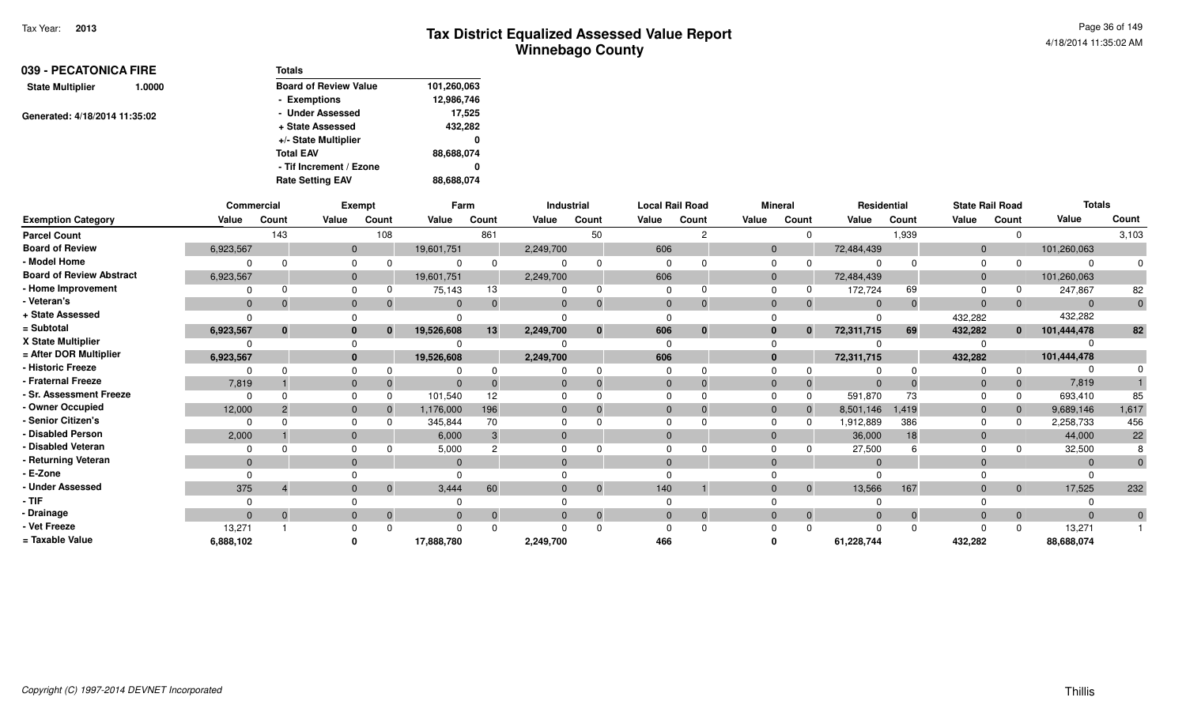| 039 - PECATONICA FIRE             | <b>Totals</b>                               |
|-----------------------------------|---------------------------------------------|
| <b>State Multiplier</b><br>1.0000 | <b>Board of Review Value</b><br>101,260,063 |
|                                   | 12,986,746<br>- Exemptions                  |
| Generated: 4/18/2014 11:35:02     | - Under Assessed<br>17,525                  |
|                                   | 432,282<br>+ State Assessed                 |
|                                   | +/- State Multiplier<br>0                   |
|                                   | <b>Total EAV</b><br>88,688,074              |
|                                   | - Tif Increment / Ezone<br>0                |
|                                   | <b>Rate Setting EAV</b><br>88,688,074       |

|                                 | Commercial   |          | <b>Exempt</b> |          |              | Farm     |           | Industrial     |          | <b>Local Rail Road</b> |                | <b>Mineral</b> | Residential |       | <b>State Rail Road</b> |                | <b>Totals</b>  |                |
|---------------------------------|--------------|----------|---------------|----------|--------------|----------|-----------|----------------|----------|------------------------|----------------|----------------|-------------|-------|------------------------|----------------|----------------|----------------|
| <b>Exemption Category</b>       | Value        | Count    | Value         | Count    | Value        | Count    | Value     | Count          | Value    | Count                  | Value          | Count          | Value       | Count | Value                  | Count          | Value          | Count          |
| <b>Parcel Count</b>             |              | 143      |               | 108      |              | 861      |           | 50             |          | റ                      |                |                |             | 1,939 |                        | $\Omega$       |                | 3,103          |
| <b>Board of Review</b>          | 6,923,567    |          | $\mathbf{0}$  |          | 19,601,751   |          | 2,249,700 |                | 606      |                        | $\overline{0}$ |                | 72,484,439  |       | $\mathbf{0}$           |                | 101,260,063    |                |
| - Model Home                    |              | ŋ        |               |          |              |          |           |                |          |                        | $\Omega$       |                | $\Omega$    |       | $\Omega$               |                | $\Omega$       |                |
| <b>Board of Review Abstract</b> | 6,923,567    |          | $\mathbf 0$   |          | 19,601,751   |          | 2,249,700 |                | 606      |                        | $\overline{0}$ |                | 72,484,439  |       | $\mathbf 0$            |                | 101,260,063    |                |
| - Home Improvement              |              |          |               |          | 75,143       |          |           |                |          |                        | <sup>0</sup>   |                | 172,724     | 69    |                        |                | 247,867        | 82             |
| - Veteran's                     | $\Omega$     | $\Omega$ |               |          | $\Omega$     |          |           | $\mathbf{0}$   | $\Omega$ | $\Omega$               | $\Omega$       |                | $\Omega$    |       | $\Omega$               | $\overline{0}$ | $\overline{0}$ | $\overline{0}$ |
| + State Assessed                |              |          |               |          |              |          |           |                |          |                        |                |                | $\Omega$    |       | 432,282                |                | 432,282        |                |
| = Subtotal                      | 6,923,567    | $\bf{0}$ |               | 0        | 19,526,608   | 13       | 2,249,700 | $\mathbf 0$    | 606      | $\bf{0}$               | 0              |                | 72,311,715  | 69    | 432,282                | $\mathbf{0}$   | 101,444,478    | 82             |
| X State Multiplier              |              |          |               |          |              |          |           |                |          |                        |                |                |             |       |                        |                |                |                |
| = After DOR Multiplier          | 6,923,567    |          |               |          | 19,526,608   |          | 2,249,700 |                | 606      |                        | $\bf{0}$       |                | 72,311,715  |       | 432,282                |                | 101,444,478    |                |
| - Historic Freeze               |              | U        |               |          |              |          |           |                |          |                        |                |                |             |       |                        |                |                |                |
| - Fraternal Freeze              | 7,819        |          |               |          | $\Omega$     |          |           |                | $\Omega$ |                        | $\Omega$       |                | $\Omega$    |       |                        | $\mathbf{0}$   | 7,819          |                |
| - Sr. Assessment Freeze         | <sup>n</sup> |          |               | $\Omega$ | 101,540      | 12       |           |                |          |                        |                |                | 591,870     | 73    |                        | $\Omega$       | 693,410        | 85             |
| - Owner Occupied                | 12,000       |          |               |          | 1,176,000    | 196      |           |                |          |                        | $\overline{0}$ |                | 8,501,146   | 1,419 | $\mathbf{0}$           |                | 9,689,146      | 1,617          |
| - Senior Citizen's              |              |          |               |          | 345,844      | 70       |           |                |          |                        | $\Omega$       |                | 1,912,889   | 386   |                        |                | 2,258,733      | 456            |
| - Disabled Person               | 2,000        |          |               |          | 6,000        | 3        | $\Omega$  |                |          |                        | $\Omega$       |                | 36,000      | 18    |                        |                | 44,000         | 22             |
| - Disabled Veteran              |              |          |               |          | 5,000        |          |           |                |          |                        |                |                | 27,500      |       |                        |                | 32,500         |                |
| - Returning Veteran             | $\Omega$     |          |               |          | $\Omega$     |          | $\Omega$  |                |          |                        | $\Omega$       |                | $\Omega$    |       |                        |                | $\Omega$       |                |
| - E-Zone                        |              |          |               |          |              |          |           |                |          |                        |                |                | $\Omega$    |       |                        |                | $\Omega$       |                |
| <b>Under Assessed</b>           | 375          |          |               | $\Omega$ | 3,444        | 60       |           | $\Omega$       | 140      |                        | $\Omega$       | $\Omega$       | 13,566      | 167   | $\Omega$               | $\overline{0}$ | 17,525         | 232            |
| - TIF                           |              |          |               |          |              |          |           |                |          |                        |                |                |             |       |                        |                |                |                |
| - Drainage                      | $\Omega$     | $\Omega$ |               | $\Omega$ | $\mathbf{0}$ | $\Omega$ |           | $\overline{0}$ | $\Omega$ | $\mathbf{0}$           | $\Omega$       |                | $\Omega$    |       | $\Omega$               | $\overline{0}$ | $\Omega$       | $\overline{0}$ |
| Vet Freeze                      | 13,271       |          |               |          |              |          |           |                |          |                        |                |                | $\Omega$    |       |                        | $\Omega$       | 13,271         |                |
| = Taxable Value                 | 6,888,102    |          |               |          | 17,888,780   |          | 2,249,700 |                | 466      |                        |                |                | 61,228,744  |       | 432,282                |                | 88,688,074     |                |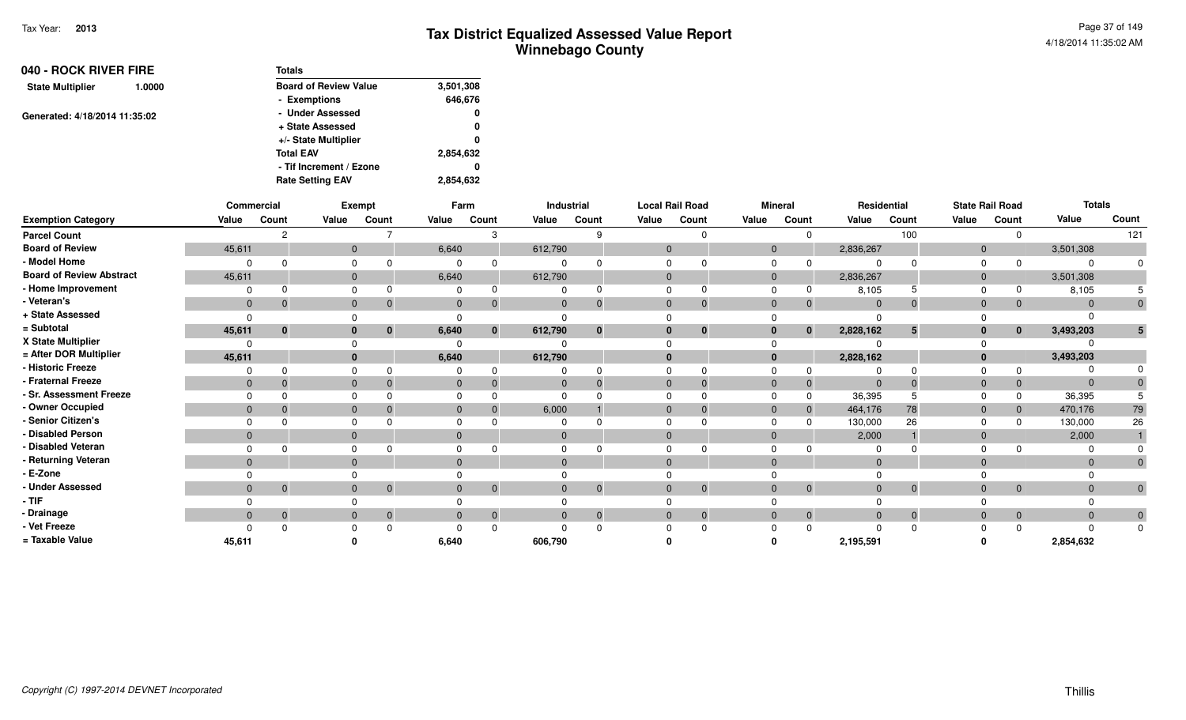| 040 - ROCK RIVER FIRE         |        | <b>Totals</b>                |           |
|-------------------------------|--------|------------------------------|-----------|
| <b>State Multiplier</b>       | 1.0000 | <b>Board of Review Value</b> | 3,501,308 |
|                               |        | - Exemptions                 | 646,676   |
| Generated: 4/18/2014 11:35:02 |        | - Under Assessed             | 0         |
|                               |        | + State Assessed             | 0         |
|                               |        | +/- State Multiplier         | 0         |
|                               |        | <b>Total EAV</b>             | 2,854,632 |
|                               |        | - Tif Increment / Ezone      | 0         |
|                               |        | <b>Rate Setting EAV</b>      | 2.854.632 |

|                                 |              | Commercial   |          | Exempt                      |              | Farm           |              | Industrial   |              | <b>Local Rail Road</b> |              | <b>Mineral</b> |              | Residential |       | <b>State Rail Road</b> | <b>Totals</b> |              |
|---------------------------------|--------------|--------------|----------|-----------------------------|--------------|----------------|--------------|--------------|--------------|------------------------|--------------|----------------|--------------|-------------|-------|------------------------|---------------|--------------|
| <b>Exemption Category</b>       | Value        | Count        | Value    | Count                       | Value        | Count          | Value        | Count        | Value        | Count                  | Value        | Count          | Value        | Count       | Value | Count                  | Value         | Count        |
| <b>Parcel Count</b>             |              |              |          |                             |              | 3              |              |              |              |                        |              | $\Omega$       |              | 100         |       | $\Omega$               |               | 121          |
| <b>Board of Review</b>          | 45,611       |              |          | $\mathbf{0}$                | 6,640        |                | 612,790      |              | $\mathbf{0}$ |                        | $\mathbf{0}$ |                | 2,836,267    |             | 0     |                        | 3,501,308     |              |
| - Model Home                    |              |              |          |                             | $\Omega$     | ∩              | $\Omega$     |              | $\Omega$     |                        |              |                |              |             |       |                        |               | <sup>0</sup> |
| <b>Board of Review Abstract</b> | 45,611       |              |          | $\mathbf{0}$                | 6,640        |                | 612,790      |              | $\Omega$     |                        | $\mathbf{0}$ |                | 2,836,267    |             |       |                        | 3,501,308     |              |
| - Home Improvement              |              |              |          |                             |              |                |              |              | $\Omega$     |                        |              |                | 8,105        |             |       |                        | 8,105         |              |
| - Veteran's                     | $\mathbf{0}$ |              |          | $\mathbf 0$                 | $\mathbf{0}$ | $\Omega$       | $\mathbf{0}$ | $\Omega$     | $\mathbf{0}$ |                        | $\mathbf{0}$ |                | $\mathbf 0$  |             |       | $\overline{0}$         |               | $\mathbf{0}$ |
| + State Assessed                |              |              |          |                             |              |                |              |              |              |                        |              |                |              |             |       |                        |               |              |
| = Subtotal                      | 45,611       | $\mathbf{0}$ |          | $\mathbf{0}$                | 6,640        | $\mathbf{0}$   | 612,790      | $\bf{0}$     | $\bf{0}$     | $\bf{0}$               |              | $\bf{0}$       | 2,828,162    | 5           |       | $\mathbf{0}$           | 3,493,203     |              |
| X State Multiplier              |              |              |          |                             |              |                |              |              |              |                        |              |                |              |             |       |                        |               |              |
| = After DOR Multiplier          | 45,611       |              | $\bf{0}$ |                             | 6,640        |                | 612,790      |              | $\mathbf{0}$ |                        |              |                | 2,828,162    |             |       |                        | 3,493,203     |              |
| <b>Historic Freeze</b>          |              |              |          |                             |              |                |              |              |              |                        |              |                |              |             |       |                        |               |              |
| - Fraternal Freeze              | $\mathbf 0$  |              | $\Omega$ |                             | $\Omega$     |                | $\Omega$     |              | $\mathbf{0}$ |                        |              |                |              |             |       | $\mathbf{0}$           |               | 0            |
| - Sr. Assessment Freeze         |              |              |          |                             |              |                |              |              |              |                        |              |                | 36,395       |             |       | $\Omega$               | 36,395        |              |
| - Owner Occupied                |              |              | $\Omega$ |                             | $\Omega$     |                | 6,000        |              | $\Omega$     |                        | $\Omega$     |                | 464,176      | 78          |       | $\overline{0}$         | 470,176       | 79           |
| <b>Senior Citizen's</b>         |              |              |          |                             | $\Omega$     |                |              |              |              |                        |              |                | 130,000      | 26          |       | $\cap$                 | 130,000       | 26           |
| <b>Disabled Person</b>          | $\mathbf{0}$ |              |          | $\mathbf{0}$                | $\Omega$     |                | $\mathbf{0}$ |              | $\Omega$     |                        |              |                | 2,000        |             | 0     |                        | 2,000         |              |
| Disabled Veteran                |              |              |          |                             |              |                | <sup>0</sup> |              |              |                        |              |                |              |             |       |                        |               |              |
| Returning Veteran               | $\Omega$     |              |          | $\Omega$                    | $\Omega$     |                | $\Omega$     |              | $\Omega$     |                        | $\Omega$     |                |              |             |       |                        |               | $\mathbf{0}$ |
| · E-Zone                        |              |              |          |                             |              |                |              |              |              |                        |              |                |              |             |       |                        |               |              |
| <b>Under Assessed</b>           | $\mathbf{0}$ | $\mathbf 0$  |          | $\mathbf{0}$<br>$\mathbf 0$ | $\mathbf{0}$ | $\mathbf{0}$   | $\mathbf{0}$ | $\mathbf{0}$ | $\mathbf{0}$ | $\mathbf 0$            | $\mathbf{0}$ |                | $\mathbf{0}$ | $\Omega$    |       | $\overline{0}$         |               | $\mathbf{0}$ |
| - TIF                           |              |              |          |                             |              |                |              |              |              |                        |              |                |              |             |       |                        |               |              |
| - Drainage                      | $\Omega$     |              |          | $\Omega$<br>$\Omega$        | $\Omega$     | $\overline{0}$ | $\Omega$     | $\Omega$     | $\Omega$     | $\Omega$               | $\Omega$     |                |              | $\Omega$    |       | $\overline{0}$         |               | $\mathbf{0}$ |
| - Vet Freeze                    |              |              |          |                             |              |                |              |              |              |                        |              |                |              | $\Omega$    |       |                        |               | $\mathbf 0$  |
| = Taxable Value                 | 45,611       |              |          |                             | 6,640        |                | 606,790      |              |              |                        |              |                | 2,195,591    |             |       |                        | 2,854,632     |              |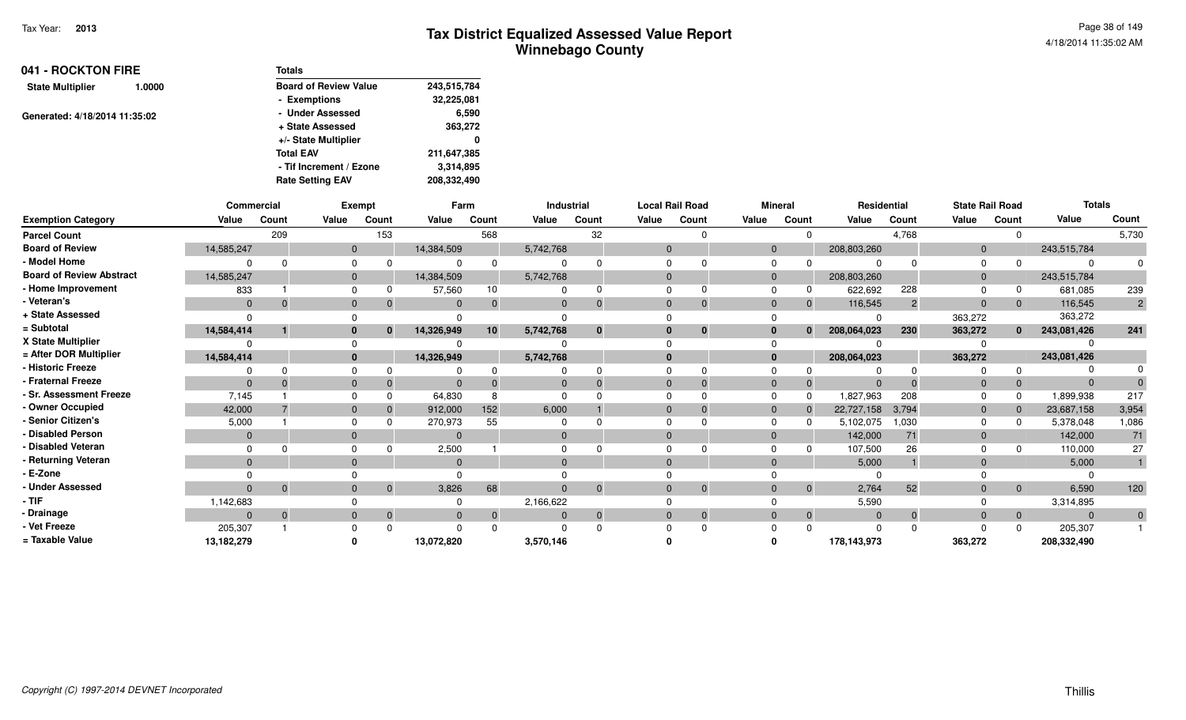| 041 - ROCKTON FIRE            |                         | <b>Totals</b>                |             |
|-------------------------------|-------------------------|------------------------------|-------------|
| <b>State Multiplier</b>       | 1.0000                  | <b>Board of Review Value</b> | 243,515,784 |
|                               |                         | - Exemptions                 | 32,225,081  |
| Generated: 4/18/2014 11:35:02 |                         | - Under Assessed             | 6.590       |
|                               |                         | + State Assessed             | 363,272     |
|                               |                         | +/- State Multiplier         | 0           |
|                               |                         | <b>Total EAV</b>             | 211,647,385 |
|                               | - Tif Increment / Ezone | 3,314,895                    |             |
|                               |                         | <b>Rate Setting EAV</b>      | 208,332,490 |

|                                 | Commercial     |          |              | <b>Exempt</b> | Farm       |                |           | Industrial   |              | <b>Local Rail Road</b> |                | <b>Mineral</b> | Residential |                | <b>State Rail Road</b> |                | <b>Totals</b> |              |
|---------------------------------|----------------|----------|--------------|---------------|------------|----------------|-----------|--------------|--------------|------------------------|----------------|----------------|-------------|----------------|------------------------|----------------|---------------|--------------|
| <b>Exemption Category</b>       | Value          | Count    | Value        | Count         | Value      | Count          | Value     | Count        | Value        | Count                  | Value          | Count          | Value       | Count          | Value                  | Count          | Value         | Count        |
| <b>Parcel Count</b>             |                | 209      |              | 153           |            | 568            |           | 32           |              |                        |                |                |             | 4,768          |                        | $\Omega$       |               | 5,730        |
| <b>Board of Review</b>          | 14,585,247     |          | $\mathbf{0}$ |               | 14,384,509 |                | 5,742,768 |              | $\Omega$     |                        | $\overline{0}$ |                | 208,803,260 |                | $\mathbf{0}$           |                | 243,515,784   |              |
| - Model Home                    | $\Omega$       |          | $\Omega$     |               |            | $\Omega$       |           |              |              |                        | $\Omega$       |                |             |                | $\Omega$               |                | $\Omega$      |              |
| <b>Board of Review Abstract</b> | 14,585,247     |          | $\mathbf 0$  |               | 14,384,509 |                | 5,742,768 |              | $\Omega$     |                        | $\Omega$       |                | 208,803,260 |                | $\Omega$               |                | 243,515,784   |              |
| - Home Improvement              | 833            |          | $\Omega$     |               | 57,560     | 10             |           |              | $\Omega$     |                        |                |                | 622,692     | 228            |                        |                | 681,085       | 239          |
| - Veteran's                     | $\overline{0}$ |          | $\Omega$     | $\mathbf{0}$  | $\Omega$   | $\overline{0}$ |           |              | $\Omega$     |                        |                | $\mathbf{0}$   | 116,545     | $\overline{2}$ | $\Omega$               | $\overline{0}$ | 116,545       | $2^{\circ}$  |
| + State Assessed                | $\Omega$       |          |              |               |            |                |           |              |              |                        |                |                |             |                | 363,272                |                | 363,272       |              |
| = Subtotal                      | 14,584,414     |          | $\bf{0}$     | $\mathbf{0}$  | 14,326,949 | 10             | 5,742,768 | $\mathbf{0}$ | $\bf{0}$     | $\bf{0}$               |                | $\bf{0}$       | 208,064,023 | 230            | 363,272                | $\mathbf{0}$   | 243,081,426   | 241          |
| X State Multiplier              |                |          |              |               |            |                |           |              |              |                        |                |                |             |                |                        |                |               |              |
| = After DOR Multiplier          | 14,584,414     |          | $\mathbf{0}$ |               | 14,326,949 |                | 5,742,768 |              | $\mathbf{0}$ |                        |                |                | 208,064,023 |                | 363,272                |                | 243,081,426   |              |
| - Historic Freeze               | $\Omega$       |          |              |               |            | $\Omega$       |           |              |              |                        |                |                |             |                |                        |                |               |              |
| - Fraternal Freeze              | $\Omega$       |          | $\Omega$     |               | $\Omega$   |                |           |              | $\Omega$     |                        | $\Omega$       |                | $\Omega$    |                | $\Omega$               | $\overline{0}$ | $\Omega$      |              |
| - Sr. Assessment Freeze         | 7,145          |          |              |               | 64,830     | 8              |           |              |              |                        |                |                | 1,827,963   | 208            |                        |                | 1,899,938     | 217          |
| - Owner Occupied                | 42,000         |          | $\mathbf{0}$ |               | 912,000    | 152            | 6,000     |              | $\Omega$     |                        |                |                | 22,727,158  | 3,794          | $\mathbf 0$            |                | 23,687,158    | 3,954        |
| - Senior Citizen's              | 5,000          |          | $\Omega$     |               | 270,973    | 55             |           |              |              |                        | $\Omega$       |                | 5,102,075   | 1,030          | $\Omega$               |                | 5,378,048     | 1,086        |
| - Disabled Person               | $\Omega$       |          | $\Omega$     |               |            |                |           |              | $\Omega$     |                        | $\Omega$       |                | 142,000     | 71             | $\Omega$               |                | 142,000       | 71           |
| - Disabled Veteran              | $\Omega$       |          |              |               | 2,500      |                |           |              |              |                        |                |                | 107,500     | 26             |                        |                | 110,000       | 27           |
| - Returning Veteran             | $\Omega$       |          | $\Omega$     |               |            |                | $\Omega$  |              | $\Omega$     |                        |                |                | 5,000       |                |                        |                | 5,000         |              |
| - E-Zone                        |                |          |              |               |            |                |           |              |              |                        |                |                |             |                |                        |                |               |              |
| - Under Assessed                | $\Omega$       | $\Omega$ | $\mathbf{0}$ | $\mathbf{0}$  | 3,826      | 68             |           | $\Omega$     | $\Omega$     | $\Omega$               |                | $\overline{0}$ | 2,764       | 52             | $\Omega$               | $\overline{0}$ | 6,590         | 120          |
| - TIF                           | 1,142,683      |          |              |               |            |                | 2,166,622 |              |              |                        |                |                | 5,590       |                |                        |                | 3,314,895     |              |
| - Drainage                      | $\Omega$       | $\Omega$ | $\mathbf{0}$ | $\mathbf{0}$  | $\Omega$   | $\overline{0}$ |           | $\mathbf 0$  | $\Omega$     | $\Omega$               | $\Omega$       | $\mathbf{0}$   | $\Omega$    |                | $\Omega$               | $\overline{0}$ | $\Omega$      | $\mathbf{0}$ |
| - Vet Freeze                    | 205,307        |          |              |               |            | $\Omega$       |           |              |              |                        |                |                |             |                |                        | $\Omega$       | 205,307       |              |
| = Taxable Value                 | 13,182,279     |          |              |               | 13,072,820 |                | 3,570,146 |              |              |                        |                |                | 178,143,973 |                | 363,272                |                | 208,332,490   |              |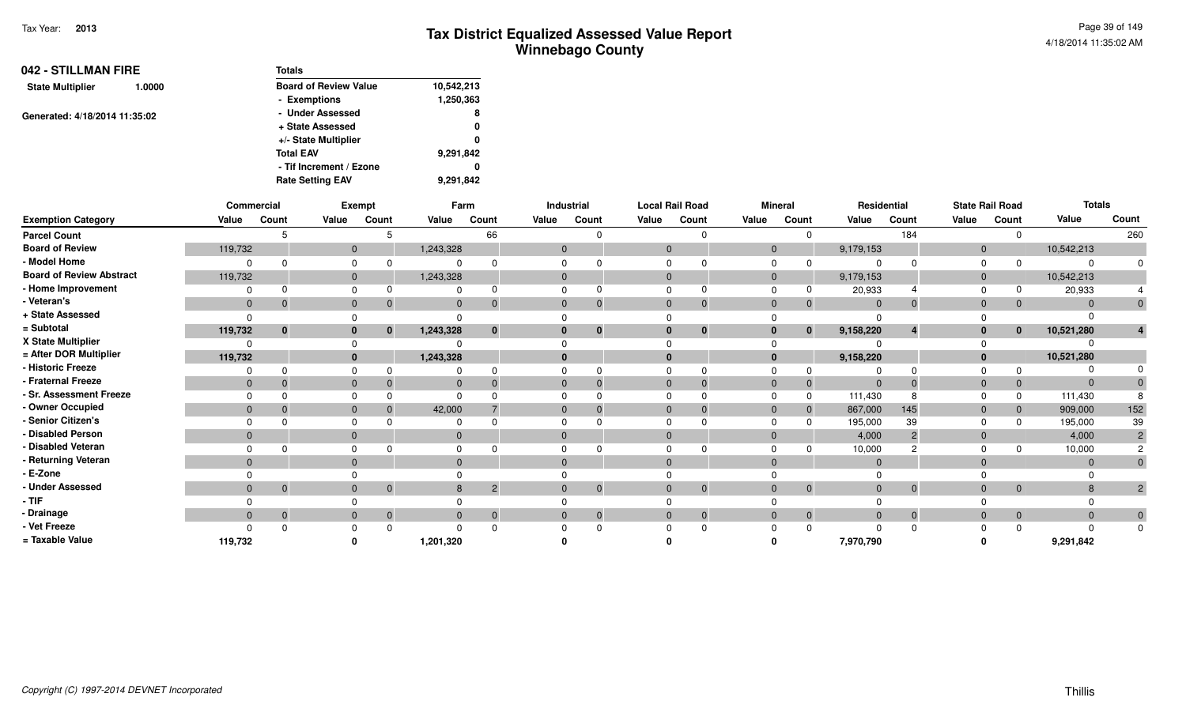| 042 - STILLMAN FIRE           |        | Totals                       |            |
|-------------------------------|--------|------------------------------|------------|
| <b>State Multiplier</b>       | 1.0000 | <b>Board of Review Value</b> | 10,542,213 |
|                               |        | - Exemptions                 | 1,250,363  |
| Generated: 4/18/2014 11:35:02 |        | - Under Assessed             | 8          |
|                               |        | + State Assessed             | 0          |
|                               |        | +/- State Multiplier         | 0          |
|                               |        | <b>Total EAV</b>             | 9,291,842  |
|                               |        | - Tif Increment / Ezone      | 0          |
|                               |        | <b>Rate Setting EAV</b>      | 9,291,842  |

|                                 |              | Commercial   |              | Exempt                       |              | Farm           |       | Industrial     | <b>Local Rail Road</b> |                |                | <b>Mineral</b> |                | Residential    |              | <b>State Rail Road</b> | <b>Totals</b> |                |
|---------------------------------|--------------|--------------|--------------|------------------------------|--------------|----------------|-------|----------------|------------------------|----------------|----------------|----------------|----------------|----------------|--------------|------------------------|---------------|----------------|
| <b>Exemption Category</b>       | Value        | Count        | Value        | Count                        | Value        | Count          | Value | Count          | Value                  | Count          | Value          | Count          | Value          | Count          | Value        | Count                  | Value         | Count          |
| <b>Parcel Count</b>             |              |              |              |                              |              | 66             |       |                |                        | <sup>0</sup>   |                |                |                | 184            |              |                        |               | 260            |
| <b>Board of Review</b>          | 119,732      |              |              | $\mathbf{0}$                 | 1,243,328    |                | 0     |                | $\mathbf{0}$           |                | $\mathbf{0}$   |                | 9,179,153      |                | $\mathbf{0}$ |                        | 10,542,213    |                |
| - Model Home                    |              |              | $\Omega$     |                              |              |                |       |                |                        |                |                |                |                |                | $\Omega$     |                        |               |                |
| <b>Board of Review Abstract</b> | 119,732      |              |              | $\mathbf{0}$                 | 1,243,328    |                |       |                | $\mathbf{0}$           |                | $\mathbf{0}$   |                | 9,179,153      |                | $\mathbf{0}$ |                        | 10,542,213    |                |
| - Home Improvement              |              |              | $\Omega$     |                              |              |                |       |                |                        |                |                |                | 20,933         |                | $\Omega$     |                        | 20,933        |                |
| - Veteran's                     | $\mathbf{0}$ | $\Omega$     | $\mathbf{0}$ |                              | $\mathbf{0}$ |                |       | $\overline{0}$ | $\mathbf{0}$           | $\Omega$       | $\mathbf{0}$   | $\mathbf 0$    | $\overline{0}$ | $\Omega$       | $\Omega$     | $\overline{0}$         |               |                |
| + State Assessed                | $\Omega$     |              | <sup>n</sup> |                              |              |                |       |                |                        |                |                |                |                |                |              |                        |               |                |
| = Subtotal                      | 119,732      | $\bf{0}$     |              | $\mathbf{0}$<br>$\mathbf{0}$ | 1,243,328    | $\bf{0}$       |       | $\bf{0}$       | 0                      | $\mathbf 0$    |                | $\bf{0}$       | 9,158,220      | 4              | $\Omega$     | $\bf{0}$               | 10,521,280    |                |
| X State Multiplier              |              |              | $\Omega$     |                              |              |                |       |                |                        |                |                |                |                |                |              |                        |               |                |
| = After DOR Multiplier          | 119,732      |              |              | $\mathbf{0}$                 | 1,243,328    |                |       |                |                        |                |                |                | 9,158,220      |                | $\bf{0}$     |                        | 10,521,280    |                |
| - Historic Freeze               |              | ŋ            |              |                              |              | <sup>n</sup>   |       |                |                        |                |                |                |                | $\Omega$       |              |                        |               |                |
| Fraternal Freeze                | $\mathbf{0}$ |              | $\Omega$     |                              | $\Omega$     |                |       |                | $\mathbf{0}$           |                | $\mathbf{0}$   |                | $\Omega$       | 0              | $\Omega$     | $\overline{0}$         |               |                |
| - Sr. Assessment Freeze         |              |              |              |                              |              |                |       |                |                        |                |                |                | 111,430        |                |              | $\Omega$               | 111,430       |                |
| - Owner Occupied                | $\Omega$     |              | $\Omega$     |                              | 42,000       |                |       |                |                        |                | 0              | 0              | 867,000        | 145            | $\Omega$     | $\overline{0}$         | 909,000       | 152            |
| - Senior Citizen's              |              |              |              |                              |              |                |       |                |                        |                |                |                | 195,000        | 39             |              |                        | 195,000       | 39             |
| <b>Disabled Person</b>          | $\mathbf{0}$ |              | $\Omega$     |                              |              |                |       |                | $\Omega$               |                | $\Omega$       |                | 4,000          | $\overline{2}$ | $\Omega$     |                        | 4,000         |                |
| Disabled Veteran                |              |              | $\Omega$     |                              |              |                |       |                |                        |                |                |                | 10,000         |                | $\Omega$     |                        | 10,000        |                |
| Returning Veteran               | $\Omega$     |              | $\Omega$     |                              |              |                |       |                |                        |                | $\Omega$       |                |                |                | $\Omega$     |                        |               |                |
| - E-Zone                        |              |              |              |                              |              |                |       |                |                        |                |                |                |                |                |              |                        |               |                |
| <b>Under Assessed</b>           | $\mathbf{0}$ | $\mathbf{0}$ |              | $\mathbf{0}$<br>$\mathbf{0}$ | 8            | $\overline{2}$ |       | $\overline{0}$ | $\overline{0}$         | $\mathbf{0}$   | $\overline{0}$ | $\overline{0}$ | $\mathbf{0}$   | $\overline{0}$ | $\Omega$     | $\overline{0}$         |               | $\overline{2}$ |
| - TIF                           |              |              |              |                              |              |                |       |                |                        |                |                |                |                |                |              |                        |               |                |
| - Drainage                      | $\mathbf{0}$ | $\mathbf{0}$ | $\mathbf{0}$ | $\mathbf{0}$                 | $\Omega$     | $\Omega$       |       | $\overline{0}$ | $\overline{0}$         | $\overline{0}$ | $\mathbf{0}$   | $\overline{0}$ | $\Omega$       | $\overline{0}$ | $\Omega$     | $\overline{0}$         |               | $\overline{0}$ |
| Vet Freeze                      |              |              |              |                              |              |                |       |                |                        |                |                |                |                |                |              |                        |               | $\mathbf{0}$   |
| = Taxable Value                 | 119,732      |              |              |                              | 1,201,320    |                |       |                |                        |                |                |                | 7,970,790      |                |              |                        | 9,291,842     |                |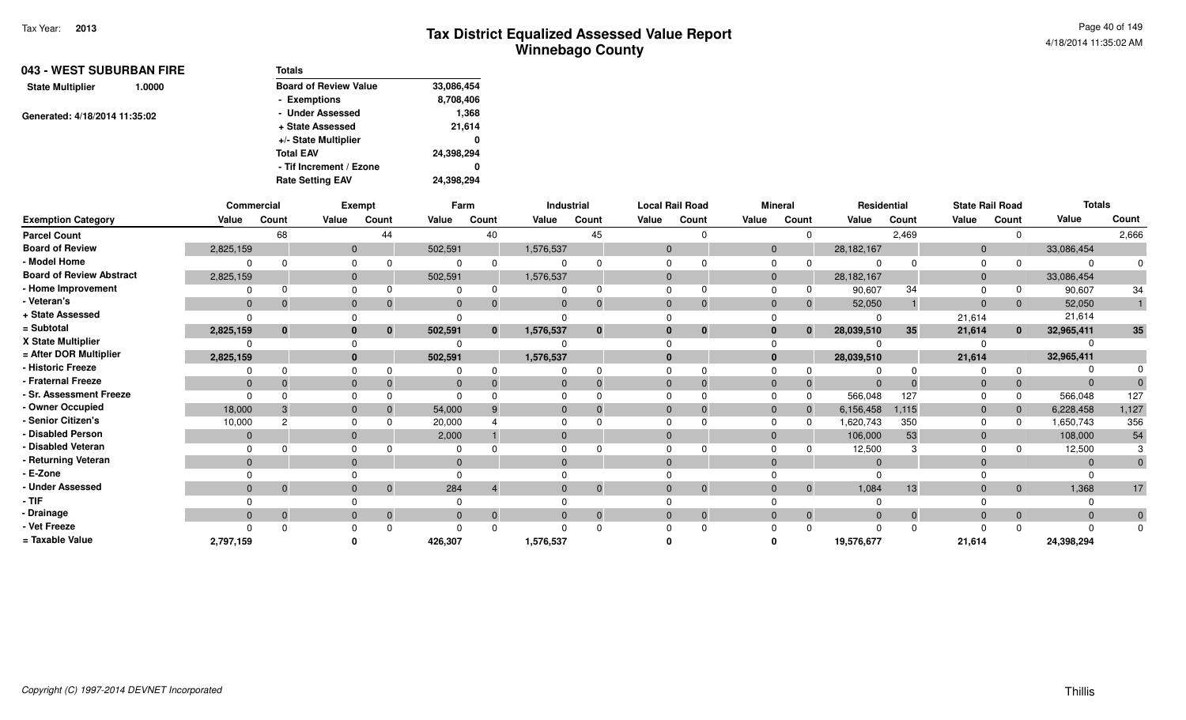| 043 - WEST SUBURBAN FIRE          | <b>Totals</b>                |            |
|-----------------------------------|------------------------------|------------|
| <b>State Multiplier</b><br>1.0000 | <b>Board of Review Value</b> | 33,086,454 |
|                                   | - Exemptions                 | 8,708,406  |
| Generated: 4/18/2014 11:35:02     | - Under Assessed             | 1,368      |
|                                   | + State Assessed             | 21,614     |
|                                   | +/- State Multiplier         | 0          |
|                                   | <b>Total EAV</b>             | 24,398,294 |
|                                   | - Tif Increment / Ezone      | 0          |
|                                   | <b>Rate Setting EAV</b>      | 24,398,294 |

|                                 |                | Commercial   |                | Exempt       |              | Farm         |              | <b>Industrial</b> |              | <b>Local Rail Road</b> |       | <b>Mineral</b>             |            | Residential | <b>State Rail Road</b> |                | <b>Totals</b> |              |
|---------------------------------|----------------|--------------|----------------|--------------|--------------|--------------|--------------|-------------------|--------------|------------------------|-------|----------------------------|------------|-------------|------------------------|----------------|---------------|--------------|
| <b>Exemption Category</b>       | Value          | Count        | Value          | Count        | Value        | Count        | Value        | Count             | Value        | Count                  | Value | Count                      | Value      | Count       | Value                  | Count          | Value         | Count        |
| <b>Parcel Count</b>             |                | 68           |                | 44           |              | 40           |              | 45                |              |                        |       | $\Omega$                   |            | 2,469       |                        | $\Omega$       |               | 2,666        |
| <b>Board of Review</b>          | 2,825,159      |              | $\mathbf{0}$   |              | 502,591      |              | 1,576,537    |                   | $\mathbf{0}$ |                        |       | $\overline{0}$             | 28,182,167 |             | $\mathbf{0}$           |                | 33,086,454    |              |
| - Model Home                    | O              |              | $\Omega$       |              | O            |              |              |                   |              |                        |       | U                          |            |             | $\Omega$               |                |               |              |
| <b>Board of Review Abstract</b> | 2,825,159      |              | $\overline{0}$ |              | 502,591      |              | 1,576,537    |                   |              |                        |       | $\overline{0}$             | 28,182,167 |             | $\mathbf{0}$           |                | 33,086,454    |              |
| - Home Improvement              |                |              | $\Omega$       |              |              |              |              |                   |              |                        |       |                            | 90,607     | 34          | $\Omega$               |                | 90,607        | 34           |
| - Veteran's                     | $\mathbf{0}$   | $\mathbf{0}$ | $\mathbf{0}$   | $\Omega$     | $\mathbf{0}$ |              | $\Omega$     |                   | $\Omega$     |                        |       | $\Omega$                   | 52,050     |             | $\mathbf{0}$           | $\overline{0}$ | 52,050        |              |
| + State Assessed                | $\Omega$       |              |                |              |              |              |              |                   |              |                        |       |                            |            |             | 21,614                 |                | 21,614        |              |
| = Subtotal                      | 2,825,159      | $\mathbf{0}$ | $\bf{0}$       | $\bf{0}$     | 502,591      | $\mathbf{0}$ | 1,576,537    | $\bf{0}$          |              | $\bf{0}$               |       | $\bf{0}$<br>$\bf{0}$       | 28,039,510 | 35          | 21,614                 | $\mathbf{0}$   | 32,965,411    | 35           |
| X State Multiplier              |                |              |                |              |              |              |              |                   |              |                        |       |                            |            |             |                        |                |               |              |
| = After DOR Multiplier          | 2,825,159      |              |                | $\mathbf{0}$ | 502,591      |              | 1,576,537    |                   |              |                        |       | $\mathbf{0}$               | 28,039,510 |             | 21,614                 |                | 32,965,411    |              |
| - Historic Freeze               | 0              |              | $\Omega$       |              |              |              |              |                   |              |                        |       |                            |            |             |                        |                |               |              |
| - Fraternal Freeze              | $\overline{0}$ | $\Omega$     | $\mathbf{0}$   |              | $\Omega$     |              | $\mathbf 0$  |                   |              |                        |       |                            | $\Omega$   |             | $\Omega$               | $\Omega$       |               |              |
| - Sr. Assessment Freeze         |                |              |                |              |              |              |              |                   |              |                        |       |                            | 566,048    | 127         |                        |                | 566,048       | 127          |
| - Owner Occupied                | 18,000         | 3            | $\mathbf{0}$   |              | 54,000       |              | $\mathbf 0$  |                   | $\mathbf{0}$ |                        |       | $\mathbf{0}$               | 6,156,458  | 1,115       | $\mathbf{0}$           | $\mathbf{0}$   | 6,228,458     | 1,127        |
| - Senior Citizen's              | 10,000         | 2            | $\Omega$       |              | 20,000       |              |              |                   |              |                        |       | $\Omega$                   | 1,620,743  | 350         | 0                      |                | 1,650,743     | 356          |
| - Disabled Person               | $\mathbf{0}$   |              | $\overline{0}$ |              | 2,000        |              | $\mathbf{0}$ |                   | $\Omega$     |                        |       | $\mathbf{0}$               | 106,000    | 53          | $\mathbf{0}$           |                | 108,000       | 54           |
| - Disabled Veteran              |                |              | $\Omega$       |              |              |              |              |                   |              |                        |       |                            | 12,500     |             | $\Omega$               |                | 12,500        |              |
| - Returning Veteran             | $\mathbf{0}$   |              | $\mathbf{0}$   |              | $\Omega$     |              | $\mathbf{0}$ |                   |              |                        |       | $\Omega$                   | $\Omega$   |             | $\Omega$               |                |               | $\Omega$     |
| - E-Zone                        |                |              |                |              |              |              |              |                   |              |                        |       |                            |            |             |                        |                |               |              |
| - Under Assessed                | $\mathbf{0}$   | $\mathbf{0}$ | $\mathbf{0}$   | $\Omega$     | 284          |              | $\Omega$     |                   | $\Omega$     | $\Omega$               |       | $\Omega$<br>$\overline{0}$ | 1,084      | 13          | $\mathbf{0}$           | $\overline{0}$ | 1,368         | 17           |
| - TIF                           |                |              |                |              |              |              |              |                   |              |                        |       |                            |            |             |                        |                |               |              |
| - Drainage                      | $\mathbf{0}$   | $\mathbf{0}$ | $\mathbf{0}$   | $\mathbf 0$  | $\mathbf 0$  |              | $\Omega$     |                   | $\Omega$     |                        |       |                            | $\Omega$   | $\Omega$    | $\Omega$               | $\overline{0}$ |               | $\mathbf{0}$ |
| - Vet Freeze                    |                | $\Omega$     |                |              |              |              |              |                   |              |                        |       |                            |            |             |                        |                |               |              |
| = Taxable Value                 | 2,797,159      |              |                |              | 426,307      |              | 1,576,537    |                   |              |                        |       |                            | 19,576,677 |             | 21,614                 |                | 24,398,294    |              |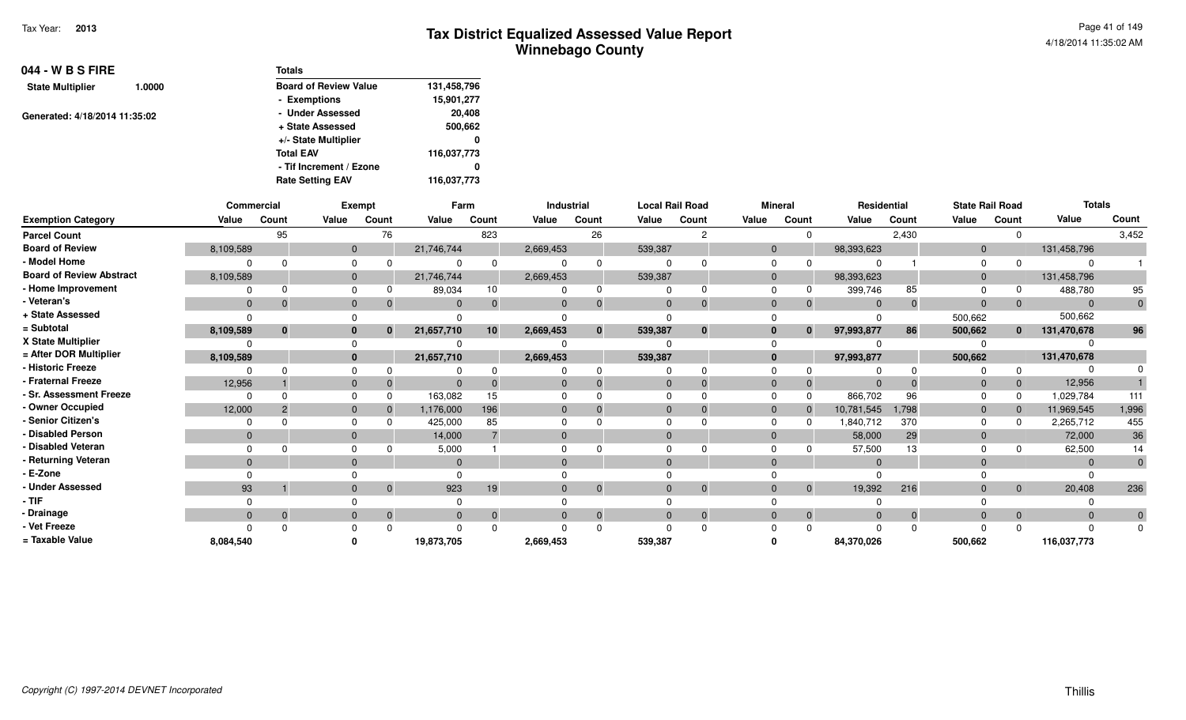Page 41 of 1494/18/2014 11:35:02 AM

| 044 - W B S FIRE              |        | <b>Totals</b>                |             |
|-------------------------------|--------|------------------------------|-------------|
| <b>State Multiplier</b>       | 1.0000 | <b>Board of Review Value</b> | 131,458,796 |
|                               |        | - Exemptions                 | 15,901,277  |
| Generated: 4/18/2014 11:35:02 |        | - Under Assessed             | 20,408      |
|                               |        | + State Assessed             | 500,662     |
|                               |        | +/- State Multiplier         | 0           |
|                               |        | <b>Total EAV</b>             | 116,037,773 |
|                               |        | - Tif Increment / Ezone      | 0           |
|                               |        | <b>Rate Setting EAV</b>      | 116,037,773 |

|                                 |                | <b>Commercial</b> |                | Exempt |              | Farm     |                | <b>Industrial</b> |                | <b>Local Rail Road</b> |       | <b>Mineral</b> |            | Residential |              | <b>State Rail Road</b> | <b>Totals</b> |              |
|---------------------------------|----------------|-------------------|----------------|--------|--------------|----------|----------------|-------------------|----------------|------------------------|-------|----------------|------------|-------------|--------------|------------------------|---------------|--------------|
| <b>Exemption Category</b>       | Value          | Count             | Value          | Count  | Value        | Count    | Value          | Count             | Value          | Count                  | Value | Count          | Value      | Count       | Value        | Count                  | Value         | Count        |
| <b>Parcel Count</b>             |                | 95                |                | 76     |              | 823      |                | 26                |                | 2                      |       | 0              |            | 2,430       |              | $\Omega$               |               | 3,452        |
| <b>Board of Review</b>          | 8,109,589      |                   | $\mathbf 0$    |        | 21,746,744   |          | 2,669,453      |                   | 539,387        |                        |       | $\mathbf{0}$   | 98,393,623 |             | $\mathbf{0}$ |                        | 131,458,796   |              |
| - Model Home                    | $\Omega$       |                   | $\mathbf 0$    |        |              | $\Omega$ | $\Omega$       |                   | O              |                        |       | $\Omega$       |            |             | 0            |                        |               |              |
| <b>Board of Review Abstract</b> | 8,109,589      |                   | $\mathbf 0$    |        | 21,746,744   |          | 2,669,453      |                   | 539,387        |                        |       | $\mathbf{0}$   | 98,393,623 |             | $\mathbf{0}$ |                        | 131,458,796   |              |
| - Home Improvement              |                |                   | $\Omega$       |        | 89,034       | 10       |                |                   |                |                        |       |                | 399,746    | 85          | 0            |                        | 488,780       | 95           |
| - Veteran's                     | $\overline{0}$ | $\Omega$          | $\overline{0}$ |        | $\Omega$     | $\Omega$ | $\Omega$       |                   | $\Omega$       |                        |       | $\mathbf{0}$   | $\Omega$   | $\Omega$    | $\mathbf{0}$ | $\overline{0}$         | $\Omega$      | $\mathbf{0}$ |
| + State Assessed                | $\Omega$       |                   | $\Omega$       |        |              |          |                |                   |                |                        |       |                |            |             | 500,662      |                        | 500,662       |              |
| = Subtotal                      | 8,109,589      | $\bf{0}$          | $\mathbf{0}$   |        | 21,657,710   | 10       | 2,669,453      | $\bf{0}$          | 539,387        | $\bf{0}$               |       | 0              | 97,993,877 | 86          | 500,662      | $\mathbf{0}$           | 131,470,678   | 96           |
| X State Multiplier              |                |                   | $\Omega$       |        |              |          |                |                   |                |                        |       |                |            |             |              |                        |               |              |
| = After DOR Multiplier          | 8,109,589      |                   | $\mathbf{0}$   |        | 21,657,710   |          | 2,669,453      |                   | 539,387        |                        |       | $\mathbf{0}$   | 97,993,877 |             | 500,662      |                        | 131,470,678   |              |
| - Historic Freeze               | $\Omega$       |                   | $\Omega$       |        |              | $\Omega$ | $\Omega$       |                   |                |                        |       |                |            |             |              |                        |               |              |
| - Fraternal Freeze              | 12,956         |                   | $\overline{0}$ |        | $\Omega$     |          | $\mathbf 0$    |                   | $\Omega$       |                        |       |                | $\Omega$   |             | $\mathbf{0}$ |                        | 12,956        |              |
| - Sr. Assessment Freeze         | $\Omega$       |                   | $\Omega$       |        | 163,082      | 15       |                |                   |                |                        |       |                | 866,702    | 96          |              |                        | 1,029,784     | 111          |
| - Owner Occupied                | 12,000         |                   | $\mathbf{0}$   |        | 1,176,000    | 196      | $\mathbf 0$    |                   | $\overline{0}$ |                        |       | $\mathbf{0}$   | 10,781,545 | 1,798       | $\mathbf{0}$ | $\mathbf{0}$           | 11,969,545    | 1,996        |
| - Senior Citizen's              | $\Omega$       |                   | $\Omega$       |        | 425,000      | 85       | $\Omega$       |                   |                |                        |       | $\Omega$       | 1,840,712  | 370         | 0            |                        | 2,265,712     | 455          |
| - Disabled Person               | $\Omega$       |                   | $\mathbf{0}$   |        | 14,000       |          | $\overline{0}$ |                   | $\Omega$       |                        |       | $\mathbf{0}$   | 58,000     | 29          | $\Omega$     |                        | 72,000        | 36           |
| - Disabled Veteran              |                |                   | $\Omega$       |        | 5,000        |          | $\Omega$       |                   |                |                        |       |                | 57,500     |             |              |                        | 62,500        | 14           |
| - Returning Veteran             | $\Omega$       |                   | $\mathbf{0}$   |        | $\Omega$     |          | $\Omega$       |                   | $\Omega$       |                        |       | $\Omega$       | $\Omega$   |             | $\Omega$     |                        | $\Omega$      | $\mathbf{0}$ |
| - E-Zone                        |                |                   |                |        |              |          |                |                   |                |                        |       |                |            |             |              |                        |               |              |
| - Under Assessed                | 93             |                   | $\overline{0}$ |        | 923          | 19       | $\mathbf{0}$   | $\mathbf{0}$      | $\Omega$       |                        |       | $\mathbf{0}$   | 19,392     | 216         | $\Omega$     | $\overline{0}$         | 20,408        | 236          |
| - TIF                           | $\Omega$       |                   |                |        |              |          |                |                   |                |                        |       |                |            |             |              |                        |               |              |
| - Drainage                      | $\Omega$       | $\Omega$          | $\mathbf 0$    |        | $\mathbf{0}$ | $\Omega$ | $\mathbf{0}$   | $\Omega$          | $\overline{0}$ |                        |       | $\Omega$       | $\Omega$   | $\Omega$    | $\Omega$     | $\mathbf{0}$           | $\Omega$      | $\mathbf{0}$ |
| - Vet Freeze                    |                |                   | $\Omega$       |        | ŋ            | $\Omega$ | $\Omega$       |                   | ∩              |                        |       |                |            | $\Omega$    |              |                        |               | $\Omega$     |
| = Taxable Value                 | 8,084,540      |                   |                |        | 19,873,705   |          | 2,669,453      |                   | 539,387        |                        |       |                | 84,370,026 |             | 500,662      |                        | 116,037,773   |              |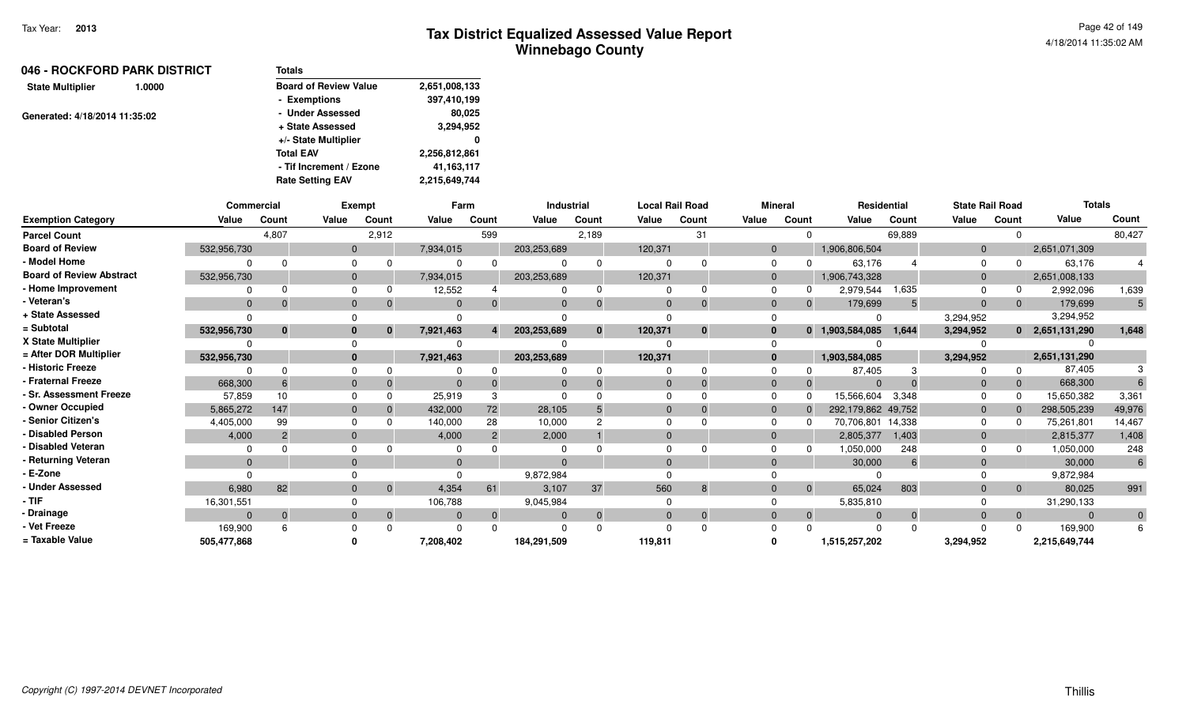| 046 - ROCKFORD PARK DISTRICT      | <b>Totals</b>                |               |  |  |  |
|-----------------------------------|------------------------------|---------------|--|--|--|
| <b>State Multiplier</b><br>1.0000 | <b>Board of Review Value</b> | 2,651,008,133 |  |  |  |
|                                   | - Exemptions                 | 397,410,199   |  |  |  |
| Generated: 4/18/2014 11:35:02     | - Under Assessed             | 80,025        |  |  |  |
|                                   | + State Assessed             | 3,294,952     |  |  |  |
|                                   | +/- State Multiplier         | 0             |  |  |  |
|                                   | <b>Total EAV</b>             | 2,256,812,861 |  |  |  |
|                                   | - Tif Increment / Ezone      | 41,163,117    |  |  |  |
|                                   | <b>Rate Setting EAV</b>      | 2,215,649,744 |  |  |  |

|                                 | Commercial  |          |              | <b>Exempt</b> | Farm      |                | Industrial  |                |          | <b>Local Rail Road</b> | <b>Mineral</b> |              | Residential        |        | <b>State Rail Road</b> |                | <b>Totals</b>     |              |
|---------------------------------|-------------|----------|--------------|---------------|-----------|----------------|-------------|----------------|----------|------------------------|----------------|--------------|--------------------|--------|------------------------|----------------|-------------------|--------------|
| <b>Exemption Category</b>       | Value       | Count    | Value        | Count         | Value     | Count          | Value       | Count          | Value    | Count                  | Value          | Count        | Value              | Count  | Value                  | Count          | Value             | Count        |
| <b>Parcel Count</b>             |             | 4,807    |              | 2,912         |           | 599            |             | 2,189          |          | 31                     |                |              |                    | 69,889 |                        | $\Omega$       |                   | 80,427       |
| <b>Board of Review</b>          | 532,956,730 |          | $\Omega$     |               | 7,934,015 |                | 203,253,689 |                | 120,371  |                        | $\overline{0}$ |              | 1,906,806,504      |        | $\mathbf 0$            |                | 2,651,071,309     |              |
| - Model Home                    |             |          |              |               |           |                |             | <sup>0</sup>   |          |                        | $\Omega$       |              | 63,176             |        | $\Omega$               |                | 63,176            |              |
| <b>Board of Review Abstract</b> | 532,956,730 |          | $\Omega$     |               | 7,934,015 |                | 203,253,689 |                | 120,371  |                        | $\Omega$       |              | 1,906,743,328      |        | $\Omega$               |                | 2,651,008,133     |              |
| - Home Improvement              |             |          |              |               | 12,552    |                |             |                |          |                        | $\Omega$       |              | 2,979,544          | 1,635  |                        |                | 2,992,096         | 1,639        |
| - Veteran's                     | $\Omega$    |          | $\mathbf{0}$ |               | $\Omega$  |                |             | $\overline{0}$ | $\Omega$ | $\Omega$               | $\Omega$       |              | 179,699            |        | $\Omega$               | $\overline{0}$ | 179,699           | $5^{\circ}$  |
| + State Assessed                |             |          |              |               |           |                |             |                |          |                        |                |              | $\Omega$           |        | 3,294,952              |                | 3,294,952         |              |
| = Subtotal                      | 532,956,730 | $\bf{0}$ |              | 0             | 7,921,463 | 4              | 203,253,689 | $\mathbf{0}$   | 120,371  | 0                      | 0              |              | 0 1,903,584,085    | 1,644  | 3,294,952              |                | $0$ 2,651,131,290 | 1,648        |
| X State Multiplier              |             |          |              |               |           |                |             |                |          |                        | $\Omega$       |              |                    |        |                        |                |                   |              |
| = After DOR Multiplier          | 532,956,730 |          | $\bf{0}$     |               | 7,921,463 |                | 203,253,689 |                | 120,371  |                        | $\mathbf{0}$   |              | 1,903,584,085      |        | 3,294,952              |                | 2,651,131,290     |              |
| - Historic Freeze               |             | ∩        |              |               |           |                |             | $\Omega$       |          |                        |                |              | 87,405             |        |                        | $\Omega$       | 87,405            |              |
| - Fraternal Freeze              | 668,300     |          | $\Omega$     |               |           |                |             | $\Omega$       | $\Omega$ |                        | $\Omega$       |              | $\Omega$           |        | 0                      | $\Omega$       | 668,300           |              |
| - Sr. Assessment Freeze         | 57,859      | 10       |              |               | 25,919    |                |             |                |          |                        | $\Omega$       |              | 15,566,604         | 3,348  |                        |                | 15,650,382        | 3,361        |
| - Owner Occupied                | 5,865,272   | 147      | $\Omega$     |               | 432,000   | 72             | 28,105      |                |          |                        | $\Omega$       |              | 292,179,862 49,752 |        | $\Omega$               |                | 298,505,239       | 49,976       |
| - Senior Citizen's              | 4,405,000   | 99       |              |               | 140,000   | 28             | 10,000      |                |          |                        | $\Omega$       |              | 70,706,801         | 14,338 | $\Omega$               |                | 75,261,801        | 14,467       |
| <b>Disabled Person</b>          | 4,000       | 2        | $\Omega$     |               | 4,000     | $\overline{2}$ | 2,000       |                |          |                        | $\Omega$       |              | 2,805,377          | 1,403  | $\mathbf 0$            |                | 2,815,377         | 1,408        |
| Disabled Veteran                |             |          |              |               |           |                |             |                |          |                        |                |              | 1,050,000          | 248    |                        |                | 1,050,000         | 248          |
| Returning Veteran               | $\Omega$    |          | $\Omega$     |               | $\Omega$  |                |             |                | $\Omega$ |                        | $\Omega$       |              | 30,000             |        |                        |                | 30,000            | 6            |
| - E-Zone                        |             |          |              |               |           |                | 9,872,984   |                |          |                        |                |              |                    |        |                        |                | 9,872,984         |              |
| <b>Under Assessed</b>           | 6,980       | 82       | $\mathbf{0}$ |               | 4,354     | 61             | 3,107       | 37             | 560      | 8                      | $\Omega$       | $\mathbf{0}$ | 65,024             | 803    | $\overline{0}$         | $\overline{0}$ | 80,025            | 991          |
| - TIF                           | 16,301,551  |          |              |               | 106,788   |                | 9,045,984   |                |          |                        |                |              | 5,835,810          |        |                        |                | 31,290,133        |              |
| - Drainage                      | $\Omega$    | $\Omega$ | $\Omega$     | $\Omega$      |           | $\Omega$       |             | $\overline{0}$ | $\Omega$ | $\Omega$               | $\overline{0}$ |              | $\Omega$           |        | $\Omega$               | $\overline{0}$ | $\Omega$          | $\mathbf{0}$ |
| Vet Freeze                      | 169,900     | 6        |              |               |           |                |             | $\Omega$       |          | $\Omega$               |                |              | $\Omega$           |        |                        | $\Omega$       | 169,900           |              |
| = Taxable Value                 | 505,477,868 |          |              |               | 7,208,402 |                | 184,291,509 |                | 119,811  |                        |                |              | 1,515,257,202      |        | 3,294,952              |                | 2,215,649,744     |              |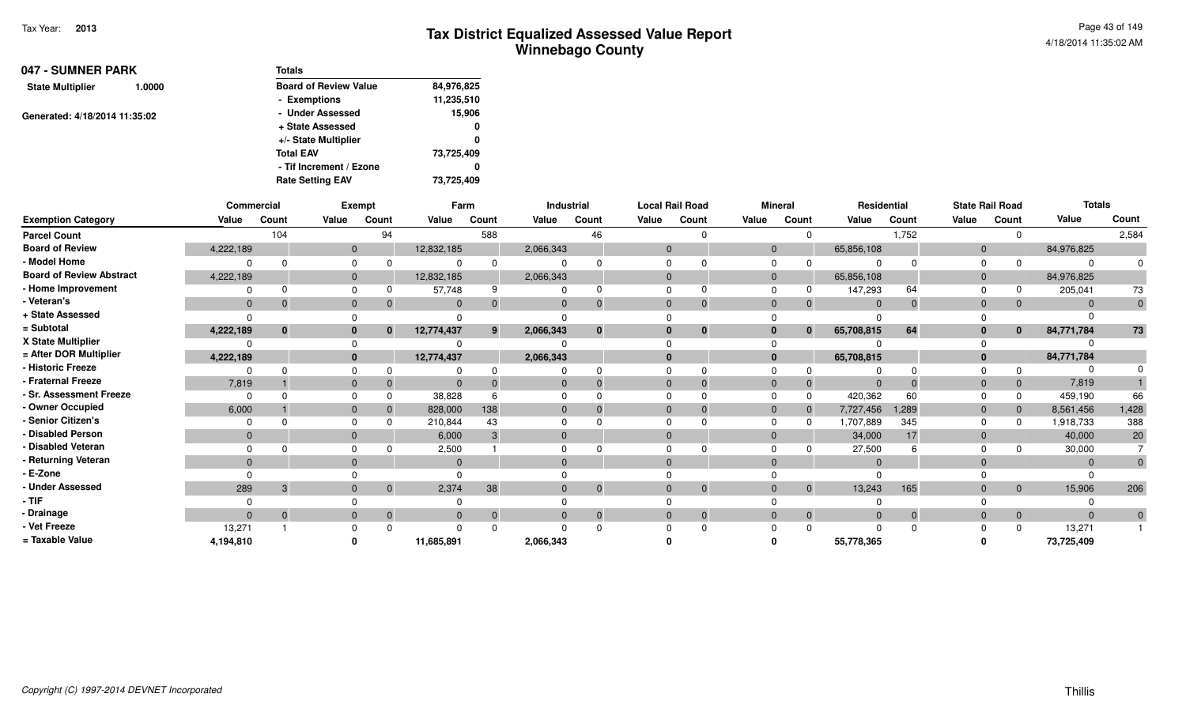| 047 - SUMNER PARK                 | Totals                       |            |
|-----------------------------------|------------------------------|------------|
| <b>State Multiplier</b><br>1.0000 | <b>Board of Review Value</b> | 84,976,825 |
|                                   | - Exemptions                 | 11,235,510 |
| Generated: 4/18/2014 11:35:02     | - Under Assessed             | 15,906     |
|                                   | + State Assessed             | 0          |
|                                   | +/- State Multiplier         | 0          |
|                                   | <b>Total EAV</b>             | 73,725,409 |
|                                   | - Tif Increment / Ezone      | 0          |
|                                   | <b>Rate Setting EAV</b>      | 73.725.409 |

|                                 | Commercial |              |              | <b>Exempt</b>  |              | Farm     |           | Industrial |          | <b>Local Rail Road</b> |                | <b>Mineral</b> |            | Residential |              | <b>State Rail Road</b> | <b>Totals</b> |                |
|---------------------------------|------------|--------------|--------------|----------------|--------------|----------|-----------|------------|----------|------------------------|----------------|----------------|------------|-------------|--------------|------------------------|---------------|----------------|
| <b>Exemption Category</b>       | Value      | Count        | Value        | Count          | Value        | Count    | Value     | Count      | Value    | Count                  | Value          | Count          | Value      | Count       | Value        | Count                  | Value         | Count          |
| <b>Parcel Count</b>             |            | 104          |              | 94             |              | 588      |           | 46         |          | <sup>n</sup>           |                | 0              |            | 1,752       |              |                        |               | 2,584          |
| <b>Board of Review</b>          | 4,222,189  |              | $\mathbf 0$  |                | 12,832,185   |          | 2,066,343 |            |          |                        | $\overline{0}$ |                | 65,856,108 |             | $\mathbf{0}$ |                        | 84,976,825    |                |
| - Model Home                    |            |              | $\Omega$     |                | $\Omega$     |          |           |            |          |                        | 0              |                |            |             | $\Omega$     |                        |               |                |
| <b>Board of Review Abstract</b> | 4,222,189  |              | $\mathbf 0$  |                | 12,832,185   |          | 2,066,343 |            |          |                        | $\overline{0}$ |                | 65,856,108 |             | $\Omega$     |                        | 84,976,825    |                |
| - Home Improvement              |            |              | $\Omega$     |                | 57,748       |          |           |            |          |                        |                |                | 147,293    | 64          |              |                        | 205,041       | 73             |
| - Veteran's                     | $\Omega$   |              | $\mathbf{0}$ | $\Omega$       | $\mathbf{0}$ |          |           | $\Omega$   |          | $\Omega$               | $\overline{0}$ | $\Omega$       | $\Omega$   | $\Omega$    | $\Omega$     | $\overline{0}$         |               |                |
| + State Assessed                |            |              |              |                |              |          |           |            |          |                        |                |                |            |             |              |                        |               |                |
| = Subtotal                      | 4,222,189  | $\mathbf{0}$ | 0            | $\bf{0}$       | 12,774,437   | 9        | 2,066,343 | $\bf{0}$   |          | $\bf{0}$               |                | $\bf{0}$       | 65,708,815 | 64          |              | $\mathbf{0}$           | 84,771,784    | 73             |
| X State Multiplier              |            |              |              |                |              |          |           |            |          |                        |                |                |            |             |              |                        |               |                |
| = After DOR Multiplier          | 4,222,189  |              | $\mathbf{0}$ |                | 12,774,437   |          | 2,066,343 |            |          |                        | $\bf{0}$       |                | 65,708,815 |             |              |                        | 84,771,784    |                |
| - Historic Freeze               |            |              |              |                |              |          |           |            |          |                        |                |                |            |             |              |                        |               |                |
| - Fraternal Freeze              | 7,819      |              | $\Omega$     |                | $\Omega$     |          |           |            |          | $\Omega$               | 0              |                | $\Omega$   |             | $\Omega$     | $\overline{0}$         | 7,819         |                |
| - Sr. Assessment Freeze         |            |              |              |                | 38,828       |          |           |            |          |                        |                | 0              | 420,362    | 60          |              | $\Omega$               | 459,190       | 66             |
| - Owner Occupied                | 6,000      |              | $\Omega$     |                | 828,000      | 138      |           |            |          |                        | 0              | $\bf{0}$       | 7,727,456  | 1,289       |              | $\overline{0}$         | 8,561,456     | 1,428          |
| - Senior Citizen's              |            |              |              |                | 210,844      | 43       |           |            |          |                        |                |                | 1,707,889  | 345         |              |                        | 1,918,733     | 388            |
| - Disabled Person               | $\Omega$   |              | $\mathbf{0}$ |                | 6,000        |          |           |            |          |                        | $\Omega$       |                | 34,000     | 17          | $\Omega$     |                        | 40,000        | 20             |
| - Disabled Veteran              |            |              | $\Omega$     |                | 2,500        |          |           |            |          |                        | 0              |                | 27,500     |             |              |                        | 30,000        |                |
| - Returning Veteran             | $\Omega$   |              | $\Omega$     |                | $\Omega$     |          |           |            |          |                        | $\Omega$       |                |            |             | $\Omega$     |                        |               |                |
| - E-Zone                        |            |              |              |                |              |          |           |            |          |                        |                |                |            |             |              |                        |               |                |
| - Under Assessed                | 289        | 3            | $\Omega$     | $\overline{0}$ | 2,374        | 38       |           | $\Omega$   | $\Omega$ | $\Omega$               | $\Omega$       | $\Omega$       | 13,243     | 165         |              | $\overline{0}$         | 15,906        | 206            |
| - TIF                           |            |              |              |                |              |          |           |            |          |                        |                |                |            |             |              |                        |               |                |
| · Drainage                      | $\Omega$   | $\Omega$     | $\mathbf{0}$ | $\mathbf 0$    | $\Omega$     | $\Omega$ |           | $\Omega$   |          | $\mathbf{0}$           | $\Omega$       | $\mathbf{0}$   |            | $\mathbf 0$ |              | $\overline{0}$         |               | $\overline{0}$ |
| - Vet Freeze                    | 13,271     |              |              |                |              |          |           |            |          |                        |                |                |            |             |              | $\Omega$               | 13,271        |                |
| = Taxable Value                 | 4,194,810  |              |              |                | 11,685,891   |          | 2,066,343 |            |          |                        |                |                | 55,778,365 |             |              |                        | 73,725,409    |                |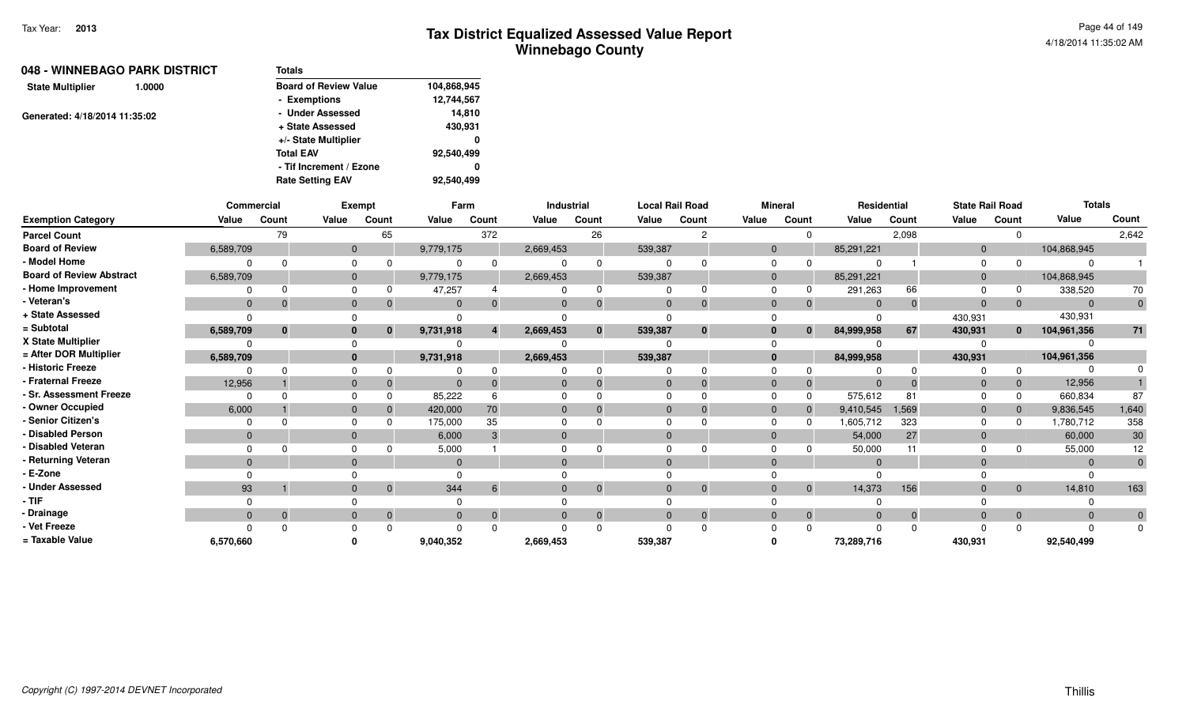| 048 - WINNEBAGO PARK DISTRICT     | <b>Totals</b>                |             |
|-----------------------------------|------------------------------|-------------|
| <b>State Multiplier</b><br>1.0000 | <b>Board of Review Value</b> | 104,868,945 |
|                                   | - Exemptions                 | 12,744,567  |
| Generated: 4/18/2014 11:35:02     | - Under Assessed             | 14,810      |
|                                   | + State Assessed             | 430,931     |
|                                   | +/- State Multiplier         | 0           |
|                                   | <b>Total EAV</b>             | 92,540,499  |
|                                   | - Tif Increment / Ezone      | 0           |
|                                   | <b>Rate Setting EAV</b>      | 92,540,499  |
|                                   |                              |             |

|                                 | Commercial   |          |              | Exempt |              | Farm           |           | Industrial     |                | <b>Local Rail Road</b> | <b>Mineral</b> |          | Residential |       | <b>State Rail Road</b> |                | <b>Totals</b>  |                 |
|---------------------------------|--------------|----------|--------------|--------|--------------|----------------|-----------|----------------|----------------|------------------------|----------------|----------|-------------|-------|------------------------|----------------|----------------|-----------------|
| <b>Exemption Category</b>       | Value        | Count    | Value        | Count  | Value        | Count          | Value     | Count          | Value          | Count                  | Value          | Count    | Value       | Count | Value                  | Count          | Value          | Count           |
| <b>Parcel Count</b>             |              | 79       |              | 65     |              | 372            |           | 26             |                |                        |                |          |             | 2,098 |                        | $\Omega$       |                | 2,642           |
| <b>Board of Review</b>          | 6,589,709    |          | $\mathbf{0}$ |        | 9,779,175    |                | 2,669,453 |                | 539,387        |                        | $\mathbf{0}$   |          | 85,291,221  |       | $\mathbf 0$            |                | 104,868,945    |                 |
| - Model Home                    |              |          | $\Omega$     |        |              |                |           | $\Omega$       |                |                        | $\Omega$       |          |             |       | $\Omega$               |                | $\Omega$       |                 |
| <b>Board of Review Abstract</b> | 6,589,709    |          | $\Omega$     |        | 9,779,175    |                | 2,669,453 |                | 539,387        |                        | $\Omega$       |          | 85,291,221  |       | $\Omega$               |                | 104,868,945    |                 |
| - Home Improvement              |              |          | $\Omega$     |        | 47,257       |                |           |                |                |                        | $\Omega$       |          | 291,263     | 66    |                        |                | 338,520        | 70              |
| - Veteran's                     | $\mathbf{0}$ |          | $\mathbf{0}$ |        | $\mathbf{0}$ | $\Omega$       |           | $\Omega$       | $\mathbf{0}$   | $\Omega$               | $\Omega$       |          | $\Omega$    |       | $\Omega$               | $\mathbf{0}$   | $\overline{0}$ | $\overline{0}$  |
| + State Assessed                |              |          |              |        |              |                |           |                |                |                        |                |          |             |       | 430,931                |                | 430,931        |                 |
| = Subtotal                      | 6,589,709    | $\bf{0}$ | $\bf{0}$     |        | 9,731,918    |                | 2,669,453 | $\bf{0}$       | 539,387        | 0                      |                |          | 84,999,958  | 67    | 430,931                | $\mathbf{0}$   | 104,961,356    | 71              |
| X State Multiplier              |              |          |              |        |              |                |           |                |                |                        |                |          |             |       |                        |                |                |                 |
| = After DOR Multiplier          | 6,589,709    |          | $\bf{0}$     |        | 9,731,918    |                | 2,669,453 |                | 539,387        |                        |                |          | 84,999,958  |       | 430,931                |                | 104,961,356    |                 |
| - Historic Freeze               |              |          |              |        |              |                |           | $\Omega$       |                |                        |                |          |             |       |                        | $\Omega$       |                |                 |
| - Fraternal Freeze              | 12,956       |          | $\Omega$     |        |              |                |           | $\Omega$       | $\overline{0}$ |                        | $\Omega$       |          | $\Omega$    |       |                        | $\overline{0}$ | 12,956         |                 |
| - Sr. Assessment Freeze         |              |          |              |        | 85,222       |                |           |                |                |                        |                |          | 575,612     | 81    |                        |                | 660,834        | 87              |
| - Owner Occupied                | 6,000        |          | $\mathbf{0}$ |        | 420,000      | 70             |           |                | $\mathbf{0}$   |                        | $\overline{0}$ |          | 9,410,545   | 1,569 | $\overline{0}$         | $\overline{0}$ | 9,836,545      | 1,640           |
| - Senior Citizen's              |              |          | $\Omega$     |        | 175,000      | 35             |           |                |                |                        | $\Omega$       |          | 1,605,712   | 323   | $\Omega$               |                | 1,780,712      | 358             |
| - Disabled Person               | $\Omega$     |          | $\Omega$     |        | 6,000        | 3              |           |                | $\Omega$       |                        | $\Omega$       |          | 54,000      | 27    |                        |                | 60,000         | 30 <sub>o</sub> |
| - Disabled Veteran              |              |          | $\Omega$     |        | 5,000        |                |           |                |                |                        |                |          | 50,000      |       |                        |                | 55,000         | 12              |
| - Returning Veteran             | $\Omega$     |          | $\Omega$     |        |              |                |           |                | $\Omega$       |                        |                |          | $\Omega$    |       |                        |                | $\Omega$       | $\overline{0}$  |
| - E-Zone                        |              |          |              |        |              |                |           |                |                |                        |                |          |             |       |                        |                |                |                 |
| - Under Assessed                | 93           |          | $\Omega$     |        | 344          | 6              |           | $\overline{0}$ | $\Omega$       | $\Omega$               |                | $\Omega$ | 14,373      | 156   | $\Omega$               | $\overline{0}$ | 14,810         | 163             |
| $-$ TIF                         |              |          |              |        |              |                |           |                |                |                        |                |          |             |       |                        |                |                |                 |
| - Drainage                      | $\Omega$     | $\Omega$ | $\Omega$     |        | $\mathbf{0}$ | $\overline{0}$ |           | $\mathbf{0}$   | $\mathbf{0}$   | $\Omega$               | $\Omega$       | $\Omega$ | $\Omega$    |       | $\Omega$               | $\overline{0}$ | $\Omega$       | $\mathbf{0}$    |
| - Vet Freeze                    |              |          |              |        |              |                |           |                |                |                        |                |          |             |       |                        |                |                | $\mathbf{0}$    |
| = Taxable Value                 | 6,570,660    |          |              |        | 9,040,352    |                | 2,669,453 |                | 539,387        |                        |                |          | 73,289,716  |       | 430,931                |                | 92,540,499     |                 |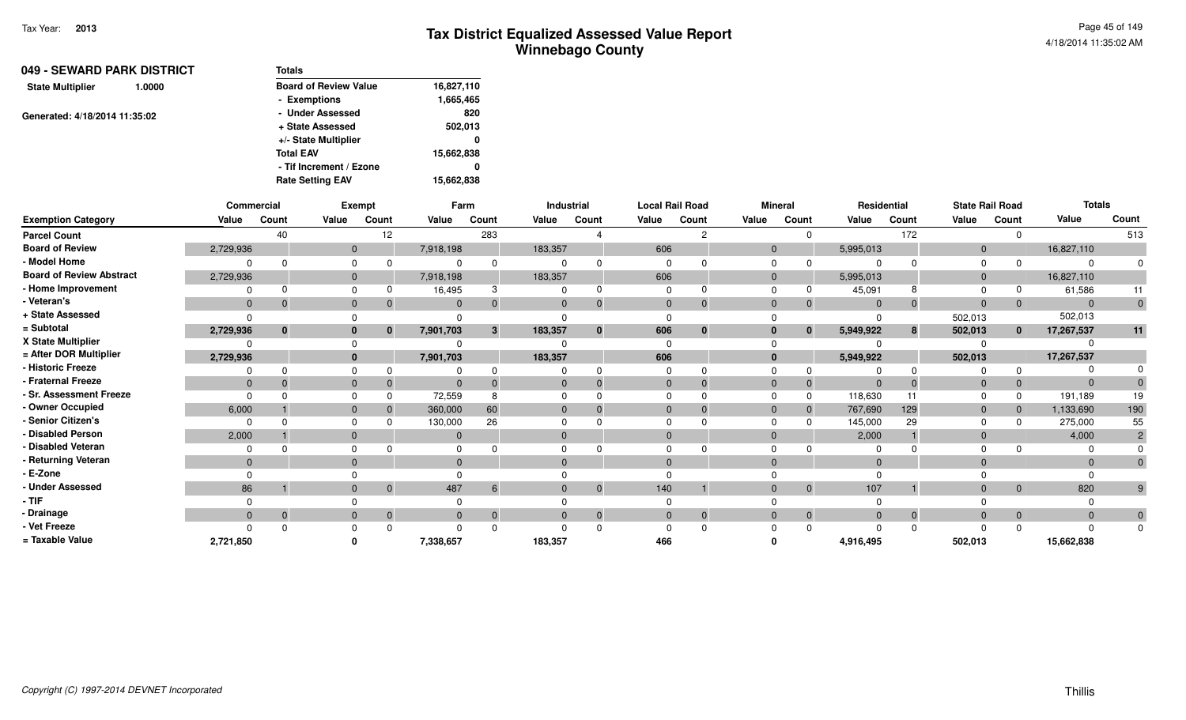| 049 - SEWARD PARK DISTRICT        | <b>Totals</b>                |            |
|-----------------------------------|------------------------------|------------|
| <b>State Multiplier</b><br>1.0000 | <b>Board of Review Value</b> | 16,827,110 |
|                                   | - Exemptions                 | 1,665,465  |
| Generated: 4/18/2014 11:35:02     | - Under Assessed             | 820        |
|                                   | + State Assessed             | 502,013    |
|                                   | +/- State Multiplier         | 0          |
|                                   | <b>Total EAV</b>             | 15,662,838 |
|                                   | - Tif Increment / Ezone      | 0          |
|                                   | <b>Rate Setting EAV</b>      | 15,662,838 |

|                                 | Commercial   |          |              | Exempt         | Farm         |              |          | Industrial  |                | <b>Local Rail Road</b> |             | <b>Mineral</b> | Residential  |       | <b>State Rail Road</b> |                | <b>Totals</b> |                |
|---------------------------------|--------------|----------|--------------|----------------|--------------|--------------|----------|-------------|----------------|------------------------|-------------|----------------|--------------|-------|------------------------|----------------|---------------|----------------|
| <b>Exemption Category</b>       | Value        | Count    | Value        | Count          | Value        | Count        | Value    | Count       | Value          | Count                  | Value       | Count          | Value        | Count | Value                  | Count          | Value         | Count          |
| <b>Parcel Count</b>             |              | 40       |              | 12             |              | 283          |          |             |                |                        |             |                |              | 172   |                        | <sup>n</sup>   |               | 513            |
| <b>Board of Review</b>          | 2,729,936    |          | $\mathbf{0}$ |                | 7,918,198    |              | 183,357  |             | 606            |                        | $\mathbf 0$ |                | 5,995,013    |       | $\mathbf{0}$           |                | 16,827,110    |                |
| - Model Home                    |              |          |              |                |              |              |          |             |                |                        |             |                | $\Omega$     |       | n                      |                | $\Omega$      |                |
| <b>Board of Review Abstract</b> | 2,729,936    |          |              |                | 7,918,198    |              | 183,357  |             | 606            |                        | $\Omega$    |                | 5,995,013    |       | $\mathbf 0$            |                | 16,827,110    |                |
| - Home Improvement              |              |          |              |                | 16,495       |              |          |             |                |                        |             |                | 45,091       |       |                        |                | 61,586        |                |
| - Veteran's                     | $\mathbf{0}$ |          |              | $\overline{0}$ | $\mathbf{0}$ |              | $\Omega$ | $\Omega$    | $\overline{0}$ | $\mathbf{0}$           | $\Omega$    |                | $\mathbf{0}$ |       | $\mathbf{0}$           | $\overline{0}$ | $\mathbf 0$   | $\overline{0}$ |
| + State Assessed                | <sup>n</sup> |          |              |                |              |              |          |             |                |                        |             |                | $\Omega$     |       | 502,013                |                | 502,013       |                |
| = Subtotal                      | 2,729,936    | $\bf{0}$ |              | $\bf{0}$       | 7,901,703    | $\mathbf{3}$ | 183,357  | $\bf{0}$    | 606            | $\bf{0}$               |             |                | 5,949,922    | 8     | 502,013                | $\mathbf{0}$   | 17,267,537    | 11             |
| X State Multiplier              |              |          |              |                |              |              |          |             |                |                        |             |                |              |       |                        |                |               |                |
| = After DOR Multiplier          | 2,729,936    |          |              |                | 7,901,703    |              | 183,357  |             | 606            |                        | $\bf{0}$    |                | 5,949,922    |       | 502,013                |                | 17,267,537    |                |
| - Historic Freeze               |              |          |              |                |              |              |          |             |                |                        |             |                |              |       |                        |                |               |                |
| - Fraternal Freeze              | $\mathbf{0}$ |          |              | $\overline{0}$ | $\Omega$     |              | $\Omega$ |             | $\Omega$       | $\Omega$               | $\Omega$    |                | $\mathbf{0}$ |       |                        | $\mathbf{0}$   | $\mathbf{0}$  |                |
| - Sr. Assessment Freeze         | <sup>n</sup> |          |              | <sup>0</sup>   | 72,559       |              |          |             |                |                        |             |                | 118,630      | 11    |                        | <sup>n</sup>   | 191,189       | 19             |
| - Owner Occupied                | 6,000        |          |              | $\mathbf 0$    | 360,000      | 60           |          |             |                |                        | $\mathbf 0$ |                | 767,690      | 129   | $\mathbf{0}$           | $\mathbf{0}$   | 1,133,690     | 190            |
| - Senior Citizen's              |              |          |              |                | 130,000      | 26           |          |             |                |                        |             |                | 145,000      | 29    |                        |                | 275,000       | 55             |
| - Disabled Person               | 2,000        |          |              |                | $\Omega$     |              | $\Omega$ |             |                |                        | $\Omega$    |                | 2,000        |       |                        |                | 4,000         |                |
| - Disabled Veteran              |              |          |              |                |              |              |          |             |                |                        |             |                | 0            |       |                        |                |               |                |
| - Returning Veteran             | $\Omega$     |          |              |                | $\Omega$     |              | $\Omega$ |             | $\Omega$       |                        | $\Omega$    |                | $\Omega$     |       |                        |                | $\Omega$      |                |
| - E-Zone                        |              |          |              |                |              |              |          |             |                |                        |             |                |              |       |                        |                |               |                |
| - Under Assessed                | 86           |          |              | $\overline{0}$ | 487          | 6            | $\Omega$ | $\Omega$    | 140            |                        | $\Omega$    | $\mathbf{0}$   | 107          |       |                        | $\mathbf{0}$   | 820           | $9^{\circ}$    |
| - TIF                           |              |          |              |                |              |              |          |             |                |                        |             |                | $\Omega$     |       |                        |                |               |                |
| - Drainage                      | $\mathbf{0}$ | $\Omega$ |              | $\overline{0}$ | $\Omega$     | $\mathbf 0$  | $\Omega$ | $\mathbf 0$ | $\overline{0}$ | $\mathbf{0}$           | $\Omega$    | $\overline{0}$ | $\Omega$     |       |                        | $\overline{0}$ | $\Omega$      | $\mathbf{0}$   |
| - Vet Freeze                    |              |          |              |                |              |              |          |             |                |                        |             |                | $\Omega$     |       |                        |                | $\Omega$      | $\mathbf{0}$   |
| = Taxable Value                 | 2,721,850    |          |              |                | 7,338,657    |              | 183,357  |             | 466            |                        |             |                | 4,916,495    |       | 502,013                |                | 15,662,838    |                |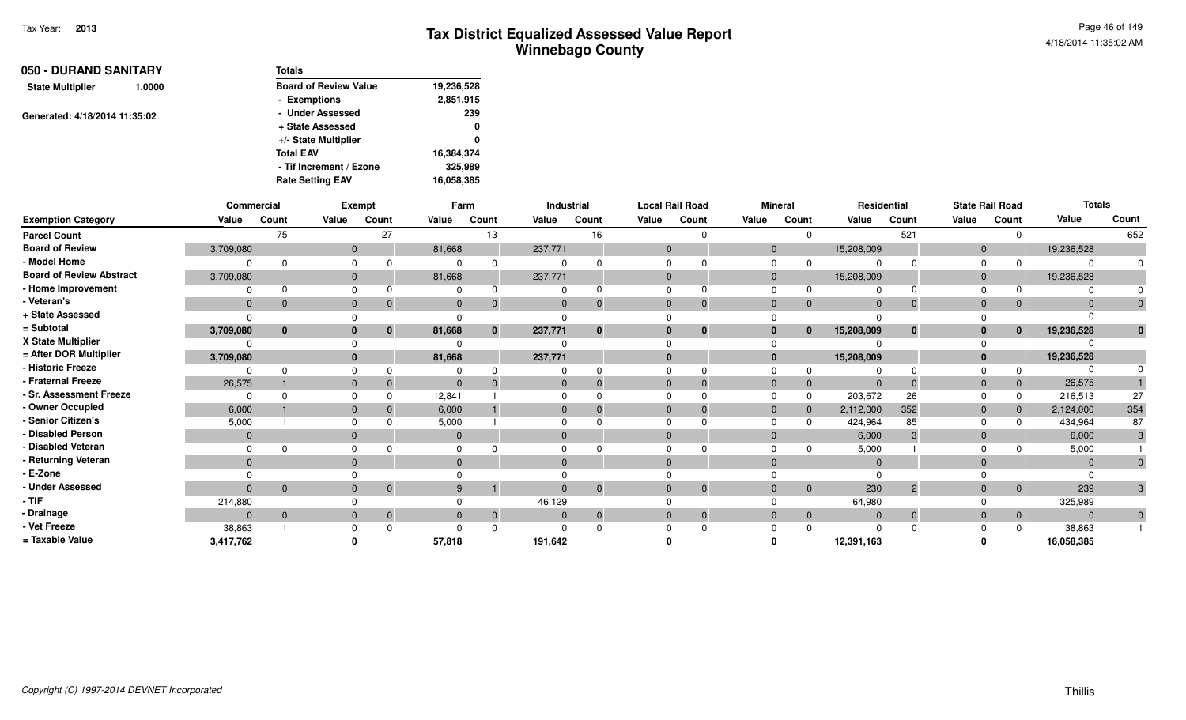| 050 - DURAND SANITARY         |        | <b>Totals</b>                |            |
|-------------------------------|--------|------------------------------|------------|
| <b>State Multiplier</b>       | 1.0000 | <b>Board of Review Value</b> | 19,236,528 |
|                               |        | - Exemptions                 | 2,851,915  |
| Generated: 4/18/2014 11:35:02 |        | - Under Assessed             | 239        |
|                               |        | + State Assessed             | 0          |
|                               |        | +/- State Multiplier         | 0          |
|                               |        | <b>Total EAV</b>             | 16,384,374 |
|                               |        | - Tif Increment / Ezone      | 325,989    |
|                               |        | <b>Rate Setting EAV</b>      | 16,058,385 |

|                                 | Commercial   |          |              | Exempt       |          | Farm         |                | Industrial |                |       | <b>Local Rail Road</b>   |       | <b>Mineral</b> |              | Residential |             | <b>State Rail Road</b> |                | <b>Totals</b>  |                |
|---------------------------------|--------------|----------|--------------|--------------|----------|--------------|----------------|------------|----------------|-------|--------------------------|-------|----------------|--------------|-------------|-------------|------------------------|----------------|----------------|----------------|
| <b>Exemption Category</b>       | Value        | Count    | Value        | Count        | Value    |              | Count          | Value      | Count          | Value | Count                    | Value | Count          |              | Value       | Count       | Value                  | Count          | Value          | Count          |
| <b>Parcel Count</b>             |              | 75       |              |              | 27       |              | 13             |            | 16             |       |                          |       |                |              |             | 521         |                        |                |                | 652            |
| <b>Board of Review</b>          | 3,709,080    |          | $\mathbf{0}$ |              |          | 81,668       |                | 237,771    |                |       | $\mathbf{0}$             |       | $\mathbf{0}$   |              | 15,208,009  |             | 0                      |                | 19,236,528     |                |
| - Model Home                    |              |          | $\Omega$     |              |          |              | $\Omega$       |            |                |       | $\Omega$                 |       | $\Omega$       |              | $\Omega$    |             | $\Omega$               |                | $\Omega$       |                |
| <b>Board of Review Abstract</b> | 3,709,080    |          | $\mathbf{0}$ |              |          | 81,668       |                | 237,771    |                |       | $\mathbf{0}$             |       | $\overline{0}$ |              | 15,208,009  |             | $\mathbf 0$            |                | 19,236,528     |                |
| - Home Improvement              |              |          | $\Omega$     |              |          |              |                |            |                |       | $\Omega$                 |       | $\Omega$       |              |             |             |                        |                |                |                |
| - Veteran's                     | $\mathbf{0}$ |          | $\mathbf{0}$ |              |          | $\mathbf{0}$ | $\Omega$       | $\Omega$   | $\overline{0}$ |       | $\mathbf{0}$<br>$\Omega$ |       | $\Omega$       | $\Omega$     | $\mathbf 0$ | 0           | $\mathbf 0$            | $\overline{0}$ | $\Omega$       |                |
| + State Assessed                |              |          | $\Omega$     |              |          |              |                |            |                |       |                          |       |                |              |             |             |                        |                |                |                |
| = Subtotal                      | 3,709,080    | $\bf{0}$ | $\bf{0}$     |              | 0        | 81,668       | $\mathbf{0}$   | 237,771    | $\bf{0}$       |       | $\bf{0}$<br>0            |       | $\bf{0}$       |              | 15,208,009  | 0           | 0                      | $\mathbf{0}$   | 19,236,528     | $\mathbf{0}$   |
| X State Multiplier              |              |          | $\Omega$     |              |          |              |                |            |                |       | <sup>0</sup>             |       |                |              |             |             |                        |                |                |                |
| = After DOR Multiplier          | 3,709,080    |          | $\bf{0}$     |              |          | 81,668       |                | 237,771    |                |       | $\bf{0}$                 |       |                |              | 15,208,009  |             |                        |                | 19,236,528     |                |
| - Historic Freeze               |              |          |              |              |          |              | 0              |            | 0              |       |                          |       |                |              |             |             |                        |                | $\Omega$       |                |
| - Fraternal Freeze              | 26,575       |          | $\Omega$     |              |          | $\mathbf{0}$ |                |            | $\Omega$       |       | $\Omega$                 |       | $\Omega$       |              | $\Omega$    |             | $\overline{0}$         | $\overline{0}$ | 26,575         |                |
| - Sr. Assessment Freeze         |              |          |              |              |          | 12,841       |                |            |                |       |                          |       | $\Omega$       |              | 203,672     | 26          |                        | $\Omega$       | 216,513        | 27             |
| - Owner Occupied                | 6,000        |          | $\Omega$     |              |          | 6,000        |                |            | -0             |       | $\Omega$                 |       | $\Omega$       |              | 2,112,000   | 352         | $\mathbf 0$            | $\overline{0}$ | 2,124,000      | 354            |
| - Senior Citizen's              | 5,000        |          |              |              |          | 5,000        |                |            |                |       | $\Omega$                 |       | $\Omega$       |              | 424,964     | 85          |                        |                | 434,964        | 87             |
| - Disabled Person               | $\mathbf{0}$ |          | $\Omega$     |              |          | $\Omega$     |                |            |                |       | $\Omega$                 |       | $\Omega$       |              | 6,000       |             | $\Omega$               |                | 6,000          | 3              |
| - Disabled Veteran              |              |          | $\Omega$     |              |          |              |                |            |                |       |                          |       | $\Omega$       |              | 5,000       |             |                        |                | 5,000          |                |
| - Returning Veteran             | $\Omega$     |          | $\Omega$     |              |          |              |                |            |                |       | $\Omega$                 |       | $\Omega$       |              | $\Omega$    |             |                        |                | $\Omega$       |                |
| - E-Zone                        |              |          |              |              |          |              |                |            |                |       |                          |       |                |              |             |             |                        |                |                |                |
| - Under Assessed                |              | $\Omega$ |              | $\mathbf{0}$ | $\Omega$ | 9            |                |            | $\overline{0}$ |       | $\mathbf{0}$<br>$\Omega$ |       | $\Omega$       | $\mathbf{0}$ | 230         | $2^{\circ}$ | $\Omega$               | $\overline{0}$ | 239            | 3 <sup>5</sup> |
| $-$ TIF                         | 214,880      |          |              |              |          |              |                | 46,129     |                |       |                          |       |                |              | 64,980      |             |                        |                | 325,989        |                |
| - Drainage                      | $\Omega$     | $\Omega$ |              | $\mathbf{0}$ | $\Omega$ | $\mathbf{0}$ | $\overline{0}$ |            | $\mathbf{0}$   |       | $\mathbf{0}$<br>$\Omega$ |       | $\overline{0}$ | $\mathbf{0}$ | $\mathbf 0$ | $\Omega$    | $\overline{0}$         | $\overline{0}$ | $\overline{0}$ | $\overline{0}$ |
| - Vet Freeze                    | 38,863       |          |              |              |          |              |                |            |                |       |                          |       |                |              |             |             |                        | $\Omega$       | 38,863         |                |
| = Taxable Value                 | 3,417,762    |          |              |              |          | 57,818       |                | 191,642    |                |       |                          |       |                |              | 12,391,163  |             |                        |                | 16,058,385     |                |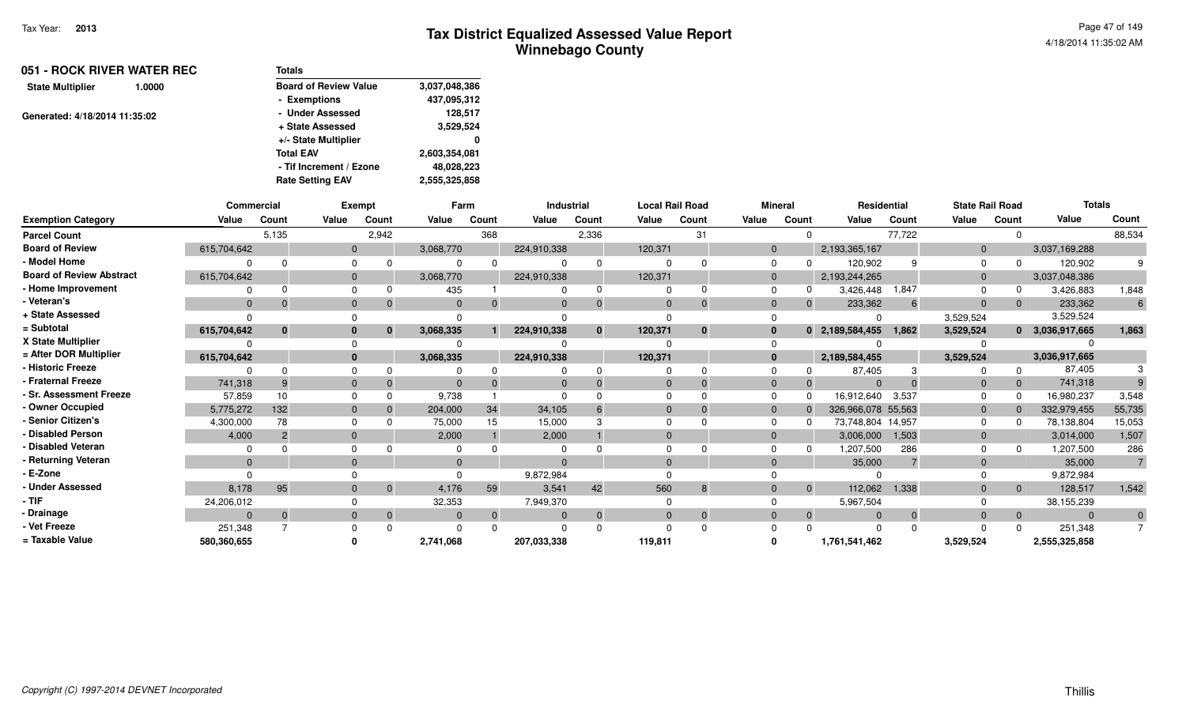| 051 - ROCK RIVER WATER REC        | <b>Totals</b>                |               |
|-----------------------------------|------------------------------|---------------|
| <b>State Multiplier</b><br>1.0000 | <b>Board of Review Value</b> | 3,037,048,386 |
|                                   | - Exemptions                 | 437,095,312   |
| Generated: 4/18/2014 11:35:02     | - Under Assessed             | 128.517       |
|                                   | + State Assessed             | 3,529,524     |
|                                   | +/- State Multiplier         | 0             |
|                                   | <b>Total EAV</b>             | 2,603,354,081 |
|                                   | - Tif Increment / Ezone      | 48,028,223    |
|                                   | <b>Rate Setting EAV</b>      | 2,555,325,858 |

|                                 | <b>Commercial</b> |          | <b>Exempt</b> |                | Farm      |          |             | Industrial   |          | <b>Local Rail Road</b> |                | <b>Mineral</b> |                    | Residential | <b>State Rail Road</b> |                | <b>Totals</b>   |                |
|---------------------------------|-------------------|----------|---------------|----------------|-----------|----------|-------------|--------------|----------|------------------------|----------------|----------------|--------------------|-------------|------------------------|----------------|-----------------|----------------|
| <b>Exemption Category</b>       | Value             | Count    | Value         | Count          | Value     | Count    | Value       | Count        | Value    | Count                  | Value          | Count          | Value              | Count       | Value                  | Count          | Value           | Count          |
| <b>Parcel Count</b>             |                   | 5,135    |               | 2,942          |           | 368      |             | 2,336        |          | 31                     |                |                |                    | 77,722      |                        | <sup>n</sup>   |                 | 88,534         |
| <b>Board of Review</b>          | 615,704,642       |          | $\mathbf{0}$  |                | 3,068,770 |          | 224,910,338 |              | 120,371  |                        | $\overline{0}$ |                | 2,193,365,167      |             | $\mathbf 0$            |                | 3,037,169,288   |                |
| - Model Home                    |                   |          |               | 0              |           |          |             |              |          |                        |                |                | 120,902            |             |                        |                | 120,902         |                |
| <b>Board of Review Abstract</b> | 615,704,642       |          |               |                | 3,068,770 |          | 224,910,338 |              | 120,371  |                        | $\Omega$       |                | 2,193,244,265      |             | $\Omega$               |                | 3,037,048,386   |                |
| - Home Improvement              |                   |          |               |                | 435       |          |             |              |          |                        |                |                | 3,426,448          | 1,847       |                        |                | 3,426,883       | 1.848          |
| - Veteran's                     | $\Omega$          |          |               | $\overline{0}$ |           |          | $\Omega$    |              | $\Omega$ | $\Omega$               | $\Omega$       |                | 233,362            |             | $\Omega$               | $\mathbf{0}$   | 233,362         | 6              |
| + State Assessed                | $\Omega$          |          |               |                |           |          |             |              |          |                        |                |                | $\Omega$           |             | 3,529,524              |                | 3,529,524       |                |
| = Subtotal                      | 615,704,642       | $\bf{0}$ |               | $\mathbf{0}$   | 3,068,335 |          | 224,910,338 | $\mathbf{0}$ | 120,371  | $\bf{0}$               |                |                | 0 2,189,584,455    | 1,862       | 3,529,524              |                | 0 3,036,917,665 | 1,863          |
| X State Multiplier              |                   |          |               |                |           |          |             |              |          |                        |                |                |                    |             |                        |                |                 |                |
| = After DOR Multiplier          | 615,704,642       |          |               |                | 3,068,335 |          | 224,910,338 |              | 120,371  |                        | $\mathbf{0}$   |                | 2,189,584,455      |             | 3,529,524              |                | 3,036,917,665   |                |
| - Historic Freeze               |                   |          |               |                |           |          |             |              |          |                        |                |                | 87,405             |             |                        | $\Omega$       | 87,405          |                |
| - Fraternal Freeze              | 741,318           |          |               | $\Omega$       |           |          | $\Omega$    |              | $\Omega$ | $\Omega$               | $\Omega$       |                | $\Omega$           |             | $\mathbf 0$            | $\mathbf{0}$   | 741,318         |                |
| - Sr. Assessment Freeze         | 57,859            | 10       |               | $\Omega$       | 9,738     |          |             |              |          |                        |                |                | 16,912,640         | 3,537       |                        |                | 16,980,237      | 3,548          |
| - Owner Occupied                | 5,775,272         | 132      |               |                | 204,000   | 34       | 34,105      |              |          |                        | $\Omega$       |                | 326,966,078 55,563 |             | $\mathbf 0$            |                | 332,979,455     | 55,735         |
| - Senior Citizen's              | 4,300,000         | 78       |               |                | 75,000    | 15       | 15,000      |              |          |                        |                |                | 73,748,804 14,957  |             |                        |                | 78,138,804      | 15,053         |
| - Disabled Person               | 4,000             |          |               |                | 2,000     |          | 2,000       |              |          |                        | $\Omega$       |                | 3,006,000          | 1,503       | $\Omega$               |                | 3,014,000       | 1,507          |
| - Disabled Veteran              |                   |          |               |                |           |          |             |              |          |                        |                |                | 1,207,500          | 286         |                        |                | 1,207,500       | 286            |
| - Returning Veteran             | $\Omega$          |          |               |                |           |          | $\Omega$    |              | $\Omega$ |                        | $\Omega$       |                | 35,000             |             |                        |                | 35,000          |                |
| - E-Zone                        |                   |          |               |                |           |          | 9,872,984   |              |          |                        |                |                | $\Omega$           |             |                        |                | 9,872,984       |                |
| - Under Assessed                | 8,178             | 95       |               | $\overline{0}$ | 4,176     | 59       | 3,541       | 42           | 560      | 8                      | $\Omega$       | $\mathbf{0}$   | 112,062            | 1,338       | $\Omega$               | $\overline{0}$ | 128,517         | 1,542          |
| - TIF                           | 24,206,012        |          |               |                | 32,353    |          | 7,949,370   |              |          |                        |                |                | 5,967,504          |             |                        |                | 38,155,239      |                |
| · Drainage                      | $\Omega$          | $\Omega$ |               | $\overline{0}$ |           | $\Omega$ | $\Omega$    | $\mathbf{0}$ | $\Omega$ | $\Omega$               | $\Omega$       |                | $\Omega$           |             |                        | $\mathbf{0}$   | $\Omega$        | $\overline{0}$ |
| - Vet Freeze                    | 251,348           |          |               | <sup>0</sup>   |           |          |             |              |          | n                      |                |                | $\Omega$           |             |                        | $\Omega$       | 251,348         |                |
| = Taxable Value                 | 580,360,655       |          |               |                | 2,741,068 |          | 207,033,338 |              | 119,811  |                        |                |                | 1,761,541,462      |             | 3,529,524              |                | 2,555,325,858   |                |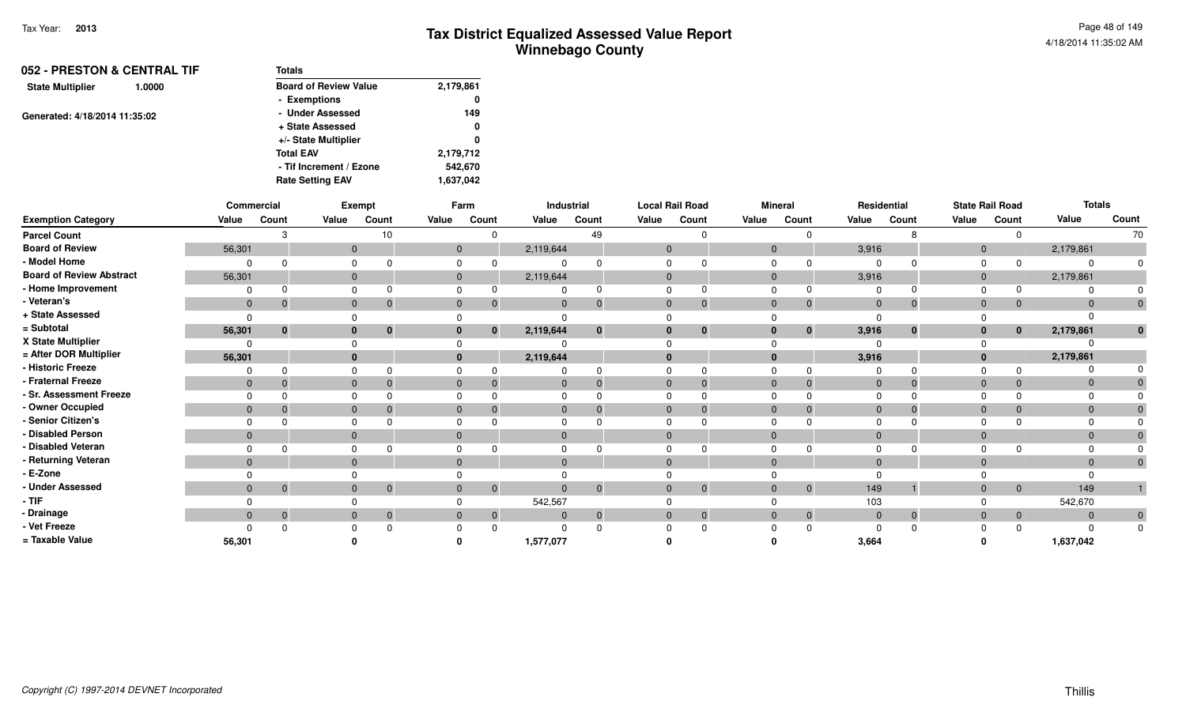| 052 - PRESTON & CENTRAL TIF       | <b>Totals</b>                |           |
|-----------------------------------|------------------------------|-----------|
| <b>State Multiplier</b><br>1.0000 | <b>Board of Review Value</b> | 2,179,861 |
|                                   | - Exemptions                 | 0         |
| Generated: 4/18/2014 11:35:02     | - Under Assessed             | 149       |
|                                   | + State Assessed             | 0         |
|                                   | +/- State Multiplier         | 0         |
|                                   | <b>Total EAV</b>             | 2,179,712 |
|                                   | - Tif Increment / Ezone      | 542,670   |
|                                   | <b>Rate Setting EAV</b>      | 1,637,042 |

|                                 | Commercial   |              |       | Exempt                     |                | Farm           |              | Industrial     |                | <b>Local Rail Road</b> |                | <b>Mineral</b> | Residential    |              |              | <b>State Rail Road</b> | <b>Totals</b>  |              |
|---------------------------------|--------------|--------------|-------|----------------------------|----------------|----------------|--------------|----------------|----------------|------------------------|----------------|----------------|----------------|--------------|--------------|------------------------|----------------|--------------|
| <b>Exemption Category</b>       | Value        | Count        | Value | Count                      | Value          | Count          | Value        | Count          | Value          | Count                  | Value          | Count          | Value          | Count        | Value        | Count                  | Value          | Count        |
| <b>Parcel Count</b>             |              | ີ            |       | 10 <sup>1</sup>            |                |                |              | 49             |                |                        |                |                |                |              |              |                        |                | 70           |
| <b>Board of Review</b>          | 56,301       |              |       | $\mathbf 0$                | $\mathbf{0}$   |                | 2,119,644    |                | $\mathbf 0$    |                        | $\mathbf{0}$   |                | 3,916          |              | $\mathbf 0$  |                        | 2,179,861      |              |
| - Model Home                    |              |              |       |                            |                |                |              |                |                |                        | $\Omega$       |                | $\Omega$       |              | n            |                        | $\Omega$       |              |
| <b>Board of Review Abstract</b> | 56,301       |              |       | $\mathbf{0}$               | $\overline{0}$ |                | 2,119,644    |                | $\overline{0}$ |                        | $\mathbf{0}$   |                | 3,916          |              | $\mathbf{0}$ |                        | 2,179,861      |              |
| - Home Improvement              | $\Omega$     |              |       |                            | $\Omega$       |                |              |                |                |                        | $\Omega$       |                | $\Omega$       |              |              |                        |                |              |
| - Veteran's                     | $\mathbf{0}$ | $\Omega$     |       | $\mathbf{0}$<br>$\Omega$   | $\mathbf{0}$   |                | $\mathbf{0}$ | $\mathbf 0$    | $\mathbf 0$    | $\Omega$               | $\overline{0}$ |                | $\overline{0}$ | 0            | $\mathbf{0}$ | $\overline{0}$         | $\Omega$       |              |
| + State Assessed                |              |              |       |                            |                |                |              |                |                |                        |                |                | $\Omega$       |              |              |                        |                |              |
| = Subtotal                      | 56,301       | $\bf{0}$     |       | $\bf{0}$                   | $\bf{0}$       | $\bf{0}$       | 2,119,644    | $\bf{0}$       | $\bf{0}$       | $\bf{0}$               | $\mathbf{0}$   | $\mathbf{0}$   | 3,916          | $\mathbf{0}$ | 0            | $\mathbf{0}$           | 2,179,861      | $\bf{0}$     |
| X State Multiplier              |              |              |       |                            |                |                |              |                |                |                        |                |                |                |              |              |                        |                |              |
| = After DOR Multiplier          | 56,301       |              |       |                            |                |                | 2,119,644    |                |                |                        | $\mathbf{0}$   |                | 3,916          |              |              |                        | 2,179,861      |              |
| - Historic Freeze               |              | 0            |       |                            |                |                |              |                |                |                        |                |                | $\Omega$       |              |              |                        |                |              |
| - Fraternal Freeze              | $\mathbf{0}$ |              |       |                            | $\mathbf{0}$   |                |              | $\Omega$       | $\Omega$       | $\Omega$               | $\overline{0}$ |                | $\mathbf{0}$   |              |              | $\mathbf{0}$           | $\mathbf{0}$   |              |
| - Sr. Assessment Freeze         |              |              |       |                            |                |                |              |                |                |                        |                |                | $\Omega$       |              |              |                        | $\Omega$       |              |
| - Owner Occupied                | $\Omega$     |              |       |                            | $\Omega$       |                |              | 0              | $\Omega$       | $\Omega$               | $\Omega$       |                | $\mathbf{0}$   |              | $\Omega$     | $\overline{0}$         | $\mathbf{0}$   |              |
| - Senior Citizen's              |              |              |       |                            |                |                |              |                |                |                        |                |                | $\Omega$       |              |              |                        | $\Omega$       |              |
| - Disabled Person               | $\mathbf{0}$ |              |       |                            | $\Omega$       |                | $\Omega$     |                | $\Omega$       |                        | $\Omega$       |                | $\Omega$       |              |              |                        | $\Omega$       |              |
| - Disabled Veteran              |              |              |       |                            | O              |                |              |                |                |                        |                |                | $\Omega$       |              |              |                        | $\Omega$       |              |
| - Returning Veteran             | $\Omega$     |              |       | $\Omega$                   | $\Omega$       |                | $\Omega$     |                |                |                        | $\Omega$       |                | $\Omega$       |              |              |                        | $\Omega$       |              |
| - E-Zone                        |              |              |       |                            |                |                |              |                |                |                        |                |                |                |              |              |                        |                |              |
| - Under Assessed                | $\mathbf{0}$ | $\mathbf{0}$ |       | $\Omega$                   | $\overline{0}$ | $\overline{0}$ | $\Omega$     | $\mathbf{0}$   | $\Omega$       | $\Omega$               | $\overline{0}$ | $\mathbf{0}$   | 149            |              | $\Omega$     | $\overline{0}$         | 149            |              |
| $-$ TIF                         |              |              |       |                            |                |                | 542,567      |                |                |                        |                |                | 103            |              |              |                        | 542,670        |              |
| - Drainage                      | $\mathbf{0}$ | $\mathbf 0$  |       | $\Omega$<br>$\overline{0}$ | $\mathbf{0}$   | $\overline{0}$ | $\Omega$     | $\overline{0}$ | $\Omega$       | $\mathbf{0}$           | $\overline{0}$ | $\mathbf{0}$   | $\overline{0}$ | $\mathbf{0}$ | $\mathbf{0}$ | $\overline{0}$         | $\overline{0}$ | $\mathbf{0}$ |
| - Vet Freeze                    |              |              |       |                            |                |                |              |                |                | $\Omega$               |                |                | $\Omega$       |              |              |                        | $\Omega$       | $\mathbf{0}$ |
| = Taxable Value                 | 56,301       |              |       |                            |                |                | 1,577,077    |                |                |                        |                |                | 3,664          |              |              |                        | 1,637,042      |              |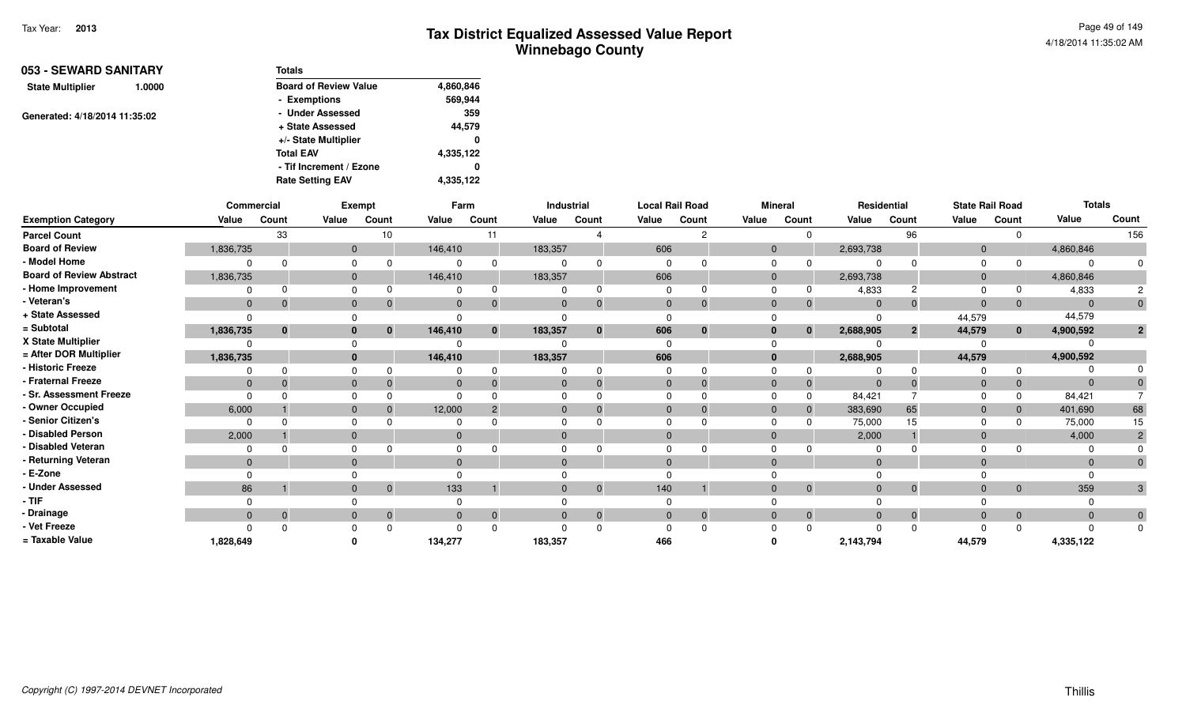| 053 - SEWARD SANITARY             |  | <b>Totals</b>                |           |
|-----------------------------------|--|------------------------------|-----------|
| <b>State Multiplier</b><br>1.0000 |  | <b>Board of Review Value</b> | 4,860,846 |
|                                   |  | - Exemptions                 | 569.944   |
| Generated: 4/18/2014 11:35:02     |  | - Under Assessed             | 359       |
|                                   |  | + State Assessed             | 44,579    |
|                                   |  | +/- State Multiplier         | 0         |
|                                   |  | <b>Total EAV</b>             | 4,335,122 |
|                                   |  | - Tif Increment / Ezone      | 0         |
|                                   |  | <b>Rate Setting EAV</b>      | 4,335,122 |

|                                 |              | <b>Commercial</b> |              | <b>Exempt</b> |             | Farm         |              | Industrial   | <b>Local Rail Road</b> |                |              | <b>Mineral</b> |           | Residential  | <b>State Rail Road</b> |                | <b>Totals</b> |          |
|---------------------------------|--------------|-------------------|--------------|---------------|-------------|--------------|--------------|--------------|------------------------|----------------|--------------|----------------|-----------|--------------|------------------------|----------------|---------------|----------|
| <b>Exemption Category</b>       | Value        | Count             | Value        | Count         | Value       | Count        | Value        | Count        | Value                  | Count          | Value        | Count          | Value     | Count        | Value                  | Count          | Value         | Count    |
| <b>Parcel Count</b>             |              | 33                |              | 10            |             | 11           |              |              |                        | 2              |              |                |           | 96           |                        |                |               | 156      |
| <b>Board of Review</b>          | 1,836,735    |                   | $\mathbf 0$  |               | 146,410     |              | 183,357      |              | 606                    |                | $\mathbf{0}$ |                | 2,693,738 |              | $\mathbf{0}$           |                | 4,860,846     |          |
| - Model Home                    | $\Omega$     |                   | $\Omega$     |               | $\Omega$    | $\Omega$     | $\Omega$     |              | $\Omega$               |                | $\Omega$     |                |           |              | $\Omega$               |                |               | $\Omega$ |
| <b>Board of Review Abstract</b> | 1,836,735    |                   | $\mathbf 0$  |               | 146,410     |              | 183,357      |              | 606                    |                | $\mathbf 0$  |                | 2,693,738 |              | $\mathbf{0}$           |                | 4,860,846     |          |
| - Home Improvement              | $\Omega$     |                   | $\Omega$     |               |             |              |              |              | $\Omega$               |                | $\Omega$     |                | 4,833     |              | $\Omega$               |                | 4,833         |          |
| - Veteran's                     | $\mathbf{0}$ | $\Omega$          | $\mathbf 0$  |               | $\Omega$    | $\Omega$     | $\mathbf{0}$ | $\Omega$     | $\mathbf{0}$           | $\mathbf{0}$   | $\mathbf 0$  |                | $\Omega$  |              | $\mathbf{0}$           | $\overline{0}$ | $\Omega$      | $\Omega$ |
| + State Assessed                | $\Omega$     |                   | $\Omega$     |               |             |              |              |              | $\Omega$               |                | $\Omega$     |                |           |              | 44,579                 |                | 44,579        |          |
| = Subtotal                      | 1,836,735    | $\bf{0}$          | $\mathbf{0}$ |               | 146,410     | $\mathbf{0}$ | 183,357      | $\bf{0}$     | 606                    | $\mathbf{0}$   | $\mathbf{0}$ | $\bf{0}$       | 2,688,905 | $2^{\circ}$  | 44,579                 | $\mathbf{0}$   | 4,900,592     |          |
| X State Multiplier              | $\Omega$     |                   | 0            |               |             |              |              |              |                        |                | $\Omega$     |                |           |              |                        |                |               |          |
| = After DOR Multiplier          | 1,836,735    |                   | $\mathbf{0}$ |               | 146,410     |              | 183,357      |              | 606                    |                | $\mathbf 0$  |                | 2,688,905 |              | 44,579                 |                | 4,900,592     |          |
| - Historic Freeze               | $\Omega$     |                   | $\Omega$     |               | 0           | $\Omega$     |              |              | $\Omega$               |                | 0            |                |           |              |                        |                |               |          |
| - Fraternal Freeze              | $\mathbf{0}$ |                   | $\mathbf{0}$ |               | $\mathbf 0$ |              | $\mathbf{0}$ |              | $\mathbf{0}$           |                | $\mathbf{0}$ |                | $\Omega$  |              | $\Omega$               |                |               |          |
| - Sr. Assessment Freeze         | $\Omega$     |                   | $\Omega$     |               | 0           |              |              |              |                        |                |              |                | 84,421    |              |                        |                | 84,421        |          |
| - Owner Occupied                | 6,000        |                   | $\mathbf{0}$ |               | 12,000      |              | $\mathbf 0$  |              | $\overline{0}$         | $\mathbf 0$    | $\mathbf{0}$ |                | 383,690   | 65           | $\mathbf{0}$           | $\mathbf{0}$   | 401,690       | 68       |
| - Senior Citizen's              | $\Omega$     |                   | $\mathbf 0$  |               | 0           |              | $\Omega$     |              | $\Omega$               |                | $\Omega$     |                | 75,000    | 15           | $\Omega$               |                | 75,000        | 15       |
| - Disabled Person               | 2,000        |                   | $\mathbf{0}$ |               | $\Omega$    |              | $\mathbf{0}$ |              | $\mathbf{0}$           |                | $\mathbf{0}$ |                | 2,000     |              | $\mathbf{0}$           |                | 4,000         |          |
| - Disabled Veteran              | $\Omega$     |                   | 0            |               |             |              |              |              | O                      |                | 0            |                |           |              |                        |                |               |          |
| - Returning Veteran             | $\Omega$     |                   | $\mathbf{0}$ |               | $\Omega$    |              | $\Omega$     |              | $\Omega$               |                | $\mathbf{0}$ |                |           |              | $\Omega$               |                |               | 0        |
| - E-Zone                        |              |                   |              |               |             |              |              |              |                        |                |              |                |           |              |                        |                |               |          |
| - Under Assessed                | 86           |                   | $\mathbf{0}$ |               | 133         |              | $\mathbf{0}$ | $\mathbf{0}$ | 140                    |                | $\mathbf{0}$ | $\Omega$       | $\Omega$  | $\mathbf{0}$ | $\mathbf{0}$           | $\overline{0}$ | 359           | 3        |
| $-TIF$                          | $\Omega$     |                   |              |               |             |              |              |              | $\Omega$               |                |              |                |           |              |                        |                |               |          |
| - Drainage                      | $\Omega$     | $\Omega$          | $\mathbf{0}$ |               | $\Omega$    | $\Omega$     | $\mathbf{0}$ | $\Omega$     | $\mathbf{0}$           | $\overline{0}$ | $\mathbf 0$  |                |           |              | $\Omega$               | $\mathbf{0}$   |               | $\Omega$ |
| - Vet Freeze                    | $\Omega$     |                   | $\Omega$     |               | $\Omega$    | $\Omega$     |              | $\Omega$     | $\Omega$               |                | $\Omega$     |                |           |              |                        |                |               | $\Omega$ |
| = Taxable Value                 | 1,828,649    |                   |              |               | 134,277     |              | 183,357      |              | 466                    |                |              |                | 2,143,794 |              | 44,579                 |                | 4,335,122     |          |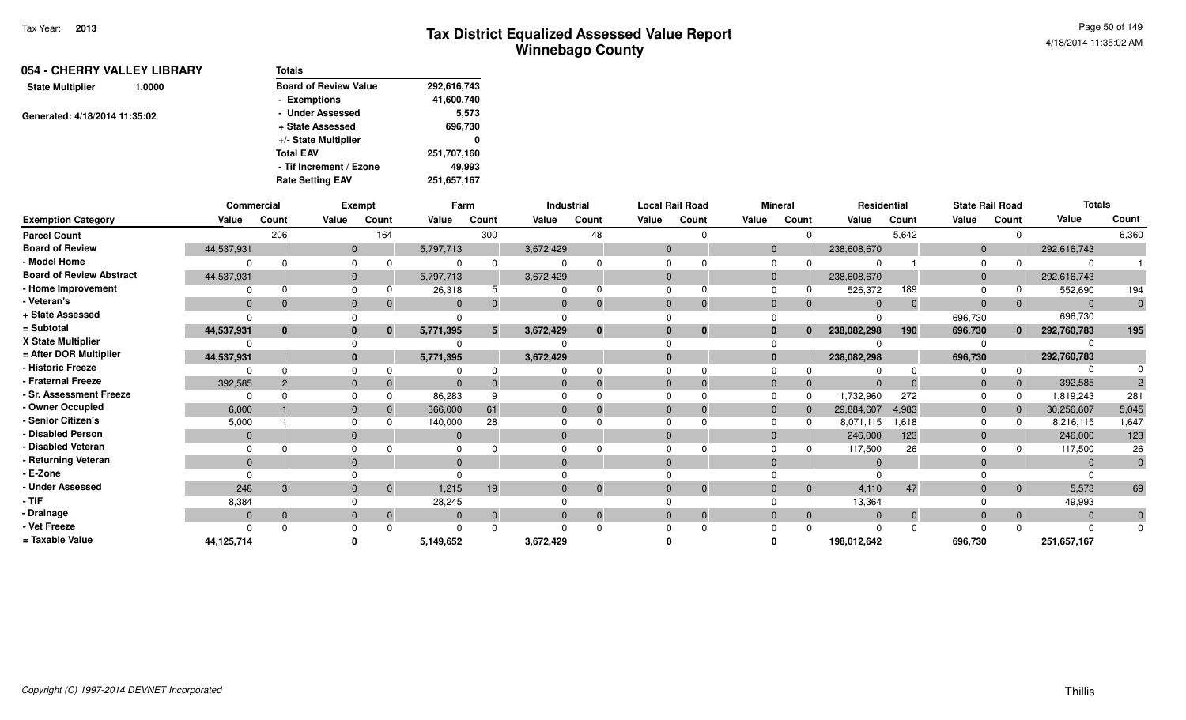| 054 - CHERRY VALLEY LIBRARY       | <b>Totals</b>                |             |
|-----------------------------------|------------------------------|-------------|
| <b>State Multiplier</b><br>1.0000 | <b>Board of Review Value</b> | 292,616,743 |
|                                   | - Exemptions                 | 41,600,740  |
| Generated: 4/18/2014 11:35:02     | - Under Assessed             | 5,573       |
|                                   | + State Assessed             | 696,730     |
|                                   | +/- State Multiplier         | 0           |
|                                   | <b>Total EAV</b>             | 251,707,160 |
|                                   | - Tif Increment / Ezone      | 49.993      |
|                                   | <b>Rate Setting EAV</b>      | 251,657,167 |

|                                 |              | Commercial |              | <b>Exempt</b> |              | Farm     |              | <b>Industrial</b> |              | <b>Local Rail Road</b> |                | <b>Mineral</b> | Residential  |              | <b>State Rail Road</b> |                | <b>Totals</b>  |              |
|---------------------------------|--------------|------------|--------------|---------------|--------------|----------|--------------|-------------------|--------------|------------------------|----------------|----------------|--------------|--------------|------------------------|----------------|----------------|--------------|
| <b>Exemption Category</b>       | Value        | Count      | Value        | Count         | Value        | Count    | Value        | Count             | Value        | Count                  | Value          | Count          | Value        | Count        | Value                  | Count          | Value          | Count        |
| <b>Parcel Count</b>             |              | 206        |              | 164           |              | 300      |              | 48                |              |                        |                | $\Omega$       |              | 5,642        |                        | $\Omega$       |                | 6,360        |
| <b>Board of Review</b>          | 44,537,931   |            | $\mathbf 0$  |               | 5,797,713    |          | 3,672,429    |                   | $\mathbf{0}$ |                        | $\mathbf 0$    |                | 238,608,670  |              | $\overline{0}$         |                | 292,616,743    |              |
| - Model Home                    |              | $\Omega$   | $\Omega$     | $\Omega$      | $\Omega$     |          |              |                   |              |                        | $\Omega$       |                |              |              | 0                      |                |                |              |
| <b>Board of Review Abstract</b> | 44,537,931   |            | $\mathbf{0}$ |               | 5,797,713    |          | 3,672,429    |                   | $\Omega$     |                        | $\mathbf 0$    |                | 238,608,670  |              | $\mathbf{0}$           |                | 292,616,743    |              |
| - Home Improvement              |              |            | $\Omega$     |               | 26,318       |          |              |                   |              |                        | $\Omega$       |                | 526,372      | 189          |                        |                | 552,690        | 194          |
| - Veteran's                     | $\mathbf{0}$ | $\Omega$   | $\mathbf{0}$ | $\mathbf{0}$  | $\Omega$     | $\Omega$ | $\mathbf{0}$ |                   | $\Omega$     |                        | $\mathbf{0}$   | $\overline{0}$ | $\mathbf{0}$ | $\Omega$     | $\mathbf{0}$           | $\mathbf{0}$   | $\overline{0}$ | $\mathbf{0}$ |
| + State Assessed                |              |            |              |               | $\Omega$     |          |              |                   |              |                        |                |                | $\Omega$     |              | 696,730                |                | 696,730        |              |
| = Subtotal                      | 44,537,931   | $\bf{0}$   | $\bf{0}$     | $\bf{0}$      | 5,771,395    | 5        | 3,672,429    | $\mathbf{0}$      |              | $\bf{0}$               | $\bf{0}$       | $\bf{0}$       | 238,082,298  | 190          | 696,730                | $\mathbf{0}$   | 292,760,783    | 195          |
| X State Multiplier              |              |            | $\Omega$     |               |              |          |              |                   |              |                        | $\Omega$       |                |              |              |                        |                |                |              |
| = After DOR Multiplier          | 44,537,931   |            | $\mathbf{0}$ |               | 5,771,395    |          | 3,672,429    |                   |              |                        | $\mathbf{0}$   |                | 238,082,298  |              | 696,730                |                | 292,760,783    |              |
| - Historic Freeze               |              | $\Omega$   | $\Omega$     |               | $\Omega$     |          |              |                   |              |                        |                |                |              |              |                        |                |                | $\Omega$     |
| - Fraternal Freeze              | 392,585      |            | $\mathbf{0}$ | $\mathbf 0$   | $\Omega$     |          | $\mathbf{0}$ |                   | $\Omega$     |                        | $\mathbf{0}$   |                | $\Omega$     |              | $\mathbf{0}$           | $\overline{0}$ | 392,585        |              |
| - Sr. Assessment Freeze         |              |            |              |               | 86,283       |          |              |                   |              |                        | $\Omega$       |                | 1,732,960    | 272          |                        | $\Omega$       | 1,819,243      | 281          |
| - Owner Occupied                | 6,000        |            | $\mathbf{0}$ | $\Omega$      | 366,000      | 61       | $\mathbf{0}$ |                   |              |                        | $\mathbf{0}$   |                | 29,884,607   | 4,983        | $\mathbf{0}$           | $\mathbf 0$    | 30,256,607     | 5,045        |
| - Senior Citizen's              | 5,000        |            | $\Omega$     |               | 140,000      | 28       |              |                   |              |                        | $\Omega$       |                | 8,071,115    | 1,618        | $\Omega$               | $\Omega$       | 8,216,115      | 1,647        |
| - Disabled Person               | $\mathbf{0}$ |            | $\mathbf 0$  |               | $\mathbf{0}$ |          | $\mathbf{0}$ |                   | $\Omega$     |                        | $\mathbf{0}$   |                | 246,000      | 123          | $\Omega$               |                | 246,000        | 123          |
| - Disabled Veteran              |              |            |              |               | $\Omega$     |          |              |                   |              |                        | $\Omega$       |                | 117,500      | 26           |                        |                | 117,500        | 26           |
| - Returning Veteran             | $\Omega$     |            | $\mathbf{0}$ |               | $\Omega$     |          | $\Omega$     |                   |              |                        | $\Omega$       |                | $\Omega$     |              | $\Omega$               |                | $\Omega$       | $\mathbf{0}$ |
| - E-Zone                        |              |            |              |               |              |          |              |                   |              |                        |                |                |              |              |                        |                |                |              |
| - Under Assessed                | 248          | 3          | $\Omega$     | $\mathbf{0}$  | 1,215        | 19       | $\mathbf{0}$ | $\Omega$          | $\Omega$     | $\mathbf 0$            | $\overline{0}$ | $\mathbf{0}$   | 4,110        | 47           | $\Omega$               | $\overline{0}$ | 5,573          | 69           |
| $-TIF$                          | 8,384        |            |              |               | 28,245       |          |              |                   |              |                        |                |                | 13,364       |              |                        |                | 49,993         |              |
| - Drainage                      | $\mathbf{0}$ | $\Omega$   | $\mathbf{0}$ | $\mathbf{0}$  | $\mathbf{0}$ | $\Omega$ | $\mathbf{0}$ |                   | $\Omega$     | $\mathbf{0}$           | $\mathbf{0}$   | $\overline{0}$ | $\Omega$     | $\mathbf{0}$ | $\mathbf{0}$           | $\overline{0}$ | $\Omega$       | $\mathbf{0}$ |
| - Vet Freeze                    |              | $\Omega$   |              | $\Omega$      | $\Omega$     |          |              |                   |              |                        |                |                | $\Omega$     |              |                        |                |                | $\Omega$     |
| = Taxable Value                 | 44,125,714   |            |              |               | 5,149,652    |          | 3,672,429    |                   |              |                        |                |                | 198,012,642  |              | 696,730                |                | 251,657,167    |              |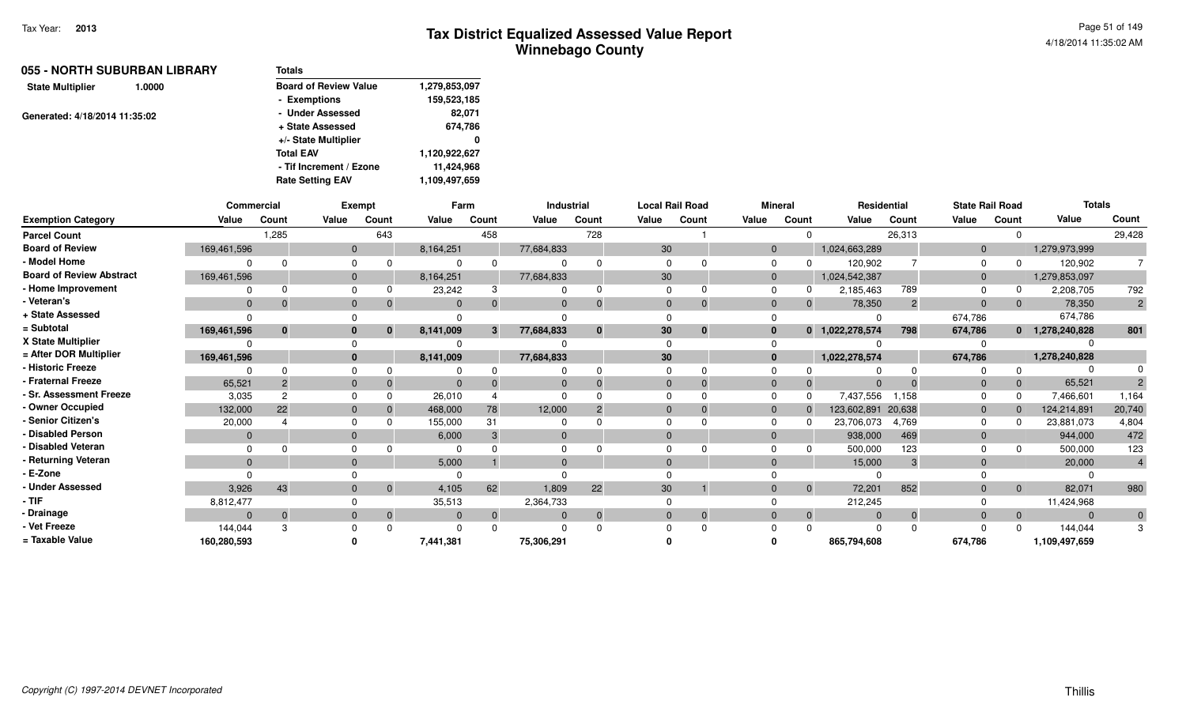| 055 - NORTH SUBURBAN LIBRARY      | <b>Totals</b>                |               |
|-----------------------------------|------------------------------|---------------|
| <b>State Multiplier</b><br>1.0000 | <b>Board of Review Value</b> | 1,279,853,097 |
|                                   | - Exemptions                 | 159,523,185   |
| Generated: 4/18/2014 11:35:02     | - Under Assessed             | 82,071        |
|                                   | + State Assessed             | 674,786       |
|                                   | +/- State Multiplier         | 0             |
|                                   | <b>Total EAV</b>             | 1,120,922,627 |
|                                   | - Tif Increment / Ezone      | 11.424.968    |
|                                   | <b>Rate Setting EAV</b>      | 1,109,497,659 |

|                                 | Commercial   |                |                | <b>Exempt</b> | Farm      |              | Industrial |                |          | <b>Local Rail Road</b> |          | <b>Mineral</b> | Residential     |                | <b>State Rail Road</b> |                | <b>Totals</b>   |              |
|---------------------------------|--------------|----------------|----------------|---------------|-----------|--------------|------------|----------------|----------|------------------------|----------|----------------|-----------------|----------------|------------------------|----------------|-----------------|--------------|
| <b>Exemption Category</b>       | Value        | Count          | Value          | Count         | Value     | Count        | Value      | Count          | Value    | Count                  | Value    | Count          | Value           | Count          | Value                  | Count          | Value           | Count        |
| <b>Parcel Count</b>             |              | 1,285          |                | 643           |           | 458          |            | 728            |          |                        |          |                |                 | 26,313         |                        |                |                 | 29,428       |
| <b>Board of Review</b>          | 169,461,596  |                | $\mathbf 0$    |               | 8,164,251 |              | 77,684,833 |                | 30       |                        |          |                | 1,024,663,289   |                | $\mathbf 0$            |                | 1,279,973,999   |              |
| - Model Home                    |              |                |                |               |           |              |            |                |          |                        |          |                | 120,902         |                | $\Omega$               |                | 120,902         |              |
| <b>Board of Review Abstract</b> | 169,461,596  |                | $\mathbf 0$    |               | 8,164,251 |              | 77,684,833 |                | 30       |                        |          |                | 1,024,542,387   |                | $\mathbf 0$            |                | 1,279,853,097   |              |
| - Home Improvement              | 0            |                | $\Omega$       |               | 23,242    |              |            |                | $\Omega$ |                        | $\Omega$ |                | 2,185,463       | 789            | 0                      |                | 2,208,705       | 792          |
| - Veteran's                     | $\mathbf{0}$ | 0              | $\mathbf 0$    | $\Omega$      |           | $\Omega$     |            | $\Omega$       | $\Omega$ |                        | $\Omega$ | $\Omega$       | 78,350          | $\overline{2}$ | $\Omega$               | $\overline{0}$ | 78,350          | $2^{\circ}$  |
| + State Assessed                | $\Omega$     |                |                |               |           |              |            |                |          |                        |          |                |                 |                | 674,786                |                | 674,786         |              |
| = Subtotal                      | 169,461,596  | $\bf{0}$       | $\bf{0}$       | $\bf{0}$      | 8,141,009 | $\mathbf{3}$ | 77,684,833 | $\mathbf{0}$   | 30       | $\bf{0}$               |          |                | 0 1,022,278,574 | 798            | 674,786                |                | 0 1,278,240,828 | 801          |
| X State Multiplier              | O            |                |                |               |           |              |            |                | $\Omega$ |                        |          |                |                 |                |                        |                |                 |              |
| = After DOR Multiplier          | 169,461,596  |                | $\mathbf{0}$   |               | 8,141,009 |              | 77,684,833 |                | 30       |                        |          |                | 1,022,278,574   |                | 674,786                |                | 1,278,240,828   |              |
| - Historic Freeze               | O            |                |                |               |           | $\Omega$     |            |                |          |                        |          |                |                 |                |                        |                |                 |              |
| - Fraternal Freeze              | 65,521       |                | $\Omega$       |               |           |              |            |                | $\Omega$ |                        |          |                | $\Omega$        |                | 0                      | $\overline{0}$ | 65,521          |              |
| - Sr. Assessment Freeze         | 3,035        | $\overline{2}$ |                |               | 26,010    |              |            |                |          |                        |          |                | 7,437,556       | 1,158          |                        |                | 7,466,601       | 1,164        |
| - Owner Occupied                | 132,000      | 22             | $\Omega$       |               | 468,000   | 78           | 12,000     |                | $\Omega$ |                        | -0       |                | 123,602,891     | 20,638         | $\mathbf{0}$           |                | 124,214,891     | 20,740       |
| - Senior Citizen's              | 20,000       |                | $\Omega$       |               | 155,000   | 31           |            |                | $\Omega$ |                        | $\Omega$ |                | 23,706,073      | 4,769          | $\Omega$               |                | 23,881,073      | 4,804        |
| - Disabled Person               | $\Omega$     |                | $\mathbf{0}$   |               | 6,000     | 3            |            |                | $\Omega$ |                        | $\Omega$ |                | 938,000         | 469            | $\Omega$               |                | 944,000         | 472          |
| - Disabled Veteran              | $\Omega$     |                |                |               |           |              |            |                |          |                        |          |                | 500,000         | 123            |                        |                | 500,000         | 123          |
| - Returning Veteran             | $\Omega$     |                | $\Omega$       |               | 5,000     |              | $\Omega$   |                | $\Omega$ |                        |          |                | 15,000          |                |                        |                | 20,000          |              |
| - E-Zone                        |              |                |                |               |           |              |            |                |          |                        |          |                |                 |                |                        |                |                 |              |
| - Under Assessed                | 3,926        | 43             | $\overline{0}$ | $\mathbf{0}$  | 4,105     | 62           | 1,809      | 22             | 30       |                        |          | $\overline{0}$ | 72,201          | 852            | $\Omega$               | $\overline{0}$ | 82,071          | 980          |
| - TIF                           | 8,812,477    |                |                |               | 35,513    |              | 2,364,733  |                |          |                        |          |                | 212,245         |                |                        |                | 11,424,968      |              |
| - Drainage                      | $\Omega$     | $\Omega$       | $\mathbf{0}$   | $\mathbf{0}$  |           | $\Omega$     |            | $\overline{0}$ | $\Omega$ | $\Omega$               | $\Omega$ | $\Omega$       | $\Omega$        |                | $\Omega$               | $\overline{0}$ | $\Omega$        | $\mathbf{0}$ |
| - Vet Freeze                    | 144,044      | 3              |                |               |           |              |            |                |          |                        |          |                |                 |                |                        | $\Omega$       | 144,044         |              |
| = Taxable Value                 | 160,280,593  |                |                |               | 7,441,381 |              | 75,306,291 |                |          |                        |          |                | 865,794,608     |                | 674,786                |                | 1,109,497,659   |              |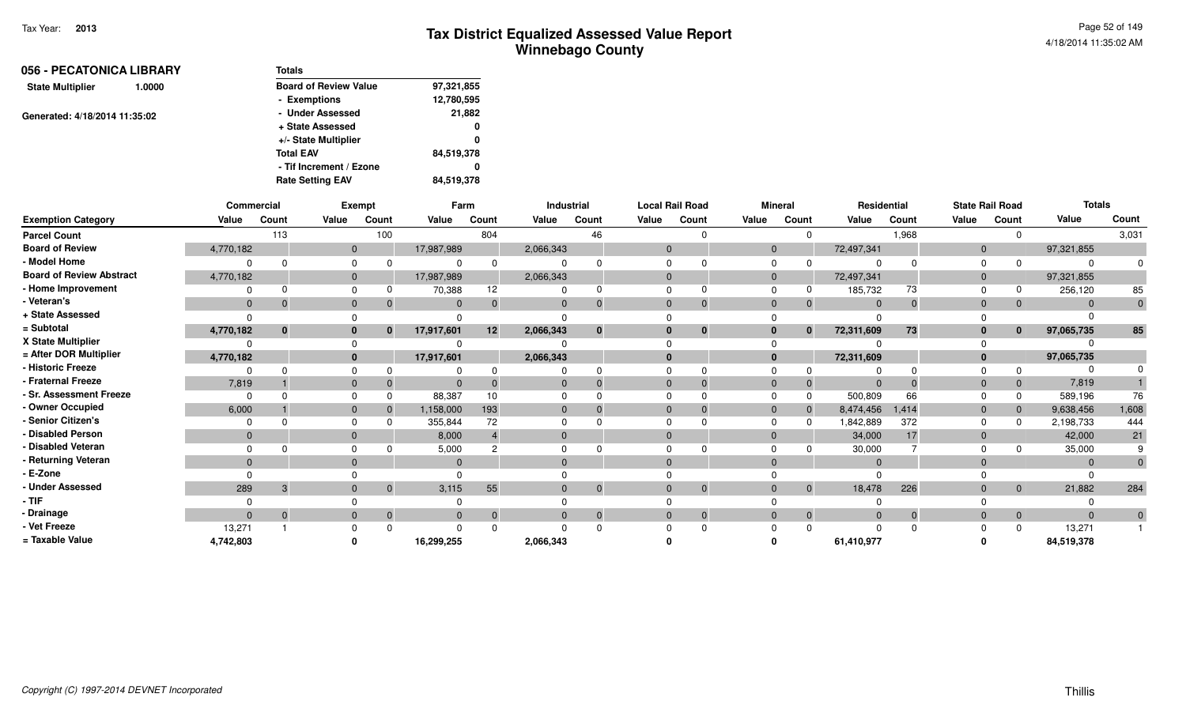| 056 - PECATONICA LIBRARY          | <b>Totals</b>                |            |
|-----------------------------------|------------------------------|------------|
| <b>State Multiplier</b><br>1.0000 | <b>Board of Review Value</b> | 97,321,855 |
|                                   | - Exemptions                 | 12,780,595 |
| Generated: 4/18/2014 11:35:02     | - Under Assessed             | 21,882     |
|                                   | + State Assessed             | 0          |
|                                   | +/- State Multiplier         | 0          |
|                                   | <b>Total EAV</b>             | 84,519,378 |
|                                   | - Tif Increment / Ezone      | 0          |
|                                   | <b>Rate Setting EAV</b>      | 84,519,378 |

|                                 | Commercial   |              |              | <b>Exempt</b> | Farm         |          |           | Industrial     |          | <b>Local Rail Road</b> |                | <b>Mineral</b> | Residential |          | <b>State Rail Road</b> |                | <b>Totals</b> |                |
|---------------------------------|--------------|--------------|--------------|---------------|--------------|----------|-----------|----------------|----------|------------------------|----------------|----------------|-------------|----------|------------------------|----------------|---------------|----------------|
| <b>Exemption Category</b>       | Value        | Count        | Value        | Count         | Value        | Count    | Value     | Count          | Value    | Count                  | Value          | Count          | Value       | Count    | Value                  | Count          | Value         | Count          |
| <b>Parcel Count</b>             |              | 113          |              | 100           |              | 804      |           | 46             |          |                        |                |                |             | 1,968    |                        | $\Omega$       |               | 3,031          |
| <b>Board of Review</b>          | 4,770,182    |              | $\mathbf{0}$ |               | 17,987,989   |          | 2,066,343 |                | $\Omega$ |                        | $\overline{0}$ |                | 72,497,341  |          | $\mathbf{0}$           |                | 97,321,855    |                |
| - Model Home                    |              | U            |              |               |              |          |           |                |          |                        | $\Omega$       |                | $\Omega$    |          | $\Omega$               |                | $\Omega$      |                |
| <b>Board of Review Abstract</b> | 4,770,182    |              | $\Omega$     |               | 17,987,989   |          | 2,066,343 |                | $\Omega$ |                        | $\Omega$       |                | 72,497,341  |          | $\mathbf 0$            |                | 97,321,855    |                |
| - Home Improvement              |              |              |              |               | 70,388       |          |           |                |          |                        | $\Omega$       |                | 185,732     | 73       |                        |                | 256,120       | 85             |
| - Veteran's                     | $\mathbf{0}$ | $\Omega$     |              | $\Omega$      | $\mathbf{0}$ |          |           | $\overline{0}$ | $\Omega$ | $\Omega$               | $\Omega$       |                | $\Omega$    | $\Omega$ | $\Omega$               | $\overline{0}$ | $\Omega$      |                |
| + State Assessed                |              |              |              |               |              |          |           |                |          |                        |                |                | $\Omega$    |          |                        |                |               |                |
| = Subtotal                      | 4,770,182    | $\mathbf{0}$ |              | 0             | 17,917,601   | 12       | 2,066,343 | $\bf{0}$       |          | $\bf{0}$               | 0              |                | 72,311,609  | 73       |                        | $\bf{0}$       | 97,065,735    | 85             |
| X State Multiplier              |              |              |              |               |              |          |           |                |          |                        |                |                |             |          |                        |                |               |                |
| = After DOR Multiplier          | 4,770,182    |              |              |               | 17,917,601   |          | 2,066,343 |                |          |                        | $\mathbf{0}$   |                | 72,311,609  |          |                        |                | 97,065,735    |                |
| - Historic Freeze               |              | U            |              |               |              |          |           |                |          |                        |                |                |             |          |                        |                |               |                |
| - Fraternal Freeze              | 7,819        |              |              |               | $\Omega$     |          |           |                | $\Omega$ |                        | $\Omega$       |                | $\Omega$    |          |                        | $\mathbf{0}$   | 7,819         |                |
| - Sr. Assessment Freeze         | $\Omega$     |              |              |               | 88,387       |          |           |                |          |                        |                |                | 500,809     | 66       |                        | $\Omega$       | 589,196       | 76             |
| - Owner Occupied                | 6,000        |              |              |               | 1,158,000    | 193      |           |                |          |                        | $\overline{0}$ |                | 8,474,456   | 1,414    | $\mathbf{0}$           | $\overline{0}$ | 9,638,456     | 1,608          |
| - Senior Citizen's              |              |              |              |               | 355,844      | 72       |           |                |          |                        | $\Omega$       |                | 1,842,889   | 372      |                        |                | 2,198,733     | 444            |
| - Disabled Person               | $\mathbf{0}$ |              |              |               | 8,000        |          | $\Omega$  |                |          |                        | $\Omega$       |                | 34,000      | 17       | $\Omega$               |                | 42,000        | 21             |
| - Disabled Veteran              |              |              |              |               | 5,000        |          |           |                |          |                        |                |                | 30,000      |          |                        |                | 35,000        |                |
| - Returning Veteran             | $\Omega$     |              |              |               | $\Omega$     |          | $\Omega$  |                |          |                        | $\Omega$       |                | $\Omega$    |          |                        |                | $\Omega$      |                |
| - E-Zone                        |              |              |              |               |              |          |           |                |          |                        |                |                |             |          |                        |                |               |                |
| - Under Assessed                | 289          | 3            |              | $\Omega$      | 3,115        | 55       |           | $\mathbf{0}$   | $\Omega$ | $\Omega$               | $\Omega$       | $\Omega$       | 18,478      | 226      |                        | $\overline{0}$ | 21,882        | 284            |
| - TIF                           |              |              |              |               |              |          |           |                |          |                        |                |                |             |          |                        |                |               |                |
| - Drainage                      | $\Omega$     | $\Omega$     |              | $\Omega$      | $\mathbf{0}$ | $\Omega$ | $\Omega$  | $\mathbf 0$    | $\Omega$ | $\Omega$               | $\overline{0}$ |                | $\Omega$    |          | $\Omega$               | $\overline{0}$ | $\Omega$      | $\overline{0}$ |
| - Vet Freeze                    | 13,271       |              |              |               |              |          |           |                |          |                        |                |                | $\Omega$    |          |                        | $\Omega$       | 13,271        |                |
| = Taxable Value                 | 4,742,803    |              |              |               | 16,299,255   |          | 2,066,343 |                |          |                        |                |                | 61,410,977  |          |                        |                | 84,519,378    |                |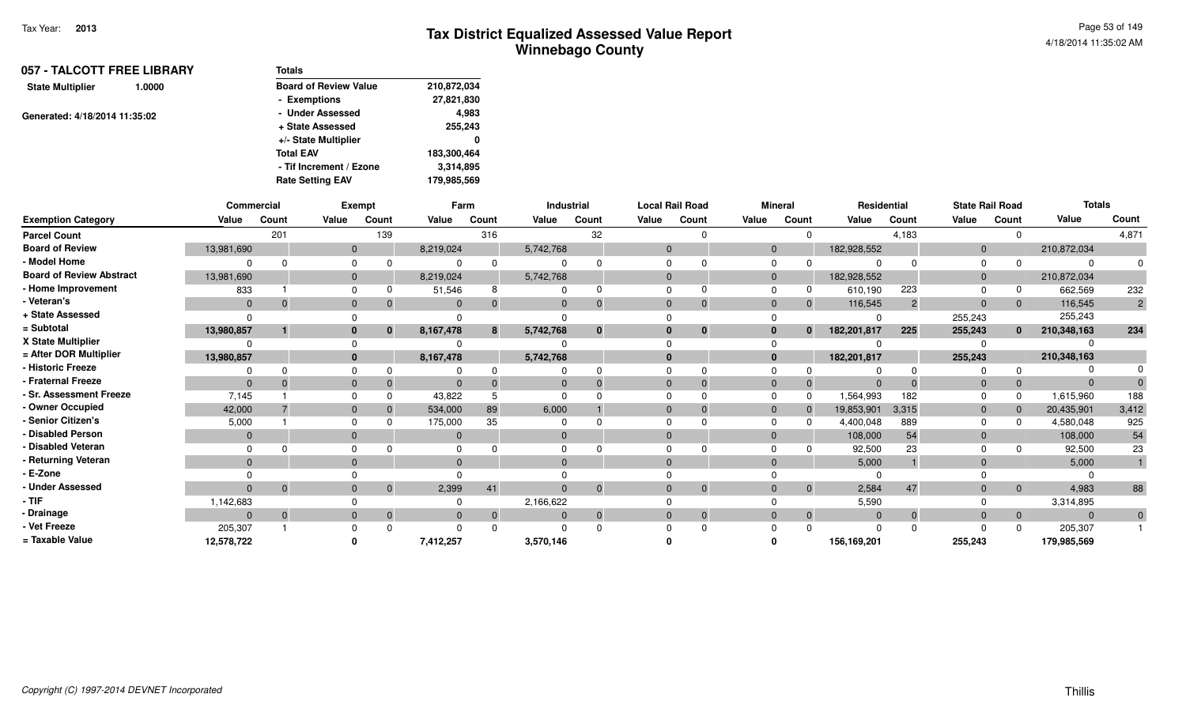| 057 - TALCOTT FREE LIBRARY        | <b>Totals</b>                |             |
|-----------------------------------|------------------------------|-------------|
| <b>State Multiplier</b><br>1.0000 | <b>Board of Review Value</b> | 210,872,034 |
|                                   | - Exemptions                 | 27,821,830  |
| Generated: 4/18/2014 11:35:02     | - Under Assessed             | 4.983       |
|                                   | + State Assessed             | 255,243     |
|                                   | +/- State Multiplier         | 0           |
|                                   | <b>Total EAV</b>             | 183,300,464 |
|                                   | - Tif Increment / Ezone      | 3,314,895   |
|                                   | <b>Rate Setting EAV</b>      | 179,985,569 |

|                                 | Commercial |          |       | Exempt       | Farm         |          |           | Industrial   |          | <b>Local Rail Road</b> |                | <b>Mineral</b> |             | Residential | <b>State Rail Road</b> |                | <b>Totals</b> |              |
|---------------------------------|------------|----------|-------|--------------|--------------|----------|-----------|--------------|----------|------------------------|----------------|----------------|-------------|-------------|------------------------|----------------|---------------|--------------|
| <b>Exemption Category</b>       | Value      | Count    | Value | Count        | Value        | Count    | Value     | Count        | Value    | Count                  | Value          | Count          | Value       | Count       | Value                  | Count          | Value         | Count        |
| <b>Parcel Count</b>             |            | 201      |       | 139          |              | 316      |           | 32           |          |                        |                |                |             | 4,183       |                        |                |               | 4,871        |
| <b>Board of Review</b>          | 13,981,690 |          |       |              | 8,219,024    |          | 5,742,768 |              | $\Omega$ |                        | $\overline{0}$ |                | 182,928,552 |             | $\mathbf{0}$           |                | 210,872,034   |              |
| - Model Home                    |            |          |       |              |              |          |           |              |          |                        |                |                | $\Omega$    |             |                        |                | $\Omega$      |              |
| <b>Board of Review Abstract</b> | 13,981,690 |          |       |              | 8,219,024    |          | 5,742,768 |              |          |                        | $\overline{0}$ |                | 182,928,552 |             | $\mathbf{0}$           |                | 210,872,034   |              |
| - Home Improvement              | 833        |          |       |              | 51,546       |          |           |              |          |                        |                |                | 610,190     | 223         |                        |                | 662,569       | 232          |
| - Veteran's                     | $\Omega$   | 0        |       | $\Omega$     | $\Omega$     |          | $\Omega$  | $\Omega$     | $\Omega$ | $\Omega$               | $\Omega$       |                | 116,545     |             | $\Omega$               | $\overline{0}$ | 116,545       | $2^{\circ}$  |
| + State Assessed                | $\Omega$   |          |       |              |              |          |           |              |          |                        |                |                | $\Omega$    |             | 255,243                |                | 255,243       |              |
| = Subtotal                      | 13,980,857 |          |       | $\bf{0}$     | 8,167,478    | 8        | 5,742,768 | $\bf{0}$     |          | $\bf{0}$               |                |                | 182,201,817 | 225         | 255,243                | $\mathbf{0}$   | 210,348,163   | 234          |
| X State Multiplier              | $\Omega$   |          |       |              |              |          |           |              |          |                        | $\Omega$       |                | $\Omega$    |             |                        |                |               |              |
| = After DOR Multiplier          | 13,980,857 |          |       |              | 8,167,478    |          | 5,742,768 |              |          |                        | $\mathbf{0}$   |                | 182,201,817 |             | 255,243                |                | 210,348,163   |              |
| - Historic Freeze               |            |          |       |              |              |          |           |              |          |                        |                |                | $\Omega$    |             |                        |                |               |              |
| - Fraternal Freeze              | $\Omega$   |          |       | $\Omega$     |              |          |           |              |          |                        | $\Omega$       |                | $\Omega$    |             |                        | $\Omega$       | $\Omega$      |              |
| - Sr. Assessment Freeze         | 7,145      |          |       |              | 43,822       |          |           |              |          |                        |                |                | 1,564,993   | 182         |                        |                | 1,615,960     | 188          |
| - Owner Occupied                | 42,000     |          |       | $\Omega$     | 534,000      | 89       | 6,000     |              |          |                        | $\overline{0}$ |                | 19,853,901  | 3,315       | $\overline{0}$         |                | 20,435,901    | 3,412        |
| - Senior Citizen's              | 5,000      |          |       |              | 175,000      | 35       |           |              |          |                        | $\Omega$       |                | 4,400,048   | 889         |                        |                | 4,580,048     | 925          |
| - Disabled Person               | $\Omega$   |          |       |              | $\mathbf{0}$ |          | $\Omega$  |              |          |                        | $\Omega$       |                | 108,000     | 54          |                        |                | 108,000       | 54           |
| - Disabled Veteran              |            |          |       |              |              |          |           |              |          |                        |                |                | 92,500      | 23          |                        |                | 92,500        | 23           |
| - Returning Veteran             | $\Omega$   |          |       |              | $\Omega$     |          | $\Omega$  |              |          |                        | $\Omega$       |                | 5,000       |             |                        |                | 5,000         |              |
| - E-Zone                        |            |          |       |              |              |          |           |              |          |                        |                |                |             |             |                        |                |               |              |
| - Under Assessed                | $\Omega$   | $\Omega$ |       | $\Omega$     | 2,399        | 41       | $\Omega$  | $\mathbf{0}$ |          | $\Omega$               | $\Omega$       |                | 2,584       | 47          | $\Omega$               | $\mathbf{0}$   | 4,983         | 88           |
| - TIF                           | 1,142,683  |          |       |              |              |          | 2,166,622 |              |          |                        |                |                | 5,590       |             |                        |                | 3,314,895     |              |
| - Drainage                      | $\Omega$   | $\Omega$ |       | $\mathbf{0}$ | $\Omega$     | $\Omega$ | $\Omega$  | $\mathbf 0$  |          | $\Omega$               | $\Omega$       |                | $\Omega$    |             | $\Omega$               | $\overline{0}$ | $\Omega$      | $\mathbf{0}$ |
| - Vet Freeze                    | 205,307    |          |       | $\Omega$     |              |          |           |              |          |                        |                |                | $\Omega$    |             |                        | $\Omega$       | 205,307       |              |
| = Taxable Value                 | 12,578,722 |          |       |              | 7,412,257    |          | 3,570,146 |              |          |                        |                |                | 156,169,201 |             | 255,243                |                | 179,985,569   |              |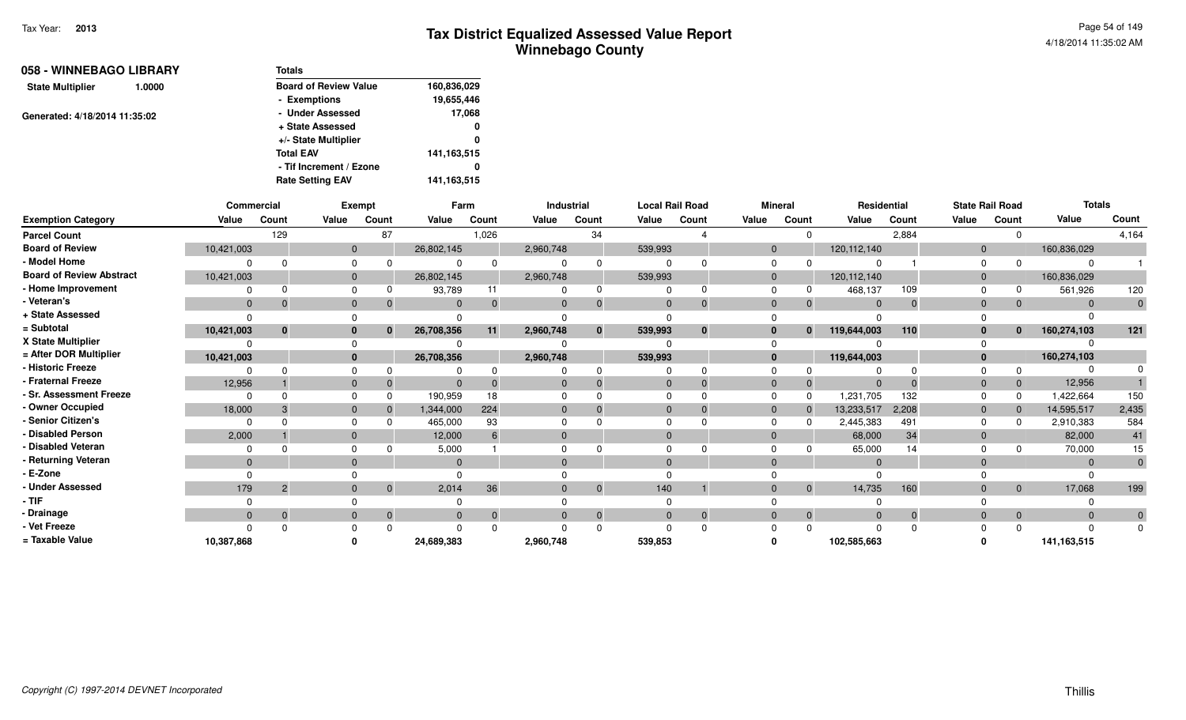| 058 - WINNEBAGO LIBRARY           | <b>Totals</b>                |               |
|-----------------------------------|------------------------------|---------------|
| <b>State Multiplier</b><br>1.0000 | <b>Board of Review Value</b> | 160,836,029   |
|                                   | - Exemptions                 | 19,655,446    |
| Generated: 4/18/2014 11:35:02     | - Under Assessed             | 17,068        |
|                                   | + State Assessed             | 0             |
|                                   | +/- State Multiplier         | 0             |
|                                   | <b>Total EAV</b>             | 141, 163, 515 |
|                                   | - Tif Increment / Ezone      | 0             |
|                                   | <b>Rate Setting EAV</b>      | 141, 163, 515 |

|                                 | Commercial     |                | <b>Exempt</b><br>Farm |          |              |          | Industrial |              | <b>Local Rail Road</b> |          | <b>Mineral</b> | Residential  |               |          | <b>State Rail Road</b> | <b>Totals</b>  |               |                |
|---------------------------------|----------------|----------------|-----------------------|----------|--------------|----------|------------|--------------|------------------------|----------|----------------|--------------|---------------|----------|------------------------|----------------|---------------|----------------|
| <b>Exemption Category</b>       | Value          | Count          | Value                 | Count    | Value        | Count    | Value      | Count        | Value                  | Count    | Value          | Count        | Value         | Count    | Value                  | Count          | Value         | Count          |
| <b>Parcel Count</b>             |                | 129            |                       | 87       |              | 1,026    |            | 34           |                        |          |                |              |               | 2,884    |                        | $\Omega$       |               | 4,164          |
| <b>Board of Review</b>          | 10,421,003     |                | 0                     |          | 26,802,145   |          | 2,960,748  |              | 539,993                |          | $\overline{0}$ |              | 120, 112, 140 |          | $\mathbf{0}$           |                | 160,836,029   |                |
| - Model Home                    |                |                |                       |          |              |          |            |              |                        |          | $\Omega$       |              | $\Omega$      |          | $\Omega$               |                | $\Omega$      |                |
| <b>Board of Review Abstract</b> | 10,421,003     |                | $\Omega$              |          | 26,802,145   |          | 2,960,748  |              | 539,993                |          | $\overline{0}$ |              | 120, 112, 140 |          | $\mathbf 0$            |                | 160,836,029   |                |
| - Home Improvement              |                |                |                       |          | 93,789       |          |            |              |                        |          |                |              | 468,137       | 109      |                        |                | 561,926       | 120            |
| - Veteran's                     | $\Omega$       | $\Omega$       |                       | $\Omega$ | $\mathbf{0}$ |          | $\Omega$   | $\mathbf{0}$ | $\Omega$               | $\Omega$ | $\Omega$       |              | $\Omega$      | $\Omega$ | $\Omega$               | $\overline{0}$ | $\mathbf{0}$  | $\overline{0}$ |
| + State Assessed                |                |                |                       |          |              |          |            |              |                        |          |                |              |               |          |                        |                |               |                |
| = Subtotal                      | 10,421,003     | $\mathbf{0}$   |                       | $\Omega$ | 26,708,356   | 11       | 2,960,748  | $\mathbf{0}$ | 539,993                | $\bf{0}$ | 0              |              | 119,644,003   | 110      |                        | $\mathbf{0}$   | 160,274,103   | 121            |
| X State Multiplier              |                |                |                       |          |              |          |            |              |                        |          | $\Omega$       |              |               |          |                        |                |               |                |
| = After DOR Multiplier          | 10,421,003     |                |                       |          | 26,708,356   |          | 2,960,748  |              | 539,993                |          | $\bf{0}$       |              | 119,644,003   |          |                        |                | 160,274,103   |                |
| - Historic Freeze               |                | $\Omega$       |                       |          |              |          |            | $\Omega$     |                        |          |                |              | $\Omega$      |          |                        |                |               |                |
| - Fraternal Freeze              | 12,956         |                |                       |          | $\Omega$     |          |            | $\Omega$     | $\Omega$               |          | $\Omega$       |              | $\Omega$      |          | $\Omega$               | $\overline{0}$ | 12,956        |                |
| - Sr. Assessment Freeze         |                |                |                       |          | 190,959      | 18       |            |              |                        |          |                |              | 1,231,705     | 132      |                        |                | 1,422,664     | 150            |
| - Owner Occupied                | 18,000         |                |                       |          | 1,344,000    | 224      |            |              |                        |          | $\overline{0}$ |              | 13,233,517    | 2,208    | $\mathbf{0}$           |                | 14,595,517    | 2,435          |
| - Senior Citizen's              |                |                |                       |          | 465,000      | 93       |            |              |                        |          | $\Omega$       |              | 2,445,383     | 491      |                        |                | 2,910,383     | 584            |
| - Disabled Person               | 2,000          |                |                       |          | 12,000       |          | $\Omega$   |              |                        |          | $\Omega$       |              | 68,000        | 34       | $\Omega$               |                | 82,000        | 41             |
| - Disabled Veteran              |                |                |                       |          | 5,000        |          |            |              |                        |          |                |              | 65,000        |          |                        |                | 70,000        |                |
| - Returning Veteran             | $\Omega$       |                | $\Omega$              |          | $\Omega$     |          | $\Omega$   |              | $\Omega$               |          | $\Omega$       |              | $\Omega$      |          |                        |                | $\Omega$      | $\overline{0}$ |
| - E-Zone                        |                |                |                       |          |              |          |            |              |                        |          |                |              | $\Omega$      |          |                        |                |               |                |
| - Under Assessed                | 179            | $\overline{2}$ |                       | $\Omega$ | 2,014        | 36       |            | $\mathbf{0}$ | 140                    |          | $\Omega$       | $\mathbf{0}$ | 14,735        | 160      |                        | $\mathbf{0}$   | 17,068        | 199            |
| - TIF                           |                |                |                       |          |              |          |            |              |                        |          |                |              |               |          |                        |                |               |                |
| - Drainage                      | $\overline{0}$ | $\mathbf{0}$   |                       | $\Omega$ | $\Omega$     | $\Omega$ | $\Omega$   | $\mathbf 0$  | $\Omega$               | $\Omega$ | $\Omega$       |              | $\Omega$      |          | $\Omega$               | $\mathbf{0}$   | $\Omega$      | $\mathbf{0}$   |
| - Vet Freeze                    |                |                |                       |          |              |          |            |              |                        | $\Omega$ |                |              | $\Omega$      |          |                        |                | $\Omega$      | $\Omega$       |
| = Taxable Value                 | 10,387,868     |                |                       |          | 24,689,383   |          | 2,960,748  |              | 539,853                |          |                |              | 102,585,663   |          |                        |                | 141, 163, 515 |                |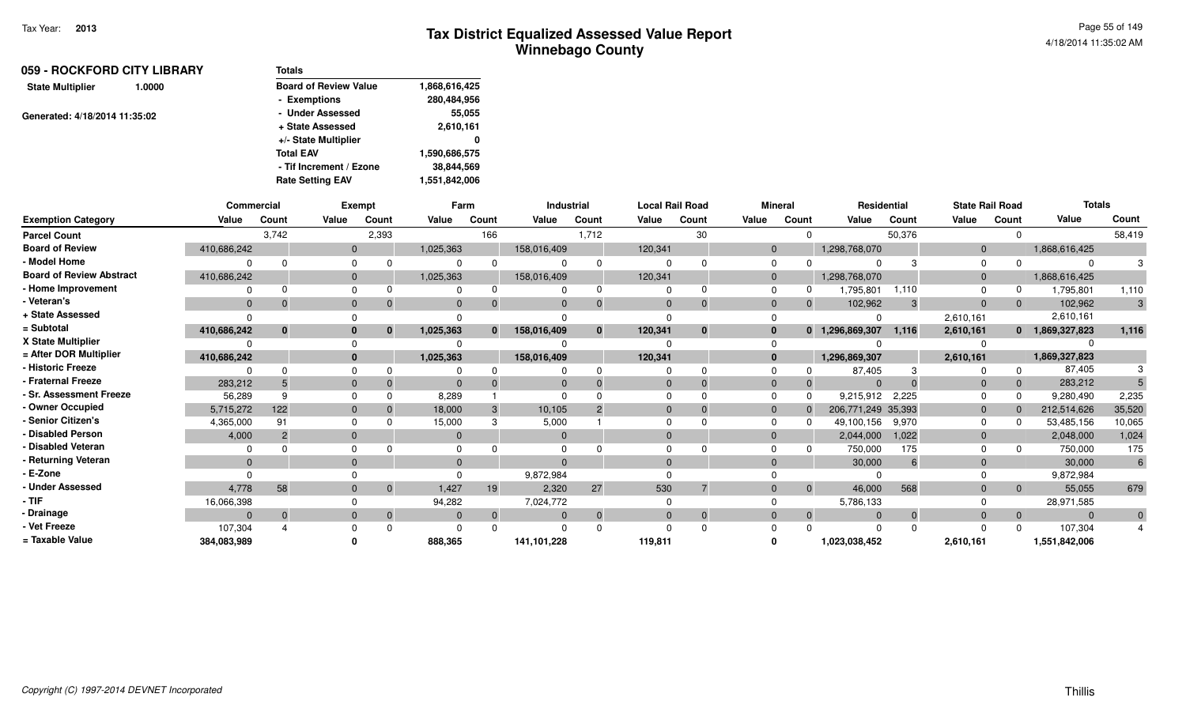| 059 - ROCKFORD CITY LIBRARY       | <b>Totals</b>                |               |
|-----------------------------------|------------------------------|---------------|
| <b>State Multiplier</b><br>1.0000 | <b>Board of Review Value</b> | 1,868,616,425 |
|                                   | - Exemptions                 | 280,484,956   |
| Generated: 4/18/2014 11:35:02     | - Under Assessed             | 55,055        |
|                                   | + State Assessed             | 2,610,161     |
|                                   | +/- State Multiplier         | 0             |
|                                   | <b>Total EAV</b>             | 1,590,686,575 |
|                                   | - Tif Increment / Ezone      | 38,844,569    |
|                                   | <b>Rate Setting EAV</b>      | 1,551,842,006 |
|                                   |                              |               |

|                                 | <b>Commercial</b> |                |              | Exempt         |             | Farm     |             | <b>Industrial</b> | <b>Local Rail Road</b> |              |              | <b>Mineral</b> |                    | Residential |                | <b>State Rail Road</b> | <b>Totals</b>   |          |
|---------------------------------|-------------------|----------------|--------------|----------------|-------------|----------|-------------|-------------------|------------------------|--------------|--------------|----------------|--------------------|-------------|----------------|------------------------|-----------------|----------|
| <b>Exemption Category</b>       | Value             | Count          | Value        | Count          | Value       | Count    | Value       | Count             | Value                  | Count        | Value        | Count          | Value              | Count       | Value          | Count                  | Value           | Count    |
| <b>Parcel Count</b>             |                   | 3.742          |              | 2,393          |             | 166      |             | 1,712             |                        | 30           |              | $\Omega$       |                    | 50,376      |                | $\Omega$               |                 | 58,419   |
| <b>Board of Review</b>          | 410,686,242       |                | $\mathbf 0$  |                | 1,025,363   |          | 158,016,409 |                   | 120,341                |              | $\mathbf{0}$ |                | 1,298,768,070      |             | $\overline{0}$ |                        | 1,868,616,425   |          |
| - Model Home                    |                   | $\Omega$       | $\Omega$     |                | $\Omega$    |          |             |                   |                        |              | $\Omega$     |                |                    |             | $\Omega$       |                        |                 | 3        |
| <b>Board of Review Abstract</b> | 410,686,242       |                |              | $\overline{0}$ | 1,025,363   |          | 158,016,409 |                   | 120,341                |              | $\mathbf{0}$ |                | 1,298,768,070      |             | $\mathbf{0}$   |                        | 1,868,616,425   |          |
| - Home Improvement              |                   | $\Omega$       | $\Omega$     |                | $\Omega$    |          |             |                   |                        |              | $\Omega$     |                | 1,795,801          | 1,110       |                |                        | 1,795,801       | 1,110    |
| - Veteran's                     | $\mathbf{0}$      | $\Omega$       | $\mathbf{0}$ | $\mathbf 0$    | $\Omega$    |          |             |                   | $\Omega$               |              | $\mathbf{0}$ | $\Omega$       | 102,962            | 3           | $\mathbf{0}$   | $\overline{0}$         | 102,962         | 3        |
| + State Assessed                |                   |                |              |                |             |          |             |                   |                        |              | $\Omega$     |                | $\Omega$           |             | 2,610,161      |                        | 2,610,161       |          |
| = Subtotal                      | 410,686,242       | $\bf{0}$       | $\bf{0}$     | $\bf{0}$       | 1,025,363   | $\bf{0}$ | 158,016,409 | $\mathbf{0}$      | 120,341                | $\mathbf{0}$ | $\mathbf{0}$ |                | 1,296,869,307<br>0 | 1,116       | 2,610,161      |                        | 0 1,869,327,823 | 1,116    |
| X State Multiplier              |                   |                | $\Omega$     |                |             |          |             |                   |                        |              | $\Omega$     |                |                    |             |                |                        |                 |          |
| = After DOR Multiplier          | 410,686,242       |                |              | $\mathbf{0}$   | 1,025,363   |          | 158,016,409 |                   | 120,341                |              | $\mathbf{0}$ |                | 1,296,869,307      |             | 2,610,161      |                        | 1,869,327,823   |          |
| - Historic Freeze               |                   | $\Omega$       | $\Omega$     |                |             |          |             |                   |                        | n            | $\Omega$     |                | 87,405             |             |                | $\Omega$               | 87,405          |          |
| - Fraternal Freeze              | 283,212           | 5              | $\mathbf 0$  |                | $\Omega$    |          |             |                   | $\Omega$               |              | $\mathbf{0}$ |                | $\Omega$           |             | $\mathbf 0$    |                        | 283,212         |          |
| - Sr. Assessment Freeze         | 56,289            | 9              | $\Omega$     |                | 8,289       |          |             |                   |                        |              |              | $\Omega$       | 9,215,912 2,225    |             |                | $\Omega$               | 9,280,490       | 2,235    |
| - Owner Occupied                | 5,715,272         | 122            | $\mathbf{0}$ |                | 18,000      |          | 10,105      |                   |                        |              | $\mathbf{0}$ |                | 206,771,249 35,393 |             | $\mathbf{0}$   | $\mathbf{0}$           | 212,514,626     | 35,520   |
| - Senior Citizen's              | 4,365,000         | 91             | $\Omega$     |                | 15,000      |          | 5,000       |                   |                        |              | $\Omega$     |                | 49,100,156         | 9,970       | 0              | $\Omega$               | 53,485,156      | 10,065   |
| - Disabled Person               | 4,000             | $\overline{2}$ | $\mathbf{0}$ |                | $\Omega$    |          | $\Omega$    |                   | $\Omega$               |              | $\Omega$     |                | 2,044,000          | 1,022       | $\mathbf{0}$   |                        | 2,048,000       | 1,024    |
| - Disabled Veteran              |                   |                | $\Omega$     |                |             |          |             |                   |                        |              |              |                | 750,000            | 175         |                |                        | 750,000         | 175      |
| - Returning Veteran             | $\Omega$          |                |              | $\overline{0}$ | $\Omega$    |          | $\Omega$    |                   | $\Omega$               |              | $\Omega$     |                | 30,000             | 6           | $\Omega$       |                        | 30,000          | 6        |
| - E-Zone                        |                   |                |              |                |             |          | 9,872,984   |                   |                        |              |              |                |                    |             |                |                        | 9,872,984       |          |
| <b>Under Assessed</b>           | 4,778             | 58             | $\Omega$     | $\overline{0}$ | 1,427       | 19       | 2,320       | 27                | 530                    |              | $\mathbf{0}$ | $\mathbf 0$    | 46,000             | 568         | $\Omega$       | $\overline{0}$         | 55,055          | 679      |
| - TIF                           | 16,066,398        |                | $\Omega$     |                | 94,282      |          | 7,024,772   |                   | $\Omega$               |              | $\Omega$     |                | 5,786,133          |             |                |                        | 28,971,585      |          |
| - Drainage                      | $\mathbf{0}$      | $\mathbf{0}$   | $\mathbf{0}$ | $\mathbf 0$    | $\mathbf 0$ | $\Omega$ | $\Omega$    | $\Omega$          | $\mathbf{0}$           | $\Omega$     | $\mathbf{0}$ | $\mathbf{0}$   | $\Omega$           | $\Omega$    | $\mathbf{0}$   | $\overline{0}$         | $\Omega$        | $\Omega$ |
| - Vet Freeze                    | 107,304           |                | $\Omega$     |                | $\Omega$    |          |             |                   |                        |              |              |                | $\Omega$           |             |                | $\Omega$               | 107,304         |          |
| = Taxable Value                 | 384,083,989       |                |              |                | 888,365     |          | 141,101,228 |                   | 119,811                |              |              |                | 1,023,038,452      |             | 2,610,161      |                        | 1,551,842,006   |          |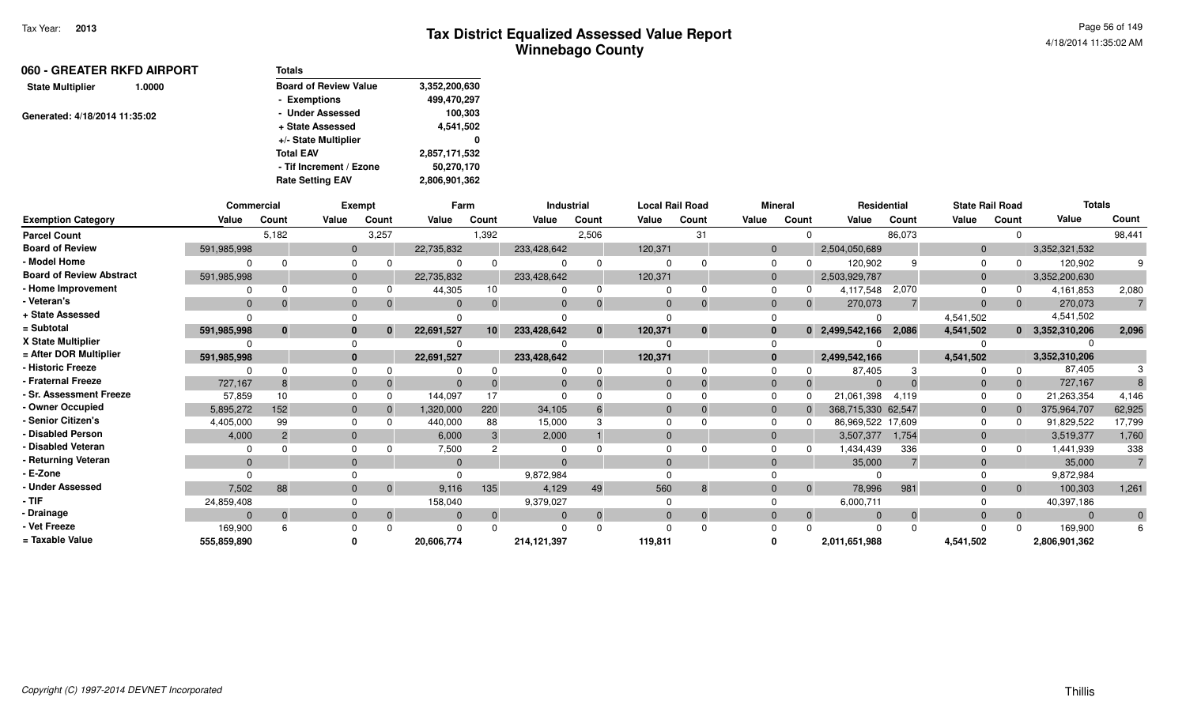| 060 - GREATER RKFD AIRPORT    |        | <b>Totals</b>                |               |
|-------------------------------|--------|------------------------------|---------------|
| <b>State Multiplier</b>       | 1.0000 | <b>Board of Review Value</b> | 3,352,200,630 |
|                               |        | - Exemptions                 | 499,470,297   |
| Generated: 4/18/2014 11:35:02 |        | - Under Assessed             | 100,303       |
|                               |        | + State Assessed             | 4,541,502     |
|                               |        | +/- State Multiplier         | 0             |
|                               |        | <b>Total EAV</b>             | 2,857,171,532 |
|                               |        | - Tif Increment / Ezone      | 50,270,170    |
|                               |        | <b>Rate Setting EAV</b>      | 2,806,901,362 |

|                                 | Commercial  |                  |          | Exempt                     | Farm        |                 |             | Industrial   | <b>Local Rail Road</b> |          |              | <b>Mineral</b> |                    | Residential | <b>State Rail Road</b> |                | <b>Totals</b>     |          |
|---------------------------------|-------------|------------------|----------|----------------------------|-------------|-----------------|-------------|--------------|------------------------|----------|--------------|----------------|--------------------|-------------|------------------------|----------------|-------------------|----------|
| <b>Exemption Category</b>       | Value       | Count            | Value    | Count                      | Value       | Count           | Value       | Count        | Value                  | Count    | Value        | Count          | Value              | Count       | Value                  | Count          | Value             | Count    |
| <b>Parcel Count</b>             |             | 5,182            |          | 3,257                      |             | 1,392           |             | 2,506        |                        | 31       |              | $\Omega$       |                    | 86,073      |                        | $\Omega$       |                   | 98,441   |
| <b>Board of Review</b>          | 591,985,998 |                  |          | $\mathbf{0}$               | 22,735,832  |                 | 233,428,642 |              | 120,371                |          | $\mathbf{0}$ |                | 2,504,050,689      |             | $\mathbf 0$            |                | 3,352,321,532     |          |
| - Model Home                    |             | $\Omega$         |          | $\Omega$                   | $\Omega$    |                 |             |              |                        |          | $\Omega$     |                | 120,902            | $\Omega$    | 0                      |                | 120,902           | 9        |
| <b>Board of Review Abstract</b> | 591,985,998 |                  |          | $\mathbf 0$                | 22,735,832  |                 | 233,428,642 |              | 120,371                |          | $\mathbf{0}$ |                | 2,503,929,787      |             | $\mathbf{0}$           |                | 3,352,200,630     |          |
| - Home Improvement              |             | $\Omega$         | $\Omega$ |                            | 44,305      | 10              |             |              |                        |          | $\Omega$     |                | 4.117.548          | 2,070       | $\Omega$               |                | 4,161,853         | 2,080    |
| - Veteran's                     | $\Omega$    | $\Omega$         |          | $\Omega$<br>$\mathbf{0}$   | $\Omega$    | $\Omega$        |             |              | $\Omega$               |          | $\Omega$     | $\Omega$       | 270,073            |             | $\Omega$               | $\overline{0}$ | 270,073           |          |
| + State Assessed                |             |                  |          |                            |             |                 |             |              |                        |          | $\Omega$     |                | $\Omega$           |             | 4,541,502              |                | 4,541,502         |          |
| = Subtotal                      | 591,985,998 | $\bf{0}$         |          | $\bf{0}$<br>$\bf{0}$       | 22,691,527  | 10 <sup>1</sup> | 233,428,642 | $\mathbf{0}$ | 120,371                | $\bf{0}$ | $\bf{0}$     | 0              | 2,499,542,166      | 2,086       | 4,541,502              |                | $0$ 3,352,310,206 | 2,096    |
| X State Multiplier              |             |                  |          | $\Omega$                   |             |                 |             |              |                        |          | $\Omega$     |                |                    |             |                        |                |                   |          |
| = After DOR Multiplier          | 591,985,998 |                  |          | $\bf{0}$                   | 22,691,527  |                 | 233,428,642 |              | 120,371                |          | $\mathbf{0}$ |                | 2,499,542,166      |             | 4,541,502              |                | 3,352,310,206     |          |
| - Historic Freeze               |             | $\Omega$         |          | $\Omega$                   |             |                 |             |              |                        |          | $\Omega$     |                | 87,405             |             |                        |                | 87,405            |          |
| - Fraternal Freeze              | 727,167     | 8                |          | $\mathbf 0$                | $\Omega$    |                 |             |              | $\Omega$               |          | $\mathbf{0}$ |                | $\Omega$           |             | $\mathbf{0}$           |                | 727,167           |          |
| - Sr. Assessment Freeze         | 57,859      | 10 <sup>10</sup> | $\Omega$ |                            | 144,097     | 17              |             |              |                        |          |              | $\Omega$       | 21,061,398         | 4,119       |                        | $\Omega$       | 21,263,354        | 4,146    |
| - Owner Occupied                | 5,895,272   | 152              |          | $\mathbf{0}$               | 1,320,000   | 220             | 34,105      |              |                        |          | $\mathbf{0}$ |                | 368,715,330 62,547 |             | $\mathbf{0}$           |                | 375,964,707       | 62,925   |
| - Senior Citizen's              | 4,405,000   | 99               | $\Omega$ |                            | 440,000     | 88              | 15,000      |              |                        |          | $\Omega$     |                | 86,969,522 17,609  |             |                        | $\Omega$       | 91,829,522        | 17,799   |
| - Disabled Person               | 4,000       | $\overline{2}$   |          | $\mathbf{0}$               | 6,000       |                 | 2,000       |              | $\Omega$               |          | $\Omega$     |                | 3,507,377          | 1,754       | $\Omega$               |                | 3,519,377         | 1,760    |
| - Disabled Veteran              |             |                  | $\Omega$ |                            | 7,500       |                 |             |              |                        |          | $\Omega$     |                | .434,439           | 336         |                        |                | 1,441,939         | 338      |
| - Returning Veteran             | $\Omega$    |                  |          | $\Omega$                   | $\Omega$    |                 | $\Omega$    |              | $\Omega$               |          | $\Omega$     |                | 35,000             |             | $\Omega$               |                | 35,000            |          |
| - E-Zone                        |             |                  |          |                            |             |                 | 9,872,984   |              |                        |          |              |                |                    |             |                        |                | 9,872,984         |          |
| - Under Assessed                | 7,502       | 88               |          | $\Omega$<br>$\mathbf{0}$   | 9,116       | 135             | 4,129       | 49           | 560                    | 8        | $\mathbf{0}$ | $\Omega$       | 78,996             | 981         | $\Omega$               | $\overline{0}$ | 100,303           | 1,261    |
| - TIF                           | 24,859,408  |                  |          | $\Omega$                   | 158,040     |                 | 9,379,027   |              |                        |          | $\Omega$     |                | 6,000,711          |             |                        |                | 40,397,186        |          |
| - Drainage                      | $\Omega$    | $\Omega$         |          | $\mathbf 0$<br>$\mathbf 0$ | $\mathbf 0$ | $\Omega$        |             | $\Omega$     | $\Omega$               | $\Omega$ | $\mathbf{0}$ | $\mathbf 0$    | $\Omega$           | $\Omega$    | $\Omega$               | $\mathbf{0}$   | $\Omega$          | $\Omega$ |
| - Vet Freeze                    | 169,900     | 6                |          | $\Omega$                   | $\Omega$    |                 |             |              |                        |          |              |                | $\Omega$           |             |                        | $\Omega$       | 169,900           | 6        |
| = Taxable Value                 | 555,859,890 |                  |          |                            | 20,606,774  |                 | 214,121,397 |              | 119,811                |          |              |                | 2,011,651,988      |             | 4,541,502              |                | 2,806,901,362     |          |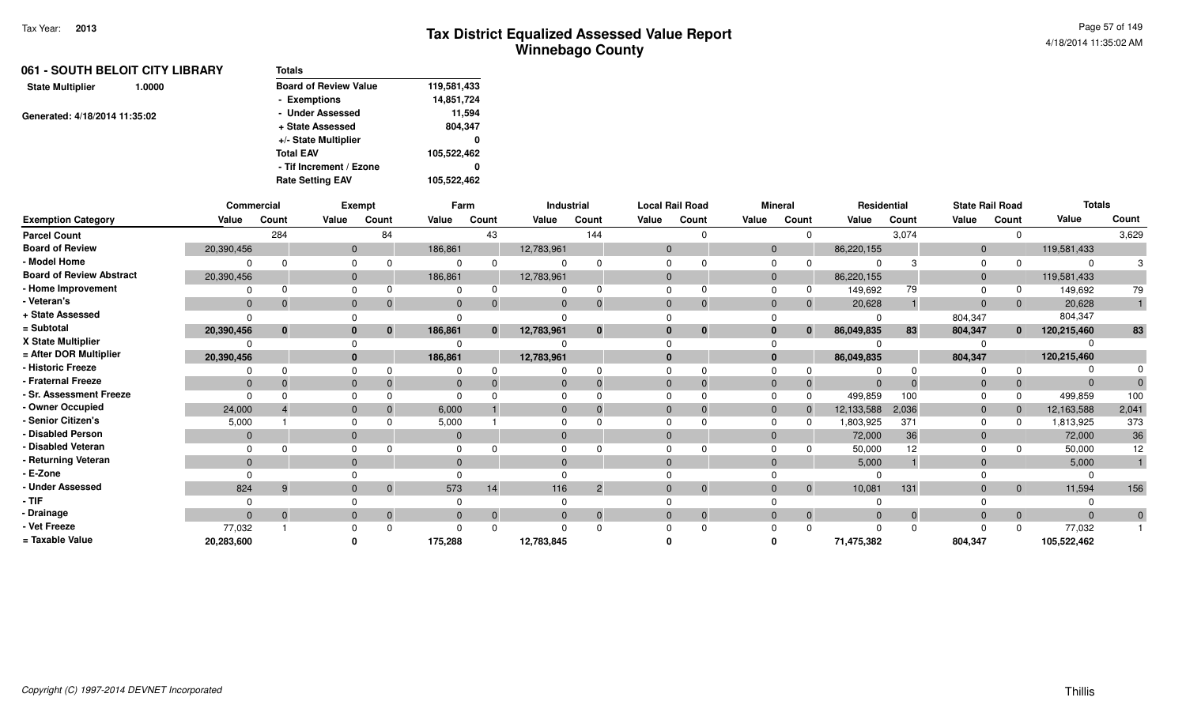| 061 - SOUTH BELOIT CITY LIBRARY   | <b>Totals</b>                |             |
|-----------------------------------|------------------------------|-------------|
| <b>State Multiplier</b><br>1.0000 | <b>Board of Review Value</b> | 119,581,433 |
|                                   | - Exemptions                 | 14,851,724  |
| Generated: 4/18/2014 11:35:02     | - Under Assessed             | 11,594      |
|                                   | + State Assessed             | 804,347     |
|                                   | +/- State Multiplier         | 0           |
|                                   | <b>Total EAV</b>             | 105,522,462 |
|                                   | - Tif Increment / Ezone      | o           |
|                                   | <b>Rate Setting EAV</b>      | 105,522,462 |

|                                 | Commercial   |          |              | <b>Exempt</b> |          | Farm           |            | Industrial     |              | <b>Local Rail Road</b> |                | <b>Mineral</b> | Residential |       | <b>State Rail Road</b> |                | <b>Totals</b> |                 |
|---------------------------------|--------------|----------|--------------|---------------|----------|----------------|------------|----------------|--------------|------------------------|----------------|----------------|-------------|-------|------------------------|----------------|---------------|-----------------|
| <b>Exemption Category</b>       | Value        | Count    | Value        | Count         | Value    | Count          | Value      | Count          | Value        | Count                  | Value          | Count          | Value       | Count | Value                  | Count          | Value         | Count           |
| <b>Parcel Count</b>             |              | 284      |              | 84            |          | 43             |            | 144            |              |                        |                |                |             | 3,074 |                        | $\Omega$       |               | 3,629           |
| <b>Board of Review</b>          | 20,390,456   |          | $\mathbf{0}$ |               | 186,861  |                | 12,783,961 |                | $\mathbf{0}$ |                        | $\overline{0}$ |                | 86,220,155  |       | $\mathbf 0$            |                | 119,581,433   |                 |
| - Model Home                    |              |          | $\Omega$     |               |          | $\Omega$       |            |                | <sup>n</sup> |                        | $\Omega$       |                |             |       | $\Omega$               |                | $\Omega$      |                 |
| <b>Board of Review Abstract</b> | 20,390,456   |          | $\Omega$     |               | 186,861  |                | 12,783,961 |                | $\Omega$     |                        | $\Omega$       |                | 86,220,155  |       | $\Omega$               |                | 119,581,433   |                 |
| - Home Improvement              |              |          | $\Omega$     |               |          |                |            |                | <sup>n</sup> |                        | $\Omega$       |                | 149,692     |       |                        |                | 149,692       | 79              |
| - Veteran's                     | $\mathbf{0}$ |          | $\mathbf{0}$ |               | 0        | $\Omega$       |            | $\Omega$       | $\mathbf{0}$ |                        |                | $\Omega$       | 20,628      |       | $\Omega$               | $\overline{0}$ | 20,628        |                 |
| + State Assessed                |              |          |              |               |          |                |            |                |              |                        |                |                |             |       | 804,347                |                | 804,347       |                 |
| = Subtotal                      | 20,390,456   | $\bf{0}$ | $\bf{0}$     | $\bf{0}$      | 186,861  | $\mathbf{0}$   | 12,783,961 | $\bf{0}$       | $\bf{0}$     | $\bf{0}$               |                |                | 86,049,835  | 83    | 804,347                | $\mathbf{0}$   | 120,215,460   | 83              |
| X State Multiplier              |              |          |              |               |          |                |            |                |              |                        |                |                |             |       |                        |                |               |                 |
| = After DOR Multiplier          | 20,390,456   |          | $\bf{0}$     |               | 186,861  |                | 12,783,961 |                | $\mathbf{0}$ |                        |                |                | 86,049,835  |       | 804,347                |                | 120,215,460   |                 |
| - Historic Freeze               |              |          |              |               |          |                |            |                |              |                        |                |                |             |       |                        |                |               |                 |
| - Fraternal Freeze              | $\mathbf{0}$ |          | $\Omega$     |               |          |                |            |                | $\Omega$     |                        |                |                | $\Omega$    |       |                        | $\mathbf{0}$   | $\Omega$      |                 |
| - Sr. Assessment Freeze         |              |          |              |               |          |                |            |                |              |                        |                |                | 499,859     | 100   |                        |                | 499,859       | 100             |
| - Owner Occupied                | 24,000       |          | $\mathbf{0}$ |               | 6,000    |                |            |                | $\mathbf 0$  |                        | $\overline{0}$ |                | 12,133,588  | 2,036 | $\mathbf 0$            |                | 12,163,588    | 2,041           |
| - Senior Citizen's              | 5,000        |          |              |               | 5,000    |                |            |                |              |                        | $\Omega$       |                | 1,803,925   | 371   | $\Omega$               |                | 1,813,925     | 373             |
| - Disabled Person               | $\mathbf{0}$ |          | $\Omega$     |               |          |                |            |                | $\Omega$     |                        | $\Omega$       |                | 72,000      | 36    | $\Omega$               |                | 72,000        | 36              |
| - Disabled Veteran              |              |          |              |               |          |                |            |                |              |                        |                |                | 50,000      | 12    |                        |                | 50,000        | 12 <sup>2</sup> |
| - Returning Veteran             | $\Omega$     |          | $\Omega$     |               |          |                |            |                | $\Omega$     |                        |                |                | 5,000       |       |                        |                | 5,000         |                 |
| - E-Zone                        |              |          |              |               |          |                |            |                |              |                        |                |                |             |       |                        |                |               |                 |
| - Under Assessed                | 824          | 9        | $\Omega$     | $\Omega$      | 573      | 14             | 116        | $\overline{2}$ | $\Omega$     | $\Omega$               |                | $\Omega$       | 10,081      | 131   | $\Omega$               | $\overline{0}$ | 11,594        | 156             |
| - TIF                           |              |          |              |               |          |                |            |                |              |                        |                |                |             |       |                        |                |               |                 |
| - Drainage                      | $\Omega$     | $\Omega$ | $\Omega$     | $\mathbf{0}$  | $\Omega$ | $\overline{0}$ |            | $\overline{0}$ | $\Omega$     | $\Omega$               | $\Omega$       | $\mathbf{0}$   | $\Omega$    |       | $\Omega$               | $\overline{0}$ | $\Omega$      | $\overline{0}$  |
| - Vet Freeze                    | 77,032       |          |              |               |          | <sup>n</sup>   |            |                |              |                        |                |                |             |       |                        | $\Omega$       | 77,032        |                 |
| = Taxable Value                 | 20,283,600   |          |              |               | 175,288  |                | 12,783,845 |                |              |                        |                |                | 71,475,382  |       | 804,347                |                | 105,522,462   |                 |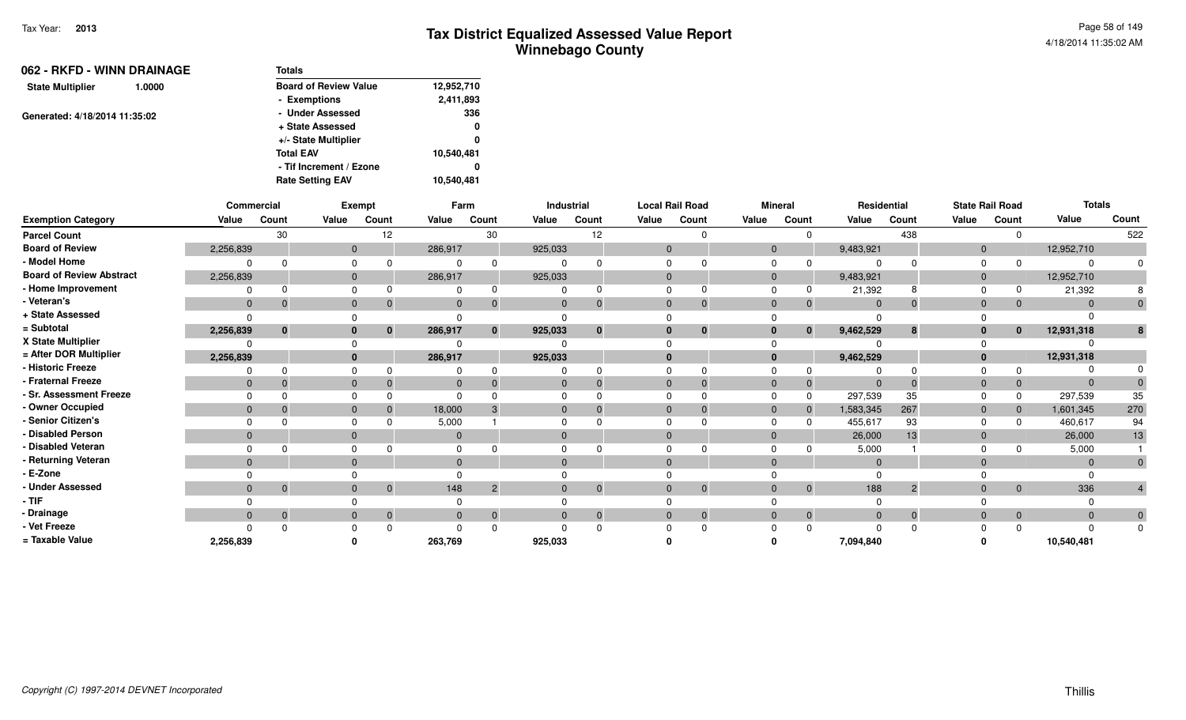| 062 - RKFD - WINN DRAINAGE        | <b>Totals</b>                |            |
|-----------------------------------|------------------------------|------------|
| <b>State Multiplier</b><br>1.0000 | <b>Board of Review Value</b> | 12,952,710 |
|                                   | - Exemptions                 | 2,411,893  |
| Generated: 4/18/2014 11:35:02     | - Under Assessed             | 336        |
|                                   | + State Assessed             | 0          |
|                                   | +/- State Multiplier         | 0          |
|                                   | <b>Total EAV</b>             | 10,540,481 |
|                                   | - Tif Increment / Ezone      | 0          |
|                                   | <b>Rate Setting EAV</b>      | 10,540,481 |

|                                 | Commercial   |              |              | Exempt       |              | Farm           |              | Industrial   |              | <b>Local Rail Road</b> |              | <b>Mineral</b> |                | Residential    |              | <b>State Rail Road</b> | <b>Totals</b> |          |
|---------------------------------|--------------|--------------|--------------|--------------|--------------|----------------|--------------|--------------|--------------|------------------------|--------------|----------------|----------------|----------------|--------------|------------------------|---------------|----------|
| <b>Exemption Category</b>       | Value        | Count        | Value        | Count        | Value        | Count          | Value        | Count        | Value        | Count                  | Value        | Count          | Value          | Count          | Value        | Count                  | Value         | Count    |
| <b>Parcel Count</b>             |              | 30           |              | 12           |              | 30             |              | 12           |              |                        |              | $\Omega$       |                | 438            |              | $\Omega$               |               | 522      |
| <b>Board of Review</b>          | 2,256,839    |              | $\mathbf{0}$ |              | 286,917      |                | 925,033      |              | $\mathbf{0}$ |                        | 0            |                | 9,483,921      |                | $\mathbf{0}$ |                        | 12,952,710    |          |
| - Model Home                    | 0            | $\Omega$     | $\Omega$     |              |              |                | $\Omega$     |              |              |                        |              |                |                |                |              |                        |               |          |
| <b>Board of Review Abstract</b> | 2,256,839    |              | $\mathbf{0}$ |              | 286,917      |                | 925,033      |              | $\mathbf{0}$ |                        | $\mathbf{0}$ |                | 9,483,921      |                | $\mathbf{0}$ |                        | 12,952,710    |          |
| - Home Improvement              |              | $\Omega$     | $\Omega$     |              |              |                |              |              |              |                        |              |                | 21,392         |                |              |                        | 21,392        |          |
| - Veteran's                     | $\mathbf{0}$ | $\Omega$     | $\mathbf 0$  | $\mathbf{0}$ | $\mathbf{0}$ | $\mathbf 0$    | $\mathbf{0}$ | $\mathbf{0}$ | $\Omega$     |                        | $\mathbf{0}$ | $\overline{0}$ | $\overline{0}$ |                | $\mathbf{0}$ | $\overline{0}$         |               |          |
| + State Assessed                | O            |              |              |              |              |                |              |              |              |                        |              |                |                |                |              |                        |               |          |
| = Subtotal                      | 2,256,839    | $\bf{0}$     | $\bf{0}$     | $\bf{0}$     | 286,917      | $\bf{0}$       | 925,033      | $\bf{0}$     | 0            | 0                      |              | $\bf{0}$       | 9,462,529      | 8              |              | $\mathbf{0}$           | 12,931,318    |          |
| X State Multiplier              |              |              | $\Omega$     |              |              |                |              |              |              |                        |              |                |                |                |              |                        |               |          |
| = After DOR Multiplier          | 2,256,839    |              |              |              | 286,917      |                | 925,033      |              | $\bf{0}$     |                        |              |                | 9,462,529      |                |              |                        | 12,931,318    |          |
| - Historic Freeze               |              | $\Omega$     | $\Omega$     |              |              |                |              |              |              |                        |              | 0              |                |                |              |                        |               |          |
| - Fraternal Freeze              | $\mathbf{0}$ |              | $\mathbf 0$  |              | $\mathbf 0$  |                | $\mathbf{0}$ |              | $\mathbf{0}$ |                        |              | $\overline{0}$ | $\mathbf{0}$   |                |              | $\mathbf{0}$           |               |          |
| - Sr. Assessment Freeze         |              |              | $\Omega$     |              |              |                |              |              |              |                        |              | $\Omega$       | 297,539        | 35             |              | $\Omega$               | 297,539       | 35       |
| - Owner Occupied                | $\mathbf{0}$ | $\Omega$     | $\mathbf{0}$ |              | 18,000       |                | $\Omega$     |              | $\Omega$     |                        |              | $\overline{0}$ | 1,583,345      | 267            |              | $\overline{0}$         | 1,601,345     | 270      |
| - Senior Citizen's              |              |              | $\Omega$     |              | 5,000        |                | $\Omega$     |              |              |                        |              | $\Omega$       | 455,617        | 93             |              | $\Omega$               | 460,617       | 94       |
| - Disabled Person               | $\mathbf{0}$ |              | $\mathbf{0}$ |              | $\Omega$     |                | $\Omega$     |              |              |                        | $\Omega$     |                | 26,000         | 13             | $\Omega$     |                        | 26,000        | 13       |
| - Disabled Veteran              |              |              | $\Omega$     |              |              |                |              |              |              |                        |              |                | 5,000          |                |              |                        | 5,000         |          |
| - Returning Veteran             | $\Omega$     |              | $\mathbf{0}$ |              | $\Omega$     |                | $\Omega$     |              | $\Omega$     |                        |              |                | $\Omega$       |                | $\Omega$     |                        |               |          |
| - E-Zone                        |              |              |              |              |              |                |              |              |              |                        |              |                |                |                |              |                        |               |          |
| - Under Assessed                | $\mathbf{0}$ | $\Omega$     | $\mathbf{0}$ | $\mathbf{0}$ | 148          | $\overline{2}$ | $\mathbf{0}$ | $\mathbf{0}$ | $\Omega$     |                        |              | $\overline{0}$ | 188            | $\overline{2}$ |              | $\overline{0}$         | 336           |          |
| - TIF                           |              |              |              |              |              |                |              |              |              |                        |              |                |                |                |              |                        |               |          |
| - Drainage                      | $\mathbf 0$  | $\mathbf{0}$ | $\mathbf{0}$ | $\mathbf{0}$ | $\mathbf{0}$ | $\mathbf{0}$   | $\mathbf{0}$ | $\mathbf{0}$ | $\Omega$     | $\Omega$               |              | $\overline{0}$ | $\Omega$       | $\overline{0}$ |              | $\overline{0}$         |               |          |
| - Vet Freeze                    |              | $\Omega$     |              |              |              |                |              |              |              |                        |              | $\Omega$       |                |                |              |                        |               | $\Omega$ |
| = Taxable Value                 | 2,256,839    |              |              |              | 263,769      |                | 925,033      |              |              |                        |              |                | 7,094,840      |                |              |                        | 10,540,481    |          |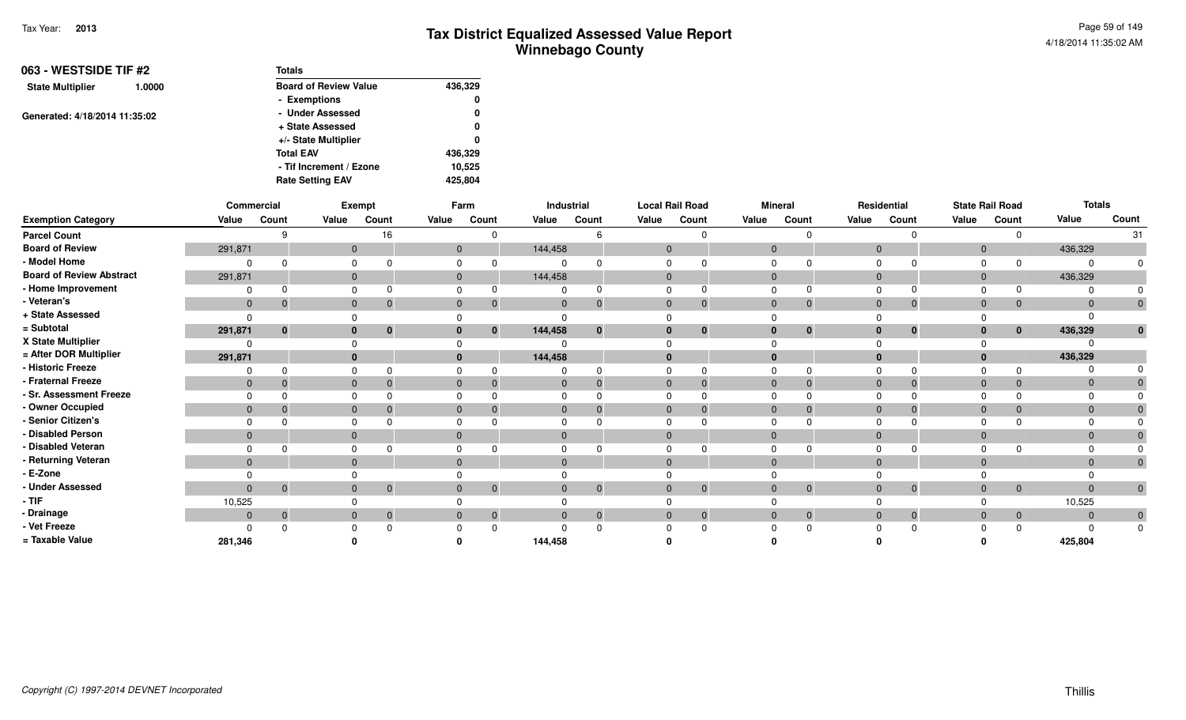|                         | 063 - WESTSIDE TIF #2<br>1.0000<br>Generated: 4/18/2014 11:35:02 | <b>Totals</b>                |         |
|-------------------------|------------------------------------------------------------------|------------------------------|---------|
| <b>State Multiplier</b> |                                                                  | <b>Board of Review Value</b> | 436,329 |
|                         |                                                                  | - Exemptions                 | 0       |
|                         |                                                                  | - Under Assessed             | 0       |
|                         |                                                                  | + State Assessed             | 0       |
|                         |                                                                  | +/- State Multiplier         | 0       |
|                         |                                                                  | <b>Total EAV</b>             | 436,329 |
|                         |                                                                  | - Tif Increment / Ezone      | 10.525  |
|                         |                                                                  | <b>Rate Setting EAV</b>      | 425.804 |

|                                 |                | Commercial  |              | Exempt       |                | Farm           |              | Industrial | <b>Local Rail Road</b> |                |                | <b>Mineral</b> |       | Residential                    |              | <b>State Rail Road</b> | <b>Totals</b> |                |
|---------------------------------|----------------|-------------|--------------|--------------|----------------|----------------|--------------|------------|------------------------|----------------|----------------|----------------|-------|--------------------------------|--------------|------------------------|---------------|----------------|
| <b>Exemption Category</b>       | Value          | Count       | Value        | Count        | Value          | Count          | Value        | Count      | Value                  | Count          | Value          | Count          | Value | Count                          | Value        | Count                  | Value         | Count          |
| <b>Parcel Count</b>             |                | C           |              | 16           |                |                |              |            |                        | $\Omega$       |                |                |       |                                |              |                        |               | 31             |
| <b>Board of Review</b>          | 291,871        |             | $\mathbf{0}$ |              | $\mathbf{0}$   |                | 144,458      |            |                        |                | $\mathbf{0}$   |                |       |                                | $\mathbf{0}$ |                        | 436,329       |                |
| - Model Home                    |                |             |              |              |                |                |              |            |                        |                |                |                |       |                                |              |                        |               |                |
| <b>Board of Review Abstract</b> | 291,871        |             | $\mathbf{0}$ |              | $\mathbf{0}$   |                | 144,458      |            |                        |                | $\mathbf{0}$   |                |       |                                |              |                        | 436,329       |                |
| - Home Improvement              |                |             |              |              | $\Omega$       |                |              |            |                        | $\Omega$       |                |                |       |                                |              |                        |               |                |
| - Veteran's                     | $\mathbf{0}$   | 0           | $\mathbf{0}$ |              | $\mathbf 0$    | $\mathbf{0}$   | $\mathbf{0}$ |            | 0                      | $\overline{0}$ | $\overline{0}$ | $\mathbf 0$    |       | $\mathbf 0$<br>$\mathbf{0}$    | $\mathbf{0}$ | $\mathbf{0}$           |               |                |
| + State Assessed                |                |             |              |              |                |                |              |            |                        |                |                |                |       |                                |              |                        |               |                |
| = Subtotal                      | 291,871        | $\bf{0}$    | $\mathbf{0}$ | $\mathbf{0}$ | $\mathbf{0}$   | $\mathbf{0}$   | 144,458      | $\bf{0}$   |                        | $\mathbf{0}$   | 0              | $\mathbf{0}$   |       | $\mathbf{0}$                   | $\Omega$     | $\bf{0}$               | 436,329       |                |
| X State Multiplier              |                |             |              |              |                |                |              |            |                        |                |                |                |       |                                |              |                        |               |                |
| = After DOR Multiplier          | 291,871        |             |              |              | $\mathbf{0}$   |                | 144,458      |            |                        |                |                |                |       |                                |              |                        | 436,329       |                |
| - Historic Freeze               |                |             |              |              |                |                |              |            |                        | $\Omega$       |                |                |       |                                |              | $\Omega$               |               |                |
| - Fraternal Freeze              | $\mathbf{0}$   |             | $\Omega$     |              | $\mathbf{0}$   |                | $\Omega$     |            |                        | $\Omega$       | $\Omega$       |                |       |                                |              | $\mathbf{0}$           |               |                |
| - Sr. Assessment Freeze         |                |             |              |              | $\Omega$       |                |              |            |                        |                |                |                |       |                                |              |                        |               |                |
| - Owner Occupied                | $\mathbf{0}$   |             | $\Omega$     |              | $\Omega$       |                | $\Omega$     |            |                        | 0              | 0              |                |       | 0                              |              | $\mathbf{0}$           |               |                |
| - Senior Citizen's              |                |             |              |              |                |                |              |            |                        |                |                |                |       |                                |              |                        |               |                |
| - Disabled Person               | $\overline{0}$ |             | $\mathbf{0}$ |              | $\Omega$       |                | $\Omega$     |            |                        |                | $\Omega$       |                |       |                                | $\Omega$     |                        |               |                |
| - Disabled Veteran              |                |             |              |              | $\Omega$       |                |              |            |                        |                |                |                |       |                                |              |                        |               |                |
| - Returning Veteran             | $\Omega$       |             | $\Omega$     |              | $\Omega$       |                | $\Omega$     |            |                        |                | $\Omega$       |                |       |                                | $\Omega$     |                        |               |                |
| - E-Zone                        |                |             |              |              |                |                |              |            |                        |                |                |                |       |                                |              |                        |               |                |
| - Under Assessed                | $\mathbf{0}$   | $\mathbf 0$ | $\mathbf{0}$ | $\mathbf{0}$ | $\overline{0}$ | $\mathbf{0}$   | $\Omega$     | $\Omega$   |                        | $\overline{0}$ | $\overline{0}$ | $\overline{0}$ |       | $\overline{0}$<br>$\mathbf{0}$ | $\Omega$     | $\overline{0}$         |               | $\overline{0}$ |
| - TIF                           | 10,525         |             |              |              |                |                |              |            |                        |                |                |                |       |                                |              |                        | 10,525        |                |
| - Drainage                      | $\mathbf 0$    | $\mathbf 0$ | $\mathbf{0}$ | $\mathbf 0$  | $\mathbf{0}$   | $\overline{0}$ | $\Omega$     | $\Omega$   |                        | $\overline{0}$ | $\Omega$       | $\overline{0}$ |       | $\overline{0}$                 | $\Omega$     | $\overline{0}$         |               | $\overline{0}$ |
| - Vet Freeze                    |                |             |              |              |                |                |              |            |                        | $\Omega$       |                |                |       |                                |              |                        |               | $\Omega$       |
| = Taxable Value                 | 281,346        |             |              |              |                |                | 144,458      |            |                        |                |                |                |       |                                |              |                        | 425,804       |                |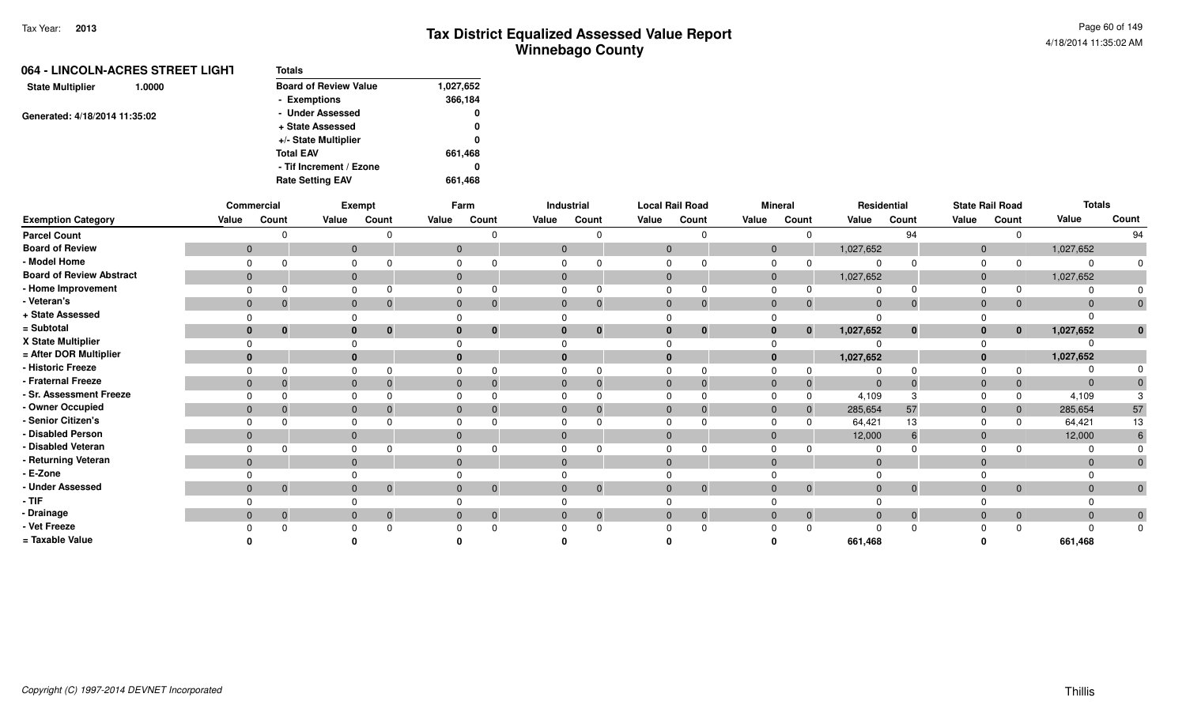| 064 - LINCOLN-ACRES STREET LIGHT  | <b>Totals</b>                |           |
|-----------------------------------|------------------------------|-----------|
| <b>State Multiplier</b><br>1.0000 | <b>Board of Review Value</b> | 1,027,652 |
|                                   | - Exemptions                 | 366,184   |
| Generated: 4/18/2014 11:35:02     | - Under Assessed             | 0         |
|                                   | + State Assessed             | 0         |
|                                   | +/- State Multiplier         | 0         |
|                                   | <b>Total EAV</b>             | 661,468   |
|                                   | - Tif Increment / Ezone      | 0         |
|                                   | <b>Rate Setting EAV</b>      | 661,468   |

|                                 |                | Commercial     |       | Exempt                       |          | Farm                           |              | Industrial     | <b>Local Rail Road</b> |              |                | <b>Mineral</b> |                | Residential    |              | <b>State Rail Road</b> | <b>Totals</b> |              |
|---------------------------------|----------------|----------------|-------|------------------------------|----------|--------------------------------|--------------|----------------|------------------------|--------------|----------------|----------------|----------------|----------------|--------------|------------------------|---------------|--------------|
| <b>Exemption Category</b>       | Value          | Count          | Value | Count                        | Value    | Count                          | Value        | Count          | Value                  | Count        | Value          | Count          | Value          | Count          | Value        | Count                  | Value         | Count        |
| <b>Parcel Count</b>             |                |                |       |                              |          | $\Omega$                       |              |                |                        | U            |                |                |                | 94             |              |                        |               | 94           |
| <b>Board of Review</b>          | $\mathbf{0}$   |                |       | $\mathbf{0}$                 |          | $\mathbf{0}$                   | $\mathbf{0}$ |                | $\mathbf{0}$           |              | $\mathbf{0}$   |                | 1,027,652      |                | $\mathbf{0}$ |                        | 1,027,652     |              |
| - Model Home                    |                |                |       |                              |          |                                |              |                |                        |              |                |                |                |                | $\Omega$     |                        |               |              |
| <b>Board of Review Abstract</b> | $\overline{0}$ |                |       | $\mathbf{0}$                 |          | $\mathbf{0}$                   | $\mathbf{0}$ |                | $\mathbf{0}$           |              | $\mathbf{0}$   |                | 1,027,652      |                | $\mathbf{0}$ |                        | 1,027,652     |              |
| - Home Improvement              |                |                |       |                              | $\Omega$ |                                | $\Omega$     |                | $\Omega$               |              | $\Omega$       |                |                |                | $\Omega$     |                        |               |              |
| · Veteran's                     | $\mathbf 0$    | $\Omega$       |       | $\mathbf 0$                  |          | $\mathbf{0}$<br>$\Omega$       | $\mathbf 0$  | 0              | $\mathbf{0}$           | $\mathbf 0$  | $\mathbf{0}$   | 0              | $\mathbf{0}$   | $\mathbf 0$    | $\mathbf{0}$ | $\Omega$               |               | $\mathbf 0$  |
| + State Assessed                |                |                |       |                              |          |                                |              |                |                        |              |                |                | $\Omega$       |                |              |                        |               |              |
| = Subtotal                      | $\mathbf{0}$   | $\mathbf{0}$   |       | $\mathbf{0}$<br>$\mathbf{0}$ |          | $\mathbf{0}$<br>$\mathbf{0}$   | $\mathbf{0}$ | $\mathbf{0}$   | $\mathbf{0}$           | $\mathbf{0}$ | $\mathbf{0}$   | $\mathbf{0}$   | 1,027,652      | $\mathbf 0$    | $\mathbf{0}$ | $\mathbf{0}$           | 1,027,652     | $\bf{0}$     |
| X State Multiplier              |                |                |       |                              |          |                                |              |                |                        |              |                |                | $\Omega$       |                | $\Omega$     |                        |               |              |
| = After DOR Multiplier          | $\bf{0}$       |                |       | $\bf{0}$                     | $\bf{0}$ |                                | $\mathbf{0}$ |                | $\bf{0}$               |              | $\mathbf{0}$   |                | 1,027,652      |                | $\mathbf{0}$ |                        | 1,027,652     |              |
| <b>Historic Freeze</b>          |                |                |       |                              |          |                                |              |                |                        |              |                |                |                |                |              |                        |               |              |
| <b>Fraternal Freeze</b>         | $\mathbf 0$    |                |       | $\Omega$                     |          | $\mathbf{0}$                   | $\Omega$     |                | $\mathbf{0}$           |              | $\mathbf{0}$   |                | $\Omega$       |                | $\mathbf{0}$ |                        |               |              |
| <b>Sr. Assessment Freeze</b>    |                |                |       |                              |          |                                |              |                |                        |              |                |                | 4,109          |                | $\Omega$     |                        | 4,109         |              |
| - Owner Occupied                | $\Omega$       |                |       | $\Omega$                     | $\Omega$ |                                | $\Omega$     |                | $\mathbf{0}$           |              | $\mathbf{0}$   |                | 285,654        | 57             | $\Omega$     | $\mathbf{0}$           | 285,654       | 57           |
| - Senior Citizen's              |                |                |       |                              |          |                                |              |                |                        |              |                |                | 64,421         | 13             |              |                        | 64,421        | 13           |
| Disabled Person                 | $\mathbf{0}$   |                |       | $\mathbf{0}$                 |          | $\mathbf{0}$                   | $\mathbf{0}$ |                | $\Omega$               |              | $\overline{0}$ |                | 12,000         |                | $\mathbf{0}$ |                        | 12,000        |              |
| Disabled Veteran                |                |                |       | $\Omega$                     | $\Omega$ |                                |              |                | $\Omega$               |              | $\Omega$       |                | $\Omega$       |                | 0            |                        |               |              |
| Returning Veteran               | $\mathbf{0}$   |                |       | $\mathbf{0}$                 |          | $\Omega$                       | $\mathbf{0}$ |                | $\Omega$               |              | $\mathbf{0}$   |                | $\Omega$       |                | $\Omega$     |                        |               | $\Omega$     |
| E-Zone                          |                |                |       |                              |          |                                |              |                |                        |              |                |                |                |                |              |                        |               |              |
| <b>Under Assessed</b>           | $\mathbf{0}$   | $\overline{0}$ |       | $\mathbf{0}$<br>$\mathbf 0$  |          | $\mathbf{0}$<br>$\overline{0}$ | $\mathbf{0}$ | $\mathbf 0$    | $\mathbf{0}$           | $\mathbf 0$  | $\mathbf{0}$   | $\overline{0}$ | $\overline{0}$ | $\overline{0}$ | $\mathbf{0}$ | $\overline{0}$         |               | $\mathbf 0$  |
| - TIF                           |                |                |       |                              |          |                                |              |                |                        |              |                |                |                |                |              |                        |               |              |
| · Drainage                      | $\mathbf{0}$   | $\mathbf{0}$   |       | $\mathbf{0}$<br>$\mathbf 0$  |          | $\mathbf{0}$<br>$\mathbf{0}$   | $\mathbf{0}$ | $\overline{0}$ | $\mathbf{0}$           | $\mathbf{0}$ | $\Omega$       | $\overline{0}$ | $\mathbf{0}$   | $\overline{0}$ | $\mathbf{0}$ | $\mathbf{0}$           |               | $\mathbf{0}$ |
| Vet Freeze                      |                |                |       |                              |          |                                |              |                |                        |              |                |                |                | ∩              |              |                        |               | 0            |
| = Taxable Value                 |                |                |       |                              |          |                                |              |                |                        |              |                |                | 661,468        |                |              |                        | 661,468       |              |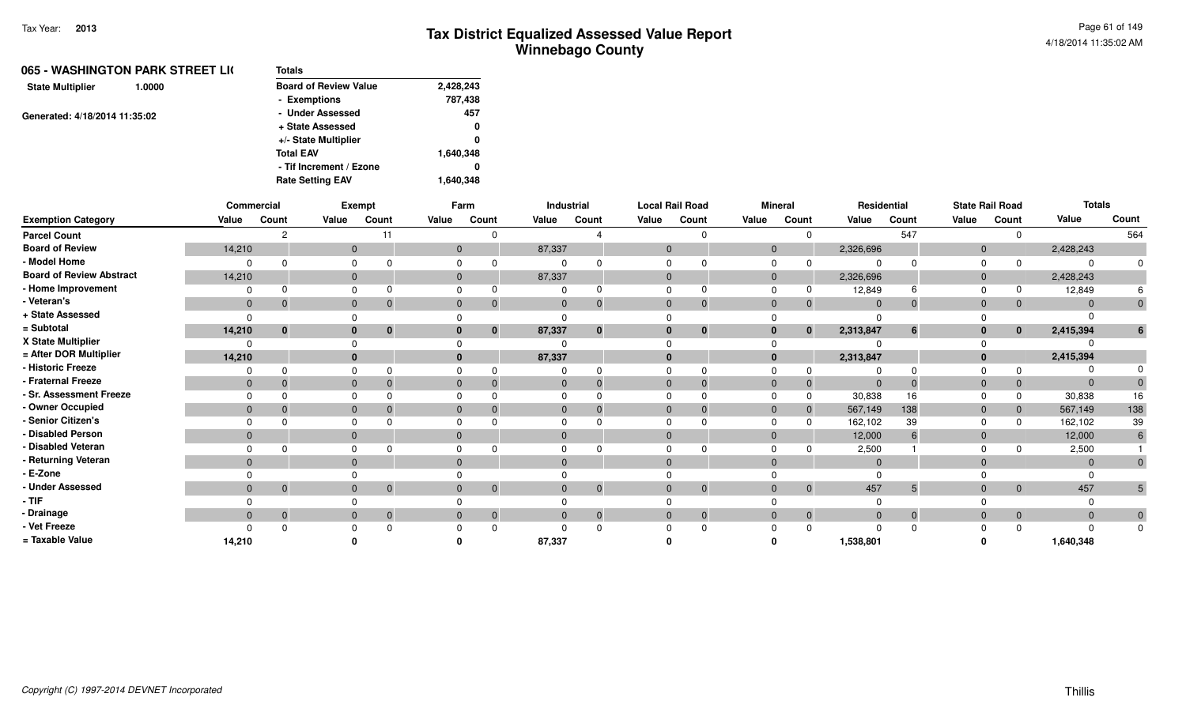|                               | 065 - WASHINGTON PARK STREET LI( | <b>Totals</b>                |           |
|-------------------------------|----------------------------------|------------------------------|-----------|
| <b>State Multiplier</b>       | 1.0000                           | <b>Board of Review Value</b> | 2,428,243 |
|                               |                                  | - Exemptions                 | 787,438   |
| Generated: 4/18/2014 11:35:02 |                                  | - Under Assessed             | 457       |
|                               |                                  | + State Assessed             | 0         |
|                               |                                  | +/- State Multiplier         | 0         |
|                               |                                  | <b>Total EAV</b>             | 1,640,348 |
|                               |                                  | - Tif Increment / Ezone      | 0         |
|                               |                                  | <b>Rate Setting EAV</b>      | 1,640,348 |
|                               |                                  |                              |           |

|                                 |                | Commercial     |              | Exempt   |          | Farm                 |              | Industrial     |              | <b>Local Rail Road</b> |       | <b>Mineral</b> |              | Residential  |              | <b>State Rail Road</b> | <b>Totals</b> |              |
|---------------------------------|----------------|----------------|--------------|----------|----------|----------------------|--------------|----------------|--------------|------------------------|-------|----------------|--------------|--------------|--------------|------------------------|---------------|--------------|
| <b>Exemption Category</b>       | Value          | Count          | Value        | Count    | Value    | Count                | Value        | Count          | Value        | Count                  | Value | Count          | Value        | Count        | Value        | Count                  | Value         | Count        |
| <b>Parcel Count</b>             |                | C              |              | 11       |          |                      |              |                |              |                        |       | $\Omega$       |              | 547          |              |                        |               | 564          |
| <b>Board of Review</b>          | 14,210         |                | $\mathbf 0$  |          |          | $\mathbf 0$          | 87,337       |                | $\mathbf{0}$ |                        |       | 0              | 2,326,696    |              | $\mathbf{0}$ |                        | 2,428,243     |              |
| - Model Home                    |                | n              | $\Omega$     |          |          |                      |              |                |              |                        |       |                |              |              |              |                        |               |              |
| <b>Board of Review Abstract</b> | 14,210         |                | $\mathbf 0$  |          |          | $\mathbf{0}$         | 87,337       |                | $\Omega$     |                        |       |                | 2,326,696    |              | $\mathbf{0}$ |                        | 2,428,243     |              |
| - Home Improvement              |                | <sup>0</sup>   | $\Omega$     |          |          |                      |              |                |              |                        |       |                | 12,849       |              |              |                        | 12,849        |              |
| - Veteran's                     | $\mathbf{0}$   | $\overline{0}$ | $\mathbf 0$  |          |          | $\Omega$             | $\mathbf{0}$ | $\mathbf{0}$   | $\mathbf{0}$ |                        |       | $\mathbf{0}$   | $\mathbf{0}$ | $\mathbf{0}$ | $\mathbf{0}$ | $\overline{0}$         | $\Omega$      | $\Omega$     |
| + State Assessed                |                |                | $\Omega$     |          |          |                      |              |                |              |                        |       |                |              |              |              |                        |               |              |
| = Subtotal                      | 14,210         | $\mathbf{0}$   | $\mathbf{0}$ | 0        |          | $\mathbf{0}$         | 87,337       | $\bf{0}$       | $\bf{0}$     | $\bf{0}$               |       | $\mathbf 0$    | 2,313,847    | 6            |              | $\mathbf{0}$           | 2,415,394     |              |
| X State Multiplier              |                |                |              |          |          |                      |              |                |              |                        |       |                |              |              |              |                        |               |              |
| = After DOR Multiplier          | 14,210         |                | $\bf{0}$     |          |          |                      | 87,337       |                | $\bf{0}$     |                        |       |                | 2,313,847    |              |              |                        | 2,415,394     |              |
| - Historic Freeze               |                | $\Omega$       | $\Omega$     |          |          |                      |              |                |              |                        |       |                |              |              |              |                        |               |              |
| - Fraternal Freeze              | $\overline{0}$ | $\Omega$       | $\mathbf 0$  |          |          |                      | $\Omega$     |                | $\Omega$     |                        |       |                | $\Omega$     |              |              | $\mathbf 0$            |               |              |
| - Sr. Assessment Freeze         |                |                | $\Omega$     |          |          |                      |              |                |              |                        |       |                | 30,838       | 16           |              | $\Omega$               | 30,838        | 16           |
| - Owner Occupied                | $\Omega$       | $\Omega$       | $\mathbf{0}$ |          |          |                      | $\Omega$     |                | $\Omega$     |                        |       | $\Omega$       | 567,149      | 138          | 0            | $\overline{0}$         | 567,149       | 138          |
| - Senior Citizen's              |                |                |              |          |          |                      |              |                |              |                        |       |                | 162,102      | 39           |              |                        | 162,102       | 39           |
| - Disabled Person               | $\mathbf{0}$   |                | $\mathbf{0}$ |          | $\Omega$ |                      | $\mathbf{0}$ |                | $\Omega$     |                        |       |                | 12,000       | 6            | $\mathbf{0}$ |                        | 12,000        |              |
| - Disabled Veteran              |                |                | $\Omega$     |          |          |                      | $\Omega$     |                |              |                        |       |                | 2,500        |              |              |                        | 2,500         |              |
| - Returning Veteran             | $\Omega$       |                | $\mathbf{0}$ |          | $\Omega$ |                      | $\mathbf{0}$ |                | $\Omega$     |                        |       |                | $\Omega$     |              |              |                        | $\Omega$      | $\Omega$     |
| - E-Zone                        |                |                | $\Omega$     |          |          |                      |              |                |              |                        |       |                |              |              |              |                        |               |              |
| <b>Under Assessed</b>           | $\overline{0}$ | $\overline{0}$ | $\mathbf{0}$ | $\Omega$ |          | $\Omega$<br>$\Omega$ | $\mathbf{0}$ | $\overline{0}$ | $\Omega$     | $\Omega$               |       | $\overline{0}$ | 457          | 5            | $\Omega$     | $\overline{0}$         | 457           |              |
| $-$ TIF                         |                |                |              |          |          |                      |              |                |              |                        |       |                |              |              |              |                        |               |              |
| - Drainage                      | $\mathbf{0}$   | $\mathbf 0$    | $\mathbf{0}$ |          |          | $\mathbf{0}$         | $\Omega$     | $\mathbf 0$    | $\mathbf{0}$ |                        |       | $\mathbf 0$    | $\mathbf{0}$ | $\mathbf{0}$ |              | $\mathbf 0$            |               | $\mathbf{0}$ |
| - Vet Freeze                    |                | $\Omega$       |              |          |          |                      |              |                |              |                        |       | $\Omega$       |              | $\Omega$     |              |                        |               | $\Omega$     |
| = Taxable Value                 | 14,210         |                |              |          |          |                      | 87,337       |                |              |                        |       |                | 1,538,801    |              |              |                        | 1,640,348     |              |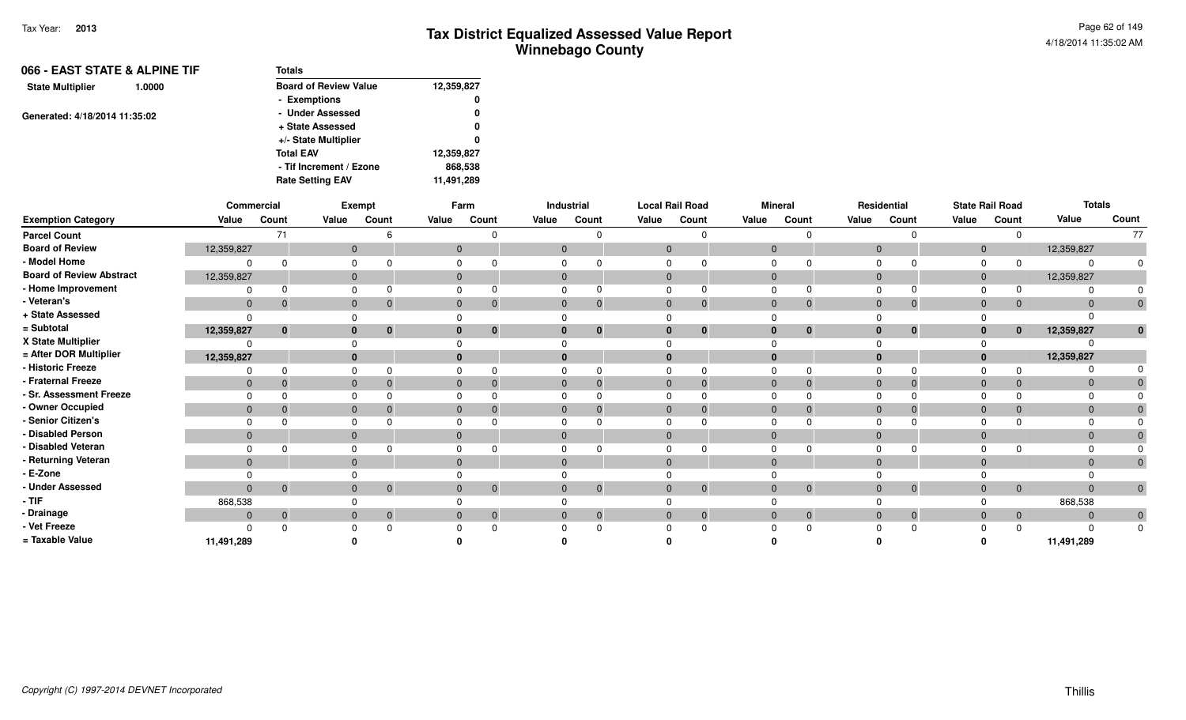| 066 - EAST STATE & ALPINE TIF     | <b>Totals</b>                |            |
|-----------------------------------|------------------------------|------------|
| <b>State Multiplier</b><br>1.0000 | <b>Board of Review Value</b> | 12,359,827 |
|                                   | - Exemptions                 | 0          |
| Generated: 4/18/2014 11:35:02     | - Under Assessed             | 0          |
|                                   | + State Assessed             | 0          |
|                                   | +/- State Multiplier         | 0          |
|                                   | <b>Total EAV</b>             | 12,359,827 |
|                                   | - Tif Increment / Ezone      | 868,538    |
|                                   | <b>Rate Setting EAV</b>      | 11,491,289 |

|                                 | Commercial   |              |              | Exempt                     |              | Farm                           |              | Industrial     | <b>Local Rail Road</b> |              |                | <b>Mineral</b> |              | Residential    |                | <b>State Rail Road</b> | <b>Totals</b>  |                |
|---------------------------------|--------------|--------------|--------------|----------------------------|--------------|--------------------------------|--------------|----------------|------------------------|--------------|----------------|----------------|--------------|----------------|----------------|------------------------|----------------|----------------|
| <b>Exemption Category</b>       | Value        | Count        | Value        | Count                      | Value        | Count                          | Value        | Count          | Value                  | Count        | Value          | Count          | Value        | Count          | Value          | Count                  | Value          | Count          |
| <b>Parcel Count</b>             |              | 71           |              |                            |              | n                              |              |                |                        |              |                |                |              |                |                |                        |                | 77             |
| <b>Board of Review</b>          | 12,359,827   |              | $\mathbf{0}$ |                            | $\mathbf{0}$ |                                | $\mathbf{0}$ |                | $\mathbf{0}$           |              | $\overline{0}$ |                | $\mathbf{0}$ |                | $\mathbf 0$    |                        | 12,359,827     |                |
| - Model Home                    |              |              | $\Omega$     |                            |              |                                |              |                | $\Omega$               |              | $\Omega$       |                | $\Omega$     |                | $\Omega$       |                        | $\Omega$       |                |
| <b>Board of Review Abstract</b> | 12,359,827   |              | $\mathbf{0}$ |                            | $\mathbf{0}$ |                                | $\mathbf{0}$ |                | $\mathbf{0}$           |              | $\overline{0}$ |                | $\mathbf 0$  |                | $\mathbf 0$    |                        | 12,359,827     |                |
| - Home Improvement              |              |              | $\Omega$     |                            | $\Omega$     |                                |              |                | $\Omega$               |              | $\Omega$       |                | $\Omega$     |                | $\Omega$       |                        |                |                |
| - Veteran's                     | $\mathbf 0$  | $\mathbf 0$  | $\mathbf{0}$ |                            | $\mathbf{0}$ | $\Omega$                       | $\Omega$     | $\overline{0}$ | $\mathbf{0}$           | $\Omega$     | $\overline{0}$ | $\Omega$       | $\mathbf{0}$ | 0              | $\mathbf 0$    | $\mathbf{0}$           | $\Omega$       |                |
| + State Assessed                |              |              | $\Omega$     |                            |              |                                |              |                |                        |              |                |                |              |                |                |                        |                |                |
| = Subtotal                      | 12,359,827   | $\bf{0}$     | $\bf{0}$     | 0                          | 0            | $\mathbf 0$                    |              | $\bf{0}$       | $\bf{0}$               | $\bf{0}$     | $\Omega$       | 0              | $\mathbf{0}$ | $\mathbf{0}$   | $\bf{0}$       | $\mathbf{0}$           | 12,359,827     | $\mathbf{0}$   |
| X State Multiplier              |              |              |              |                            |              |                                |              |                |                        |              |                |                |              |                |                |                        |                |                |
| = After DOR Multiplier          | 12,359,827   |              | $\mathbf{0}$ |                            |              |                                |              |                | $\bf{0}$               |              |                |                | $\bf{0}$     |                |                |                        | 12,359,827     |                |
| - Historic Freeze               |              |              |              |                            |              |                                |              |                |                        |              |                |                |              |                |                |                        | $\Omega$       |                |
| - Fraternal Freeze              | $\mathbf{0}$ |              | $\mathbf{0}$ |                            | $\mathbf{0}$ |                                |              | $\Omega$       | $\mathbf{0}$           |              | $\Omega$       |                | $\mathbf 0$  |                | $\overline{0}$ | $\overline{0}$         | $\mathbf{0}$   |                |
| - Sr. Assessment Freeze         |              |              |              |                            |              |                                |              |                |                        |              |                |                | $\Omega$     |                |                |                        | $\Omega$       |                |
| - Owner Occupied                | $\mathbf{0}$ |              | $\Omega$     |                            |              | 0<br>$\Omega$                  |              | 0              | $\Omega$               |              | $\Omega$       |                | $\mathbf 0$  |                | $\Omega$       | $\mathbf{0}$           | $\mathbf{0}$   |                |
| - Senior Citizen's              |              |              |              |                            |              |                                |              |                | $\Omega$               |              |                |                | $\Omega$     |                |                |                        | $\Omega$       |                |
| - Disabled Person               | $\mathbf{0}$ |              | $\mathbf{0}$ |                            | $\Omega$     |                                | $\Omega$     |                | $\Omega$               |              | $\Omega$       |                | $\Omega$     |                | $\Omega$       |                        | $\Omega$       |                |
| - Disabled Veteran              |              |              | $\Omega$     |                            |              |                                |              |                |                        |              | $\Omega$       |                | $\Omega$     |                |                |                        | $\Omega$       |                |
| - Returning Veteran             | $\Omega$     |              | $\Omega$     |                            |              |                                | $\Omega$     |                | $\Omega$               |              | $\Omega$       |                | $\Omega$     |                |                |                        | $\Omega$       |                |
| - E-Zone                        |              |              |              |                            |              |                                |              |                |                        |              |                |                |              |                |                |                        |                |                |
| - Under Assessed                | $\Omega$     | $\mathbf{0}$ |              | $\overline{0}$<br>$\Omega$ |              | $\overline{0}$<br>$\mathbf{0}$ |              | $\overline{0}$ | $\mathbf{0}$           | $\Omega$     | $\Omega$       | $\mathbf{0}$   | $\mathbf{0}$ | $\overline{0}$ | $\Omega$       | $\overline{0}$         | $\overline{0}$ | $\overline{0}$ |
| $-$ TIF                         | 868,538      |              |              |                            |              |                                |              |                |                        |              |                |                |              |                |                |                        | 868,538        |                |
| - Drainage                      | $\mathbf{0}$ | $\mathbf{0}$ | $\mathbf{0}$ | 0                          | $\mathbf{0}$ | $\mathbf 0$                    |              | $\overline{0}$ | $\mathbf{0}$           | $\mathbf{0}$ | $\overline{0}$ | $\mathbf{0}$   | $\mathbf{0}$ | $\mathbf{0}$   | $\mathbf 0$    | $\overline{0}$         | $\overline{0}$ | $\mathbf{0}$   |
| - Vet Freeze                    |              |              |              |                            |              |                                |              |                |                        |              |                |                |              |                |                |                        | $\Omega$       | $\mathbf{0}$   |
| = Taxable Value                 | 11,491,289   |              |              |                            |              |                                |              |                |                        |              |                |                |              |                |                |                        | 11,491,289     |                |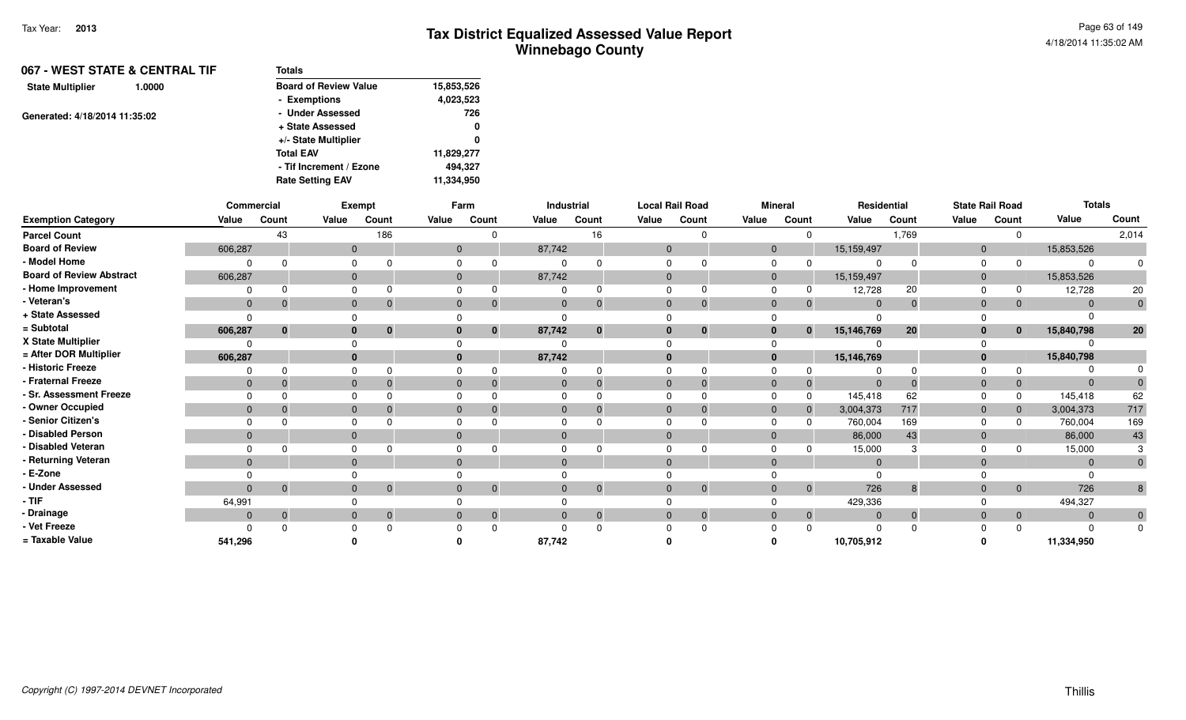| <b>067 - WEST STATE &amp; CENTRAL TIF</b> | <b>Totals</b>                |            |
|-------------------------------------------|------------------------------|------------|
| <b>State Multiplier</b><br>1.0000         | <b>Board of Review Value</b> | 15,853,526 |
|                                           | - Exemptions                 | 4,023,523  |
| Generated: 4/18/2014 11:35:02             | - Under Assessed             | 726        |
|                                           | + State Assessed             | 0          |
|                                           | +/- State Multiplier         | 0          |
|                                           | <b>Total EAV</b>             | 11,829,277 |
|                                           | - Tif Increment / Ezone      | 494.327    |
|                                           | <b>Rate Setting EAV</b>      | 11,334,950 |

|                                 | Commercial     |              |          | Exempt               |                | Farm                           |              | Industrial     |          | <b>Local Rail Road</b> |                | <b>Mineral</b> | Residential |          |                | <b>State Rail Road</b> | <b>Totals</b>  |                 |
|---------------------------------|----------------|--------------|----------|----------------------|----------------|--------------------------------|--------------|----------------|----------|------------------------|----------------|----------------|-------------|----------|----------------|------------------------|----------------|-----------------|
| <b>Exemption Category</b>       | Value          | Count        | Value    | Count                | Value          | Count                          | Value        | Count          | Value    | Count                  | Value          | Count          | Value       | Count    | Value          | Count                  | Value          | Count           |
| <b>Parcel Count</b>             |                | 43           |          | 186                  |                | 0                              |              | 16             |          |                        |                |                |             | 1,769    |                | $\Omega$               |                | 2,014           |
| <b>Board of Review</b>          | 606,287        |              |          | $\mathbf{0}$         |                | $\mathbf{0}$                   | 87,742       |                | $\Omega$ |                        | $\overline{0}$ |                | 15,159,497  |          | $\mathbf 0$    |                        | 15,853,526     |                 |
| - Model Home                    |                |              |          |                      | $\Omega$       |                                | $\Omega$     |                |          |                        | $\Omega$       |                | $\Omega$    |          | $\Omega$       |                        | $\Omega$       |                 |
| <b>Board of Review Abstract</b> | 606,287        |              |          |                      |                | $\mathbf{0}$                   | 87,742       |                | 0        |                        | $\overline{0}$ |                | 15,159,497  |          | $\mathbf 0$    |                        | 15,853,526     |                 |
| - Home Improvement              |                |              |          |                      |                |                                |              |                |          |                        | $\Omega$       |                | 12,728      | 20       |                |                        | 12,728         | 20              |
| - Veteran's                     | $\mathbf{0}$   | $\Omega$     | $\Omega$ | $\Omega$             | $\mathbf{0}$   |                                | $\mathbf{0}$ | $\mathbf{0}$   | $\Omega$ | $\Omega$               | $\overline{0}$ |                | $\Omega$    | $\Omega$ | $\mathbf{0}$   | $\mathbf{0}$           | $\Omega$       | $\overline{0}$  |
| + State Assessed                |                |              |          |                      |                |                                |              |                |          |                        |                |                | $\Omega$    |          |                |                        |                |                 |
| = Subtotal                      | 606,287        | $\mathbf{0}$ |          | $\bf{0}$             | 0              | $\bf{0}$                       | 87,742       | $\bf{0}$       | $\bf{0}$ | $\bf{0}$               | $\bf{0}$       | $\bf{0}$       | 15,146,769  | 20       | $\bf{0}$       | $\mathbf{0}$           | 15,840,798     | 20 <sub>2</sub> |
| X State Multiplier              |                |              |          |                      |                |                                |              |                |          |                        |                |                |             |          |                |                        |                |                 |
| = After DOR Multiplier          | 606,287        |              |          |                      |                |                                | 87,742       |                |          |                        | $\bf{0}$       |                | 15,146,769  |          |                |                        | 15,840,798     |                 |
| - Historic Freeze               |                | O            |          |                      |                |                                |              |                |          |                        |                |                | $\Omega$    |          |                |                        | $\Omega$       |                 |
| - Fraternal Freeze              | $\mathbf{0}$   |              |          |                      | $\mathbf{0}$   |                                | $\Omega$     | $\Omega$       | $\Omega$ | $\Omega$               | $\Omega$       |                | $\Omega$    |          |                | $\mathbf{0}$           | $\Omega$       |                 |
| - Sr. Assessment Freeze         |                |              |          |                      |                |                                |              |                |          |                        |                |                | 145,418     | 62       |                | $\Omega$               | 145,418        | 62              |
| - Owner Occupied                | $\Omega$       |              |          |                      | $\Omega$       |                                |              | 0              |          |                        | $\overline{0}$ |                | 3,004,373   | 717      | $\mathbf 0$    | $\overline{0}$         | 3,004,373      | 717             |
| - Senior Citizen's              |                |              |          |                      |                |                                |              |                |          |                        | $\Omega$       |                | 760,004     | 169      |                |                        | 760,004        | 169             |
| - Disabled Person               | $\overline{0}$ |              |          |                      | $\overline{0}$ |                                | $\Omega$     |                | $\Omega$ |                        | $\overline{0}$ |                | 86,000      | 43       | $\overline{0}$ |                        | 86,000         | 43              |
| - Disabled Veteran              |                |              |          |                      |                |                                |              |                |          |                        |                |                | 15,000      |          |                |                        | 15,000         |                 |
| - Returning Veteran             | $\Omega$       |              |          |                      | $\Omega$       |                                | $\Omega$     |                |          |                        | $\Omega$       |                | $\Omega$    |          |                |                        | $\Omega$       |                 |
| - E-Zone                        |                |              |          |                      |                |                                |              |                |          |                        |                |                | $\Omega$    |          |                |                        |                |                 |
| - Under Assessed                | $\overline{0}$ | $\Omega$     |          | $\Omega$<br>$\Omega$ |                | $\mathbf{0}$<br>$\overline{0}$ | $\Omega$     | $\mathbf 0$    | $\Omega$ | $\Omega$               | $\overline{0}$ | $\mathbf{0}$   | 726         | 8        | $\mathbf{0}$   | $\overline{0}$         | 726            | 8               |
| - TIF                           | 64,991         |              |          |                      |                |                                |              |                |          |                        |                |                | 429,336     |          |                |                        | 494,327        |                 |
| - Drainage                      | $\mathbf{0}$   | $\mathbf{0}$ |          | $\Omega$             | $\mathbf{0}$   |                                | $\Omega$     | $\overline{0}$ | $\Omega$ | $\Omega$               | $\overline{0}$ |                | $\Omega$    |          | $\overline{0}$ | $\overline{0}$         | $\overline{0}$ | $\overline{0}$  |
| - Vet Freeze                    |                |              |          |                      |                |                                |              |                |          |                        |                |                | $\Omega$    |          |                | $\Omega$               | $\Omega$       | $\mathbf{0}$    |
| = Taxable Value                 | 541,296        |              |          |                      |                |                                | 87,742       |                |          |                        |                |                | 10,705,912  |          |                |                        | 11,334,950     |                 |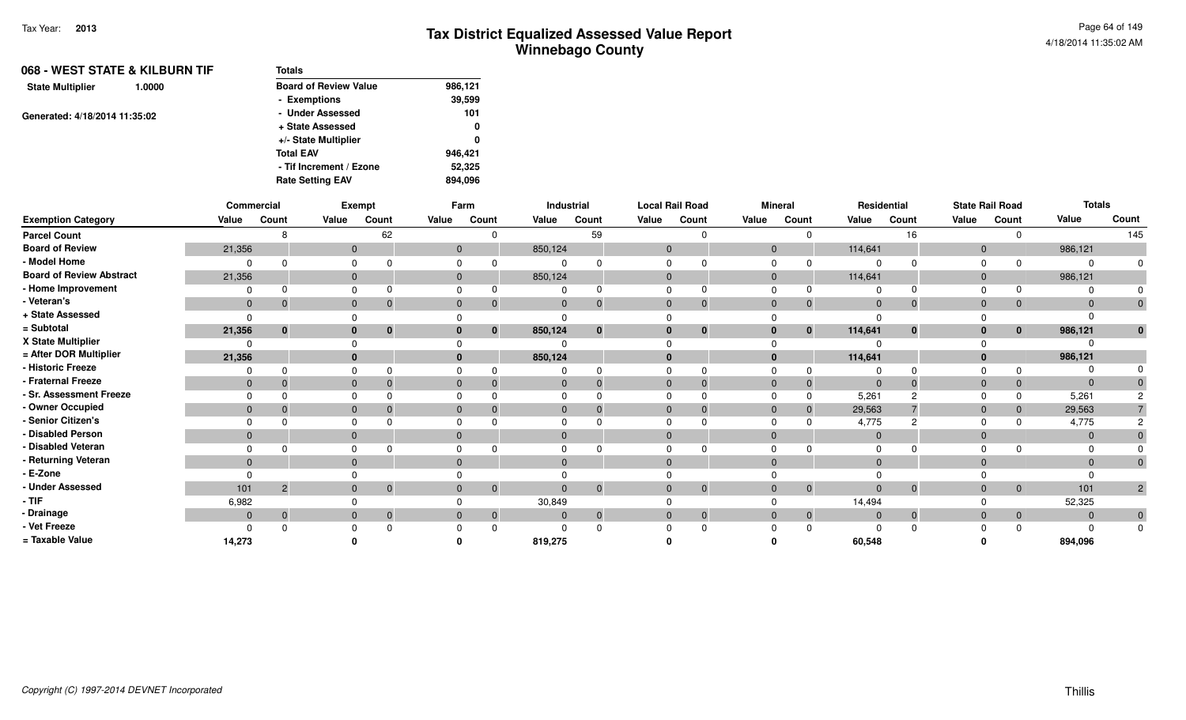| 068 - WEST STATE & KILBURN TIF    | <b>Totals</b>                |         |
|-----------------------------------|------------------------------|---------|
| <b>State Multiplier</b><br>1.0000 | <b>Board of Review Value</b> | 986,121 |
|                                   | - Exemptions                 | 39,599  |
| Generated: 4/18/2014 11:35:02     | - Under Assessed             | 101     |
|                                   | + State Assessed             | 0       |
|                                   | +/- State Multiplier         | 0       |
|                                   | <b>Total EAV</b>             | 946.421 |
|                                   | - Tif Increment / Ezone      | 52,325  |
|                                   | <b>Rate Setting EAV</b>      | 894,096 |

|                                 | Commercial   |                |                | Exempt         |                | Farm         |                | Industrial   |                | <b>Local Rail Road</b> |                | <b>Mineral</b> |                | Residential    |              | <b>State Rail Road</b> | <b>Totals</b> |                |
|---------------------------------|--------------|----------------|----------------|----------------|----------------|--------------|----------------|--------------|----------------|------------------------|----------------|----------------|----------------|----------------|--------------|------------------------|---------------|----------------|
| <b>Exemption Category</b>       | Value        | Count          | Value          | Count          | Value          | Count        | Value          | Count        | Value          | Count                  | Value          | Count          | Value          | Count          | Value        | Count                  | Value         | Count          |
| <b>Parcel Count</b>             |              |                |                | 62             |                |              |                | 59           |                |                        |                | $\Omega$       |                | 16             |              |                        |               | 145            |
| <b>Board of Review</b>          | 21,356       |                | $\mathbf 0$    |                | $\overline{0}$ |              | 850,124        |              | $\mathbf{0}$   |                        | $\overline{0}$ |                | 114,641        |                | $\Omega$     |                        | 986,121       |                |
| - Model Home                    | 0            |                |                |                |                |              |                |              | $\Omega$       |                        |                |                |                |                |              |                        |               |                |
| <b>Board of Review Abstract</b> | 21,356       |                | $\mathbf 0$    |                | $\mathbf{0}$   |              | 850,124        |              | $\mathbf{0}$   |                        | $\overline{0}$ |                | 114,641        |                | $\Omega$     |                        | 986,121       |                |
| - Home Improvement              | 0            |                | $\mathbf 0$    |                | $\Omega$       |              | 0              |              | $\Omega$       |                        |                | 0              |                |                |              | $\Omega$               |               |                |
| - Veteran's                     | $\mathbf{0}$ | $\Omega$       | $\mathbf{0}$   | $\overline{0}$ | $\mathbf{0}$   | 0            | $\mathbf{0}$   | $\Omega$     | $\mathbf{0}$   |                        |                | $\overline{0}$ | $\mathbf{0}$   | $\Omega$       | $\mathbf{0}$ | $\overline{0}$         |               |                |
| + State Assessed                | $\Omega$     |                |                |                |                |              |                |              | $\Omega$       |                        |                |                |                |                |              |                        |               |                |
| = Subtotal                      | 21,356       | $\Omega$       | $\mathbf{0}$   | $\bf{0}$       | $\bf{0}$       | $\bf{0}$     | 850,124        | $\bf{0}$     | $\bf{0}$       | $\bf{0}$               |                | $\mathbf{0}$   | 114,641        | $\bf{0}$       |              | $\bf{0}$               | 986,121       |                |
| X State Multiplier              | $\Omega$     |                | $\Omega$       |                |                |              |                |              | $\Omega$       |                        |                |                |                |                |              |                        |               |                |
| = After DOR Multiplier          | 21,356       |                | $\bf{0}$       |                | $\bf{0}$       |              | 850,124        |              | $\bf{0}$       |                        |                |                | 114,641        |                |              |                        | 986,121       |                |
| - Historic Freeze               | 0            |                |                |                |                |              |                | ŋ            | $\Omega$       |                        |                | 0              |                |                |              | $\Omega$               |               |                |
| - Fraternal Freeze              | $\mathbf{0}$ |                | $\mathbf{0}$   |                | $\mathbf{0}$   |              | $\mathbf{0}$   |              | $\Omega$       |                        |                | $\Omega$       | $\Omega$       |                |              | $\mathbf{0}$           |               |                |
| - Sr. Assessment Freeze         | $\Omega$     |                | $\Omega$       |                | $\Omega$       |              |                |              | $\Omega$       |                        |                | $\Omega$       | 5,261          |                |              | $\Omega$               | 5,261         |                |
| - Owner Occupied                | $\mathbf{0}$ |                | $\mathbf{0}$   | $\Omega$       | $\mathbf{0}$   |              | $\mathbf{0}$   |              | $\mathbf{0}$   |                        |                | $\Omega$       | 29,563         |                |              | $\mathbf{0}$           | 29,563        |                |
| - Senior Citizen's              |              |                |                |                |                |              |                |              |                |                        |                |                | 4,775          |                |              |                        | 4,775         |                |
| - Disabled Person               | $\mathbf{0}$ |                | $\overline{0}$ |                | $\Omega$       |              | $\mathbf{0}$   |              | $\Omega$       |                        |                |                | $\Omega$       |                | $\Omega$     |                        |               |                |
| - Disabled Veteran              | 0            |                | $\Omega$       |                |                |              | $\Omega$       |              |                |                        |                |                |                |                |              |                        |               |                |
| - Returning Veteran             | $\mathbf{0}$ |                | $\mathbf{0}$   |                | $\Omega$       |              | $\mathbf{0}$   |              | $\Omega$       |                        |                |                | $\overline{0}$ |                | $\Omega$     |                        |               |                |
| - E-Zone                        | $\Omega$     |                |                |                |                |              |                |              |                |                        |                |                |                |                |              |                        |               |                |
| - Under Assessed                | 101          | $\overline{2}$ | $\mathbf{0}$   | $\overline{0}$ | $\mathbf{0}$   | $\mathbf{0}$ | $\Omega$       | $\mathbf{0}$ | $\overline{0}$ | $\Omega$               |                | $\overline{0}$ | $\overline{0}$ | $\overline{0}$ |              | $\overline{0}$         | 101           | $\overline{2}$ |
| $-$ TIF                         | 6,982        |                |                |                |                |              | 30,849         |              | $\Omega$       |                        |                |                | 14,494         |                |              |                        | 52,325        |                |
| - Drainage                      | $\mathbf{0}$ | $\Omega$       | $\overline{0}$ | $\overline{0}$ | $\mathbf{0}$   | $\Omega$     | $\overline{0}$ | $\mathbf{0}$ | $\mathbf{0}$   | $\Omega$               |                | $\overline{0}$ | $\mathbf{0}$   | $\overline{0}$ | $\Omega$     | $\overline{0}$         | $\Omega$      | $\overline{0}$ |
| - Vet Freeze                    |              |                |                | $\Omega$       |                |              |                |              |                |                        |                |                |                |                |              |                        |               | $\Omega$       |
| = Taxable Value                 | 14,273       |                |                |                |                |              | 819,275        |              |                |                        |                |                | 60,548         |                |              |                        | 894,096       |                |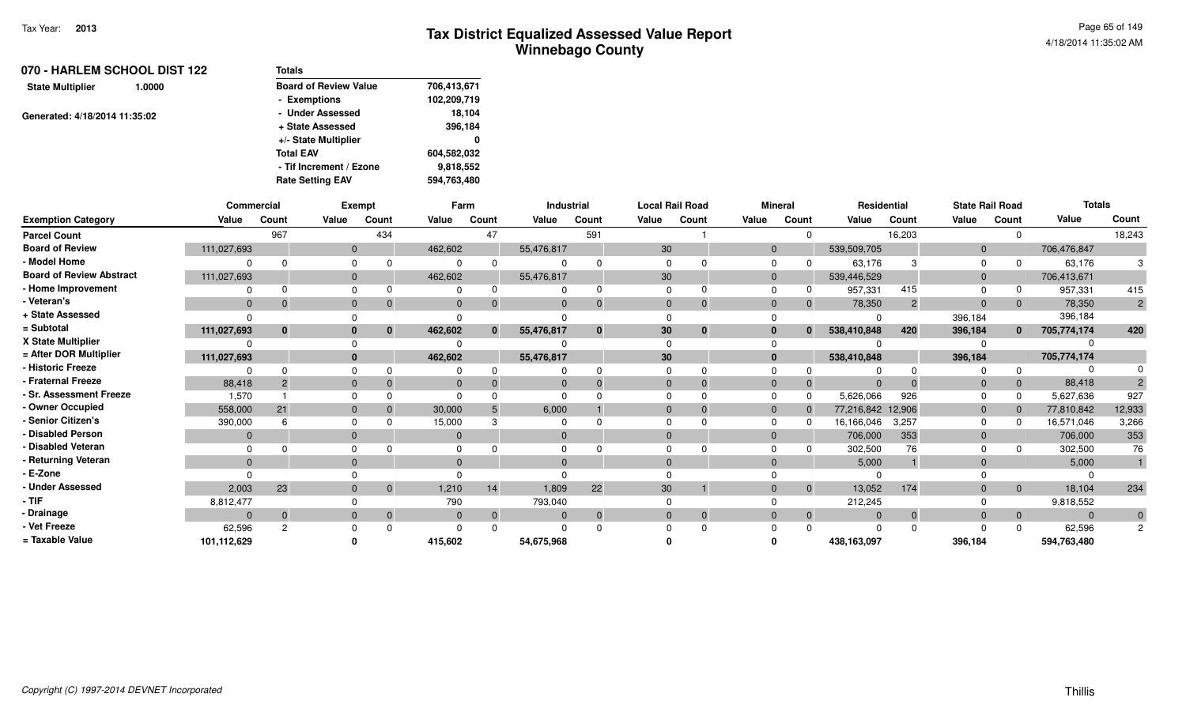| 070 - HARLEM SCHOOL DIST 122<br>1.0000 | <b>Totals</b>                |             |  |  |  |  |  |  |
|----------------------------------------|------------------------------|-------------|--|--|--|--|--|--|
| <b>State Multiplier</b>                | <b>Board of Review Value</b> | 706,413,671 |  |  |  |  |  |  |
|                                        | - Exemptions                 | 102,209,719 |  |  |  |  |  |  |
| Generated: 4/18/2014 11:35:02          | - Under Assessed             | 18,104      |  |  |  |  |  |  |
|                                        | + State Assessed             | 396,184     |  |  |  |  |  |  |
|                                        | +/- State Multiplier         | 0           |  |  |  |  |  |  |
|                                        | <b>Total EAV</b>             | 604,582,032 |  |  |  |  |  |  |
|                                        | - Tif Increment / Ezone      | 9,818,552   |  |  |  |  |  |  |
|                                        | <b>Rate Setting EAV</b>      | 594,763,480 |  |  |  |  |  |  |
|                                        |                              |             |  |  |  |  |  |  |

|                                 | Commercial   |          |              | <b>Exempt</b> |              | Farm           |            | Industrial     |                | <b>Local Rail Road</b> |                | <b>Mineral</b> | Residential       |          | <b>State Rail Road</b> |                | <b>Totals</b> |                |
|---------------------------------|--------------|----------|--------------|---------------|--------------|----------------|------------|----------------|----------------|------------------------|----------------|----------------|-------------------|----------|------------------------|----------------|---------------|----------------|
| <b>Exemption Category</b>       | Value        | Count    | Value        | Count         | Value        | Count          | Value      | Count          | Value          | Count                  | Value          | Count          | Value             | Count    | Value                  | Count          | Value         | Count          |
| <b>Parcel Count</b>             |              | 967      |              | 434           |              | 47             |            | 591            |                |                        |                |                |                   | 16,203   |                        | $\Omega$       |               | 18,243         |
| <b>Board of Review</b>          | 111,027,693  |          | $\mathbf{0}$ |               | 462,602      |                | 55,476,817 |                | 30             |                        | $\overline{0}$ |                | 539,509,705       |          | $\mathbf 0$            |                | 706,476,847   |                |
| - Model Home                    |              |          | $\Omega$     |               |              |                |            |                | $\Omega$       |                        | $\Omega$       |                | 63,176            |          | $\Omega$               |                | 63,176        |                |
| <b>Board of Review Abstract</b> | 111,027,693  |          | $\Omega$     |               | 462,602      |                | 55,476,817 |                | 30             |                        | $\Omega$       |                | 539,446,529       |          | $\Omega$               |                | 706,413,671   |                |
| - Home Improvement              |              |          | $\Omega$     |               |              |                |            |                | 0              |                        | $\Omega$       |                | 957,331           | 415      |                        |                | 957,331       | 415            |
| - Veteran's                     | $\mathbf{0}$ |          | $\mathbf{0}$ |               | $\mathbf{0}$ | $\Omega$       |            | $\Omega$       | $\mathbf{0}$   | $\Omega$               | $\Omega$       |                | 78,350            | 2        | $\Omega$               | $\overline{0}$ | 78,350        | $2^{\circ}$    |
| + State Assessed                |              |          | $\Omega$     |               |              |                |            |                |                |                        |                |                |                   |          | 396,184                |                | 396,184       |                |
| = Subtotal                      | 111,027,693  | $\bf{0}$ | $\bf{0}$     | 0             | 462,602      | $\mathbf{0}$   | 55,476,817 | $\bf{0}$       | 30             | 0                      |                |                | 538,410,848       | 420      | 396,184                | $\mathbf{0}$   | 705,774,174   | 420            |
| X State Multiplier              |              |          |              |               |              |                |            |                |                |                        |                |                |                   |          |                        |                |               |                |
| = After DOR Multiplier          | 111,027,693  |          | $\bf{0}$     |               | 462,602      |                | 55,476,817 |                | 30             |                        |                |                | 538,410,848       |          | 396,184                |                | 705,774,174   |                |
| - Historic Freeze               |              |          |              |               |              |                |            | n              |                |                        |                |                |                   |          |                        |                |               |                |
| - Fraternal Freeze              | 88,418       |          | $\Omega$     |               |              |                |            |                | $\overline{0}$ |                        | $\Omega$       |                | $\Omega$          |          |                        | $\overline{0}$ | 88,418        |                |
| - Sr. Assessment Freeze         | 1,570        |          |              |               |              |                |            |                |                |                        | $\Omega$       |                | 5,626,066         | 926      |                        |                | 5,627,636     | 927            |
| - Owner Occupied                | 558,000      | 21       | $\mathbf{0}$ |               | 30,000       |                | 6,000      |                | $\mathbf 0$    |                        | $\overline{0}$ |                | 77,216,842 12,906 |          | $\overline{0}$         |                | 77,810,842    | 12,933         |
| - Senior Citizen's              | 390,000      |          |              |               | 15,000       | C              |            |                |                |                        | $\Omega$       |                | 16,166,046        | 3,257    | $\Omega$               |                | 16,571,046    | 3,266          |
| - Disabled Person               | $\Omega$     |          | $\Omega$     |               |              |                |            |                | $\Omega$       |                        | $\Omega$       |                | 706,000           | 353      | $\Omega$               |                | 706,000       | 353            |
| - Disabled Veteran              |              |          |              |               |              |                |            |                |                |                        |                |                | 302,500           | 76       |                        |                | 302,500       | 76             |
| - Returning Veteran             | $\Omega$     |          | $\Omega$     |               |              |                |            |                | $\Omega$       |                        | $\Omega$       |                | 5,000             |          |                        |                | 5,000         |                |
| - E-Zone                        |              |          |              |               |              |                |            |                |                |                        |                |                |                   |          |                        |                |               |                |
| - Under Assessed                | 2,003        | 23       | $\mathbf{0}$ |               | 1,210        | 14             | 1,809      | 22             | 30             |                        | $\Omega$       | $\Omega$       | 13,052            | 174      | $\Omega$               | $\overline{0}$ | 18,104        | 234            |
| $-$ TIF                         | 8,812,477    |          | $\Omega$     |               | 790          |                | 793,040    |                |                |                        |                |                | 212,245           |          |                        |                | 9,818,552     |                |
| - Drainage                      | $\Omega$     | $\Omega$ | $\mathbf{0}$ | $\Omega$      | $\mathbf{0}$ | $\overline{0}$ |            | $\overline{0}$ | $\mathbf{0}$   | $\Omega$               | $\Omega$       | $\mathbf{0}$   | $\Omega$          | $\Omega$ | $\Omega$               | $\overline{0}$ | $\Omega$      | $\overline{0}$ |
| - Vet Freeze                    | 62,596       | 2        |              |               |              |                |            |                |                |                        |                |                |                   |          |                        | $\Omega$       | 62,596        | $\overline{2}$ |
| = Taxable Value                 | 101,112,629  |          |              |               | 415,602      |                | 54,675,968 |                |                |                        |                |                | 438,163,097       |          | 396,184                |                | 594,763,480   |                |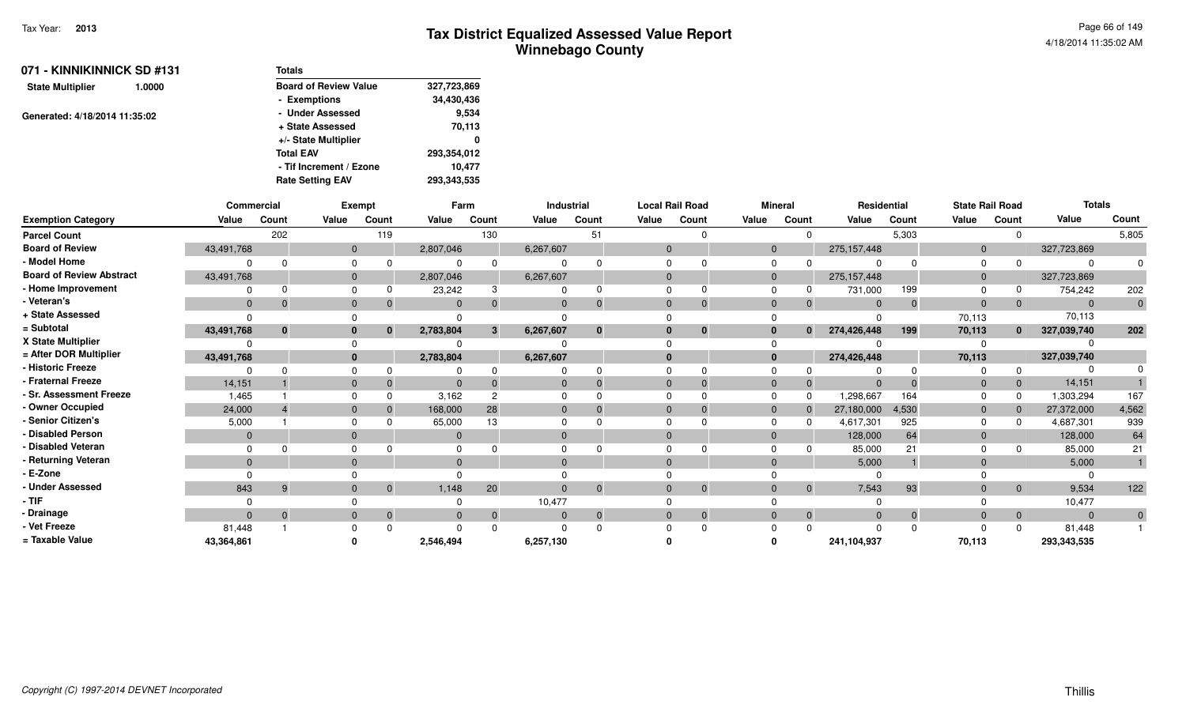| 071 - KINNIKINNICK SD #131        | <b>Totals</b>                |             |
|-----------------------------------|------------------------------|-------------|
| <b>State Multiplier</b><br>1.0000 | <b>Board of Review Value</b> | 327,723,869 |
|                                   | - Exemptions                 | 34,430,436  |
| Generated: 4/18/2014 11:35:02     | - Under Assessed             | 9.534       |
|                                   | + State Assessed             | 70,113      |
|                                   | +/- State Multiplier         | 0           |
|                                   | <b>Total EAV</b>             | 293,354,012 |
|                                   | - Tif Increment / Ezone      | 10.477      |
|                                   | <b>Rate Setting EAV</b>      | 293,343,535 |

|                                 |              | <b>Commercial</b> |              | <b>Exempt</b>              |              | Farm         |                | <b>Industrial</b> |                | <b>Local Rail Road</b> |          | <b>Mineral</b>           |               | Residential    | <b>State Rail Road</b> |                | <b>Totals</b>  |              |
|---------------------------------|--------------|-------------------|--------------|----------------------------|--------------|--------------|----------------|-------------------|----------------|------------------------|----------|--------------------------|---------------|----------------|------------------------|----------------|----------------|--------------|
| <b>Exemption Category</b>       | Value        | Count             | Value        | Count                      | Value        | Count        | Value          | Count             | Value          | Count                  | Value    | Count                    | Value         | Count          | Value                  | Count          | Value          | Count        |
| <b>Parcel Count</b>             |              | 202               |              | 119                        |              | 130          |                | 51                |                |                        |          | $\Omega$                 |               | 5,303          |                        | $\Omega$       |                | 5,805        |
| <b>Board of Review</b>          | 43,491,768   |                   | $\mathbf 0$  |                            | 2,807,046    |              | 6,267,607      |                   | $\mathbf{0}$   |                        |          | $\mathbf{0}$             | 275, 157, 448 |                | $\mathbf{0}$           |                | 327,723,869    |              |
| - Model Home                    | $\Omega$     |                   | $\Omega$     |                            | 0            | $\Omega$     | $\Omega$       |                   | $\Omega$       |                        | $\Omega$ |                          |               |                | $\Omega$               |                |                | $\Omega$     |
| <b>Board of Review Abstract</b> | 43,491,768   |                   | $\mathbf{0}$ |                            | 2,807,046    |              | 6,267,607      |                   | $\mathbf{0}$   |                        |          | $\mathbf{0}$             | 275, 157, 448 |                | $\mathbf{0}$           |                | 327,723,869    |              |
| - Home Improvement              |              |                   | $\Omega$     |                            | 23,242       |              | $\Omega$       |                   | $\Omega$       |                        |          |                          | 731,000       | 199            | $\Omega$               |                | 754,242        | 202          |
| - Veteran's                     | $\mathbf{0}$ | $\Omega$          | $\mathbf{0}$ |                            | $\Omega$     | $\Omega$     | $\mathbf{0}$   | $\Omega$          | $\mathbf{0}$   |                        |          | $\mathbf{0}$             | $\Omega$      | $\mathbf{0}$   | $\mathbf{0}$           | $\overline{0}$ | $\overline{0}$ | $\mathbf{0}$ |
| + State Assessed                | $\Omega$     |                   | $\Omega$     |                            |              |              |                |                   | ∩              |                        |          |                          |               |                | 70,113                 |                | 70,113         |              |
| = Subtotal                      | 43,491,768   | $\bf{0}$          | $\mathbf{0}$ |                            | 2,783,804    | 3            | 6,267,607      | $\bf{0}$          | $\bf{0}$       | $\bf{0}$               |          | $\bf{0}$<br>$\bf{0}$     | 274,426,448   | 199            | 70,113                 | $\mathbf{0}$   | 327,039,740    | 202          |
| X State Multiplier              |              |                   | $\Omega$     |                            |              |              |                |                   |                |                        |          |                          |               |                |                        |                |                |              |
| = After DOR Multiplier          | 43,491,768   |                   | $\mathbf{0}$ |                            | 2,783,804    |              | 6,267,607      |                   | $\mathbf{0}$   |                        |          | $\mathbf{0}$             | 274,426,448   |                | 70,113                 |                | 327,039,740    |              |
| - Historic Freeze               | $\Omega$     | $\Omega$          | $\Omega$     |                            | 0            | $\Omega$     | $\Omega$       |                   |                |                        |          |                          |               | $\Omega$       | $\Omega$               |                |                | $\Omega$     |
| - Fraternal Freeze              | 14,151       |                   | $\mathbf 0$  |                            | $\Omega$     |              | $\mathbf{0}$   |                   | $\overline{0}$ |                        |          | $\mathbf{0}$             | $\Omega$      |                | $\mathbf{0}$           |                | 14,151         |              |
| - Sr. Assessment Freeze         | 1,465        |                   | $\Omega$     |                            | 3,162        | 2            | $\Omega$       |                   | $\Omega$       |                        |          |                          | 1,298,667     | 164            | $\Omega$               | $\Omega$       | 1,303,294      | 167          |
| - Owner Occupied                | 24,000       |                   | $\mathbf{0}$ |                            | 168,000      | 28           | $\mathbf{0}$   |                   | $\overline{0}$ |                        |          | $\mathbf{0}$             | 27,180,000    | 4,530          | $\mathbf{0}$           | $\mathbf{0}$   | 27,372,000     | 4,562        |
| - Senior Citizen's              | 5,000        |                   | 0            |                            | 65,000       | 13           | $\Omega$       |                   | $\Omega$       |                        |          | $\Omega$                 | 4,617,301     | 925            | $\Omega$               |                | 4,687,301      | 939          |
| - Disabled Person               | $\Omega$     |                   | $\mathbf{0}$ |                            | $\mathbf 0$  |              | $\Omega$       |                   | $\Omega$       |                        |          | $\mathbf{0}$             | 128,000       | 64             | $\mathbf{0}$           |                | 128,000        | 64           |
| - Disabled Veteran              |              |                   | $\Omega$     |                            |              |              | $\Omega$       |                   |                |                        |          |                          | 85,000        | 21             |                        |                | 85,000         | 21           |
| - Returning Veteran             | $\Omega$     |                   | $\mathbf{0}$ |                            | $\Omega$     |              | $\Omega$       |                   | $\Omega$       |                        |          | $\Omega$                 | 5,000         |                | $\Omega$               |                | 5,000          |              |
| - E-Zone                        |              |                   | 0            |                            |              |              |                |                   |                |                        |          |                          |               |                |                        |                |                |              |
| - Under Assessed                | 843          | -9                |              | $\overline{0}$<br>$\Omega$ | 1,148        | 20           | $\Omega$       | $\Omega$          | $\mathbf{0}$   | $\Omega$               |          | $\Omega$<br>$\mathbf{0}$ | 7,543         | 93             | $\Omega$               | $\overline{0}$ | 9,534          | 122          |
| - TIF                           |              |                   | 0            |                            |              |              | 10,477         |                   |                |                        |          |                          | $\Omega$      |                |                        |                | 10,477         |              |
| - Drainage                      | $\Omega$     | $\overline{0}$    | $\mathbf{0}$ |                            | $\mathbf{0}$ | $\mathbf{0}$ | $\overline{0}$ | $\mathbf{0}$      | $\mathbf{0}$   | $\mathbf{0}$           |          | $\mathbf{0}$             | $\mathbf{0}$  | $\overline{0}$ | $\mathbf{0}$           | $\overline{0}$ | $\overline{0}$ | $\mathbf{0}$ |
| - Vet Freeze                    | 81,448       |                   | $\Omega$     |                            | $\Omega$     | $\Omega$     |                | $\Omega$          | ∩              |                        |          |                          |               | $\Omega$       | $\Omega$               | $\Omega$       | 81,448         |              |
| = Taxable Value                 | 43,364,861   |                   |              |                            | 2,546,494    |              | 6,257,130      |                   |                |                        |          |                          | 241,104,937   |                | 70,113                 |                | 293,343,535    |              |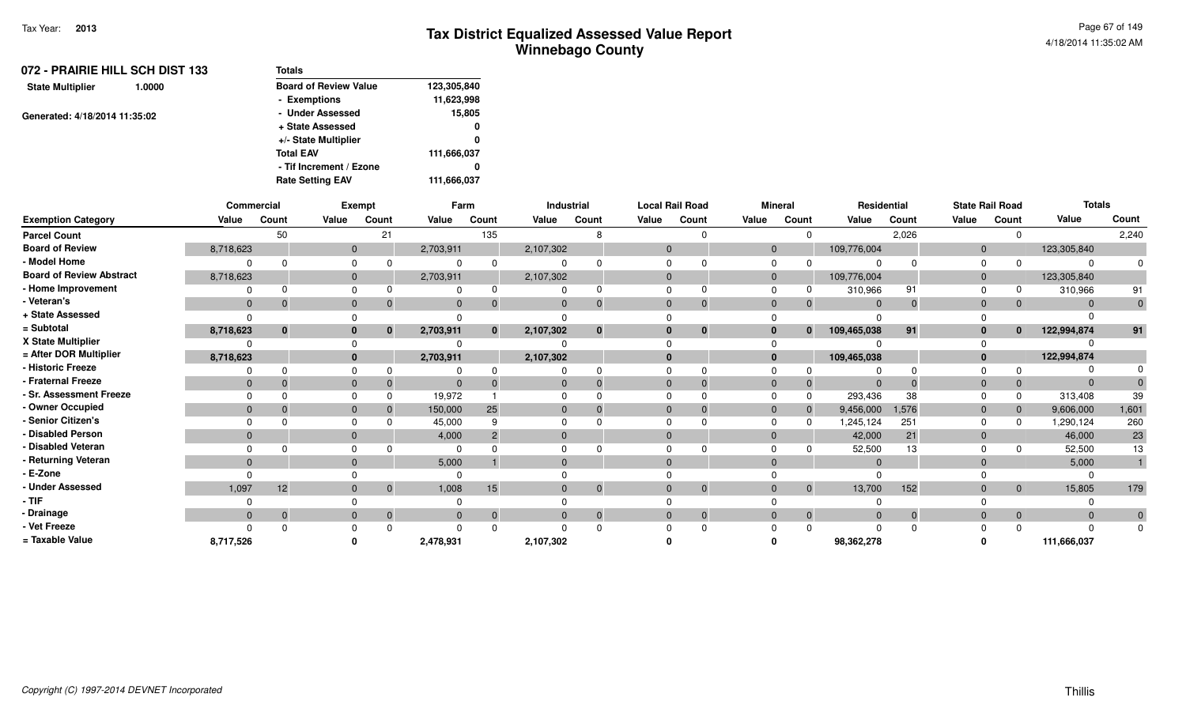| 072 - PRAIRIE HILL SCH DIST 133 |        | <b>Totals</b>                |             |  |  |
|---------------------------------|--------|------------------------------|-------------|--|--|
| <b>State Multiplier</b>         | 1.0000 | <b>Board of Review Value</b> | 123,305,840 |  |  |
|                                 |        | - Exemptions                 | 11,623,998  |  |  |
| Generated: 4/18/2014 11:35:02   |        | - Under Assessed             | 15,805      |  |  |
|                                 |        | + State Assessed             | 0           |  |  |
|                                 |        | +/- State Multiplier         | 0           |  |  |
|                                 |        | <b>Total EAV</b>             | 111,666,037 |  |  |
|                                 |        | - Tif Increment / Ezone      | 0           |  |  |
|                                 |        | <b>Rate Setting EAV</b>      | 111,666,037 |  |  |
|                                 |        |                              |             |  |  |

|                                 | Commercial   |          |              | Exempt       |           | Farm         |           | Industrial |              | <b>Local Rail Road</b> |              | <b>Mineral</b> | Residential  |                |                | <b>State Rail Road</b> | <b>Totals</b> |                |
|---------------------------------|--------------|----------|--------------|--------------|-----------|--------------|-----------|------------|--------------|------------------------|--------------|----------------|--------------|----------------|----------------|------------------------|---------------|----------------|
| <b>Exemption Category</b>       | Value        | Count    | Value        | Count        | Value     | Count        | Value     | Count      | Value        | Count                  | Value        | Count          | Value        | Count          | Value          | Count                  | Value         | Count          |
| <b>Parcel Count</b>             |              | 50       |              | 21           |           | 135          |           |            |              | $\Omega$               |              |                |              | 2,026          |                |                        |               | 2,240          |
| <b>Board of Review</b>          | 8,718,623    |          | $\mathbf{0}$ |              | 2,703,911 |              | 2,107,302 |            | $\mathbf{0}$ |                        | $\mathbf{0}$ |                | 109,776,004  |                | $\overline{0}$ |                        | 123,305,840   |                |
| - Model Home                    |              |          | U            |              |           |              |           |            |              |                        |              |                |              |                | $\Omega$       |                        |               |                |
| <b>Board of Review Abstract</b> | 8,718,623    |          | $\mathbf{0}$ |              | 2,703,911 |              | 2,107,302 |            |              |                        | $\mathbf{0}$ |                | 109,776,004  |                | $\overline{0}$ |                        | 123,305,840   |                |
| - Home Improvement              |              |          |              |              |           |              |           |            |              |                        |              |                | 310,966      | 91             | $\Omega$       |                        | 310,966       | 91             |
| - Veteran's                     | $\mathbf{0}$ |          | $\Omega$     |              | $\Omega$  |              |           | $\Omega$   | $\mathbf{0}$ | $\Omega$               | $\mathbf{0}$ |                | $\Omega$     | $\overline{0}$ | $\mathbf{0}$   | $\mathbf{0}$           | $\Omega$      | $\overline{0}$ |
| + State Assessed                |              |          |              |              |           |              |           |            |              |                        |              |                |              |                |                |                        |               |                |
| = Subtotal                      | 8,718,623    | $\bf{0}$ |              | $\bf{0}$     | 2,703,911 | $\mathbf{0}$ | 2,107,302 | $\bf{0}$   |              | $\bf{0}$               |              | $\mathbf{0}$   | 109,465,038  | 91             |                | $\mathbf{0}$           | 122,994,874   | 91             |
| X State Multiplier              |              |          |              |              |           |              |           |            |              |                        |              |                |              |                |                |                        |               |                |
| = After DOR Multiplier          | 8,718,623    |          | $\bf{0}$     |              | 2,703,911 |              | 2,107,302 |            |              |                        | $\bf{0}$     |                | 109,465,038  |                | $\bf{0}$       |                        | 122,994,874   |                |
| - Historic Freeze               |              |          |              |              |           |              |           |            |              |                        |              |                |              | 0              |                |                        |               |                |
| - Fraternal Freeze              | $\mathbf{0}$ |          |              |              | $\Omega$  |              |           |            |              | $\Omega$               | 0            |                | $\Omega$     | $\Omega$       | $\Omega$       | $\mathbf{0}$           | $\Omega$      |                |
| - Sr. Assessment Freeze         |              |          |              |              | 19,972    |              |           |            |              |                        |              |                | 293,436      | 38             |                | $\Omega$               | 313,408       | 39             |
| - Owner Occupied                | $\mathbf{0}$ |          |              |              | 150,000   | 25           |           |            |              |                        | 0            | 0              | 9,456,000    | 1,576          | $\mathbf 0$    | $\overline{0}$         | 9,606,000     | 1,601          |
| - Senior Citizen's              |              |          |              |              | 45,000    |              |           |            |              |                        |              |                | 1,245,124    | 251            |                |                        | 1,290,124     | 260            |
| - Disabled Person               | $\Omega$     |          | $\Omega$     |              | 4,000     |              |           |            |              |                        | 0            |                | 42,000       | 21             | $\Omega$       |                        | 46,000        | 23             |
| - Disabled Veteran              |              |          |              |              |           |              |           |            |              |                        |              |                | 52,500       | 13             |                |                        | 52,500        | 13             |
| - Returning Veteran             | $\Omega$     |          | $\Omega$     |              | 5,000     |              |           |            |              |                        | $\Omega$     |                | $\Omega$     |                | $\Omega$       |                        | 5,000         |                |
| - E-Zone                        |              |          |              |              |           |              |           |            |              |                        |              |                |              |                |                |                        |               |                |
| - Under Assessed                | 1,097        | 12       |              | $\mathbf{0}$ | 1,008     | 15           |           | $\Omega$   | $\Omega$     | $\Omega$               | 0            | $\Omega$       | 13,700       | 152            | $\Omega$       | $\overline{0}$         | 15,805        | 179            |
| - TIF                           |              |          |              |              |           |              |           |            |              |                        |              |                |              |                |                |                        |               |                |
| - Drainage                      | $\mathbf{0}$ | $\Omega$ | $\mathbf{0}$ | $\Omega$     | $\Omega$  | $\mathbf{0}$ |           | $\Omega$   |              | $\mathbf{0}$           | $\Omega$     | $\overline{0}$ | $\mathbf{0}$ | $\overline{0}$ | $\mathbf{0}$   | $\overline{0}$         | $\Omega$      | $\overline{0}$ |
| - Vet Freeze                    |              |          |              |              |           |              |           |            |              |                        |              |                |              |                |                |                        |               | $\Omega$       |
| = Taxable Value                 | 8,717,526    |          |              |              | 2,478,931 |              | 2,107,302 |            |              |                        |              |                | 98,362,278   |                |                |                        | 111,666,037   |                |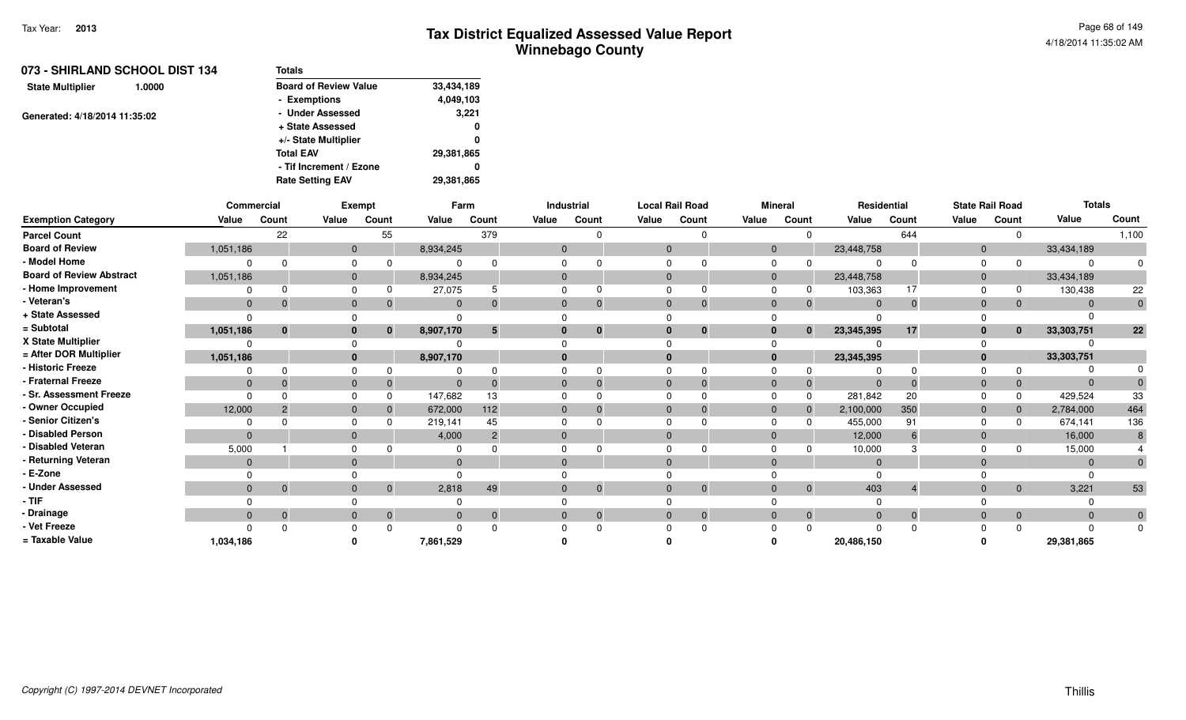|                               | 073 - SHIRLAND SCHOOL DIST 134 | <b>Totals</b>                |            |
|-------------------------------|--------------------------------|------------------------------|------------|
| <b>State Multiplier</b>       | 1.0000                         | <b>Board of Review Value</b> | 33,434,189 |
|                               |                                | - Exemptions                 | 4,049,103  |
| Generated: 4/18/2014 11:35:02 |                                | - Under Assessed             | 3,221      |
|                               |                                | + State Assessed             | 0          |
|                               |                                | +/- State Multiplier         | 0          |
|                               |                                | <b>Total EAV</b>             | 29,381,865 |
|                               |                                | - Tif Increment / Ezone      | 0          |
|                               |                                | <b>Rate Setting EAV</b>      | 29,381,865 |
|                               |                                |                              |            |

|                                 | Commercial   |                |                | <b>Exempt</b> |           | Farm           |              | Industrial   |              | <b>Local Rail Road</b> |              | <b>Mineral</b> |            | Residential |              | <b>State Rail Road</b> | <b>Totals</b> |              |
|---------------------------------|--------------|----------------|----------------|---------------|-----------|----------------|--------------|--------------|--------------|------------------------|--------------|----------------|------------|-------------|--------------|------------------------|---------------|--------------|
| <b>Exemption Category</b>       | Value        | Count          | Value          | Count         | Value     | Count          | Value        | Count        | Value        | Count                  | Value        | Count          | Value      | Count       | Value        | Count                  | Value         | Count        |
| <b>Parcel Count</b>             |              | 22             |                | 55            |           | 379            |              |              |              |                        |              |                |            | 644         |              | $\Omega$               |               | 1,100        |
| <b>Board of Review</b>          | 1,051,186    |                | $\overline{0}$ |               | 8,934,245 |                | $\mathbf{0}$ |              | $\mathbf 0$  |                        |              | $\mathbf{0}$   | 23,448,758 |             | 0            |                        | 33,434,189    |              |
| - Model Home                    | ∩            |                | $\Omega$       |               |           |                |              |              | $\Omega$     |                        | $\Omega$     |                |            |             |              |                        |               | 0            |
| <b>Board of Review Abstract</b> | 1,051,186    |                | $\mathbf 0$    |               | 8,934,245 |                | $\mathbf{0}$ |              | $\Omega$     |                        | $\mathbf{0}$ |                | 23,448,758 |             | $\mathbf{0}$ |                        | 33,434,189    |              |
| - Home Improvement              |              |                | $\Omega$       |               | 27,075    |                | <sup>n</sup> |              |              |                        | $\Omega$     |                | 103,363    | 17          |              |                        | 130,438       | 22           |
| - Veteran's                     | $\mathbf{0}$ | $\mathbf{0}$   | $\mathbf{0}$   |               | $\Omega$  |                | $\Omega$     |              | $\Omega$     | $\Omega$               | $\mathbf{0}$ |                | $\Omega$   |             |              | $\overline{0}$         |               | $\mathbf 0$  |
| + State Assessed                | $\Omega$     |                |                |               |           |                |              |              |              |                        |              |                |            |             |              |                        |               |              |
| = Subtotal                      | 1,051,186    | $\mathbf{0}$   | $\mathbf{0}$   | $\bf{0}$      | 8,907,170 | 5              |              | $\bf{0}$     | $\bf{0}$     | $\bf{0}$               | $\bf{0}$     | 0              | 23,345,395 | 17          |              | $\mathbf{0}$           | 33,303,751    | 22           |
| X State Multiplier              |              |                |                |               |           |                |              |              |              |                        | $\Omega$     |                |            |             |              |                        |               |              |
| = After DOR Multiplier          | 1,051,186    |                | $\bf{0}$       |               | 8,907,170 |                | $\bf{0}$     |              | $\mathbf{0}$ |                        |              | $\mathbf{0}$   | 23,345,395 |             |              |                        | 33,303,751    |              |
| - Historic Freeze               | 0            |                |                |               |           |                |              |              |              |                        |              |                |            |             |              |                        |               |              |
| - Fraternal Freeze              | $\mathbf{0}$ |                | $\mathbf{0}$   |               | $\Omega$  |                | $\Omega$     |              | $\Omega$     |                        | $\mathbf{0}$ |                | $\Omega$   |             |              | $\mathbf{0}$           |               |              |
| - Sr. Assessment Freeze         | $\Omega$     |                |                |               | 147,682   | 13             |              |              |              |                        |              |                | 281,842    | 20          |              | $\Omega$               | 429,524       | 33           |
| - Owner Occupied                | 12,000       | $\overline{2}$ | $\mathbf{0}$   |               | 672,000   | 112            | $\mathbf{0}$ |              | $\Omega$     |                        | $\mathbf{0}$ |                | 2,100,000  | 350         |              | $\mathbf{0}$           | 2,784,000     | 464          |
| - Senior Citizen's              | $\Omega$     |                | $\Omega$       |               | 219,141   | 45             | $\Omega$     |              | $\Omega$     |                        | $\Omega$     |                | 455,000    | 91          |              | $\Omega$               | 674,141       | 136          |
| - Disabled Person               | $\mathbf{0}$ |                | $\mathbf{0}$   |               | 4,000     | $\overline{2}$ | $\mathbf{0}$ |              | $\Omega$     |                        | $\Omega$     |                | 12,000     |             |              |                        | 16,000        |              |
| - Disabled Veteran              | 5,000        |                |                |               |           |                |              |              |              |                        | 0            |                | 10,000     |             |              |                        | 15,000        |              |
| - Returning Veteran             | $\Omega$     |                | $\Omega$       |               | $\Omega$  |                | $\Omega$     |              | $\Omega$     |                        | $\Omega$     |                |            |             |              |                        |               | $\mathbf{0}$ |
| - E-Zone                        |              |                |                |               |           |                |              |              |              |                        |              |                |            |             |              |                        |               |              |
| - Under Assessed                | $\mathbf{0}$ | $\mathbf{0}$   | $\mathbf{0}$   | $\mathbf 0$   | 2,818     | 49             | $\mathbf{0}$ | $\mathbf{0}$ | $\mathbf{0}$ | $\mathbf{0}$           | $\Omega$     | $\mathbf{0}$   | 403        |             |              | $\overline{0}$         | 3,221         | 53           |
| - TIF-                          |              |                |                |               |           |                |              |              |              |                        |              |                |            |             |              |                        |               |              |
| - Drainage                      | $\mathbf{0}$ | $\mathbf{0}$   | $\mathbf{0}$   |               | $\Omega$  |                | $\Omega$     | $\Omega$     | $\Omega$     | $\mathbf{0}$           | $\Omega$     | $\Omega$       | $\Omega$   | $\Omega$    |              | $\overline{0}$         |               | $\mathbf{0}$ |
| - Vet Freeze                    |              |                |                |               |           |                |              |              |              |                        |              |                |            |             |              |                        |               | $\Omega$     |
| = Taxable Value                 | 1,034,186    |                |                |               | 7,861,529 |                |              |              |              |                        |              |                | 20,486,150 |             |              |                        | 29,381,865    |              |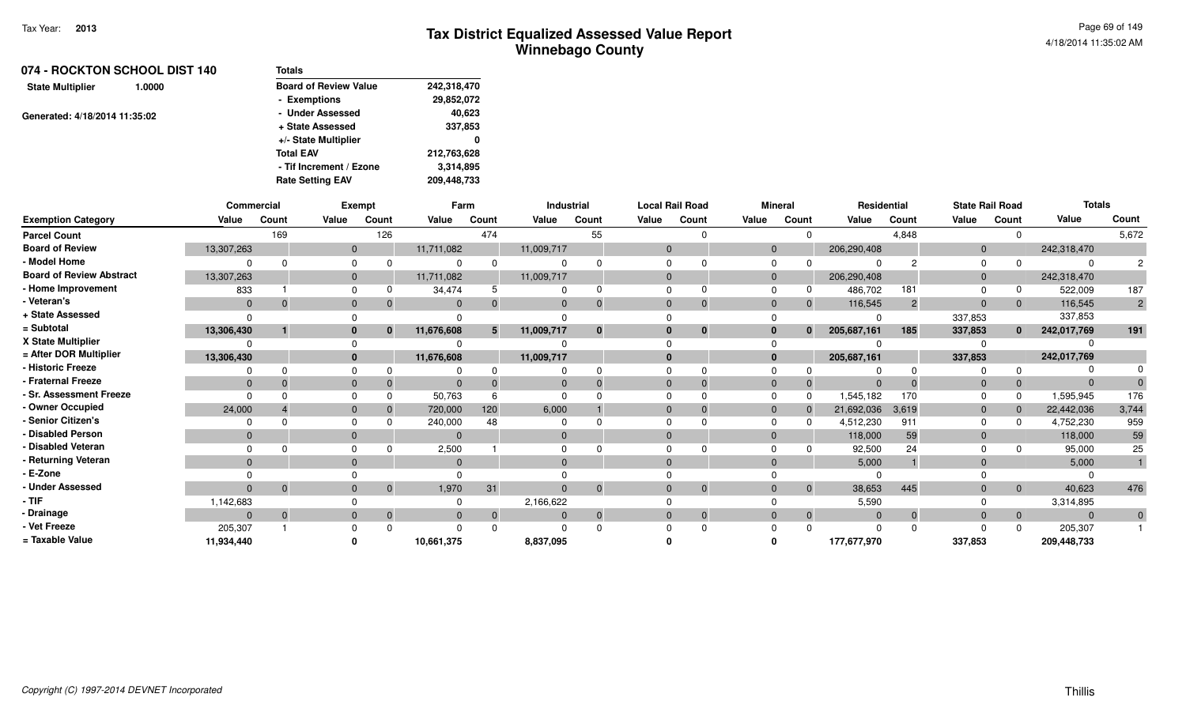|                               | 074 - ROCKTON SCHOOL DIST 140 | <b>Totals</b>                |             |
|-------------------------------|-------------------------------|------------------------------|-------------|
| <b>State Multiplier</b>       | 1.0000                        | <b>Board of Review Value</b> | 242,318,470 |
|                               |                               | - Exemptions                 | 29,852,072  |
| Generated: 4/18/2014 11:35:02 |                               | - Under Assessed             | 40,623      |
|                               |                               | + State Assessed             | 337,853     |
|                               |                               | +/- State Multiplier         | 0           |
|                               |                               | <b>Total EAV</b>             | 212,763,628 |
|                               |                               | - Tif Increment / Ezone      | 3,314,895   |
|                               |                               | <b>Rate Setting EAV</b>      | 209,448,733 |
|                               |                               |                              |             |

|                                 | Commercial     |              |                | Exempt         | Farm       |          | <b>Industrial</b> |              | <b>Local Rail Road</b> |          | <b>Mineral</b> |                | Residential |                | <b>State Rail Road</b> |                | <b>Totals</b>  |              |
|---------------------------------|----------------|--------------|----------------|----------------|------------|----------|-------------------|--------------|------------------------|----------|----------------|----------------|-------------|----------------|------------------------|----------------|----------------|--------------|
| <b>Exemption Category</b>       | Value          | Count        | Value          | Count          | Value      | Count    | Value             | Count        | Value                  | Count    | Value          | Count          | Value       | Count          | Value                  | Count          | Value          | Count        |
| <b>Parcel Count</b>             |                | 169          |                | 126            |            | 474      |                   | 55           |                        |          |                |                |             | 4,848          |                        | $\Omega$       |                | 5,672        |
| <b>Board of Review</b>          | 13,307,263     |              | $\mathbf{0}$   |                | 11,711,082 |          | 11,009,717        |              | $\Omega$               |          | $\Omega$       |                | 206,290,408 |                | $\mathbf 0$            |                | 242,318,470    |              |
| - Model Home                    |                |              | ∩              |                |            |          |                   |              |                        |          |                |                |             |                | $\Omega$               |                |                |              |
| <b>Board of Review Abstract</b> | 13,307,263     |              | $\mathbf{0}$   |                | 11,711,082 |          | 11,009,717        |              | $\Omega$               |          | $\Omega$       |                | 206,290,408 |                | $\mathbf{0}$           |                | 242,318,470    |              |
| - Home Improvement              | 833            |              | $\Omega$       |                | 34,474     |          |                   |              | $\Omega$               |          |                |                | 486,702     | 181            |                        |                | 522,009        | 187          |
| - Veteran's                     | $\overline{0}$ | $\mathbf{0}$ | $\overline{0}$ | $\mathbf 0$    | $\Omega$   | $\Omega$ | $\Omega$          |              | $\Omega$               |          |                | $\mathbf{0}$   | 116,545     | $\overline{2}$ | $\Omega$               | $\overline{0}$ | 116,545        | $2^{\circ}$  |
| + State Assessed                |                |              |                |                |            |          |                   |              |                        |          |                |                |             |                | 337,853                |                | 337,853        |              |
| = Subtotal                      | 13,306,430     |              | $\bf{0}$       | $\bf{0}$       | 11,676,608 | 5        | 11,009,717        | $\mathbf{0}$ | $\bf{0}$               | $\bf{0}$ |                | $\bf{0}$       | 205,687,161 | 185            | 337,853                | $\mathbf{0}$   | 242,017,769    | 191          |
| X State Multiplier              |                |              |                |                |            |          |                   |              |                        |          |                |                |             |                |                        |                |                |              |
| = After DOR Multiplier          | 13,306,430     |              | $\mathbf{0}$   |                | 11,676,608 |          | 11,009,717        |              | $\Omega$               |          |                |                | 205,687,161 |                | 337,853                |                | 242,017,769    |              |
| - Historic Freeze               |                |              |                |                |            | $\Omega$ |                   |              |                        |          |                |                |             |                |                        |                |                |              |
| - Fraternal Freeze              | $\overline{0}$ |              | $\mathbf 0$    |                | $\Omega$   |          | $\Omega$          |              | $\Omega$               |          |                | $\Omega$       | $\Omega$    |                | $\mathbf 0$            | $\overline{0}$ | $\overline{0}$ |              |
| - Sr. Assessment Freeze         | $\Omega$       |              |                |                | 50,763     |          |                   |              |                        |          |                |                | 1,545,182   | 170            |                        |                | 1,595,945      | 176          |
| - Owner Occupied                | 24,000         |              |                |                | 720,000    | 120      | 6,000             |              | $\Omega$               |          |                |                | 21,692,036  | 3,619          | $\mathbf{0}$           |                | 22,442,036     | 3,744        |
| - Senior Citizen's              |                |              |                |                | 240,000    | 48       |                   |              |                        |          |                |                | 4,512,230   | 911            | $\Omega$               |                | 4,752,230      | 959          |
| - Disabled Person               | $\overline{0}$ |              | $\Omega$       |                | $\Omega$   |          | $\Omega$          |              | $\Omega$               |          | $\Omega$       |                | 118,000     | 59             | $\Omega$               |                | 118,000        | 59           |
| - Disabled Veteran              |                |              | $\Omega$       |                | 2,500      |          |                   |              |                        |          |                |                | 92,500      | 24             |                        |                | 95,000         | 25           |
| - Returning Veteran             | $\Omega$       |              | $\Omega$       |                | $\Omega$   |          | $\Omega$          |              | $\Omega$               |          |                |                | 5,000       |                |                        |                | 5,000          |              |
| - E-Zone                        |                |              |                |                |            |          |                   |              |                        |          |                |                |             |                |                        |                |                |              |
| - Under Assessed                | $\Omega$       | $\Omega$     | $\Omega$       | $\mathbf{0}$   | 1,970      | 31       | $\overline{0}$    | $\Omega$     | $\Omega$               | $\Omega$ |                | $\overline{0}$ | 38,653      | 445            | $\Omega$               | $\overline{0}$ | 40,623         | 476          |
| - TIF                           | 1,142,683      |              |                |                |            |          | 2,166,622         |              |                        |          |                |                | 5,590       |                |                        |                | 3,314,895      |              |
| - Drainage                      | $\Omega$       | $\Omega$     | $\mathbf{0}$   | $\overline{0}$ | $\Omega$   | $\Omega$ |                   | $\mathbf{0}$ | $\Omega$               | $\Omega$ | $\Omega$       | $\overline{0}$ | $\Omega$    |                | $\Omega$               | $\overline{0}$ | $\overline{0}$ | $\mathbf{0}$ |
| - Vet Freeze                    | 205,307        |              |                |                |            | $\Omega$ |                   |              |                        |          |                |                |             |                | n                      | $\Omega$       | 205,307        |              |
| = Taxable Value                 | 11,934,440     |              |                |                | 10,661,375 |          | 8,837,095         |              |                        |          |                |                | 177,677,970 |                | 337,853                |                | 209,448,733    |              |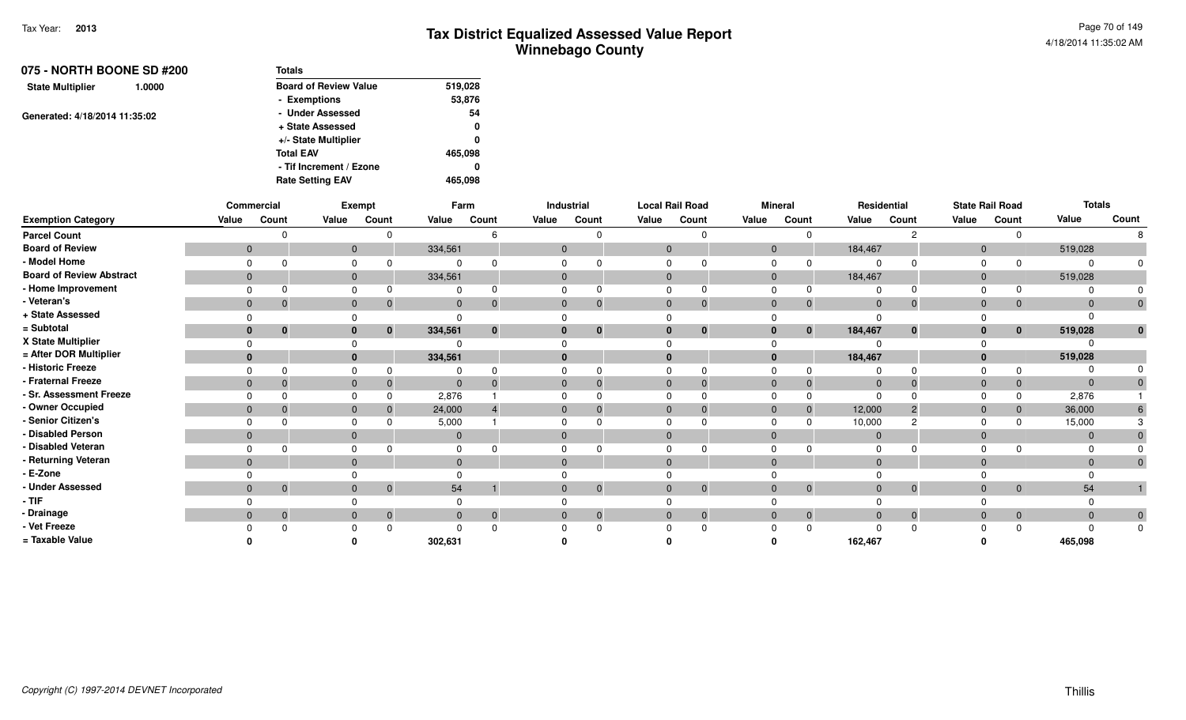| 075 - NORTH BOONE SD #200         | <b>Totals</b>                |         |
|-----------------------------------|------------------------------|---------|
| <b>State Multiplier</b><br>1.0000 | <b>Board of Review Value</b> | 519,028 |
|                                   | - Exemptions                 | 53,876  |
| Generated: 4/18/2014 11:35:02     | - Under Assessed             | 54      |
|                                   | + State Assessed             | 0       |
|                                   | +/- State Multiplier         | 0       |
|                                   | <b>Total EAV</b>             | 465,098 |
|                                   | - Tif Increment / Ezone      | 0       |
|                                   | <b>Rate Setting EAV</b>      | 465.098 |

|                                 |              | Commercial   |       | Exempt                         |              | Farm     |       | Industrial     | <b>Local Rail Road</b> |              |              | <b>Mineral</b> |              | Residential    |                | <b>State Rail Road</b> | <b>Totals</b> |                |
|---------------------------------|--------------|--------------|-------|--------------------------------|--------------|----------|-------|----------------|------------------------|--------------|--------------|----------------|--------------|----------------|----------------|------------------------|---------------|----------------|
| <b>Exemption Category</b>       | Value        | Count        | Value | Count                          | Value        | Count    | Value | Count          | Value                  | Count        | Value        | Count          | Value        | Count          | Value          | Count                  | Value         | Count          |
| <b>Parcel Count</b>             |              |              |       |                                |              |          |       |                |                        |              |              |                |              | റ              |                |                        |               |                |
| <b>Board of Review</b>          | $\mathbf{0}$ |              |       | $\mathbf{0}$                   | 334,561      |          | 0     |                | $\overline{0}$         |              | $\mathbf{0}$ |                | 184,467      |                | $\mathbf{0}$   |                        | 519,028       |                |
| - Model Home                    |              |              |       |                                |              |          |       |                |                        |              |              |                |              |                |                |                        |               |                |
| <b>Board of Review Abstract</b> | $\mathbf{0}$ |              |       | $\mathbf{0}$                   | 334,561      |          |       |                | $\mathbf{0}$           |              |              |                | 184,467      |                | $\mathbf{0}$   |                        | 519,028       |                |
| - Home Improvement              |              |              |       | $\Omega$                       |              |          |       |                | ∩                      |              |              |                |              |                | n              |                        |               |                |
| - Veteran's                     | $\mathbf{0}$ | $\Omega$     |       | $\mathbf{0}$<br>$\Omega$       | $\mathbf 0$  |          |       | $\Omega$       | $\overline{0}$         | $\Omega$     | $\mathbf{0}$ | $\overline{0}$ | $\mathbf{0}$ | $\overline{0}$ | $\mathbf{0}$   | $\mathbf{0}$           |               | $\overline{0}$ |
| + State Assessed                |              |              |       |                                |              |          |       |                |                        |              |              |                | $\Omega$     |                |                |                        |               |                |
| = Subtotal                      | $\mathbf{0}$ | $\mathbf{0}$ |       | $\bf{0}$<br>$\mathbf{0}$       | 334,561      | $\bf{0}$ |       | $\bf{0}$       | $\mathbf{0}$           | $\mathbf{0}$ |              | $\mathbf{0}$   | 184,467      | $\bf{0}$       | $\bf{0}$       | $\mathbf{0}$           | 519,028       | $\bf{0}$       |
| X State Multiplier              |              |              |       |                                |              |          |       |                |                        |              |              |                |              |                |                |                        |               |                |
| = After DOR Multiplier          |              |              |       | $\mathbf{0}$                   | 334,561      |          |       |                |                        |              |              |                | 184,467      |                | $\bf{0}$       |                        | 519,028       |                |
| - Historic Freeze               |              |              |       |                                |              |          |       |                |                        |              |              |                |              |                |                |                        |               |                |
| - Fraternal Freeze              | $\mathbf{0}$ |              |       | $\Omega$                       | $\Omega$     |          |       |                | $\Omega$               |              |              |                | $\Omega$     |                | $\Omega$       | $\mathbf 0$            | $\Omega$      |                |
| - Sr. Assessment Freeze         |              |              |       |                                | 2,876        |          |       |                |                        |              |              |                |              |                |                |                        | 2,876         |                |
| - Owner Occupied                |              |              |       | $\Omega$                       | 24,000       |          |       | $\Omega$       | $\Omega$               |              |              |                | 12,000       | -2             | $\overline{0}$ | $\overline{0}$         | 36,000        |                |
| - Senior Citizen's              |              |              |       |                                | 5,000        |          |       |                |                        |              |              |                | 10,000       |                |                |                        | 15,000        |                |
| - Disabled Person               | $\mathbf{0}$ |              |       | $\overline{0}$                 | $\mathbf 0$  |          |       |                | $\Omega$               |              |              |                | $\Omega$     |                | $\Omega$       |                        |               |                |
| - Disabled Veteran              |              |              |       |                                |              |          |       |                |                        |              |              |                |              |                |                |                        |               |                |
| - Returning Veteran             | $\Omega$     |              |       | $\mathbf{0}$                   | $\Omega$     |          |       |                | $\Omega$               |              |              |                | $\Omega$     |                | $\Omega$       |                        |               | $\mathbf{0}$   |
| - E-Zone                        |              |              |       |                                |              |          |       |                |                        |              |              |                |              |                |                |                        |               |                |
| - Under Assessed                | $\mathbf{0}$ | $\mathbf{0}$ |       | $\mathbf{0}$<br>$\overline{0}$ | 54           |          |       | $\mathbf 0$    | $\Omega$               | $\mathbf{0}$ |              | $\overline{0}$ | $\mathbf{0}$ | $\overline{0}$ | $\Omega$       | $\mathbf{0}$           | 54            |                |
| - TIF                           |              |              |       |                                |              |          |       |                |                        |              |              |                |              |                |                |                        |               |                |
| Drainage                        | $\mathbf{0}$ |              |       | $\Omega$<br>$\mathbf 0$        | $\mathbf{0}$ |          |       | $\overline{0}$ | $\mathbf{0}$           | $\mathbf{0}$ |              |                | $\mathbf{0}$ | $\overline{0}$ | $\Omega$       | $\overline{0}$         | $\mathbf 0$   | $\overline{0}$ |
| - Vet Freeze                    |              |              |       |                                |              |          |       |                |                        |              |              |                |              |                |                |                        |               | $\mathbf 0$    |
| = Taxable Value                 |              |              |       |                                | 302,631      |          |       |                |                        |              |              |                | 162,467      |                |                |                        | 465,098       |                |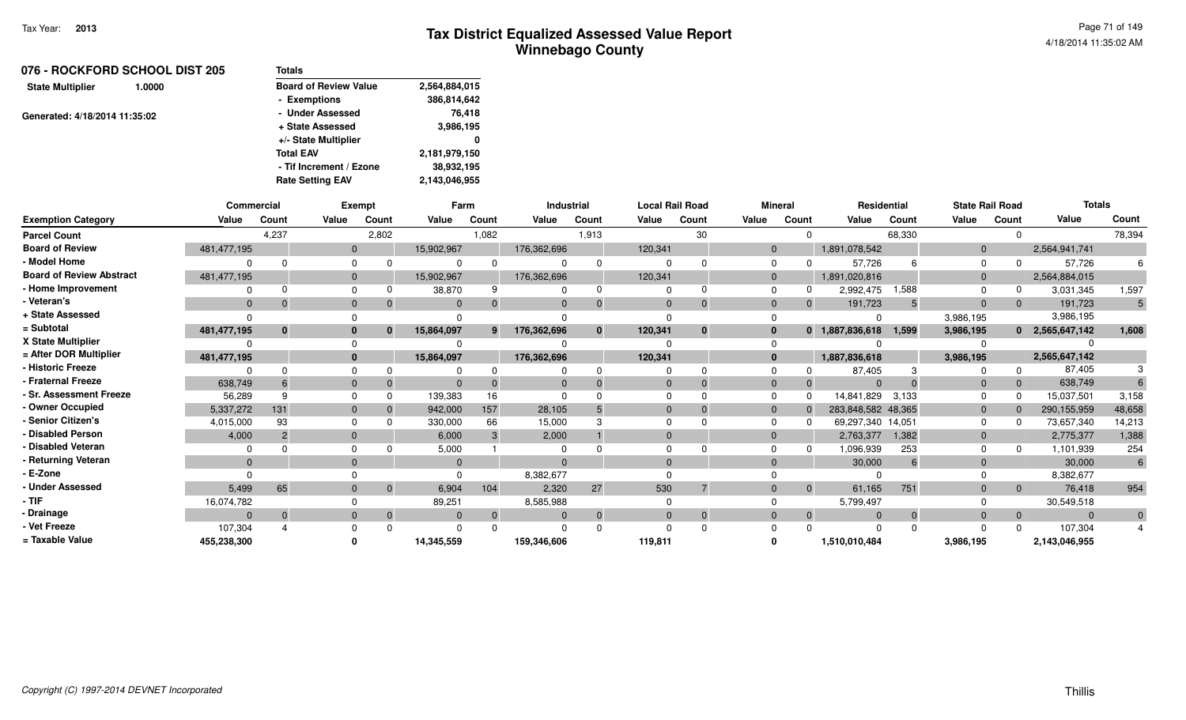| 076 - ROCKFORD SCHOOL DIST 205    | <b>Totals</b>                |               |
|-----------------------------------|------------------------------|---------------|
| <b>State Multiplier</b><br>1.0000 | <b>Board of Review Value</b> | 2,564,884,015 |
|                                   | - Exemptions                 | 386,814,642   |
| Generated: 4/18/2014 11:35:02     | - Under Assessed             | 76.418        |
|                                   | + State Assessed             | 3,986,195     |
|                                   | +/- State Multiplier         | 0             |
|                                   | <b>Total EAV</b>             | 2,181,979,150 |
|                                   | - Tif Increment / Ezone      | 38,932,195    |
|                                   | <b>Rate Setting EAV</b>      | 2,143,046,955 |
|                                   |                              |               |

|                                 | <b>Commercial</b> |                |          | Exempt       | Farm         |                | Industrial  |              |          | <b>Local Rail Road</b> |                | <b>Mineral</b> | <b>Residential</b> |        | <b>State Rail Road</b> |                | <b>Totals</b>     |                |
|---------------------------------|-------------------|----------------|----------|--------------|--------------|----------------|-------------|--------------|----------|------------------------|----------------|----------------|--------------------|--------|------------------------|----------------|-------------------|----------------|
| <b>Exemption Category</b>       | Value             | Count          | Value    | Count        | Value        | Count          | Value       | Count        | Value    | Count                  | Value          | Count          | Value              | Count  | Value                  | Count          | Value             | Count          |
| <b>Parcel Count</b>             |                   | 4,237          |          | 2,802        |              | 1,082          |             | 1,913        |          | 30                     |                |                |                    | 68,330 |                        |                |                   | 78,394         |
| <b>Board of Review</b>          | 481,477,195       |                | $\Omega$ |              | 15,902,967   |                | 176,362,696 |              | 120,341  |                        | $\overline{0}$ |                | 1,891,078,542      |        | $\mathbf 0$            |                | 2,564,941,741     |                |
| - Model Home                    |                   |                |          |              |              |                |             |              |          |                        | $\Omega$       |                | 57,726             |        | $\Omega$               |                | 57,726            |                |
| <b>Board of Review Abstract</b> | 481,477,195       |                | $\Omega$ |              | 15,902,967   |                | 176,362,696 |              | 120,341  |                        | $\Omega$       |                | 1,891,020,816      |        | $\mathbf 0$            |                | 2,564,884,015     |                |
| - Home Improvement              |                   |                |          |              | 38,870       |                |             |              |          |                        | $\Omega$       |                | 2,992,475          | 1,588  |                        |                | 3,031,345         | 1,597          |
| - Veteran's                     | $\Omega$          | $\Omega$       |          | $\Omega$     | $\Omega$     |                | $\Omega$    | $\mathbf{0}$ | $\Omega$ | $\Omega$               | $\Omega$       |                | 191,723            |        | $\Omega$               | $\overline{0}$ | 191,723           | $5^{\circ}$    |
| + State Assessed                |                   |                |          |              |              |                |             |              |          |                        |                |                | $\Omega$           |        | 3,986,195              |                | 3,986,195         |                |
| = Subtotal                      | 481,477,195       | $\mathbf{0}$   |          | $\bf{0}$     | 15,864,097   | 9              | 176,362,696 | $\mathbf{0}$ | 120,341  | $\bf{0}$               | -0             |                | $0$ 1,887,836,618  | 1,599  | 3,986,195              |                | $0$ 2,565,647,142 | 1,608          |
| X State Multiplier              |                   |                |          |              |              |                |             |              |          |                        | $\Omega$       |                |                    |        |                        |                |                   |                |
| = After DOR Multiplier          | 481,477,195       |                |          |              | 15,864,097   |                | 176,362,696 |              | 120,341  |                        | $\mathbf{0}$   |                | 1,887,836,618      |        | 3,986,195              |                | 2,565,647,142     |                |
| - Historic Freeze               |                   | $\Omega$       |          |              |              |                |             | $\Omega$     |          |                        |                |                | 87,405             |        |                        | $\Omega$       | 87,405            |                |
| - Fraternal Freeze              | 638,749           |                |          |              | $\Omega$     |                |             | $\Omega$     | $\Omega$ |                        | $\overline{0}$ |                | $\Omega$           |        |                        | $\Omega$       | 638,749           |                |
| - Sr. Assessment Freeze         | 56,289            | 9              |          | $\Omega$     | 139,383      | 16             |             |              |          |                        | $\Omega$       |                | 14,841,829         | 3,133  |                        |                | 15,037,501        | 3,158          |
| - Owner Occupied                | 5,337,272         | 131            |          |              | 942,000      | 157            | 28,105      |              |          |                        | $\overline{0}$ |                | 283,848,582 48,365 |        | $\mathbf 0$            |                | 290,155,959       | 48,658         |
| - Senior Citizen's              | 4,015,000         | 93             |          |              | 330,000      | 66             | 15,000      |              |          |                        | $\Omega$       |                | 69,297,340 14,051  |        | $\Omega$               |                | 73,657,340        | 14,213         |
| - Disabled Person               | 4,000             | $\overline{2}$ |          |              | 6,000        | 3              | 2,000       |              |          |                        | $\Omega$       |                | 2,763,377          | 1,382  | $\Omega$               |                | 2,775,377         | 1,388          |
| - Disabled Veteran              |                   |                |          |              | 5,000        |                |             |              |          |                        |                |                | 1,096,939          | 253    |                        |                | 1,101,939         | 254            |
| - Returning Veteran             | $\Omega$          |                |          |              | $\Omega$     |                | $\Omega$    |              | $\Omega$ |                        | $\Omega$       |                | 30,000             |        |                        |                | 30,000            | 6              |
| - E-Zone                        |                   |                |          |              |              |                | 8.382.677   |              |          |                        |                |                |                    |        |                        |                | 8,382,677         |                |
| - Under Assessed                | 5,499             | 65             |          | $\Omega$     | 6,904        | 104            | 2,320       | 27           | 530      | $\overline{7}$         | $\Omega$       | $\overline{0}$ | 61,165             | 751    | $\Omega$               | $\overline{0}$ | 76,418            | 954            |
| - TIF                           | 16,074,782        |                |          |              | 89,251       |                | 8,585,988   |              |          |                        |                |                | 5,799,497          |        |                        |                | 30,549,518        |                |
| - Drainage                      | $\Omega$          | $\overline{0}$ |          | $\mathbf{0}$ | $\mathbf{0}$ | $\overline{0}$ |             | $\mathbf{0}$ | $\Omega$ | $\Omega$               | $\overline{0}$ |                | $\Omega$           |        | $\overline{0}$         | $\mathbf{0}$   | $\Omega$          | $\overline{0}$ |
| - Vet Freeze                    | 107,304           |                |          |              |              |                |             |              |          | $\Omega$               |                |                | $\Omega$           |        |                        | $\Omega$       | 107,304           |                |
| = Taxable Value                 | 455,238,300       |                |          |              | 14,345,559   |                | 159,346,606 |              | 119,811  |                        |                |                | 1,510,010,484      |        | 3,986,195              |                | 2,143,046,955     |                |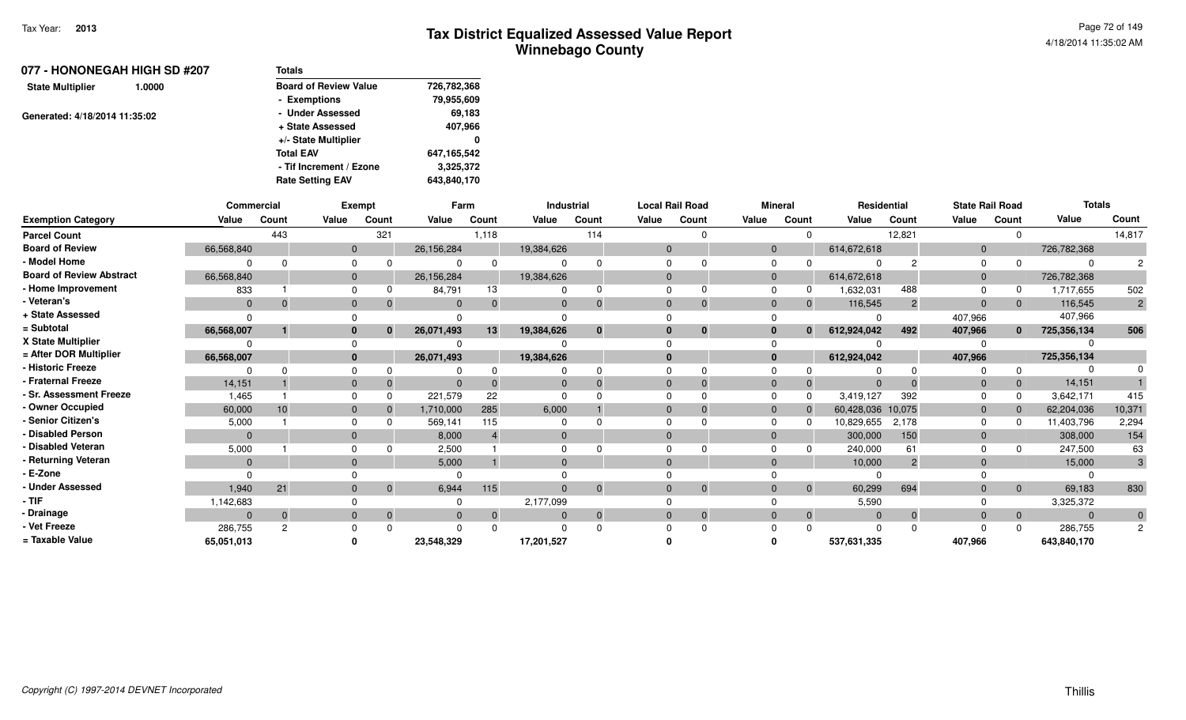| 077 - HONONEGAH HIGH SD #207  |        | <b>Totals</b>                |             |
|-------------------------------|--------|------------------------------|-------------|
| <b>State Multiplier</b>       | 1.0000 | <b>Board of Review Value</b> | 726,782,368 |
|                               |        | - Exemptions                 | 79,955,609  |
| Generated: 4/18/2014 11:35:02 |        | - Under Assessed             | 69,183      |
|                               |        | + State Assessed             | 407,966     |
|                               |        | +/- State Multiplier         | 0           |
|                               |        | <b>Total EAV</b>             | 647,165,542 |
|                               |        | - Tif Increment / Ezone      | 3,325,372   |
|                               |        | <b>Rate Setting EAV</b>      | 643,840,170 |
|                               |        |                              |             |

|                                 | Commercial |               |              | <b>Exempt</b> |              | Farm           |              | Industrial |              | <b>Local Rail Road</b> |              | <b>Mineral</b>                |              | Residential    | <b>State Rail Road</b> |                | <b>Totals</b> |                |
|---------------------------------|------------|---------------|--------------|---------------|--------------|----------------|--------------|------------|--------------|------------------------|--------------|-------------------------------|--------------|----------------|------------------------|----------------|---------------|----------------|
| <b>Exemption Category</b>       | Value      | Count         | Value        | Count         | Value        | Count          | Value        | Count      | Value        | Count                  | Value        | Count                         | Value        | Count          | Value                  | Count          | Value         | Count          |
| <b>Parcel Count</b>             |            | 443           |              | 321           |              | 1,118          |              | 114        |              |                        |              | $\Omega$                      |              | 12,821         |                        | $\Omega$       |               | 14,817         |
| <b>Board of Review</b>          | 66,568,840 |               | $\mathbf{0}$ |               | 26,156,284   |                | 19,384,626   |            | $\mathbf{0}$ |                        |              | $\mathbf 0$                   | 614,672,618  |                | $\mathbf{0}$           |                | 726,782,368   |                |
| - Model Home                    |            |               | 0            | $\Omega$      | $\Omega$     |                | $\Omega$     |            |              |                        | $\Omega$     |                               |              | 2              | 0                      |                |               | $\overline{c}$ |
| <b>Board of Review Abstract</b> | 66,568,840 |               | $\mathbf 0$  |               | 26, 156, 284 |                | 19,384,626   |            | $\Omega$     |                        |              | $\mathbf 0$                   | 614,672,618  |                | $\mathbf{0}$           |                | 726,782,368   |                |
| - Home Improvement              | 833        |               | 0            |               | 84,791       | 13             | $\Omega$     |            |              |                        |              | $\Omega$                      | 1,632,031    | 488            | $\Omega$               |                | 1.717.655     | 502            |
| - Veteran's                     | $\Omega$   |               | $\mathbf{0}$ | $\mathbf 0$   | $\Omega$     | $\overline{0}$ | $\Omega$     |            |              |                        |              | $\mathbf 0$<br>$\Omega$       | 116,545      | $\overline{2}$ | $\Omega$               | $\overline{0}$ | 116,545       | $\overline{2}$ |
| + State Assessed                |            |               |              |               |              |                |              |            |              |                        |              |                               | <sup>0</sup> |                | 407,966                |                | 407,966       |                |
| = Subtotal                      | 66,568,007 |               | 0            | $\bf{0}$      | 26,071,493   | 13             | 19,384,626   | $\bf{0}$   |              | $\bf{0}$               | $\bf{0}$     | $\Omega$                      | 612,924,042  | 492            | 407,966                | $\mathbf{0}$   | 725,356,134   | 506            |
| X State Multiplier              |            |               |              |               |              |                |              |            |              |                        |              |                               |              |                |                        |                |               |                |
| = After DOR Multiplier          | 66,568,007 |               | $\bf{0}$     |               | 26,071,493   |                | 19,384,626   |            |              |                        |              | $\mathbf{0}$                  | 612,924,042  |                | 407,966                |                | 725,356,134   |                |
| - Historic Freeze               |            |               | 0            |               | $\Omega$     | 0              |              |            |              |                        |              |                               |              |                |                        |                |               | $\Omega$       |
| - Fraternal Freeze              | 14,151     |               | $\mathbf{0}$ |               | $\Omega$     | $\Omega$       | $\mathbf{0}$ |            | $\Omega$     |                        | $\Omega$     |                               | $\Omega$     |                | $\mathbf{0}$           |                | 14,151        |                |
| - Sr. Assessment Freeze         | 1,465      |               | 0            | $\Omega$      | 221,579      | 22             | $\Omega$     |            |              |                        |              |                               | 3,419,127    | 392            |                        | $\Omega$       | 3,642,171     | 415            |
| - Owner Occupied                | 60,000     | 10            | $\mathbf{0}$ |               | 1,710,000    | 285            | 6,000        |            |              |                        | $\mathbf{0}$ |                               | 60,428,036   | 10,075         | $\mathbf{0}$           | $\mathbf{0}$   | 62,204,036    | 10,371         |
| - Senior Citizen's              | 5,000      |               | 0            |               | 569,141      | 115            | ŋ            |            |              |                        | $\Omega$     |                               | 10,829,655   | 2,178          |                        | $\Omega$       | 11,403,796    | 2,294          |
| - Disabled Person               | $\Omega$   |               | $\mathbf{0}$ |               | 8,000        |                | $\Omega$     |            |              |                        |              | $\mathbf{0}$                  | 300,000      | 150            | $\Omega$               |                | 308,000       | 154            |
| - Disabled Veteran              | 5,000      |               |              |               | 2,500        |                | $\Omega$     |            |              |                        | $\Omega$     |                               | 240,000      | 61             |                        |                | 247,500       | 63             |
| - Returning Veteran             | $\Omega$   |               | $\Omega$     |               | 5,000        |                | $\Omega$     |            |              |                        |              | $\Omega$                      | 10,000       | $\mathcal{P}$  | $\Omega$               |                | 15,000        | 3              |
| - E-Zone                        |            |               |              |               |              |                |              |            |              |                        |              |                               |              |                |                        |                |               |                |
| - Under Assessed                | 1,940      | 21            | $\Omega$     | $\Omega$      | 6,944        | 115            | $\Omega$     | $\Omega$   | $\Omega$     | $\Omega$               |              | $\mathbf{0}$<br>$\mathbf{0}$  | 60,299       | 694            | $\Omega$               | $\mathbf{0}$   | 69,183        | 830            |
| - TIF                           | 1,142,683  |               |              |               | 0            |                | 2,177,099    |            |              |                        |              |                               | 5,590        |                |                        |                | 3,325,372     |                |
| - Drainage                      | $\Omega$   | $\Omega$      | $\mathbf{0}$ | $\Omega$      | $\mathbf 0$  | $\mathbf{0}$   | $\mathbf{0}$ | $\Omega$   |              | $\Omega$               |              | $\mathbf 0$<br>$\overline{0}$ | $\Omega$     | $\Omega$       | $\Omega$               | $\mathbf{0}$   | $\Omega$      | $\mathbf{0}$   |
| - Vet Freeze                    | 286,755    | $\mathcal{P}$ | U            | $\Omega$      | $\Omega$     | O              | $\Omega$     |            |              |                        |              |                               | $\Omega$     |                |                        | $\Omega$       | 286,755       | $\overline{2}$ |
| = Taxable Value                 | 65,051,013 |               |              |               | 23,548,329   |                | 17,201,527   |            |              |                        |              |                               | 537,631,335  |                | 407,966                |                | 643,840,170   |                |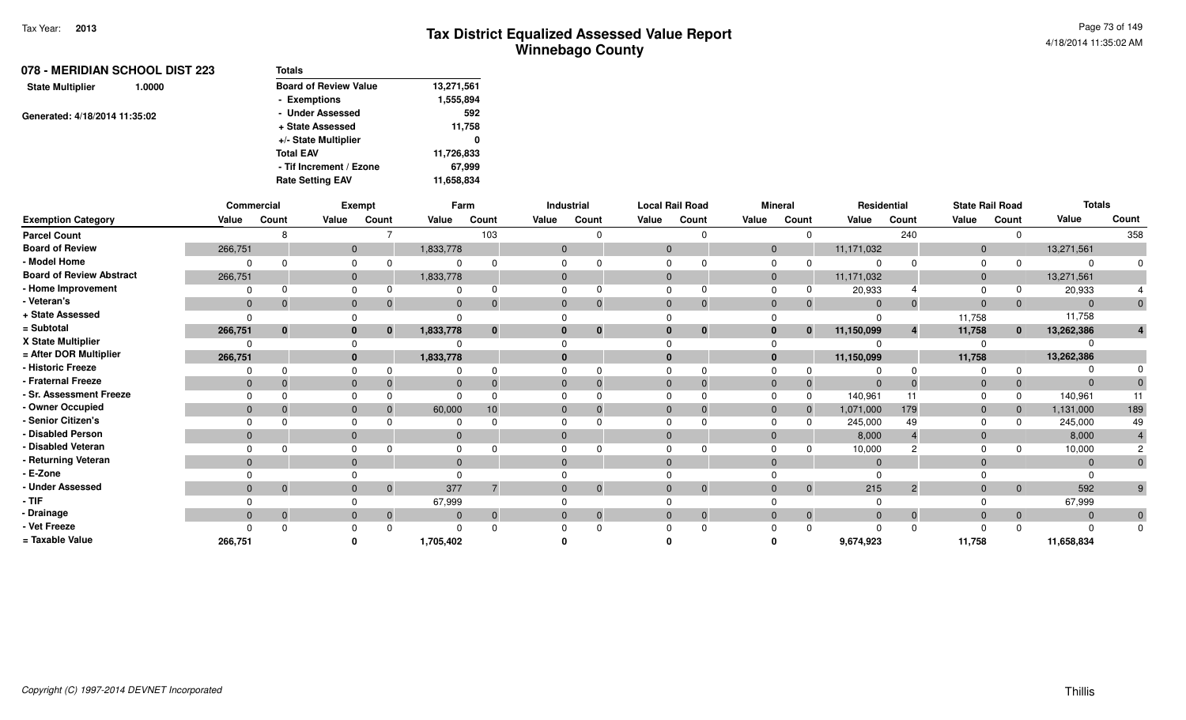| 078 - MERIDIAN SCHOOL DIST 223    | <b>Totals</b>                |            |
|-----------------------------------|------------------------------|------------|
| <b>State Multiplier</b><br>1.0000 | <b>Board of Review Value</b> | 13,271,561 |
|                                   | - Exemptions                 | 1,555,894  |
| Generated: 4/18/2014 11:35:02     | - Under Assessed             | 592        |
|                                   | + State Assessed             | 11,758     |
|                                   | +/- State Multiplier         | 0          |
|                                   | <b>Total EAV</b>             | 11,726,833 |
|                                   | - Tif Increment / Ezone      | 67,999     |
|                                   | <b>Rate Setting EAV</b>      | 11,658,834 |

|                                 | <b>Commercial</b> |              |          | Exempt         | Farm         |                |              | Industrial     |          | <b>Local Rail Road</b> |                | <b>Mineral</b> | Residential    |             | <b>State Rail Road</b> |                | <b>Totals</b>  |              |
|---------------------------------|-------------------|--------------|----------|----------------|--------------|----------------|--------------|----------------|----------|------------------------|----------------|----------------|----------------|-------------|------------------------|----------------|----------------|--------------|
| <b>Exemption Category</b>       | Value             | Count        | Value    | Count          | Value        | Count          | Value        | Count          | Value    | Count                  | Value          | Count          | Value          | Count       | Value                  | Count          | Value          | Count        |
| <b>Parcel Count</b>             |                   | я            |          |                |              | 103            |              |                |          |                        |                |                |                | 240         |                        | $\Omega$       |                | 358          |
| <b>Board of Review</b>          | 266,751           |              | $\Omega$ |                | 1,833,778    |                | $\mathbf{0}$ |                | $\Omega$ |                        | $\overline{0}$ |                | 11,171,032     |             | $\mathbf 0$            |                | 13,271,561     |              |
| - Model Home                    |                   |              |          |                |              |                |              |                |          |                        | $\Omega$       |                | $\mathbf 0$    |             | $\Omega$               |                | $\Omega$       |              |
| <b>Board of Review Abstract</b> | 266,751           |              | $\Omega$ |                | 1,833,778    |                | $\Omega$     |                | $\Omega$ |                        | $\overline{0}$ |                | 11,171,032     |             | $\mathbf 0$            |                | 13,271,561     |              |
| - Home Improvement              |                   |              |          |                |              |                |              |                |          |                        | $\Omega$       |                | 20,933         |             |                        |                | 20,933         |              |
| - Veteran's                     | $\mathbf{0}$      | $\mathbf{0}$ | $\Omega$ | $\Omega$       | $\mathbf{0}$ |                | $\Omega$     | $\mathbf{0}$   | $\Omega$ | $\Omega$               | $\overline{0}$ |                | $\Omega$       |             | $\Omega$               | $\overline{0}$ | $\overline{0}$ | $\mathbf{0}$ |
| + State Assessed                |                   |              |          |                |              |                |              |                |          |                        |                |                | $\Omega$       |             | 11,758                 |                | 11,758         |              |
| = Subtotal                      | 266,751           | $\mathbf{0}$ |          | $\mathbf 0$    | 1,833,778    | $\bf{0}$       |              | $\bf{0}$       | $\bf{0}$ | $\bf{0}$               | $\bf{0}$       |                | 11,150,099     |             | 11,758                 | $\mathbf{0}$   | 13,262,386     |              |
| X State Multiplier              |                   |              |          |                |              |                |              |                |          |                        | $\Omega$       |                |                |             |                        |                |                |              |
| = After DOR Multiplier          | 266,751           |              |          |                | 1,833,778    |                |              |                |          |                        | $\bf{0}$       |                | 11,150,099     |             | 11,758                 |                | 13,262,386     |              |
| - Historic Freeze               |                   | 0            |          |                |              |                |              |                |          |                        |                |                | $\Omega$       |             |                        | $\Omega$       |                |              |
| - Fraternal Freeze              | $\mathbf{0}$      |              |          |                | $\mathbf{0}$ |                | $\Omega$     | $\Omega$       | $\Omega$ | $\Omega$               | $\overline{0}$ |                | $\overline{0}$ |             |                        | $\mathbf{0}$   | $\overline{0}$ |              |
| - Sr. Assessment Freeze         |                   |              |          |                |              |                |              |                |          |                        | $\Omega$       |                | 140,961        |             |                        | $\Omega$       | 140,961        | 11           |
| - Owner Occupied                | $\Omega$          |              |          |                | 60,000       | 10             |              | 0              | $\Omega$ |                        | $\overline{0}$ |                | 1,071,000      | 179         | $\mathbf 0$            | $\overline{0}$ | 1,131,000      | 189          |
| - Senior Citizen's              |                   |              |          |                |              |                |              |                |          |                        | $\Omega$       |                | 245,000        | 49          |                        |                | 245,000        | 49           |
| - Disabled Person               | $\mathbf{0}$      |              |          |                | $\Omega$     |                | $\Omega$     |                |          |                        | $\Omega$       |                | 8,000          |             | 0                      |                | 8,000          |              |
| - Disabled Veteran              |                   |              |          |                |              |                |              |                |          |                        |                |                | 10,000         |             |                        |                | 10,000         |              |
| - Returning Veteran             | $\mathbf{0}$      |              |          |                | $\mathbf{0}$ |                | $\Omega$     |                |          |                        | $\Omega$       |                | $\mathbf{0}$   |             |                        |                | $\mathbf{0}$   |              |
| - E-Zone                        |                   |              |          |                |              |                |              |                |          |                        |                |                | $\Omega$       |             |                        |                |                |              |
| - Under Assessed                | $\mathbf{0}$      | $\mathbf{0}$ |          | $\overline{0}$ | 377          | $\overline{7}$ | $\Omega$     | $\overline{0}$ | $\Omega$ | $\mathbf{0}$           | $\overline{0}$ | $\mathbf{0}$   | 215            | $2^{\circ}$ | $\mathbf{0}$           | $\overline{0}$ | 592            | 9            |
| - TIF                           |                   |              |          |                | 67,999       |                |              |                |          |                        |                |                |                |             |                        |                | 67,999         |              |
| - Drainage                      | $\overline{0}$    | $\mathbf 0$  |          | $\Omega$       | $\mathbf{0}$ | $\Omega$       |              | $\overline{0}$ | $\Omega$ | $\Omega$               | $\overline{0}$ |                | $\Omega$       |             | $\Omega$               | $\overline{0}$ | $\overline{0}$ | $\mathbf{0}$ |
| - Vet Freeze                    |                   | <sup>0</sup> |          |                |              |                |              |                |          | $\Omega$               |                |                | $\Omega$       |             |                        | $\Omega$       | $\Omega$       | $\Omega$     |
| = Taxable Value                 | 266,751           |              |          |                | 1,705,402    |                |              |                |          |                        |                |                | 9,674,923      |             | 11,758                 |                | 11,658,834     |              |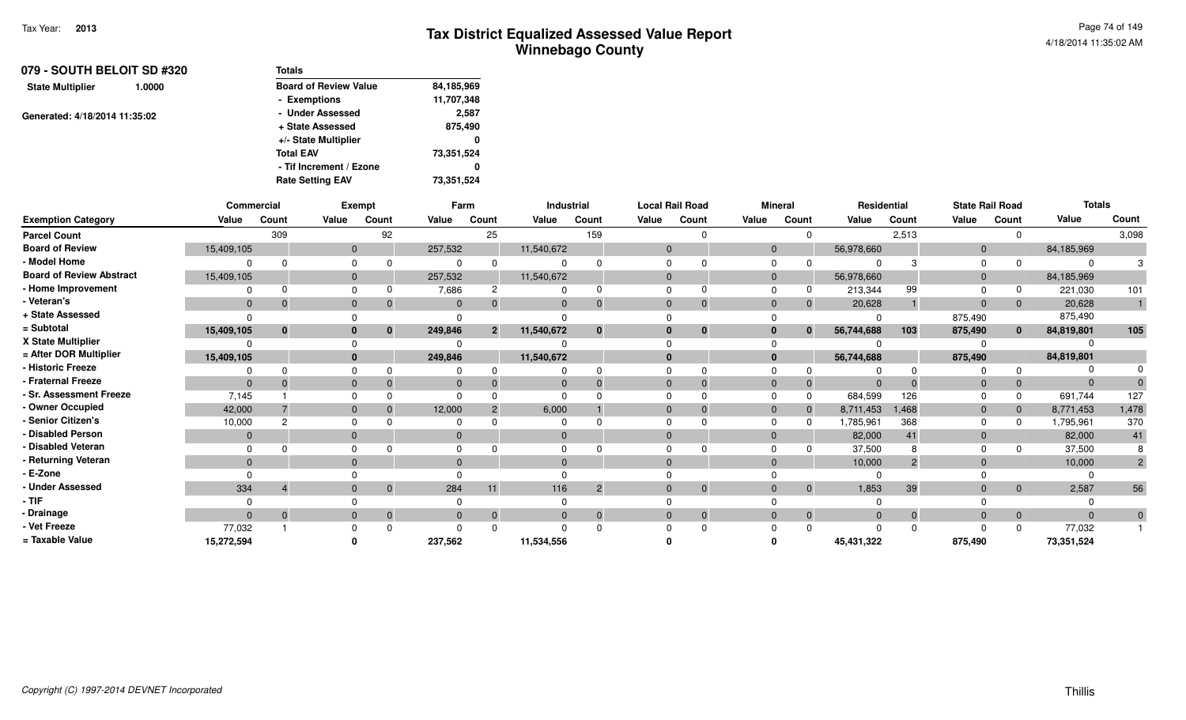| 079 - SOUTH BELOIT SD #320        | <b>Totals</b>                |            |
|-----------------------------------|------------------------------|------------|
| <b>State Multiplier</b><br>1.0000 | <b>Board of Review Value</b> | 84,185,969 |
|                                   | - Exemptions                 | 11,707,348 |
| Generated: 4/18/2014 11:35:02     | - Under Assessed             | 2,587      |
|                                   | + State Assessed             | 875,490    |
|                                   | +/- State Multiplier         | 0          |
|                                   | <b>Total EAV</b>             | 73,351,524 |
|                                   | - Tif Increment / Ezone      | 0          |
|                                   | <b>Rate Setting EAV</b>      | 73,351,524 |

|                                 |              | <b>Commercial</b> |              | <b>Exempt</b>  |                | Farm           |              | Industrial   |              | <b>Local Rail Road</b> |              | <b>Mineral</b> |            | Residential    | <b>State Rail Road</b> |                | <b>Totals</b> |                |
|---------------------------------|--------------|-------------------|--------------|----------------|----------------|----------------|--------------|--------------|--------------|------------------------|--------------|----------------|------------|----------------|------------------------|----------------|---------------|----------------|
| <b>Exemption Category</b>       | Value        | Count             | Value        | Count          | Value          | Count          | Value        | Count        | Value        | Count                  | Value        | Count          | Value      | Count          | Value                  | Count          | Value         | Count          |
| <b>Parcel Count</b>             |              | 309               |              | 92             |                | 25             |              | 159          |              |                        |              | $\Omega$       |            | 2,513          |                        | <sup>n</sup>   |               | 3,098          |
| <b>Board of Review</b>          | 15,409,105   |                   | $\mathbf{0}$ |                | 257,532        |                | 11,540,672   |              | $\mathbf{0}$ |                        | $\mathbf{0}$ |                | 56,978,660 |                | $\mathbf{0}$           |                | 84,185,969    |                |
| - Model Home                    |              |                   | $\Omega$     | $\Omega$       | $\Omega$       |                |              |              |              |                        | $\Omega$     |                |            |                |                        |                |               | 3              |
| <b>Board of Review Abstract</b> | 15,409,105   |                   | $\mathbf 0$  |                | 257,532        |                | 11,540,672   |              | $\Omega$     |                        | $\mathbf 0$  |                | 56,978,660 |                | $\mathbf{0}$           |                | 84,185,969    |                |
| - Home Improvement              |              |                   | $\Omega$     |                | 7,686          | 2              |              |              |              |                        | $\Omega$     |                | 213,344    | 99             | 0                      |                | 221,030       | 101            |
| - Veteran's                     | $\mathbf{0}$ | $\Omega$          | $\mathbf{0}$ | $\mathbf{0}$   | $\overline{0}$ | $\mathbf{0}$   | $\mathbf{0}$ |              | $\Omega$     |                        | $\mathbf{0}$ | $\Omega$       | 20,628     |                | $\Omega$               | $\overline{0}$ | 20,628        |                |
| + State Assessed                |              |                   |              |                | $\Omega$       |                |              |              |              |                        |              |                | $\Omega$   |                | 875,490                |                | 875,490       |                |
| = Subtotal                      | 15,409,105   | $\bf{0}$          | $\bf{0}$     | $\bf{0}$       | 249,846        | $\overline{2}$ | 11,540,672   | $\mathbf{0}$ |              | $\bf{0}$               | $\bf{0}$     | $\bf{0}$       | 56,744,688 | 103            | 875,490                | $\mathbf{0}$   | 84,819,801    | 105            |
| X State Multiplier              |              |                   |              |                |                |                |              |              |              |                        | $\Omega$     |                |            |                |                        |                |               |                |
| = After DOR Multiplier          | 15,409,105   |                   |              |                | 249,846        |                | 11,540,672   |              |              |                        | $\mathbf{0}$ |                | 56,744,688 |                | 875,490                |                | 84,819,801    |                |
| - Historic Freeze               |              | $\Omega$          |              |                | $\Omega$       |                |              |              |              |                        |              |                |            |                |                        |                |               | $\Omega$       |
| - Fraternal Freeze              |              |                   |              |                | $\Omega$       |                | $\mathbf{0}$ |              |              |                        | $\mathbf{0}$ |                | $\Omega$   |                | $\mathbf{0}$           |                | $\Omega$      | $\Omega$       |
| - Sr. Assessment Freeze         | 7,145        |                   | $\Omega$     |                | $\Omega$       |                |              |              |              |                        |              |                | 684,599    | 126            |                        |                | 691,744       | 127            |
| - Owner Occupied                | 42,000       |                   | $\mathbf 0$  | $\Omega$       | 12,000         | 2              | 6,000        |              |              |                        | $\mathbf{0}$ | $\Omega$       | 8,711,453  | 1,468          | $\mathbf{0}$           | $\mathbf{0}$   | 8,771,453     | 1,478          |
| - Senior Citizen's              | 10,000       |                   |              |                | O              |                |              |              |              |                        |              |                | 1,785,961  | 368            |                        | $\Omega$       | 1,795,961     | 370            |
| - Disabled Person               | $\mathbf{0}$ |                   | $\mathbf{0}$ |                | $\Omega$       |                | $\Omega$     |              | $\Omega$     |                        | $\mathbf{0}$ |                | 82,000     | 41             | $\Omega$               |                | 82,000        | 41             |
| - Disabled Veteran              |              |                   | $\Omega$     |                | $\Omega$       |                |              |              |              |                        | $\Omega$     |                | 37,500     |                |                        |                | 37,500        | 8              |
| - Returning Veteran             | $\Omega$     |                   | $\mathbf{0}$ |                | $\mathbf{0}$   |                | $\mathbf{0}$ |              |              |                        | $\mathbf{0}$ |                | 10,000     | $\overline{2}$ | $\mathbf{0}$           |                | 10,000        | $\overline{2}$ |
| - E-Zone                        |              |                   |              |                | $\Omega$       |                |              |              |              |                        |              |                |            |                |                        |                |               |                |
| - Under Assessed                | 334          |                   | $\mathbf{0}$ | $\overline{0}$ | 284            | 11             | 116          | 2            | $\Omega$     | $\Omega$               | $\mathbf{0}$ | $\overline{0}$ | 1,853      | 39             | $\Omega$               | $\overline{0}$ | 2,587         | 56             |
| $-$ TIF                         |              |                   |              |                | $\Omega$       |                |              |              |              |                        |              |                |            |                |                        |                |               |                |
| - Drainage                      | $\Omega$     | $\Omega$          | $\Omega$     | $\mathbf 0$    | $\mathbf{0}$   | $\Omega$       | $\Omega$     |              | $\Omega$     | $\Omega$               | $\Omega$     | $\Omega$       | $\Omega$   | $\mathbf 0$    | $\Omega$               | $\mathbf{0}$   | $\Omega$      | $\mathbf{0}$   |
| - Vet Freeze                    | 77,032       |                   |              | $\Omega$       | $\Omega$       |                |              |              |              |                        |              |                |            |                |                        | $\Omega$       | 77,032        |                |
| = Taxable Value                 | 15,272,594   |                   |              |                | 237,562        |                | 11,534,556   |              |              |                        |              |                | 45,431,322 |                | 875,490                |                | 73,351,524    |                |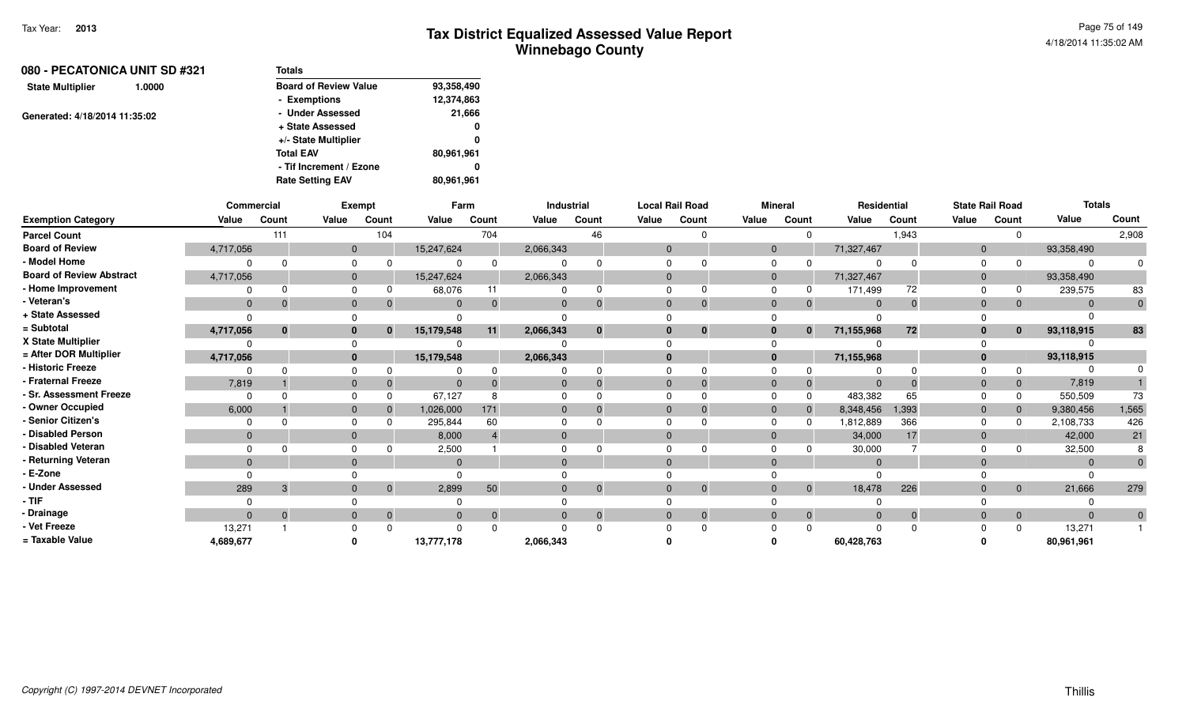| 080 - PECATONICA UNIT SD #321     |  | <b>Totals</b>                |            |
|-----------------------------------|--|------------------------------|------------|
| <b>State Multiplier</b><br>1.0000 |  | <b>Board of Review Value</b> | 93,358,490 |
|                                   |  | - Exemptions                 | 12,374,863 |
| Generated: 4/18/2014 11:35:02     |  | - Under Assessed             | 21,666     |
|                                   |  | + State Assessed             | 0          |
|                                   |  | +/- State Multiplier         | 0          |
|                                   |  | <b>Total EAV</b>             | 80,961,961 |
|                                   |  | - Tif Increment / Ezone      |            |
|                                   |  | <b>Rate Setting EAV</b>      | 80,961,961 |
|                                   |  |                              |            |

|                                 | Commercial     |              |              | Exempt         | Farm         |          | <b>Industrial</b> |                |          | <b>Local Rail Road</b> |                | <b>Mineral</b> | Residential |          |              | <b>State Rail Road</b> | <b>Totals</b> |                |
|---------------------------------|----------------|--------------|--------------|----------------|--------------|----------|-------------------|----------------|----------|------------------------|----------------|----------------|-------------|----------|--------------|------------------------|---------------|----------------|
| <b>Exemption Category</b>       | Value          | Count        | Value        | Count          | Value        | Count    | Value             | Count          | Value    | Count                  | Value          | Count          | Value       | Count    | Value        | Count                  | Value         | Count          |
| <b>Parcel Count</b>             |                | 111          |              | 104            |              | 704      |                   | 46             |          |                        |                |                |             | 1,943    |              | $\Omega$               |               | 2,908          |
| <b>Board of Review</b>          | 4,717,056      |              | $\mathbf{0}$ |                | 15,247,624   |          | 2,066,343         |                | $\Omega$ |                        | $\mathbf 0$    |                | 71,327,467  |          | $\mathbf 0$  |                        | 93,358,490    |                |
| - Model Home                    |                |              |              |                |              |          |                   |                |          |                        |                |                |             |          | $\Omega$     |                        |               |                |
| <b>Board of Review Abstract</b> | 4,717,056      |              | $\mathbf{0}$ |                | 15,247,624   |          | 2,066,343         |                | $\Omega$ |                        | $\overline{0}$ |                | 71,327,467  |          | $\mathbf{0}$ |                        | 93,358,490    |                |
| - Home Improvement              |                |              | $\Omega$     |                | 68,076       | 11       |                   |                | $\Omega$ |                        |                |                | 171,499     | 72       | $\Omega$     |                        | 239,575       | 83             |
| - Veteran's                     | $\mathbf{0}$   | $\mathbf{0}$ | $\mathbf{0}$ | $\mathbf{0}$   | $\mathbf{0}$ | $\Omega$ | $\mathbf{0}$      | $\overline{0}$ | $\Omega$ | $\Omega$               | $\Omega$       | $\overline{0}$ | $\Omega$    | $\Omega$ | $\Omega$     | $\overline{0}$         | $\mathbf{0}$  | $\overline{0}$ |
| + State Assessed                |                |              |              |                |              |          |                   |                |          |                        |                |                |             |          |              |                        |               |                |
| = Subtotal                      | 4,717,056      | $\mathbf{0}$ | $\bf{0}$     | $\mathbf{0}$   | 15,179,548   | 11       | 2,066,343         | $\bf{0}$       |          | $\mathbf{0}$<br>0      |                | $\bf{0}$       | 71,155,968  | 72       | 0            | $\mathbf{0}$           | 93,118,915    | 83             |
| X State Multiplier              |                |              |              |                |              |          |                   |                |          |                        |                |                |             |          |              |                        |               |                |
| = After DOR Multiplier          | 4,717,056      |              | $\mathbf{0}$ |                | 15,179,548   |          | 2,066,343         |                | $\Omega$ |                        |                |                | 71,155,968  |          |              |                        | 93,118,915    |                |
| - Historic Freeze               | O              | $\Omega$     |              |                |              | $\Omega$ |                   |                |          |                        |                |                |             |          |              |                        |               |                |
| - Fraternal Freeze              | 7,819          |              | $\Omega$     |                | $\Omega$     |          | $\Omega$          |                | $\Omega$ |                        |                | $\Omega$       | $\Omega$    |          | $\Omega$     | $\overline{0}$         | 7,819         |                |
| - Sr. Assessment Freeze         | $\Omega$       |              |              |                | 67,127       |          |                   |                |          |                        |                |                | 483,382     | 65       |              | $\Omega$               | 550,509       | 73             |
| - Owner Occupied                | 6,000          |              | $\mathbf{0}$ |                | 1,026,000    | 171      |                   |                | $\Omega$ |                        | $\mathbf 0$    | $\mathbf{0}$   | 8,348,456   | 1,393    | $\mathbf 0$  | $\overline{0}$         | 9,380,456     | 1,565          |
| - Senior Citizen's              |                |              |              |                | 295,844      | 60       |                   |                |          |                        |                |                | 1,812,889   | 366      | 0            |                        | 2,108,733     | 426            |
| - Disabled Person               | $\overline{0}$ |              | $\mathbf{0}$ |                | 8,000        |          | $\Omega$          |                | $\Omega$ |                        | $\Omega$       |                | 34,000      | 17       | $\Omega$     |                        | 42,000        | 21             |
| - Disabled Veteran              |                |              | $\Omega$     |                | 2,500        |          |                   |                |          |                        |                |                | 30,000      |          |              |                        | 32,500        |                |
| - Returning Veteran             | $\Omega$       |              | $\Omega$     |                | $\Omega$     |          | $\Omega$          |                | $\Omega$ |                        |                |                | $\Omega$    |          |              |                        | $\Omega$      | $\overline{0}$ |
| - E-Zone                        |                |              |              |                |              |          |                   |                |          |                        |                |                |             |          |              |                        |               |                |
| - Under Assessed                | 289            | 3            |              | $\mathbf{0}$   | 2,899        | 50       | 0                 | $\mathbf 0$    | $\Omega$ | $\Omega$               |                | $\overline{0}$ | 18,478      | 226      | $\Omega$     | $\overline{0}$         | 21,666        | 279            |
| - TIF                           |                |              |              |                |              |          |                   |                |          |                        |                |                |             |          |              |                        |               |                |
| - Drainage                      | $\Omega$       | $\Omega$     | $\mathbf{0}$ | $\overline{0}$ | $\Omega$     | $\Omega$ | $\Omega$          | $\mathbf{0}$   | $\Omega$ | $\mathbf{0}$           |                | $\overline{0}$ | $\Omega$    |          | $\Omega$     | $\overline{0}$         | $\Omega$      | $\overline{0}$ |
| - Vet Freeze                    | 13,271         |              |              |                |              | $\Omega$ |                   |                |          |                        |                |                |             |          |              | $\Omega$               | 13,271        |                |
| = Taxable Value                 | 4,689,677      |              |              |                | 13,777,178   |          | 2,066,343         |                |          |                        |                |                | 60,428,763  |          |              |                        | 80,961,961    |                |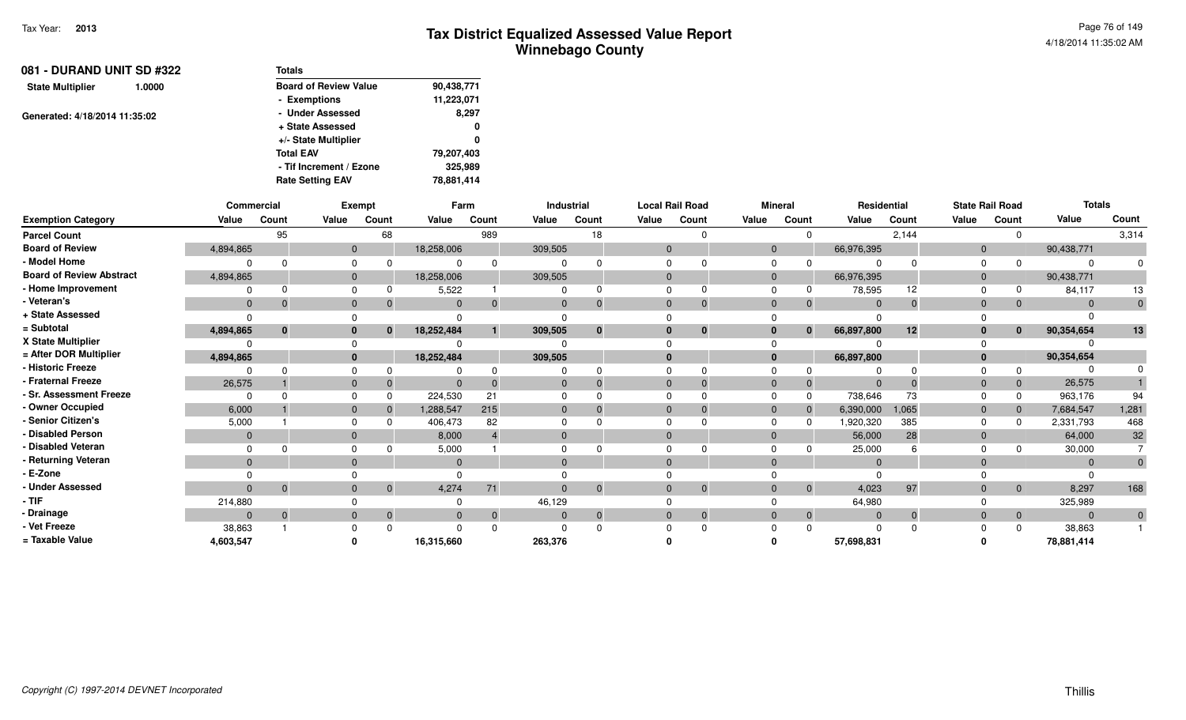| 081 - DURAND UNIT SD #322<br>1.0000<br>Generated: 4/18/2014 11:35:02 | Totals                       |            |
|----------------------------------------------------------------------|------------------------------|------------|
| <b>State Multiplier</b>                                              | <b>Board of Review Value</b> | 90,438,771 |
|                                                                      | - Exemptions                 | 11,223,071 |
|                                                                      | - Under Assessed             | 8,297      |
|                                                                      | + State Assessed             | 0          |
|                                                                      | +/- State Multiplier         | 0          |
|                                                                      | <b>Total EAV</b>             | 79,207,403 |
|                                                                      | - Tif Increment / Ezone      | 325,989    |
|                                                                      | <b>Rate Setting EAV</b>      | 78,881,414 |

|                                 | Commercial   |              |                | <b>Exempt</b>  | Farm       |          | Industrial   |                | <b>Local Rail Road</b> |              | <b>Mineral</b> |                | Residential |       |              | <b>State Rail Road</b> | <b>Totals</b>  |                |
|---------------------------------|--------------|--------------|----------------|----------------|------------|----------|--------------|----------------|------------------------|--------------|----------------|----------------|-------------|-------|--------------|------------------------|----------------|----------------|
| <b>Exemption Category</b>       | Value        | Count        | Value          | Count          | Value      | Count    | Value        | Count          | Value                  | Count        | Value          | Count          | Value       | Count | Value        | Count                  | Value          | Count          |
| <b>Parcel Count</b>             |              | 95           |                | 68             |            | 989      |              | 18             |                        |              |                | <sup>0</sup>   |             | 2,144 |              | $\Omega$               |                | 3,314          |
| <b>Board of Review</b>          | 4,894,865    |              | $\mathbf 0$    |                | 18,258,006 |          | 309,505      |                | $\Omega$               |              | $\Omega$       |                | 66,976,395  |       | $\mathbf{0}$ |                        | 90,438,771     |                |
| - Model Home                    |              | $\Omega$     |                |                |            |          |              |                |                        |              |                |                |             |       | $\Omega$     |                        |                |                |
| <b>Board of Review Abstract</b> | 4,894,865    |              | $\mathbf{0}$   |                | 18,258,006 |          | 309,505      |                | $\Omega$               |              | $\mathbf 0$    |                | 66,976,395  |       | $\mathbf{0}$ |                        | 90,438,771     |                |
| - Home Improvement              |              | $\Omega$     |                |                | 5,522      |          |              |                | $\Omega$               |              |                |                | 78,595      | 12    | $\Omega$     |                        | 84,117         | 13             |
| - Veteran's                     | $\mathbf{0}$ | $\mathbf{0}$ | $\overline{0}$ |                | $\Omega$   |          | $\Omega$     |                | $\Omega$               | $\Omega$     |                | $\overline{0}$ | $\Omega$    |       | $\Omega$     | $\overline{0}$         | $\mathbf{0}$   | $\overline{0}$ |
| + State Assessed                |              |              |                |                |            |          |              |                |                        |              |                |                |             |       |              |                        |                |                |
| = Subtotal                      | 4,894,865    | $\bf{0}$     |                | $\bf{0}$       | 18,252,484 |          | 309,505      | $\bf{0}$       | $\bf{0}$               | $\bf{0}$     |                | $\bf{0}$       | 66,897,800  | 12    | 0            | $\mathbf{0}$           | 90,354,654     | 13             |
| X State Multiplier              |              |              |                |                |            |          |              |                |                        |              |                |                |             |       |              |                        |                |                |
| = After DOR Multiplier          | 4,894,865    |              |                |                | 18,252,484 |          | 309,505      |                |                        |              |                |                | 66,897,800  |       |              |                        | 90,354,654     |                |
| - Historic Freeze               |              | $\Omega$     |                |                |            |          |              |                |                        |              |                |                |             |       |              |                        |                |                |
| - Fraternal Freeze              | 26,575       |              | $\mathbf{0}$   |                | $\Omega$   |          | $\mathbf{0}$ |                | $\Omega$               |              |                | $\mathbf{0}$   | $\Omega$    |       | $\mathbf{0}$ | $\overline{0}$         | 26,575         |                |
| - Sr. Assessment Freeze         |              |              |                |                | 224,530    | 21       |              |                |                        |              |                | <sup>n</sup>   | 738,646     | 73    |              | $\Omega$               | 963,176        | 94             |
| - Owner Occupied                | 6,000        |              | $\mathbf{0}$   |                | 1,288,547  | 215      |              |                |                        |              |                | $\Omega$       | 6,390,000   | 1,065 | $\mathbf{0}$ | $\overline{0}$         | 7,684,547      | 1,281          |
| - Senior Citizen's              | 5,000        |              |                |                | 406,473    | 82       |              |                |                        |              |                |                | 1,920,320   | 385   | $\Omega$     |                        | 2,331,793      | 468            |
| - Disabled Person               | $\mathbf{0}$ |              | $\Omega$       |                | 8,000      |          | $\Omega$     |                | $\Omega$               |              | $\Omega$       |                | 56,000      | 28    | $\Omega$     |                        | 64,000         | 32             |
| - Disabled Veteran              |              |              |                |                | 5,000      |          |              |                |                        |              |                |                | 25,000      |       |              |                        | 30,000         |                |
| - Returning Veteran             | $\Omega$     |              | $\Omega$       |                | $\Omega$   |          | $\Omega$     |                | $\Omega$               |              |                |                | $\Omega$    |       |              |                        | $\Omega$       | $\overline{0}$ |
| - E-Zone                        |              |              |                |                |            |          |              |                |                        |              |                |                |             |       |              |                        |                |                |
| - Under Assessed                | $\Omega$     | $\mathbf{0}$ | $\Omega$       | $\mathbf 0$    | 4,274      | 71       | $\Omega$     | $\Omega$       | $\Omega$               | $\Omega$     |                | $\mathbf{0}$   | 4,023       | 97    | $\Omega$     | $\overline{0}$         | 8,297          | 168            |
| $-$ TIF                         | 214,880      |              |                |                |            |          | 46,129       |                |                        |              |                |                | 64,980      |       |              |                        | 325,989        |                |
| - Drainage                      | $\mathbf{0}$ | $\Omega$     | $\mathbf{0}$   | $\overline{0}$ | $\Omega$   | $\Omega$ | $\Omega$     | $\overline{0}$ | $\Omega$               | $\mathbf{0}$ | $\Omega$       | $\mathbf{0}$   | $\Omega$    | 0     | $\Omega$     | $\overline{0}$         | $\overline{0}$ | $\overline{0}$ |
| - Vet Freeze                    | 38,863       |              |                |                |            | $\Omega$ |              |                |                        |              |                |                |             |       |              | $\Omega$               | 38,863         |                |
| = Taxable Value                 | 4,603,547    |              |                |                | 16,315,660 |          | 263,376      |                |                        |              |                |                | 57,698,831  |       |              |                        | 78,881,414     |                |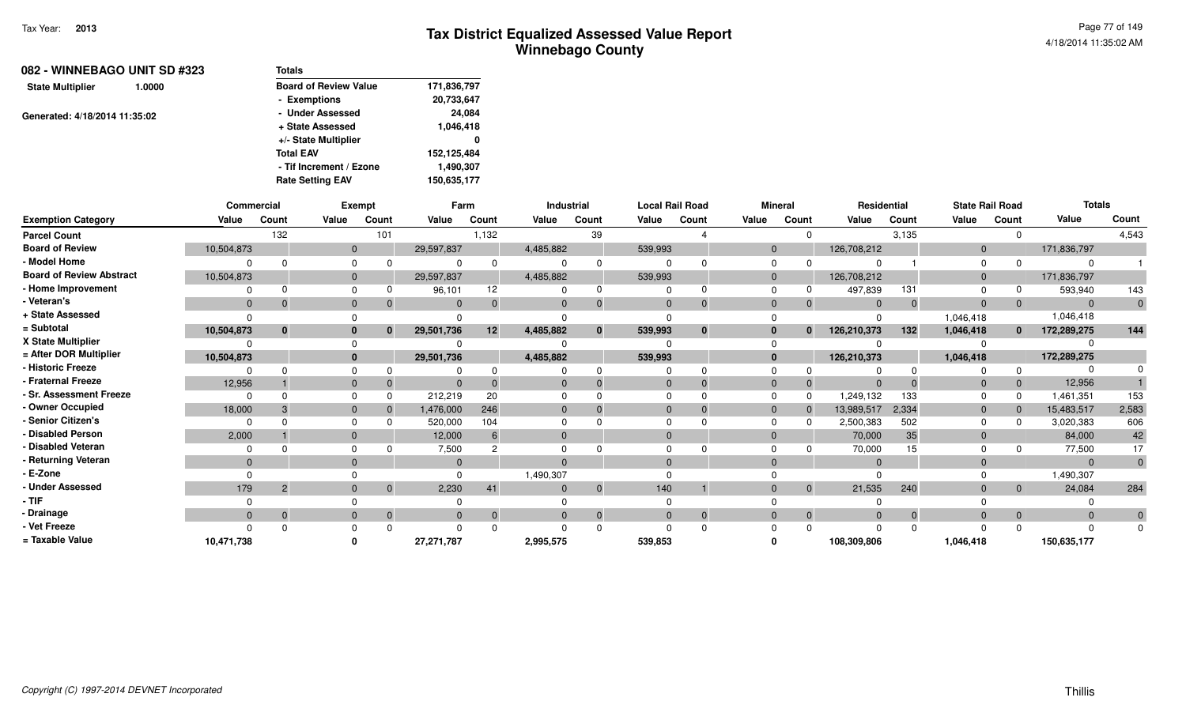| 082 - WINNEBAGO UNIT SD #323<br>1.0000 |  | <b>Totals</b>                |             |
|----------------------------------------|--|------------------------------|-------------|
| <b>State Multiplier</b>                |  | <b>Board of Review Value</b> | 171,836,797 |
|                                        |  | - Exemptions                 | 20,733,647  |
| Generated: 4/18/2014 11:35:02          |  | - Under Assessed             | 24,084      |
|                                        |  | + State Assessed             | 1,046,418   |
|                                        |  | +/- State Multiplier         | 0           |
|                                        |  | <b>Total EAV</b>             | 152,125,484 |
|                                        |  | - Tif Increment / Ezone      | 1,490,307   |
|                                        |  | <b>Rate Setting EAV</b>      | 150,635,177 |
|                                        |  |                              |             |

|                                 | Commercial   |                |          | <b>Exempt</b> | Farm         |          |           | Industrial     |                | <b>Local Rail Road</b> | <b>Mineral</b> |              | Residential |          | <b>State Rail Road</b> |                | <b>Totals</b>  |              |
|---------------------------------|--------------|----------------|----------|---------------|--------------|----------|-----------|----------------|----------------|------------------------|----------------|--------------|-------------|----------|------------------------|----------------|----------------|--------------|
| <b>Exemption Category</b>       | Value        | Count          | Value    | Count         | Value        | Count    | Value     | Count          | Value          | Count                  | Value          | Count        | Value       | Count    | Value                  | Count          | Value          | Count        |
| <b>Parcel Count</b>             |              | 132            |          | 101           |              | 1,132    |           | 39             |                |                        |                |              |             | 3,135    |                        | $\Omega$       |                | 4,543        |
| <b>Board of Review</b>          | 10,504,873   |                |          | $\mathbf{0}$  | 29,597,837   |          | 4,485,882 |                | 539,993        |                        | $\overline{0}$ |              | 126,708,212 |          | $\mathbf{0}$           |                | 171,836,797    |              |
| - Model Home                    |              |                |          | $\Omega$      |              | 0        |           | $\Omega$       |                |                        | $\Omega$       |              |             |          | $\Omega$               |                | $\Omega$       |              |
| <b>Board of Review Abstract</b> | 10,504,873   |                |          | $\Omega$      | 29,597,837   |          | 4,485,882 |                | 539,993        |                        | $\Omega$       |              | 126,708,212 |          | $\Omega$               |                | 171,836,797    |              |
| - Home Improvement              |              |                | $\Omega$ |               | 96,101       | 12       |           | ∩              |                |                        | $\Omega$       |              | 497,839     | 131      |                        |                | 593,940        | 143          |
| - Veteran's                     | $\mathbf{0}$ |                |          | $\mathbf{0}$  | $\mathbf{0}$ | $\Omega$ |           | $\Omega$       | $\mathbf{0}$   | $\Omega$               | $\Omega$       |              | $\Omega$    | $\Omega$ | $\Omega$               | $\overline{0}$ | $\overline{0}$ | $\mathbf{0}$ |
| + State Assessed                |              |                |          |               |              |          |           |                |                |                        |                |              |             |          | 1,046,418              |                | 1,046,418      |              |
| = Subtotal                      | 10,504,873   | $\bf{0}$       |          | $\bf{0}$      | 29,501,736   | 12       | 4,485,882 | $\bf{0}$       | 539,993        | 0                      |                |              | 126,210,373 | 132      | 1,046,418              | $\mathbf{0}$   | 172,289,275    | 144          |
| X State Multiplier              |              |                |          | $\Omega$      |              |          |           |                |                |                        |                |              |             |          |                        |                |                |              |
| = After DOR Multiplier          | 10,504,873   |                |          | $\bf{0}$      | 29,501,736   |          | 4,485,882 |                | 539,993        |                        | $\Omega$       |              | 126,210,373 |          | 1,046,418              |                | 172,289,275    |              |
| - Historic Freeze               |              |                |          |               |              |          |           | $\Omega$       |                |                        |                |              |             |          |                        |                |                |              |
| - Fraternal Freeze              | 12,956       |                |          | $\Omega$      |              |          |           | $\Omega$       | $\overline{0}$ |                        | $\Omega$       |              | $\Omega$    |          | $\Omega$               | $\overline{0}$ | 12,956         |              |
| - Sr. Assessment Freeze         |              |                |          |               | 212,219      | 20       |           |                |                |                        |                |              | 1,249,132   | 133      |                        |                | 1,461,351      | 153          |
| - Owner Occupied                | 18,000       |                |          | $\mathbf{0}$  | 1,476,000    | 246      |           |                | $\mathbf{0}$   |                        |                |              | 13,989,517  | 2,334    | $\overline{0}$         |                | 15,483,517     | 2,583        |
| - Senior Citizen's              |              |                | $\Omega$ |               | 520,000      | 104      |           |                | $\Omega$       |                        | $\Omega$       |              | 2,500,383   | 502      | 0                      |                | 3,020,383      | 606          |
| - Disabled Person               | 2,000        |                |          | $\Omega$      | 12,000       | 6        | $\Omega$  |                | $\Omega$       |                        | $\Omega$       |              | 70,000      | 35       | $\Omega$               |                | 84,000         | 42           |
| - Disabled Veteran              |              |                | $\Omega$ |               | 7,500        |          |           |                |                |                        |                |              | 70,000      |          |                        |                | 77,500         | 17           |
| - Returning Veteran             | $\Omega$     |                |          | $\Omega$      | $\Omega$     |          |           |                | $\Omega$       |                        | $\Omega$       |              | $\Omega$    |          |                        |                | $\Omega$       | $\mathbf{0}$ |
| - E-Zone                        |              |                |          |               |              |          | 1,490,307 |                |                |                        |                |              |             |          |                        |                | 1,490,307      |              |
| - Under Assessed                | 179          | $\overline{2}$ |          | $\Omega$      | 2,230        | 41       |           | $\overline{0}$ | 140            |                        | $\Omega$       | $\mathbf{0}$ | 21,535      | 240      | $\Omega$               | $\overline{0}$ | 24,084         | 284          |
| - TIF                           |              |                |          |               |              |          |           |                |                |                        |                |              |             |          |                        |                |                |              |
| - Drainage                      | $\Omega$     |                |          | $\Omega$      | $\Omega$     | $\Omega$ |           | $\overline{0}$ | $\Omega$       | $\Omega$               | $\Omega$       |              | $\Omega$    |          | $\Omega$               | $\overline{0}$ | $\Omega$       | $\mathbf{0}$ |
| - Vet Freeze                    |              |                |          |               |              |          |           | $\Omega$       |                |                        |                |              | $\Omega$    |          |                        |                | $\Omega$       |              |
| = Taxable Value                 | 10,471,738   |                |          |               | 27,271,787   |          | 2,995,575 |                | 539,853        |                        |                |              | 108,309,806 |          | 1,046,418              |                | 150,635,177    |              |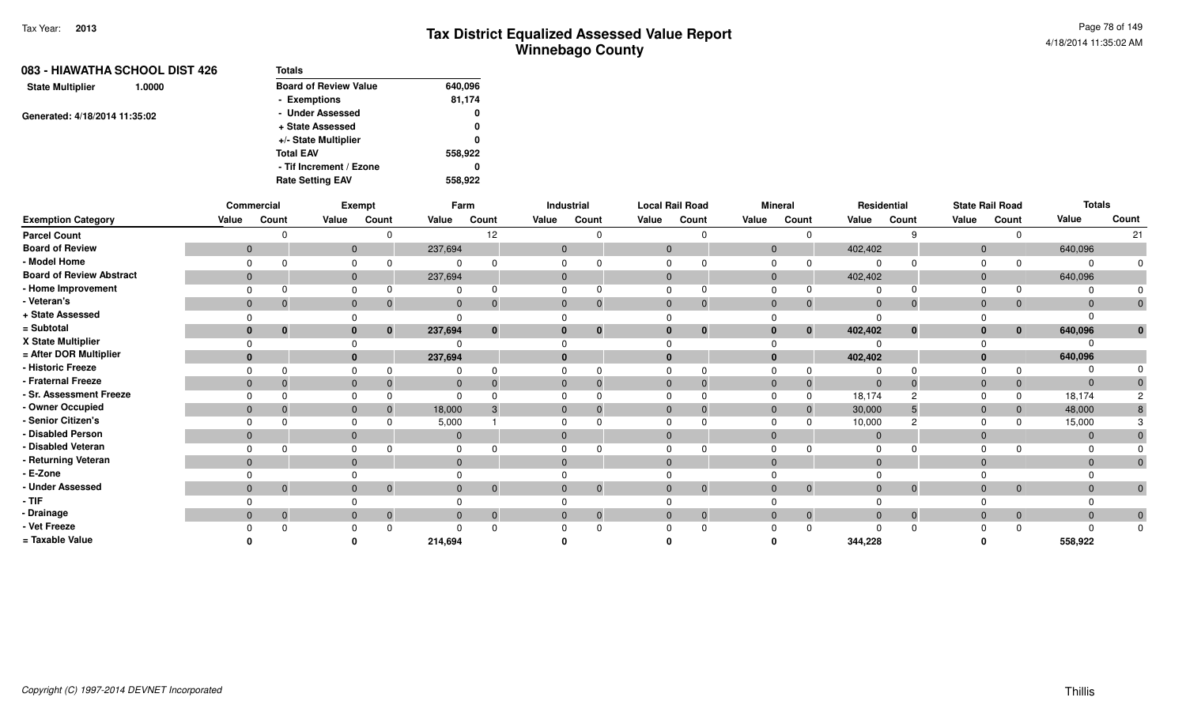| 083 - HIAWATHA SCHOOL DIST 426<br>1.0000 | <b>Totals</b>                |         |
|------------------------------------------|------------------------------|---------|
| <b>State Multiplier</b>                  | <b>Board of Review Value</b> | 640,096 |
|                                          | - Exemptions                 | 81,174  |
| Generated: 4/18/2014 11:35:02            | - Under Assessed             | 0       |
|                                          | + State Assessed             | 0       |
|                                          | +/- State Multiplier         | 0       |
|                                          | <b>Total EAV</b>             | 558,922 |
|                                          | - Tif Increment / Ezone      | 0       |
|                                          | <b>Rate Setting EAV</b>      | 558.922 |

|                                 |                | Commercial   |       | Exempt                      |                | Farm            | Industrial   |              |              | <b>Local Rail Road</b> |              | <b>Mineral</b> |         | Residential                 |              | <b>State Rail Road</b> |          | <b>Totals</b> |
|---------------------------------|----------------|--------------|-------|-----------------------------|----------------|-----------------|--------------|--------------|--------------|------------------------|--------------|----------------|---------|-----------------------------|--------------|------------------------|----------|---------------|
| <b>Exemption Category</b>       | Value          | Count        | Value | Count                       | Value          | Count           | Value        | Count        | Value        | Count                  | Value        | Count          | Value   | Count                       | Value        | Count                  | Value    | Count         |
| <b>Parcel Count</b>             |                | $\Omega$     |       | $\Omega$                    |                | 12 <sup>°</sup> |              |              |              | O                      |              |                |         | Ω                           |              |                        |          | 21            |
| <b>Board of Review</b>          | $\mathbf{0}$   |              |       | $\mathbf{0}$                | 237,694        |                 | $\mathbf 0$  |              | $\mathbf{0}$ |                        | $\mathbf 0$  |                | 402,402 |                             | $\mathbf 0$  |                        | 640,096  |               |
| - Model Home                    |                |              |       | $\Omega$                    | 0              | $\Omega$        | $\Omega$     |              |              |                        |              |                |         |                             |              |                        |          |               |
| <b>Board of Review Abstract</b> | $\mathbf{0}$   |              |       | $\mathbf 0$                 | 237,694        |                 | $\mathbf{0}$ |              | $\mathbf{0}$ |                        | $\mathbf{0}$ |                | 402,402 |                             | $\mathbf{0}$ |                        | 640,096  |               |
| - Home Improvement              |                | $\Omega$     |       | $\Omega$                    | $\Omega$       | $\Omega$        | $\mathbf 0$  |              | $\Omega$     |                        | 0            |                |         |                             | $\Omega$     |                        |          | $\Omega$      |
| - Veteran's                     | $\overline{0}$ | $\Omega$     |       | $\mathbf{0}$<br>$\Omega$    | $\overline{0}$ | $\overline{0}$  | $\mathbf 0$  | $\Omega$     | $\mathbf{0}$ | $\mathbf 0$            | $\mathbf 0$  |                |         | $\mathbf 0$<br>$\mathbf 0$  | $\mathbf 0$  | $\mathbf{0}$           |          | $\mathbf 0$   |
| + State Assessed                |                |              |       |                             | $\Omega$       |                 | $\Omega$     |              |              |                        |              |                |         |                             |              |                        |          |               |
| = Subtotal                      | $\bf{0}$       | $\mathbf{0}$ |       | $\mathbf{0}$<br>$\bf{0}$    | 237,694        | $\mathbf 0$     | $\bf{0}$     | $\mathbf{0}$ | $\mathbf{0}$ | $\bf{0}$               | $\mathbf{0}$ | $\mathbf{0}$   | 402,402 | $\mathbf{0}$                | $\mathbf{0}$ | $\bf{0}$               | 640,096  | $\bf{0}$      |
| X State Multiplier              |                |              |       |                             |                |                 | $\Omega$     |              |              |                        |              |                |         |                             |              |                        |          |               |
| = After DOR Multiplier          |                |              |       | $\bf{0}$                    | 237,694        |                 | $\mathbf{0}$ |              |              |                        |              |                | 402,402 |                             | $\bf{0}$     |                        | 640,096  |               |
| - Historic Freeze               |                | 0            |       | $\Omega$                    | 0              | $\Omega$        | $\Omega$     |              |              |                        |              |                |         |                             | $\Omega$     |                        |          |               |
| - Fraternal Freeze              | $\mathbf 0$    |              |       | $\mathbf{0}$                | $\mathbf 0$    |                 | $\mathbf 0$  |              | $\mathbf{0}$ |                        | $\mathbf{0}$ |                |         | $\Omega$                    | $\mathbf 0$  |                        |          |               |
| - Sr. Assessment Freeze         |                |              |       | $\Omega$                    | $\Omega$       |                 | $\Omega$     |              | $\Omega$     |                        |              |                | 18,174  |                             | $\Omega$     |                        | 18,174   |               |
| - Owner Occupied                | $\mathbf{0}$   | $\Omega$     |       | $\mathbf 0$<br>$\Omega$     | 18,000         | 3               | $\mathbf 0$  |              | $\mathbf{0}$ |                        | $\mathbf{0}$ |                | 30,000  |                             | $\mathbf 0$  | $\mathbf{0}$           | 48,000   |               |
| - Senior Citizen's              |                |              |       | $\Omega$                    | 5,000          |                 | $\mathbf 0$  |              |              |                        |              |                | 10,000  |                             | $\Omega$     |                        | 15,000   |               |
| - Disabled Person               | $\mathbf{0}$   |              |       | $\overline{0}$              | $\mathbf 0$    |                 | $\mathbf{0}$ |              | $\Omega$     |                        | $\Omega$     |                |         | $\Omega$                    | $\mathbf{0}$ |                        | $\Omega$ |               |
| - Disabled Veteran              |                |              | 0     |                             | $\Omega$       |                 | $\Omega$     |              |              |                        |              |                |         |                             |              |                        |          |               |
| - Returning Veteran             | $\Omega$       |              |       | $\mathbf{0}$                | $\Omega$       |                 | $\mathbf 0$  |              | $\Omega$     |                        | $\Omega$     |                |         | $\Omega$                    | $\mathbf{0}$ |                        |          | $\mathbf 0$   |
| - E-Zone                        |                |              |       |                             |                |                 |              |              |              |                        |              |                |         |                             |              |                        |          |               |
| - Under Assessed                | $\mathbf{0}$   | $\mathbf{0}$ |       | $\mathbf{0}$<br>$\mathbf 0$ | $\mathbf 0$    | $\overline{0}$  | $\mathbf 0$  | $\mathbf 0$  | $\mathbf{0}$ | $\mathbf 0$            | $\mathbf{0}$ | $\mathbf 0$    |         | $\mathbf{0}$<br>$\mathbf 0$ | $\mathbf{0}$ | $\overline{0}$         |          | $\mathbf 0$   |
| - TIF                           |                |              |       |                             |                |                 |              |              |              |                        |              |                |         |                             |              |                        |          |               |
| - Drainage                      | $\Omega$       | $\Omega$     |       | $\mathbf{0}$<br>$\mathbf 0$ | $\mathbf{0}$   | $\overline{0}$  | $\mathbf 0$  | $\mathbf{0}$ | $\mathbf{0}$ | $\mathbf{0}$           | $\mathbf{0}$ | $\Omega$       |         | $\Omega$<br>$\mathbf{0}$    | $\mathbf{0}$ | $\overline{0}$         |          | $\mathbf 0$   |
| - Vet Freeze                    |                | $\Omega$     |       | $\Omega$                    | $\Omega$       | $\Omega$        | $\Omega$     |              |              |                        |              |                |         |                             |              |                        |          | 0             |
| = Taxable Value                 |                |              |       |                             | 214,694        |                 |              |              |              |                        |              |                | 344,228 |                             |              |                        | 558,922  |               |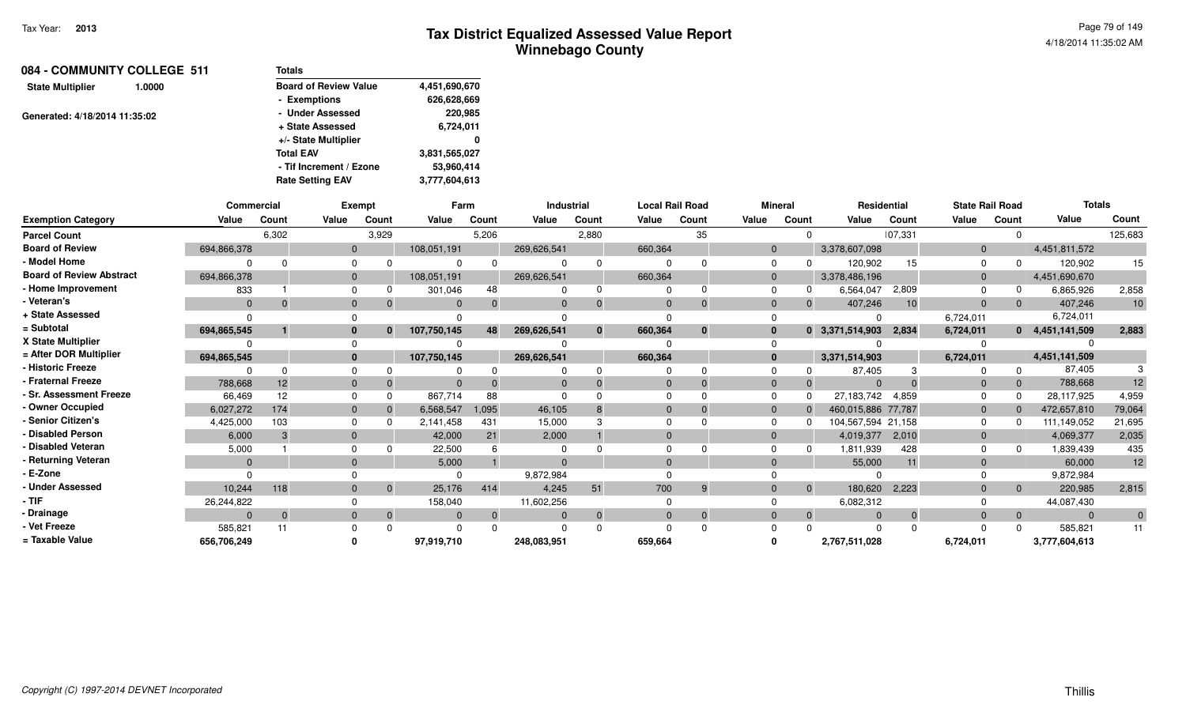| <b>Totals</b>                |               |
|------------------------------|---------------|
| <b>Board of Review Value</b> | 4,451,690,670 |
| - Exemptions                 | 626,628,669   |
| - Under Assessed             | 220,985       |
| + State Assessed             | 6,724,011     |
| +/- State Multiplier         | 0             |
| <b>Total EAV</b>             | 3,831,565,027 |
| - Tif Increment / Ezone      | 53,960,414    |
| <b>Rate Setting EAV</b>      | 3,777,604,613 |
|                              |               |

|                                 | <b>Commercial</b> |              |              | Exempt         | Farm        |          |             | Industrial |          | <b>Local Rail Road</b> |          | <b>Mineral</b> |                    | Residential | <b>State Rail Road</b> |                | <b>Totals</b>          |                 |
|---------------------------------|-------------------|--------------|--------------|----------------|-------------|----------|-------------|------------|----------|------------------------|----------|----------------|--------------------|-------------|------------------------|----------------|------------------------|-----------------|
| <b>Exemption Category</b>       | Value             | Count        | Value        | Count          | Value       | Count    | Value       | Count      | Value    | Count                  | Value    | Count          | Value              | Count       | Value                  | Count          | Value                  | Count           |
| <b>Parcel Count</b>             |                   | 6,302        |              | 3,929          |             | 5,206    |             | 2,880      |          | 35                     |          |                |                    | 07,331      |                        | <sup>0</sup>   |                        | 125,683         |
| <b>Board of Review</b>          | 694,866,378       |              | $\mathbf{0}$ |                | 108,051,191 |          | 269,626,541 |            | 660,364  |                        | $\Omega$ |                | 3,378,607,098      |             | $\mathbf 0$            |                | 4,451,811,572          |                 |
| - Model Home                    |                   |              | $\Omega$     |                |             |          |             |            |          |                        |          |                | 120,902            | 15          | $\Omega$               |                | 120,902                |                 |
| <b>Board of Review Abstract</b> | 694,866,378       |              |              |                | 108,051,191 |          | 269,626,541 |            | 660,364  |                        | $\Omega$ |                | 3,378,486,196      |             | $\Omega$               |                | 4,451,690,670          |                 |
| - Home Improvement              | 833               |              |              |                | 301,046     | 48       |             |            |          |                        |          |                | 6,564,047          | 2,809       |                        |                | 6,865,926              | 2,858           |
| - Veteran's                     | $\Omega$          |              |              | $\Omega$       |             | $\Omega$ | $\Omega$    |            | $\Omega$ | $\Omega$               |          |                | 407,246            | 10          | $\Omega$               | $\overline{0}$ | 407,246                | 10              |
| + State Assessed                |                   |              |              |                |             |          |             |            |          |                        |          |                | <sup>0</sup>       |             | 6,724,011              |                | 6,724,011              |                 |
| = Subtotal                      | 694,865,545       |              |              | $\mathbf{0}$   | 107,750,145 | 48       | 269,626,541 | $\bf{0}$   | 660,364  | $\bf{0}$               |          |                | $0$ 3,371,514,903  | 2,834       | 6,724,011              |                | $0\quad 4,451,141,509$ | 2,883           |
| X State Multiplier              |                   |              |              |                |             |          |             |            |          |                        |          |                |                    |             |                        |                |                        |                 |
| = After DOR Multiplier          | 694,865,545       |              |              |                | 107,750,145 |          | 269,626,541 |            | 660,364  |                        |          |                | 3,371,514,903      |             | 6,724,011              |                | 4,451,141,509          |                 |
| - Historic Freeze               |                   | <sup>0</sup> |              |                |             |          |             |            |          |                        |          |                | 87,405             |             |                        | $\Omega$       | 87,405                 |                 |
| <b>Fraternal Freeze</b>         | 788,668           | 12           |              | $\Omega$       |             |          | $\Omega$    |            |          |                        | $\Omega$ |                | $\Omega$           |             |                        | $\Omega$       | 788,668                | 12 <sup>2</sup> |
| · Sr. Assessment Freeze         | 66,469            | 12           |              | 0              | 867,714     | 88       |             |            |          |                        |          |                | 27,183,742         | 4,859       |                        |                | 28,117,925             | 4,959           |
| - Owner Occupied                | 6,027,272         | 174          |              | $\Omega$       | 6,568,547   | 1,095    | 46,105      |            |          |                        | $\Omega$ |                | 460,015,886 77,787 |             | $\Omega$               |                | 472,657,810            | 79,064          |
| - Senior Citizen's              | 4,425,000         | 103          |              |                | 2,141,458   | 431      | 15,000      |            |          |                        |          |                | 104,567,594 21,158 |             |                        |                | 111,149,052            | 21,695          |
| <b>Disabled Person</b>          | 6,000             |              | $\Omega$     |                | 42,000      | 21       | 2,000       |            |          |                        | $\Omega$ |                | 4,019,377          | 2,010       | $\mathbf 0$            |                | 4,069,377              | 2,035           |
| - Disabled Veteran              | 5,000             |              |              |                | 22,500      |          |             |            |          |                        |          |                | 1,811,939          | 428         |                        |                | 1,839,439              | 435             |
| - Returning Veteran             | $\Omega$          |              |              |                | 5,000       |          | $\Omega$    |            | $\Omega$ |                        |          |                | 55,000             | 11          |                        |                | 60,000                 | 12              |
| - E-Zone                        |                   |              |              |                |             |          | 9,872,984   |            |          |                        |          |                |                    |             |                        |                | 9,872,984              |                 |
| <b>Under Assessed</b>           | 10,244            | 118          |              | $\mathbf 0$    | 25,176      | 414      | 4,245       | 51         | 700      | 9                      |          | $\overline{0}$ | 180,620            | 2,223       | $\mathbf{0}$           | $\overline{0}$ | 220,985                | 2,815           |
| - TIF                           | 26,244,822        |              |              |                | 158,040     |          | 11,602,256  |            |          |                        |          |                | 6,082,312          |             |                        |                | 44,087,430             |                 |
| · Drainage                      |                   |              |              | $\overline{0}$ |             | $\Omega$ | $\Omega$    | $\Omega$   | $\Omega$ | $\Omega$               | $\Omega$ |                | $\Omega$           |             |                        | $\mathbf{0}$   | $\Omega$               | $\overline{0}$  |
| Vet Freeze                      | 585,821           | 11           |              |                |             |          |             |            |          | n                      |          |                | $\Omega$           |             |                        | $\Omega$       | 585,821                | 11              |
| = Taxable Value                 | 656,706,249       |              |              |                | 97,919,710  |          | 248,083,951 |            | 659,664  |                        |          |                | 2,767,511,028      |             | 6,724,011              |                | 3,777,604,613          |                 |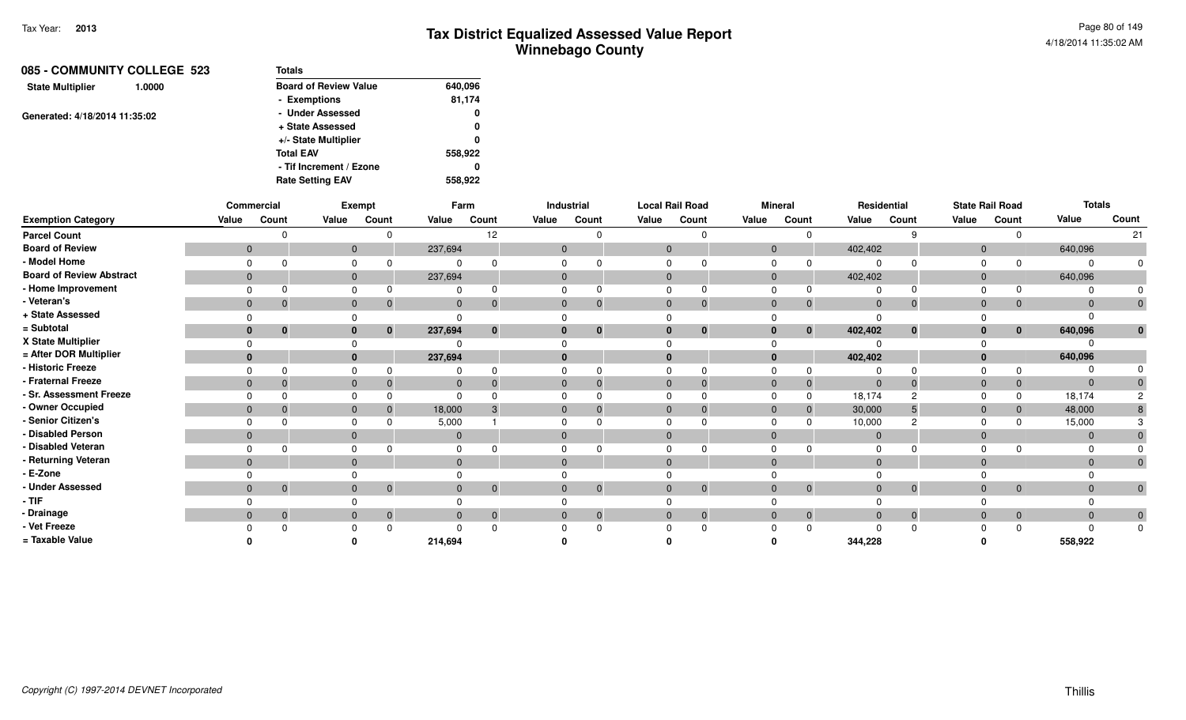| 085 - COMMUNITY COLLEGE 523       | <b>Totals</b>                |         |
|-----------------------------------|------------------------------|---------|
| <b>State Multiplier</b><br>1.0000 | <b>Board of Review Value</b> | 640,096 |
|                                   | - Exemptions                 | 81,174  |
| Generated: 4/18/2014 11:35:02     | - Under Assessed             | 0       |
|                                   | + State Assessed             | 0       |
|                                   | +/- State Multiplier         | 0       |
|                                   | <b>Total EAV</b>             | 558,922 |
|                                   | - Tif Increment / Ezone      | 0       |
|                                   | <b>Rate Setting EAV</b>      | 558.922 |

|                                 |              | <b>Commercial</b> |          | Exempt                         |              | Farm           |                | Industrial   | <b>Local Rail Road</b> |             |              | <b>Mineral</b> | Residential  |              |       | <b>State Rail Road</b> |         | <b>Totals</b> |
|---------------------------------|--------------|-------------------|----------|--------------------------------|--------------|----------------|----------------|--------------|------------------------|-------------|--------------|----------------|--------------|--------------|-------|------------------------|---------|---------------|
| <b>Exemption Category</b>       | Value        | Count             | Value    | Count                          | Value        | Count          | Value          | Count        | Value                  | Count       | Value        | Count          | Value        | Count        | Value | Count                  | Value   | Count         |
| <b>Parcel Count</b>             |              |                   |          |                                |              | 12             |                |              |                        |             |              |                |              |              |       |                        |         | 21            |
| <b>Board of Review</b>          | $\mathbf{0}$ |                   |          | $\mathbf 0$                    | 237,694      |                | $\mathbf{0}$   |              | $\mathbf{0}$           |             | $\mathbf 0$  |                | 402,402      |              | 0     |                        | 640,096 |               |
| - Model Home                    |              |                   |          |                                | $\Omega$     |                | $\Omega$       |              | <sup>n</sup>           |             |              |                |              |              |       |                        |         | $\Omega$      |
| <b>Board of Review Abstract</b> | $\mathbf{0}$ |                   |          | $\mathbf 0$                    | 237,694      |                | $\mathbf{0}$   |              | $\mathbf{0}$           |             | $\mathbf{0}$ |                | 402,402      |              | 0     |                        | 640,096 |               |
| - Home Improvement              |              |                   |          | $\Omega$                       | $\Omega$     | O              | $\Omega$       |              | $\Omega$               |             |              |                |              |              |       | $\Omega$               |         | $\Omega$      |
| - Veteran's                     | $\mathbf{0}$ | $\mathbf 0$       |          | $\mathbf 0$                    | $\mathbf{0}$ | $\mathbf{0}$   | $\mathbf 0$    | $\Omega$     | $\overline{0}$         | 0           | $\mathbf{0}$ |                | $\mathbf{0}$ | $\Omega$     | 0     | $\mathbf{0}$           |         | $\mathbf 0$   |
| + State Assessed                |              |                   |          |                                | $\Omega$     |                |                |              |                        |             |              |                |              |              |       |                        |         |               |
| = Subtotal                      | $\bf{0}$     | $\bf{0}$          |          | $\mathbf{0}$<br>$\bf{0}$       | 237,694      | $\mathbf{0}$   | $\mathbf{0}$   | $\bf{0}$     | $\bf{0}$               | $\bf{0}$    |              | $\mathbf{0}$   | 402,402      | $\mathbf{0}$ |       | $\mathbf{0}$           | 640,096 | $\bf{0}$      |
| X State Multiplier              |              |                   |          |                                |              |                |                |              |                        |             |              |                |              |              |       |                        |         |               |
| = After DOR Multiplier          |              |                   |          |                                | 237,694      |                | $\mathbf{0}$   |              | $\bf{0}$               |             |              |                | 402,402      |              |       |                        | 640,096 |               |
| - Historic Freeze               |              |                   |          |                                |              | ŋ              |                |              |                        |             |              |                |              |              |       | $\Omega$               |         |               |
| - Fraternal Freeze              | $\Omega$     |                   | $\Omega$ |                                | $\mathbf{0}$ |                | $\mathbf{0}$   |              | $\mathbf{0}$           |             | $\Omega$     |                | $\Omega$     |              |       | $\mathbf{0}$           |         |               |
| - Sr. Assessment Freeze         |              |                   |          |                                | $\Omega$     |                |                |              |                        |             |              |                | 18,174       |              |       | $\Omega$               | 18,174  |               |
| - Owner Occupied                |              |                   |          | $\Omega$                       | 18,000       |                | $\Omega$       |              | $\mathbf{0}$           |             |              |                | 30,000       |              |       | $\overline{0}$         | 48,000  |               |
| - Senior Citizen's              |              |                   |          |                                | 5,000        |                |                |              |                        |             |              |                | 10,000       |              |       |                        | 15,000  |               |
| Disabled Person                 | $\Omega$     |                   |          | $\mathbf{0}$                   | $\Omega$     |                | $\Omega$       |              | $\Omega$               |             |              |                |              |              |       |                        |         |               |
| Disabled Veteran                |              |                   |          |                                |              |                | $\Omega$       |              |                        |             |              |                |              |              |       |                        |         |               |
| Returning Veteran               | $\Omega$     |                   |          | $\Omega$                       | $\Omega$     |                | $\Omega$       |              | $\Omega$               |             | $\Omega$     |                |              |              |       |                        |         | $\mathbf{0}$  |
| · E-Zone                        |              |                   |          |                                |              |                |                |              |                        |             |              |                |              |              |       |                        |         |               |
| <b>Under Assessed</b>           | $\mathbf{0}$ | $\mathbf 0$       |          | $\mathbf{0}$<br>$\mathbf 0$    | $\mathbf{0}$ | $\mathbf{0}$   | $\overline{0}$ | $\mathbf{0}$ | $\overline{0}$         | $\mathbf 0$ | $\Omega$     | $\Omega$       | $\mathbf{0}$ | $\Omega$     |       | $\overline{0}$         |         | $\mathbf 0$   |
| - TIF                           |              |                   |          |                                |              |                |                |              |                        |             |              |                |              |              |       |                        |         |               |
| - Drainage                      | $\mathbf{0}$ | $\Omega$          |          | $\mathbf{0}$<br>$\overline{0}$ | $\mathbf{0}$ | $\overline{0}$ | $\mathbf{0}$   | $\mathbf{0}$ | $\Omega$               | $\Omega$    | $\Omega$     | $\Omega$       |              | $\Omega$     |       | $\overline{0}$         |         | $\mathbf{0}$  |
| - Vet Freeze                    |              |                   |          |                                |              | ŋ              |                |              |                        |             |              |                |              | $\cap$       |       |                        |         | 0             |
| = Taxable Value                 |              |                   |          |                                | 214,694      |                |                |              |                        |             |              |                | 344,228      |              |       |                        | 558,922 |               |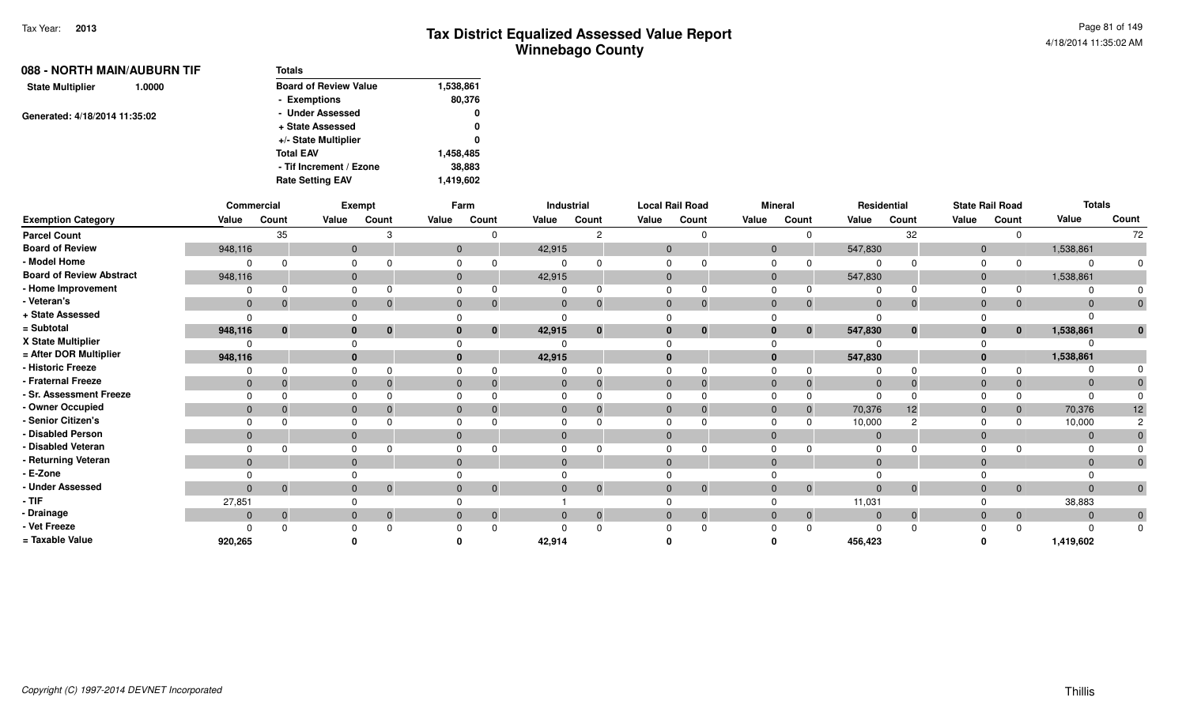| 088 - NORTH MAIN/AUBURN TIF       | <b>Totals</b>                |           |
|-----------------------------------|------------------------------|-----------|
| <b>State Multiplier</b><br>1.0000 | <b>Board of Review Value</b> | 1,538,861 |
|                                   | - Exemptions                 | 80,376    |
| Generated: 4/18/2014 11:35:02     | - Under Assessed             | 0         |
|                                   | + State Assessed             | 0         |
|                                   | +/- State Multiplier         | 0         |
|                                   | <b>Total EAV</b>             | 1,458,485 |
|                                   | - Tif Increment / Ezone      | 38,883    |
|                                   | <b>Rate Setting EAV</b>      | 1,419,602 |

|                                 | Commercial     |                |       | Exempt               |              | Farm                     |              | Industrial     |              | <b>Local Rail Road</b> |                | <b>Mineral</b> | Residential    |              |              | <b>State Rail Road</b> | <b>Totals</b>  |                 |
|---------------------------------|----------------|----------------|-------|----------------------|--------------|--------------------------|--------------|----------------|--------------|------------------------|----------------|----------------|----------------|--------------|--------------|------------------------|----------------|-----------------|
| <b>Exemption Category</b>       | Value          | Count          | Value | Count                | Value        | Count                    | Value        | Count          | Value        | Count                  | Value          | Count          | Value          | Count        | Value        | Count                  | Value          | Count           |
| <b>Parcel Count</b>             |                | 35             |       |                      |              |                          |              |                |              |                        |                |                |                | 32           |              |                        |                | 72              |
| <b>Board of Review</b>          | 948,116        |                |       | $\mathbf{0}$         |              | $\mathbf{0}$             | 42,915       |                | $\mathbf{0}$ |                        | $\overline{0}$ |                | 547,830        |              | $\mathbf 0$  |                        | 1,538,861      |                 |
| - Model Home                    |                |                |       |                      |              |                          |              |                |              |                        | $\Omega$       |                | $\Omega$       |              | $\Omega$     |                        | $\Omega$       |                 |
| <b>Board of Review Abstract</b> | 948,116        |                |       | $\mathbf{0}$         |              | $\mathbf{0}$             | 42,915       |                | $\mathbf{0}$ |                        | $\overline{0}$ |                | 547,830        |              | $\mathbf{0}$ |                        | 1,538,861      |                 |
| - Home Improvement              |                |                |       |                      |              |                          |              |                | n            |                        | $\Omega$       |                | $\Omega$       |              | $\Omega$     |                        | $\Omega$       |                 |
| - Veteran's                     | $\mathbf{0}$   | $\Omega$       |       | $\mathbf{0}$         |              | $\mathbf{0}$<br>$\Omega$ | $\mathbf{0}$ | $\overline{0}$ | $\mathbf{0}$ | $\Omega$               | $\overline{0}$ |                | $\mathbf 0$    | 0            | $\mathbf{0}$ | $\mathbf{0}$           | $\mathbf{0}$   |                 |
| + State Assessed                |                |                |       |                      |              |                          |              |                |              |                        |                |                | $\Omega$       |              |              |                        |                |                 |
| = Subtotal                      | 948,116        | $\mathbf{0}$   |       | 0<br>$\Omega$        | 0            | $\mathbf{0}$             | 42,915       | $\mathbf 0$    | $\bf{0}$     | $\bf{0}$               | $\bf{0}$       | $\mathbf{0}$   | 547,830        | $\mathbf{0}$ | $\bf{0}$     | $\mathbf{0}$           | 1,538,861      | $\mathbf{0}$    |
| X State Multiplier              |                |                |       |                      |              |                          |              |                |              |                        |                |                |                |              |              |                        |                |                 |
| = After DOR Multiplier          | 948,116        |                |       | $\bf{0}$             |              |                          | 42,915       |                | $\bf{0}$     |                        |                |                | 547,830        |              |              |                        | 1,538,861      |                 |
| - Historic Freeze               |                |                |       |                      |              |                          |              |                |              |                        |                |                |                |              |              |                        | $\Omega$       |                 |
| - Fraternal Freeze              | $\mathbf{0}$   |                |       | $\Omega$             |              |                          |              | $\Omega$       | $\Omega$     |                        | $\Omega$       |                | $\Omega$       |              | 0            | $\overline{0}$         | $\Omega$       |                 |
| - Sr. Assessment Freeze         |                |                |       |                      |              |                          |              |                |              |                        |                |                | $\Omega$       |              |              |                        | $\Omega$       |                 |
| - Owner Occupied                | $\Omega$       |                |       | $\Omega$             | $\Omega$     |                          |              | $\Omega$       | $\Omega$     |                        | $\Omega$       |                | 70,376         | 12           | $\Omega$     | $\overline{0}$         | 70,376         | 12 <sup>°</sup> |
| - Senior Citizen's              |                |                |       |                      |              |                          |              |                |              |                        |                |                | 10,000         |              |              |                        | 10,000         |                 |
| - Disabled Person               | $\mathbf{0}$   |                |       | $\Omega$             |              |                          |              |                |              |                        | $\overline{0}$ |                | $\mathbf{0}$   |              |              |                        | $\mathbf{0}$   |                 |
| - Disabled Veteran              |                |                |       |                      |              |                          |              |                |              |                        |                |                | $\Omega$       |              |              |                        | $\Omega$       |                 |
| - Returning Veteran             | $\Omega$       |                |       | $\Omega$             | $\Omega$     |                          | $\Omega$     |                | $\Omega$     |                        | $\Omega$       |                | $\Omega$       |              |              |                        | $\Omega$       | $\overline{0}$  |
| - E-Zone                        |                |                |       |                      |              |                          |              |                |              |                        |                |                | $\Omega$       |              |              |                        |                |                 |
| <b>Under Assessed</b>           | $\Omega$       | $\overline{0}$ |       | $\Omega$<br>$\Omega$ |              | $\Omega$<br>$\Omega$     |              | $\overline{0}$ | $\Omega$     | $\overline{0}$         | $\Omega$       | $\mathbf{0}$   | $\overline{0}$ | $\mathbf{0}$ | $\Omega$     | $\overline{0}$         | $\mathbf{0}$   | $\overline{0}$  |
| - TIF                           | 27,851         |                |       |                      |              |                          |              |                |              |                        |                |                | 11,031         |              |              |                        | 38,883         |                 |
| - Drainage                      | $\overline{0}$ | $\mathbf 0$    |       | $\Omega$             | $\mathbf{0}$ |                          |              | $\overline{0}$ | $\Omega$     | $\Omega$               | $\Omega$       | 0              | $\mathbf 0$    | $\Omega$     | $\Omega$     | $\overline{0}$         | $\overline{0}$ | $\mathbf{0}$    |
| - Vet Freeze                    |                |                |       |                      |              |                          |              | <sup>0</sup>   |              | $\Omega$               |                |                | $\Omega$       |              |              | $\Omega$               | $\Omega$       | $\mathbf 0$     |
| = Taxable Value                 | 920,265        |                |       |                      |              |                          | 42,914       |                |              |                        |                |                | 456,423        |              |              |                        | 1,419,602      |                 |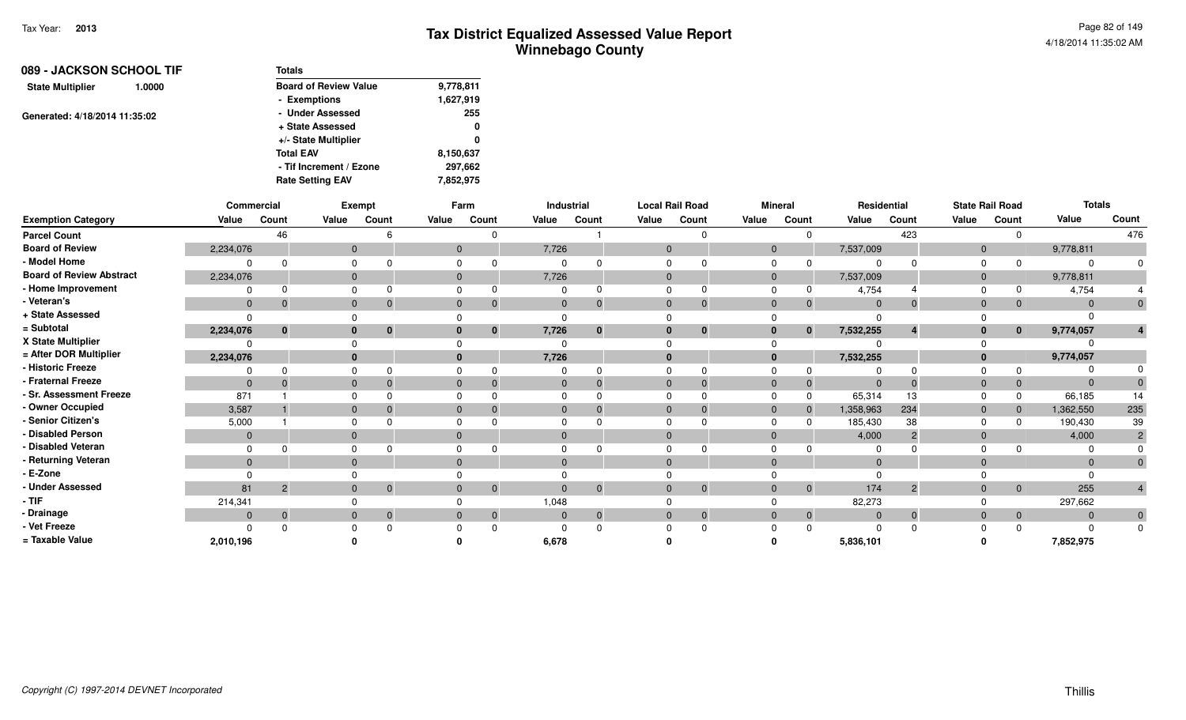| 089 - JACKSON SCHOOL TIF          | <b>Totals</b>                |           |
|-----------------------------------|------------------------------|-----------|
| <b>State Multiplier</b><br>1.0000 | <b>Board of Review Value</b> | 9,778,811 |
|                                   | - Exemptions                 | 1,627,919 |
| Generated: 4/18/2014 11:35:02     | - Under Assessed             | 255       |
|                                   | + State Assessed             | 0         |
|                                   | +/- State Multiplier         | 0         |
|                                   | <b>Total EAV</b>             | 8,150,637 |
|                                   | - Tif Increment / Ezone      | 297,662   |
|                                   | <b>Rate Setting EAV</b>      | 7,852,975 |

|                                 | Commercial   |                |       | Exempt                     |              | Farm                             | Industrial   |                |                | <b>Local Rail Road</b> |                | <b>Mineral</b> | Residential  |             |                | <b>State Rail Road</b> | <b>Totals</b>  |                |
|---------------------------------|--------------|----------------|-------|----------------------------|--------------|----------------------------------|--------------|----------------|----------------|------------------------|----------------|----------------|--------------|-------------|----------------|------------------------|----------------|----------------|
| <b>Exemption Category</b>       | Value        | Count          | Value | Count                      | Value        | Count                            | Value        | Count          | Value          | Count                  | Value          | Count          | Value        | Count       | Value          | Count                  | Value          | Count          |
| <b>Parcel Count</b>             |              | 46             |       |                            |              |                                  |              |                |                |                        |                |                |              | 423         |                |                        |                | 476            |
| <b>Board of Review</b>          | 2,234,076    |                |       |                            | $\mathbf{0}$ |                                  | 7,726        |                | $\overline{0}$ |                        | $\mathbf 0$    |                | 7,537,009    |             | $\mathbf 0$    |                        | 9,778,811      |                |
| - Model Home                    |              |                |       |                            |              |                                  | $\Omega$     |                |                |                        |                |                | $\mathbf 0$  |             |                |                        | $\Omega$       |                |
| <b>Board of Review Abstract</b> | 2,234,076    |                |       |                            | $\mathbf{0}$ |                                  | 7,726        |                | $\overline{0}$ |                        | $\mathbf 0$    |                | 7,537,009    |             | $\mathbf 0$    |                        | 9,778,811      |                |
| - Home Improvement              |              |                |       | <sup>0</sup>               |              |                                  |              |                |                |                        |                |                | 4,754        |             |                |                        | 4,754          |                |
| - Veteran's                     | $\mathbf 0$  |                |       | $\Omega$<br>$\overline{0}$ | $\mathbf{0}$ | $\Omega$                         | $\mathbf{0}$ | $\Omega$       | $\overline{0}$ | $\Omega$               | $\overline{0}$ | $\mathbf{0}$   | $\mathbf{0}$ |             | $\mathbf{0}$   | $\mathbf{0}$           | $\overline{0}$ |                |
| + State Assessed                | <sup>n</sup> |                |       |                            |              |                                  |              |                |                |                        |                |                | $\Omega$     |             |                |                        |                |                |
| = Subtotal                      | 2,234,076    | $\bf{0}$       |       | $\bf{0}$                   |              | $\bf{0}$                         | 7,726        | $\bf{0}$       | $\bf{0}$       | $\bf{0}$               | 0              | $\mathbf{0}$   | 7,532,255    |             | 0              | $\bf{0}$               | 9,774,057      |                |
| X State Multiplier              |              |                |       |                            |              |                                  |              |                |                |                        |                |                |              |             |                |                        |                |                |
| = After DOR Multiplier          | 2,234,076    |                |       |                            |              |                                  | 7,726        |                |                |                        | $\bf{0}$       |                | 7,532,255    |             |                |                        | 9,774,057      |                |
| - Historic Freeze               |              |                |       |                            |              |                                  |              |                |                |                        |                |                | $\Omega$     |             |                |                        |                |                |
| - Fraternal Freeze              | $\Omega$     |                |       | $\Omega$                   |              |                                  | $\mathbf{0}$ |                |                | $\Omega$               | $\Omega$       |                | $\mathbf{0}$ |             |                | $\overline{0}$         | $\mathbf{0}$   |                |
| - Sr. Assessment Freeze         | 871          |                |       |                            |              |                                  |              |                |                |                        |                |                | 65,314       | 13          |                | 0                      | 66,185         |                |
| - Owner Occupied                | 3,587        |                |       | $\Omega$                   |              |                                  | $\Omega$     |                |                | $\Omega$               | $\Omega$       |                | 1,358,963    | 234         | $\Omega$       | $\Omega$               | 1,362,550      | 235            |
| - Senior Citizen's              | 5,000        |                |       |                            |              |                                  |              |                |                |                        |                |                | 185,430      | 38          |                |                        | 190,430        | 39             |
| - Disabled Person               | $\mathbf{0}$ |                |       |                            |              |                                  | $\Omega$     |                | $\Omega$       |                        | $\Omega$       |                | 4,000        |             | $\Omega$       |                        | 4,000          | $\overline{2}$ |
| - Disabled Veteran              | $\Omega$     |                |       |                            |              |                                  |              |                |                |                        |                |                | $\Omega$     |             |                |                        | $\Omega$       |                |
| - Returning Veteran             | $\Omega$     |                |       |                            |              |                                  | $\Omega$     |                |                |                        | $\Omega$       |                | $\mathbf{0}$ |             |                |                        | $\Omega$       |                |
| - E-Zone                        |              |                |       |                            |              |                                  |              |                |                |                        |                |                | $\Omega$     |             |                |                        |                |                |
| - Under Assessed                | 81           | $\overline{2}$ |       | $\mathbf{0}$               |              | $\overline{0}$<br>$\overline{0}$ | $\Omega$     | $\Omega$       | $\Omega$       | $\Omega$               | $\overline{0}$ | $\overline{0}$ | 174          | $2^{\circ}$ | $\Omega$       | $\overline{0}$         | 255            |                |
| - TIF                           | 214,341      |                |       |                            |              |                                  | 1,048        |                |                |                        |                |                | 82,273       |             |                |                        | 297,662        |                |
| - Drainage                      | $\mathbf{0}$ | $\Omega$       |       | $\overline{0}$             | $\mathbf{0}$ | $\mathbf 0$                      | $\mathbf{0}$ | $\overline{0}$ | $\overline{0}$ | $\mathbf{0}$           | $\overline{0}$ | $\overline{0}$ | $\mathbf{0}$ |             | $\overline{0}$ | $\overline{0}$         | $\mathbf{0}$   | $\mathbf{0}$   |
| - Vet Freeze                    |              |                |       |                            |              |                                  |              |                |                |                        |                |                | $\Omega$     |             |                |                        | $\Omega$       | $\mathbf{0}$   |
| = Taxable Value                 | 2,010,196    |                |       |                            |              |                                  | 6,678        |                |                |                        |                |                | 5,836,101    |             |                |                        | 7,852,975      |                |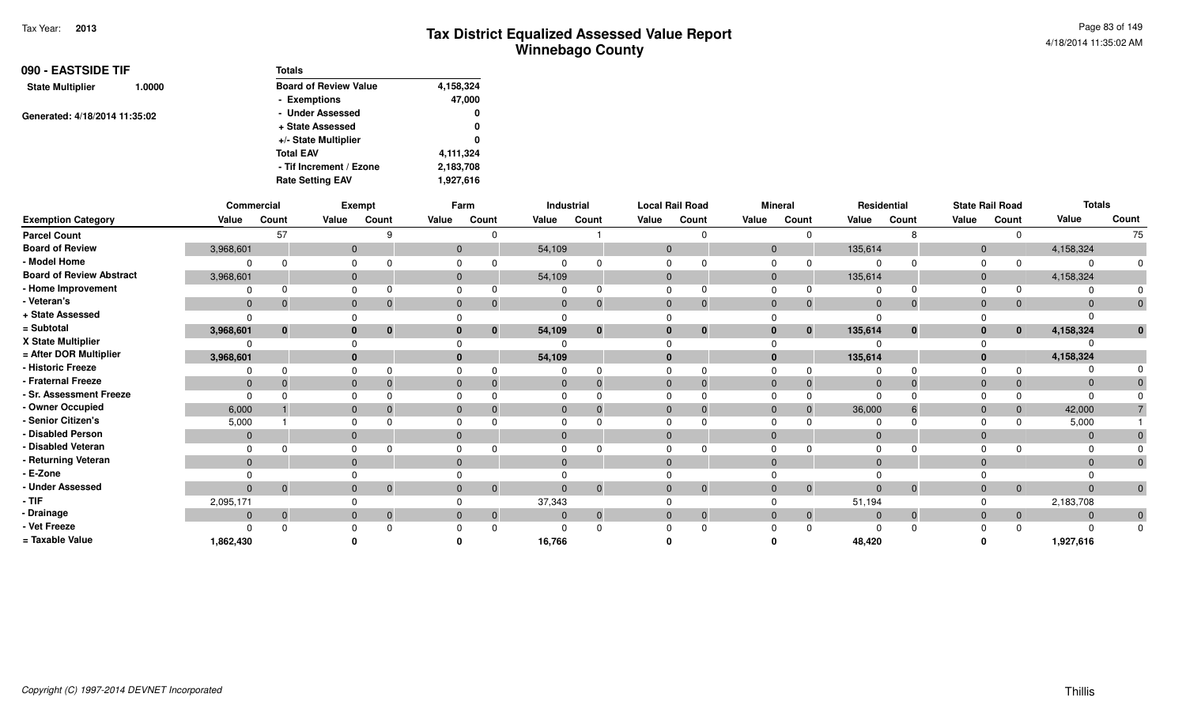| 090 - EASTSIDE TIF                | <b>Totals</b>                |           |
|-----------------------------------|------------------------------|-----------|
| <b>State Multiplier</b><br>1.0000 | <b>Board of Review Value</b> | 4,158,324 |
|                                   | - Exemptions                 | 47,000    |
| Generated: 4/18/2014 11:35:02     | - Under Assessed             | 0         |
|                                   | + State Assessed             | 0         |
|                                   | +/- State Multiplier         | 0         |
|                                   | <b>Total EAV</b>             | 4,111,324 |
|                                   | - Tif Increment / Ezone      | 2,183,708 |
|                                   | <b>Rate Setting EAV</b>      | 1.927.616 |

|                                 | Commercial   |              |              | Exempt                   |              | Farm                         |              | Industrial     |                | <b>Local Rail Road</b> |                | <b>Mineral</b> | Residential  |                |                | <b>State Rail Road</b> | <b>Totals</b>  |                |
|---------------------------------|--------------|--------------|--------------|--------------------------|--------------|------------------------------|--------------|----------------|----------------|------------------------|----------------|----------------|--------------|----------------|----------------|------------------------|----------------|----------------|
| <b>Exemption Category</b>       | Value        | Count        | Value        | Count                    | Value        | Count                        | Value        | Count          | Value          | Count                  | Value          | Count          | Value        | Count          | Value          | Count                  | Value          | Count          |
| <b>Parcel Count</b>             |              | 57           |              |                          |              | <sup>n</sup>                 |              |                |                |                        |                |                |              |                |                |                        |                | 75             |
| <b>Board of Review</b>          | 3,968,601    |              |              | $\mathbf{0}$             | $\mathbf{0}$ |                              | 54,109       |                | $\mathbf{0}$   |                        | $\overline{0}$ |                | 135,614      |                | 0              |                        | 4,158,324      |                |
| - Model Home                    |              |              | $\Omega$     |                          |              |                              |              |                | O              |                        | $\Omega$       |                | $\Omega$     |                | $\Omega$       |                        |                |                |
| <b>Board of Review Abstract</b> | 3,968,601    |              | $\mathbf{0}$ |                          | $\mathbf 0$  |                              | 54,109       |                | $\mathbf{0}$   |                        | $\Omega$       |                | 135,614      |                | $\mathbf 0$    |                        | 4,158,324      |                |
| - Home Improvement              |              |              | $\Omega$     |                          |              |                              |              |                | <sup>n</sup>   |                        | $\Omega$       |                |              |                | O              |                        |                |                |
| - Veteran's                     | $\mathbf 0$  | $\mathbf 0$  |              | $\mathbf{0}$             | $\mathbf{0}$ | $\mathbf{0}$                 | $\mathbf{0}$ | $\overline{0}$ | $\mathbf{0}$   | $\Omega$               | $\overline{0}$ | $\mathbf{0}$   | $\mathbf{0}$ | 0              | $\mathbf{0}$   | $\overline{0}$         | $\Omega$       |                |
| + State Assessed                |              |              | $\Omega$     |                          |              |                              |              |                |                |                        |                |                | $\Omega$     |                |                |                        |                |                |
| = Subtotal                      | 3,968,601    | $\mathbf{0}$ | $\mathbf{0}$ | 0                        |              | $\bf{0}$                     | 54,109       | $\bf{0}$       | $\mathbf{0}$   | $\bf{0}$               | $\bf{0}$       | $\bf{0}$       | 135,614      | $\mathbf{0}$   | $\bf{0}$       | $\mathbf{0}$           | 4,158,324      | $\bf{0}$       |
| X State Multiplier              |              |              |              |                          |              |                              |              |                | 0              |                        |                |                |              |                |                |                        |                |                |
| = After DOR Multiplier          | 3,968,601    |              | $\bf{0}$     |                          |              |                              | 54,109       |                | $\bf{0}$       |                        |                |                | 135,614      |                |                |                        | 4,158,324      |                |
| - Historic Freeze               |              |              |              |                          |              |                              |              | $\Omega$       |                |                        |                |                | $\Omega$     |                |                |                        |                |                |
| - Fraternal Freeze              | $\mathbf{0}$ |              | $\Omega$     |                          |              |                              |              | $\Omega$       | $\overline{0}$ |                        | $\Omega$       |                | $\Omega$     |                | $\Omega$       | $\mathbf{0}$           | $\Omega$       |                |
| - Sr. Assessment Freeze         |              |              |              |                          |              |                              |              |                | n              |                        |                |                | $\Omega$     |                |                |                        | $\Omega$       |                |
| - Owner Occupied                | 6,000        |              | $\Omega$     |                          | 0            |                              |              | -0             | $\Omega$       |                        | $\Omega$       |                | 36,000       |                | $\Omega$       | $\overline{0}$         | 42,000         |                |
| - Senior Citizen's              | 5,000        |              |              |                          |              |                              |              |                |                |                        |                |                |              |                |                |                        | 5,000          |                |
| - Disabled Person               | $\mathbf{0}$ |              | $\mathbf{0}$ |                          |              |                              | $\Omega$     |                | $\Omega$       |                        | $\Omega$       |                | $\Omega$     |                | $\overline{0}$ |                        | $\overline{0}$ |                |
| - Disabled Veteran              |              |              | $\Omega$     |                          |              |                              |              |                |                |                        |                |                | $\Omega$     |                |                |                        | $\Omega$       |                |
| - Returning Veteran             | $\Omega$     |              | $\Omega$     |                          |              |                              |              |                | $\Omega$       |                        | $\Omega$       |                | $\Omega$     |                |                |                        | $\Omega$       |                |
| - E-Zone                        |              |              |              |                          |              |                              |              |                |                |                        |                |                |              |                |                |                        |                |                |
| - Under Assessed                | $\Omega$     | $\mathbf{0}$ |              | $\mathbf{0}$<br>$\Omega$ |              | $\mathbf{0}$<br>$\mathbf{0}$ |              | $\overline{0}$ | $\mathbf{0}$   | $\mathbf{0}$           | $\Omega$       | $\overline{0}$ | $\mathbf 0$  | $\overline{0}$ | $\mathbf{0}$   | $\overline{0}$         | $\mathbf{0}$   | $\overline{0}$ |
| $-$ TIF                         | 2,095,171    |              |              |                          |              |                              | 37,343       |                |                |                        |                |                | 51,194       |                |                |                        | 2,183,708      |                |
| - Drainage                      | $\mathbf 0$  | $\mathbf 0$  | $\Omega$     | $\Omega$                 | $\mathbf{0}$ | $\mathbf 0$                  |              | $\overline{0}$ | $\mathbf{0}$   | $\mathbf{0}$           | $\Omega$       | $\mathbf{0}$   | $\Omega$     | $\Omega$       | $\Omega$       | $\overline{0}$         | $\overline{0}$ | $\mathbf{0}$   |
| - Vet Freeze                    |              |              |              |                          |              |                              |              | ∩              |                |                        |                |                | $\Omega$     |                |                | $\Omega$               | $\Omega$       | $\mathbf{0}$   |
| = Taxable Value                 | 1,862,430    |              |              |                          |              |                              | 16,766       |                |                |                        |                |                | 48,420       |                |                |                        | 1,927,616      |                |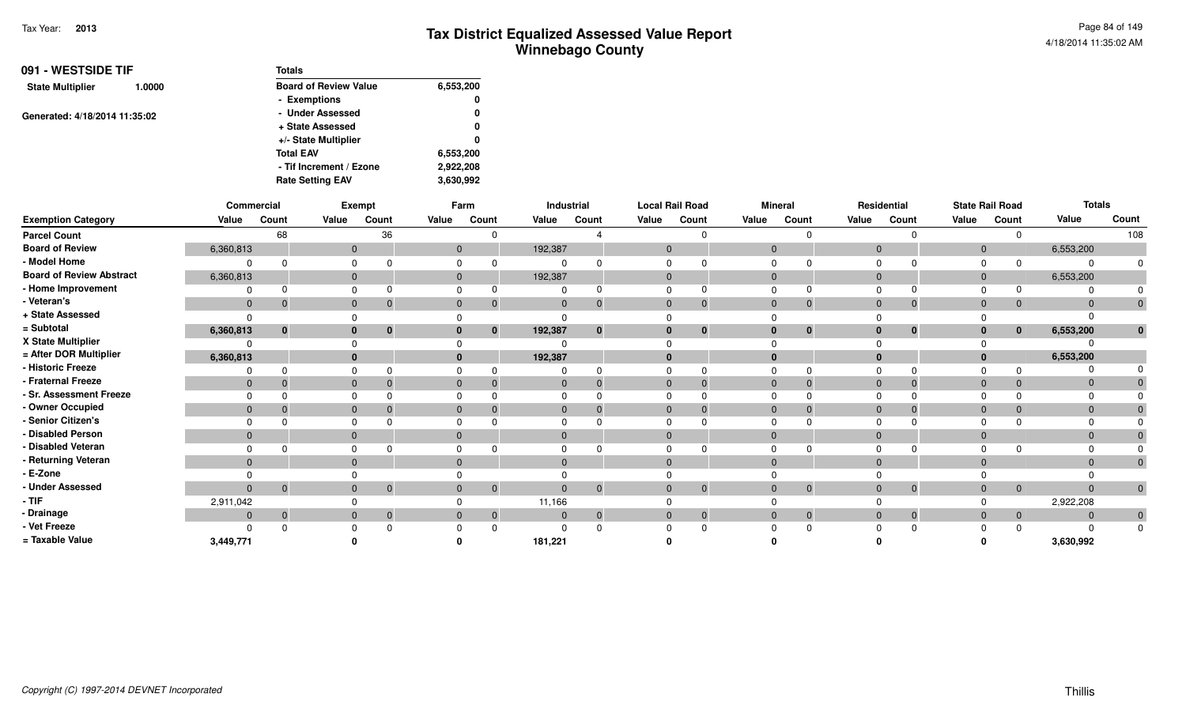| 091 - WESTSIDE TIF                |  | <b>Totals</b>                |           |
|-----------------------------------|--|------------------------------|-----------|
| <b>State Multiplier</b><br>1.0000 |  | <b>Board of Review Value</b> | 6,553,200 |
|                                   |  | - Exemptions                 | 0         |
| Generated: 4/18/2014 11:35:02     |  | - Under Assessed             | 0         |
|                                   |  | + State Assessed             | 0         |
|                                   |  | +/- State Multiplier         | 0         |
|                                   |  | <b>Total EAV</b>             | 6,553,200 |
|                                   |  | - Tif Increment / Ezone      | 2,922,208 |
|                                   |  | <b>Rate Setting EAV</b>      | 3,630,992 |

|                                 | Commercial     |              |              | Exempt      |                | Farm           |                | Industrial     | <b>Local Rail Road</b> |                |          | <b>Mineral</b> |                | Residential  |                | <b>State Rail Road</b> | <b>Totals</b> |                |
|---------------------------------|----------------|--------------|--------------|-------------|----------------|----------------|----------------|----------------|------------------------|----------------|----------|----------------|----------------|--------------|----------------|------------------------|---------------|----------------|
| <b>Exemption Category</b>       | Value          | Count        | Value        | Count       | Value          | Count          | Value          | Count          | Value                  | Count          | Value    | Count          | Value          | Count        | Value          | Count                  | Value         | Count          |
| <b>Parcel Count</b>             |                | 68           |              | 36          |                | $\Omega$       |                |                |                        |                |          |                |                |              |                |                        |               | 108            |
| <b>Board of Review</b>          | 6,360,813      |              | $\mathbf 0$  |             | 0              |                | 192,387        |                | $\Omega$               |                | $\Omega$ |                | $\Omega$       |              | $\mathbf 0$    |                        | 6,553,200     |                |
| - Model Home                    | $\Omega$       |              | $\Omega$     |             |                | $\Omega$       |                |                | <sup>n</sup>           |                |          |                | $\cap$         |              | $\Omega$       |                        | $\Omega$      |                |
| <b>Board of Review Abstract</b> | 6,360,813      |              | $\mathbf{0}$ |             | $\mathbf{0}$   |                | 192,387        |                | $\mathbf{0}$           |                | $\Omega$ |                | $\overline{0}$ |              | $\overline{0}$ |                        | 6,553,200     |                |
| - Home Improvement              | $\Omega$       |              | $\Omega$     |             |                |                |                |                | $\Omega$               |                | $\Omega$ |                | $\Omega$       |              |                |                        |               |                |
| - Veteran's                     | $\mathbf{0}$   | $\mathbf 0$  | $\mathbf{0}$ | $\mathbf 0$ | $\mathbf 0$    | $\overline{0}$ | $\overline{0}$ | $\overline{0}$ | $\Omega$               |                | $\Omega$ | $\overline{0}$ | $\Omega$       | $\Omega$     | $\Omega$       | $\overline{0}$         | $\mathbf{0}$  | $\mathbf{0}$   |
| + State Assessed                | $\Omega$       |              |              |             |                |                |                |                |                        |                |          |                |                |              |                |                        |               |                |
| = Subtotal                      | 6,360,813      | $\bf{0}$     | $\bf{0}$     | $\bf{0}$    |                | $\bf{0}$       | 192,387        | $\bf{0}$       | $\bf{0}$               | 0              |          | $\bf{0}$       | $\bf{0}$       | $\mathbf{0}$ | 0              | $\mathbf{0}$           | 6,553,200     | $\mathbf 0$    |
| X State Multiplier              |                |              |              |             |                |                |                |                |                        |                |          |                |                |              |                |                        |               |                |
| = After DOR Multiplier          | 6,360,813      |              | $\bf{0}$     |             |                |                | 192,387        |                | $\mathbf{0}$           |                |          |                | $\Omega$       |              |                |                        | 6,553,200     |                |
| - Historic Freeze               | $\Omega$       |              |              |             |                |                |                |                |                        |                |          |                |                |              |                | $\Omega$               |               |                |
| - Fraternal Freeze              | $\mathbf{0}$   |              | $\mathbf{0}$ |             | $\mathbf 0$    | $\Omega$       | $\mathbf{0}$   |                | $\mathbf{0}$           |                |          | $\Omega$       | $\overline{0}$ |              | $\mathbf 0$    | $\mathbf{0}$           | $\mathbf{0}$  |                |
| - Sr. Assessment Freeze         | $\Omega$       |              |              |             |                |                |                |                |                        |                |          |                |                |              |                |                        | $\Omega$      |                |
| - Owner Occupied                | $\mathbf{0}$   |              | $\mathbf{0}$ |             |                |                |                |                | $\Omega$               |                |          | $\Omega$       | $\overline{0}$ |              | $\Omega$       | $\mathbf{0}$           | $\mathbf{0}$  |                |
| - Senior Citizen's              |                |              |              |             |                |                |                |                | $\Omega$               |                |          |                | $\Omega$       |              |                |                        | $\Omega$      |                |
| - Disabled Person               | $\overline{0}$ |              | $\mathbf{0}$ |             |                |                |                |                | $\Omega$               |                | $\Omega$ |                | $\Omega$       |              | $\Omega$       |                        | $\Omega$      |                |
| - Disabled Veteran              | $\Omega$       |              | $\Omega$     |             |                |                |                |                | $\Omega$               |                |          |                |                |              |                |                        | $\Omega$      |                |
| - Returning Veteran             | $\mathbf{0}$   |              | $\mathbf{0}$ |             |                |                | $\Omega$       |                | $\Omega$               |                | $\Omega$ |                | $\Omega$       |              |                |                        | $\Omega$      | $\overline{0}$ |
| - E-Zone                        |                |              |              |             |                |                |                |                |                        |                |          |                |                |              |                |                        |               |                |
| - Under Assessed                | $\mathbf{0}$   | $\mathbf{0}$ | $\mathbf{0}$ | $\mathbf 0$ | $\overline{0}$ | $\mathbf{0}$   |                | $\overline{0}$ | $\Omega$               | $\Omega$       |          | $\mathbf{0}$   | $\overline{0}$ | $\mathbf{0}$ | $\Omega$       | $\overline{0}$         | $\Omega$      | $\overline{0}$ |
| - TIF                           | 2,911,042      |              |              |             |                |                | 11,166         |                |                        |                |          |                |                |              |                |                        | 2,922,208     |                |
| - Drainage                      | $\mathbf{0}$   | $\mathbf{0}$ | $\mathbf{0}$ | $\mathbf 0$ | $\mathbf{0}$   | $\overline{0}$ | $\overline{0}$ | $\overline{0}$ | $\mathbf{0}$           | $\overline{0}$ | $\Omega$ | $\overline{0}$ | $\Omega$       | $\Omega$     | $\Omega$       | $\overline{0}$         | $\mathbf{0}$  | $\mathbf{0}$   |
| - Vet Freeze                    | $\cap$         |              |              |             |                | $\Omega$       |                |                |                        |                |          |                |                |              |                |                        | $\Omega$      | $\mathbf{0}$   |
| = Taxable Value                 | 3,449,771      |              |              |             |                |                | 181,221        |                |                        |                |          |                |                |              |                |                        | 3,630,992     |                |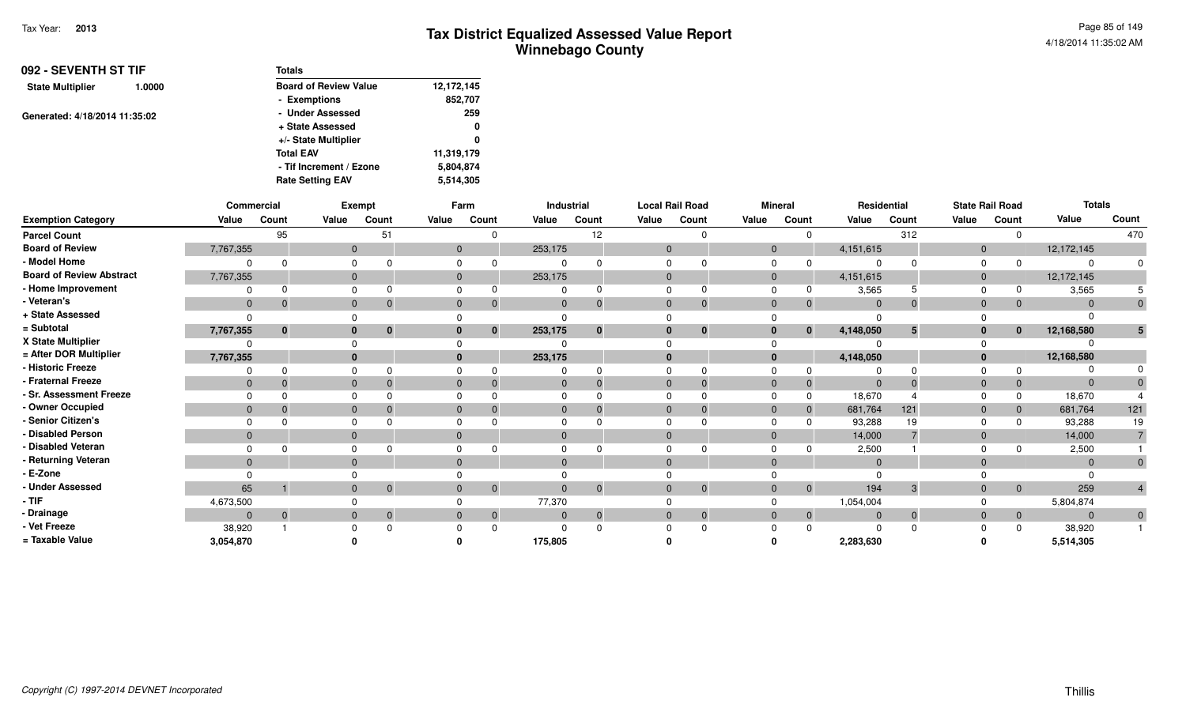| 092 - SEVENTH ST TIF              | <b>Totals</b>                |            |
|-----------------------------------|------------------------------|------------|
| <b>State Multiplier</b><br>1.0000 | <b>Board of Review Value</b> | 12,172,145 |
|                                   | - Exemptions                 | 852.707    |
| Generated: 4/18/2014 11:35:02     | - Under Assessed             | 259        |
|                                   | + State Assessed             | 0          |
|                                   | +/- State Multiplier         | 0          |
|                                   | <b>Total EAV</b>             | 11,319,179 |
|                                   | - Tif Increment / Ezone      | 5,804,874  |
|                                   | <b>Rate Setting EAV</b>      | 5,514,305  |

|                                 | Commercial   |              |       | Exempt         |       | Farm                           |          | Industrial   |                | <b>Local Rail Road</b> |                | <b>Mineral</b> | Residential    |       |                | <b>State Rail Road</b> | <b>Totals</b> |                |
|---------------------------------|--------------|--------------|-------|----------------|-------|--------------------------------|----------|--------------|----------------|------------------------|----------------|----------------|----------------|-------|----------------|------------------------|---------------|----------------|
| <b>Exemption Category</b>       | Value        | Count        | Value | Count          | Value | Count                          | Value    | Count        | Value          | Count                  | Value          | Count          | Value          | Count | Value          | Count                  | Value         | Count          |
| <b>Parcel Count</b>             |              | 95           |       | 51             |       |                                |          | 12           |                |                        |                |                |                | 312   |                | $\Omega$               |               | 470            |
| <b>Board of Review</b>          | 7,767,355    |              |       |                |       | $\mathbf{0}$                   | 253,175  |              | $\mathbf 0$    |                        | $\overline{0}$ |                | 4,151,615      |       | $\mathbf 0$    |                        | 12,172,145    |                |
| - Model Home                    |              |              |       |                |       |                                |          |              |                |                        | $\Omega$       |                | $\Omega$       |       | n              |                        | $\Omega$      |                |
| <b>Board of Review Abstract</b> | 7,767,355    |              |       |                |       | $\mathbf{0}$                   | 253,175  |              | $\mathbf 0$    |                        | $\overline{0}$ |                | 4,151,615      |       | $\mathbf 0$    |                        | 12,172,145    |                |
| - Home Improvement              |              |              |       |                |       |                                |          |              |                |                        | $\Omega$       |                | 3,565          |       |                |                        | 3,565         |                |
| - Veteran's                     | $\mathbf{0}$ | $\Omega$     |       | $\overline{0}$ |       | $\mathbf{0}$                   | $\Omega$ | $\mathbf{0}$ | $\Omega$       | $\Omega$               | $\overline{0}$ |                | $\overline{0}$ |       | $\Omega$       | $\mathbf{0}$           | $\Omega$      |                |
| + State Assessed                | $\Omega$     |              |       |                |       |                                |          |              |                |                        |                |                | $\Omega$       |       |                |                        |               |                |
| = Subtotal                      | 7,767,355    | $\mathbf{0}$ |       | $\bf{0}$       |       | $\bf{0}$                       | 253,175  | $\bf{0}$     |                | $\bf{0}$               | $\Omega$       |                | 4,148,050      |       |                | $\mathbf{0}$           | 12,168,580    | 5              |
| X State Multiplier              |              |              |       |                |       |                                |          |              |                |                        |                |                |                |       |                |                        |               |                |
| = After DOR Multiplier          | 7,767,355    |              |       |                |       |                                | 253,175  |              |                |                        | $\bf{0}$       |                | 4,148,050      |       |                |                        | 12,168,580    |                |
| - Historic Freeze               |              |              |       |                |       |                                |          |              |                |                        |                |                | 0              |       |                |                        |               |                |
| - Fraternal Freeze              | $\mathbf{0}$ |              |       | $\Omega$       |       | $\Omega$                       | $\Omega$ |              | $\Omega$       | $\Omega$               | $\Omega$       |                | $\Omega$       |       |                | $\mathbf{0}$           | $\Omega$      |                |
| - Sr. Assessment Freeze         |              |              |       |                |       |                                |          |              |                |                        |                |                | 18,670         |       |                | $\Omega$               | 18,670        |                |
| - Owner Occupied                | $\Omega$     |              |       |                |       | $\Omega$                       | $\Omega$ |              |                | $\Omega$               | $\overline{0}$ |                | 681,764        | 121   | 0              | $\overline{0}$         | 681,764       | 121            |
| - Senior Citizen's              |              |              |       |                |       |                                |          |              |                |                        |                |                | 93,288         | 19    |                |                        | 93,288        | 19             |
| - Disabled Person               | $\Omega$     |              |       |                |       | $\mathbf{0}$                   | $\Omega$ |              | $\mathbf 0$    |                        | $\overline{0}$ |                | 14,000         |       | $\mathbf 0$    |                        | 14,000        |                |
| - Disabled Veteran              |              |              |       |                |       |                                |          |              |                |                        |                |                | 2,500          |       |                |                        | 2,500         |                |
| - Returning Veteran             | $\Omega$     |              |       |                |       | $\Omega$                       | $\Omega$ |              |                |                        | $\Omega$       |                | $\overline{0}$ |       |                |                        | $\Omega$      |                |
| - E-Zone                        |              |              |       |                |       |                                |          |              |                |                        |                |                | $\Omega$       |       |                |                        |               |                |
| - Under Assessed                | 65           |              |       | $\mathbf{0}$   |       | $\mathbf{0}$<br>$\overline{0}$ | $\Omega$ | $\mathbf 0$  | $\Omega$       | $\mathbf{0}$           | $\overline{0}$ | $\overline{0}$ | 194            | 3     | $\Omega$       | $\overline{0}$         | 259           |                |
| - TIF                           | 4,673,500    |              |       |                |       |                                | 77,370   |              |                |                        |                |                | 1,054,004      |       |                |                        | 5,804,874     |                |
| - Drainage                      | $\mathbf{0}$ | $\mathbf{0}$ |       | $\mathbf 0$    |       | $\mathbf{0}$<br>$\overline{0}$ |          | $\mathbf 0$  | $\overline{0}$ | $\mathbf{0}$           | $\overline{0}$ |                | $\mathbf{0}$   |       | $\overline{0}$ | $\overline{0}$         | $\mathbf{0}$  | $\overline{0}$ |
| - Vet Freeze                    | 38,920       |              |       | $\Omega$       |       |                                |          |              |                |                        |                |                | $\Omega$       |       |                | $\Omega$               | 38,920        |                |
| = Taxable Value                 | 3,054,870    |              |       |                |       |                                | 175,805  |              |                |                        |                |                | 2,283,630      |       |                |                        | 5,514,305     |                |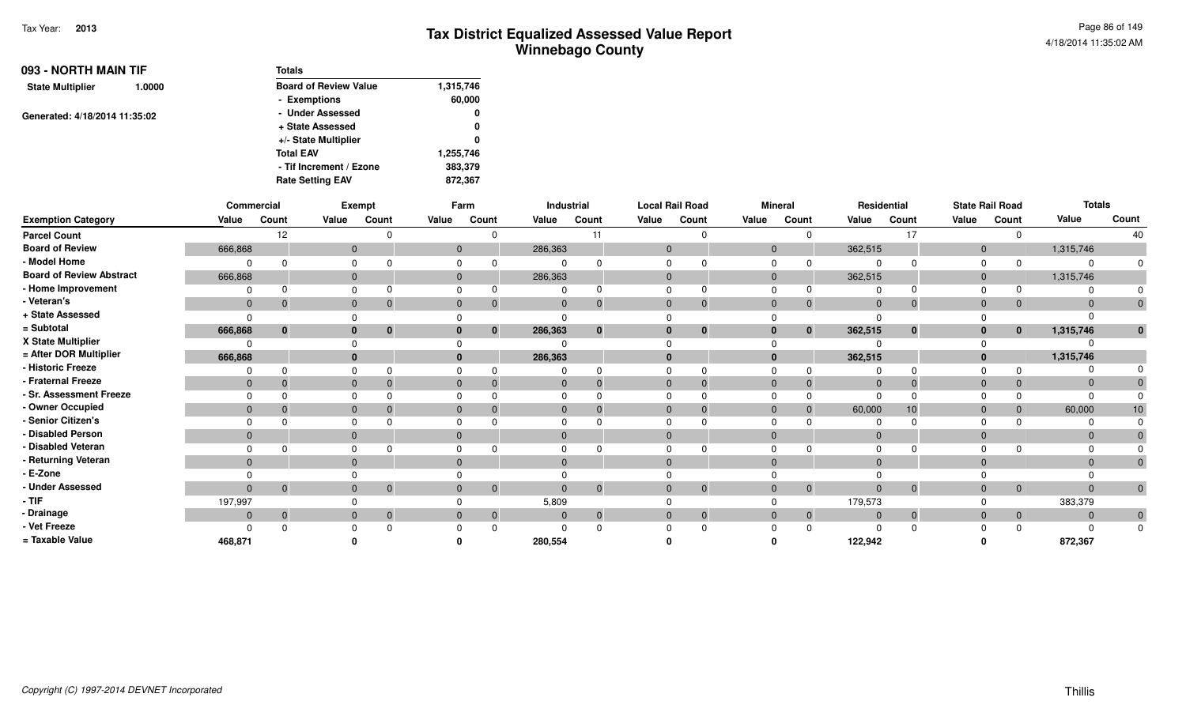| 093 - NORTH MAIN TIF          |        | <b>Totals</b>                |           |
|-------------------------------|--------|------------------------------|-----------|
| <b>State Multiplier</b>       | 1.0000 | <b>Board of Review Value</b> | 1,315,746 |
|                               |        | - Exemptions                 | 60,000    |
| Generated: 4/18/2014 11:35:02 |        | - Under Assessed             | 0         |
|                               |        | + State Assessed             | 0         |
|                               |        | +/- State Multiplier         | 0         |
|                               |        | <b>Total EAV</b>             | 1,255,746 |
|                               |        | - Tif Increment / Ezone      | 383,379   |
|                               |        | <b>Rate Setting EAV</b>      | 872,367   |

|                                 |                | Commercial     |              | Exempt       |              | Farm                             |              | Industrial   |              | <b>Local Rail Road</b> |              | <b>Mineral</b> |              | Residential  |              | <b>State Rail Road</b> |              | <b>Totals</b> |
|---------------------------------|----------------|----------------|--------------|--------------|--------------|----------------------------------|--------------|--------------|--------------|------------------------|--------------|----------------|--------------|--------------|--------------|------------------------|--------------|---------------|
| <b>Exemption Category</b>       | Value          | Count          | Value        | Count        | Value        | Count                            | Value        | Count        | Value        | Count                  | Value        | Count          | Value        | Count        | Value        | Count                  | Value        | Count         |
| <b>Parcel Count</b>             |                | 12             |              |              |              | $\Omega$                         |              | 11           |              | ∩                      |              |                |              | 17           |              |                        |              | 40            |
| <b>Board of Review</b>          | 666,868        |                | $\mathbf{0}$ |              | $\mathbf{0}$ |                                  | 286,363      |              | $\mathbf 0$  |                        | $\mathbf{0}$ |                | 362,515      |              | $\mathbf{0}$ |                        | 1,315,746    |               |
| - Model Home                    |                |                | $\Omega$     |              | $\Omega$     | $\Omega$                         | $\Omega$     |              | $\Omega$     |                        |              |                | $\Omega$     |              | $\Omega$     |                        |              | $\mathbf 0$   |
| <b>Board of Review Abstract</b> | 666,868        |                | $\mathbf{0}$ |              |              | $\mathbf{0}$                     | 286,363      |              | $\mathbf 0$  |                        | $\mathbf{0}$ |                | 362,515      |              | $\mathbf{0}$ |                        | 1,315,746    |               |
| - Home Improvement              | $\Omega$       |                | $\mathbf 0$  |              |              | 0<br>$\Omega$                    | $\Omega$     |              | $\Omega$     |                        | $\Omega$     |                | $\Omega$     |              | $\Omega$     |                        |              | $\Omega$      |
| - Veteran's                     | $\overline{0}$ | - 0            | $\mathbf{0}$ |              | $\mathbf{0}$ | $\Omega$                         | $\mathbf 0$  | $\Omega$     | $\mathbf 0$  | $\Omega$               | $\mathbf{0}$ |                | $\mathbf 0$  | $\Omega$     | $\mathbf{0}$ |                        | $\Omega$     | $\mathbf{0}$  |
| + State Assessed                | $\Omega$       |                | 0            |              |              |                                  | $\Omega$     |              | $\Omega$     |                        |              |                | $\Omega$     |              |              |                        |              |               |
| = Subtotal                      | 666,868        | $\mathbf{0}$   | $\mathbf{0}$ | $\bf{0}$     |              | $\mathbf{0}$<br>$\bf{0}$         | 286,363      | $\bf{0}$     | $\mathbf{0}$ | $\bf{0}$               | $\bf{0}$     | $\bf{0}$       | 362,515      | $\mathbf{0}$ | $\bf{0}$     | $\mathbf{0}$           | 1,315,746    | $\bf{0}$      |
| X State Multiplier              | $\Omega$       |                | $\Omega$     |              |              |                                  | $\Omega$     |              | $\Omega$     |                        |              |                |              |              | $\Omega$     |                        |              |               |
| = After DOR Multiplier          | 666,868        |                |              | $\mathbf{0}$ |              |                                  | 286,363      |              |              |                        |              |                | 362,515      |              | $\bf{0}$     |                        | 1,315,746    |               |
| - Historic Freeze               |                | $\Omega$       | $\Omega$     |              |              | 0                                |              | $\Omega$     | $\Omega$     |                        |              |                | $\Omega$     | ŋ            |              |                        |              | $\Omega$      |
| - Fraternal Freeze              | $\mathbf{0}$   |                | $\mathbf{0}$ |              | $\mathbf 0$  |                                  | $\mathbf{0}$ |              | $\mathbf 0$  |                        | $\mathbf 0$  |                | $\Omega$     |              | $\mathbf{0}$ |                        |              |               |
| - Sr. Assessment Freeze         | $\Omega$       |                | $\Omega$     |              | $\Omega$     |                                  | $\Omega$     |              | $\Omega$     |                        |              |                | $\Omega$     |              |              |                        |              |               |
| - Owner Occupied                | $\mathbf{0}$   | $\Omega$       | $\mathbf{0}$ |              | $\mathbf{0}$ | $\Omega$                         | $\mathbf{0}$ |              | $\mathbf{0}$ |                        |              |                | 60,000       | 10           | $\Omega$     |                        | 60,000       | 10            |
| - Senior Citizen's              | $\Omega$       |                | $\Omega$     |              |              |                                  | $\Omega$     |              | $\Omega$     |                        |              |                |              |              |              |                        |              | $\Omega$      |
| - Disabled Person               | $\mathbf{0}$   |                | $\mathbf{0}$ |              | $\Omega$     |                                  | $\mathbf{0}$ |              | $\Omega$     |                        | $\mathbf{0}$ |                | $\Omega$     |              | $\Omega$     |                        |              | $\Omega$      |
| - Disabled Veteran              | $\Omega$       |                | $\Omega$     |              |              |                                  | $\Omega$     |              |              |                        |              |                | $\Omega$     |              |              |                        |              | $\Omega$      |
| - Returning Veteran             | $\mathbf{0}$   |                | $\mathbf{0}$ |              | $\Omega$     |                                  | $\mathbf{0}$ |              | $\Omega$     |                        | $\Omega$     |                | $\Omega$     |              | $\mathbf{0}$ |                        | $\Omega$     | $\mathbf{0}$  |
| - E-Zone                        |                |                | $\Omega$     |              |              |                                  |              |              |              |                        |              |                |              |              |              |                        |              |               |
| - Under Assessed                | $\mathbf{0}$   | $\overline{0}$ | $\mathbf{0}$ | $\Omega$     |              | $\overline{0}$<br>$\overline{0}$ | $\mathbf{0}$ | $\mathbf{0}$ | $\mathbf{0}$ | $\mathbf{0}$           | $\mathbf{0}$ | $\mathbf{0}$   | $\mathbf{0}$ | $\mathbf{0}$ | $\mathbf{0}$ | $\overline{0}$         | $\Omega$     | $\mathbf{0}$  |
| - TIF                           | 197,997        |                | 0            |              |              | 0                                | 5,809        |              | $\mathbf 0$  |                        |              |                | 179,573      |              |              |                        | 383,379      |               |
| - Drainage                      | $\Omega$       | $\overline{0}$ | $\mathbf{0}$ |              | $\Omega$     | $\Omega$                         | $\mathbf{0}$ | $\mathbf 0$  | $\mathbf 0$  | $\mathbf{0}$           | $\mathbf{0}$ | $\Omega$       | $\mathbf{0}$ | $\mathbf{0}$ | $\mathbf{0}$ | $\overline{0}$         | $\mathbf{0}$ | $\mathbf{0}$  |
| - Vet Freeze                    |                |                | $\Omega$     |              |              | $\Omega$                         |              | $\Omega$     | $\Omega$     |                        |              |                | $\Omega$     |              |              |                        |              | 0             |
| = Taxable Value                 | 468,871        |                |              |              |              |                                  | 280,554      |              |              |                        |              |                | 122,942      |              |              |                        | 872,367      |               |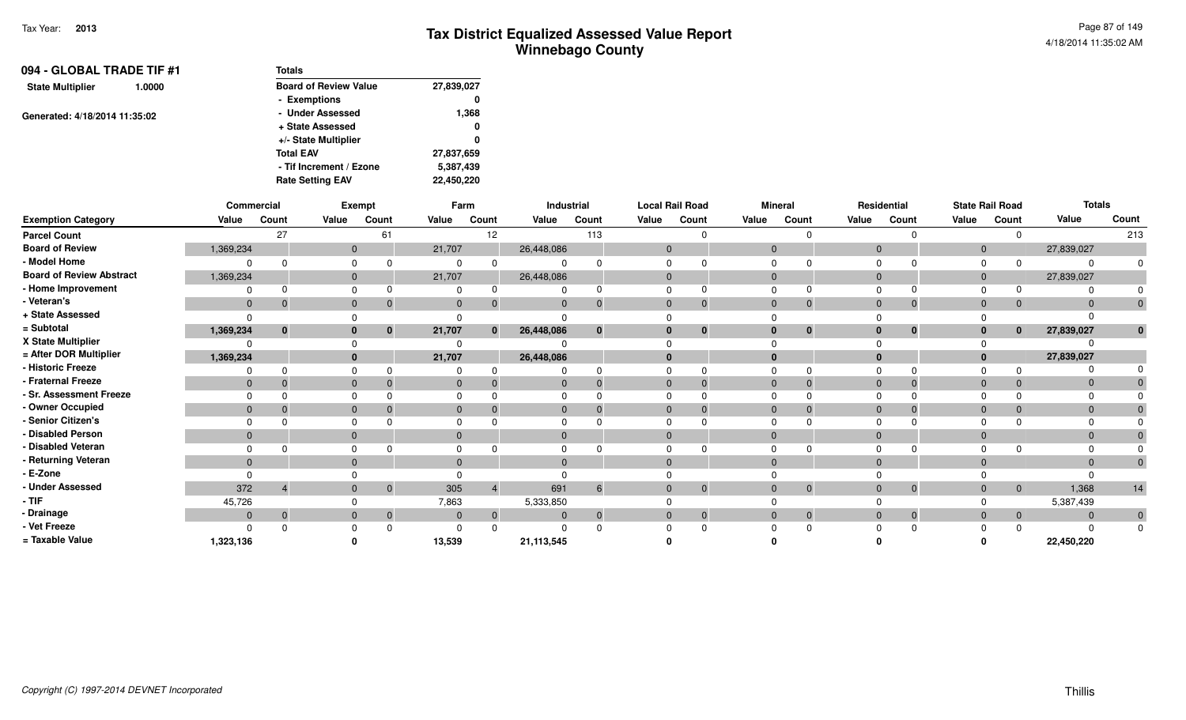| 094 - GLOBAL TRADE TIF #1<br><b>State Multiplier</b><br>1.0000 | Totals                       |            |
|----------------------------------------------------------------|------------------------------|------------|
|                                                                | <b>Board of Review Value</b> | 27,839,027 |
|                                                                | - Exemptions                 | 0          |
| Generated: 4/18/2014 11:35:02                                  | - Under Assessed             | 1,368      |
|                                                                | + State Assessed             | 0          |
|                                                                | +/- State Multiplier         | 0          |
|                                                                | <b>Total EAV</b>             | 27,837,659 |
|                                                                | - Tif Increment / Ezone      | 5,387,439  |
|                                                                | <b>Rate Setting EAV</b>      | 22,450,220 |

|                                 | Commercial   |              |              | Exempt       |              | Farm            |            | Industrial     |              | <b>Local Rail Road</b> |                | <b>Mineral</b> |              | Residential    |                | <b>State Rail Road</b> | <b>Totals</b>  |              |
|---------------------------------|--------------|--------------|--------------|--------------|--------------|-----------------|------------|----------------|--------------|------------------------|----------------|----------------|--------------|----------------|----------------|------------------------|----------------|--------------|
| <b>Exemption Category</b>       | Value        | Count        | Value        | Count        | Value        | Count           | Value      | Count          | Value        | Count                  | Value          | Count          | Value        | Count          | Value          | Count                  | Value          | Count        |
| <b>Parcel Count</b>             |              | 27           |              | 61           |              | 12 <sup>°</sup> |            | 113            |              |                        |                |                |              |                |                | $\Omega$               |                | 213          |
| <b>Board of Review</b>          | 1,369,234    |              | $\mathbf{0}$ |              | 21,707       |                 | 26,448,086 |                | $\mathbf{0}$ |                        | $\overline{0}$ |                | $\mathbf{0}$ |                | $\mathbf 0$    |                        | 27,839,027     |              |
| - Model Home                    |              |              | $\Omega$     |              |              | 0               |            |                | $\Omega$     |                        | $\Omega$       |                | $\Omega$     |                | $\Omega$       |                        | $\Omega$       |              |
| <b>Board of Review Abstract</b> | 1,369,234    |              | $\mathbf{0}$ |              | 21,707       |                 | 26,448,086 |                | $\mathbf{0}$ |                        | $\Omega$       |                | $\mathbf{0}$ |                | $\mathbf 0$    |                        | 27,839,027     |              |
| - Home Improvement              |              |              | $\Omega$     |              |              |                 |            |                | $\Omega$     |                        | $\Omega$       |                | $\Omega$     |                |                |                        |                |              |
| - Veteran's                     | $\mathbf 0$  |              | $\mathbf{0}$ |              | $\mathbf 0$  | $\mathbf{0}$    | $\Omega$   | $\overline{0}$ | $\mathbf{0}$ | $\Omega$               | $\Omega$       | $\mathbf{0}$   | $\Omega$     | $\Omega$       | $\mathbf 0$    | $\overline{0}$         | $\mathbf{0}$   |              |
| + State Assessed                |              |              | $\Omega$     |              |              |                 |            |                |              |                        |                |                |              |                |                |                        |                |              |
| = Subtotal                      | 1,369,234    | $\mathbf{0}$ | $\bf{0}$     | $\bf{0}$     | 21,707       | $\mathbf{0}$    | 26,448,086 | $\bf{0}$       | $\bf{0}$     | 0                      | $\bf{0}$       | 0              | $\bf{0}$     | $\mathbf{0}$   | $\bf{0}$       | $\mathbf{0}$           | 27,839,027     | $\bf{0}$     |
| X State Multiplier              |              |              | $\Omega$     |              |              |                 |            |                | 0            |                        |                |                |              |                |                |                        |                |              |
| = After DOR Multiplier          | 1,369,234    |              |              | $\mathbf{0}$ | 21,707       |                 | 26,448,086 |                | $\Omega$     |                        |                |                | $\mathbf{0}$ |                |                |                        | 27,839,027     |              |
| - Historic Freeze               |              |              |              |              |              | O               |            | $\Omega$       |              |                        |                |                |              |                |                |                        |                |              |
| - Fraternal Freeze              | $\mathbf{0}$ |              | $\mathbf{0}$ |              | $\mathbf{0}$ |                 |            | $\Omega$       | $\mathbf{0}$ |                        | $\Omega$       |                | $\mathbf{0}$ |                | 0              | $\mathbf{0}$           | $\mathbf{0}$   |              |
| - Sr. Assessment Freeze         |              |              |              |              |              |                 |            |                |              |                        |                |                |              |                |                |                        | $\Omega$       |              |
| - Owner Occupied                | $\mathbf{0}$ |              | $\mathbf{0}$ |              | 0            |                 |            |                | $\mathbf{0}$ |                        |                |                | $\mathbf{0}$ |                | $\overline{0}$ | $\Omega$               | $\mathbf{0}$   |              |
| - Senior Citizen's              |              |              | $\Omega$     |              |              |                 |            |                | 0            |                        | $\cap$         |                | $\Omega$     |                |                |                        | $\Omega$       |              |
| - Disabled Person               | $\mathbf{0}$ |              | $\mathbf{0}$ |              | $\mathbf{0}$ |                 | $\Omega$   |                | $\Omega$     |                        | $\Omega$       |                | $\Omega$     |                |                |                        | $\mathbf{0}$   |              |
| - Disabled Veteran              |              |              | 0            |              |              |                 |            |                |              |                        |                |                | $\Omega$     |                |                |                        | $\Omega$       |              |
| - Returning Veteran             | $\Omega$     |              | $\Omega$     |              |              |                 |            |                | $\Omega$     |                        | $\Omega$       |                | $\mathbf{0}$ |                | $\Omega$       |                        | $\mathbf{0}$   | $\mathbf{0}$ |
| - E-Zone                        |              |              |              |              |              |                 |            |                |              |                        |                |                |              |                |                |                        |                |              |
| - Under Assessed                | 372          |              | $\mathbf{0}$ | $\mathbf{0}$ | 305          | $\overline{4}$  | 691        | 6              | $\mathbf{0}$ | $\mathbf{0}$           | $\Omega$       | $\mathbf{0}$   | $\Omega$     | $\overline{0}$ | $\overline{0}$ | $\overline{0}$         | 1,368          | 14           |
| - TIF                           | 45,726       |              |              |              | 7,863        |                 | 5,333,850  |                |              |                        |                |                |              |                |                |                        | 5,387,439      |              |
| - Drainage                      | $\mathbf{0}$ |              | $\mathbf{0}$ | 0            | $\mathbf{0}$ | $\mathbf 0$     |            | $\overline{0}$ | $\mathbf{0}$ | $\mathbf 0$            | $\Omega$       | $\mathbf{0}$   | $\mathbf{0}$ | $\mathbf{0}$   | $\overline{0}$ | $\overline{0}$         | $\overline{0}$ | $\mathbf{0}$ |
| - Vet Freeze                    |              |              |              |              |              |                 |            |                |              |                        |                |                |              |                |                |                        | $\Omega$       | $\mathbf{0}$ |
| = Taxable Value                 | 1,323,136    |              |              |              | 13,539       |                 | 21,113,545 |                |              |                        |                |                |              |                |                |                        | 22,450,220     |              |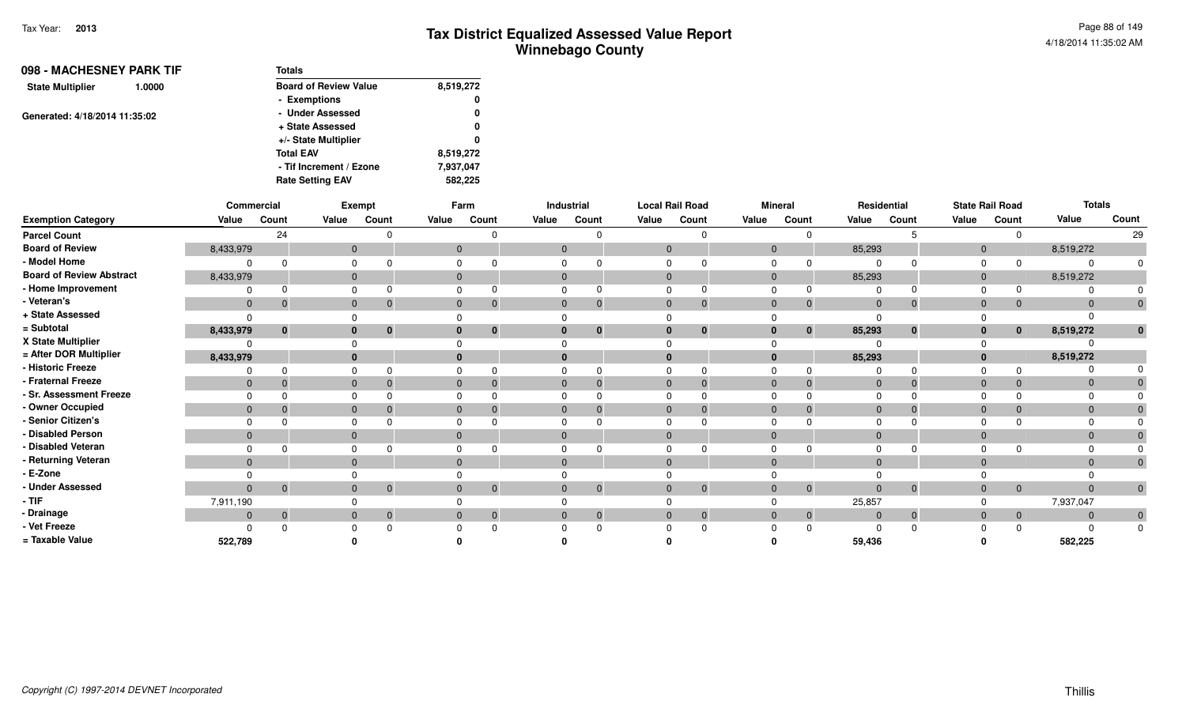| 098 - MACHESNEY PARK TIF<br>1.0000 | Totals                       |           |
|------------------------------------|------------------------------|-----------|
| <b>State Multiplier</b>            | <b>Board of Review Value</b> | 8,519,272 |
|                                    | - Exemptions                 | 0         |
| Generated: 4/18/2014 11:35:02      | - Under Assessed             | 0         |
|                                    | + State Assessed             | 0         |
|                                    | +/- State Multiplier         | 0         |
|                                    | <b>Total EAV</b>             | 8,519,272 |
|                                    | - Tif Increment / Ezone      | 7,937,047 |
|                                    | <b>Rate Setting EAV</b>      | 582.225   |

|                                 | Commercial   |                |          | Exempt                         |              | Farm                           |          | Industrial     |              | <b>Local Rail Road</b>           |              | <b>Mineral</b> |                | Residential    |                | <b>State Rail Road</b> | <b>Totals</b>  |                |
|---------------------------------|--------------|----------------|----------|--------------------------------|--------------|--------------------------------|----------|----------------|--------------|----------------------------------|--------------|----------------|----------------|----------------|----------------|------------------------|----------------|----------------|
| <b>Exemption Category</b>       | Value        | Count          | Value    | Count                          | Value        | Count                          | Value    | Count          | Value        | Count                            | Value        | Count          | Value          | Count          | Value          | Count                  | Value          | Count          |
| <b>Parcel Count</b>             |              | 24             |          |                                |              |                                |          |                |              |                                  |              |                |                |                |                |                        |                | 29             |
| <b>Board of Review</b>          | 8,433,979    |                |          | $\mathbf{0}$                   | $\mathbf 0$  |                                | $\Omega$ |                |              | $\mathbf{0}$                     | $\Omega$     |                | 85,293         |                | $\mathbf 0$    |                        | 8,519,272      |                |
| - Model Home                    |              |                | $\Omega$ |                                |              |                                |          |                |              |                                  |              |                |                |                | $\Omega$       |                        | $\Omega$       |                |
| <b>Board of Review Abstract</b> | 8,433,979    |                |          | $\mathbf{0}$                   | $\mathbf{0}$ |                                |          |                | $\mathbf{0}$ |                                  | $\Omega$     |                | 85,293         |                | 0              |                        | 8,519,272      |                |
| - Home Improvement              |              |                |          | $\Omega$                       |              |                                |          |                |              | $\Omega$                         | $\Omega$     |                |                |                | $\Omega$       |                        |                |                |
| - Veteran's                     | $\mathbf 0$  | 0              |          | $\mathbf{0}$                   | $\mathbf{0}$ | $\mathbf{0}$                   |          | $\overline{0}$ |              | $\mathbf{0}$<br>$\Omega$         | $\Omega$     | 0              | $\mathbf{0}$   | 0              | $\mathbf 0$    | $\overline{0}$         | $\Omega$       | $\overline{0}$ |
| + State Assessed                |              |                |          |                                |              |                                |          |                |              |                                  |              |                | $\Omega$       |                |                |                        |                |                |
| = Subtotal                      | 8,433,979    | $\mathbf{0}$   |          | $\mathbf{0}$<br>$\mathbf{0}$   | $\mathbf{0}$ | $\mathbf{0}$                   |          | $\mathbf{0}$   |              | $\bf{0}$<br>$\bf{0}$             | $\mathbf{0}$ | $\mathbf{0}$   | 85,293         | $\mathbf{0}$   | $\bf{0}$       | $\mathbf{0}$           | 8,519,272      | $\mathbf{0}$   |
| X State Multiplier              |              |                |          | $\Omega$                       |              |                                |          |                |              |                                  |              |                |                |                |                |                        |                |                |
| = After DOR Multiplier          | 8,433,979    |                |          | $\bf{0}$                       |              |                                |          |                |              | $\mathbf{0}$                     |              |                | 85,293         |                |                |                        | 8,519,272      |                |
| - Historic Freeze               |              |                |          |                                |              |                                |          |                |              |                                  |              |                |                |                |                |                        |                |                |
| - Fraternal Freeze              | $\mathbf{0}$ |                |          | $\mathbf{0}$                   |              |                                |          | 0              | $\mathbf{0}$ |                                  | $\Omega$     |                | $\mathbf{0}$   |                | 0              | $\mathbf{0}$           | $\mathbf{0}$   |                |
| - Sr. Assessment Freeze         |              |                |          |                                |              |                                |          |                |              |                                  |              |                |                |                |                |                        | $\Omega$       |                |
| - Owner Occupied                | $\Omega$     |                |          | $\Omega$                       | $\Omega$     | $\Omega$                       |          | 0              |              | $\overline{0}$                   | $\Omega$     |                | $\Omega$       |                | $\Omega$       | $\Omega$               | $\Omega$       |                |
| - Senior Citizen's              |              |                |          |                                |              |                                |          |                |              |                                  |              |                |                |                |                |                        |                |                |
| - Disabled Person               | $\mathbf{0}$ |                |          | $\mathbf{0}$                   |              |                                | $\Omega$ |                | $\Omega$     |                                  | $\Omega$     |                | $\Omega$       |                | $\overline{0}$ |                        | $\mathbf{0}$   |                |
| - Disabled Veteran              |              |                | $\Omega$ |                                |              |                                |          |                |              |                                  | $\Omega$     |                | $\Omega$       |                |                |                        | $\Omega$       |                |
| - Returning Veteran             | $\Omega$     |                |          | $\Omega$                       |              |                                |          |                | $\Omega$     |                                  | $\Omega$     |                | $\Omega$       |                |                |                        | $\Omega$       |                |
| - E-Zone                        |              |                |          |                                |              |                                |          |                |              |                                  |              |                |                |                |                |                        |                |                |
| - Under Assessed                | $\Omega$     | $\overline{0}$ |          | $\mathbf{0}$<br>$\overline{0}$ |              | $\overline{0}$<br>$\mathbf{0}$ |          | $\overline{0}$ |              | $\overline{0}$<br>$\overline{0}$ | $\Omega$     | $\mathbf 0$    | $\overline{0}$ | $\overline{0}$ | $\mathbf{0}$   | $\overline{0}$         | $\overline{0}$ | $\overline{0}$ |
| $-$ TIF                         | 7,911,190    |                |          |                                |              |                                |          |                |              |                                  |              |                | 25,857         |                |                |                        | 7,937,047      |                |
| - Drainage                      | $\mathbf{0}$ | $\mathbf{0}$   |          | $\Omega$<br>$\Omega$           |              | $\overline{0}$                 |          | $\overline{0}$ |              | $\mathbf{0}$<br>$\mathbf{0}$     | $\Omega$     | $\mathbf 0$    | $\Omega$       | $\mathbf{0}$   | $\Omega$       | $\overline{0}$         | $\overline{0}$ | $\mathbf{0}$   |
| - Vet Freeze                    |              |                |          |                                |              | O                              |          | $\Omega$       |              |                                  |              |                | $\Omega$       |                |                | $\Omega$               | $\Omega$       | $\mathbf{0}$   |
| = Taxable Value                 | 522,789      |                |          |                                |              |                                |          |                |              |                                  |              |                | 59,436         |                |                |                        | 582,225        |                |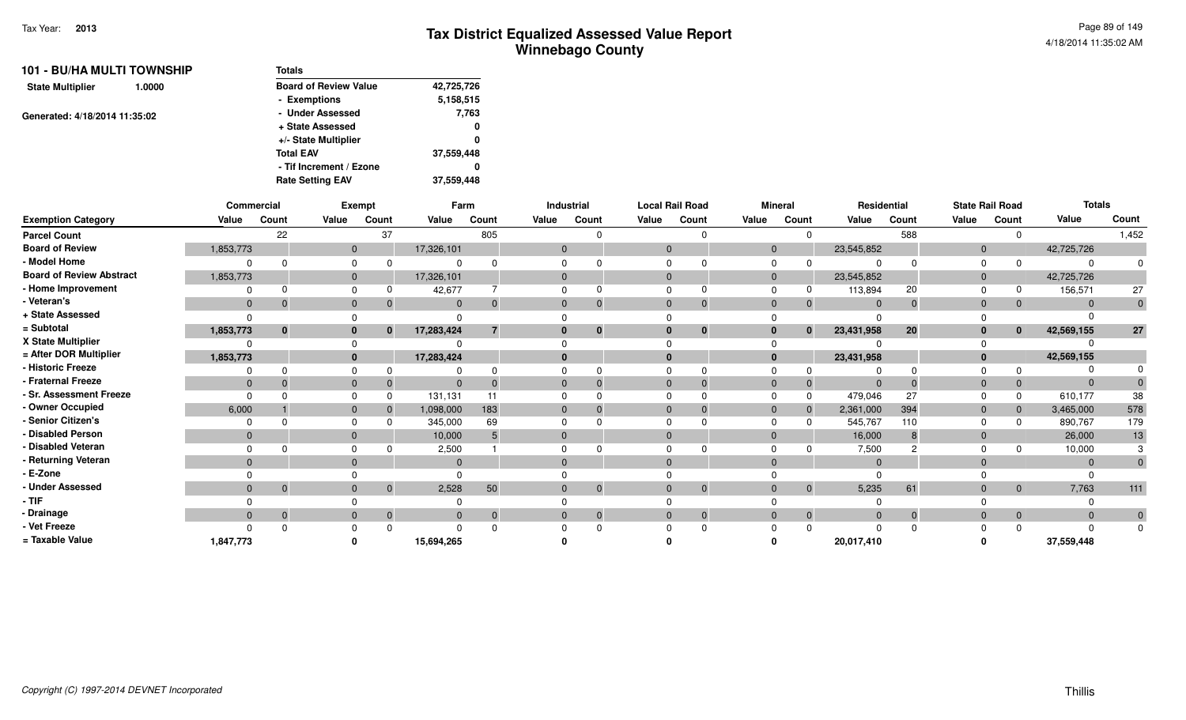| 101 - BU/HA MULTI TOWNSHIP<br><b>State Multiplier</b><br>1.0000<br>Generated: 4/18/2014 11:35:02 | <b>Totals</b>                |            |
|--------------------------------------------------------------------------------------------------|------------------------------|------------|
|                                                                                                  | <b>Board of Review Value</b> | 42,725,726 |
|                                                                                                  | - Exemptions                 | 5,158,515  |
|                                                                                                  | - Under Assessed             | 7,763      |
|                                                                                                  | + State Assessed             | 0          |
|                                                                                                  | +/- State Multiplier         | 0          |
|                                                                                                  | <b>Total EAV</b>             | 37,559,448 |
|                                                                                                  | - Tif Increment / Ezone      | 0          |
|                                                                                                  | <b>Rate Setting EAV</b>      | 37,559,448 |

|                                 | Commercial     |              |              | <b>Exempt</b> | Farm         |          |              | Industrial     |             | <b>Local Rail Road</b> |                | <b>Mineral</b> | Residential |          |                | <b>State Rail Road</b> | <b>Totals</b> |                |
|---------------------------------|----------------|--------------|--------------|---------------|--------------|----------|--------------|----------------|-------------|------------------------|----------------|----------------|-------------|----------|----------------|------------------------|---------------|----------------|
| <b>Exemption Category</b>       | Value          | Count        | Value        | Count         | Value        | Count    | Value        | Count          | Value       | Count                  | Value          | Count          | Value       | Count    | Value          | Count                  | Value         | Count          |
| <b>Parcel Count</b>             |                | 22           |              | 37            |              | 805      |              |                |             |                        |                |                |             | 588      |                | $\Omega$               |               | 1,452          |
| <b>Board of Review</b>          | 1,853,773      |              | $\mathbf{0}$ |               | 17,326,101   |          | $\mathbf{0}$ |                | $\mathbf 0$ |                        | $\overline{0}$ |                | 23,545,852  |          | $\mathbf 0$    |                        | 42,725,726    |                |
| - Model Home                    |                |              |              |               |              |          |              |                |             |                        | $\Omega$       |                | $\Omega$    |          | $\Omega$       |                        | $\Omega$      |                |
| <b>Board of Review Abstract</b> | 1,853,773      |              | $\Omega$     |               | 17,326,101   |          | $\Omega$     |                |             |                        | $\overline{0}$ |                | 23,545,852  |          | $\mathbf 0$    |                        | 42,725,726    |                |
| - Home Improvement              |                |              |              |               | 42,677       |          |              |                |             |                        | ∩              |                | 113,894     | 20       |                |                        | 156,571       | 27             |
| - Veteran's                     | $\mathbf{0}$   | $\mathbf{0}$ |              | $\Omega$      | $\mathbf 0$  |          |              | $\overline{0}$ | $\Omega$    | $\Omega$               | $\Omega$       |                | $\Omega$    | $\Omega$ | $\mathbf 0$    | $\overline{0}$         | $\mathbf{0}$  |                |
| + State Assessed                |                |              |              |               |              |          |              |                |             |                        |                |                | $\Omega$    |          |                |                        |               |                |
| = Subtotal                      | 1,853,773      | $\mathbf{0}$ |              | $\bf{0}$      | 17,283,424   |          |              | $\bf{0}$       | 0           | $\bf{0}$               | 0              |                | 23,431,958  | 20       | 0              | $\mathbf{0}$           | 42,569,155    | 27             |
| X State Multiplier              |                |              |              |               |              |          |              |                |             |                        |                |                |             |          |                |                        |               |                |
| = After DOR Multiplier          | 1,853,773      |              |              |               | 17,283,424   |          |              |                |             |                        | $\bf{0}$       |                | 23,431,958  |          |                |                        | 42,569,155    |                |
| - Historic Freeze               |                | ŋ            |              |               |              |          |              |                |             |                        |                |                | $\Omega$    |          |                |                        |               |                |
| - Fraternal Freeze              | $\Omega$       |              |              |               | $\mathbf{0}$ |          |              | $\Omega$       | $\Omega$    | $\Omega$               | $\overline{0}$ |                | $\Omega$    |          | $\Omega$       | $\mathbf{0}$           | $\Omega$      |                |
| - Sr. Assessment Freeze         |                |              |              |               | 131,131      | 11       |              |                |             |                        |                |                | 479,046     | 27       |                |                        | 610,177       | 38             |
| - Owner Occupied                | 6,000          |              |              | $\Omega$      | 1,098,000    | 183      |              |                |             |                        | $\Omega$       |                | 2,361,000   | 394      | $\overline{0}$ | $\Omega$               | 3,465,000     | 578            |
| - Senior Citizen's              |                |              |              |               | 345,000      | 69       |              |                |             |                        | $\Omega$       |                | 545,767     | 110      |                |                        | 890,767       | 179            |
| - Disabled Person               | $\mathbf{0}$   |              |              |               | 10,000       |          | $\Omega$     |                |             |                        | $\Omega$       |                | 16,000      |          |                |                        | 26,000        | 13             |
| - Disabled Veteran              |                |              |              |               | 2,500        |          |              |                |             |                        |                |                | 7,500       |          |                |                        | 10,000        |                |
| - Returning Veteran             | $\Omega$       |              | $\Omega$     |               | $\Omega$     |          | $\Omega$     |                |             |                        | $\Omega$       |                | $\Omega$    |          |                |                        | $\Omega$      | $\overline{0}$ |
| - E-Zone                        |                |              |              |               |              |          |              |                |             |                        |                |                |             |          |                |                        |               |                |
| - Under Assessed                | $\overline{0}$ | $\mathbf 0$  |              | $\Omega$      | 2,528        | 50       |              | $\mathbf 0$    | $\mathbf 0$ | $\Omega$               | $\Omega$       | $\overline{0}$ | 5,235       | 61       | $\overline{0}$ | $\mathbf{0}$           | 7,763         | 111            |
| - TIF                           |                |              |              |               |              |          |              |                |             |                        |                |                |             |          |                |                        |               |                |
| - Drainage                      | $\overline{0}$ | $\mathbf 0$  |              | $\Omega$      | $\Omega$     | $\Omega$ | $\Omega$     | $\mathbf 0$    |             | $\Omega$               | $\overline{0}$ |                | $\Omega$    |          | $\Omega$       | $\mathbf{0}$           | $\Omega$      | $\mathbf{0}$   |
| - Vet Freeze                    |                |              |              |               |              |          |              |                |             | $\Omega$               |                |                | $\Omega$    |          |                |                        | $\Omega$      | $\Omega$       |
| = Taxable Value                 | 1,847,773      |              |              |               | 15,694,265   |          |              |                |             |                        |                |                | 20,017,410  |          |                |                        | 37,559,448    |                |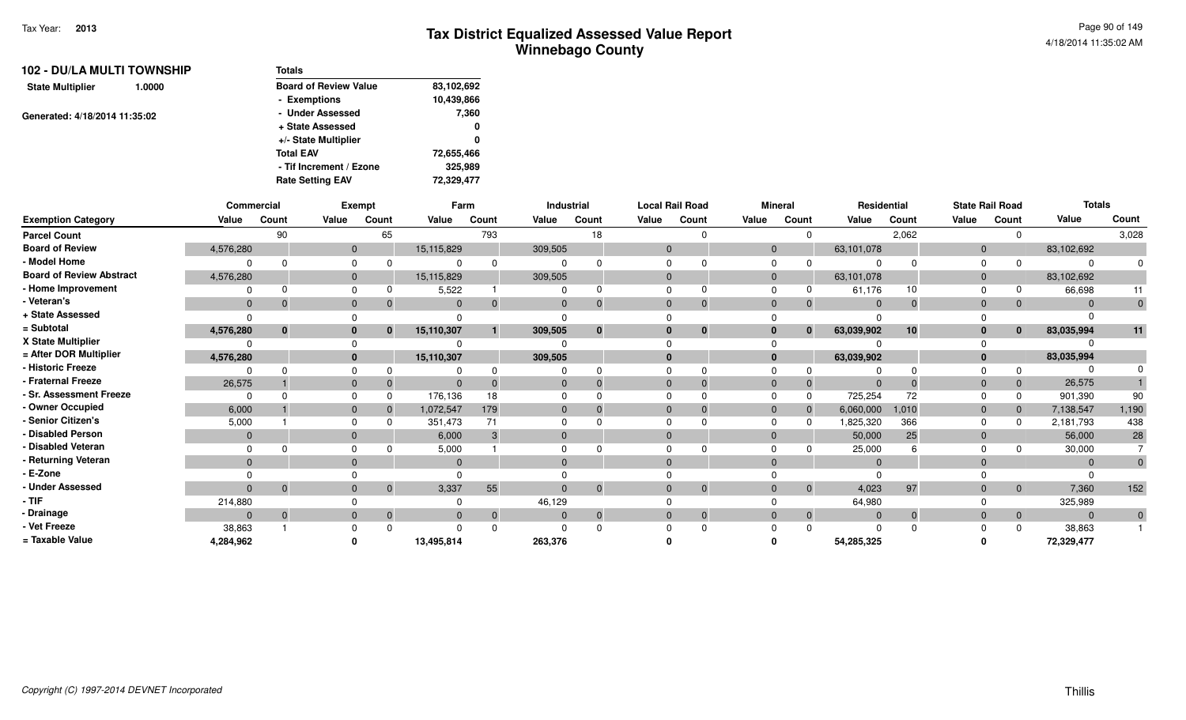| 102 - DU/LA MULTI TOWNSHIP<br><b>State Multiplier</b><br>1.0000 | Totals                       |            |
|-----------------------------------------------------------------|------------------------------|------------|
|                                                                 | <b>Board of Review Value</b> | 83,102,692 |
|                                                                 | - Exemptions                 | 10,439,866 |
| Generated: 4/18/2014 11:35:02                                   | - Under Assessed             | 7,360      |
|                                                                 | + State Assessed             | 0          |
|                                                                 | +/- State Multiplier         | 0          |
|                                                                 | <b>Total EAV</b>             | 72,655,466 |
|                                                                 | - Tif Increment / Ezone      | 325.989    |
|                                                                 | <b>Rate Setting EAV</b>      | 72,329,477 |

|                                 | Commercial     |              |              | <b>Exempt</b> | Farm         |                |          | Industrial     |          | <b>Local Rail Road</b> |                | <b>Mineral</b> | Residential |                 |                | <b>State Rail Road</b> | <b>Totals</b>  |              |
|---------------------------------|----------------|--------------|--------------|---------------|--------------|----------------|----------|----------------|----------|------------------------|----------------|----------------|-------------|-----------------|----------------|------------------------|----------------|--------------|
| <b>Exemption Category</b>       | Value          | Count        | Value        | Count         | Value        | Count          | Value    | Count          | Value    | Count                  | Value          | Count          | Value       | Count           | Value          | Count                  | Value          | Count        |
| <b>Parcel Count</b>             |                | 90           |              | 65            |              | 793            |          | 18             |          |                        |                |                |             | 2,062           |                |                        |                | 3,028        |
| <b>Board of Review</b>          | 4,576,280      |              | $\mathbf{0}$ |               | 15,115,829   |                | 309,505  |                | $\Omega$ |                        | $\overline{0}$ |                | 63,101,078  |                 | $\mathbf 0$    |                        | 83,102,692     |              |
| - Model Home                    |                |              |              |               |              |                |          |                |          |                        | $\Omega$       |                | $\Omega$    |                 | $\Omega$       |                        | $\Omega$       |              |
| <b>Board of Review Abstract</b> | 4,576,280      |              | $\mathbf{0}$ |               | 15,115,829   |                | 309,505  |                | $\Omega$ |                        | $\overline{0}$ |                | 63,101,078  |                 | $\mathbf 0$    |                        | 83,102,692     |              |
| - Home Improvement              |                |              | <sup>0</sup> |               | 5,522        |                |          |                | O        |                        | $\Omega$       |                | 61,176      | 10              | $\Omega$       |                        | 66,698         | 11           |
| - Veteran's                     | $\mathbf{0}$   | $\Omega$     | $\mathbf{0}$ |               | $\mathbf{0}$ | $\Omega$       | $\Omega$ | $\mathbf{0}$   | $\Omega$ | $\Omega$               | $\Omega$       |                | $\Omega$    | $\Omega$        | $\mathbf 0$    | $\overline{0}$         | $\Omega$       | $\mathbf{0}$ |
| + State Assessed                |                |              |              |               |              |                |          |                |          |                        |                |                | $\Omega$    |                 |                |                        |                |              |
| = Subtotal                      | 4,576,280      | $\mathbf{0}$ | $\bf{0}$     | $\Omega$      | 15,110,307   |                | 309,505  | $\mathbf 0$    | $\Omega$ | $\bf{0}$               | $\Omega$       |                | 63,039,902  | 10 <sup>1</sup> | 0              | $\mathbf{0}$           | 83,035,994     | 11           |
| X State Multiplier              |                |              |              |               |              |                |          |                |          |                        |                |                |             |                 |                |                        |                |              |
| = After DOR Multiplier          | 4,576,280      |              | $\bf{0}$     |               | 15,110,307   |                | 309,505  |                |          |                        |                |                | 63,039,902  |                 |                |                        | 83,035,994     |              |
| - Historic Freeze               |                | $\Omega$     |              |               |              | 0              |          | 0              |          |                        |                |                | $\Omega$    |                 |                |                        | $\Omega$       |              |
| - Fraternal Freeze              | 26,575         |              | $\mathbf{0}$ |               | $\Omega$     |                |          | $\Omega$       | $\Omega$ |                        | $\Omega$       |                | $\Omega$    |                 |                | $\overline{0}$         | 26,575         |              |
| - Sr. Assessment Freeze         |                |              |              |               | 176,136      | 18             |          |                |          |                        | $\Omega$       |                | 725,254     | 72              |                | $\Omega$               | 901,390        | 90           |
| - Owner Occupied                | 6,000          |              | $\Omega$     |               | 1,072,547    | 179            |          | $\Omega$       | $\Omega$ |                        | $\Omega$       |                | 6,060,000   | 1,010           | $\mathbf 0$    | $\overline{0}$         | 7,138,547      | 1,190        |
| - Senior Citizen's              | 5,000          |              |              |               | 351,473      | 71             |          |                |          |                        | $\Omega$       |                | 1,825,320   | 366             | $\Omega$       |                        | 2,181,793      | 438          |
| <b>Disabled Person</b>          | $\overline{0}$ |              | $\Omega$     |               | 6,000        | 3              | $\Omega$ |                | $\Omega$ |                        | $\Omega$       |                | 50,000      | 25              | $\overline{0}$ |                        | 56,000         | 28           |
| Disabled Veteran                |                |              |              |               | 5,000        |                |          |                |          |                        | $\Omega$       |                | 25,000      |                 |                |                        | 30,000         |              |
| - Returning Veteran             | $\Omega$       |              | $\Omega$     |               | $\Omega$     |                | $\Omega$ |                | $\Omega$ |                        | $\Omega$       |                | $\Omega$    |                 |                |                        | $\Omega$       | $\Omega$     |
| - E-Zone                        |                |              |              |               |              |                |          |                |          |                        |                |                |             |                 |                |                        |                |              |
| <b>Under Assessed</b>           | $\Omega$       | $\Omega$     | $\Omega$     | $\Omega$      | 3,337        | 55             |          | $\overline{0}$ | $\Omega$ | $\Omega$               | $\Omega$       | $\mathbf{0}$   | 4,023       | 97              | $\Omega$       | $\overline{0}$         | 7,360          | 152          |
| $-$ TIF                         | 214,880        |              |              |               |              |                | 46,129   |                |          |                        |                |                | 64,980      |                 |                |                        | 325,989        |              |
| - Drainage                      | $\Omega$       | $\Omega$     | $\mathbf{0}$ | $\Omega$      | $\mathbf{0}$ | $\overline{0}$ |          | $\overline{0}$ | $\Omega$ | $\mathbf{0}$           | $\overline{0}$ | 0              | $\mathbf 0$ | $\Omega$        | $\overline{0}$ | $\overline{0}$         | $\overline{0}$ | $\mathbf{0}$ |
| - Vet Freeze                    | 38,863         |              |              |               |              |                |          |                |          |                        |                |                | $\Omega$    |                 |                | $\Omega$               | 38,863         |              |
| = Taxable Value                 | 4,284,962      |              |              |               | 13,495,814   |                | 263,376  |                |          |                        |                |                | 54,285,325  |                 |                |                        | 72,329,477     |              |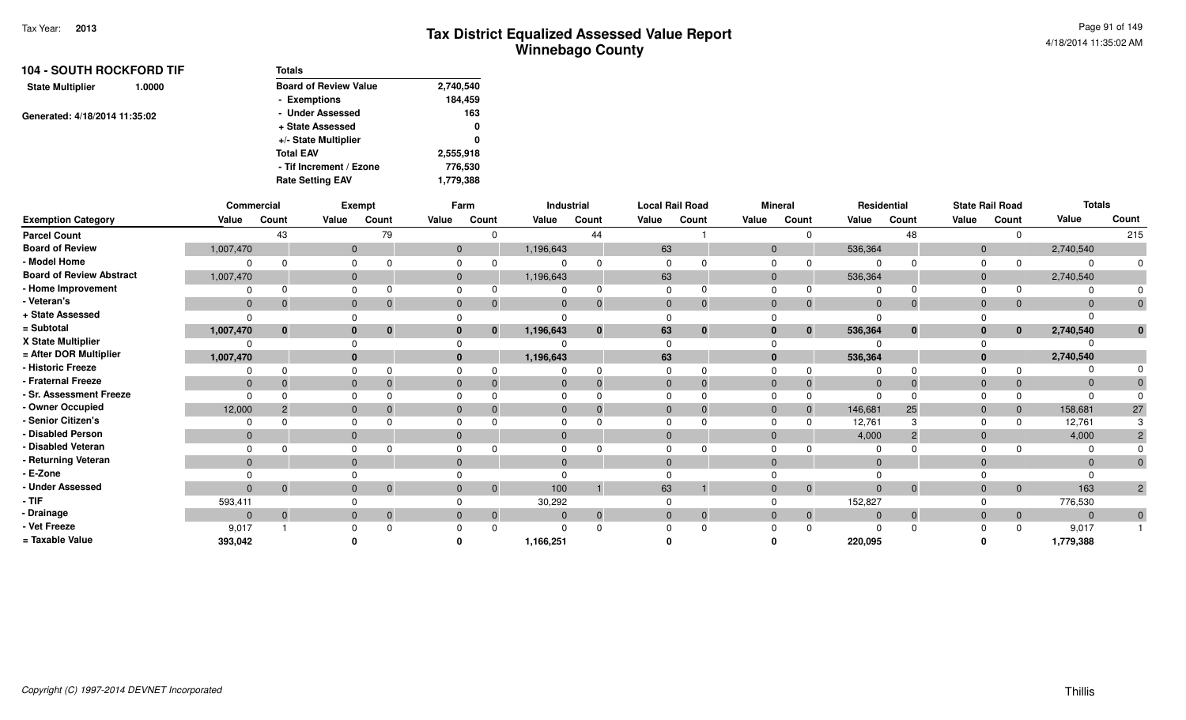| <b>104 - SOUTH ROCKFORD TIF</b><br>1.0000 | Totals                       |           |
|-------------------------------------------|------------------------------|-----------|
| <b>State Multiplier</b>                   | <b>Board of Review Value</b> | 2,740,540 |
|                                           | - Exemptions                 | 184,459   |
| Generated: 4/18/2014 11:35:02             | - Under Assessed             | 163       |
|                                           | + State Assessed             | 0         |
|                                           | +/- State Multiplier         | 0         |
|                                           | <b>Total EAV</b>             | 2,555,918 |
|                                           | - Tif Increment / Ezone      | 776,530   |
|                                           | <b>Rate Setting EAV</b>      | 1,779,388 |

|                                 |              | Commercial |       | Exempt         |              | Farm                       |              | Industrial  |                | <b>Local Rail Road</b> |                | <b>Mineral</b> | Residential  |          |                | <b>State Rail Road</b> | <b>Totals</b> |                |
|---------------------------------|--------------|------------|-------|----------------|--------------|----------------------------|--------------|-------------|----------------|------------------------|----------------|----------------|--------------|----------|----------------|------------------------|---------------|----------------|
| <b>Exemption Category</b>       | Value        | Count      | Value | Count          | Value        | Count                      | Value        | Count       | Value          | Count                  | Value          | Count          | Value        | Count    | Value          | Count                  | Value         | Count          |
| <b>Parcel Count</b>             |              | 43         |       | 79             |              |                            |              | 44          |                |                        |                |                |              | 48       |                | <sup>n</sup>           |               | 215            |
| <b>Board of Review</b>          | 1,007,470    |            |       | $\mathbf{0}$   |              | $\Omega$                   | 1,196,643    |             | 63             |                        | $\Omega$       |                | 536,364      |          | $\mathbf 0$    |                        | 2,740,540     |                |
| - Model Home                    |              |            |       |                |              |                            |              |             | $\Omega$       |                        |                |                | $\Omega$     |          | $\Omega$       |                        | $\Omega$      |                |
| <b>Board of Review Abstract</b> | 1,007,470    |            |       |                | $\Omega$     |                            | 1,196,643    |             | 63             |                        | $\Omega$       |                | 536,364      |          | $\mathbf 0$    |                        | 2,740,540     |                |
| - Home Improvement              |              |            |       |                |              |                            |              |             |                |                        |                |                | $\Omega$     |          |                |                        |               |                |
| - Veteran's                     | $\mathbf{0}$ |            |       | $\overline{0}$ | $\mathbf{0}$ |                            | $\mathbf{0}$ | $\Omega$    | $\overline{0}$ | $\mathbf{0}$           | $\overline{0}$ |                | $\mathbf{0}$ |          | $\Omega$       | $\mathbf{0}$           | $\Omega$      |                |
| + State Assessed                | <sup>n</sup> |            |       |                |              |                            |              |             |                |                        |                |                | $\Omega$     |          |                |                        |               |                |
| = Subtotal                      | 1,007,470    | $\bf{0}$   |       | $\bf{0}$       |              | $\bf{0}$                   | 1,196,643    | $\bf{0}$    | 63             | $\bf{0}$               | 0              | $\mathbf{0}$   | 536,364      | 0        | 0              | $\mathbf{0}$           | 2,740,540     | $\bf{0}$       |
| X State Multiplier              |              |            |       |                |              |                            |              |             |                |                        |                |                |              |          |                |                        |               |                |
| = After DOR Multiplier          | 1,007,470    |            |       |                |              |                            | 1,196,643    |             | 63             |                        |                |                | 536,364      |          |                |                        | 2,740,540     |                |
| - Historic Freeze               |              |            |       |                |              |                            |              |             |                |                        |                |                | $\Omega$     |          |                |                        |               |                |
| - Fraternal Freeze              | $\mathbf{0}$ |            |       | $\Omega$       |              |                            | $\Omega$     |             | $\overline{0}$ | $\Omega$               | $\Omega$       |                | $\mathbf{0}$ |          |                | $\mathbf{0}$           | $\Omega$      |                |
| - Sr. Assessment Freeze         | <sup>n</sup> |            |       |                |              |                            |              |             |                |                        |                |                | $\Omega$     |          |                |                        | $\Omega$      |                |
| - Owner Occupied                | 12,000       |            |       | $\Omega$       |              |                            | $\Omega$     |             |                | $\Omega$               | $\Omega$       |                | 146,681      | 25       |                | $\mathbf{0}$           | 158,681       | 27             |
| - Senior Citizen's              |              |            |       |                |              |                            |              |             |                |                        |                |                | 12,761       |          |                |                        | 12,761        |                |
| - Disabled Person               | $\mathbf{0}$ |            |       |                |              |                            | $\Omega$     |             | $\Omega$       |                        | $\Omega$       |                | 4,000        |          | $\mathbf 0$    |                        | 4,000         |                |
| - Disabled Veteran              | <sup>0</sup> |            |       |                |              |                            | n            |             |                |                        |                |                | 0            |          |                |                        |               |                |
| - Returning Veteran             | $\mathbf{0}$ |            |       |                |              |                            | $\Omega$     |             |                |                        | $\Omega$       |                | $\mathbf{0}$ |          |                |                        | $\mathbf{0}$  |                |
| - E-Zone                        |              |            |       |                |              |                            |              |             |                |                        |                |                | $\Omega$     |          |                |                        |               |                |
| - Under Assessed                | $\Omega$     | $\Omega$   |       | $\overline{0}$ |              | $\overline{0}$<br>$\Omega$ | 100          |             | 63             |                        | $\overline{0}$ | $\overline{0}$ | $\mathbf{0}$ | $\Omega$ | $\Omega$       | $\overline{0}$         | 163           | $2^{\circ}$    |
| - TIF                           | 593,411      |            |       |                |              |                            | 30,292       |             |                |                        |                |                | 152,827      |          |                |                        | 776,530       |                |
| - Drainage                      | $\mathbf{0}$ |            |       | $\overline{0}$ | $\mathbf{0}$ |                            | $\Omega$     | $\mathbf 0$ | $\Omega$       | $\mathbf{0}$           | $\Omega$       | $\mathbf{0}$   | $\Omega$     |          | $\overline{0}$ | $\mathbf{0}$           | $\mathbf 0$   | $\overline{0}$ |
| - Vet Freeze                    | 9,017        |            |       | <sup>n</sup>   |              |                            |              |             |                |                        |                |                | $\Omega$     |          |                | 0                      | 9,017         |                |
| = Taxable Value                 | 393,042      |            |       |                |              |                            | 1,166,251    |             |                |                        |                |                | 220,095      |          |                |                        | 1,779,388     |                |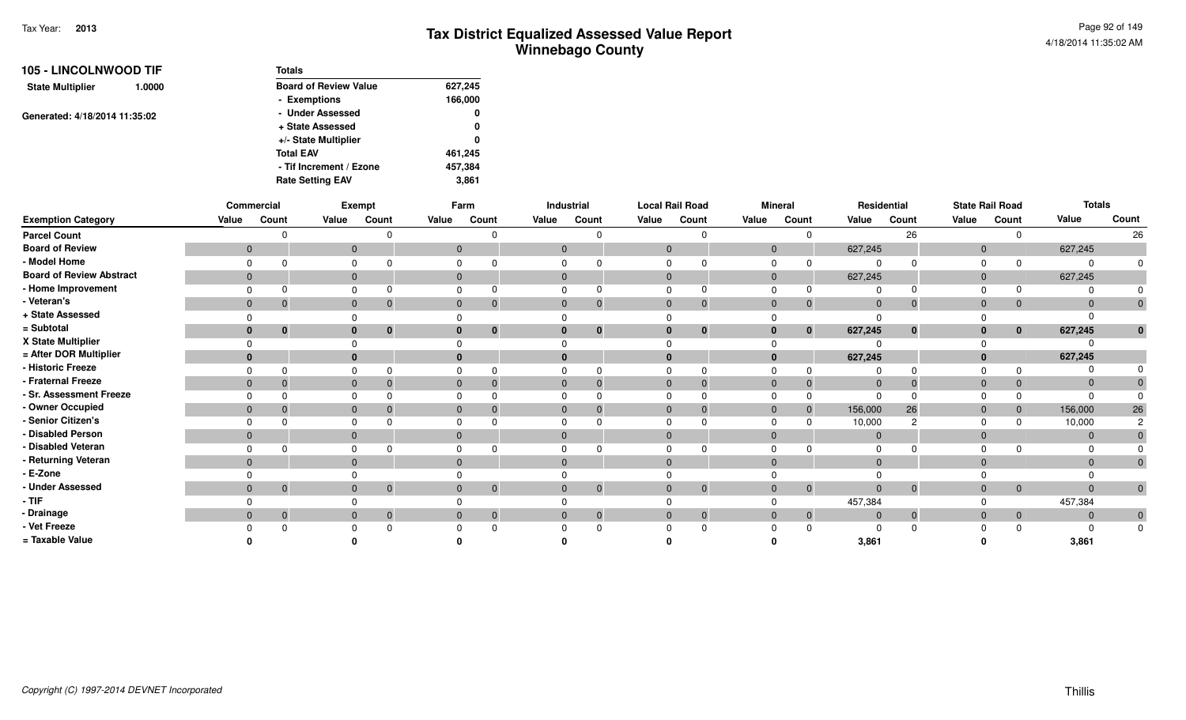| <b>105 - LINCOLNWOOD TIF</b>  |        | <b>Totals</b>                |         |
|-------------------------------|--------|------------------------------|---------|
| <b>State Multiplier</b>       | 1.0000 | <b>Board of Review Value</b> | 627,245 |
|                               |        | - Exemptions                 | 166,000 |
| Generated: 4/18/2014 11:35:02 |        | - Under Assessed             | 0       |
|                               |        | + State Assessed             | 0       |
|                               |        | +/- State Multiplier         | 0       |
|                               |        | <b>Total EAV</b>             | 461,245 |
|                               |        | - Tif Increment / Ezone      | 457,384 |
|                               |        | <b>Rate Setting EAV</b>      | 3,861   |

|                                 |                | Commercial   |              | Exempt         |              | Farm                           |              | Industrial     |                | <b>Local Rail Road</b> |                | <b>Mineral</b>               |              | Residential    |                | <b>State Rail Road</b> | <b>Totals</b> |                |
|---------------------------------|----------------|--------------|--------------|----------------|--------------|--------------------------------|--------------|----------------|----------------|------------------------|----------------|------------------------------|--------------|----------------|----------------|------------------------|---------------|----------------|
| <b>Exemption Category</b>       | Value          | Count        | Value        | Count          | Value        | Count                          | Value        | Count          | Value          | Count                  | Value          | Count                        | Value        | Count          | Value          | Count                  | Value         | Count          |
| <b>Parcel Count</b>             |                |              |              |                |              |                                |              |                |                | $\Omega$               |                |                              |              | 26             |                |                        |               | 26             |
| <b>Board of Review</b>          | $\mathbf{0}$   |              | $\mathbf{0}$ |                |              | $\mathbf 0$                    | $\mathbf{0}$ |                | $\mathbf{0}$   |                        | $\mathbf{0}$   |                              | 627,245      |                | $\mathbf{0}$   |                        | 627,245       |                |
| - Model Home                    |                |              |              |                | $\Omega$     |                                |              |                |                |                        |                |                              |              |                |                |                        |               |                |
| <b>Board of Review Abstract</b> | $\mathbf{0}$   |              | $\mathbf{0}$ |                | $\mathbf{0}$ |                                |              |                |                |                        | $\overline{0}$ |                              | 627,245      |                | $\mathbf{0}$   |                        | 627,245       |                |
| - Home Improvement              |                |              |              |                | $\Omega$     |                                |              |                |                |                        |                |                              |              |                |                |                        |               |                |
| - Veteran's                     | $\mathbf 0$    | 0            | $\mathbf{0}$ |                |              | $\mathbf 0$<br>0               | $\Omega$     | $\Omega$       | $\mathbf{0}$   | $\mathbf{0}$           | $\overline{0}$ | $\overline{0}$               | $\mathbf{0}$ | $\overline{0}$ | $\overline{0}$ | $\mathbf{0}$           | $\Omega$      | $\overline{0}$ |
| + State Assessed                |                |              |              |                |              |                                |              |                |                |                        |                |                              |              |                |                |                        |               |                |
| = Subtotal                      | $\bf{0}$       | $\bf{0}$     | $\bf{0}$     | $\bf{0}$       |              | $\mathbf{0}$<br>$\bf{0}$       |              | $\bf{0}$       | 0              | $\mathbf 0$            | 0              | $\bf{0}$                     | 627,245      | $\mathbf 0$    | $\bf{0}$       | $\mathbf{0}$           | 627,245       | $\bf{0}$       |
| X State Multiplier              |                |              |              |                |              |                                |              |                |                |                        |                |                              |              |                |                |                        |               |                |
| = After DOR Multiplier          | $\mathbf{0}$   |              | $\bf{0}$     |                |              | $\mathbf{0}$                   |              |                |                |                        |                | 0                            | 627,245      |                | $\bf{0}$       |                        | 627,245       |                |
| - Historic Freeze               |                |              |              |                |              |                                |              |                |                |                        |                |                              |              |                |                |                        |               |                |
| - Fraternal Freeze              | $\mathbf 0$    |              | $\mathbf{0}$ |                | $\mathbf{0}$ |                                |              |                |                | $\Omega$               | 0              |                              | $\mathbf 0$  |                | $\Omega$       | $\overline{0}$         |               |                |
| - Sr. Assessment Freeze         |                |              |              |                |              |                                |              |                |                |                        |                |                              |              |                |                |                        |               |                |
| - Owner Occupied                | $\mathbf{0}$   |              | $\Omega$     |                | $\mathbf{0}$ |                                |              |                | $\mathbf{0}$   | $\Omega$               | $\mathbf{0}$   |                              | 156,000      | 26             | $\overline{0}$ | $\mathbf{0}$           | 156,000       | 26             |
| - Senior Citizen's              |                |              |              |                |              |                                |              |                |                |                        |                |                              | 10,000       | っ              | $\Omega$       |                        | 10,000        |                |
| - Disabled Person               | $\mathbf{0}$   |              | $\mathbf{0}$ |                | $\Omega$     |                                |              |                |                |                        | 0              |                              | $\Omega$     |                | $\Omega$       |                        |               |                |
| - Disabled Veteran              |                |              |              |                |              |                                |              |                |                |                        |                |                              |              |                |                |                        |               |                |
| - Returning Veteran             | $\overline{0}$ |              | $\mathbf{0}$ |                |              | $\mathbf{0}$                   | $\Omega$     |                |                |                        | $\Omega$       |                              | $\Omega$     |                | $\Omega$       |                        | 0             | $\overline{0}$ |
| - E-Zone                        |                |              |              |                |              |                                |              |                |                |                        |                |                              |              |                |                |                        |               |                |
| - Under Assessed                | $\mathbf{0}$   | $\mathbf{0}$ | $\mathbf{0}$ | $\overline{0}$ |              | $\mathbf{0}$<br>$\overline{0}$ | $\mathbf{0}$ | $\overline{0}$ | $\overline{0}$ | $\mathbf{0}$           | $\mathbf{0}$   | $\mathbf{0}$                 | $\Omega$     | $\overline{0}$ | $\overline{0}$ | $\overline{0}$         | $\mathbf{0}$  | $\overline{0}$ |
| $-$ TIF                         |                |              |              |                |              |                                |              |                |                |                        |                |                              | 457,384      |                |                |                        | 457,384       |                |
| - Drainage                      | $\mathbf 0$    | $\mathbf{0}$ | $\Omega$     | $\overline{0}$ |              | $\mathbf{0}$<br>$\mathbf{0}$   |              | $\mathbf{0}$   | $\mathbf{0}$   | $\overline{0}$         |                | $\mathbf{0}$<br>$\mathbf{0}$ | $\mathbf 0$  | $\overline{0}$ | $\mathbf{0}$   | $\overline{0}$         |               | $\overline{0}$ |
| - Vet Freeze                    |                |              |              |                |              |                                |              |                |                | $\Omega$               |                |                              |              |                |                |                        |               | $\mathbf 0$    |
| = Taxable Value                 |                |              |              |                |              |                                |              |                |                |                        |                |                              | 3,861        |                |                |                        | 3,861         |                |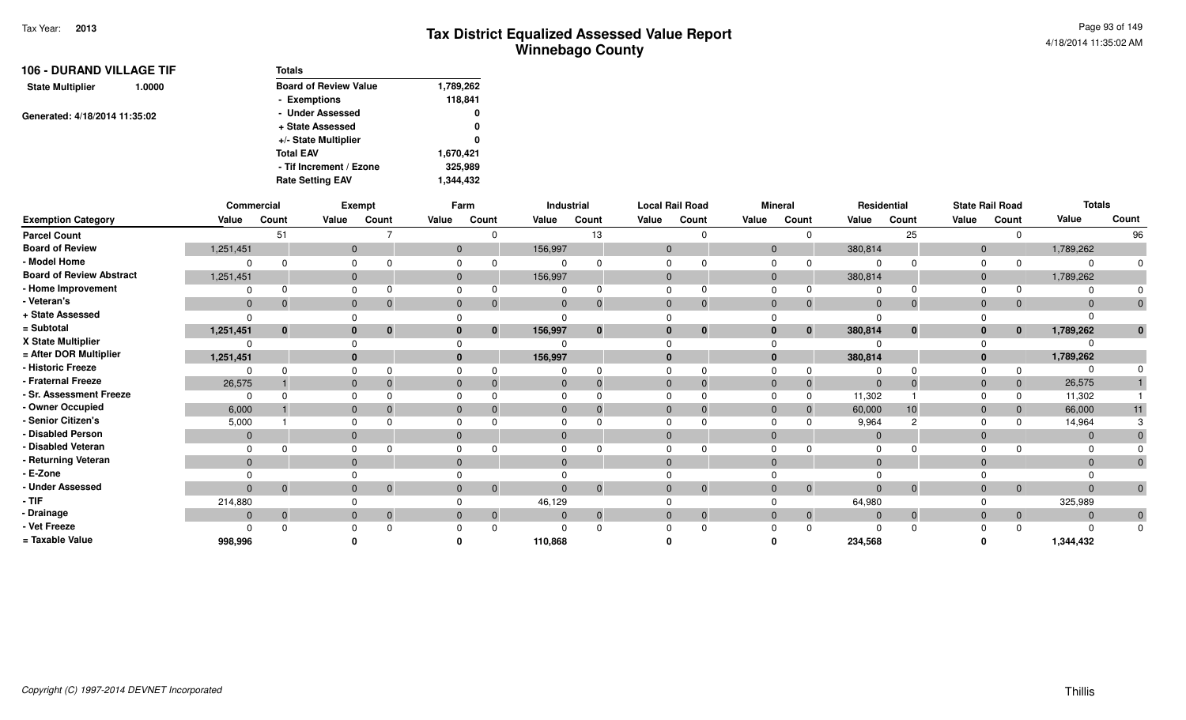| <b>106 - DURAND VILLAGE TIF</b><br>1.0000 | <b>Totals</b>                |           |
|-------------------------------------------|------------------------------|-----------|
| <b>State Multiplier</b>                   | <b>Board of Review Value</b> | 1,789,262 |
|                                           | - Exemptions                 | 118,841   |
| Generated: 4/18/2014 11:35:02             | - Under Assessed             | 0         |
|                                           | + State Assessed             | 0         |
|                                           | +/- State Multiplier         | 0         |
|                                           | <b>Total EAV</b>             | 1,670,421 |
|                                           | - Tif Increment / Ezone      | 325,989   |
|                                           | <b>Rate Setting EAV</b>      | 1,344,432 |

|                                 |              | Commercial     |             | Exempt                         |              | Farm         |              | Industrial   | <b>Local Rail Road</b> |          |              | <b>Mineral</b> |              | Residential    |              | <b>State Rail Road</b> | <b>Totals</b>  |                |
|---------------------------------|--------------|----------------|-------------|--------------------------------|--------------|--------------|--------------|--------------|------------------------|----------|--------------|----------------|--------------|----------------|--------------|------------------------|----------------|----------------|
| <b>Exemption Category</b>       | Value        | Count          | Value       | Count                          | Value        | Count        | Value        | Count        | Value                  | Count    | Value        | Count          | Value        | Count          | Value        | Count                  | Value          | Count          |
| <b>Parcel Count</b>             |              | 51             |             |                                |              |              |              | 13           |                        | $\Omega$ |              | O              |              | 25             |              |                        |                | 96             |
| <b>Board of Review</b>          | 1,251,451    |                |             | $\mathbf 0$                    | $\mathbf{0}$ |              | 156,997      |              | $\mathbf{0}$           |          | $\mathbf{0}$ |                | 380,814      |                | $\mathbf{0}$ |                        | 1,789,262      |                |
| - Model Home                    | $\Omega$     | $\Omega$       | $\Omega$    |                                |              |              | $\Omega$     |              |                        |          |              |                |              |                | ∩            |                        |                |                |
| <b>Board of Review Abstract</b> | 1,251,451    |                |             | $\mathbf{0}$                   | $\mathbf{0}$ |              | 156,997      |              |                        |          | $\mathbf 0$  |                | 380,814      |                | $\Omega$     |                        | 1,789,262      |                |
| - Home Improvement              | $\Omega$     | 0              |             | $\mathbf 0$                    |              |              | $\Omega$     |              |                        | $\Omega$ | $\Omega$     |                |              |                | ∩            |                        |                |                |
| - Veteran's                     | $\mathbf 0$  | $\Omega$       |             | $\mathbf{0}$<br>$\mathbf{0}$   | $\mathbf{0}$ | $\mathbf 0$  | $\mathbf{0}$ | $\mathbf{0}$ | $\mathbf{0}$           | $\Omega$ | $\mathbf{0}$ | $\overline{0}$ | $\mathbf{0}$ | $\overline{0}$ | $\Omega$     | $\overline{0}$         | $\Omega$       | $\mathbf{0}$   |
| + State Assessed                |              |                |             |                                |              |              | $\Omega$     |              |                        |          |              |                |              |                |              |                        |                |                |
| = Subtotal                      | 1,251,451    | $\bf{0}$       |             | $\mathbf 0$<br>$\mathbf{0}$    | $\bf{0}$     | $\bf{0}$     | 156,997      | $\mathbf{0}$ |                        | $\bf{0}$ | 0            | $\bf{0}$       | 380,814      | $\bf{0}$       | $\bf{0}$     | $\mathbf{0}$           | 1,789,262      | $\bf{0}$       |
| X State Multiplier              |              |                | $\Omega$    |                                |              |              |              |              |                        |          |              |                |              |                | <sup>n</sup> |                        |                |                |
| = After DOR Multiplier          | 1,251,451    |                |             | 0                              |              |              | 156,997      |              |                        |          |              |                | 380,814      |                | $\mathbf{0}$ |                        | 1,789,262      |                |
| - Historic Freeze               |              | $\Omega$       |             |                                |              |              |              |              |                        |          |              | 0              |              | n              |              |                        | $\Omega$       |                |
| - Fraternal Freeze              | 26,575       |                |             | $\mathbf{0}$                   | $\mathbf{0}$ |              | $\mathbf{0}$ |              |                        |          | $\mathbf{0}$ | $\Omega$       | $\Omega$     | - 0            | $\Omega$     | $\mathbf{0}$           | 26,575         |                |
| - Sr. Assessment Freeze         | $\Omega$     |                | $\Omega$    |                                |              |              |              |              |                        |          |              |                | 11,302       |                |              |                        | 11,302         |                |
| - Owner Occupied                | 6,000        |                | $\mathbf 0$ |                                |              |              | $\Omega$     |              |                        |          |              |                | 60,000       | 10             | $\Omega$     | $\mathbf{0}$           | 66,000         |                |
| - Senior Citizen's              | 5,000        |                |             |                                |              |              |              |              |                        |          |              |                | 9,964        |                |              |                        | 14,964         |                |
| - Disabled Person               | $\mathbf{0}$ |                |             | $\mathbf 0$                    | $\mathbf{0}$ |              | $\mathbf{0}$ |              |                        |          | $\mathbf{0}$ |                | $\Omega$     |                | $\Omega$     |                        | $\overline{0}$ |                |
| - Disabled Veteran              | $\Omega$     |                | $\Omega$    |                                |              |              | $\Omega$     |              |                        |          |              |                |              |                |              |                        |                |                |
| - Returning Veteran             | $\Omega$     |                |             | $\Omega$                       |              |              | $\Omega$     |              |                        |          | $\Omega$     |                |              |                | $\Omega$     |                        | $\Omega$       | $\overline{0}$ |
| - E-Zone                        |              |                |             | $\Omega$                       |              |              |              |              |                        |          |              |                |              |                |              |                        |                |                |
| - Under Assessed                | $\mathbf{0}$ | $\overline{0}$ |             | $\mathbf{0}$<br>$\overline{0}$ | $\mathbf{0}$ | $\mathbf{0}$ | $\mathbf{0}$ | $\mathbf{0}$ | $\Omega$               | $\Omega$ | $\mathbf{0}$ | $\mathbf{0}$   |              | $\overline{0}$ | $\Omega$     | $\overline{0}$         | $\Omega$       | $\overline{0}$ |
| $-$ TIF                         | 214,880      |                |             |                                |              |              | 46,129       |              |                        |          |              |                | 64,980       |                |              |                        | 325,989        |                |
| - Drainage                      | $\mathbf 0$  | $\mathbf{0}$   |             | $\mathbf{0}$<br>$\mathbf 0$    | $\Omega$     | $\mathbf 0$  | $\Omega$     | $\mathbf 0$  | $\Omega$               | $\Omega$ | $\Omega$     | $\overline{0}$ |              | $\mathbf 0$    | $\Omega$     | $\mathbf{0}$           | $\Omega$       | $\overline{0}$ |
| - Vet Freeze                    |              | $\Omega$       |             |                                |              |              |              |              |                        | $\Omega$ |              |                |              | $\Omega$       |              |                        |                | $\Omega$       |
| = Taxable Value                 | 998,996      |                |             |                                |              |              | 110,868      |              |                        |          |              |                | 234,568      |                |              |                        | 1,344,432      |                |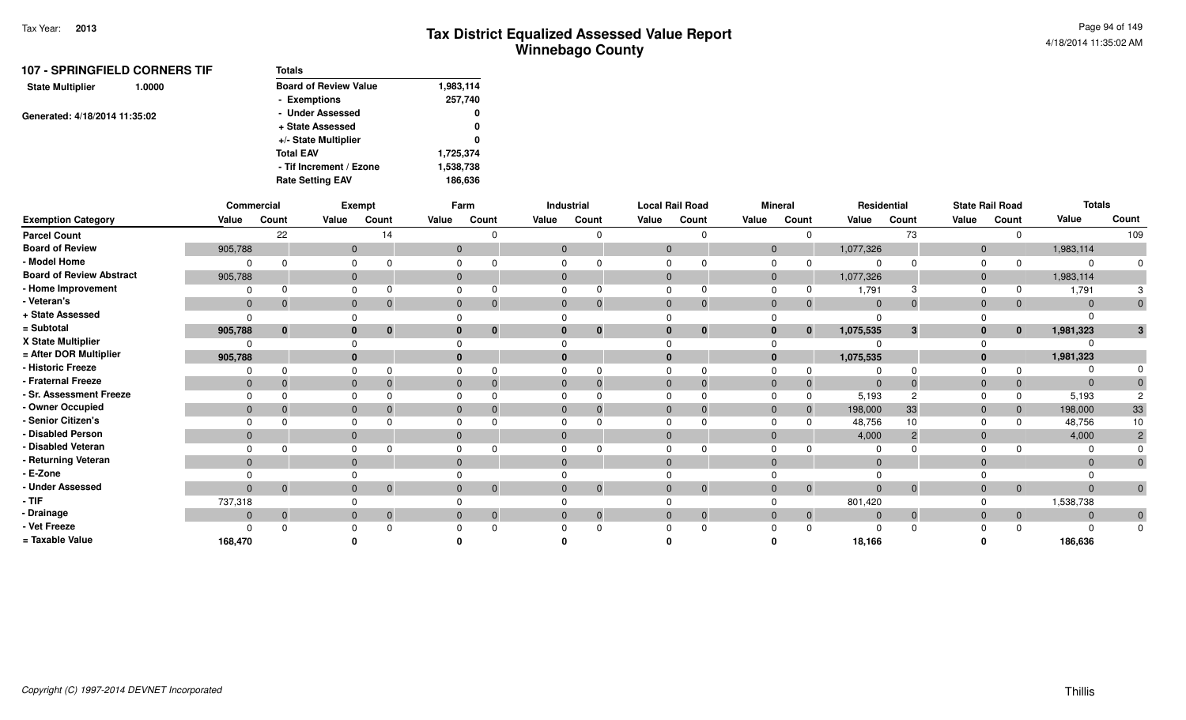|                               | <b>107 - SPRINGFIELD CORNERS TIF</b> | Totals                       |           |
|-------------------------------|--------------------------------------|------------------------------|-----------|
| <b>State Multiplier</b>       | 1.0000                               | <b>Board of Review Value</b> | 1,983,114 |
|                               |                                      | - Exemptions                 | 257,740   |
|                               |                                      | - Under Assessed             | 0         |
| Generated: 4/18/2014 11:35:02 |                                      | + State Assessed             | 0         |
|                               |                                      | +/- State Multiplier         | 0         |
|                               |                                      | <b>Total EAV</b>             | 1,725,374 |
|                               |                                      | - Tif Increment / Ezone      | 1,538,738 |
|                               |                                      | <b>Rate Setting EAV</b>      | 186,636   |
|                               |                                      |                              |           |

|                                 |                | Commercial     |       | Exempt                        |                | Farm         |                | Industrial   |              | <b>Local Rail Road</b> |                | <b>Mineral</b>   |              | Residential    |              | <b>State Rail Road</b> | <b>Totals</b> |                |
|---------------------------------|----------------|----------------|-------|-------------------------------|----------------|--------------|----------------|--------------|--------------|------------------------|----------------|------------------|--------------|----------------|--------------|------------------------|---------------|----------------|
| <b>Exemption Category</b>       | Value          | Count          | Value | Count                         | Value          | Count        | Value          | Count        | Value        | Count                  | Value          | Count            | Value        | Count          | Value        | Count                  | Value         | Count          |
| <b>Parcel Count</b>             |                | 22             |       | 14                            |                |              |                |              |              |                        |                | $\Omega$         |              | 73             |              |                        |               | 109            |
| <b>Board of Review</b>          | 905,788        |                |       | $\mathbf 0$                   | $\mathbf{0}$   |              | $\mathbf{0}$   |              | $\mathbf{0}$ |                        |                | 0                | 1,077,326    |                | $\mathbf{0}$ |                        | 1,983,114     |                |
| - Model Home                    | $\Omega$       |                |       |                               | $\Omega$       |              |                |              |              |                        |                |                  |              |                |              |                        |               |                |
| <b>Board of Review Abstract</b> | 905,788        |                |       | $\mathbf{0}$                  | $\mathbf{0}$   |              | $\mathbf{0}$   |              | $\mathbf{0}$ |                        |                | 0                | 1,077,326    |                | $\Omega$     |                        | 1,983,114     |                |
| - Home Improvement              | 0              |                |       | 0                             | $\Omega$       |              | $\Omega$       |              |              |                        |                | 0                | 1,791        |                | $\Omega$     |                        | 1,791         |                |
| - Veteran's                     | $\mathbf{0}$   | 0              |       | $\mathbf{0}$<br>$\mathbf{0}$  | $\overline{0}$ |              | $\mathbf{0}$   | $\Omega$     | $\mathbf{0}$ |                        | $\mathbf{0}$   | $\mathbf 0$      | $\mathbf{0}$ | $\overline{0}$ | $\Omega$     | $\mathbf{0}$           | $\mathbf{0}$  | $\mathbf{0}$   |
| + State Assessed                | $\Omega$       |                |       |                               | O              |              |                |              |              |                        |                |                  |              |                |              |                        |               |                |
| = Subtotal                      | 905,788        | $\mathbf{0}$   |       | $\mathbf{0}$<br>$\bf{0}$      | $\mathbf{0}$   | $\bf{0}$     | $\mathbf{0}$   | $\bf{0}$     | 0            | $\bf{0}$               |                | $\mathbf{0}$     | 1,075,535    | 3              | $\mathbf{0}$ | $\mathbf{0}$           | 1,981,323     | 3              |
| X State Multiplier              | $\Omega$       |                |       |                               | <sup>0</sup>   |              |                |              |              |                        |                |                  |              |                |              |                        |               |                |
| = After DOR Multiplier          | 905,788        |                |       | $\bf{0}$                      | $\bf{0}$       |              | $\mathbf{0}$   |              | $\bf{0}$     |                        |                |                  | 1,075,535    |                |              |                        | 1,981,323     |                |
| - Historic Freeze               | $\Omega$       |                |       | $\Omega$                      | $\Omega$       |              |                |              |              |                        |                | 0                |              |                |              |                        |               |                |
| - Fraternal Freeze              | $\mathbf{0}$   |                |       | $\mathbf 0$                   | $\mathbf{0}$   |              | $\mathbf{0}$   |              | $\Omega$     |                        |                | $\mathbf{0}$     |              | $\Omega$       | $\Omega$     | $\mathbf{0}$           | $\Omega$      |                |
| - Sr. Assessment Freeze         | $\Omega$       |                |       | 0                             | $\Omega$       |              |                |              |              |                        |                | $\Omega$         | 5,193        |                |              |                        | 5,193         |                |
| - Owner Occupied                | $\Omega$       |                |       | $\mathbf{0}$<br>$\Omega$      | $\mathbf{0}$   |              | $\mathbf{0}$   |              | $\Omega$     |                        |                | $\mathbf 0$<br>0 | 198,000      | 33             | $\Omega$     | $\mathbf{0}$           | 198,000       | 33             |
| - Senior Citizen's              | $\Omega$       |                |       | 0                             | $\Omega$       |              |                |              |              |                        |                |                  | 48,756       | 10             | $\Omega$     |                        | 48,756        | 10             |
| - Disabled Person               | $\mathbf{0}$   |                |       | $\mathbf{0}$                  | $\overline{0}$ |              | $\mathbf{0}$   |              | $\Omega$     |                        | $\Omega$       |                  | 4,000        | $\overline{2}$ | $\Omega$     |                        | 4,000         | $\mathcal{P}$  |
| - Disabled Veteran              | $\Omega$       |                |       | 0                             |                |              | $\Omega$       |              |              |                        |                |                  |              |                | $\Omega$     |                        |               |                |
| - Returning Veteran             | $\overline{0}$ |                |       | $\mathbf{0}$                  | $\Omega$       |              | $\mathbf{0}$   |              | $\Omega$     |                        | $\overline{0}$ |                  |              |                | $\Omega$     |                        | $\Omega$      | $\overline{0}$ |
| - E-Zone                        | $\Omega$       |                |       |                               |                |              |                |              |              |                        |                |                  |              |                |              |                        |               |                |
| - Under Assessed                | $\mathbf{0}$   | $\overline{0}$ |       | $\overline{0}$<br>$\mathbf 0$ | $\mathbf{0}$   | $\mathbf{0}$ | $\overline{0}$ | $\mathbf{0}$ | $\mathbf{0}$ | $\Omega$               |                | $\mathbf 0$<br>0 |              | $\mathbf{0}$   | $\mathbf{0}$ | $\overline{0}$         | $\Omega$      | $\mathbf 0$    |
| $-$ TIF                         | 737,318        |                |       |                               | $\Omega$       |              |                |              |              |                        |                |                  | 801,420      |                |              |                        | 1,538,738     |                |
| - Drainage                      | $\mathbf{0}$   | $\overline{0}$ |       | $\mathbf{0}$<br>$\mathbf 0$   | $\mathbf{0}$   | $\mathbf 0$  | $\mathbf{0}$   | $\mathbf 0$  | $\mathbf{0}$ | $\Omega$               |                | $\mathbf 0$      |              | $\overline{0}$ | $\Omega$     | $\overline{0}$         | $\mathbf{0}$  | $\overline{0}$ |
| - Vet Freeze                    | $\Omega$       |                |       | $\Omega$                      | O              |              |                |              |              |                        |                | <sup>0</sup>     |              |                |              |                        |               | $\Omega$       |
| = Taxable Value                 | 168,470        |                |       |                               |                |              |                |              |              |                        |                |                  | 18,166       |                |              |                        | 186,636       |                |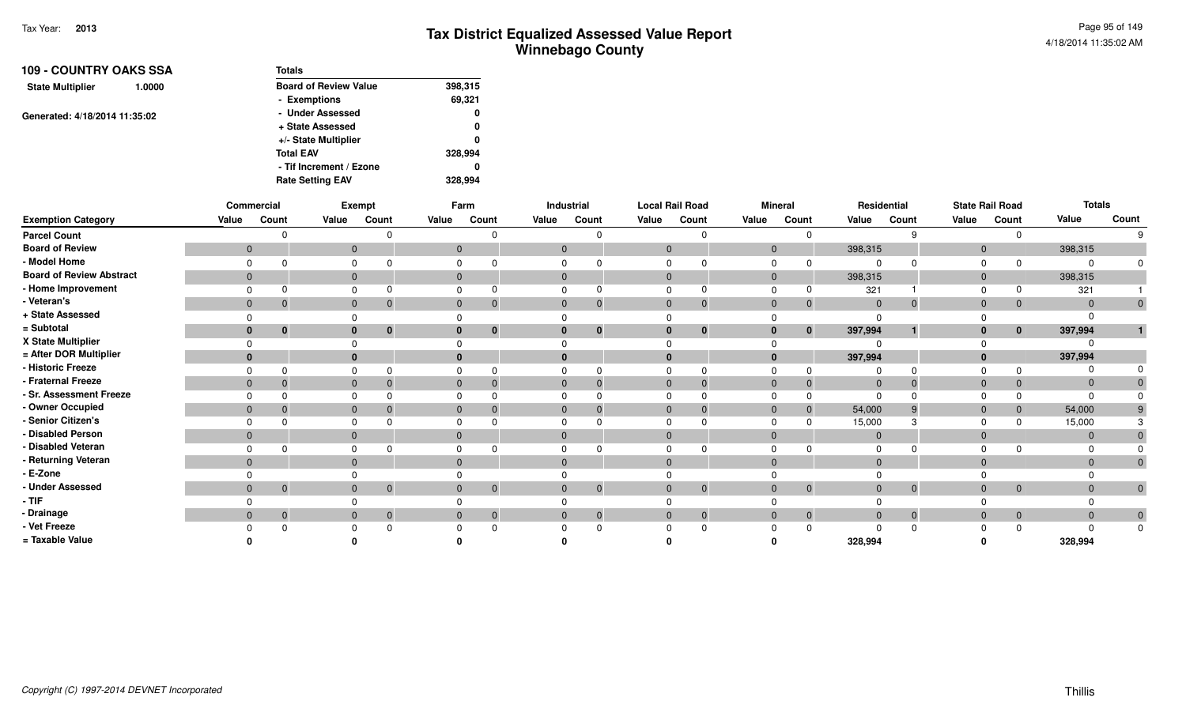| <b>109 - COUNTRY OAKS SSA</b>     | <b>Totals</b>                |         |
|-----------------------------------|------------------------------|---------|
| <b>State Multiplier</b><br>1.0000 | <b>Board of Review Value</b> | 398,315 |
|                                   | - Exemptions                 | 69,321  |
| Generated: 4/18/2014 11:35:02     | - Under Assessed             | 0       |
|                                   | + State Assessed             | 0       |
|                                   | +/- State Multiplier         | 0       |
|                                   | <b>Total EAV</b>             | 328,994 |
|                                   | - Tif Increment / Ezone      | 0       |
|                                   | <b>Rate Setting EAV</b>      | 328.994 |

|                                 |              | Commercial     |              | Exempt                      |              | Farm         |              | Industrial  | <b>Local Rail Road</b> |              |              | <b>Mineral</b> |              | Residential    |                | <b>State Rail Road</b> |          | <b>Totals</b> |
|---------------------------------|--------------|----------------|--------------|-----------------------------|--------------|--------------|--------------|-------------|------------------------|--------------|--------------|----------------|--------------|----------------|----------------|------------------------|----------|---------------|
| <b>Exemption Category</b>       | Value        | Count          | Value        | Count                       | Value        | Count        | Value        | Count       | Value                  | Count        | Value        | Count          | Value        | Count          | Value          | Count                  | Value    | Count         |
| <b>Parcel Count</b>             |              |                |              |                             |              |              |              |             |                        |              |              |                |              | Ω              |                |                        |          |               |
| <b>Board of Review</b>          | $\mathbf{0}$ |                | $\mathbf 0$  |                             | $\mathbf 0$  |              | $\mathbf 0$  |             | $\mathbf 0$            |              | $\mathbf{0}$ |                | 398,315      |                | $\mathbf{0}$   |                        | 398,315  |               |
| - Model Home                    |              |                |              |                             |              |              |              |             |                        |              |              |                |              |                | $\Omega$       |                        |          |               |
| <b>Board of Review Abstract</b> | $\mathbf{0}$ |                | $\mathbf{0}$ |                             | $\mathbf{0}$ |              | $\mathbf{0}$ |             | $\mathbf{0}$           |              | $\mathbf{0}$ |                | 398,315      |                | $\mathbf{0}$   |                        | 398,315  |               |
| - Home Improvement              |              |                |              |                             |              |              |              |             |                        |              | $\Omega$     |                | 321          |                | $\Omega$       |                        | 321      |               |
| - Veteran's                     | $\mathbf 0$  | O              | $\mathbf{0}$ |                             | $\mathbf{0}$ | 0            | $\mathbf 0$  |             | $\mathbf{0}$           | $\mathbf 0$  | $\mathbf 0$  |                | $\mathbf 0$  | $\Omega$       | $\mathbf{0}$   | $\mathbf{0}$           | $\Omega$ | $\mathbf{0}$  |
| + State Assessed                |              |                |              |                             |              |              |              |             |                        |              |              |                | $\Omega$     |                |                |                        |          |               |
| = Subtotal                      | $\bf{0}$     | $\bf{0}$       | $\bf{0}$     | $\bf{0}$                    | $\bf{0}$     | $\mathbf 0$  | $\mathbf{0}$ | $\mathbf 0$ | $\bf{0}$               | $\mathbf{0}$ | $\mathbf{0}$ | $\mathbf{0}$   | 397,994      |                | $\mathbf{0}$   | $\bf{0}$               | 397,994  |               |
| X State Multiplier              |              |                |              |                             |              |              |              |             |                        |              |              |                | $\Omega$     |                |                |                        |          |               |
| = After DOR Multiplier          | $\bf{0}$     |                |              | $\bf{0}$                    |              |              | $\bf{0}$     |             |                        |              | $\bf{0}$     |                | 397,994      |                | $\bf{0}$       |                        | 397,994  |               |
| - Historic Freeze               |              |                |              |                             |              |              |              |             |                        |              |              |                |              |                |                |                        |          |               |
| - Fraternal Freeze              | $\mathbf{0}$ |                | $\mathbf{0}$ |                             | $\mathbf 0$  |              | $\mathbf 0$  |             | $\Omega$               |              | $\mathbf 0$  |                | $\mathbf{0}$ |                | $\mathbf{0}$   |                        |          |               |
| - Sr. Assessment Freeze         |              |                |              |                             |              |              |              |             |                        |              |              |                |              |                |                |                        |          |               |
| - Owner Occupied                | $\Omega$     |                | $\mathbf{0}$ |                             | $\Omega$     |              | $\Omega$     |             | $\Omega$               |              | $\Omega$     |                | 54,000       |                | $\overline{0}$ | $\mathbf{0}$           | 54,000   |               |
| - Senior Citizen's              |              |                |              |                             |              |              |              |             |                        |              |              |                | 15,000       |                |                |                        | 15,000   |               |
| Disabled Person                 | $\Omega$     |                | $\Omega$     |                             | $\Omega$     |              | $\mathbf{0}$ |             | $\Omega$               |              | $\mathbf{0}$ |                | $\Omega$     |                | $\Omega$       |                        |          |               |
| - Disabled Veteran              |              |                |              |                             |              |              |              |             |                        |              | $\Omega$     |                | $\Omega$     |                | $\Omega$       |                        |          |               |
| Returning Veteran               | $\Omega$     |                | $\mathbf{0}$ |                             | $\Omega$     |              | $\mathbf{0}$ |             | $\Omega$               |              | $\mathbf{0}$ |                | $\Omega$     |                | $\mathbf{0}$   |                        |          | $\mathbf 0$   |
| · E-Zone                        |              |                |              |                             |              |              |              |             |                        |              |              |                |              |                |                |                        |          |               |
| <b>Under Assessed</b>           | $\mathbf{0}$ | $\mathbf{0}$   |              | $\mathbf{0}$<br>$\mathbf 0$ | $\Omega$     | $\mathbf{0}$ | $\mathbf{0}$ | $\Omega$    | $\mathbf{0}$           | $\mathbf{0}$ | $\mathbf{0}$ | $\overline{0}$ | $\mathbf{0}$ | $\overline{0}$ | $\mathbf{0}$   | $\overline{0}$         |          | $\mathbf 0$   |
| - TIF                           |              |                |              |                             |              |              |              |             |                        |              |              |                |              |                |                |                        |          |               |
| · Drainage                      | $\mathbf{0}$ | $\overline{0}$ | $\mathbf{0}$ |                             | $\mathbf{0}$ |              | $\Omega$     |             | $\mathbf{0}$           | $\mathbf{0}$ | $\mathbf{0}$ | $\Omega$       | $\mathbf{0}$ | $\overline{0}$ | $\mathbf{0}$   | $\mathbf{0}$           |          | $\mathbf{0}$  |
| - Vet Freeze                    |              |                |              |                             |              |              |              |             |                        |              |              |                | $\Omega$     | n              |                |                        |          | 0             |
| = Taxable Value                 |              |                |              |                             |              |              |              |             |                        |              |              |                | 328,994      |                |                |                        | 328,994  |               |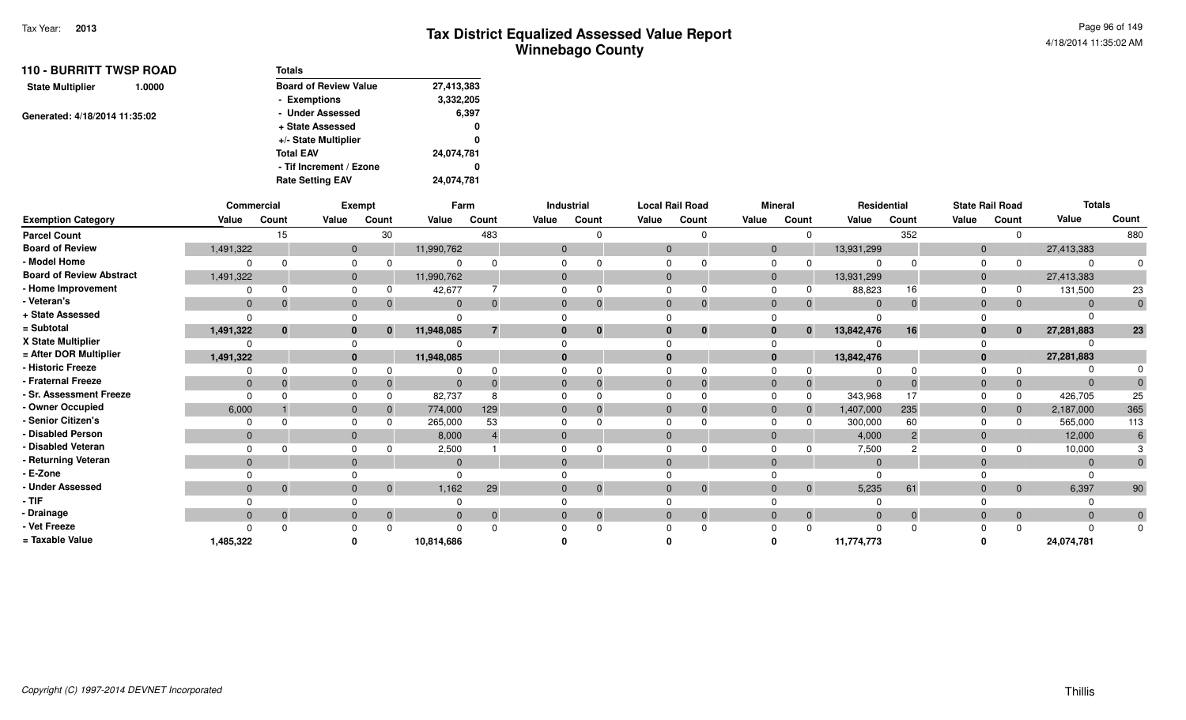| <b>110 - BURRITT TWSP ROAD</b>    | Totals                       |            |
|-----------------------------------|------------------------------|------------|
| <b>State Multiplier</b><br>1.0000 | <b>Board of Review Value</b> | 27,413,383 |
|                                   | - Exemptions                 | 3,332,205  |
| Generated: 4/18/2014 11:35:02     | - Under Assessed             | 6,397      |
|                                   | + State Assessed             | 0          |
|                                   | +/- State Multiplier         | 0          |
|                                   | <b>Total EAV</b>             | 24,074,781 |
|                                   | - Tif Increment / Ezone      | 0          |
|                                   | <b>Rate Setting EAV</b>      | 24,074,781 |

|                                 | <b>Commercial</b> |              |              | Exempt         | Farm         |          |          | Industrial  |                | <b>Local Rail Road</b> |                | <b>Mineral</b> | Residential |       |              | <b>State Rail Road</b> | <b>Totals</b> |                |
|---------------------------------|-------------------|--------------|--------------|----------------|--------------|----------|----------|-------------|----------------|------------------------|----------------|----------------|-------------|-------|--------------|------------------------|---------------|----------------|
| <b>Exemption Category</b>       | Value             | Count        | Value        | Count          | Value        | Count    | Value    | Count       | Value          | Count                  | Value          | Count          | Value       | Count | Value        | Count                  | Value         | Count          |
| <b>Parcel Count</b>             |                   | 15           |              | 30             |              | 483      |          |             |                |                        |                |                |             | 352   |              | $\Omega$               |               | 880            |
| <b>Board of Review</b>          | 1,491,322         |              | $\mathbf{0}$ |                | 11,990,762   |          | $\Omega$ |             | $\mathbf 0$    |                        | $\overline{0}$ |                | 13,931,299  |       | $\mathbf{0}$ |                        | 27,413,383    |                |
| - Model Home                    |                   |              |              |                |              |          |          |             |                |                        | $\Omega$       |                | $\Omega$    |       | $\Omega$     |                        | $\Omega$      |                |
| <b>Board of Review Abstract</b> | 1,491,322         |              | $\mathbf{0}$ |                | 11,990,762   |          | $\Omega$ |             | $\Omega$       |                        | $\overline{0}$ |                | 13,931,299  |       | $\mathbf 0$  |                        | 27,413,383    |                |
| - Home Improvement              |                   |              |              |                | 42,677       |          |          |             |                |                        |                |                | 88,823      | 16    |              |                        | 131,500       | 23             |
| - Veteran's                     | $\Omega$          | $\Omega$     |              | $\overline{0}$ | $\mathbf{0}$ |          | $\Omega$ | $\mathbf 0$ | $\Omega$       | $\Omega$               | $\Omega$       |                | $\Omega$    |       | $\Omega$     | $\mathbf{0}$           | $\mathbf{0}$  |                |
| + State Assessed                | $\Omega$          |              |              |                |              |          |          |             |                |                        |                |                | $\Omega$    |       |              |                        |               |                |
| = Subtotal                      | 1,491,322         | $\mathbf{0}$ |              | $\bf{0}$       | 11,948,085   |          |          | 0           |                | $\bf{0}$               | 0              |                | 13,842,476  | 16    |              | $\mathbf{0}$           | 27,281,883    | 23             |
| X State Multiplier              |                   |              |              |                |              |          |          |             |                |                        |                |                |             |       |              |                        |               |                |
| = After DOR Multiplier          | 1,491,322         |              |              |                | 11,948,085   |          |          |             |                |                        | $\mathbf{0}$   |                | 13,842,476  |       |              |                        | 27,281,883    |                |
| - Historic Freeze               |                   |              |              |                |              |          |          |             |                |                        |                |                |             |       |              |                        |               |                |
| - Fraternal Freeze              | $\Omega$          |              |              | $\Omega$       | $\mathbf{0}$ |          | $\Omega$ |             | $\Omega$       | $\Omega$               | $\Omega$       |                | $\Omega$    |       | $\Omega$     | $\mathbf{0}$           | $\Omega$      |                |
| - Sr. Assessment Freeze         |                   |              |              | $\Omega$       | 82,737       |          |          |             |                |                        |                |                | 343,968     | 17    |              | $\Omega$               | 426,705       | 25             |
| - Owner Occupied                | 6,000             |              |              | $\Omega$       | 774,000      | 129      |          |             | $\overline{0}$ |                        | $\overline{0}$ |                | 1,407,000   | 235   | $\mathbf{0}$ | $\mathbf{0}$           | 2,187,000     | 365            |
| - Senior Citizen's              |                   |              |              |                | 265,000      | 53       |          |             |                |                        |                |                | 300,000     | 60    |              |                        | 565,000       | 113            |
| - Disabled Person               | $\Omega$          |              |              |                | 8,000        |          | $\Omega$ |             |                |                        | $\Omega$       |                | 4,000       |       |              |                        | 12,000        |                |
| - Disabled Veteran              |                   |              |              |                | 2,500        |          |          |             |                |                        |                |                | 7,500       |       |              |                        | 10,000        |                |
| - Returning Veteran             | $\Omega$          |              |              |                | $\Omega$     |          | $\Omega$ |             |                |                        | $\Omega$       |                | $\Omega$    |       |              |                        | $\Omega$      | $\overline{0}$ |
| - E-Zone                        |                   |              |              |                |              |          |          |             |                |                        |                |                |             |       |              |                        |               |                |
| - Under Assessed                | $\Omega$          | $\Omega$     |              | $\Omega$       | 1,162        | 29       |          | $\mathbf 0$ | $\Omega$       | $\Omega$               | $\Omega$       | $\overline{0}$ | 5,235       | 61    |              | $\mathbf{0}$           | 6,397         | 90             |
| - TIF                           |                   |              |              |                |              |          |          |             |                |                        |                |                |             |       |              |                        |               |                |
| - Drainage                      | $\Omega$          | $\mathbf{0}$ |              | $\mathbf 0$    | $\Omega$     | $\Omega$ | $\Omega$ | $\mathbf 0$ |                | $\Omega$               | $\overline{0}$ |                | $\Omega$    |       | $\Omega$     | $\mathbf{0}$           | $\mathbf{0}$  | $\mathbf{0}$   |
| - Vet Freeze                    |                   |              |              |                |              |          |          |             |                | $\Omega$               |                |                | $\Omega$    |       |              |                        | $\Omega$      | $\Omega$       |
| = Taxable Value                 | 1,485,322         |              |              |                | 10,814,686   |          |          |             |                |                        |                |                | 11,774,773  |       |              |                        | 24,074,781    |                |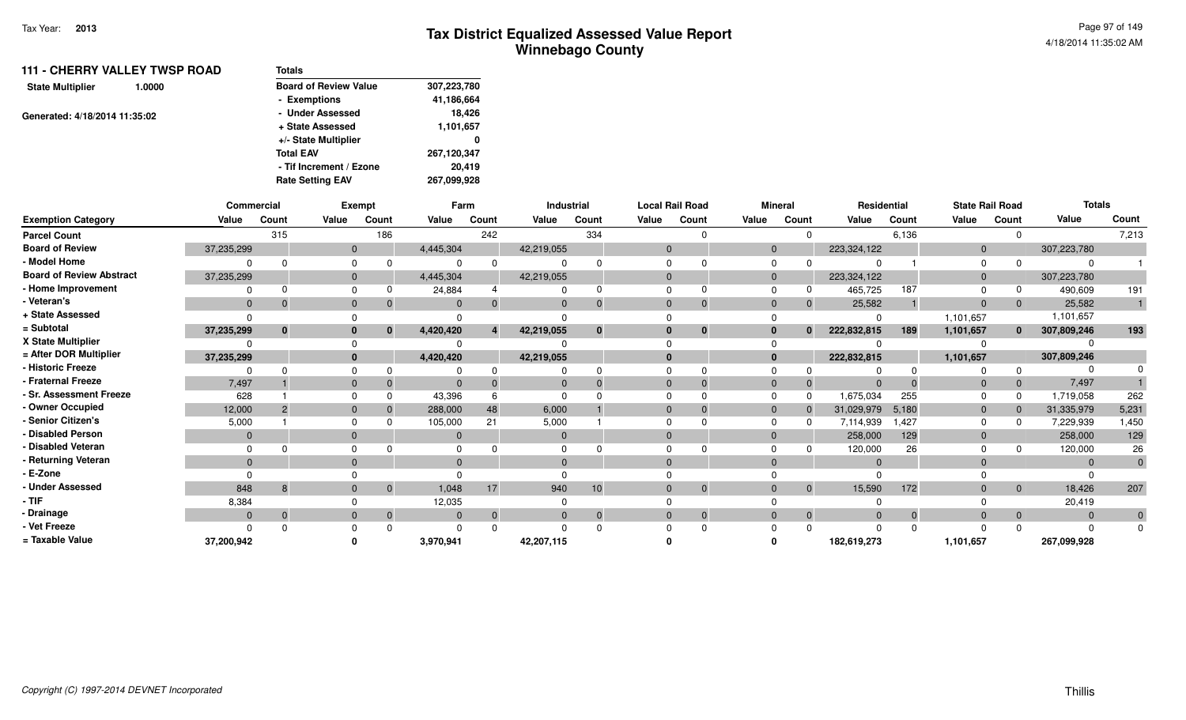| <b>111 - CHERRY VALLEY TWSP ROAD</b> | <b>Totals</b>                |             |
|--------------------------------------|------------------------------|-------------|
| <b>State Multiplier</b><br>1.0000    | <b>Board of Review Value</b> | 307,223,780 |
|                                      | - Exemptions                 | 41,186,664  |
| Generated: 4/18/2014 11:35:02        | - Under Assessed             | 18.426      |
|                                      | + State Assessed             | 1,101,657   |
|                                      | +/- State Multiplier         | 0           |
|                                      | <b>Total EAV</b>             | 267,120,347 |
|                                      | - Tif Increment / Ezone      | 20.419      |
|                                      | <b>Rate Setting EAV</b>      | 267,099,928 |
|                                      |                              |             |

|                                 | Commercial     |              |              | <b>Exempt</b> |              | Farm     |            | Industrial     |             | Local Rail Road |                | <b>Mineral</b> | Residential |       | <b>State Rail Road</b> |                | <b>Totals</b> |              |
|---------------------------------|----------------|--------------|--------------|---------------|--------------|----------|------------|----------------|-------------|-----------------|----------------|----------------|-------------|-------|------------------------|----------------|---------------|--------------|
| <b>Exemption Category</b>       | Value          | Count        | Value        | Count         | Value        | Count    | Value      | Count          | Value       | Count           | Value          | Count          | Value       | Count | Value                  | Count          | Value         | Count        |
| <b>Parcel Count</b>             |                | 315          |              | 186           |              | 242      |            | 334            |             |                 |                |                |             | 6,136 |                        | $\Omega$       |               | 7,213        |
| <b>Board of Review</b>          | 37,235,299     |              | $\mathbf{0}$ |               | 4,445,304    |          | 42,219,055 |                | $\Omega$    |                 | $\overline{0}$ |                | 223,324,122 |       | $\mathbf{0}$           |                | 307,223,780   |              |
| - Model Home                    |                |              |              |               |              |          |            |                |             |                 | $\Omega$       |                |             |       | $\Omega$               |                | $\Omega$      |              |
| <b>Board of Review Abstract</b> | 37,235,299     |              | $\Omega$     |               | 4,445,304    |          | 42,219,055 |                | $\Omega$    |                 | $\Omega$       |                | 223,324,122 |       | $\Omega$               |                | 307,223,780   |              |
| - Home Improvement              |                |              | $\Omega$     |               | 24,884       |          |            |                |             |                 | $\Omega$       |                | 465,725     | 187   |                        |                | 490,609       | 191          |
| - Veteran's                     | $\mathbf{0}$   |              | $\mathbf{0}$ |               | $\mathbf{0}$ |          |            | $\overline{0}$ | $\Omega$    | $\Omega$        | $\Omega$       |                | 25,582      |       | $\Omega$               | $\overline{0}$ | 25,582        |              |
| + State Assessed                |                |              |              |               |              |          |            |                |             |                 |                |                | $\Omega$    |       | 1,101,657              |                | 1,101,657     |              |
| = Subtotal                      | 37,235,299     | $\mathbf{0}$ |              | 0             | 4,420,420    | 4        | 42,219,055 | $\bf{0}$       |             | $\bf{0}$        | 0              |                | 222,832,815 | 189   | 1,101,657              | $\mathbf{0}$   | 307,809,246   | 193          |
| X State Multiplier              |                |              |              |               |              |          |            |                |             |                 |                |                |             |       |                        |                |               |              |
| = After DOR Multiplier          | 37,235,299     |              | $\bf{0}$     |               | 4,420,420    |          | 42,219,055 |                |             |                 | $\mathbf{0}$   |                | 222,832,815 |       | 1,101,657              |                | 307,809,246   |              |
| - Historic Freeze               |                | $\Omega$     |              |               |              |          |            |                |             |                 |                |                |             |       |                        |                |               |              |
| - Fraternal Freeze              | 7,497          |              | $\Omega$     |               | $\Omega$     |          |            |                | $\Omega$    |                 | $\Omega$       |                | $\Omega$    |       |                        | $\overline{0}$ | 7,497         |              |
| - Sr. Assessment Freeze         | 628            |              |              |               | 43,396       |          |            |                |             |                 | $\Omega$       |                | 1,675,034   | 255   |                        |                | 1,719,058     | 262          |
| - Owner Occupied                | 12,000         |              | $\mathbf{0}$ |               | 288,000      | 48       | 6,000      |                | $\mathbf 0$ |                 | $\overline{0}$ |                | 31,029,979  | 5,180 | $\mathbf{0}$           |                | 31,335,979    | 5,231        |
| - Senior Citizen's              | 5,000          |              |              |               | 105,000      | 21       | 5,000      |                |             |                 | $\Omega$       |                | 7,114,939   | 1,427 | $\Omega$               |                | 7,229,939     | 1,450        |
| <b>Disabled Person</b>          | $\Omega$       |              |              |               | $\Omega$     |          | $\Omega$   |                |             |                 | $\Omega$       |                | 258,000     | 129   |                        |                | 258,000       | 129          |
| Disabled Veteran                |                |              |              |               |              |          |            |                |             |                 |                |                | 120,000     | 26    |                        |                | 120,000       | 26           |
| - Returning Veteran             | $\Omega$       |              | $\Omega$     |               | $\Omega$     |          | $\Omega$   |                | $\Omega$    |                 | $\Omega$       |                | $\Omega$    |       |                        |                | $\Omega$      | $\Omega$     |
| - E-Zone                        |                |              |              |               |              |          |            |                |             |                 |                |                |             |       |                        |                |               |              |
| <b>Under Assessed</b>           | 848            | 8            | $\Omega$     | $\Omega$      | 1,048        | 17       | 940        | 10             | $\Omega$    | $\Omega$        | $\Omega$       | $\Omega$       | 15,590      | 172   | $\Omega$               | $\overline{0}$ | 18,426        | 207          |
| $-$ TIF                         | 8,384          |              |              |               | 12,035       |          |            |                |             |                 |                |                |             |       |                        |                | 20,419        |              |
| - Drainage                      | $\overline{0}$ | $\Omega$     | $\Omega$     |               | $\mathbf{0}$ | $\Omega$ | $\Omega$   | $\overline{0}$ | $\Omega$    | $\Omega$        | $\Omega$       | $\Omega$       | $\Omega$    |       | $\Omega$               | $\overline{0}$ | $\Omega$      | $\mathbf{0}$ |
| - Vet Freeze                    |                |              |              |               |              |          |            |                |             |                 |                |                | $\Omega$    |       |                        |                | $\Omega$      | $\Omega$     |
| = Taxable Value                 | 37,200,942     |              |              |               | 3,970,941    |          | 42,207,115 |                |             |                 |                |                | 182,619,273 |       | 1,101,657              |                | 267,099,928   |              |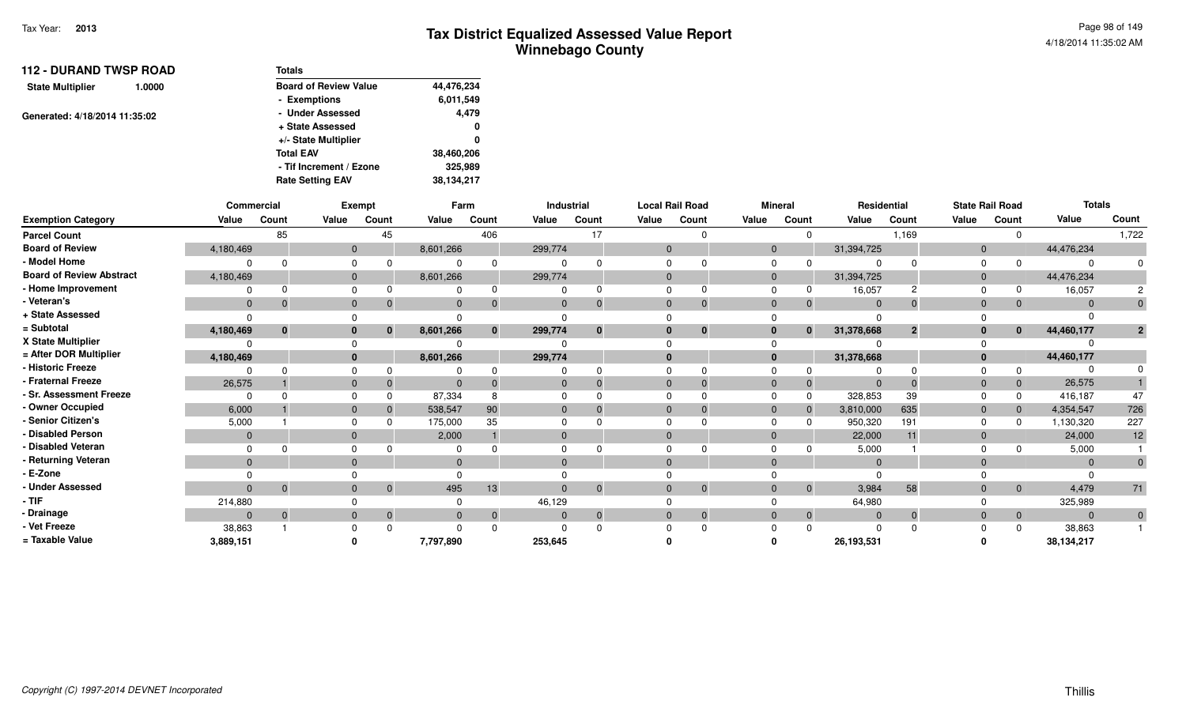| <b>112 - DURAND TWSP ROAD</b>     | <b>Totals</b>                |            |
|-----------------------------------|------------------------------|------------|
| <b>State Multiplier</b><br>1.0000 | <b>Board of Review Value</b> | 44,476,234 |
|                                   | - Exemptions                 | 6,011,549  |
| Generated: 4/18/2014 11:35:02     | - Under Assessed             | 4,479      |
|                                   | + State Assessed             | 0          |
|                                   | +/- State Multiplier         | 0          |
|                                   | <b>Total EAV</b>             | 38,460,206 |
|                                   | - Tif Increment / Ezone      | 325,989    |
|                                   | <b>Rate Setting EAV</b>      | 38,134,217 |

|                                 | Commercial   |              |              | Exempt   |              | Farm     |                | Industrial   |              | <b>Local Rail Road</b> |              | <b>Mineral</b> |              | Residential  |              | <b>State Rail Road</b> | <b>Totals</b>  |                |
|---------------------------------|--------------|--------------|--------------|----------|--------------|----------|----------------|--------------|--------------|------------------------|--------------|----------------|--------------|--------------|--------------|------------------------|----------------|----------------|
| <b>Exemption Category</b>       | Value        | Count        | Value        | Count    | Value        | Count    | Value          | Count        | Value        | Count                  | Value        | Count          | Value        | Count        | Value        | Count                  | Value          | Count          |
| <b>Parcel Count</b>             |              | 85           |              | 45       |              | 406      |                | 17           |              | n                      |              |                |              | 1,169        |              | $\Omega$               |                | 1,722          |
| <b>Board of Review</b>          | 4,180,469    |              | $\mathbf 0$  |          | 8,601,266    |          | 299,774        |              | $\mathbf{0}$ |                        | $\mathbf{0}$ |                | 31,394,725   |              | $\mathbf{0}$ |                        | 44,476,234     |                |
| - Model Home                    | ŋ            |              | $\Omega$     |          |              |          |                |              |              |                        | $\Omega$     |                |              |              |              |                        |                | $\Omega$       |
| <b>Board of Review Abstract</b> | 4,180,469    |              | $\mathbf 0$  |          | 8,601,266    |          | 299,774        |              | $\mathbf{0}$ |                        | $\mathbf{0}$ |                | 31,394,725   |              | $\mathbf{0}$ |                        | 44,476,234     |                |
| - Home Improvement              |              |              | $\Omega$     |          |              |          |                |              | $\Omega$     |                        | $\Omega$     |                | 16,057       |              |              |                        | 16,057         | $\overline{2}$ |
| - Veteran's                     | $\mathbf{0}$ | $\Omega$     | $\mathbf{0}$ |          | $\Omega$     |          | $\overline{0}$ |              | $\Omega$     | $\Omega$               | $\mathbf{0}$ | $\Omega$       | $\mathbf{0}$ | $\Omega$     | $\mathbf{0}$ | $\mathbf{0}$           | $\Omega$       | $\mathbf{0}$   |
| + State Assessed                |              |              |              |          |              |          |                |              |              |                        |              |                |              |              |              |                        |                |                |
| = Subtotal                      | 4,180,469    | $\mathbf{0}$ | 0            | $\bf{0}$ | 8,601,266    | $\bf{0}$ | 299,774        | $\bf{0}$     | $\bf{0}$     | $\mathbf{0}$           | $\bf{0}$     | $\bf{0}$       | 31,378,668   | $\mathbf{2}$ |              | $\mathbf{0}$           | 44,460,177     | $\mathbf{2}$   |
| X State Multiplier              |              |              |              |          |              |          |                |              |              |                        | $\Omega$     |                |              |              |              |                        |                |                |
| = After DOR Multiplier          | 4,180,469    |              | $\mathbf{0}$ |          | 8,601,266    |          | 299,774        |              |              |                        | $\mathbf{0}$ |                | 31,378,668   |              |              |                        | 44,460,177     |                |
| - Historic Freeze               |              |              |              |          |              |          |                |              |              |                        |              |                |              |              |              |                        |                |                |
| - Fraternal Freeze              | 26,575       |              | $\mathbf{0}$ |          | $\Omega$     |          | $\Omega$       |              | $\Omega$     |                        | $\Omega$     |                | $\Omega$     |              |              | $\mathbf{0}$           | 26,575         |                |
| - Sr. Assessment Freeze         | <sup>0</sup> |              |              |          | 87,334       |          |                |              | $\Omega$     |                        | $\Omega$     |                | 328,853      | 39           |              | $\Omega$               | 416,187        | 47             |
| - Owner Occupied                | 6,000        |              | $\mathbf{0}$ |          | 538,547      | 90       | $\overline{0}$ |              | $\Omega$     |                        | $\Omega$     |                | 3,810,000    | 635          | $\mathbf{0}$ | $\mathbf{0}$           | 4,354,547      | 726            |
| - Senior Citizen's              | 5,000        |              |              |          | 175,000      | 35       |                |              |              |                        | $\Omega$     |                | 950,320      | 191          |              | $\Omega$               | 1,130,320      | 227            |
| - Disabled Person               | $\mathbf{0}$ |              | $\Omega$     |          | 2,000        |          | $\Omega$       |              | $\Omega$     |                        | $\Omega$     |                | 22,000       | 11           | $\Omega$     |                        | 24,000         | 12             |
| - Disabled Veteran              |              |              |              |          |              |          | $\Omega$       |              |              |                        | $\Omega$     |                | 5,000        |              |              |                        | 5,000          |                |
| - Returning Veteran             | $\Omega$     |              | $\Omega$     |          | $\Omega$     |          | $\Omega$       |              | $\Omega$     |                        | $\Omega$     |                | $\Omega$     |              |              |                        | $\Omega$       | $\mathbf{0}$   |
| - E-Zone                        |              |              |              |          |              |          |                |              |              |                        |              |                |              |              |              |                        |                |                |
| - Under Assessed                | $\mathbf{0}$ | $\Omega$     | $\mathbf{0}$ | $\Omega$ | 495          | 13       |                | $\Omega$     | $\mathbf{0}$ | $\mathbf{0}$           | $\mathbf{0}$ | $\overline{0}$ | 3,984        | 58           | $\Omega$     | $\overline{0}$         | 4,479          | 71             |
| - TIF                           | 214,880      |              |              |          |              |          | 46,129         |              |              |                        | $\Omega$     |                | 64,980       |              |              |                        | 325,989        |                |
| Drainage                        | $\mathbf{0}$ | $\mathbf{0}$ | $\mathbf{0}$ |          | $\mathbf{0}$ | 0        | $\overline{0}$ | $\mathbf{0}$ | $\mathbf{0}$ | $\mathbf{0}$           | $\mathbf{0}$ | $\mathbf{0}$   | $\mathbf{0}$ | $\Omega$     | $\mathbf{0}$ | $\overline{0}$         | $\overline{0}$ | $\mathbf{0}$   |
| - Vet Freeze                    | 38,863       |              |              |          |              |          |                |              |              |                        |              |                |              |              |              | $\Omega$               | 38,863         |                |
| = Taxable Value                 | 3,889,151    |              |              |          | 7,797,890    |          | 253,645        |              |              |                        |              |                | 26,193,531   |              |              |                        | 38,134,217     |                |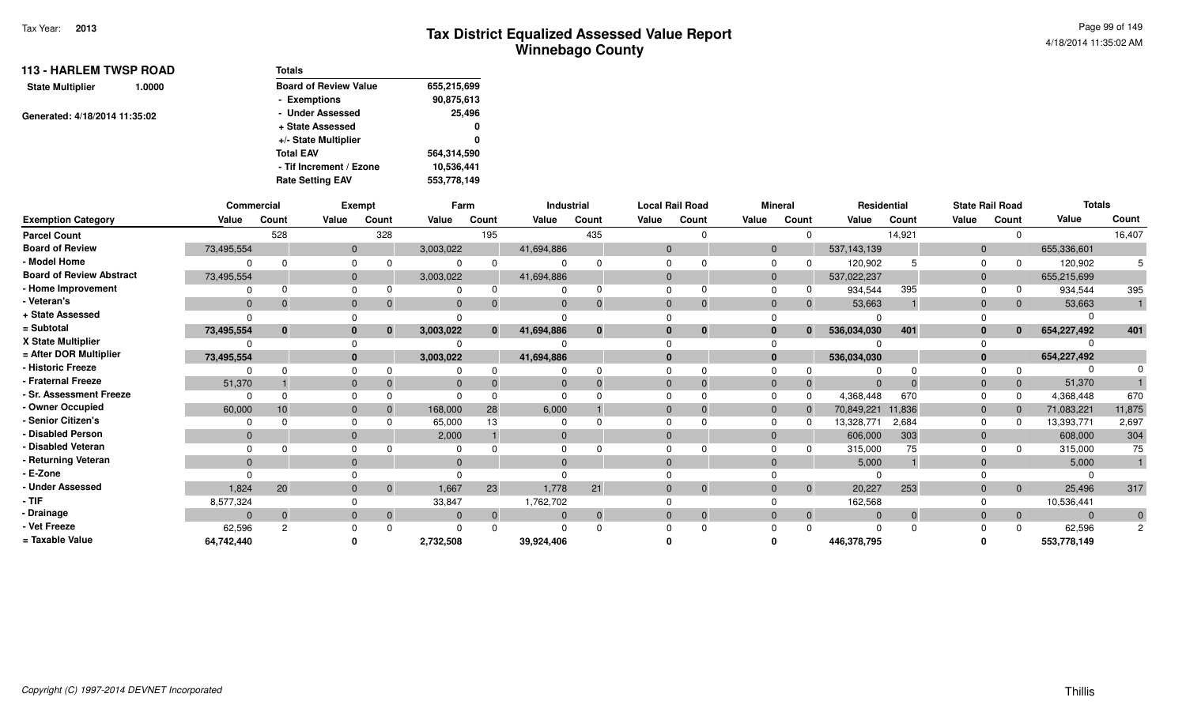| <b>113 - HARLEM TWSP ROAD</b>     | <b>Totals</b>                |             |
|-----------------------------------|------------------------------|-------------|
| <b>State Multiplier</b><br>1.0000 | <b>Board of Review Value</b> | 655,215,699 |
|                                   | - Exemptions                 | 90,875,613  |
| Generated: 4/18/2014 11:35:02     | - Under Assessed             | 25,496      |
|                                   | + State Assessed             | 0           |
|                                   | +/- State Multiplier         | 0           |
|                                   | <b>Total EAV</b>             | 564,314,590 |
|                                   | - Tif Increment / Ezone      | 10,536,441  |
|                                   | <b>Rate Setting EAV</b>      | 553,778,149 |

|                                 | <b>Commercial</b> |               |       | Exempt         | Farm      |                |            | Industrial     |          | <b>Local Rail Road</b> |                | <b>Mineral</b> | Residential |        |              | <b>State Rail Road</b> | <b>Totals</b> |                |
|---------------------------------|-------------------|---------------|-------|----------------|-----------|----------------|------------|----------------|----------|------------------------|----------------|----------------|-------------|--------|--------------|------------------------|---------------|----------------|
| <b>Exemption Category</b>       | Value             | Count         | Value | Count          | Value     | Count          | Value      | Count          | Value    | Count                  | Value          | Count          | Value       | Count  | Value        | Count                  | Value         | Count          |
| <b>Parcel Count</b>             |                   | 528           |       | 328            |           | 195            |            | 435            |          |                        |                |                |             | 14,921 |              | <sup>n</sup>           |               | 16,407         |
| <b>Board of Review</b>          | 73,495,554        |               |       | $\mathbf{0}$   | 3,003,022 |                | 41,694,886 |                | $\Omega$ |                        | $\overline{0}$ |                | 537,143,139 |        | $\mathbf 0$  |                        | 655,336,601   |                |
| - Model Home                    |                   |               |       | $\Omega$       |           |                |            |                |          |                        |                |                | 120,902     |        |              |                        | 120,902       |                |
| <b>Board of Review Abstract</b> | 73,495,554        |               |       |                | 3,003,022 |                | 41,694,886 |                | $\Omega$ |                        | $\overline{0}$ |                | 537,022,237 |        | $\mathbf 0$  |                        | 655,215,699   |                |
| - Home Improvement              |                   |               |       |                |           |                |            |                |          |                        |                |                | 934,544     | 395    |              |                        | 934,544       | 395            |
| - Veteran's                     | $\Omega$          |               |       | $\overline{0}$ |           |                | $\Omega$   | $\Omega$       | $\Omega$ | $\Omega$               | $\Omega$       |                | 53,663      |        |              | $\mathbf{0}$           | 53,663        |                |
| + State Assessed                | n                 |               |       |                |           |                |            |                |          |                        |                |                | $\Omega$    |        |              |                        |               |                |
| = Subtotal                      | 73,495,554        | $\bf{0}$      |       | $\mathbf{0}$   | 3,003,022 | $\mathbf{0}$   | 41,694,886 | $\bf{0}$       |          | $\bf{0}$               |                |                | 536,034,030 | 401    |              | $\mathbf{0}$           | 654,227,492   | 401            |
| X State Multiplier              |                   |               |       |                |           |                |            |                |          |                        |                |                |             |        |              |                        |               |                |
| = After DOR Multiplier          | 73,495,554        |               |       |                | 3,003,022 |                | 41,694,886 |                |          |                        | $\mathbf{0}$   |                | 536,034,030 |        |              |                        | 654,227,492   |                |
| - Historic Freeze               |                   |               |       |                |           |                |            |                |          |                        |                |                |             |        |              |                        |               |                |
| - Fraternal Freeze              | 51,370            |               |       | $\Omega$       |           |                | $\Omega$   |                |          | $\Omega$               | $\Omega$       |                | $\Omega$    |        |              | $\overline{0}$         | 51,370        |                |
| - Sr. Assessment Freeze         |                   |               |       |                |           |                |            |                |          |                        |                |                | 4,368,448   | 670    |              |                        | 4,368,448     | 670            |
| - Owner Occupied                | 60,000            | 10            |       | $\Omega$       | 168,000   | 28             | 6,000      |                |          |                        | $\overline{0}$ |                | 70,849,221  | 11,836 | $\mathbf{0}$ |                        | 71,083,221    | 11,875         |
| - Senior Citizen's              |                   |               |       |                | 65,000    | 13             |            |                |          |                        |                |                | 13,328,771  | 2,684  |              |                        | 13,393,771    | 2,697          |
| - Disabled Person               | $\Omega$          |               |       |                | 2,000     |                | $\Omega$   |                |          |                        | $\Omega$       |                | 606,000     | 303    | $\Omega$     |                        | 608,000       | 304            |
| - Disabled Veteran              |                   |               |       |                |           |                |            |                |          |                        |                |                | 315,000     |        |              |                        | 315,000       | 75             |
| - Returning Veteran             | $\Omega$          |               |       |                |           |                | $\Omega$   |                |          |                        | $\Omega$       |                | 5,000       |        |              |                        | 5,000         |                |
| - E-Zone                        |                   |               |       |                |           |                |            |                |          |                        |                |                |             |        |              |                        |               |                |
| - Under Assessed                | 1,824             | 20            |       | $\mathbf{0}$   | 1,667     | 23             | 1,778      | 21             |          | $\Omega$               | $\Omega$       | $\overline{0}$ | 20,227      | 253    |              | $\overline{0}$         | 25,496        | 317            |
| - TIF                           | 8,577,324         |               |       |                | 33,847    |                | 1,762,702  |                |          |                        |                |                | 162,568     |        |              |                        | 10,536,441    |                |
| - Drainage                      | $\Omega$          | $\Omega$      |       | $\overline{0}$ |           | $\overline{0}$ | $\Omega$   | $\overline{0}$ |          | $\Omega$               | $\Omega$       | $\overline{0}$ | $\Omega$    |        |              | $\mathbf{0}$           | $\Omega$      | $\overline{0}$ |
| - Vet Freeze                    | 62,596            | $\mathcal{P}$ |       | <sup>0</sup>   |           |                |            |                |          |                        |                |                | $\Omega$    |        |              | $\Omega$               | 62,596        | $\overline{2}$ |
| = Taxable Value                 | 64,742,440        |               |       |                | 2,732,508 |                | 39,924,406 |                |          |                        |                |                | 446,378,795 |        |              |                        | 553,778,149   |                |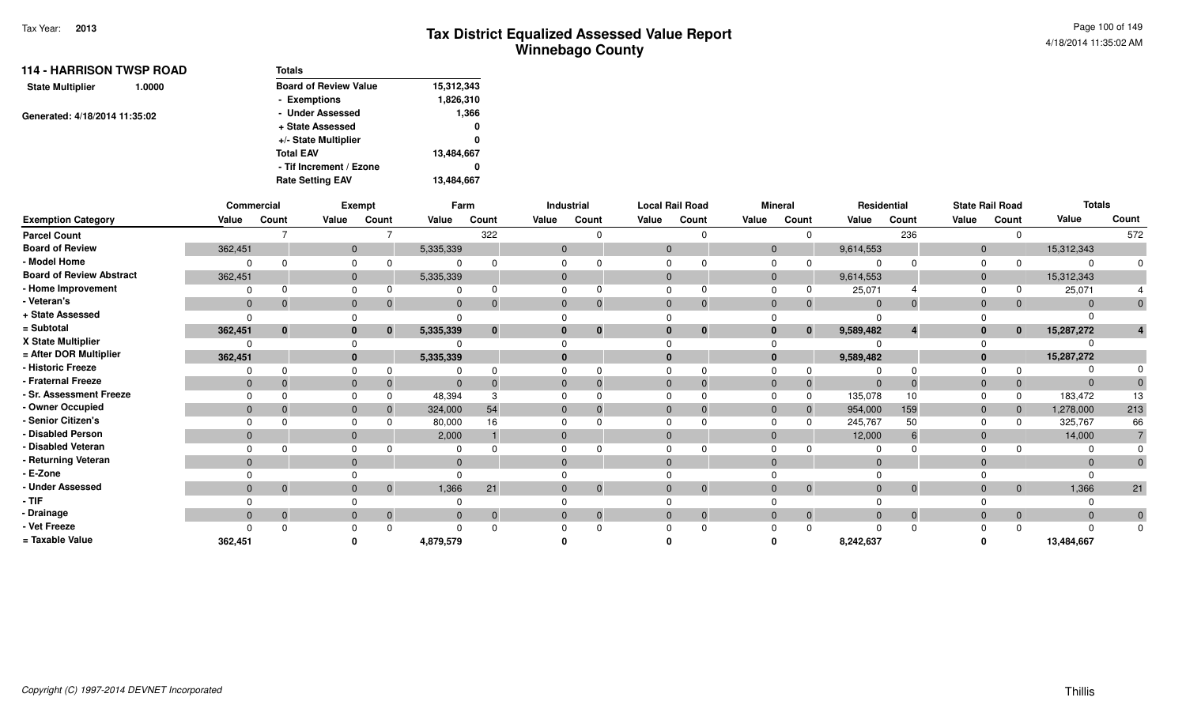| <b>114 - HARRISON TWSP ROAD</b>   | <b>Totals</b>                |            |
|-----------------------------------|------------------------------|------------|
| <b>State Multiplier</b><br>1.0000 | <b>Board of Review Value</b> | 15,312,343 |
|                                   | - Exemptions                 | 1,826,310  |
| Generated: 4/18/2014 11:35:02     | - Under Assessed             | 1,366      |
|                                   | + State Assessed             | 0          |
|                                   | +/- State Multiplier         | 0          |
|                                   | <b>Total EAV</b>             | 13,484,667 |
|                                   | - Tif Increment / Ezone      | 0          |
|                                   | <b>Rate Setting EAV</b>      | 13,484,667 |

|                                 | Commercial   |              |              | Exempt         |              | Farm     |              | Industrial   | <b>Local Rail Road</b> |          |              | <b>Mineral</b> |                | Residential    |                | <b>State Rail Road</b> | <b>Totals</b> |                |
|---------------------------------|--------------|--------------|--------------|----------------|--------------|----------|--------------|--------------|------------------------|----------|--------------|----------------|----------------|----------------|----------------|------------------------|---------------|----------------|
| <b>Exemption Category</b>       | Value        | Count        | Value        | Count          | Value        | Count    | Value        | Count        | Value                  | Count    | Value        | Count          | Value          | Count          | Value          | Count                  | Value         | Count          |
| <b>Parcel Count</b>             |              |              |              |                |              | 322      |              |              |                        |          |              | $\Omega$       |                | 236            |                |                        |               | 572            |
| <b>Board of Review</b>          | 362,451      |              | $\mathbf{0}$ |                | 5,335,339    |          | $\mathbf{0}$ |              | $\mathbf{0}$           |          | 0            |                | 9,614,553      |                | $\mathbf{0}$   |                        | 15,312,343    |                |
| - Model Home                    | $\Omega$     |              |              | 0              |              |          |              |              | $\Omega$               |          |              |                |                |                |                |                        |               |                |
| <b>Board of Review Abstract</b> | 362,451      |              | $\mathbf 0$  |                | 5,335,339    |          | $\mathbf{0}$ |              | $\mathbf{0}$           |          | $\mathbf{0}$ |                | 9,614,553      |                | $\mathbf{0}$   |                        | 15,312,343    |                |
| - Home Improvement              | 0            |              | $\mathbf 0$  |                |              |          | $\Omega$     |              | $\Omega$               |          |              |                | 25,071         |                |                |                        | 25,071        |                |
| - Veteran's                     | $\mathbf{0}$ | $\Omega$     | $\mathbf 0$  | $\mathbf{0}$   | $\mathbf 0$  |          | $\mathbf{0}$ | $\Omega$     | $\mathbf{0}$           |          |              | $\overline{0}$ | $\mathbf{0}$   | $\Omega$       | $\overline{0}$ | $\overline{0}$         |               |                |
| + State Assessed                | $\Omega$     |              |              |                |              |          |              |              | <sup>0</sup>           |          |              |                |                |                |                |                        |               |                |
| = Subtotal                      | 362,451      | $\bf{0}$     | $\mathbf{0}$ | $\bf{0}$       | 5,335,339    | $\bf{0}$ | $\bf{0}$     | $\mathbf{0}$ | $\mathbf{0}$           | $\bf{0}$ |              | $\mathbf{0}$   | 9,589,482      | 4              |                | $\mathbf{0}$           | 15,287,272    |                |
| X State Multiplier              | 0            |              | $\Omega$     |                |              |          |              |              |                        |          |              |                |                |                |                |                        |               |                |
| = After DOR Multiplier          | 362,451      |              | $\mathbf{0}$ |                | 5,335,339    |          | $\mathbf{0}$ |              | $\bf{0}$               |          |              |                | 9,589,482      |                |                |                        | 15,287,272    |                |
| - Historic Freeze               | 0            | $\cap$       |              | 0              |              |          | $\Omega$     |              |                        |          |              | $\Omega$       |                |                |                |                        |               |                |
| - Fraternal Freeze              | $\mathbf{0}$ |              | $\mathbf{0}$ | $\Omega$       | $\mathbf{0}$ |          | $\mathbf{0}$ |              | $\mathbf{0}$           |          |              | $\Omega$       | $\mathbf{0}$   |                |                | $\mathbf{0}$           |               |                |
| - Sr. Assessment Freeze         | $\Omega$     |              | $\Omega$     |                | 48,394       |          | $\Omega$     |              | <sup>n</sup>           |          |              | $\Omega$       | 135,078        | 10             |                | $\Omega$               | 183,472       | 13             |
| - Owner Occupied                | $\mathbf{0}$ |              | $\mathbf{0}$ | $\Omega$       | 324,000      | 54       | $\mathbf{0}$ |              | $\Omega$               |          |              | 0              | 954,000        | 159            |                | $\overline{0}$         | 1,278,000     | 213            |
| - Senior Citizen's              |              |              | $\Omega$     |                | 80,000       | 16       |              |              |                        |          |              | $\Omega$       | 245,767        | 50             |                | $\Omega$               | 325,767       | 66             |
| - Disabled Person               | $\mathbf{0}$ |              | $\mathbf{0}$ |                | 2,000        |          | $\Omega$     |              | $\Omega$               |          |              |                | 12,000         |                | $\Omega$       |                        | 14,000        |                |
| - Disabled Veteran              |              |              | $\Omega$     |                |              |          | $\Omega$     |              |                        |          |              |                |                |                |                |                        |               |                |
| - Returning Veteran             | $\Omega$     |              | $\Omega$     |                | $\Omega$     |          | $\Omega$     |              | $\Omega$               |          |              |                | $\Omega$       |                | $\Omega$       |                        |               |                |
| - E-Zone                        |              |              |              |                |              |          |              |              |                        |          |              |                |                |                |                |                        |               |                |
| - Under Assessed                | $\mathbf{0}$ | $\Omega$     | $\mathbf{0}$ | $\overline{0}$ | 1,366        | 21       | $\mathbf{0}$ | $\mathbf{0}$ | $\mathbf{0}$           | $\Omega$ |              | $\overline{0}$ | $\overline{0}$ | $\overline{0}$ |                | $\overline{0}$         | 1,366         | 21             |
| $-$ TIF                         |              |              |              |                |              |          |              |              |                        |          |              |                |                |                |                |                        |               |                |
| - Drainage                      | $\mathbf{0}$ | $\mathbf{0}$ | $\mathbf{0}$ | $\overline{0}$ | $\mathbf 0$  |          | $\mathbf{0}$ | $\mathbf{0}$ | $\mathbf{0}$           | $\Omega$ |              | $\overline{0}$ | $\Omega$       | $\Omega$       |                | $\overline{0}$         |               | $\overline{0}$ |
| - Vet Freeze                    |              |              |              | O              |              |          |              |              |                        |          |              | $\Omega$       |                |                |                |                        |               | $\Omega$       |
| = Taxable Value                 | 362,451      |              |              |                | 4,879,579    |          |              |              |                        |          |              |                | 8,242,637      |                |                |                        | 13,484,667    |                |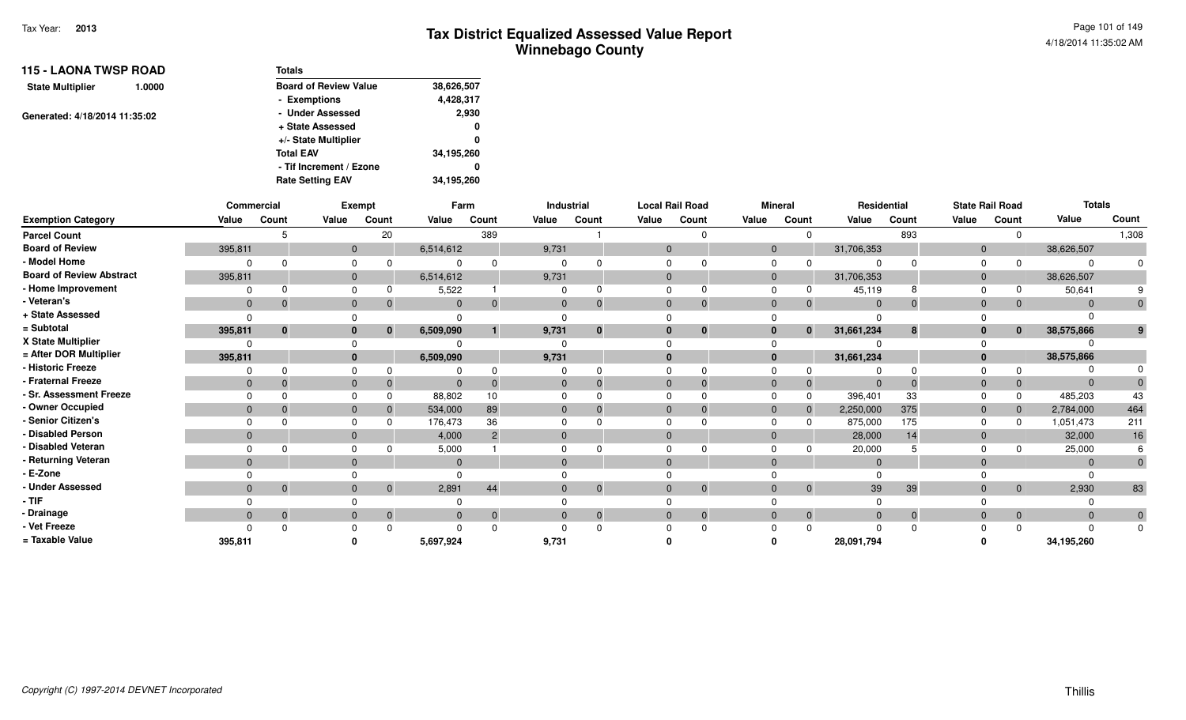| <b>115 - LAONA TWSP ROAD</b>      | <b>Totals</b>                |            |
|-----------------------------------|------------------------------|------------|
| <b>State Multiplier</b><br>1.0000 | <b>Board of Review Value</b> | 38,626,507 |
|                                   | - Exemptions                 | 4,428,317  |
| Generated: 4/18/2014 11:35:02     | - Under Assessed             | 2,930      |
|                                   | + State Assessed             | 0          |
|                                   | +/- State Multiplier         | 0          |
|                                   | <b>Total EAV</b>             | 34,195,260 |
|                                   | - Tif Increment / Ezone      | 0          |
|                                   | <b>Rate Setting EAV</b>      | 34,195,260 |

|                                 |              | Commercial   |              | Exempt       | Farm        |          |          | Industrial   |          | <b>Local Rail Road</b> |                | <b>Mineral</b> | Residential  |       |                | <b>State Rail Road</b> | <b>Totals</b> |                |
|---------------------------------|--------------|--------------|--------------|--------------|-------------|----------|----------|--------------|----------|------------------------|----------------|----------------|--------------|-------|----------------|------------------------|---------------|----------------|
| <b>Exemption Category</b>       | Value        | Count        | Value        | Count        | Value       | Count    | Value    | Count        | Value    | Count                  | Value          | Count          | Value        | Count | Value          | Count                  | Value         | Count          |
| <b>Parcel Count</b>             |              |              |              | 20           |             | 389      |          |              |          |                        |                |                |              | 893   |                | $\Omega$               |               | 1,308          |
| <b>Board of Review</b>          | 395,811      |              | $\mathbf{0}$ |              | 6,514,612   |          | 9,731    |              | $\Omega$ |                        | $\overline{0}$ |                | 31,706,353   |       | $\mathbf 0$    |                        | 38,626,507    |                |
| - Model Home                    |              |              |              |              |             |          | $\Omega$ |              |          |                        | $\Omega$       |                | $\Omega$     |       |                |                        | $\Omega$      |                |
| <b>Board of Review Abstract</b> | 395,811      |              |              |              | 6,514,612   |          | 9,731    |              |          |                        | $\Omega$       |                | 31,706,353   |       | $\Omega$       |                        | 38,626,507    |                |
| - Home Improvement              |              |              |              |              | 5,522       |          |          |              |          |                        |                |                | 45,119       |       |                |                        | 50,641        |                |
| - Veteran's                     | $\Omega$     | $\Omega$     |              | $\Omega$     | $\mathbf 0$ |          | $\Omega$ | $\Omega$     | $\Omega$ | $\Omega$               | $\Omega$       |                | $\Omega$     |       | $\Omega$       | $\overline{0}$         | $\Omega$      |                |
| + State Assessed                |              |              |              |              |             |          |          |              |          |                        |                |                | $\Omega$     |       |                |                        |               |                |
| = Subtotal                      | 395,811      | 0            |              | $\bf{0}$     | 6,509,090   |          | 9,731    | 0            |          | $\bf{0}$               | 0              | 0              | 31,661,234   | 8     | 0              | $\mathbf{0}$           | 38,575,866    |                |
| X State Multiplier              |              |              |              |              |             |          |          |              |          |                        |                |                |              |       |                |                        |               |                |
| = After DOR Multiplier          | 395,811      |              |              |              | 6,509,090   |          | 9,731    |              |          |                        | $\mathbf{0}$   |                | 31,661,234   |       |                |                        | 38,575,866    |                |
| - Historic Freeze               |              |              |              |              |             |          |          |              |          |                        |                |                |              |       |                |                        |               |                |
| - Fraternal Freeze              | $\Omega$     |              |              | $\Omega$     | $\Omega$    |          | $\Omega$ |              |          | $\Omega$               | $\Omega$       |                | $\Omega$     |       |                | $\overline{0}$         | $\Omega$      |                |
| - Sr. Assessment Freeze         |              |              |              |              | 88,802      |          |          |              |          |                        |                |                | 396,401      | 33    |                |                        | 485,203       |                |
| - Owner Occupied                | $\Omega$     |              |              | $\Omega$     | 534,000     | 89       |          |              |          |                        | $\overline{0}$ |                | 2,250,000    | 375   | $\overline{0}$ | $\Omega$               | 2,784,000     | 464            |
| - Senior Citizen's              |              |              |              |              | 176,473     | 36       |          |              |          |                        |                |                | 875,000      | 175   |                |                        | 1,051,473     | 211            |
| - Disabled Person               | $\Omega$     |              |              |              | 4,000       | 2        | $\Omega$ |              |          |                        | $\Omega$       |                | 28,000       | 14    |                |                        | 32,000        | 16             |
| - Disabled Veteran              |              |              |              |              | 5,000       |          |          |              |          |                        |                |                | 20,000       |       |                |                        | 25,000        |                |
| - Returning Veteran             | $\Omega$     |              |              |              | $\Omega$    |          | $\Omega$ |              |          |                        | $\Omega$       |                | $\mathbf{0}$ |       |                |                        | $\Omega$      | $\overline{0}$ |
| - E-Zone                        |              |              |              |              |             |          |          |              |          |                        |                |                |              |       |                |                        |               |                |
| - Under Assessed                | $\mathbf{0}$ | $\mathbf{0}$ |              | $\Omega$     | 2,891       | 44       |          | $\mathbf{0}$ | $\Omega$ | $\Omega$               | $\Omega$       |                | 39           | 39    |                | $\mathbf{0}$           | 2,930         | 83             |
| - TIF                           |              |              |              |              |             |          |          |              |          |                        |                |                |              |       |                |                        |               |                |
| - Drainage                      | $\Omega$     | $\Omega$     |              | $\mathbf{0}$ | $\Omega$    | $\Omega$ | $\Omega$ | $\mathbf 0$  |          | $\Omega$               | $\Omega$       |                | $\Omega$     |       |                | $\mathbf{0}$           | $\Omega$      | $\mathbf{0}$   |
| - Vet Freeze                    |              |              |              |              |             |          |          |              |          |                        |                |                | $\Omega$     |       |                |                        | $\Omega$      | $\Omega$       |
| = Taxable Value                 | 395,811      |              |              |              | 5,697,924   |          | 9,731    |              |          |                        |                |                | 28,091,794   |       |                |                        | 34,195,260    |                |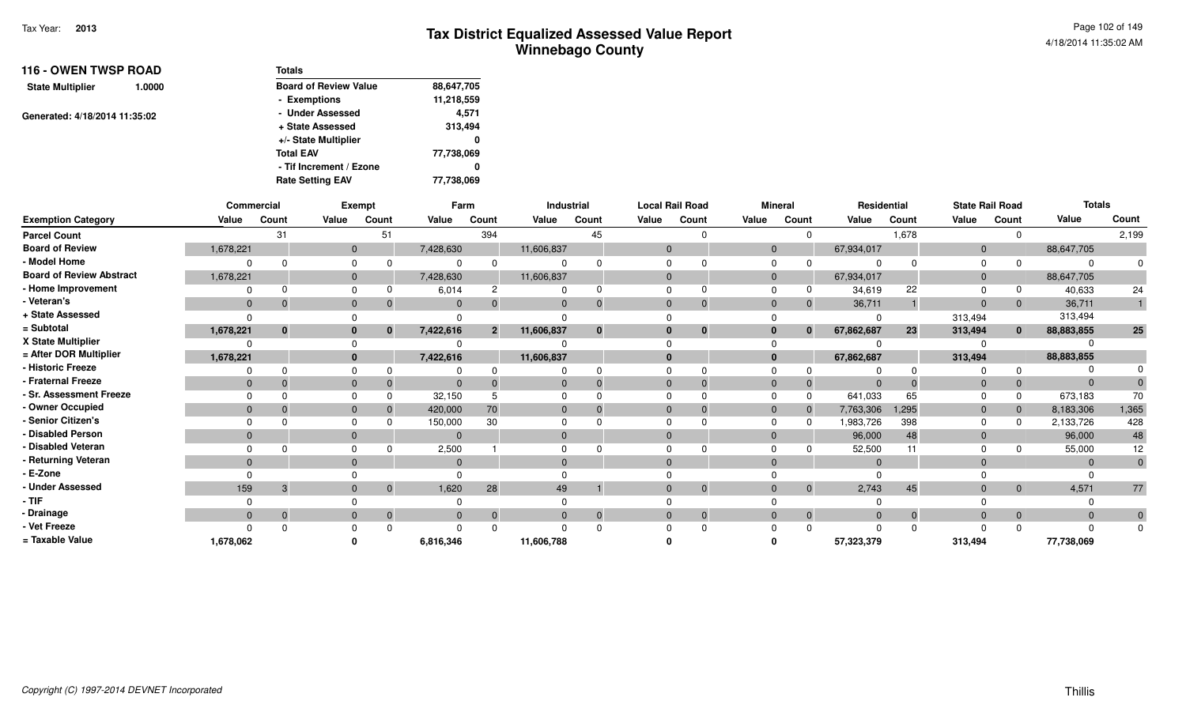| <b>116 - OWEN TWSP ROAD</b><br>1.0000 | <b>Totals</b>                              |
|---------------------------------------|--------------------------------------------|
| <b>State Multiplier</b>               | <b>Board of Review Value</b><br>88,647,705 |
|                                       | 11,218,559<br>- Exemptions                 |
| Generated: 4/18/2014 11:35:02         | - Under Assessed<br>4.571                  |
|                                       | 313,494<br>+ State Assessed                |
|                                       | +/- State Multiplier                       |
|                                       | <b>Total EAV</b><br>77,738,069             |
|                                       | - Tif Increment / Ezone                    |
|                                       | <b>Rate Setting EAV</b><br>77,738,069      |

|                                 |              | Commercial |                | <b>Exempt</b>  | Farm        |                |                | Industrial   |              | <b>Local Rail Road</b> |       | <b>Mineral</b> |            | Residential | <b>State Rail Road</b> |                | <b>Totals</b> |                |
|---------------------------------|--------------|------------|----------------|----------------|-------------|----------------|----------------|--------------|--------------|------------------------|-------|----------------|------------|-------------|------------------------|----------------|---------------|----------------|
| <b>Exemption Category</b>       | Value        | Count      | Value          | Count          | Value       | Count          | Value          | Count        | Value        | Count                  | Value | Count          | Value      | Count       | Value                  | Count          | Value         | Count          |
| <b>Parcel Count</b>             |              | 31         |                | 51             |             | 394            |                | 45           |              |                        |       | $\Omega$       |            | 1,678       |                        | $\Omega$       |               | 2,199          |
| <b>Board of Review</b>          | 1,678,221    |            | $\mathbf{0}$   |                | 7,428,630   |                | 11,606,837     |              | $\mathbf{0}$ |                        |       |                | 67,934,017 |             | $\overline{0}$         |                | 88,647,705    |                |
| - Model Home                    | $\Omega$     |            | $\Omega$       | 0              |             |                |                |              |              |                        |       |                |            |             |                        |                |               |                |
| <b>Board of Review Abstract</b> | 1,678,221    |            | $\mathbf 0$    |                | 7,428,630   |                | 11,606,837     |              | $\Omega$     |                        |       |                | 67,934,017 |             | $\overline{0}$         |                | 88,647,705    |                |
| - Home Improvement              | $\Omega$     |            | $\Omega$       |                | 6,014       |                | 0              |              | $\Omega$     |                        |       |                | 34,619     | 22          |                        |                | 40,633        | 24             |
| - Veteran's                     | $\mathbf{0}$ |            | $\mathbf{0}$   | $\mathbf{0}$   | $\Omega$    |                | $\mathbf{0}$   | $\Omega$     | $\Omega$     |                        |       | $\overline{0}$ | 36,711     |             | $\overline{0}$         | $\overline{0}$ | 36,711        |                |
| + State Assessed                | $\Omega$     |            |                |                |             |                |                |              |              |                        |       |                |            |             | 313,494                |                | 313,494       |                |
| = Subtotal                      | 1,678,221    | $\bf{0}$   | 0              | $\mathbf{0}$   | 7,422,616   | 2 <sup>1</sup> | 11,606,837     | $\mathbf{0}$ | $\bf{0}$     | $\bf{0}$               |       | $\mathbf{0}$   | 67,862,687 | 23          | 313,494                | $\mathbf{0}$   | 88,883,855    | 25             |
| X State Multiplier              |              |            | $\Omega$       |                |             |                |                |              |              |                        |       |                |            |             |                        |                |               |                |
| = After DOR Multiplier          | 1,678,221    |            | $\mathbf{0}$   |                | 7,422,616   |                | 11,606,837     |              | $\bf{0}$     |                        |       |                | 67,862,687 |             | 313,494                |                | 88,883,855    |                |
| - Historic Freeze               |              |            | $\Omega$       |                |             |                |                |              |              |                        |       |                |            |             |                        | $\Omega$       |               |                |
| - Fraternal Freeze              | $\Omega$     |            | $\mathbf{0}$   | $\mathbf 0$    | $\Omega$    |                | $\Omega$       |              | $\mathbf{0}$ |                        |       | $\mathbf{0}$   | $\Omega$   |             |                        | $\mathbf{0}$   |               |                |
| - Sr. Assessment Freeze         | $\Omega$     |            |                |                | 32,150      |                |                |              |              |                        |       | $\Omega$       | 641,033    | 65          |                        | $\Omega$       | 673,183       | 70             |
| - Owner Occupied                | $\mathbf{0}$ |            | $\mathbf{0}$   | $\Omega$       | 420,000     | 70             | $\mathbf{0}$   |              | $\mathbf{0}$ |                        |       | $\mathbf{0}$   | 7,763,306  | 1,295       |                        | $\overline{0}$ | 8,183,306     | 1,365          |
| - Senior Citizen's              |              |            | $\Omega$       |                | 150,000     | 30             | $\Omega$       |              |              |                        |       | $\Omega$       | 1,983,726  | 398         |                        | $\Omega$       | 2,133,726     | 428            |
| - Disabled Person               | $\Omega$     |            | $\Omega$       |                | $\Omega$    |                | $\mathbf{0}$   |              | $\Omega$     |                        |       |                | 96,000     | 48          | $\Omega$               |                | 96,000        | 48             |
| - Disabled Veteran              |              |            |                |                | 2,500       |                |                |              |              |                        |       |                | 52,500     |             |                        |                | 55,000        | 12             |
| - Returning Veteran             | $\Omega$     |            | $\mathbf{0}$   |                | $\Omega$    |                | $\Omega$       |              | $\Omega$     |                        |       |                | $\Omega$   |             |                        |                |               |                |
| - E-Zone                        |              |            |                |                |             |                |                |              |              |                        |       |                |            |             |                        |                |               |                |
| - Under Assessed                | 159          | 3          | $\Omega$       | $\overline{0}$ | 1,620       | 28             | 49             |              | $\Omega$     |                        |       | $\overline{0}$ | 2,743      | 45          |                        | $\overline{0}$ | 4,571         | 77             |
| - TIF                           |              |            |                |                |             |                | $\Omega$       |              |              |                        |       |                |            |             |                        |                |               |                |
| - Drainage                      | $\Omega$     | $\Omega$   | $\overline{0}$ | $\mathbf 0$    | $\mathbf 0$ |                | $\overline{0}$ | $\Omega$     | $\Omega$     |                        |       | $\overline{0}$ | $\Omega$   | $\Omega$    |                        | $\overline{0}$ |               | $\overline{0}$ |
| - Vet Freeze                    |              |            |                | O              |             |                |                |              |              |                        |       |                |            | $\Omega$    |                        |                |               | $\Omega$       |
| = Taxable Value                 | 1,678,062    |            |                |                | 6,816,346   |                | 11,606,788     |              |              |                        |       |                | 57,323,379 |             | 313,494                |                | 77,738,069    |                |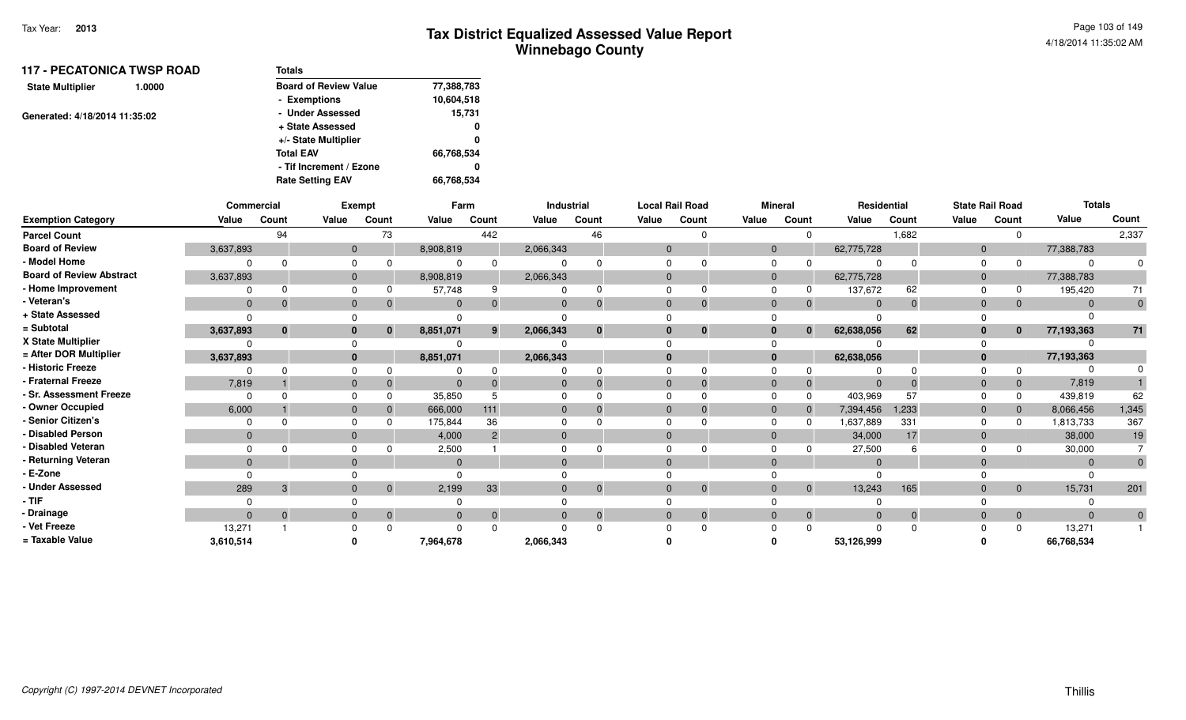| <b>117 - PECATONICA TWSP ROAD</b> | <b>Totals</b>                |            |
|-----------------------------------|------------------------------|------------|
| <b>State Multiplier</b><br>1.0000 | <b>Board of Review Value</b> | 77,388,783 |
|                                   | - Exemptions                 | 10,604,518 |
| Generated: 4/18/2014 11:35:02     | - Under Assessed             | 15,731     |
|                                   | + State Assessed             | 0          |
|                                   | +/- State Multiplier         | 0          |
|                                   | <b>Total EAV</b>             | 66,768,534 |
|                                   | - Tif Increment / Ezone      | 0          |
|                                   | <b>Rate Setting EAV</b>      | 66,768,534 |

|                                 |              | Commercial |                | <b>Exempt</b> |                | Farm           |              | <b>Industrial</b> |          | <b>Local Rail Road</b> |              | <b>Mineral</b> |              | Residential |                | <b>State Rail Road</b> | <b>Totals</b> |                |
|---------------------------------|--------------|------------|----------------|---------------|----------------|----------------|--------------|-------------------|----------|------------------------|--------------|----------------|--------------|-------------|----------------|------------------------|---------------|----------------|
| <b>Exemption Category</b>       | Value        | Count      | Value          | Count         | Value          | Count          | Value        | Count             | Value    | Count                  | Value        | Count          | Value        | Count       | Value          | Count                  | Value         | Count          |
| <b>Parcel Count</b>             |              | 94         |                | 73            |                | 442            |              | 46                |          |                        |              | $\Omega$       |              | 1,682       |                | $\Omega$               |               | 2,337          |
| <b>Board of Review</b>          | 3,637,893    |            | $\mathbf{0}$   |               | 8,908,819      |                | 2,066,343    |                   | $\Omega$ |                        | $\mathbf{0}$ |                | 62,775,728   |             | $\overline{0}$ |                        | 77,388,783    |                |
| - Model Home                    | 0            | $\Omega$   | $\Omega$       |               |                |                |              |                   |          |                        |              |                |              |             |                |                        |               |                |
| <b>Board of Review Abstract</b> | 3,637,893    |            | $\mathbf{0}$   |               | 8,908,819      |                | 2,066,343    |                   | $\Omega$ |                        | $\mathbf{0}$ |                | 62,775,728   |             | $\mathbf{0}$   |                        | 77,388,783    |                |
| - Home Improvement              |              |            | $\Omega$       |               | 57,748         |                |              |                   |          |                        |              |                | 137,672      | 62          | $\Omega$       |                        | 195,420       | 71             |
| - Veteran's                     | $\mathbf{0}$ | $\Omega$   | $\mathbf 0$    | $\mathbf 0$   | $\overline{0}$ |                | $\mathbf{0}$ | $\Omega$          | $\Omega$ |                        |              | $\overline{0}$ | $\mathbf 0$  |             | $\mathbf{0}$   | $\overline{0}$         |               |                |
| + State Assessed                |              |            |                |               |                |                |              |                   |          |                        |              |                |              |             |                |                        |               |                |
| = Subtotal                      | 3,637,893    | $\bf{0}$   | 0              | $\bf{0}$      | 8,851,071      | 9              | 2,066,343    | $\bf{0}$          |          | $\bf{0}$               |              | $\mathbf{0}$   | 62,638,056   | 62          |                | $\bf{0}$               | 77,193,363    | 71             |
| X State Multiplier              |              |            | $\Omega$       |               |                |                |              |                   |          |                        |              |                |              |             |                |                        |               |                |
| = After DOR Multiplier          | 3,637,893    |            |                |               | 8,851,071      |                | 2,066,343    |                   | $\bf{0}$ |                        |              |                | 62,638,056   |             |                |                        | 77,193,363    |                |
| - Historic Freeze               |              | $\Omega$   | $\Omega$       |               |                |                |              |                   |          |                        |              |                |              |             |                |                        |               |                |
| - Fraternal Freeze              | 7,819        |            | $\mathbf{0}$   |               | $\Omega$       |                | $\Omega$     |                   | $\Omega$ |                        |              | $\mathbf{0}$   | $\mathbf{0}$ |             |                | $\mathbf{0}$           | 7,819         |                |
| - Sr. Assessment Freeze         | 0            |            | $\Omega$       |               | 35,850         |                |              |                   |          |                        |              | $\Omega$       | 403,969      | 57          |                | $\Omega$               | 439,819       | 62             |
| - Owner Occupied                | 6,000        |            | $\overline{0}$ |               | 666,000        | 111            | $\Omega$     |                   | $\Omega$ |                        |              | $\overline{0}$ | 7,394,456    | 1,233       |                | $\overline{0}$         | 8,066,456     | 1,345          |
| - Senior Citizen's              |              |            | $\Omega$       |               | 175,844        | 36             |              |                   |          |                        |              | $\Omega$       | 1,637,889    | 331         |                | $\Omega$               | 1,813,733     | 367            |
| - Disabled Person               | $\mathbf{0}$ |            | $\mathbf 0$    |               | 4,000          | $\overline{2}$ | $\Omega$     |                   | $\Omega$ |                        | $\Omega$     |                | 34,000       | 17          | $\Omega$       |                        | 38,000        | 19             |
| - Disabled Veteran              |              |            | $\Omega$       |               | 2,500          |                | $\Omega$     |                   |          |                        |              |                | 27,500       |             |                |                        | 30,000        |                |
| - Returning Veteran             | $\Omega$     |            | $\Omega$       |               | $\Omega$       |                | $\Omega$     |                   | $\Omega$ |                        |              |                | $\mathbf{0}$ |             | $\Omega$       |                        |               |                |
| - E-Zone                        |              |            |                |               |                |                |              |                   |          |                        |              |                |              |             |                |                        |               |                |
| - Under Assessed                | 289          | 3          | $\mathbf{0}$   | $\mathbf{0}$  | 2,199          | 33             | $\mathbf{0}$ | $\mathbf{0}$      | $\Omega$ | $\Omega$               |              | $\overline{0}$ | 13,243       | 165         |                | $\overline{0}$         | 15,731        | 201            |
| $-TIF$                          |              |            |                |               |                |                |              |                   |          |                        |              |                |              |             |                |                        |               |                |
| - Drainage                      | $\Omega$     | $\Omega$   | $\Omega$       | $\Omega$      | $\Omega$       | $\Omega$       | $\Omega$     | $\mathbf{0}$      | $\Omega$ |                        |              | $\overline{0}$ | $\Omega$     | $\Omega$    |                | $\overline{0}$         |               | $\overline{0}$ |
| - Vet Freeze                    | 13,271       |            |                |               |                |                |              |                   |          |                        |              |                |              |             |                | $\Omega$               | 13,271        |                |
| = Taxable Value                 | 3,610,514    |            |                |               | 7,964,678      |                | 2,066,343    |                   |          |                        |              |                | 53,126,999   |             |                |                        | 66,768,534    |                |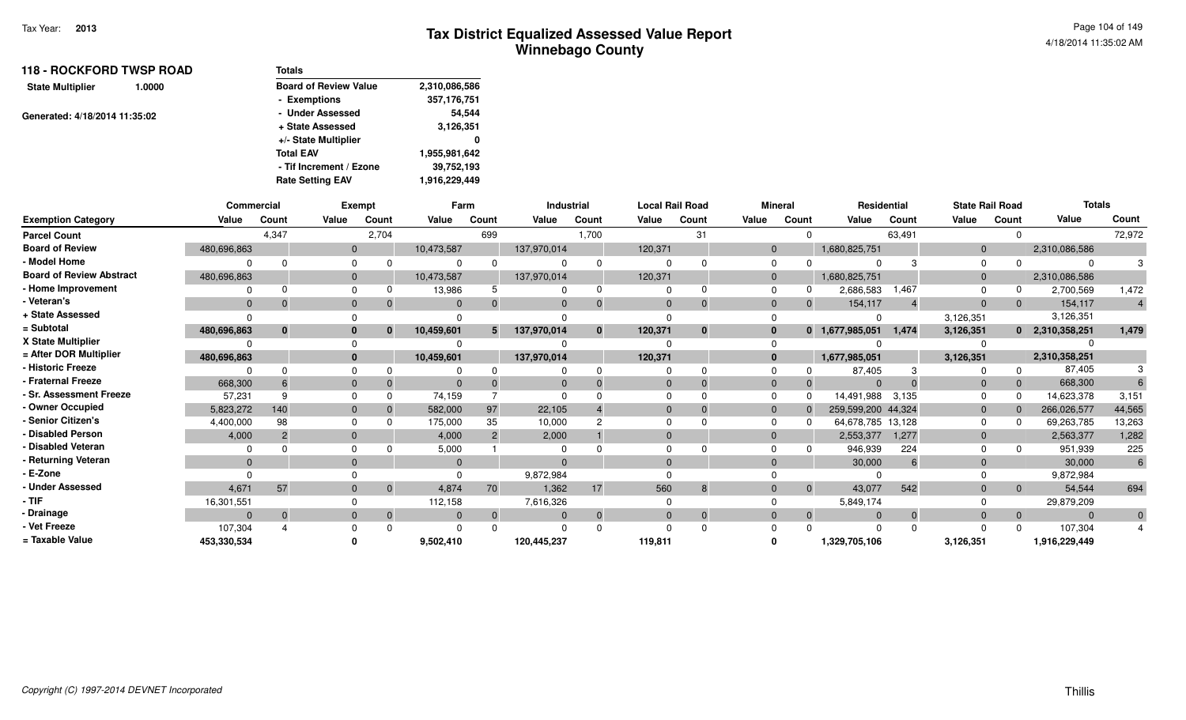| <b>118 - ROCKFORD TWSP ROAD</b>   | Totals                       |               |
|-----------------------------------|------------------------------|---------------|
| <b>State Multiplier</b><br>1.0000 | <b>Board of Review Value</b> | 2,310,086,586 |
|                                   | - Exemptions                 | 357,176,751   |
| Generated: 4/18/2014 11:35:02     | - Under Assessed             | 54,544        |
|                                   | + State Assessed             | 3,126,351     |
|                                   | +/- State Multiplier         | 0             |
|                                   | <b>Total EAV</b>             | 1,955,981,642 |
|                                   | - Tif Increment / Ezone      | 39,752,193    |
|                                   | <b>Rate Setting EAV</b>      | 1,916,229,449 |
|                                   |                              |               |

|                                 | Commercial  |          |              | <b>Exempt</b> |            | Farm           | Industrial   |              | <b>Local Rail Road</b> |              |              | <b>Mineral</b> |                    | Residential    | <b>State Rail Road</b> |                | <b>Totals</b>   |          |
|---------------------------------|-------------|----------|--------------|---------------|------------|----------------|--------------|--------------|------------------------|--------------|--------------|----------------|--------------------|----------------|------------------------|----------------|-----------------|----------|
| <b>Exemption Category</b>       | Value       | Count    | Value        | Count         | Value      | Count          | Value        | Count        | Value                  | Count        | Value        | Count          | Value              | Count          | Value                  | Count          | Value           | Count    |
| <b>Parcel Count</b>             |             | 4.347    |              | 2,704         |            | 699            |              | 1,700        |                        | 31           |              | $\Omega$       |                    | 63,491         |                        | $\Omega$       |                 | 72,972   |
| <b>Board of Review</b>          | 480,696,863 |          | $\mathbf{0}$ |               | 10,473,587 |                | 137,970,014  |              | 120,371                |              | $\mathbf{0}$ |                | 1,680,825,751      |                | $\mathbf{0}$           |                | 2,310,086,586   |          |
| - Model Home                    |             |          | 0            |               | $\Omega$   |                | $\Omega$     |              |                        |              | $\Omega$     |                |                    | З              | $\Omega$               |                | <sup>0</sup>    | 3        |
| <b>Board of Review Abstract</b> | 480,696,863 |          | $\mathbf{0}$ |               | 10,473,587 |                | 137,970,014  |              | 120,371                |              | $\mathbf 0$  |                | 1,680,825,751      |                | $\mathbf{0}$           |                | 2,310,086,586   |          |
| - Home Improvement              |             |          | 0            |               | 13,986     | 5              | ŋ            |              |                        |              | $\Omega$     |                | 2,686,583          | 1,467          | 0                      |                | 2,700,569       | 1,472    |
| - Veteran's                     | $\Omega$    | $\Omega$ | $\mathbf{0}$ | $\Omega$      | $\Omega$   | $\Omega$       | $\Omega$     |              | $\Omega$               |              | $\mathbf{0}$ | $\Omega$       | 154,117            | $\overline{4}$ | $\mathbf{0}$           | $\mathbf{0}$   | 154,117         |          |
| + State Assessed                |             |          |              |               |            |                |              |              |                        |              |              |                | $\Omega$           |                | 3,126,351              |                | 3,126,351       |          |
| = Subtotal                      | 480,696,863 |          | $\mathbf{0}$ | $\bf{0}$      | 10,459,601 | 5              | 137,970,014  | $\mathbf{0}$ | 120,371                | $\mathbf{0}$ | $\mathbf{0}$ | $\mathbf{0}$   | 1,677,985,051      | 1,474          | 3,126,351              |                | 0 2,310,358,251 | 1,479    |
| X State Multiplier              |             |          |              |               |            |                |              |              |                        |              |              |                |                    |                |                        |                |                 |          |
| = After DOR Multiplier          | 480,696,863 |          | $\bf{0}$     |               | 10,459,601 |                | 137,970,014  |              | 120,371                |              | $\mathbf{0}$ |                | 1,677,985,051      |                | 3,126,351              |                | 2,310,358,251   |          |
| - Historic Freeze               | 0           | $\Omega$ | 0            |               | $\Omega$   |                | $\Omega$     |              |                        |              | $\Omega$     |                | 87,405             | 3              |                        |                | 87,405          |          |
| - Fraternal Freeze              | 668,300     |          | $\mathbf 0$  | $\Omega$      | $\Omega$   | 0              | $\mathbf{0}$ |              | $\Omega$               |              | $\mathbf{0}$ |                | $\Omega$           |                | $\mathbf{0}$           |                | 668,300         |          |
| - Sr. Assessment Freeze         | 57,231      |          |              |               | 74.159     |                | $\Omega$     |              |                        |              |              |                | 14.491.988         | 3,135          |                        |                | 14,623,378      | 3,151    |
| - Owner Occupied                | 5,823,272   | 140      | $\mathbf 0$  |               | 582,000    | 97             | 22,105       |              |                        |              | $\mathbf 0$  |                | 259,599,200 44,324 |                | $\mathbf{0}$           |                | 266,026,577     | 44,565   |
| - Senior Citizen's              | 4,400,000   | 98       | $\Omega$     |               | 175,000    | 35             | 10,000       |              |                        |              | $\mathbf 0$  |                | 64,678,785 13,128  |                | 0                      | $\Omega$       | 69,263,785      | 13,263   |
| - Disabled Person               | 4,000       |          | $\mathbf{0}$ |               | 4,000      | $\mathcal{P}$  | 2,000        |              |                        |              | $\mathbf{0}$ |                | 2,553,377          | 1,277          | $\Omega$               |                | 2,563,377       | 1,282    |
| - Disabled Veteran              |             |          |              |               | 5,000      |                |              |              |                        |              |              |                | 946,939            | 224            |                        |                | 951,939         | 225      |
| - Returning Veteran             | $\Omega$    |          | $\Omega$     |               | $\Omega$   |                | $\Omega$     |              |                        |              | $\mathbf{0}$ |                | 30,000             | 6              | $\Omega$               |                | 30,000          | 6        |
| - E-Zone                        |             |          |              |               |            |                | 9,872,984    |              |                        |              |              |                |                    |                |                        |                | 9,872,984       |          |
| - Under Assessed                | 4,671       | 57       | $\mathbf{0}$ | $\mathbf{0}$  | 4,874      | 70             | 1,362        | 17           | 560                    | 8            | $\mathbf{0}$ | $\mathbf{0}$   | 43,077             | 542            | $\mathbf{0}$           | $\mathbf{0}$   | 54,544          | 694      |
| - TIF                           | 16,301,551  |          |              |               | 112,158    |                | 7,616,326    |              |                        |              |              |                | 5,849,174          |                |                        |                | 29,879,209      |          |
| - Drainage                      | $\Omega$    | $\Omega$ | $\mathbf 0$  | $\Omega$      | $\Omega$   | $\overline{0}$ | $\Omega$     | $\Omega$     | $\Omega$               | $\Omega$     | $\Omega$     | $\overline{0}$ | $\Omega$           | $\Omega$       | $\Omega$               | $\overline{0}$ | $\Omega$        | $\Omega$ |
| - Vet Freeze                    | 107,304     |          | 0            | $\Omega$      | $\Omega$   |                | $\Omega$     |              |                        |              |              |                | $\Omega$           |                |                        | $\Omega$       | 107,304         |          |
| = Taxable Value                 | 453,330,534 |          |              |               | 9,502,410  |                | 120,445,237  |              | 119,811                |              |              |                | 1,329,705,106      |                | 3,126,351              |                | 1,916,229,449   |          |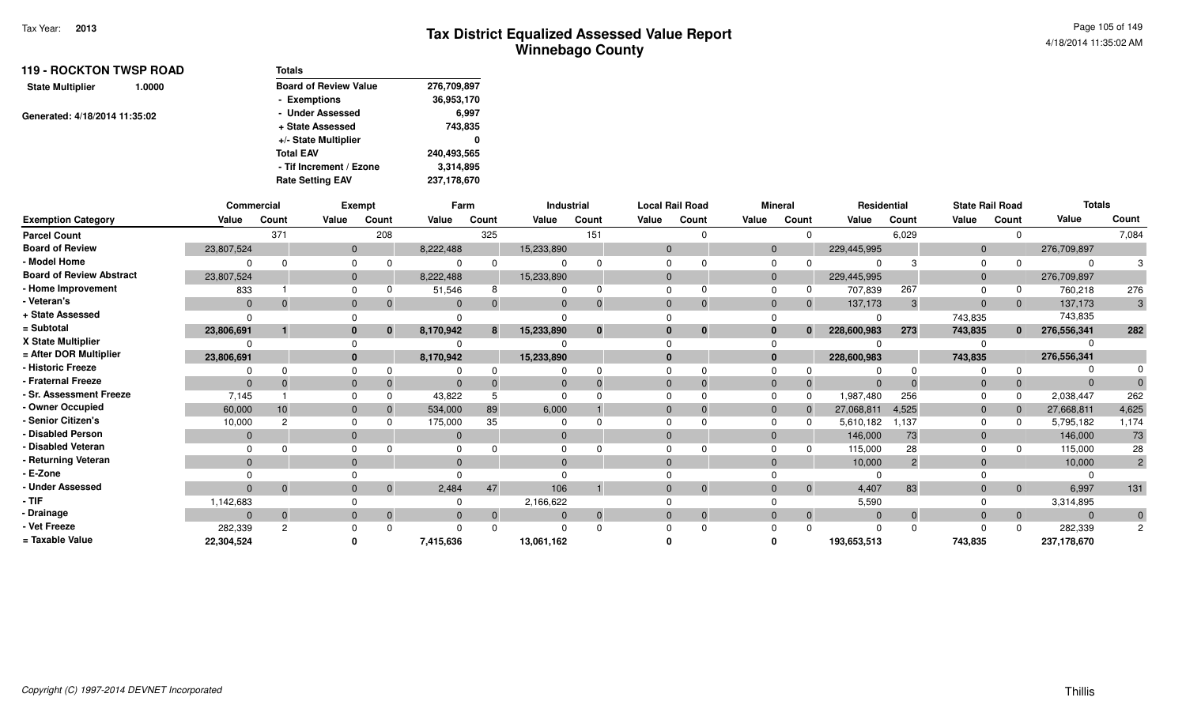| <b>119 - ROCKTON TWSP ROAD</b>    | <b>Totals</b>                |             |  |  |  |  |  |  |
|-----------------------------------|------------------------------|-------------|--|--|--|--|--|--|
| <b>State Multiplier</b><br>1.0000 | <b>Board of Review Value</b> | 276,709,897 |  |  |  |  |  |  |
|                                   | - Exemptions                 | 36,953,170  |  |  |  |  |  |  |
| Generated: 4/18/2014 11:35:02     | - Under Assessed             | 6.997       |  |  |  |  |  |  |
|                                   | + State Assessed             | 743,835     |  |  |  |  |  |  |
|                                   | +/- State Multiplier         | 0           |  |  |  |  |  |  |
|                                   | <b>Total EAV</b>             | 240,493,565 |  |  |  |  |  |  |
|                                   | - Tif Increment / Ezone      | 3,314,895   |  |  |  |  |  |  |
|                                   | <b>Rate Setting EAV</b>      | 237,178,670 |  |  |  |  |  |  |

|                                 | Commercial     |              |              | <b>Exempt</b> |              | Farm     |            | Industrial     |          | Local Rail Road |                | <b>Mineral</b> | Residential |               | <b>State Rail Road</b> |                | <b>Totals</b> |                |
|---------------------------------|----------------|--------------|--------------|---------------|--------------|----------|------------|----------------|----------|-----------------|----------------|----------------|-------------|---------------|------------------------|----------------|---------------|----------------|
| <b>Exemption Category</b>       | Value          | Count        | Value        | Count         | Value        | Count    | Value      | Count          | Value    | Count           | Value          | Count          | Value       | Count         | Value                  | Count          | Value         | Count          |
| <b>Parcel Count</b>             |                | 371          |              | 208           |              | 325      |            | 151            |          |                 |                |                |             | 6,029         |                        | $\Omega$       |               | 7,084          |
| <b>Board of Review</b>          | 23,807,524     |              | $\mathbf{0}$ |               | 8,222,488    |          | 15,233,890 |                | $\Omega$ |                 | $\overline{0}$ |                | 229,445,995 |               | $\mathbf 0$            |                | 276,709,897   |                |
| - Model Home                    |                |              | $\Omega$     |               |              |          |            |                |          |                 | $\Omega$       |                | $\Omega$    |               | $\Omega$               |                | $\Omega$      |                |
| <b>Board of Review Abstract</b> | 23,807,524     |              | $\Omega$     |               | 8,222,488    |          | 15,233,890 |                | $\Omega$ |                 | $\Omega$       |                | 229,445,995 |               | $\Omega$               |                | 276,709,897   |                |
| - Home Improvement              | 833            |              | $\Omega$     |               | 51,546       |          |            |                |          |                 | $\Omega$       |                | 707,839     | 267           |                        |                | 760,218       | 276            |
| - Veteran's                     | $\Omega$       |              | $\mathbf{0}$ |               | $\mathbf{0}$ | $\Omega$ |            | $\overline{0}$ | $\Omega$ | $\Omega$        | $\Omega$       |                | 137,173     |               | $\Omega$               | $\overline{0}$ | 137,173       | $3^{\circ}$    |
| + State Assessed                |                |              |              |               |              |          |            |                |          |                 |                |                | $\Omega$    |               | 743,835                |                | 743,835       |                |
| = Subtotal                      | 23,806,691     |              | 0            | 0             | 8,170,942    | 8        | 15,233,890 | $\bf{0}$       | 0        | $\bf{0}$        | 0              |                | 228,600,983 | 273           | 743,835                | $\mathbf{0}$   | 276,556,341   | 282            |
| X State Multiplier              |                |              |              |               |              |          |            |                |          |                 | $\Omega$       |                |             |               |                        |                |               |                |
| = After DOR Multiplier          | 23,806,691     |              | $\bf{0}$     |               | 8,170,942    |          | 15,233,890 |                | $\Omega$ |                 | $\mathbf{0}$   |                | 228,600,983 |               | 743,835                |                | 276,556,341   |                |
| - Historic Freeze               |                |              |              |               |              |          |            |                |          |                 |                |                | $\Omega$    |               |                        |                |               |                |
| - Fraternal Freeze              | $\Omega$       |              | $\Omega$     |               | $\Omega$     |          |            | $\Omega$       | $\Omega$ |                 | $\Omega$       |                | $\Omega$    |               | $\Omega$               | $\mathbf{0}$   | $\Omega$      |                |
| - Sr. Assessment Freeze         | 7,145          |              |              |               | 43,822       |          |            |                |          |                 | $\Omega$       |                | 1,987,480   | 256           |                        |                | 2,038,447     | 262            |
| - Owner Occupied                | 60,000         | 10           | $\Omega$     |               | 534,000      | 89       | 6,000      |                |          |                 | $\Omega$       |                | 27,068,811  | 4,525         | $\overline{0}$         |                | 27,668,811    | 4,625          |
| - Senior Citizen's              | 10,000         | റ            |              |               | 175,000      | 35       |            |                |          |                 | $\Omega$       |                | 5,610,182   | 1,137         |                        |                | 5,795,182     | 1,174          |
| <b>Disabled Person</b>          | $\overline{0}$ |              | $\Omega$     |               | $\Omega$     |          | $\Omega$   |                |          |                 | $\Omega$       |                | 146,000     | 73            | $\mathbf 0$            |                | 146,000       | 73             |
| Disabled Veteran                |                |              |              |               |              |          |            |                |          |                 |                |                | 115,000     | 28            |                        |                | 115,000       | 28             |
| Returning Veteran               | $\Omega$       |              | $\Omega$     |               | $\Omega$     |          |            |                | $\Omega$ |                 | $\Omega$       |                | 10,000      | $\mathcal{P}$ |                        |                | 10,000        | $2^{\circ}$    |
| - E-Zone                        |                |              |              |               |              |          |            |                |          |                 |                |                |             |               |                        |                |               |                |
| <b>Under Assessed</b>           | $\Omega$       | $\mathbf{0}$ | $\mathbf{0}$ |               | 2,484        | 47       | 106        |                | $\Omega$ | $\Omega$        | $\Omega$       | $\mathbf{0}$   | 4,407       | 83            | $\overline{0}$         | $\overline{0}$ | 6,997         | 131            |
| - TIF                           | 1,142,683      |              |              |               |              |          | 2,166,622  |                |          |                 |                |                | 5,590       |               |                        |                | 3,314,895     |                |
| - Drainage                      | $\Omega$       | $\Omega$     | $\Omega$     |               | $\Omega$     | $\Omega$ |            | $\overline{0}$ | $\Omega$ | $\Omega$        | $\overline{0}$ |                | $\Omega$    |               | $\Omega$               | $\overline{0}$ | $\Omega$      | $\mathbf{0}$   |
| Vet Freeze                      | 282,339        | 2            |              |               |              |          |            |                |          | $\Omega$        |                |                | $\Omega$    |               |                        | $\Omega$       | 282,339       | $\overline{2}$ |
| = Taxable Value                 | 22,304,524     |              |              |               | 7,415,636    |          | 13,061,162 |                |          |                 |                |                | 193,653,513 |               | 743,835                |                | 237,178,670   |                |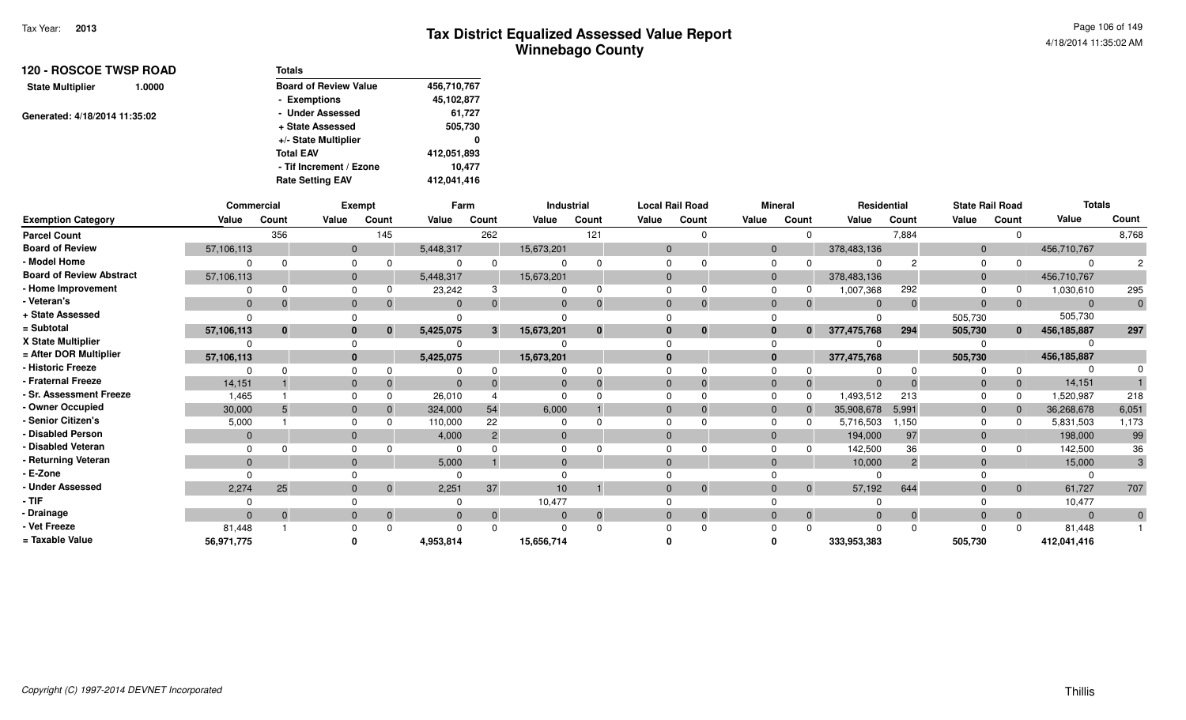| <b>120 - ROSCOE TWSP ROAD</b>     | Totals                       |             |
|-----------------------------------|------------------------------|-------------|
| <b>State Multiplier</b><br>1.0000 | <b>Board of Review Value</b> | 456,710,767 |
|                                   | - Exemptions                 | 45,102,877  |
| Generated: 4/18/2014 11:35:02     | - Under Assessed             | 61,727      |
|                                   | + State Assessed             | 505,730     |
|                                   | +/- State Multiplier         | 0           |
|                                   | <b>Total EAV</b>             | 412,051,893 |
|                                   | - Tif Increment / Ezone      | 10.477      |
|                                   | <b>Rate Setting EAV</b>      | 412,041,416 |

|                                 | Commercial |          |              | <b>Exempt</b> |              | Farm           |                 | Industrial   |              | <b>Local Rail Road</b> |                | <b>Mineral</b> | Residential |               | <b>State Rail Road</b> |                | <b>Totals</b>  |                |
|---------------------------------|------------|----------|--------------|---------------|--------------|----------------|-----------------|--------------|--------------|------------------------|----------------|----------------|-------------|---------------|------------------------|----------------|----------------|----------------|
| <b>Exemption Category</b>       | Value      | Count    | Value        | Count         | Value        | Count          | Value           | Count        | Value        | Count                  | Value          | Count          | Value       | Count         | Value                  | Count          | Value          | Count          |
| <b>Parcel Count</b>             |            | 356      |              | 145           |              | 262            |                 | 121          |              |                        |                |                |             | 7,884         |                        | $\Omega$       |                | 8,768          |
| <b>Board of Review</b>          | 57,106,113 |          | $\mathbf{0}$ |               | 5,448,317    |                | 15,673,201      |              | $\mathbf{0}$ |                        | $\overline{0}$ |                | 378,483,136 |               | $\mathbf{0}$           |                | 456,710,767    |                |
| - Model Home                    |            |          | $\Omega$     |               |              | 0              |                 |              | O            |                        | $\Omega$       |                |             |               | $\Omega$               |                | $\Omega$       |                |
| <b>Board of Review Abstract</b> | 57,106,113 |          | $\mathbf{0}$ |               | 5,448,317    |                | 15,673,201      |              | $\Omega$     |                        | $\Omega$       |                | 378,483,136 |               | $\mathbf 0$            |                | 456,710,767    |                |
| - Home Improvement              |            |          | $\Omega$     |               | 23,242       |                |                 |              | $\Omega$     |                        | $\Omega$       |                | 1,007,368   | 292           |                        |                | 1,030,610      | 295            |
| - Veteran's                     | $\Omega$   |          | $\Omega$     |               | $\Omega$     | $\Omega$       |                 | $\Omega$     | $\Omega$     | $\Omega$               | $\Omega$       |                | $\Omega$    | $\Omega$      | $\Omega$               | $\overline{0}$ | $\overline{0}$ | $\overline{0}$ |
| + State Assessed                |            |          | $\Omega$     |               |              |                |                 |              |              |                        |                |                |             |               | 505,730                |                | 505,730        |                |
| $=$ Subtotal                    | 57,106,113 | $\bf{0}$ | $\bf{0}$     |               | 5,425,075    | $\mathbf{3}$   | 15,673,201      | $\bf{0}$     | $\bf{0}$     | 0                      | 0              |                | 377,475,768 | 294           | 505,730                | $\mathbf{0}$   | 456,185,887    | 297            |
| X State Multiplier              |            |          | $\Omega$     |               |              |                |                 |              |              |                        | $\Omega$       |                |             |               |                        |                |                |                |
| = After DOR Multiplier          | 57,106,113 |          | $\mathbf{0}$ |               | 5,425,075    |                | 15,673,201      |              | $\Omega$     |                        | $\mathbf{0}$   |                | 377,475,768 |               | 505,730                |                | 456,185,887    |                |
| - Historic Freeze               |            |          |              |               |              |                |                 | $\Omega$     |              |                        |                |                |             |               |                        |                |                |                |
| - Fraternal Freeze              | 14,151     |          | $\Omega$     |               | $\Omega$     |                |                 |              | $\Omega$     |                        | $\Omega$       |                | $\Omega$    |               | $\Omega$               | $\overline{0}$ | 14,151         |                |
| - Sr. Assessment Freeze         | 1,465      |          |              |               | 26,010       |                |                 |              |              |                        | $\Omega$       |                | 1,493,512   | 213           |                        |                | 1,520,987      | 218            |
| - Owner Occupied                | 30,000     |          | $\mathbf{0}$ |               | 324,000      | 54             | 6,000           |              | $\Omega$     |                        | $\Omega$       |                | 35,908,678  | 5,991         | $\mathbf 0$            |                | 36,268,678     | 6,051          |
| - Senior Citizen's              | 5,000      |          | $\Omega$     |               | 110,000      | 22             |                 |              | $\Omega$     |                        | $\Omega$       |                | 5,716,503   | 1,150         | $\Omega$               |                | 5,831,503      | 1,173          |
| - Disabled Person               | $\Omega$   |          | $\Omega$     |               | 4,000        | 2              | $\Omega$        |              | $\Omega$     |                        | $\Omega$       |                | 194,000     | 97            | $\Omega$               |                | 198,000        | 99             |
| - Disabled Veteran              |            |          | $\Omega$     |               |              |                |                 |              |              |                        | $\Omega$       |                | 142,500     | 36            |                        |                | 142,500        | 36             |
| - Returning Veteran             | $\Omega$   |          | $\Omega$     |               | 5,000        |                |                 |              | $\Omega$     |                        | $\Omega$       |                | 10,000      | $\mathcal{P}$ |                        |                | 15,000         | $\mathbf{3}$   |
| - E-Zone                        |            |          |              |               |              |                |                 |              |              |                        |                |                |             |               |                        |                |                |                |
| - Under Assessed                | 2,274      | 25       | $\Omega$     |               | 2,251        | 37             | 10 <sup>1</sup> |              | $\Omega$     | $\Omega$               |                | $\mathbf{0}$   | 57,192      | 644           | $\Omega$               | $\overline{0}$ | 61,727         | 707            |
| - TIF                           |            |          |              |               |              |                | 10,477          |              |              |                        |                |                |             |               |                        |                | 10,477         |                |
| - Drainage                      |            | $\Omega$ | $\Omega$     |               | $\mathbf{0}$ | $\overline{0}$ |                 | $\mathbf{0}$ | $\Omega$     | $\Omega$               | $\Omega$       |                | $\Omega$    |               | $\Omega$               | $\overline{0}$ | $\overline{0}$ | $\overline{0}$ |
| - Vet Freeze                    | 81,448     |          |              |               |              | <sup>0</sup>   |                 |              |              |                        |                |                | $\Omega$    |               |                        | $\Omega$       | 81,448         |                |
| = Taxable Value                 | 56,971,775 |          |              |               | 4,953,814    |                | 15,656,714      |              |              |                        |                |                | 333,953,383 |               | 505,730                |                | 412,041,416    |                |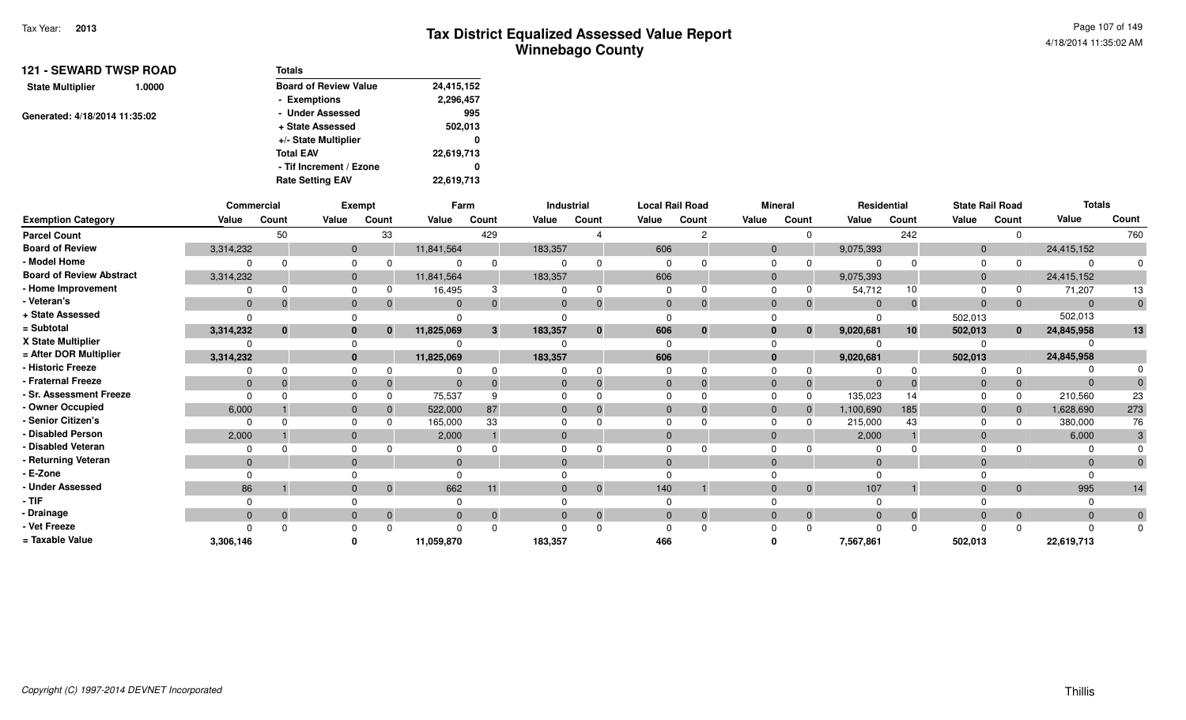| <b>121 - SEWARD TWSP ROAD</b><br>1.0000 | Totals                       |            |
|-----------------------------------------|------------------------------|------------|
| <b>State Multiplier</b>                 | <b>Board of Review Value</b> | 24,415,152 |
|                                         | - Exemptions                 | 2,296,457  |
| Generated: 4/18/2014 11:35:02           | - Under Assessed             | 995        |
|                                         | + State Assessed             | 502,013    |
|                                         | +/- State Multiplier         | 0          |
|                                         | <b>Total EAV</b>             | 22,619,713 |
|                                         | - Tif Increment / Ezone      | 0          |
|                                         | <b>Rate Setting EAV</b>      | 22,619,713 |

|                                 |                | Commercial   |       | Exempt                      |            | Farm     |              | Industrial   | <b>Local Rail Road</b> |              |              | <b>Mineral</b> | Residential |                 | <b>State Rail Road</b> |              | <b>Totals</b> |                |
|---------------------------------|----------------|--------------|-------|-----------------------------|------------|----------|--------------|--------------|------------------------|--------------|--------------|----------------|-------------|-----------------|------------------------|--------------|---------------|----------------|
| <b>Exemption Category</b>       | Value          | Count        | Value | Count                       | Value      | Count    | Value        | Count        | Value                  | Count        | Value        | Count          | Value       | Count           | Value                  | Count        | Value         | Count          |
| <b>Parcel Count</b>             |                | 50           |       | 33                          |            | 429      |              |              |                        | <sup>o</sup> |              | <sup>n</sup>   |             | 242             |                        | $\Omega$     |               | 760            |
| <b>Board of Review</b>          | 3,314,232      |              |       | $\mathbf 0$                 | 11,841,564 |          | 183,357      |              | 606                    |              | $\mathbf{0}$ |                | 9,075,393   |                 | 0                      |              | 24,415,152    |                |
| - Model Home                    |                | <sup>0</sup> |       | $\Omega$                    |            |          | $\Omega$     |              | $\Omega$               |              |              |                |             |                 |                        |              |               |                |
| <b>Board of Review Abstract</b> | 3,314,232      |              |       | $\mathbf 0$                 | 11,841,564 |          | 183,357      |              | 606                    |              | $\mathbf{0}$ |                | 9,075,393   |                 | 0                      |              | 24,415,152    |                |
| - Home Improvement              |                | <sup>0</sup> |       | $\Omega$                    | 16,495     |          |              |              | $\Omega$               |              |              |                | 54,712      | 10              |                        |              | 71,207        | 13             |
| - Veteran's                     | $\overline{0}$ | $\mathbf{0}$ |       | $\mathbf 0$                 | $\Omega$   |          | $\mathbf{0}$ | $\Omega$     | $\Omega$               | $\mathbf 0$  | $\Omega$     |                |             | $\overline{0}$  | $\mathbf{0}$           | $\mathbf 0$  | $\Omega$      | $\overline{0}$ |
| + State Assessed                |                |              |       |                             |            |          |              |              | $\Omega$               |              |              |                |             |                 | 502,013                |              | 502,013       |                |
| = Subtotal                      | 3,314,232      | $\mathbf{0}$ |       | $\bf{0}$                    | 11,825,069 | 3        | 183,357      | $\mathbf{0}$ | 606                    | $\mathbf{0}$ |              | $\Omega$       | 9,020,681   | 10 <sup>1</sup> | 502,013                | $\mathbf{0}$ | 24,845,958    | 13             |
| X State Multiplier              |                |              |       | $\Omega$                    |            |          |              |              |                        |              |              |                |             |                 |                        |              |               |                |
| = After DOR Multiplier          | 3,314,232      |              |       | $\mathbf{0}$                | 11,825,069 |          | 183,357      |              | 606                    |              |              |                | 9,020,681   |                 | 502,013                |              | 24,845,958    |                |
| - Historic Freeze               |                | $\Omega$     |       | $\Omega$                    |            |          |              |              |                        |              |              |                |             | $\Omega$        |                        | 0            |               |                |
| - Fraternal Freeze              | $\overline{0}$ |              |       | $\mathbf{0}$                | $\Omega$   |          | $\mathbf{0}$ |              | $\mathbf{0}$           |              | $\mathbf 0$  |                |             |                 | $\mathbf{0}$           | $\mathbf 0$  | $\Omega$      |                |
| - Sr. Assessment Freeze         | $\Omega$       |              |       | $\Omega$                    | 75,537     |          |              |              | $\Omega$               |              |              |                | 135,023     | 14              |                        | $\Omega$     | 210,560       | 23             |
| - Owner Occupied                | 6,000          |              |       | $\mathbf{0}$                | 522,000    | 87       | $\mathbf{0}$ |              | $\Omega$               |              | $\Omega$     |                | 1,100,690   | 185             | 0                      | $\mathbf 0$  | 1,628,690     | 273            |
| - Senior Citizen's              | $\Omega$       |              |       | $\Omega$                    | 165,000    | 33       |              |              |                        |              |              |                | 215,000     | 43              |                        |              | 380,000       | 76             |
| - Disabled Person               | 2,000          |              |       | $\Omega$                    | 2,000      |          | $\Omega$     |              | $\Omega$               |              |              |                | 2,000       |                 | $\Omega$               |              | 6,000         |                |
| - Disabled Veteran              |                |              |       | $\Omega$                    |            |          |              |              |                        |              |              |                |             |                 |                        |              |               |                |
| - Returning Veteran             | $\Omega$       |              |       | $\Omega$                    | $\Omega$   |          | $\Omega$     |              | $\Omega$               |              | $\Omega$     |                |             |                 |                        |              | $\Omega$      |                |
| - E-Zone                        |                |              |       |                             |            |          |              |              |                        |              |              |                |             |                 |                        |              |               |                |
| - Under Assessed                | 86             |              |       | $\mathbf{0}$<br>$\mathbf 0$ | 662        | 11       | $\mathbf{0}$ | $\mathbf 0$  | 140                    |              | $\Omega$     | $\Omega$       | 107         |                 |                        | $\mathbf{0}$ | 995           | 14             |
| - TIF                           |                |              |       |                             |            |          |              |              | $\Omega$               |              |              |                |             |                 |                        |              |               |                |
| - Drainage                      | $\mathbf{0}$   | $\mathbf{0}$ |       | $\mathbf 0$                 | $\Omega$   | $\Omega$ | $\mathbf{0}$ | $\mathbf{0}$ | $\Omega$               | $\mathbf{0}$ | $\Omega$     |                |             | $\Omega$        |                        | $\mathbf{0}$ | $\Omega$      | $\overline{0}$ |
| - Vet Freeze                    |                | <sup>0</sup> |       | <sup>0</sup>                |            |          |              |              | $\Omega$               |              |              |                |             | $\Omega$        |                        |              |               | $\Omega$       |
| = Taxable Value                 | 3,306,146      |              |       |                             | 11,059,870 |          | 183,357      |              | 466                    |              |              |                | 7,567,861   |                 | 502,013                |              | 22,619,713    |                |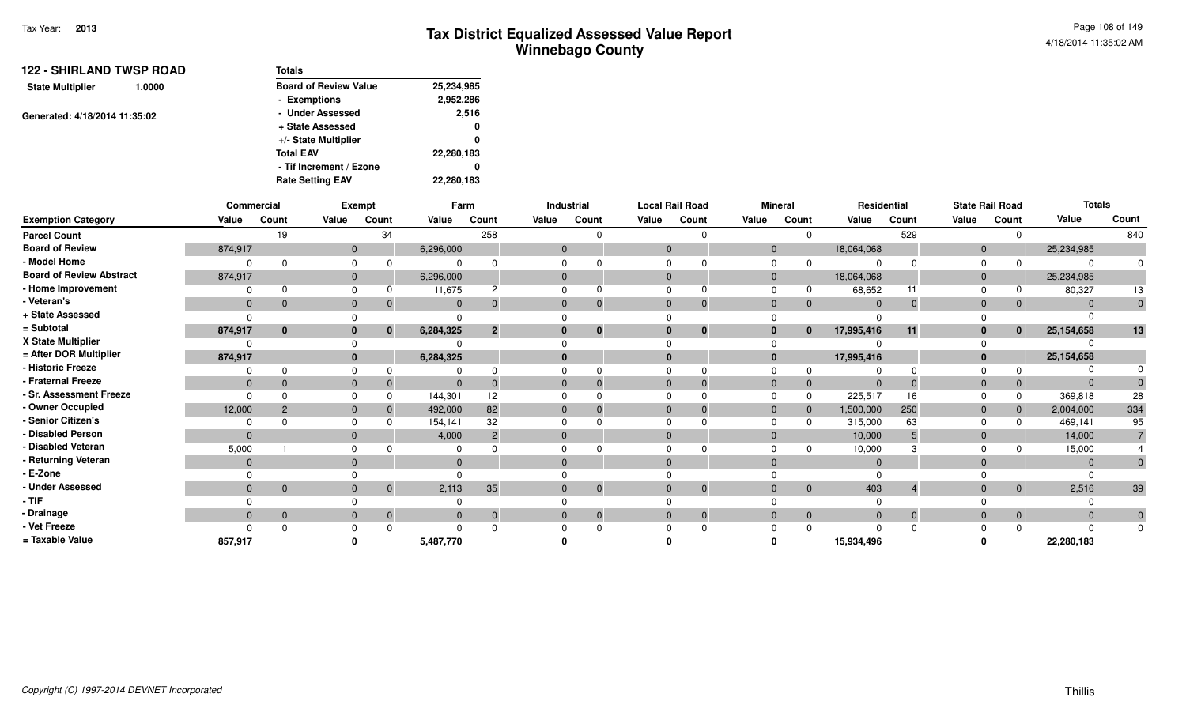| <b>122 - SHIRLAND TWSP ROAD</b>   | Totals                       |            |
|-----------------------------------|------------------------------|------------|
| <b>State Multiplier</b><br>1.0000 | <b>Board of Review Value</b> | 25,234,985 |
|                                   | - Exemptions                 | 2,952,286  |
| Generated: 4/18/2014 11:35:02     | - Under Assessed             | 2,516      |
|                                   | + State Assessed             | 0          |
|                                   | +/- State Multiplier         | 0          |
|                                   | <b>Total EAV</b>             | 22,280,183 |
|                                   | - Tif Increment / Ezone      | 0          |
|                                   | <b>Rate Setting EAV</b>      | 22,280,183 |
|                                   |                              |            |

|                                 |                | Commercial |              | Exempt       |              | Farm           |              | Industrial | <b>Local Rail Road</b> |                |                | <b>Mineral</b> |              | Residential    |              | <b>State Rail Road</b> | <b>Totals</b> |                |
|---------------------------------|----------------|------------|--------------|--------------|--------------|----------------|--------------|------------|------------------------|----------------|----------------|----------------|--------------|----------------|--------------|------------------------|---------------|----------------|
| <b>Exemption Category</b>       | Value          | Count      | Value        | Count        | Value        | Count          | Value        | Count      | Value                  | Count          | Value          | Count          | Value        | Count          | Value        | Count                  | Value         | Count          |
| <b>Parcel Count</b>             |                | 19         |              | 34           |              | 258            |              |            |                        | $\Omega$       |                | 0              |              | 529            |              | $\Omega$               |               | 840            |
| <b>Board of Review</b>          | 874,917        |            | $\mathbf{0}$ |              | 6,296,000    |                | $\mathbf 0$  |            | $\overline{0}$         |                | 0              |                | 18,064,068   |                | $\mathbf 0$  |                        | 25,234,985    |                |
| - Model Home                    |                |            |              | ∩            |              |                |              |            |                        |                | 0              |                |              |                |              |                        |               |                |
| <b>Board of Review Abstract</b> | 874,917        |            | $\mathbf{0}$ |              | 6,296,000    |                | $\mathbf 0$  |            |                        |                | 0              |                | 18,064,068   |                | $\mathbf 0$  |                        | 25,234,985    |                |
| - Home Improvement              |                |            | $\Omega$     |              | 11,675       | 2              |              |            |                        | $\Omega$       | O              |                | 68,652       | 11             | $\Omega$     |                        | 80,327        | 13             |
| - Veteran's                     | $\mathbf{0}$   |            | $\mathbf{0}$ |              | $\mathbf{0}$ | $\mathbf{0}$   | $\mathbf{0}$ |            |                        | $\Omega$       | $\overline{0}$ | $\mathbf{0}$   | $\mathbf{0}$ | $\mathbf 0$    | $\mathbf{0}$ | $\overline{0}$         |               |                |
| + State Assessed                |                |            |              |              |              |                |              |            |                        |                |                |                |              |                |              |                        |               |                |
| = Subtotal                      | 874,917        | $\bf{0}$   | $\bf{0}$     | $\bf{0}$     | 6,284,325    | $\overline{2}$ |              | $\bf{0}$   |                        | $\bf{0}$       |                | $\bf{0}$       | 17,995,416   | 11             |              | $\mathbf{0}$           | 25,154,658    | 13             |
| X State Multiplier              |                |            |              |              |              |                |              |            |                        |                |                |                |              |                |              |                        |               |                |
| = After DOR Multiplier          | 874,917        |            |              | $\bf{0}$     | 6,284,325    |                |              |            |                        |                |                |                | 17,995,416   |                |              |                        | 25, 154, 658  |                |
| - Historic Freeze               |                |            |              |              |              |                |              |            |                        |                |                |                |              |                |              |                        |               |                |
| - Fraternal Freeze              | $\mathbf{0}$   |            | $\Omega$     |              | $\Omega$     |                | $\Omega$     |            |                        | $\Omega$       | $\mathbf{0}$   | $\mathbf{0}$   | $\Omega$     |                | $\Omega$     | $\mathbf{0}$           |               |                |
| - Sr. Assessment Freeze         |                |            |              |              | 144,301      | 12             |              |            |                        |                |                | $\Omega$       | 225,517      | 16             |              | $\Omega$               | 369,818       | 28             |
| - Owner Occupied                | 12,000         |            | $\mathbf{0}$ |              | 492,000      | 82             | $\Omega$     |            |                        |                | 0              | $\mathbf{0}$   | 1,500,000    | 250            |              | $\mathbf{0}$           | 2,004,000     | 334            |
| - Senior Citizen's              |                |            | $\Omega$     |              | 154,141      | 32             |              |            |                        |                |                |                | 315,000      | 63             |              |                        | 469,141       | 95             |
| - Disabled Person               | $\overline{0}$ |            | $\mathbf{0}$ |              | 4,000        | $\overline{2}$ |              |            |                        |                | 0              |                | 10,000       |                | $\Omega$     |                        | 14,000        |                |
| - Disabled Veteran              | 5,000          |            |              |              |              |                |              |            |                        |                |                |                | 10,000       |                |              |                        | 15,000        |                |
| - Returning Veteran             | $\Omega$       |            | $\mathbf{0}$ |              | $\Omega$     |                | $\Omega$     |            |                        |                | $\Omega$       |                |              |                | $\Omega$     |                        |               |                |
| - E-Zone                        |                |            |              |              |              |                |              |            |                        |                |                |                |              |                |              |                        |               |                |
| - Under Assessed                | $\mathbf{0}$   |            | $\Omega$     | $\mathbf{0}$ | 2,113        | 35             | $\Omega$     | $\Omega$   |                        | $\overline{0}$ |                | $\Omega$       | 403          |                |              | $\overline{0}$         | 2,516         | $39\,$         |
| - TIF-                          |                |            |              |              |              |                |              |            |                        |                |                |                |              |                |              |                        |               |                |
| - Drainage                      | $\Omega$       |            | $\Omega$     | $\Omega$     | $\Omega$     | $\mathbf{0}$   |              | $\Omega$   |                        | $\overline{0}$ | $\Omega$       | $\Omega$       |              | $\overline{0}$ | $\Omega$     | $\mathbf{0}$           |               | $\overline{0}$ |
| - Vet Freeze                    |                |            |              |              |              |                |              |            |                        | $\Omega$       |                |                |              |                |              |                        |               | $\mathbf{0}$   |
| = Taxable Value                 | 857,917        |            |              |              | 5,487,770    |                |              |            |                        |                |                |                | 15,934,496   |                |              |                        | 22,280,183    |                |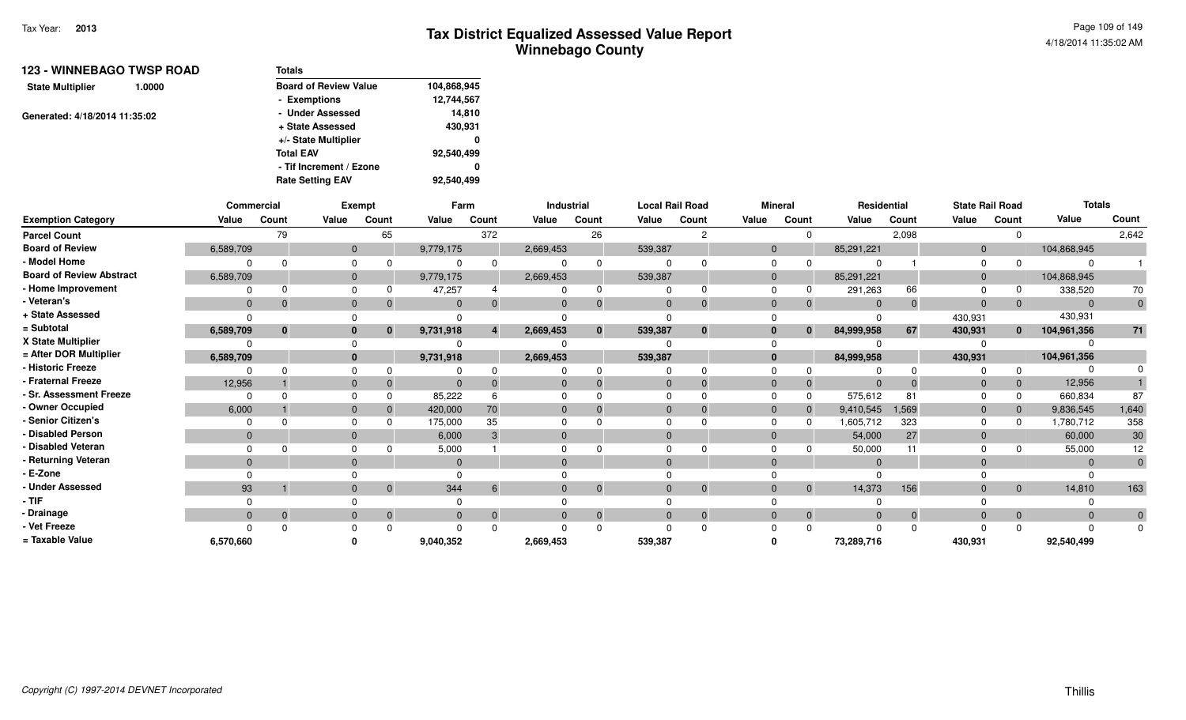| <b>123 - WINNEBAGO TWSP ROAD</b>  | <b>Totals</b>                |             |
|-----------------------------------|------------------------------|-------------|
| <b>State Multiplier</b><br>1.0000 | <b>Board of Review Value</b> | 104,868,945 |
|                                   | - Exemptions                 | 12,744,567  |
| Generated: 4/18/2014 11:35:02     | - Under Assessed             | 14.810      |
|                                   | + State Assessed             | 430,931     |
|                                   | +/- State Multiplier         | 0           |
|                                   | <b>Total EAV</b>             | 92,540,499  |
|                                   | - Tif Increment / Ezone      | 0           |
|                                   | <b>Rate Setting EAV</b>      | 92,540,499  |

|                                 | Commercial   |          |              | <b>Exempt</b> |              | Farm  |           | Industrial | <b>Local Rail Road</b> |              |              | <b>Mineral</b> |            | Residential | <b>State Rail Road</b> |                | <b>Totals</b> |              |
|---------------------------------|--------------|----------|--------------|---------------|--------------|-------|-----------|------------|------------------------|--------------|--------------|----------------|------------|-------------|------------------------|----------------|---------------|--------------|
| <b>Exemption Category</b>       | Value        | Count    | Value        | Count         | Value        | Count | Value     | Count      | Value                  | Count        | Value        | Count          | Value      | Count       | Value                  | Count          | Value         | Count        |
| <b>Parcel Count</b>             |              | 79       |              | 65            |              | 372   |           | 26         |                        | 2            |              | 0              |            | 2,098       |                        |                |               | 2,642        |
| <b>Board of Review</b>          | 6,589,709    |          | $\mathbf 0$  |               | 9,779,175    |       | 2,669,453 |            | 539,387                |              | 0            |                | 85,291,221 |             | $\mathbf{0}$           |                | 104,868,945   |              |
| - Model Home                    |              |          | $\Omega$     |               |              |       |           | $\Omega$   |                        |              | 0            |                |            |             | $\Omega$               |                |               |              |
| <b>Board of Review Abstract</b> | 6,589,709    |          | $\mathbf{0}$ |               | 9,779,175    |       | 2,669,453 |            | 539,387                |              | $\mathbf{0}$ |                | 85,291,221 |             | $\mathbf{0}$           |                | 104,868,945   |              |
| - Home Improvement              |              |          | $\Omega$     |               | 47,257       |       |           |            |                        |              |              |                | 291,263    | 66          |                        |                | 338,520       | 70           |
| - Veteran's                     | $\Omega$     |          | $\Omega$     | 0             | $\mathbf{0}$ |       |           | $\Omega$   |                        | $\Omega$     | $\mathbf{0}$ | $\Omega$       | $\Omega$   | $\mathbf 0$ | $\Omega$               | $\overline{0}$ | $\Omega$      |              |
| + State Assessed                |              |          |              |               |              |       |           |            |                        |              |              |                |            |             | 430,931                |                | 430,931       |              |
| = Subtotal                      | 6,589,709    | $\bf{0}$ |              | $\mathbf{0}$  | 9,731,918    |       | 2,669,453 | $\bf{0}$   | 539,387                | $\mathbf{0}$ |              | 0              | 84,999,958 | 67          | 430,931                | $\mathbf{0}$   | 104,961,356   | 71           |
| X State Multiplier              |              |          |              |               |              |       |           |            |                        |              |              |                |            |             |                        |                |               |              |
| = After DOR Multiplier          | 6,589,709    |          | $\mathbf{0}$ |               | 9,731,918    |       | 2,669,453 |            | 539,387                |              |              |                | 84,999,958 |             | 430,931                |                | 104,961,356   |              |
| - Historic Freeze               |              |          |              |               |              |       |           | $\Omega$   |                        | <sup>n</sup> |              |                |            |             |                        |                |               |              |
| - Fraternal Freeze              | 12,956       |          | $\Omega$     |               | $\Omega$     |       |           |            |                        | $\Omega$     | 0            |                |            |             | $\Omega$               | $\overline{0}$ | 12,956        |              |
| - Sr. Assessment Freeze         |              |          |              |               | 85,222       |       |           |            |                        |              |              | 0              | 575,612    | 81          |                        | $\Omega$       | 660,834       | 87           |
| - Owner Occupied                | 6,000        |          | $\Omega$     |               | 420,000      | 70    |           |            |                        |              | 0            | $\bf{0}$       | 9,410,545  | 1,569       |                        | $\overline{0}$ | 9,836,545     | 1,640        |
| - Senior Citizen's              |              |          |              |               | 175,000      | 35    |           |            |                        |              |              |                | 1,605,712  | 323         |                        |                | 1,780,712     | 358          |
| - Disabled Person               | $\Omega$     |          | $\mathbf{0}$ |               | 6,000        |       |           |            |                        |              | $\Omega$     |                | 54,000     | 27          | $\Omega$               |                | 60,000        | 30           |
| - Disabled Veteran              |              |          | $\Omega$     |               | 5,000        |       |           |            |                        |              |              |                | 50,000     |             |                        |                | 55,000        | 12           |
| - Returning Veteran             | $\Omega$     |          | $\Omega$     |               | $\Omega$     |       |           |            |                        |              | $\Omega$     |                |            |             | $\Omega$               |                |               |              |
| - E-Zone                        |              |          |              |               |              |       |           |            |                        |              |              |                |            |             |                        |                |               |              |
| - Under Assessed                | 93           |          | $\Omega$     | $\Omega$      | 344          | 6     |           | $\Omega$   | $\Omega$               | $\Omega$     | $\Omega$     | $\Omega$       | 14,373     | 156         |                        | $\overline{0}$ | 14,810        | 163          |
| - TIF                           |              |          |              |               |              |       |           |            |                        |              |              |                |            |             |                        |                |               |              |
| Drainage                        | $\mathbf{0}$ |          | $\mathbf{0}$ | $\mathbf 0$   | $\Omega$     |       |           | $\Omega$   |                        | $\mathbf{0}$ | $\Omega$     | $\mathbf{0}$   |            | $\mathbf 0$ | $\Omega$               | $\overline{0}$ |               | $\mathbf{0}$ |
| - Vet Freeze                    |              |          |              |               |              |       |           |            |                        | <sup>n</sup> |              |                |            |             |                        |                |               | $\Omega$     |
| = Taxable Value                 | 6,570,660    |          |              |               | 9,040,352    |       | 2,669,453 |            | 539,387                |              |              |                | 73,289,716 |             | 430,931                |                | 92,540,499    |              |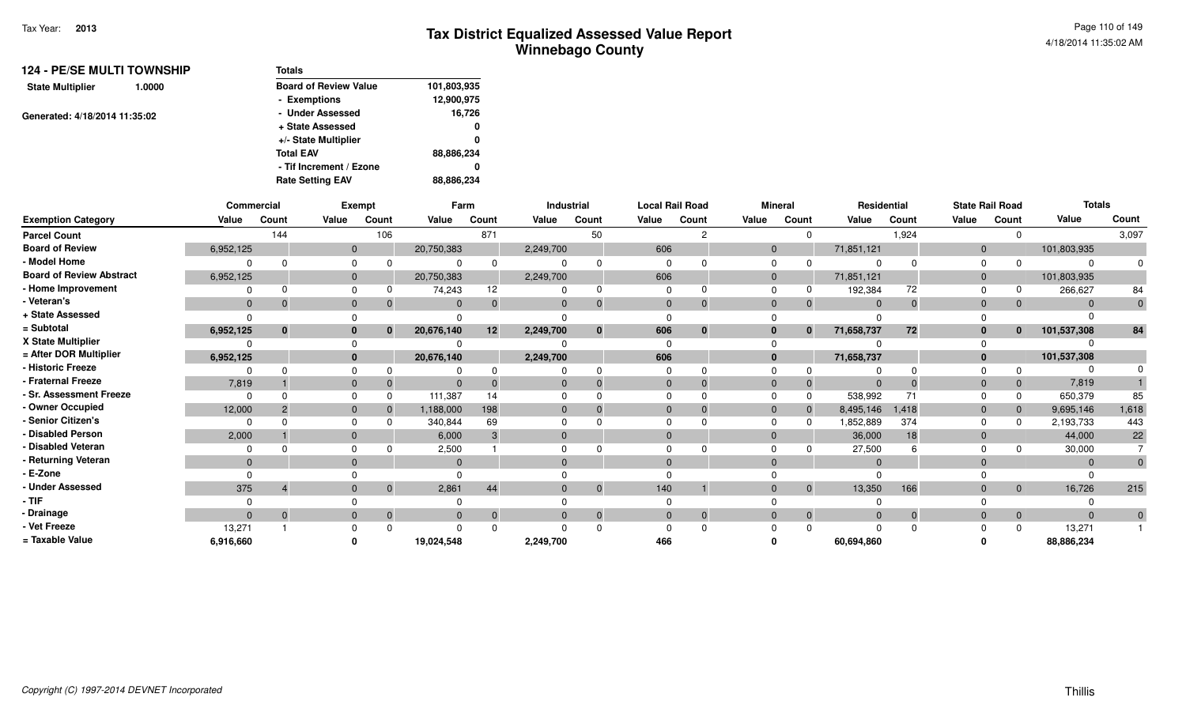| <b>124 - PE/SE MULTI TOWNSHIP</b> | Totals                       |             |
|-----------------------------------|------------------------------|-------------|
| <b>State Multiplier</b><br>1.0000 | <b>Board of Review Value</b> | 101,803,935 |
|                                   | - Exemptions                 | 12,900,975  |
| Generated: 4/18/2014 11:35:02     | - Under Assessed             | 16,726      |
|                                   | + State Assessed             | 0           |
|                                   | +/- State Multiplier         | 0           |
|                                   | <b>Total EAV</b>             | 88,886,234  |
|                                   | - Tif Increment / Ezone      | 0           |
|                                   | <b>Rate Setting EAV</b>      | 88,886,234  |

|                                 | Commercial   |          |              | Exempt   |              | Farm         |           | Industrial   |                | <b>Local Rail Road</b> |                | <b>Mineral</b> | Residential |          |                | <b>State Rail Road</b> | <b>Totals</b> |                |
|---------------------------------|--------------|----------|--------------|----------|--------------|--------------|-----------|--------------|----------------|------------------------|----------------|----------------|-------------|----------|----------------|------------------------|---------------|----------------|
| <b>Exemption Category</b>       | Value        | Count    | Value        | Count    | Value        | Count        | Value     | Count        | Value          | Count                  | Value          | Count          | Value       | Count    | Value          | Count                  | Value         | Count          |
| <b>Parcel Count</b>             |              | 144      |              | 106      |              | 871          |           | 50           |                |                        |                |                |             | 1,924    |                | $\Omega$               |               | 3,097          |
| <b>Board of Review</b>          | 6,952,125    |          | $\mathbf{0}$ |          | 20,750,383   |              | 2,249,700 |              | 606            |                        | $\overline{0}$ |                | 71,851,121  |          | $\mathbf 0$    |                        | 101,803,935   |                |
| - Model Home                    |              |          | $\Omega$     |          |              | 0            |           |              | $\Omega$       |                        | $\Omega$       |                |             |          | $\Omega$       |                        | $\Omega$      |                |
| <b>Board of Review Abstract</b> | 6,952,125    |          | $\mathbf{0}$ |          | 20,750,383   |              | 2,249,700 |              | 606            |                        | $\Omega$       |                | 71,851,121  |          | $\mathbf 0$    |                        | 101,803,935   |                |
| - Home Improvement              |              |          | $\Omega$     |          | 74,243       | 12           |           |              | $\Omega$       |                        | $\Omega$       |                | 192,384     | 72       |                |                        | 266,627       | 84             |
| - Veteran's                     | $\mathbf{0}$ |          | $\mathbf{0}$ |          | $\mathbf{0}$ | $\Omega$     |           | $\Omega$     | $\mathbf{0}$   | $\Omega$               | $\Omega$       |                | $\Omega$    | 0        | $\Omega$       | $\overline{0}$         | $\Omega$      |                |
| + State Assessed                |              |          |              |          |              |              |           |              |                |                        |                |                |             |          |                |                        |               |                |
| = Subtotal                      | 6,952,125    | $\bf{0}$ | $\bf{0}$     |          | 20,676,140   | 12           | 2,249,700 | $\bf{0}$     | 606            | 0                      | 0              |                | 71,658,737  | 72       | 0              | $\mathbf{0}$           | 101,537,308   | 84             |
| X State Multiplier              |              |          | $\Omega$     |          |              |              |           |              |                |                        |                |                |             |          |                |                        |               |                |
| = After DOR Multiplier          | 6,952,125    |          | $\mathbf{0}$ |          | 20,676,140   |              | 2,249,700 |              | 606            |                        |                |                | 71,658,737  |          |                |                        | 101,537,308   |                |
| - Historic Freeze               |              |          |              |          |              |              |           | $\Omega$     |                |                        |                |                |             |          |                |                        |               |                |
| - Fraternal Freeze              | 7,819        |          | $\mathbf{0}$ |          | $\Omega$     |              |           |              | $\overline{0}$ |                        | $\Omega$       |                | $\Omega$    |          | $\Omega$       | $\overline{0}$         | 7,819         |                |
| - Sr. Assessment Freeze         |              |          |              |          | 111,387      | 14           |           |              |                |                        |                |                | 538,992     | 71       |                | $\Omega$               | 650,379       | 85             |
| - Owner Occupied                | 12,000       |          | $\mathbf{0}$ |          | 1,188,000    | 198          |           |              | $\mathbf{0}$   |                        | $\overline{0}$ |                | 8,495,146   | 1,418    | $\overline{0}$ | $\overline{0}$         | 9,695,146     | 1,618          |
| - Senior Citizen's              |              |          | $\Omega$     |          | 340,844      | 69           |           |              |                |                        | $\Omega$       |                | 1,852,889   | 374      | $\Omega$       |                        | 2,193,733     | 443            |
| - Disabled Person               | 2,000        |          | $\Omega$     |          | 6,000        | 3            |           |              | $\Omega$       |                        | $\Omega$       |                | 36,000      | 18       | $\Omega$       |                        | 44,000        | 22             |
| - Disabled Veteran              |              |          | $\Omega$     |          | 2,500        |              |           |              |                |                        |                |                | 27,500      |          |                |                        | 30,000        |                |
| - Returning Veteran             | $\Omega$     |          | $\Omega$     |          |              |              |           |              | $\Omega$       |                        |                |                | $\Omega$    |          |                |                        | $\Omega$      | $\Omega$       |
| - E-Zone                        |              |          |              |          |              |              |           |              |                |                        |                |                |             |          |                |                        |               |                |
| - Under Assessed                | 375          |          | $\Omega$     | $\Omega$ | 2,861        | 44           |           | $\Omega$     | 140            |                        |                | $\Omega$       | 13,350      | 166      | $\Omega$       | $\overline{0}$         | 16,726        | 215            |
| $-$ TIF                         |              |          |              |          |              |              |           |              |                |                        |                |                |             |          |                |                        |               |                |
| - Drainage                      | $\Omega$     | $\Omega$ | $\Omega$     |          | $\mathbf{0}$ | $\mathbf{0}$ |           | $\mathbf{0}$ | $\mathbf{0}$   | $\Omega$               | $\Omega$       | $\Omega$       | $\Omega$    | $\Omega$ | $\Omega$       | $\overline{0}$         | $\Omega$      | $\overline{0}$ |
| - Vet Freeze                    | 13,271       |          |              |          |              |              |           |              |                |                        |                |                |             |          |                | $\Omega$               | 13,271        |                |
| = Taxable Value                 | 6,916,660    |          |              |          | 19,024,548   |              | 2,249,700 |              | 466            |                        |                |                | 60,694,860  |          |                |                        | 88,886,234    |                |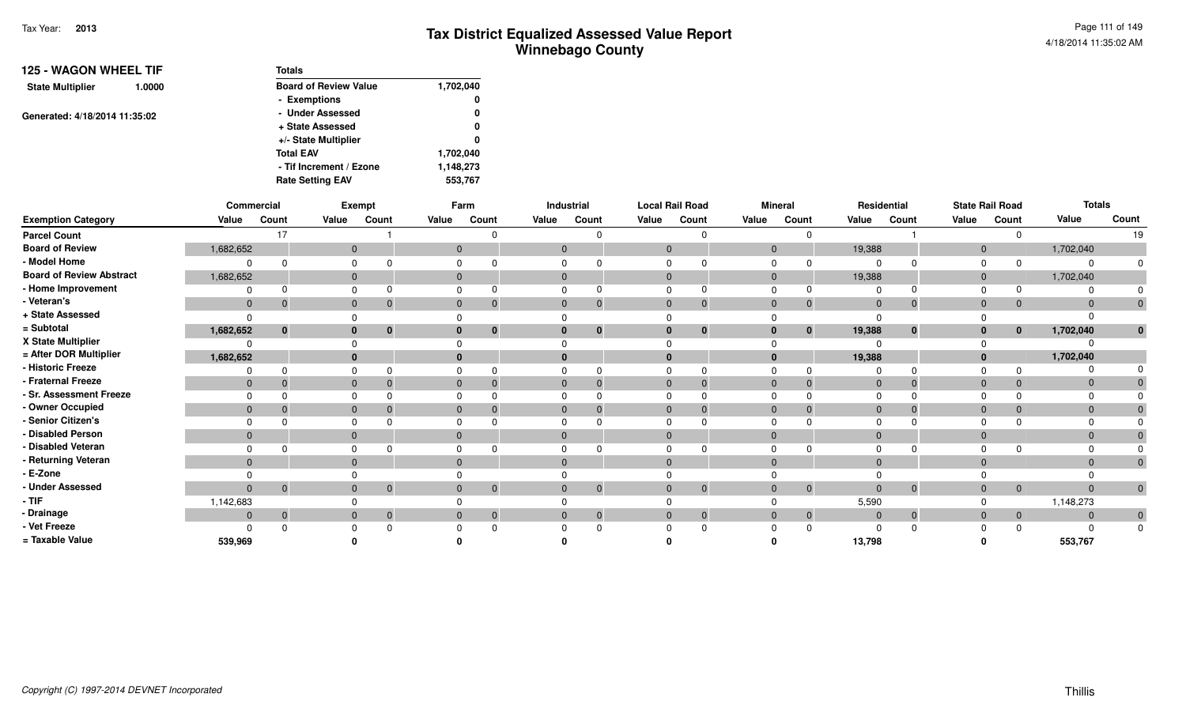| <b>125 - WAGON WHEEL TIF</b>      | <b>Totals</b>                |           |
|-----------------------------------|------------------------------|-----------|
| <b>State Multiplier</b><br>1.0000 | <b>Board of Review Value</b> | 1,702,040 |
|                                   | - Exemptions                 | 0         |
| Generated: 4/18/2014 11:35:02     | - Under Assessed             | 0         |
|                                   | + State Assessed             | 0         |
|                                   | +/- State Multiplier         | 0         |
|                                   | <b>Total EAV</b>             | 1,702,040 |
|                                   | - Tif Increment / Ezone      | 1,148,273 |
|                                   | <b>Rate Setting EAV</b>      | 553.767   |

|                                 |                | Commercial   |                | Exempt         |              | Farm           |              | Industrial   | <b>Local Rail Road</b> |                |                | <b>Mineral</b> |                | Residential    |                | <b>State Rail Road</b> | <b>Totals</b> |                |
|---------------------------------|----------------|--------------|----------------|----------------|--------------|----------------|--------------|--------------|------------------------|----------------|----------------|----------------|----------------|----------------|----------------|------------------------|---------------|----------------|
| <b>Exemption Category</b>       | Value          | Count        | Value          | Count          | Value        | Count          | Value        | Count        | Value                  | Count          | Value          | Count          | Value          | Count          | Value          | Count                  | Value         | Count          |
| <b>Parcel Count</b>             |                | 17           |                |                |              | n              |              |              |                        | $\Omega$       |                |                |                |                |                |                        |               | 19             |
| <b>Board of Review</b>          | 1,682,652      |              | $\mathbf{0}$   |                | $\mathbf{0}$ |                | $\mathbf{0}$ |              |                        |                | $\overline{0}$ |                | 19,388         |                | $\mathbf{0}$   |                        | 1,702,040     |                |
| - Model Home                    |                | $\Omega$     |                |                |              |                |              |              |                        |                |                |                |                |                |                |                        |               |                |
| <b>Board of Review Abstract</b> | 1,682,652      |              | $\mathbf 0$    |                | $\mathbf{0}$ |                | $\mathbf{0}$ |              |                        |                | $\mathbf{0}$   |                | 19,388         |                | $\Omega$       |                        | 1,702,040     |                |
| - Home Improvement              |                | $\Omega$     | $\Omega$       |                | $\Omega$     |                |              |              |                        | $\Omega$       |                |                |                |                |                |                        |               |                |
| - Veteran's                     | $\overline{0}$ | $\mathbf 0$  | $\overline{0}$ |                | $\mathbf{0}$ | $\mathbf{0}$   | $\mathbf{0}$ |              | $\overline{0}$         | $\overline{0}$ | $\mathbf{0}$   | 0              | $\mathbf 0$    | $\overline{0}$ | $\overline{0}$ | $\mathbf{0}$           | $\Omega$      | $\mathbf{0}$   |
| + State Assessed                | $\Omega$       |              |                |                |              |                |              |              |                        |                |                |                |                |                |                |                        |               |                |
| = Subtotal                      | 1,682,652      | $\bf{0}$     | $\mathbf{0}$   | $\mathbf{0}$   | $\mathbf{0}$ | $\mathbf{0}$   | $\mathbf{0}$ | $\bf{0}$     |                        | $\mathbf{0}$   | $\bf{0}$       | $\mathbf{0}$   | 19,388         | $\mathbf{0}$   | $\mathbf{0}$   | $\mathbf{0}$           | 1,702,040     | $\bf{0}$       |
| X State Multiplier              |                |              |                |                |              |                |              |              |                        |                |                |                |                |                |                |                        |               |                |
| = After DOR Multiplier          | 1,682,652      |              | $\bf{0}$       |                |              |                | $\bf{0}$     |              |                        |                |                |                | 19,388         |                | $\mathbf{0}$   |                        | 1,702,040     |                |
| - Historic Freeze               |                | $\Omega$     |                |                |              |                |              |              |                        | $\Omega$       |                |                |                | $\Omega$       |                |                        |               |                |
| - Fraternal Freeze              | $\mathbf 0$    | $\Omega$     | $\mathbf 0$    |                | $\mathbf{0}$ |                | $\Omega$     |              |                        | $\Omega$       | $\Omega$       |                | $\Omega$       | $\Omega$       | $\Omega$       | $\mathbf{0}$           | $\Omega$      |                |
| - Sr. Assessment Freeze         |                |              | ∩              |                |              |                |              |              |                        |                |                |                |                |                |                |                        |               |                |
| - Owner Occupied                | $\mathbf{0}$   | $\Omega$     | $\mathbf{0}$   |                | $\Omega$     |                | $\Omega$     |              |                        | $\Omega$       | $\Omega$       |                |                | -0             | $\Omega$       | $\mathbf{0}$           |               |                |
| - Senior Citizen's              |                |              |                |                |              |                |              |              |                        |                |                |                |                |                |                |                        |               |                |
| - Disabled Person               | $\overline{0}$ |              | $\mathbf 0$    |                | $\mathbf{0}$ |                | $\Omega$     |              |                        |                | $\Omega$       |                | $\Omega$       |                | $\Omega$       |                        |               |                |
| - Disabled Veteran              |                |              |                |                | $\Omega$     |                |              |              |                        |                |                |                |                |                |                |                        |               |                |
| - Returning Veteran             | $\Omega$       |              | $\Omega$       |                | $\Omega$     |                | $\Omega$     |              |                        |                | $\Omega$       |                |                |                | $\Omega$       |                        | $\Omega$      | $\overline{0}$ |
| - E-Zone                        |                |              |                |                |              |                |              |              |                        |                |                |                |                |                |                |                        |               |                |
| - Under Assessed                | $\mathbf{0}$   | $\mathbf{0}$ | $\overline{0}$ | $\overline{0}$ | $\mathbf{0}$ | $\mathbf{0}$   | $\mathbf{0}$ | $\mathbf{0}$ |                        | $\overline{0}$ | $\overline{0}$ | $\mathbf 0$    | $\Omega$       | $\overline{0}$ | $\mathbf{0}$   | $\overline{0}$         | $\Omega$      | $\mathbf 0$    |
| $-$ TIF                         | 1,142,683      |              |                |                |              |                |              |              |                        |                |                |                | 5,590          |                |                |                        | 1,148,273     |                |
| - Drainage                      | $\mathbf{0}$   | $\mathbf 0$  | $\mathbf 0$    |                | $\mathbf{0}$ | $\overline{0}$ | $\mathbf{0}$ | $\mathbf{0}$ |                        | $\overline{0}$ | $\mathbf{0}$   | $\overline{0}$ | $\overline{0}$ | $\overline{0}$ | $\mathbf{0}$   | $\overline{0}$         | $\mathbf{0}$  | $\overline{0}$ |
| - Vet Freeze                    |                | $\Omega$     |                |                |              |                |              |              |                        | $\Omega$       |                |                |                |                |                |                        |               | $\Omega$       |
| = Taxable Value                 | 539,969        |              |                |                |              |                |              |              |                        |                |                |                | 13,798         |                |                |                        | 553,767       |                |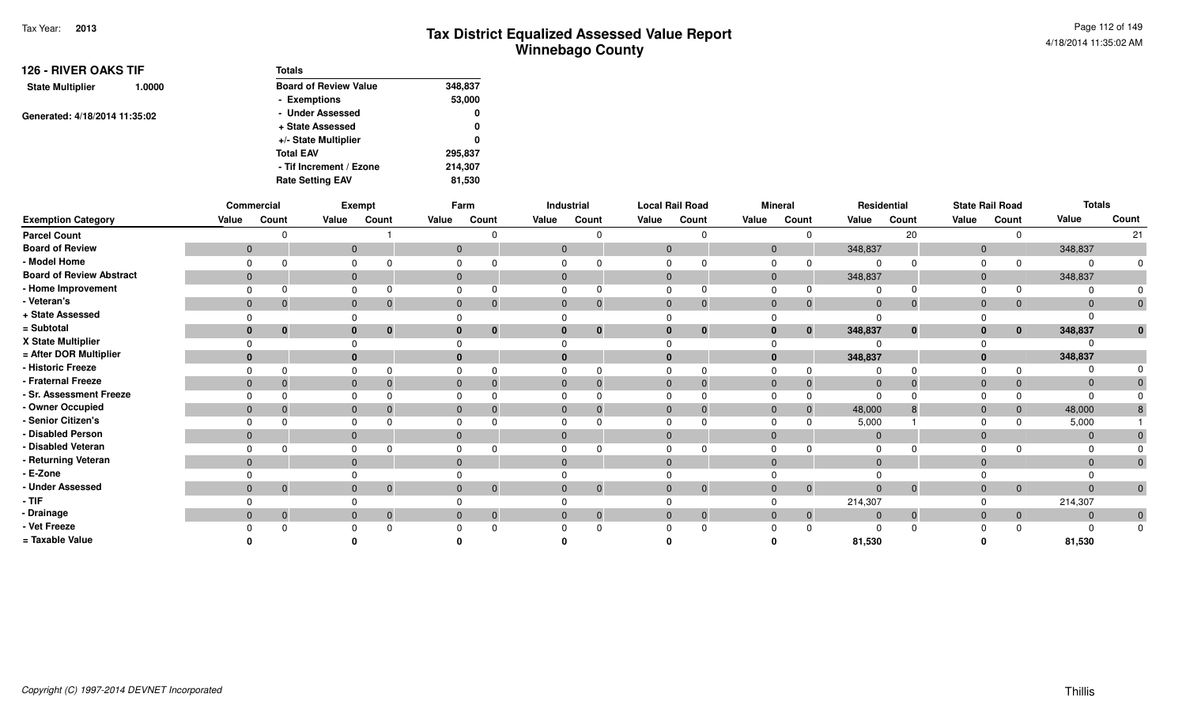| <b>126 - RIVER OAKS TIF</b>       | <b>Totals</b>                |         |
|-----------------------------------|------------------------------|---------|
| <b>State Multiplier</b><br>1.0000 | <b>Board of Review Value</b> | 348,837 |
|                                   | - Exemptions                 | 53,000  |
| Generated: 4/18/2014 11:35:02     | - Under Assessed             | 0       |
|                                   | + State Assessed             | 0       |
|                                   | +/- State Multiplier         | 0       |
|                                   | <b>Total EAV</b>             | 295,837 |
|                                   | - Tif Increment / Ezone      | 214,307 |
|                                   | <b>Rate Setting EAV</b>      | 81,530  |

|                                 |                | Commercial     |                | <b>Exempt</b> |                | Farm     |                | Industrial     | <b>Local Rail Road</b> |             |       | <b>Mineral</b>          |                | Residential    |          | <b>State Rail Road</b> | <b>Totals</b> |          |
|---------------------------------|----------------|----------------|----------------|---------------|----------------|----------|----------------|----------------|------------------------|-------------|-------|-------------------------|----------------|----------------|----------|------------------------|---------------|----------|
| <b>Exemption Category</b>       | Value          | Count          | Value          | Count         | Value          | Count    | Value          | Count          | Value                  | Count       | Value | Count                   | Value          | Count          | Value    | Count                  | Value         | Count    |
| <b>Parcel Count</b>             |                |                |                |               |                |          |                |                |                        |             |       |                         |                | 20             |          |                        |               | 21       |
| <b>Board of Review</b>          | $\mathbf 0$    |                | $\overline{0}$ |               | $\mathbf{0}$   |          | $\mathbf{0}$   |                | $\mathbf{0}$           |             |       | $\mathbf{0}$            | 348,837        |                | $\Omega$ |                        | 348,837       |          |
| - Model Home                    | $\Omega$       |                | 0              |               | $\Omega$       |          |                |                | $\Omega$               |             |       |                         |                |                |          |                        |               |          |
| <b>Board of Review Abstract</b> | $\overline{0}$ |                | $\overline{0}$ |               | $\mathbf 0$    |          | $\mathbf{0}$   |                | $\mathbf{0}$           |             |       |                         | 348,837        |                |          |                        | 348,837       |          |
| - Home Improvement              | $\Omega$       |                |                |               | 0              |          |                |                |                        |             |       |                         |                |                |          |                        |               |          |
| - Veteran's                     | $\mathbf{0}$   | $\Omega$       | $\mathbf 0$    | 0             | $\mathbf{0}$   |          | $\mathbf{0}$   |                | $\mathbf{0}$           |             |       | 0<br>$\mathbf 0$        | $\mathbf 0$    | 0              | $\Omega$ | $\overline{0}$         |               |          |
| + State Assessed                | $\Omega$       |                |                |               | $\Omega$       |          |                |                |                        |             |       |                         |                |                |          |                        |               |          |
| = Subtotal                      | $\mathbf{0}$   | 0              | $\mathbf{0}$   | $\bf{0}$      | $\mathbf 0$    | $\bf{0}$ | $\mathbf{0}$   | $\mathbf{0}$   | $\bf{0}$               | $\bf{0}$    |       | $\mathbf{0}$            | 348,837        | $\mathbf{0}$   |          | $\bf{0}$               | 348,837       |          |
| X State Multiplier              | 0              |                |                |               | $\Omega$       |          |                |                | <sup>n</sup>           |             |       |                         |                |                |          |                        |               |          |
| = After DOR Multiplier          | $\mathbf{0}$   |                | $\mathbf{0}$   |               | $\bf{0}$       |          | $\mathbf{0}$   |                | $\bf{0}$               |             |       |                         | 348,837        |                |          |                        | 348,837       |          |
| - Historic Freeze               | $\Omega$       |                |                |               | $\Omega$       |          |                |                |                        |             |       |                         |                |                |          |                        |               |          |
| - Fraternal Freeze              | $\mathbf 0$    |                | $\mathbf 0$    | 0             | $\overline{0}$ |          | $\mathbf{0}$   |                | $\Omega$               |             |       | $\Omega$                | $\Omega$       |                |          | $\mathbf{0}$           |               |          |
| - Sr. Assessment Freeze         | $\Omega$       |                | 0              |               | $\Omega$       |          |                |                | $\Omega$               |             |       |                         | $\Omega$       |                |          |                        |               |          |
| - Owner Occupied                | $\overline{0}$ |                | $\mathbf{0}$   | $\Omega$      | $\overline{0}$ |          | $\mathbf{0}$   |                | $\mathbf{0}$           |             |       | $\Omega$                | 48,000         | 8              |          | $\overline{0}$         | 48,000        |          |
| - Senior Citizen's              | $\Omega$       |                |                |               | $\Omega$       |          |                |                | $\Omega$               |             |       |                         | 5,000          |                |          |                        | 5,000         |          |
| - Disabled Person               | $\mathbf{0}$   |                | $\mathbf{0}$   |               | $\Omega$       |          | $\mathbf{0}$   |                | $\Omega$               |             |       |                         | $\Omega$       |                |          |                        |               |          |
| - Disabled Veteran              | $\Omega$       |                | 0              |               | $\Omega$       |          |                |                | $\Omega$               |             |       |                         |                |                |          |                        |               |          |
| - Returning Veteran             | $\mathbf{0}$   |                | $\mathbf{0}$   |               | $\overline{0}$ |          | $\mathbf{0}$   |                | $\Omega$               |             |       |                         | $\Omega$       |                |          |                        |               |          |
| - E-Zone                        | $\Omega$       |                |                |               |                |          |                |                |                        |             |       |                         |                |                |          |                        |               |          |
| - Under Assessed                | $\Omega$       | $\Omega$       | $\overline{0}$ | $\mathbf 0$   | $\mathbf{0}$   | $\Omega$ | $\Omega$       | $\overline{0}$ | $\Omega$               | $\Omega$    |       | $\Omega$<br>$\mathbf 0$ | $\mathbf{0}$   | $\overline{0}$ | $\Omega$ | $\overline{0}$         | $\Omega$      | $\Omega$ |
| $-$ TIF                         | 0              |                |                |               | $\Omega$       |          |                |                |                        |             |       |                         | 214,307        |                |          |                        | 214,307       |          |
| - Drainage                      | $\mathbf{0}$   | $\overline{0}$ | $\mathbf{0}$   | $\mathbf{0}$  | $\mathbf{0}$   | 0        | $\overline{0}$ | $\overline{0}$ | $\overline{0}$         | $\mathbf 0$ |       | $\mathbf 0$             | $\overline{0}$ | $\mathbf{0}$   |          | $\overline{0}$         |               |          |
| - Vet Freeze                    |                |                |                | $\Omega$      |                |          |                |                |                        |             |       | $\Omega$                |                | $\Omega$       |          | $\Omega$               |               | $\Omega$ |
| = Taxable Value                 |                |                |                |               |                |          |                |                |                        |             |       |                         | 81,530         |                |          |                        | 81,530        |          |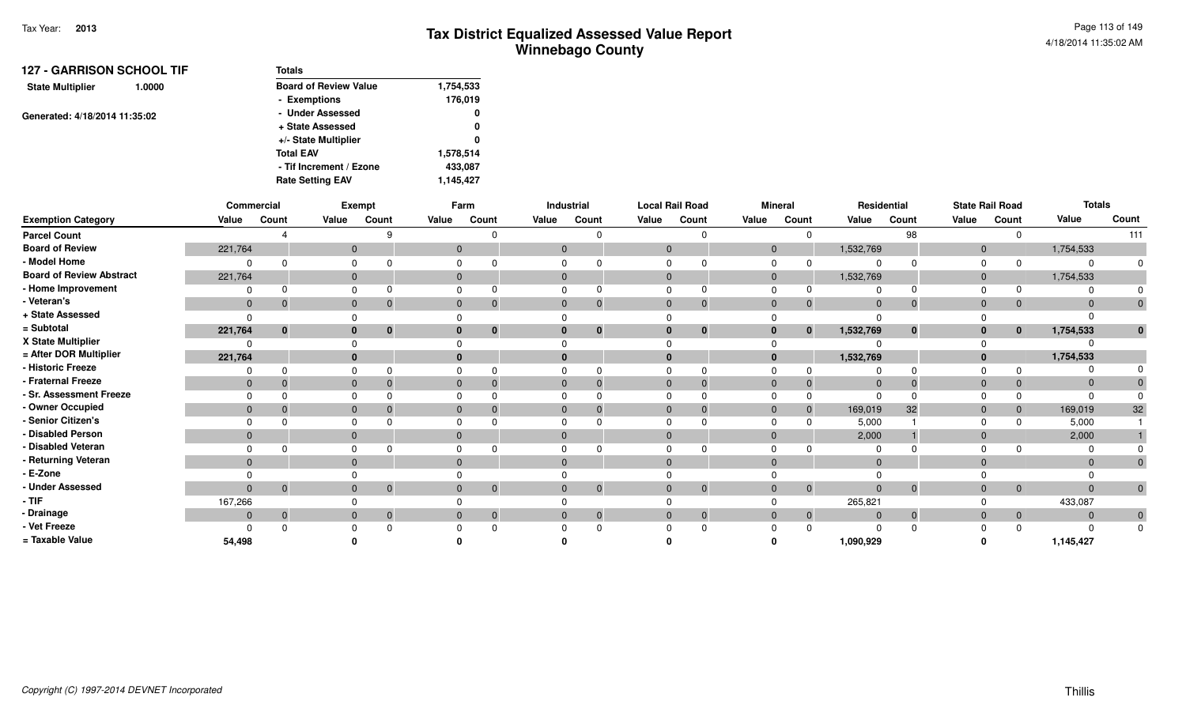| <b>Totals</b>                |           |
|------------------------------|-----------|
| <b>Board of Review Value</b> | 1,754,533 |
| - Exemptions                 | 176,019   |
| - Under Assessed             | 0         |
| + State Assessed             | 0         |
| +/- State Multiplier         | 0         |
| <b>Total EAV</b>             | 1,578,514 |
| - Tif Increment / Ezone      | 433,087   |
| <b>Rate Setting EAV</b>      | 1,145,427 |
|                              |           |

|                                 |              | Commercial     |              | Exempt   |             | Farm                     |                | Industrial     | <b>Local Rail Road</b> |                |              | <b>Mineral</b> |              | Residential  |              | <b>State Rail Road</b> | <b>Totals</b> |                |
|---------------------------------|--------------|----------------|--------------|----------|-------------|--------------------------|----------------|----------------|------------------------|----------------|--------------|----------------|--------------|--------------|--------------|------------------------|---------------|----------------|
| <b>Exemption Category</b>       | Value        | Count          | Value        | Count    | Value       | Count                    | Value          | Count          | Value                  | Count          | Value        | Count          | Value        | Count        | Value        | Count                  | Value         | Count          |
| <b>Parcel Count</b>             |              |                |              |          |             |                          |                |                |                        |                |              |                |              | 98           |              |                        |               | 111            |
| <b>Board of Review</b>          | 221,764      |                | $\mathbf 0$  |          | $\mathbf 0$ |                          | $\mathbf{0}$   |                | $\mathbf{0}$           |                | $\mathbf{0}$ |                | 1,532,769    |              | $\mathbf{0}$ |                        | 1,754,533     |                |
| - Model Home                    |              |                |              |          |             |                          |                |                |                        |                |              |                |              |              |              |                        |               |                |
| <b>Board of Review Abstract</b> | 221,764      |                | $\mathbf{0}$ |          |             |                          |                |                | $\mathbf{0}$           |                | $\mathbf{0}$ |                | 1,532,769    |              | $\mathbf{0}$ |                        | 1,754,533     |                |
| - Home Improvement              |              |                |              |          |             | ∩                        |                |                |                        |                |              |                |              |              |              |                        |               |                |
| - Veteran's                     | $\mathbf{0}$ | $\mathbf{0}$   | $\mathbf 0$  |          |             | $\Omega$<br>$\mathbf{0}$ | $\overline{0}$ | $\mathbf{0}$   | $\overline{0}$         | 0              | $\Omega$     | $\overline{0}$ | $\mathbf{0}$ | $\mathbf{0}$ | $\Omega$     | $\overline{0}$         | $\Omega$      | $\mathbf{0}$   |
| + State Assessed                | $\Omega$     |                |              |          |             |                          |                |                |                        |                |              |                |              |              |              |                        |               |                |
| = Subtotal                      | 221,764      | $\mathbf 0$    | $\bf{0}$     | $\bf{0}$ |             | $\bf{0}$                 |                | $\mathbf 0$    | 0                      | $\bf{0}$       |              | $\bf{0}$       | 1,532,769    | $\bf{0}$     | 0            | $\mathbf{0}$           | 1,754,533     | $\bf{0}$       |
| X State Multiplier              |              |                |              |          |             |                          |                |                |                        |                |              |                |              |              |              |                        |               |                |
| = After DOR Multiplier          | 221,764      |                | $\bf{0}$     |          |             |                          |                |                |                        |                |              |                | 1,532,769    |              |              |                        | 1,754,533     |                |
| - Historic Freeze               |              |                |              |          |             |                          |                |                |                        |                |              |                |              |              |              |                        |               |                |
| - Fraternal Freeze              | $\mathbf{0}$ |                | $\Omega$     |          |             |                          |                |                | $\Omega$               |                |              |                | $\Omega$     |              | $\Omega$     | $\mathbf{0}$           |               |                |
| - Sr. Assessment Freeze         |              |                |              |          |             |                          |                |                |                        |                |              |                |              |              |              |                        |               |                |
| - Owner Occupied                | $\Omega$     | 0              | $\Omega$     |          |             |                          |                | $\Omega$       | $\Omega$               |                |              | 0              | 169,019      | 32           | $\Omega$     | $\overline{0}$         | 169,019       | 32             |
| - Senior Citizen's              |              |                |              |          |             |                          |                |                |                        |                |              |                | 5,000        |              |              |                        | 5,000         |                |
| Disabled Person                 | $\Omega$     |                | $\mathbf{0}$ |          |             |                          |                |                | $\Omega$               |                | $\Omega$     |                | 2,000        |              |              |                        | 2,000         |                |
| Disabled Veteran                | $\Omega$     |                |              |          |             |                          |                |                |                        |                |              |                |              |              |              |                        |               |                |
| Returning Veteran               | $\Omega$     |                | $\Omega$     |          |             |                          |                |                | $\Omega$               |                |              |                | $\Omega$     |              | $\Omega$     |                        | $\Omega$      | $\overline{0}$ |
| · E-Zone                        |              |                |              |          |             |                          |                |                |                        |                |              |                |              |              |              |                        |               |                |
| <b>Under Assessed</b>           | $\Omega$     | $\overline{0}$ | $\Omega$     | $\Omega$ |             | $\Omega$<br>$\Omega$     | $\Omega$       | $\overline{0}$ | $\overline{0}$         | $\overline{0}$ | $\Omega$     | $\overline{0}$ | $\Omega$     | $\mathbf 0$  | $\Omega$     | $\overline{0}$         | $\Omega$      | $\overline{0}$ |
| - TIF                           | 167,266      |                |              |          |             |                          |                |                |                        |                |              |                | 265,821      |              |              |                        | 433,087       |                |
| - Drainage                      | $\mathbf{0}$ | $\mathbf 0$    | $\Omega$     |          |             | $\Omega$                 |                | $\mathbf 0$    | $\mathbf{0}$           |                |              | $\overline{0}$ | $\Omega$     | $\mathbf 0$  | $\Omega$     | $\overline{0}$         |               | $\overline{0}$ |
| - Vet Freeze                    |              |                |              |          |             | $\Omega$                 |                | $\Omega$       |                        |                |              | $\Omega$       |              |              |              | $\Omega$               |               | $\Omega$       |
| = Taxable Value                 | 54,498       |                |              |          |             |                          |                |                |                        |                |              |                | 1,090,929    |              |              |                        | 1,145,427     |                |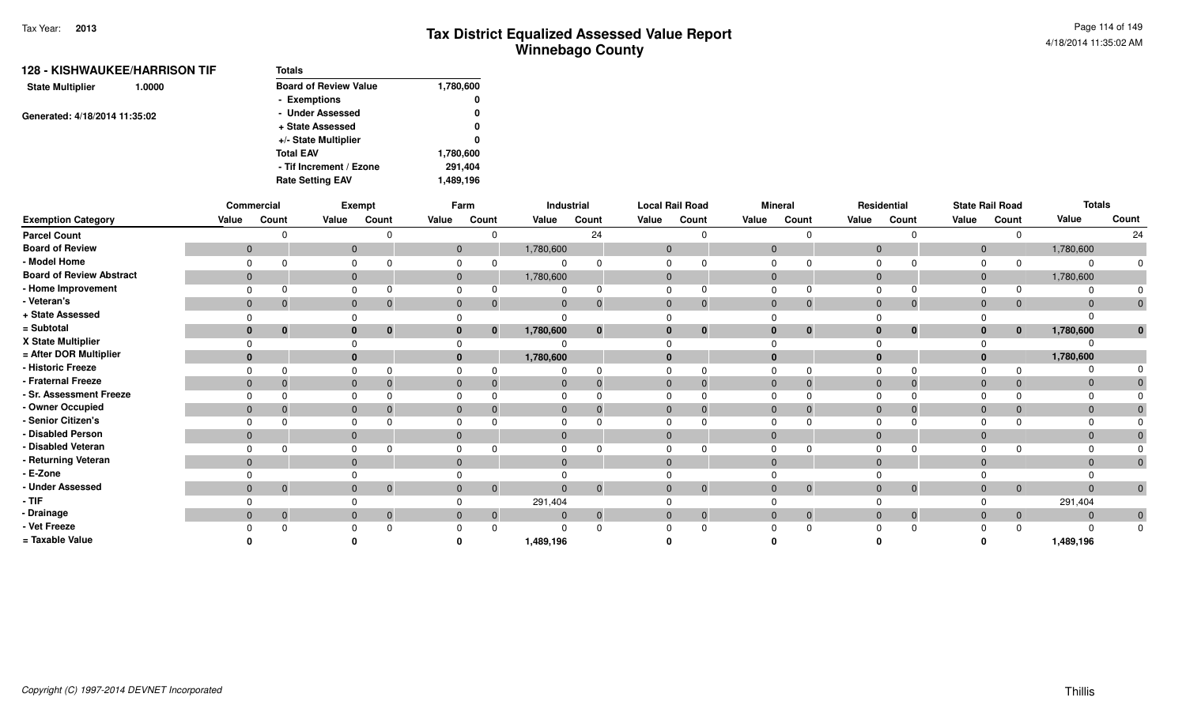| <b>128 - KISHWAUKEE/HARRISON TIF</b> | <b>Totals</b>                |           |
|--------------------------------------|------------------------------|-----------|
| <b>State Multiplier</b><br>1.0000    | <b>Board of Review Value</b> | 1,780,600 |
|                                      | - Exemptions                 | 0         |
| Generated: 4/18/2014 11:35:02        | - Under Assessed             | 0         |
|                                      | + State Assessed             | 0         |
|                                      | +/- State Multiplier         | 0         |
|                                      | <b>Total EAV</b>             | 1,780,600 |
|                                      | - Tif Increment / Ezone      | 291,404   |
|                                      | <b>Rate Setting EAV</b>      | 1,489,196 |

|                                 |              | Commercial   |              | Exempt                   |              | Farm           |              | Industrial     |                | <b>Local Rail Road</b> |                | <b>Mineral</b> |              | Residential    |              | <b>State Rail Road</b> | <b>Totals</b>  |                |
|---------------------------------|--------------|--------------|--------------|--------------------------|--------------|----------------|--------------|----------------|----------------|------------------------|----------------|----------------|--------------|----------------|--------------|------------------------|----------------|----------------|
| <b>Exemption Category</b>       | Value        | Count        | Value        | Count                    | Value        | Count          | Value        | Count          | Value          | Count                  | Value          | Count          | Value        | Count          | Value        | Count                  | Value          | Count          |
| <b>Parcel Count</b>             |              |              |              |                          |              | $\Omega$       |              | 24             |                |                        |                |                |              |                |              | $\Omega$               |                | 24             |
| <b>Board of Review</b>          | $\mathbf{0}$ |              |              | $\mathbf{0}$             | $\mathbf{0}$ |                | 1,780,600    |                | $\mathbf{0}$   |                        | $\overline{0}$ |                | $\mathbf{0}$ |                | $\mathbf 0$  |                        | 1,780,600      |                |
| - Model Home                    |              |              | $\Omega$     |                          |              |                |              |                | $\Omega$       |                        | $\Omega$       |                | $\Omega$     |                | $\Omega$     |                        | $\Omega$       |                |
| <b>Board of Review Abstract</b> | $\mathbf{0}$ |              | $\mathbf{0}$ |                          | $\mathbf{0}$ |                | 1,780,600    |                | $\overline{0}$ |                        | $\Omega$       |                | $\mathbf 0$  |                | 0            |                        | 1,780,600      |                |
| - Home Improvement              |              |              | $\Omega$     |                          |              |                |              | ∩              | $\Omega$       |                        | $\Omega$       |                | $\Omega$     |                | $\Omega$     | $\Omega$               | $\Omega$       |                |
| - Veteran's                     | $\mathbf{0}$ | $\mathbf 0$  |              | $\mathbf{0}$             | $\mathbf{0}$ | $\mathbf{0}$   | $\mathbf{0}$ | $\overline{0}$ | $\mathbf{0}$   | $\Omega$               | $\overline{0}$ | $\mathbf{0}$   | $\mathbf 0$  | 0              | $\mathbf 0$  | $\overline{0}$         | $\mathbf{0}$   | $\overline{0}$ |
| + State Assessed                |              |              | $\Omega$     |                          |              |                |              |                |                |                        |                |                |              |                |              |                        | $\Omega$       |                |
| = Subtotal                      | 0            | $\bf{0}$     | $\mathbf{0}$ | $\bf{0}$                 |              | $\bf{0}$       | 1,780,600    | $\mathbf{0}$   | $\mathbf{0}$   | $\bf{0}$               | $\mathbf{0}$   | $\bf{0}$       | $\mathbf{0}$ | $\mathbf{0}$   | $\bf{0}$     | $\mathbf{0}$           | 1,780,600      | $\mathbf{0}$   |
| X State Multiplier              |              |              |              |                          |              |                |              |                |                |                        |                |                |              |                |              |                        |                |                |
| = After DOR Multiplier          |              |              | $\bf{0}$     |                          |              |                | 1,780,600    |                | $\bf{0}$       |                        |                |                | $\bf{0}$     |                |              |                        | 1,780,600      |                |
| - Historic Freeze               |              |              |              |                          |              |                |              | $\Omega$       |                |                        |                |                |              |                |              |                        | $\Omega$       |                |
| - Fraternal Freeze              | $\mathbf{0}$ |              |              | $\mathbf{0}$             | $\mathbf{0}$ |                |              | $\Omega$       | $\mathbf{0}$   |                        | $\Omega$       |                | $\Omega$     |                | 0            | $\mathbf{0}$           | $\Omega$       |                |
| - Sr. Assessment Freeze         |              |              |              |                          |              |                |              |                | <sup>n</sup>   |                        |                |                | $\Omega$     |                |              |                        | $\Omega$       |                |
| - Owner Occupied                | $\mathbf 0$  |              | $\Omega$     |                          | 0            | $\Omega$       |              | 0              | $\mathbf{0}$   |                        | $\Omega$       |                | $\mathbf{0}$ |                | $\Omega$     | $\overline{0}$         | $\mathbf{0}$   |                |
| - Senior Citizen's              |              |              |              |                          |              |                |              |                |                |                        |                |                | $\Omega$     |                |              |                        | $\Omega$       |                |
| - Disabled Person               | $\mathbf{0}$ |              |              | $\mathbf{0}$             | $\Omega$     |                | $\Omega$     |                | $\Omega$       |                        | $\Omega$       |                | $\Omega$     |                | $\Omega$     |                        | $\Omega$       |                |
| - Disabled Veteran              |              |              | $\Omega$     |                          |              |                |              |                | 0              |                        | $\Omega$       |                | $\Omega$     |                |              |                        | $\Omega$       |                |
| - Returning Veteran             | $\Omega$     |              | $\Omega$     |                          | $\Omega$     |                | $\Omega$     |                | $\mathbf{0}$   |                        | $\Omega$       |                | $\Omega$     |                |              |                        | $\Omega$       |                |
| - E-Zone                        |              |              |              |                          |              |                |              |                |                |                        |                |                |              |                |              |                        |                |                |
| - Under Assessed                | $\mathbf{0}$ | $\mathbf{0}$ |              | $\mathbf{0}$<br>$\Omega$ | $\mathbf{0}$ | $\mathbf{0}$   |              | $\overline{0}$ | $\mathbf{0}$   | $\Omega$               | $\Omega$       | $\overline{0}$ | $\mathbf{0}$ | $\overline{0}$ | $\mathbf{0}$ | $\overline{0}$         | $\mathbf{0}$   | $\overline{0}$ |
| $-$ TIF                         |              |              | 0            |                          |              |                | 291,404      |                |                |                        |                |                |              |                |              |                        | 291,404        |                |
| - Drainage                      | $\mathbf{0}$ | $\mathbf{0}$ |              | $\mathbf{0}$<br>$\Omega$ | $\mathbf{0}$ | $\overline{0}$ |              | $\overline{0}$ | $\mathbf{0}$   | $\Omega$               | $\overline{0}$ | $\mathbf{0}$   | $\Omega$     | $\Omega$       | $\Omega$     | $\overline{0}$         | $\overline{0}$ | $\mathbf{0}$   |
| - Vet Freeze                    |              |              |              |                          |              |                |              |                |                |                        |                |                |              |                |              |                        | $\Omega$       | $\mathbf{0}$   |
| = Taxable Value                 |              |              |              |                          |              |                | 1,489,196    |                |                |                        |                |                |              |                |              |                        | 1,489,196      |                |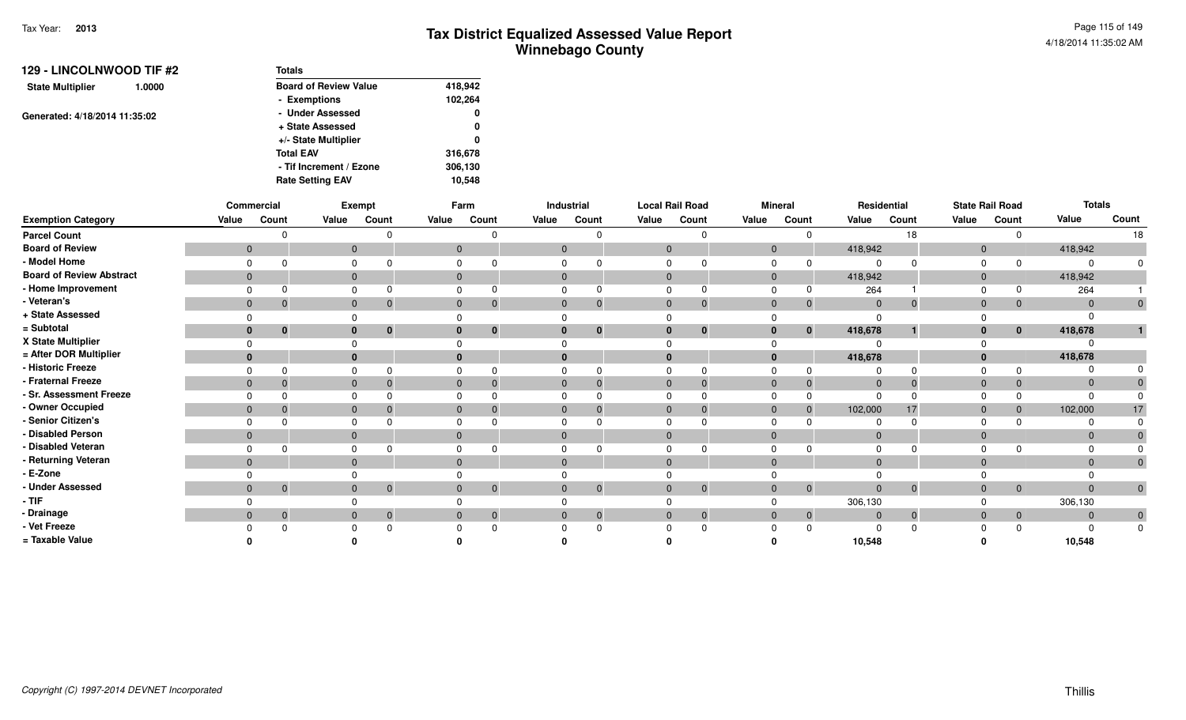| 129 - LINCOLNWOOD TIF #2<br><b>State Multiplier</b><br>1.0000<br>Generated: 4/18/2014 11:35:02 | <b>Totals</b>                |         |
|------------------------------------------------------------------------------------------------|------------------------------|---------|
|                                                                                                | <b>Board of Review Value</b> | 418,942 |
|                                                                                                | - Exemptions                 | 102,264 |
|                                                                                                | - Under Assessed             | 0       |
|                                                                                                | + State Assessed             | 0       |
|                                                                                                | +/- State Multiplier         | 0       |
|                                                                                                | <b>Total EAV</b>             | 316,678 |
|                                                                                                | - Tif Increment / Ezone      | 306,130 |
|                                                                                                | <b>Rate Setting EAV</b>      | 10.548  |

|                                 |                | Commercial   |              | Exempt                         |          | Farm                           |                | Industrial                   | <b>Local Rail Road</b> |                |              | <b>Mineral</b> |                | Residential    |                | <b>State Rail Road</b> | <b>Totals</b> |                |
|---------------------------------|----------------|--------------|--------------|--------------------------------|----------|--------------------------------|----------------|------------------------------|------------------------|----------------|--------------|----------------|----------------|----------------|----------------|------------------------|---------------|----------------|
| <b>Exemption Category</b>       | Value          | Count        | Value        | Count                          | Value    | Count                          | Value          | Count                        | Value                  | Count          | Value        | Count          | Value          | Count          | Value          | Count                  | Value         | Count          |
| <b>Parcel Count</b>             |                |              |              |                                |          |                                |                |                              |                        | $\Omega$       |              |                |                | 18             |                |                        |               | 18             |
| <b>Board of Review</b>          | $\mathbf{0}$   |              |              | $\mathbf{0}$                   |          | $\mathbf 0$                    | $\overline{0}$ |                              | $\mathbf{0}$           |                | $\mathbf{0}$ |                | 418,942        |                | $\mathbf{0}$   |                        | 418,942       |                |
| - Model Home                    |                |              |              |                                | $\Omega$ |                                |                |                              |                        |                |              |                |                |                |                |                        |               |                |
| <b>Board of Review Abstract</b> | $\mathbf{0}$   |              |              | $\mathbf{0}$                   |          | $\mathbf{0}$                   |                |                              |                        |                | $\mathbf{0}$ |                | 418,942        |                | $\mathbf{0}$   |                        | 418,942       |                |
| - Home Improvement              |                |              |              |                                |          |                                |                |                              |                        |                |              |                | 264            |                |                |                        | 264           |                |
| - Veteran's                     | $\mathbf{0}$   |              |              | $\mathbf 0$<br>$\Omega$        |          | $\overline{0}$                 |                | $\Omega$<br>0                | $\Omega$               | $\mathbf{0}$   | $\Omega$     | $\overline{0}$ | $\overline{0}$ | $\overline{0}$ | $\overline{0}$ | $\overline{0}$         | $\Omega$      | $\mathbf{0}$   |
| + State Assessed                |                |              |              |                                |          |                                |                |                              |                        |                |              |                | $\Omega$       |                |                |                        |               |                |
| = Subtotal                      | 0              | $\bf{0}$     |              | $\bf{0}$<br>$\mathbf{0}$       |          | 0<br>$\bf{0}$                  |                | $\mathbf{0}$                 | $\bf{0}$               | $\mathbf 0$    |              | $\mathbf{0}$   | 418,678        |                | $\bf{0}$       | $\mathbf{0}$           | 418,678       |                |
| X State Multiplier              |                |              |              |                                |          |                                |                |                              |                        |                |              |                |                |                |                |                        |               |                |
| = After DOR Multiplier          | 0              |              |              | $\mathbf{0}$                   |          | $\bf{0}$                       |                |                              |                        |                |              |                | 418,678        |                | $\bf{0}$       |                        | 418,678       |                |
| - Historic Freeze               |                |              |              |                                |          |                                |                |                              |                        |                |              |                |                |                |                |                        |               |                |
| - Fraternal Freeze              | $\mathbf{0}$   |              | $\mathbf{0}$ |                                |          | $\mathbf{0}$                   |                |                              |                        |                |              |                | $\mathbf 0$    |                | $\overline{0}$ | $\overline{0}$         |               |                |
| - Sr. Assessment Freeze         |                |              |              |                                |          |                                |                |                              |                        |                |              |                | $\Omega$       |                |                |                        |               |                |
| - Owner Occupied                | $\mathbf{0}$   |              | $\Omega$     |                                |          | $\mathbf{0}$                   |                |                              | $\mathbf{0}$           | $\Omega$       |              |                | 102,000        | 17             | $\overline{0}$ | $\mathbf{0}$           | 102,000       |                |
| - Senior Citizen's              |                |              |              |                                |          |                                |                |                              |                        |                |              |                |                |                |                |                        |               |                |
| - Disabled Person               | $\mathbf{0}$   |              |              | $\mathbf{0}$                   |          | $\Omega$                       |                |                              |                        |                |              |                | $\Omega$       |                | $\Omega$       |                        |               |                |
| - Disabled Veteran              |                |              |              |                                |          |                                |                |                              |                        |                |              |                |                |                |                |                        |               |                |
| - Returning Veteran             | $\Omega$       |              |              | $\mathbf{0}$                   |          | $\Omega$                       |                |                              | $\Omega$               |                | $\Omega$     |                | $\Omega$       |                | $\Omega$       |                        | 0             | $\mathbf{0}$   |
| - E-Zone                        |                |              |              |                                |          |                                |                |                              |                        |                |              |                |                |                |                |                        |               |                |
| - Under Assessed                | $\overline{0}$ | $\mathbf{0}$ |              | $\mathbf{0}$<br>$\overline{0}$ |          | $\mathbf{0}$<br>$\overline{0}$ |                | $\mathbf{0}$<br>$\mathbf{0}$ | $\mathbf{0}$           | $\mathbf{0}$   | $\Omega$     | $\overline{0}$ | $\Omega$       | $\overline{0}$ | $\mathbf{0}$   | $\overline{0}$         | $\mathbf{0}$  | $\overline{0}$ |
| - TIF                           |                |              |              |                                |          |                                |                |                              |                        |                |              |                | 306,130        |                |                |                        | 306,130       |                |
| - Drainage                      | $\mathbf{0}$   | $\mathbf 0$  |              | $\mathbf{0}$<br>$\overline{0}$ |          | $\overline{0}$<br>$\mathbf 0$  |                | $\mathbf 0$                  | $\mathbf{0}$           | $\overline{0}$ | 0            | $\overline{0}$ | $\Omega$       | $\overline{0}$ | $\mathbf{0}$   | $\overline{0}$         |               | $\overline{0}$ |
| - Vet Freeze                    |                |              |              |                                |          |                                |                |                              |                        | $\Omega$       |              |                |                |                |                |                        |               | $\mathbf 0$    |
| = Taxable Value                 |                |              |              |                                |          |                                |                |                              |                        |                |              |                | 10,548         |                |                |                        | 10,548        |                |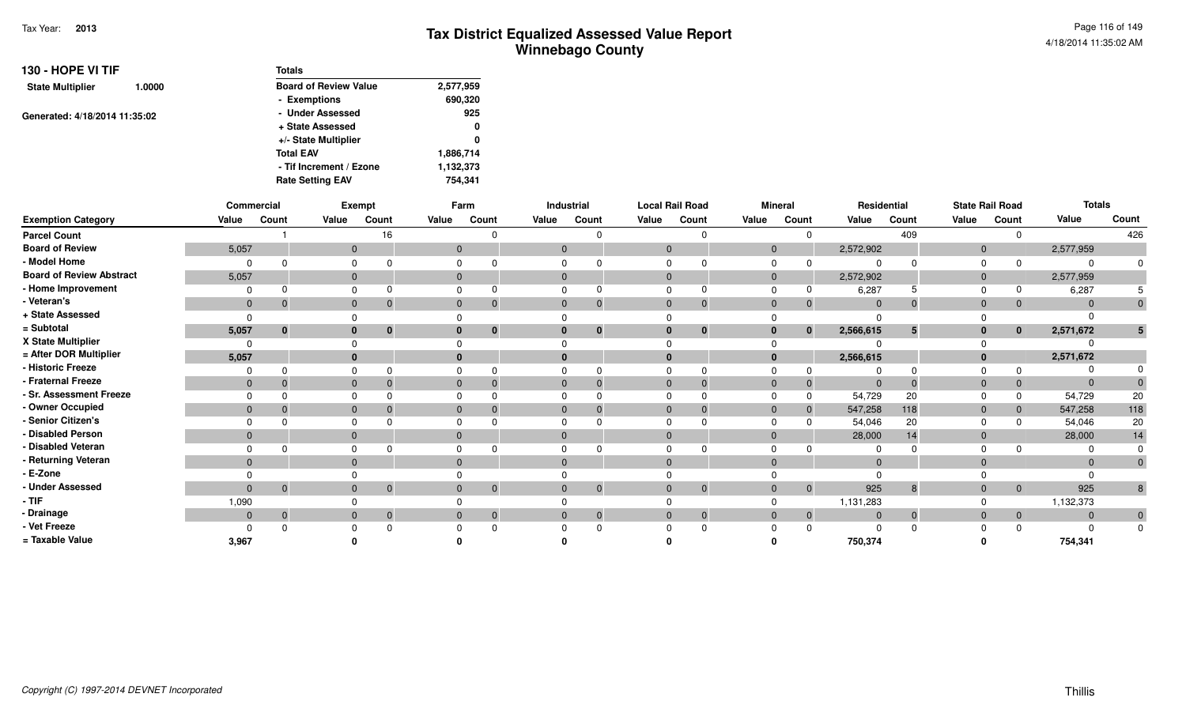| 130 - HOPE VI TIF             |        | <b>Totals</b>                |           |
|-------------------------------|--------|------------------------------|-----------|
| <b>State Multiplier</b>       | 1.0000 | <b>Board of Review Value</b> | 2,577,959 |
|                               |        | - Exemptions                 | 690,320   |
| Generated: 4/18/2014 11:35:02 |        | - Under Assessed             | 925       |
|                               |        | + State Assessed             | 0         |
|                               |        | +/- State Multiplier         | 0         |
|                               |        | <b>Total EAV</b>             | 1,886,714 |
|                               |        | - Tif Increment / Ezone      | 1,132,373 |
|                               |        | <b>Rate Setting EAV</b>      | 754.341   |

|                                 | Commercial   |              |       | Exempt                   |       | Farm                         |              | Industrial     |                | <b>Local Rail Road</b> |                | <b>Mineral</b> | Residential  |              |                | <b>State Rail Road</b> | <b>Totals</b>  |                |
|---------------------------------|--------------|--------------|-------|--------------------------|-------|------------------------------|--------------|----------------|----------------|------------------------|----------------|----------------|--------------|--------------|----------------|------------------------|----------------|----------------|
| <b>Exemption Category</b>       | Value        | Count        | Value | Count                    | Value | Count                        | Value        | Count          | Value          | Count                  | Value          | Count          | Value        | Count        | Value          | Count                  | Value          | Count          |
| <b>Parcel Count</b>             |              |              |       | 16                       |       | <sup>n</sup>                 |              |                |                |                        |                |                |              | 409          |                |                        |                | 426            |
| <b>Board of Review</b>          | 5,057        |              |       | $\mathbf{0}$             |       | $\mathbf{0}$                 | $\mathbf{0}$ |                | $\mathbf{0}$   |                        | $\overline{0}$ |                | 2,572,902    |              | $\mathbf 0$    |                        | 2,577,959      |                |
| - Model Home                    |              |              |       | $\Omega$                 |       |                              |              |                |                |                        | $\Omega$       |                | $\Omega$     |              | $\Omega$       |                        | $\Omega$       |                |
| <b>Board of Review Abstract</b> | 5,057        |              |       | $\mathbf{0}$             |       | $\mathbf{0}$                 | $\Omega$     |                | $\mathbf{0}$   |                        | $\mathbf{0}$   |                | 2,572,902    |              | $\mathbf 0$    |                        | 2,577,959      |                |
| - Home Improvement              |              |              |       | $\Omega$                 |       |                              |              |                | $\Omega$       |                        | $\Omega$       |                | 6,287        |              | $\Omega$       |                        | 6,287          |                |
| - Veteran's                     | $\mathbf 0$  | $\Omega$     |       | $\mathbf{0}$             |       | $\mathbf{0}$<br>$\Omega$     | $\Omega$     | $\overline{0}$ | $\mathbf{0}$   | $\Omega$               | $\overline{0}$ | $\Omega$       | $\mathbf{0}$ | 0            | $\mathbf 0$    | $\overline{0}$         | $\overline{0}$ |                |
| + State Assessed                |              |              |       |                          |       |                              |              |                |                |                        |                |                | $\Omega$     |              |                |                        |                |                |
| = Subtotal                      | 5,057        | $\bf{0}$     |       | $\bf{0}$<br>$\bf{0}$     |       | $\mathbf{0}$                 |              | $\bf{0}$       | $\bf{0}$       | $\bf{0}$               | $\mathbf{0}$   | $\bf{0}$       | 2,566,615    | 5.           | $\bf{0}$       | $\mathbf{0}$           | 2,571,672      | $5^{\circ}$    |
| X State Multiplier              |              |              |       |                          |       |                              |              |                |                |                        |                |                |              |              |                |                        |                |                |
| = After DOR Multiplier          | 5,057        |              |       | $\bf{0}$                 |       |                              |              |                | $\Omega$       |                        |                |                | 2,566,615    |              |                |                        | 2,571,672      |                |
| - Historic Freeze               |              |              |       |                          |       |                              |              |                |                |                        |                |                |              |              |                |                        | $\Omega$       |                |
| - Fraternal Freeze              | $\mathbf 0$  |              |       | $\Omega$                 |       |                              |              | $\Omega$       | $\overline{0}$ |                        | $\Omega$       |                | $\Omega$     |              | 0              | $\overline{0}$         | $\Omega$       |                |
| - Sr. Assessment Freeze         |              |              |       |                          |       |                              |              |                |                |                        |                |                | 54,729       | 20           |                | $\Omega$               | 54,729         | 20             |
| - Owner Occupied                | $\Omega$     |              |       | $\Omega$                 |       | $\Omega$                     |              | 0              | $\overline{0}$ |                        | $\Omega$       |                | 547,258      | 118          | $\Omega$       | $\overline{0}$         | 547,258        | 118            |
| - Senior Citizen's              |              |              |       |                          |       |                              |              |                |                |                        |                |                | 54,046       | 20           |                |                        | 54,046         | 20             |
| - Disabled Person               | $\mathbf{0}$ |              |       | $\mathbf{0}$             |       |                              |              |                | $\Omega$       |                        | $\Omega$       |                | 28,000       | 14           | $\overline{0}$ |                        | 28,000         | 14             |
| - Disabled Veteran              |              |              |       | $\Omega$                 |       |                              |              |                |                |                        | $\Omega$       |                | $\Omega$     |              |                |                        |                |                |
| - Returning Veteran             | $\Omega$     |              |       | $\Omega$                 |       |                              |              |                | $\Omega$       |                        | $\Omega$       |                | $\Omega$     |              |                |                        | $\overline{0}$ | $\overline{0}$ |
| - E-Zone                        |              |              |       |                          |       |                              |              |                |                |                        |                |                | $\Omega$     |              |                |                        |                |                |
| - Under Assessed                | $\Omega$     | $\mathbf{0}$ |       | $\mathbf{0}$<br>$\Omega$ |       | $\mathbf{0}$<br>$\mathbf 0$  |              | $\overline{0}$ | $\mathbf{0}$   | $\Omega$               | $\Omega$       | $\overline{0}$ | 925          | 8            | $\mathbf{0}$   | $\overline{0}$         | 925            | 8 <sup>8</sup> |
| $-$ TIF                         | 1,090        |              |       |                          |       |                              |              |                |                |                        |                |                | 1,131,283    |              |                |                        | 1,132,373      |                |
| - Drainage                      | $\mathbf{0}$ | $\mathbf{0}$ |       | $\mathbf{0}$             |       | $\mathbf{0}$<br>$\mathbf{0}$ |              | $\overline{0}$ | $\mathbf{0}$   | $\Omega$               | $\Omega$       | $\mathbf{0}$   | $\Omega$     | $\mathbf{0}$ | $\overline{0}$ | $\overline{0}$         | $\overline{0}$ | $\mathbf{0}$   |
| - Vet Freeze                    |              |              |       |                          |       |                              |              |                |                |                        |                |                | $\Omega$     |              |                | $\Omega$               | $\Omega$       | $\mathbf 0$    |
| = Taxable Value                 | 3,967        |              |       |                          |       |                              |              |                |                |                        |                |                | 750,374      |              |                |                        | 754,341        |                |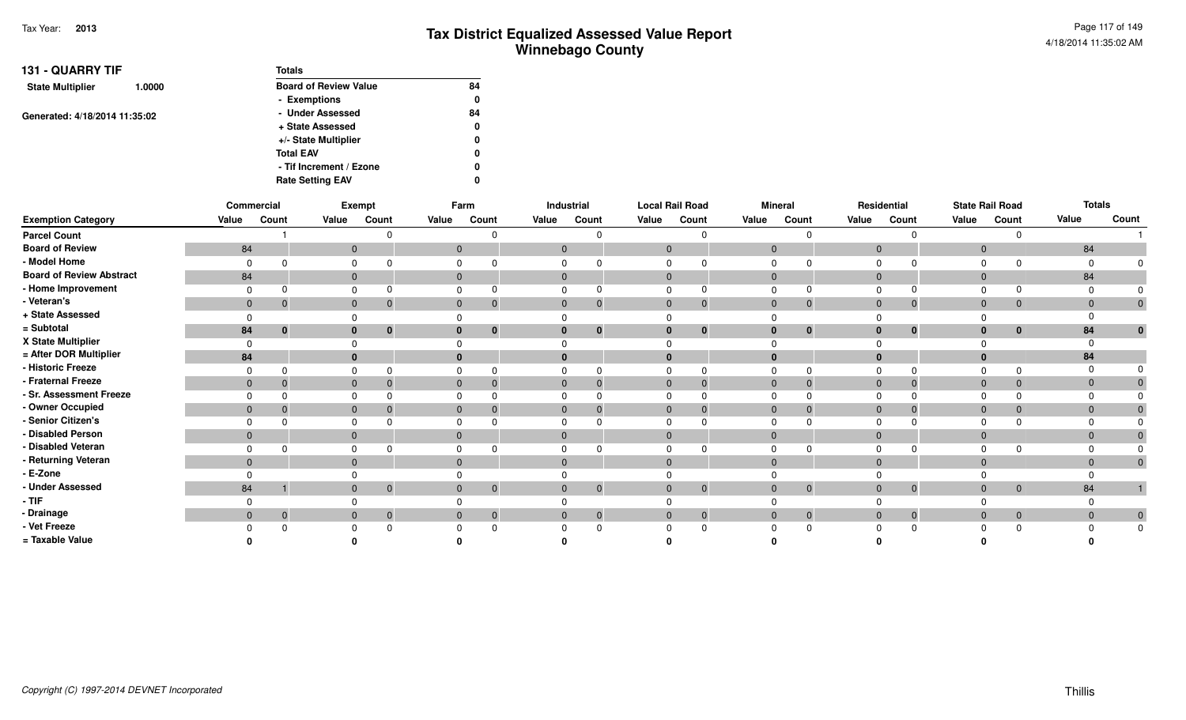| <b>131 - QUARRY TIF</b>           | <b>Totals</b>                |    |
|-----------------------------------|------------------------------|----|
| <b>State Multiplier</b><br>1.0000 | <b>Board of Review Value</b> | 84 |
|                                   | - Exemptions                 | 0  |
|                                   | - Under Assessed             | 84 |
| Generated: 4/18/2014 11:35:02     | + State Assessed             | 0  |
|                                   | +/- State Multiplier         | 0  |
|                                   | <b>Total EAV</b>             | 0  |
|                                   | - Tif Increment / Ezone      | 0  |
|                                   | <b>Rate Setting EAV</b>      | 0  |

|                                 |                | Commercial     |                | Exempt       |              | Farm             |              | Industrial     |              | <b>Local Rail Road</b> |              | <b>Mineral</b> |       | Residential                      |              | <b>State Rail Road</b> |       | <b>Totals</b>  |
|---------------------------------|----------------|----------------|----------------|--------------|--------------|------------------|--------------|----------------|--------------|------------------------|--------------|----------------|-------|----------------------------------|--------------|------------------------|-------|----------------|
| <b>Exemption Category</b>       | Value          | Count          | Value          | Count        | Value        | Count            | Value        | Count          | Value        | Count                  | Value        | Count          | Value | Count                            | Value        | Count                  | Value | Count          |
| <b>Parcel Count</b>             |                |                |                |              |              |                  |              |                |              |                        |              |                |       |                                  |              |                        |       |                |
| <b>Board of Review</b>          | 84             |                | $\mathbf 0$    |              | $\mathbf 0$  |                  | $\mathbf{0}$ |                | $\mathbf{0}$ |                        | $\mathbf 0$  |                |       | $\overline{0}$                   | $\mathbf{0}$ |                        | 84    |                |
| - Model Home                    |                |                | 0              |              |              |                  |              |                |              |                        |              |                |       |                                  |              |                        |       |                |
| <b>Board of Review Abstract</b> | 84             |                | $\mathbf{0}$   |              | $\mathbf 0$  |                  | $\mathbf{0}$ |                | $\Omega$     |                        |              |                |       | $\Omega$                         | $\Omega$     |                        | 84    |                |
| - Home Improvement              |                | $\Omega$       | 0              |              |              |                  |              |                |              |                        |              |                |       |                                  |              |                        |       |                |
| - Veteran's                     | $\mathbf 0$    | $\overline{0}$ | $\mathbf{0}$   |              | $\mathbf{0}$ | $\boldsymbol{0}$ | $\mathbf{0}$ | $\mathbf 0$    | $\mathbf{0}$ | $\Omega$               | $\mathbf{0}$ | $\mathbf 0$    |       | $\mathbf{0}$                     | $\mathbf{0}$ | $\overline{0}$         |       |                |
| + State Assessed                |                |                |                |              |              |                  |              |                |              |                        |              |                |       |                                  |              |                        |       |                |
| = Subtotal                      | 84             | $\bf{0}$       | $\bf{0}$       | 0            | $\bf{0}$     | $\bf{0}$         | $\bf{0}$     | $\bf{0}$       |              | $\bf{0}$               |              | $\bf{0}$       |       | 0<br>$\bf{0}$                    |              | $\bf{0}$               | 84    |                |
| X State Multiplier              |                |                |                |              |              |                  |              |                |              |                        |              |                |       |                                  |              |                        |       |                |
| = After DOR Multiplier          | 84             |                | $\mathbf{0}$   |              | $\Omega$     |                  | $\bf{0}$     |                |              |                        |              |                |       | $\Omega$                         |              |                        | 84    |                |
| - Historic Freeze               |                |                | $\Omega$       |              |              |                  |              |                |              |                        |              |                |       |                                  |              |                        |       |                |
| - Fraternal Freeze              | $\mathbf{0}$   | $\Omega$       | $\mathbf{0}$   |              | $\mathbf 0$  |                  | $\mathbf{0}$ |                | $\mathbf{0}$ |                        |              | $\Omega$       |       | $\mathbf{0}$                     |              | $\overline{0}$         |       |                |
| - Sr. Assessment Freeze         |                |                | $\Omega$       |              |              |                  |              |                |              |                        |              |                |       |                                  |              |                        |       |                |
| - Owner Occupied                | $\mathbf 0$    | $\mathbf{0}$   | $\overline{0}$ |              | $\mathbf{0}$ |                  | $\mathbf{0}$ |                | $\Omega$     |                        |              | $\mathbf 0$    |       | $\mathbf{0}$                     |              | $\mathbf{0}$           |       |                |
| - Senior Citizen's              |                |                | $\Omega$       |              |              |                  |              |                |              |                        |              |                |       |                                  |              |                        |       |                |
| - Disabled Person               | $\mathbf{0}$   |                | $\overline{0}$ |              | $\mathbf{0}$ |                  | $\mathbf{0}$ |                |              |                        |              |                |       | $\Omega$                         | $\Omega$     |                        |       |                |
| - Disabled Veteran              |                |                |                |              |              |                  |              |                |              |                        |              |                |       |                                  |              |                        |       |                |
| - Returning Veteran             | $\overline{0}$ |                | $\mathbf{0}$   |              | $\Omega$     |                  | $\mathbf{0}$ |                |              |                        |              |                |       | $\Omega$                         | $\Omega$     |                        |       |                |
| - E-Zone                        |                |                |                |              |              |                  |              |                |              |                        |              |                |       |                                  |              |                        |       |                |
| - Under Assessed                | 84             |                | $\overline{0}$ | $\mathbf{0}$ | $\mathbf 0$  | $\mathbf{0}$     | $\mathbf{0}$ | $\overline{0}$ | $\mathbf{0}$ | $\overline{0}$         | $\mathbf{0}$ | $\overline{0}$ |       | $\mathbf{0}$<br>$\overline{0}$   | $\Omega$     | $\overline{0}$         | 84    |                |
| $-$ TIF                         |                |                | $\Omega$       |              |              |                  | <sup>n</sup> |                |              |                        |              |                |       |                                  |              |                        |       |                |
| - Drainage                      | $\overline{0}$ | $\overline{0}$ | $\overline{0}$ | 0            | $\mathbf{0}$ | $\mathbf{0}$     | $\mathbf{0}$ | $\mathbf{0}$   | $\Omega$     | $\Omega$               |              | $\mathbf 0$    |       | $\overline{0}$<br>$\overline{0}$ |              | $\overline{0}$         |       | $\overline{0}$ |
| - Vet Freeze                    |                | $\Omega$       |                |              |              |                  |              |                |              |                        |              |                |       |                                  |              |                        |       | $\mathbf{0}$   |
| = Taxable Value                 |                |                |                |              |              |                  |              |                |              |                        |              |                |       |                                  |              |                        |       |                |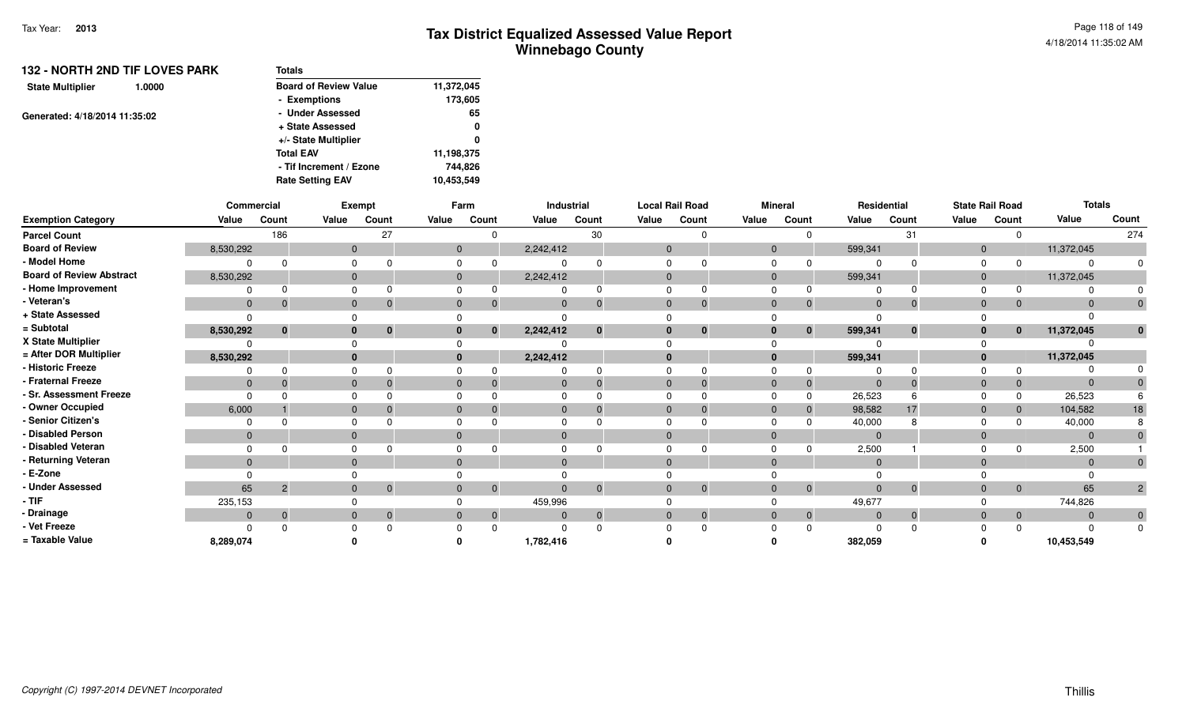| <b>132 - NORTH 2ND TIF LOVES PARK</b> | Totals                       |            |
|---------------------------------------|------------------------------|------------|
| <b>State Multiplier</b><br>1.0000     | <b>Board of Review Value</b> | 11,372,045 |
|                                       | - Exemptions                 | 173,605    |
| Generated: 4/18/2014 11:35:02         | - Under Assessed             | 65         |
|                                       | + State Assessed             | 0          |
|                                       | +/- State Multiplier         | 0          |
|                                       | <b>Total EAV</b>             | 11,198,375 |
|                                       | - Tif Increment / Ezone      | 744.826    |
|                                       | <b>Rate Setting EAV</b>      | 10,453,549 |

|                                 | Commercial   |                |       | Exempt                   |                | Farm         |              | Industrial     |                | <b>Local Rail Road</b> |                | <b>Mineral</b> |              | Residential  |              | <b>State Rail Road</b> | <b>Totals</b>  |                     |
|---------------------------------|--------------|----------------|-------|--------------------------|----------------|--------------|--------------|----------------|----------------|------------------------|----------------|----------------|--------------|--------------|--------------|------------------------|----------------|---------------------|
| <b>Exemption Category</b>       | Value        | Count          | Value | Count                    | Value          | Count        | Value        | Count          | Value          | Count                  | Value          | Count          | Value        | Count        | Value        | Count                  | Value          | Count               |
| <b>Parcel Count</b>             |              | 186            |       | 27                       |                |              |              | 30             |                |                        |                |                |              | 31           |              |                        |                | 274                 |
| <b>Board of Review</b>          | 8,530,292    |                |       | $\mathbf{0}$             | $\overline{0}$ |              | 2,242,412    |                | $\mathbf 0$    |                        | $\mathbf{0}$   |                | 599,341      |              | $\mathbf 0$  |                        | 11,372,045     |                     |
| - Model Home                    |              | U              |       |                          |                |              |              |                |                |                        | $\Omega$       |                | $\Omega$     |              | $\Omega$     |                        | $\Omega$       |                     |
| <b>Board of Review Abstract</b> | 8,530,292    |                |       | $\mathbf{0}$             | $\overline{0}$ |              | 2,242,412    |                | $\overline{0}$ |                        | $\mathbf{0}$   |                | 599,341      |              | $\mathbf 0$  |                        | 11,372,045     |                     |
| - Home Improvement              |              |                |       |                          |                |              |              |                |                |                        | $\Omega$       |                | $\Omega$     |              | n            |                        |                |                     |
| - Veteran's                     | $\mathbf{0}$ | $\Omega$       |       | $\Omega$<br>$\mathbf{0}$ | $\mathbf{0}$   |              | $\mathbf{0}$ | $\mathbf{0}$   | $\Omega$       | $\Omega$               | $\overline{0}$ |                | $\mathbf{0}$ |              | $\mathbf{0}$ | $\mathbf{0}$           | $\Omega$       |                     |
| + State Assessed                |              |                |       |                          |                |              |              |                |                |                        |                |                | $\Omega$     |              |              |                        |                |                     |
| = Subtotal                      | 8,530,292    | $\mathbf{0}$   |       | $\bf{0}$                 | $\mathbf{0}$   | $\mathbf{0}$ | 2,242,412    | $\mathbf{0}$   | $\bf{0}$       | $\bf{0}$               | $\mathbf{0}$   | $\mathbf{0}$   | 599,341      | $\mathbf{0}$ | $\bf{0}$     | $\mathbf{0}$           | 11,372,045     | $\bf{0}$            |
| X State Multiplier              |              |                |       |                          |                |              |              |                |                |                        |                |                |              |              |              |                        |                |                     |
| = After DOR Multiplier          | 8,530,292    |                |       |                          |                |              | 2,242,412    |                |                |                        |                |                | 599,341      |              |              |                        | 11,372,045     |                     |
| - Historic Freeze               |              | 0              |       |                          |                |              |              |                |                |                        |                |                | $\Omega$     |              |              |                        |                |                     |
| - Fraternal Freeze              | $\mathbf{0}$ |                |       |                          | $\Omega$       |              | $\Omega$     | $\Omega$       | $\Omega$       | $\Omega$               | $\Omega$       |                | $\Omega$     |              |              | $\mathbf{0}$           | $\Omega$       |                     |
| - Sr. Assessment Freeze         | $\Omega$     |                |       |                          |                |              |              |                |                |                        |                |                | 26,523       |              |              | $\Omega$               | 26,523         |                     |
| - Owner Occupied                | 6,000        |                |       |                          | $\Omega$       |              |              | 0              | $\Omega$       | $\Omega$               | $\overline{0}$ |                | 98,582       | 17           | $\Omega$     | $\mathbf{0}$           | 104,582        | 18                  |
| - Senior Citizen's              |              |                |       |                          |                |              |              |                |                |                        | $\Omega$       |                | 40,000       |              |              |                        | 40,000         |                     |
| - Disabled Person               | $\mathbf{0}$ |                |       | $\Omega$                 | $\overline{0}$ |              | $\Omega$     |                | $\Omega$       |                        | $\Omega$       |                | $\mathbf{0}$ |              |              |                        | $\overline{0}$ |                     |
| - Disabled Veteran              |              |                |       |                          |                |              |              |                |                |                        |                |                | 2,500        |              |              |                        | 2,500          |                     |
| - Returning Veteran             | $\Omega$     |                |       |                          | $\Omega$       |              | $\Omega$     |                |                |                        | $\Omega$       |                | $\Omega$     |              |              |                        | $\overline{0}$ |                     |
| - E-Zone                        |              |                |       |                          |                |              |              |                |                |                        |                |                | $\Omega$     |              |              |                        |                |                     |
| - Under Assessed                | 65           | $\overline{2}$ |       | $\overline{0}$           | $\mathbf{0}$   | $\mathbf{0}$ | $\Omega$     | $\overline{0}$ | $\mathbf 0$    | $\mathbf{0}$           | $\overline{0}$ | $\mathbf{0}$   | $\mathbf{0}$ | $\Omega$     | $\mathbf{0}$ | $\overline{0}$         | 65             | $2 \nightharpoonup$ |
| - TIF                           | 235,153      |                |       |                          |                |              | 459,996      |                |                |                        |                |                | 49,677       |              |              |                        | 744,826        |                     |
| - Drainage                      | $\mathbf{0}$ | $\mathbf 0$    |       | $\Omega$                 | $\mathbf{0}$   | $\mathbf{0}$ |              | $\overline{0}$ | $\Omega$       | $\mathbf{0}$           | $\overline{0}$ | $\mathbf{0}$   | $\Omega$     | $\Omega$     | $\Omega$     | $\overline{0}$         | $\mathbf{0}$   | $\mathbf{0}$        |
| - Vet Freeze                    |              | <sup>0</sup>   |       |                          |                |              |              |                |                | $\Omega$               |                |                | $\Omega$     |              |              | $\Omega$               | $\Omega$       | $\mathbf{0}$        |
| = Taxable Value                 | 8,289,074    |                |       |                          |                |              | 1,782,416    |                |                |                        |                |                | 382,059      |              |              |                        | 10,453,549     |                     |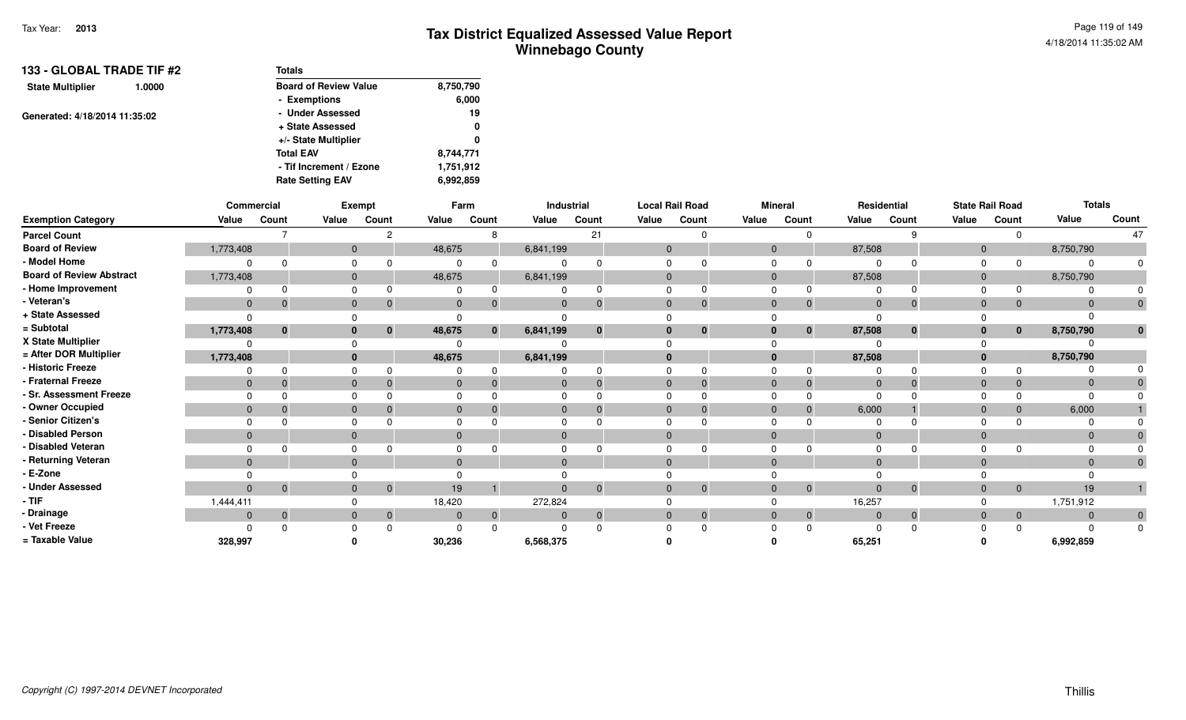| 133 - GLOBAL TRADE TIF #2         | Totals                       |           |
|-----------------------------------|------------------------------|-----------|
| <b>State Multiplier</b><br>1.0000 | <b>Board of Review Value</b> | 8,750,790 |
|                                   | - Exemptions                 | 6,000     |
| Generated: 4/18/2014 11:35:02     | - Under Assessed             | 19        |
|                                   | + State Assessed             | 0         |
|                                   | +/- State Multiplier         | 0         |
|                                   | <b>Total EAV</b>             | 8,744,771 |
|                                   | - Tif Increment / Ezone      | 1,751,912 |
|                                   | <b>Rate Setting EAV</b>      | 6,992,859 |

|                                 | Commercial     |          |              | Exempt         |              | Farm         |           | Industrial     |              | <b>Local Rail Road</b> |                | <b>Mineral</b> | Residential |              |              | <b>State Rail Road</b> | <b>Totals</b>  |              |
|---------------------------------|----------------|----------|--------------|----------------|--------------|--------------|-----------|----------------|--------------|------------------------|----------------|----------------|-------------|--------------|--------------|------------------------|----------------|--------------|
| <b>Exemption Category</b>       | Value          | Count    | Value        | Count          | Value        | Count        | Value     | Count          | Value        | Count                  | Value          | Count          | Value       | Count        | Value        | Count                  | Value          | Count        |
| <b>Parcel Count</b>             |                |          |              |                |              | 8            |           | 21             |              |                        |                |                |             |              |              |                        |                | 47           |
| <b>Board of Review</b>          | 1,773,408      |          | $\mathbf{0}$ |                | 48,675       |              | 6,841,199 |                | $\Omega$     |                        | $\overline{0}$ |                | 87,508      |              | $\mathbf 0$  |                        | 8,750,790      |              |
| - Model Home                    |                |          |              |                |              |              |           |                | $\Omega$     |                        | $\Omega$       |                | $\Omega$    |              | $\Omega$     |                        | $\Omega$       |              |
| <b>Board of Review Abstract</b> | 1,773,408      |          | $\mathbf{0}$ |                | 48,675       |              | 6,841,199 |                | $\mathbf{0}$ |                        | $\overline{0}$ |                | 87,508      |              | $\mathbf{0}$ |                        | 8,750,790      |              |
| - Home Improvement              |                |          |              |                |              |              |           |                | $\Omega$     |                        | $\Omega$       |                | $\Omega$    |              |              |                        |                |              |
| - Veteran's                     | $\mathbf{0}$   | $\Omega$ | $\mathbf{0}$ |                | $\mathbf{0}$ |              | $\Omega$  | $\overline{0}$ | $\Omega$     | $\Omega$               | $\overline{0}$ |                | $\mathbf 0$ | 0            | $\mathbf{0}$ | $\overline{0}$         | $\Omega$       |              |
| + State Assessed                |                |          |              |                |              |              |           |                |              |                        |                |                | $\Omega$    |              |              |                        |                |              |
| = Subtotal                      | 1,773,408      | $\bf{0}$ | $\bf{0}$     | $\bf{0}$       | 48,675       | $\mathbf{0}$ | 6,841,199 | $\bf{0}$       | $\bf{0}$     | $\bf{0}$               | $\Omega$       | 0              | 87,508      | $\mathbf{0}$ | 0            | $\mathbf{0}$           | 8,750,790      | $\mathbf{0}$ |
| X State Multiplier              |                |          |              |                |              |              |           |                |              |                        |                |                |             |              |              |                        |                |              |
| = After DOR Multiplier          | 1,773,408      |          | $\bf{0}$     |                | 48,675       |              | 6,841,199 |                |              |                        |                |                | 87,508      |              |              |                        | 8,750,790      |              |
| - Historic Freeze               |                | n        |              |                |              |              |           | 0              |              |                        |                |                | $\Omega$    |              |              |                        |                |              |
| - Fraternal Freeze              | $\mathbf{0}$   |          | $\Omega$     |                | $\mathbf{0}$ |              |           | $\Omega$       | $\Omega$     |                        | $\Omega$       |                | $\mathbf 0$ |              |              | $\Omega$               | $\Omega$       |              |
| - Sr. Assessment Freeze         |                |          |              |                |              |              |           |                |              |                        |                |                | $\Omega$    |              |              |                        | $\Omega$       |              |
| - Owner Occupied                |                |          | $\Omega$     |                |              |              |           | 0              | $\Omega$     |                        | $\Omega$       |                | 6,000       |              | $\Omega$     | $\mathbf{0}$           | 6,000          |              |
| - Senior Citizen's              |                |          |              |                |              |              |           |                |              |                        |                |                | $\Omega$    |              |              |                        |                |              |
| <b>Disabled Person</b>          | $\mathbf{0}$   |          | $\Omega$     |                | $\Omega$     |              | $\Omega$  |                | $\Omega$     |                        | $\Omega$       |                | $\Omega$    |              |              |                        | $\Omega$       |              |
| - Disabled Veteran              |                |          |              |                |              |              |           |                |              |                        |                |                | $\Omega$    |              |              |                        | $\Omega$       |              |
| - Returning Veteran             | $\Omega$       |          | $\Omega$     |                | $\Omega$     |              | $\Omega$  |                | $\Omega$     |                        | $\Omega$       |                | $\Omega$    |              |              |                        | $\Omega$       |              |
| - E-Zone                        |                |          |              |                |              |              |           |                |              |                        |                |                |             |              |              |                        |                |              |
| - Under Assessed                | $\mathbf{0}$   | $\Omega$ | $\Omega$     | $\Omega$       | 19           |              |           | $\overline{0}$ | $\Omega$     | $\Omega$               | $\Omega$       | $\mathbf{0}$   | $\Omega$    | $\Omega$     | $\Omega$     | $\overline{0}$         | 19             |              |
| $-$ TIF                         | 1,444,411      |          |              |                | 18,420       |              | 272,824   |                |              |                        |                |                | 16,257      |              |              |                        | 1,751,912      |              |
| - Drainage                      | $\overline{0}$ | $\Omega$ | $\mathbf{0}$ | $\overline{0}$ | $\mathbf{0}$ | $\mathbf{0}$ |           | $\overline{0}$ | $\mathbf{0}$ | $\mathbf{0}$           | $\overline{0}$ | $\mathbf{0}$   | $\mathbf 0$ | $\Omega$     | $\mathbf{0}$ | $\overline{0}$         | $\overline{0}$ | $\mathbf{0}$ |
| - Vet Freeze                    |                |          |              |                |              |              |           |                |              |                        |                |                | $\Omega$    |              |              |                        |                | $\mathbf{0}$ |
| = Taxable Value                 | 328,997        |          |              |                | 30,236       |              | 6,568,375 |                |              |                        |                |                | 65,251      |              |              |                        | 6,992,859      |              |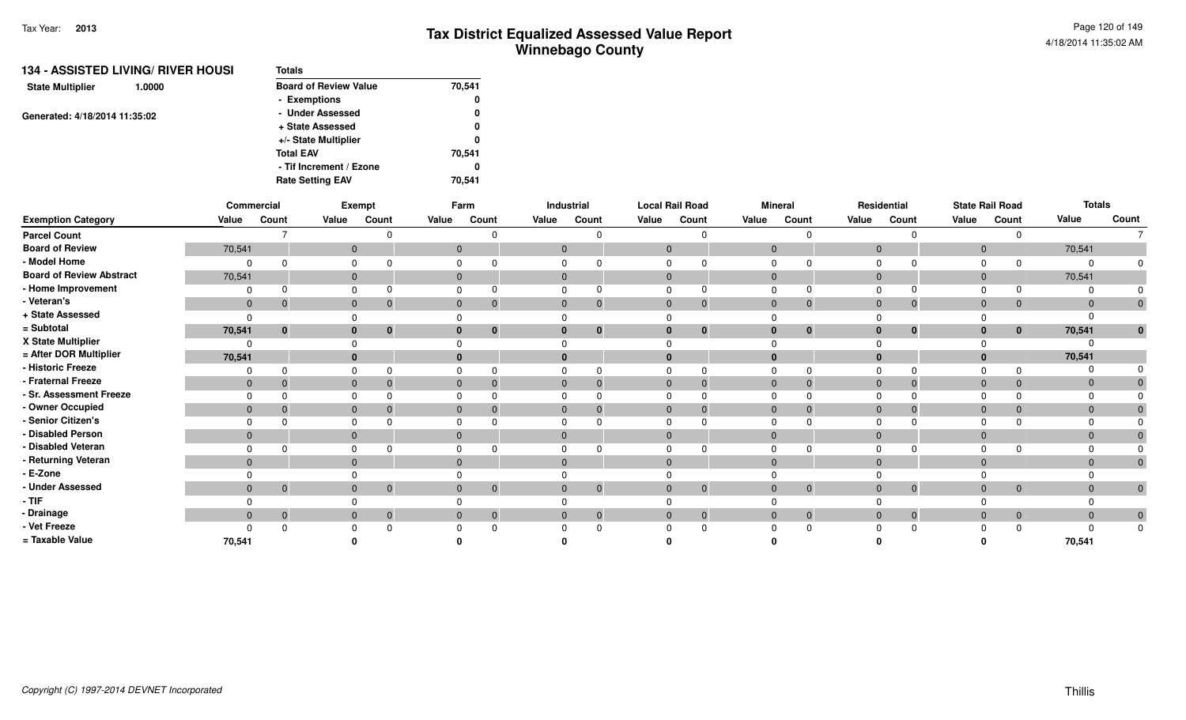| <b>Board of Review Value</b><br>70,541<br><b>State Multiplier</b><br>1.0000<br>- Exemptions<br>- Under Assessed<br>Generated: 4/18/2014 11:35:02<br>+ State Assessed<br>+/- State Multiplier |        |
|----------------------------------------------------------------------------------------------------------------------------------------------------------------------------------------------|--------|
|                                                                                                                                                                                              |        |
|                                                                                                                                                                                              | 0      |
|                                                                                                                                                                                              | 0      |
|                                                                                                                                                                                              | 0      |
|                                                                                                                                                                                              | 0      |
| <b>Total EAV</b>                                                                                                                                                                             | 70.541 |
| - Tif Increment / Ezone                                                                                                                                                                      | 0      |
| <b>Rate Setting EAV</b><br>70.541                                                                                                                                                            |        |

|                                 | Commercial   |                |                | Exempt         |              | Farm           |                | Industrial   |                | <b>Local Rail Road</b> |          | <b>Mineral</b>               |       | Residential                  |              | <b>State Rail Road</b> | <b>Totals</b> |             |
|---------------------------------|--------------|----------------|----------------|----------------|--------------|----------------|----------------|--------------|----------------|------------------------|----------|------------------------------|-------|------------------------------|--------------|------------------------|---------------|-------------|
| <b>Exemption Category</b>       | Value        | Count          | Value          | Count          | Value        | Count          | Value          | Count        | Value          | Count                  | Value    | Count                        | Value | Count                        | Value        | Count                  | Value         | Count       |
| <b>Parcel Count</b>             |              |                |                |                |              |                |                | $\Omega$     |                | $\Omega$               |          |                              |       |                              |              |                        |               |             |
| <b>Board of Review</b>          | 70,541       |                | $\mathbf{0}$   |                | $\mathbf{0}$ |                | $\mathbf 0$    |              | $\mathbf{0}$   |                        |          | $\mathbf{0}$                 |       | $\mathbf{0}$                 | $\mathbf{0}$ |                        | 70,541        |             |
| - Model Home                    | $\Omega$     |                | 0              |                | 0            |                | 0              |              |                | n                      |          | $\mathbf 0$                  |       |                              |              |                        | $\Omega$      |             |
| <b>Board of Review Abstract</b> | 70,541       |                | $\mathbf{0}$   |                | $\mathbf{0}$ |                | $\overline{0}$ |              | $\mathbf{0}$   |                        |          | $\mathbf 0$                  |       | $\mathbf{0}$                 | $\mathbf{0}$ |                        | 70,541        |             |
| - Home Improvement              | $\Omega$     |                | $\mathbf 0$    |                | $\Omega$     |                | 0              |              |                | $\Omega$               |          | $\mathbf 0$                  |       |                              |              |                        |               |             |
| - Veteran's                     | $\mathbf{0}$ | $\overline{0}$ | $\mathbf{0}$   | 0              | $\mathbf 0$  | $\mathbf 0$    | $\mathbf 0$    | $\Omega$     | $\mathbf 0$    | $\mathbf 0$            |          | $\mathbf{0}$<br>0            |       | $\mathbf{0}$<br>0            | $\mathbf{0}$ | 0                      |               | $\mathbf 0$ |
| + State Assessed                | $\Omega$     |                | $\Omega$       |                | 0            |                | 0              |              |                |                        |          | $\Omega$                     |       |                              |              |                        |               |             |
| = Subtotal                      | 70,541       | $\mathbf 0$    | $\bf{0}$       | $\mathbf{0}$   | $\bf{0}$     | $\mathbf{0}$   | $\mathbf{0}$   | $\mathbf 0$  | $\mathbf{0}$   | $\bf{0}$               |          | $\bf{0}$<br>$\bf{0}$         |       | $\mathbf{0}$<br>$\mathbf{0}$ | $\mathbf{0}$ | $\bf{0}$               | 70,541        | $\mathbf 0$ |
| X State Multiplier              | $\Omega$     |                | $\Omega$       |                | $\Omega$     |                |                |              |                |                        | $\Omega$ |                              |       |                              |              |                        | 0             |             |
| = After DOR Multiplier          | 70,541       |                | $\mathbf 0$    |                | $\mathbf{0}$ |                | $\mathbf{0}$   |              | $\bf{0}$       |                        |          | $\bf{0}$                     |       |                              | $\bf{0}$     |                        | 70,541        |             |
| - Historic Freeze               | 0            | $\Omega$       | $\mathbf 0$    |                | 0            |                |                | $\Omega$     |                | $\Omega$               |          | $\mathbf 0$                  |       |                              |              |                        |               | $\Omega$    |
| - Fraternal Freeze              | $\mathbf 0$  | $\mathbf 0$    | $\mathbf{0}$   |                | $\mathbf 0$  | 0              | $\mathbf 0$    | $\Omega$     | $\mathbf 0$    | $\mathbf{0}$           |          | $\mathbf{0}$                 |       | $\mathbf{0}$                 | $\mathbf{0}$ |                        |               |             |
| - Sr. Assessment Freeze         | $\Omega$     |                | 0              |                | $\Omega$     |                | $\Omega$       |              | $\Omega$       |                        | $\Omega$ |                              |       |                              |              |                        |               |             |
| - Owner Occupied                | $\mathbf{0}$ | - 0            | $\overline{0}$ |                | $\mathbf{0}$ | 0              | $\mathbf{0}$   | $\Omega$     | $\mathbf{0}$   | $\mathbf{0}$           |          | $\mathbf{0}$                 |       | $\mathbf{0}$                 | $\mathbf 0$  | 0                      |               |             |
| - Senior Citizen's              | $\Omega$     |                | $\Omega$       |                | $\Omega$     |                | $\Omega$       |              | $\Omega$       |                        |          | $\Omega$                     |       |                              | $\Omega$     |                        |               |             |
| - Disabled Person               | $\mathbf{0}$ |                | $\overline{0}$ |                | $\mathbf{0}$ |                | $\mathbf 0$    |              | $\overline{0}$ |                        |          | $\mathbf{0}$                 |       | $\Omega$                     | $\mathbf 0$  |                        |               |             |
| - Disabled Veteran              | $\Omega$     |                | $\mathbf 0$    |                | $\Omega$     |                | 0              |              | $\Omega$       | <sup>0</sup>           |          | $\Omega$                     |       |                              |              |                        |               |             |
| - Returning Veteran             | $\Omega$     |                | $\mathbf{0}$   |                | $\Omega$     |                | $\mathbf{0}$   |              | $\Omega$       |                        |          | $\mathbf{0}$                 |       | $\Omega$                     | $\mathbf{0}$ |                        |               | $\mathbf 0$ |
| - E-Zone                        |              |                | $\Omega$       |                |              |                |                |              |                |                        |          |                              |       |                              |              |                        |               |             |
| - Under Assessed                | $\mathbf{0}$ | $\overline{0}$ | $\mathbf{0}$   | $\overline{0}$ | $\mathbf{0}$ | $\overline{0}$ | $\mathbf{0}$   | $\mathbf 0$  | $\mathbf{0}$   | $\mathbf 0$            |          | $\mathbf{0}$<br>$\mathbf{0}$ |       | $\mathbf{0}$<br>$\mathbf 0$  | $\mathbf{0}$ | $\overline{0}$         |               | $\mathbf 0$ |
| $-$ TIF                         | $\Omega$     |                | $\Omega$       |                |              |                |                |              |                |                        | 0        |                              |       |                              |              |                        |               |             |
| - Drainage                      | $\mathbf{0}$ | $\overline{0}$ | $\overline{0}$ | $\overline{0}$ | $\mathbf{0}$ | $\mathbf{0}$   | $\mathbf 0$    | $\mathbf{0}$ | $\mathbf{0}$   | $\mathbf 0$            |          | $\mathbf{0}$<br>$\mathbf{0}$ |       | $\mathbf{0}$<br>$\mathbf{0}$ | $\mathbf{0}$ | $\overline{0}$         |               | $\mathbf 0$ |
| - Vet Freeze                    | $\Omega$     | $\Omega$       | $\Omega$       |                | $\Omega$     | $\Omega$       |                | $\Omega$     | $\Omega$       | $\Omega$               |          | $\Omega$                     |       |                              |              |                        | $\Omega$      | 0           |
| = Taxable Value                 | 70,541       |                |                |                |              |                |                |              |                |                        |          |                              |       |                              |              |                        | 70,541        |             |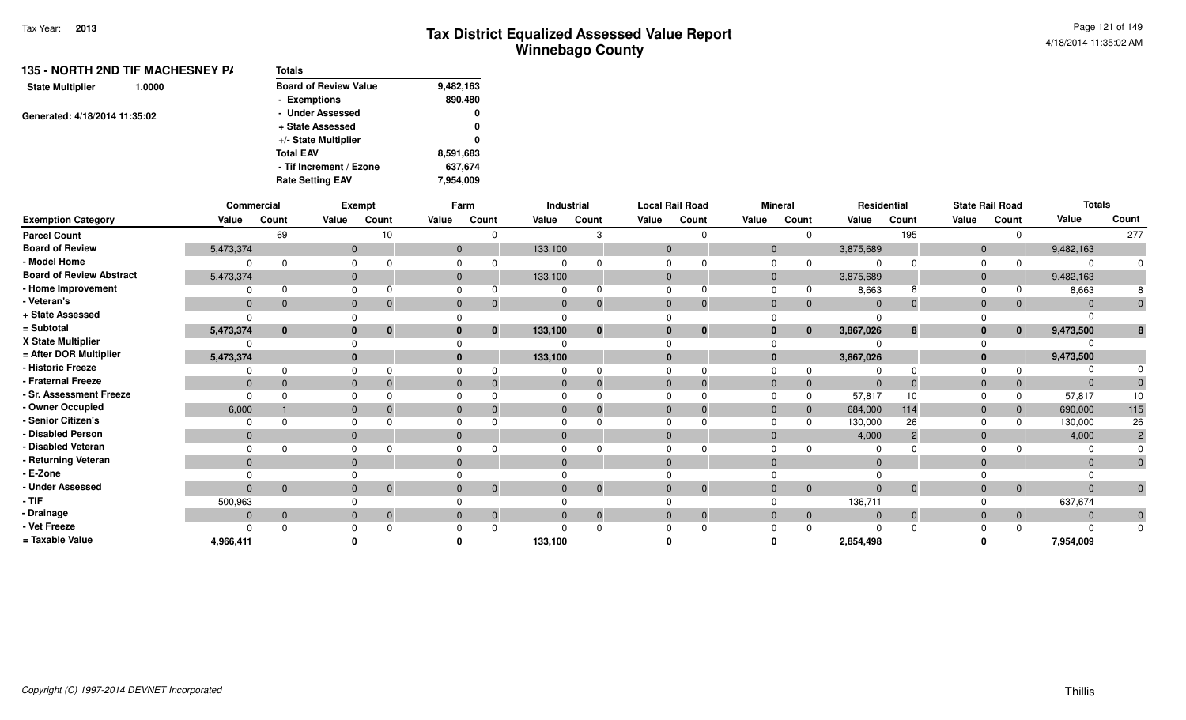| 135 - NORTH 2ND TIF MACHESNEY P/  | <b>Totals</b>                |           |
|-----------------------------------|------------------------------|-----------|
| <b>State Multiplier</b><br>1.0000 | <b>Board of Review Value</b> | 9,482,163 |
|                                   | - Exemptions                 | 890,480   |
| Generated: 4/18/2014 11:35:02     | - Under Assessed             | 0         |
|                                   | + State Assessed             | 0         |
|                                   | +/- State Multiplier         | 0         |
|                                   | <b>Total EAV</b>             | 8,591,683 |
|                                   | - Tif Increment / Ezone      | 637,674   |
|                                   | <b>Rate Setting EAV</b>      | 7.954.009 |

|                                 | Commercial   |              |              | Exempt                   |              | Farm                         |          | Industrial     |              | <b>Local Rail Road</b> |                | <b>Mineral</b> | Residential |          |                | <b>State Rail Road</b> | <b>Totals</b>  |                 |
|---------------------------------|--------------|--------------|--------------|--------------------------|--------------|------------------------------|----------|----------------|--------------|------------------------|----------------|----------------|-------------|----------|----------------|------------------------|----------------|-----------------|
| <b>Exemption Category</b>       | Value        | Count        | Value        | Count                    | Value        | Count                        | Value    | Count          | Value        | Count                  | Value          | Count          | Value       | Count    | Value          | Count                  | Value          | Count           |
| <b>Parcel Count</b>             |              | 69           |              | 10                       |              | 0                            |          |                |              |                        |                |                |             | 195      |                | $\Omega$               |                | 277             |
| <b>Board of Review</b>          | 5,473,374    |              | $\mathbf{0}$ |                          | $\mathbf{0}$ |                              | 133,100  |                | $\mathbf{0}$ |                        | $\overline{0}$ |                | 3,875,689   |          | $\overline{0}$ |                        | 9,482,163      |                 |
| - Model Home                    |              |              | $\Omega$     |                          |              |                              |          |                |              |                        | $\Omega$       |                |             |          | $\Omega$       |                        | $\Omega$       |                 |
| <b>Board of Review Abstract</b> | 5,473,374    |              | $\mathbf{0}$ |                          | $\mathbf{0}$ |                              | 133,100  |                | $\mathbf{0}$ |                        | $\Omega$       |                | 3,875,689   |          | $\overline{0}$ |                        | 9,482,163      |                 |
| - Home Improvement              |              |              | $\Omega$     |                          |              |                              |          |                | 0            |                        | $\Omega$       |                | 8,663       |          | $\Omega$       |                        | 8,663          |                 |
| - Veteran's                     | $\mathbf{0}$ |              |              | $\mathbf{0}$             | $\mathbf{0}$ | $\mathbf{0}$                 | $\Omega$ | $\overline{0}$ | $\mathbf{0}$ | $\Omega$               | $\overline{0}$ | $\mathbf{0}$   | $\mathbf 0$ | 0        | $\mathbf 0$    | $\overline{0}$         | $\mathbf{0}$   | $\overline{0}$  |
| + State Assessed                |              |              |              |                          |              |                              |          |                |              |                        |                |                |             |          |                |                        |                |                 |
| = Subtotal                      | 5,473,374    | $\bf{0}$     | $\bf{0}$     | $\bf{0}$                 |              | $\bf{0}$                     | 133,100  | $\bf{0}$       | $\bf{0}$     | $\bf{0}$               | $\mathbf{0}$   | $\bf{0}$       | 3,867,026   | 8        | $\bf{0}$       | $\mathbf{0}$           | 9,473,500      | 8               |
| X State Multiplier              |              |              |              |                          |              |                              |          |                |              |                        |                |                |             |          |                |                        |                |                 |
| = After DOR Multiplier          | 5,473,374    |              | $\bf{0}$     |                          |              |                              | 133,100  |                | $\bf{0}$     |                        |                |                | 3,867,026   |          |                |                        | 9,473,500      |                 |
| - Historic Freeze               |              |              |              |                          |              |                              |          | $\Omega$       |              |                        |                |                |             |          |                |                        | $\Omega$       |                 |
| - Fraternal Freeze              | $\mathbf{0}$ |              | $\Omega$     |                          |              |                              |          | $\Omega$       | $\mathbf{0}$ |                        | $\Omega$       |                | $\Omega$    |          | $\Omega$       | $\mathbf{0}$           | $\Omega$       |                 |
| - Sr. Assessment Freeze         |              |              |              |                          |              |                              |          |                | n            |                        |                |                | 57,817      | 10       |                | $\Omega$               | 57,817         | 10 <sup>°</sup> |
| - Owner Occupied                | 6,000        |              | $\Omega$     |                          |              |                              |          | $\overline{a}$ | $\Omega$     |                        | $\Omega$       |                | 684,000     | 114      | 0              | $\overline{0}$         | 690,000        | 115             |
| - Senior Citizen's              |              |              |              |                          |              |                              |          |                |              |                        | $\cap$         |                | 130,000     | 26       |                |                        | 130,000        | 26              |
| - Disabled Person               | $\mathbf{0}$ |              | $\Omega$     |                          |              |                              | $\Omega$ |                | $\Omega$     |                        | $\Omega$       |                | 4,000       | 2        | $\overline{0}$ |                        | 4,000          | $\overline{2}$  |
| - Disabled Veteran              |              |              | $\Omega$     |                          |              |                              |          |                |              |                        | $\Omega$       |                | $\Omega$    |          |                |                        | $\Omega$       |                 |
| - Returning Veteran             | $\Omega$     |              | $\Omega$     |                          |              |                              |          |                | $\Omega$     |                        | $\Omega$       |                | $\Omega$    |          |                |                        | $\Omega$       |                 |
| - E-Zone                        |              |              |              |                          |              |                              |          |                |              |                        |                |                |             |          |                |                        |                |                 |
| - Under Assessed                | $\Omega$     | $\mathbf{0}$ |              | $\mathbf{0}$<br>$\Omega$ |              | $\mathbf{0}$<br>$\mathbf{0}$ |          | $\overline{0}$ | $\mathbf{0}$ | $\Omega$               | $\Omega$       | $\overline{0}$ | $\Omega$    | $\Omega$ | $\Omega$       | $\overline{0}$         | $\mathbf{0}$   | $\overline{0}$  |
| $-$ TIF                         | 500,963      |              | $\Omega$     |                          |              |                              |          |                |              |                        |                |                | 136,711     |          |                |                        | 637,674        |                 |
| - Drainage                      | $\mathbf{0}$ | $\Omega$     |              | $\mathbf{0}$<br>$\Omega$ | $\Omega$     | $\mathbf{0}$                 |          | $\mathbf{0}$   | $\mathbf{0}$ | $\Omega$               | $\overline{0}$ | $\mathbf{0}$   | $\Omega$    | $\Omega$ | $\Omega$       | $\overline{0}$         | $\overline{0}$ | $\mathbf{0}$    |
| - Vet Freeze                    |              |              |              |                          |              |                              |          |                |              |                        |                |                |             |          |                |                        |                | $\mathbf{0}$    |
| = Taxable Value                 | 4,966,411    |              |              |                          |              |                              | 133,100  |                |              |                        |                |                | 2,854,498   |          |                |                        | 7,954,009      |                 |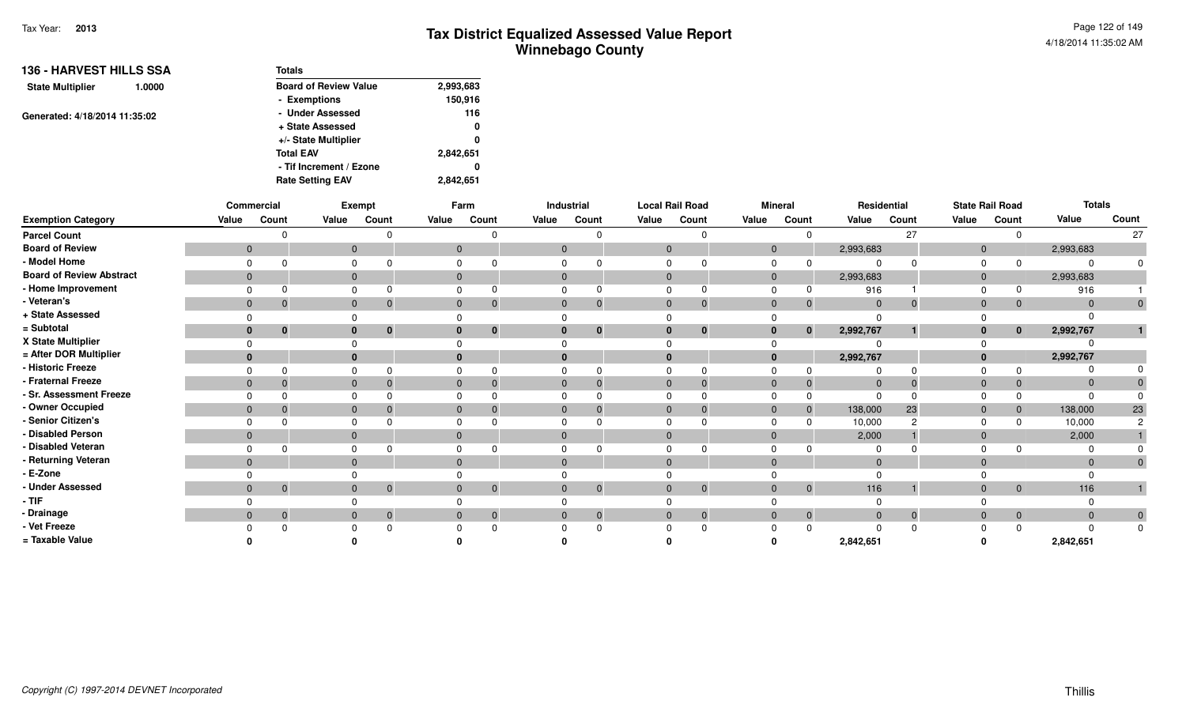| <b>136 - HARVEST HILLS SSA</b>    | <b>Totals</b>                |           |
|-----------------------------------|------------------------------|-----------|
| <b>State Multiplier</b><br>1.0000 | <b>Board of Review Value</b> | 2,993,683 |
|                                   | - Exemptions                 | 150,916   |
| Generated: 4/18/2014 11:35:02     | - Under Assessed             | 116       |
|                                   | + State Assessed             | 0         |
|                                   | +/- State Multiplier         | 0         |
|                                   | <b>Total EAV</b>             | 2,842,651 |
|                                   | - Tif Increment / Ezone      | 0         |
|                                   | <b>Rate Setting EAV</b>      | 2,842,651 |

|                                 |              | Commercial                       |       | Exempt                         |                | Farm                             |              | Industrial   |                | <b>Local Rail Road</b> |              | <b>Mineral</b> |              | Residential |              | <b>State Rail Road</b> | <b>Totals</b> |                |
|---------------------------------|--------------|----------------------------------|-------|--------------------------------|----------------|----------------------------------|--------------|--------------|----------------|------------------------|--------------|----------------|--------------|-------------|--------------|------------------------|---------------|----------------|
| <b>Exemption Category</b>       | Value        | Count                            | Value | Count                          | Value          | Count                            | Value        | Count        | Value          | Count                  | Value        | Count          | Value        | Count       | Value        | Count                  | Value         | Count          |
| <b>Parcel Count</b>             |              | $\Omega$                         |       | $\Omega$                       |                | $\Omega$                         |              |              |                |                        |              |                |              | 27          |              |                        |               | 27             |
| <b>Board of Review</b>          | $\mathbf{0}$ |                                  |       | $\overline{0}$                 | $\mathbf 0$    |                                  | $\mathbf 0$  |              | $\mathbf{0}$   |                        | $\mathbf 0$  |                | 2,993,683    |             | $\mathbf 0$  |                        | 2,993,683     |                |
| - Model Home                    |              |                                  |       |                                |                |                                  | $\Omega$     |              |                |                        |              |                |              |             | $\Omega$     |                        |               | $\Omega$       |
| <b>Board of Review Abstract</b> | $\mathbf{0}$ |                                  |       | $\mathbf 0$                    | $\mathbf 0$    |                                  | $\mathbf 0$  |              | $\mathbf{0}$   |                        | $\mathbf{0}$ |                | 2,993,683    |             | $\mathbf 0$  |                        | 2,993,683     |                |
| - Home Improvement              |              | $\Omega$                         |       | $\Omega$<br><sup>0</sup>       | $\Omega$       | <sup>0</sup>                     | $\mathbf 0$  |              | $\Omega$       |                        | $\Omega$     |                | 916          |             | $\Omega$     |                        | 916           |                |
| - Veteran's                     | $\mathbf{0}$ | $\mathbf{0}$                     |       | $\overline{0}$<br>$\mathbf{0}$ |                | $\overline{0}$<br>$\mathbf{0}$   | $\mathbf 0$  | $\Omega$     | $\overline{0}$ | $\mathbf 0$            | $\mathbf{0}$ |                | $\mathbf 0$  | $\mathbf 0$ | $\mathbf 0$  | $\mathbf{0}$           | $\Omega$      | $\mathbf{0}$   |
| + State Assessed                |              |                                  |       |                                |                |                                  | $\Omega$     |              |                |                        |              |                |              |             |              |                        |               |                |
| = Subtotal                      | $\bf{0}$     | $\bf{0}$                         |       | $\bf{0}$<br>$\mathbf{0}$       |                | $\mathbf{0}$<br>$\bf{0}$         | $\bf{0}$     | $\mathbf 0$  | $\mathbf{0}$   | $\bf{0}$               | $\bf{0}$     | $\mathbf{0}$   | 2,992,767    |             | $\mathbf{0}$ | $\bf{0}$               | 2,992,767     |                |
| X State Multiplier              |              |                                  |       |                                |                |                                  | $\Omega$     |              |                |                        |              |                |              |             |              |                        |               |                |
| = After DOR Multiplier          | $\bf{0}$     |                                  |       | $\bf{0}$                       |                |                                  | $\bf{0}$     |              | $\bf{0}$       |                        | $\bf{0}$     |                | 2,992,767    |             | $\mathbf{0}$ |                        | 2,992,767     |                |
| - Historic Freeze               |              | $\Omega$                         |       | $\Omega$                       |                | $\Omega$                         | $\Omega$     |              |                |                        |              |                |              |             | $\Omega$     |                        |               |                |
| - Fraternal Freeze              | $\mathbf{0}$ | $\Omega$                         |       | $\mathbf{0}$                   | $\mathbf 0$    | $\mathbf 0$                      | $\mathbf 0$  |              | $\mathbf{0}$   |                        | $\mathbf{0}$ |                | $\Omega$     |             | $\mathbf 0$  |                        |               |                |
| - Sr. Assessment Freeze         |              |                                  |       | $\Omega$                       | $\Omega$       |                                  | $\Omega$     |              | $\Omega$       |                        |              |                |              |             | $\Omega$     |                        |               |                |
| - Owner Occupied                | $\mathbf{0}$ | $\Omega$                         |       | $\mathbf 0$<br>$\Omega$        | $\overline{0}$ | $\Omega$                         | $\mathbf 0$  |              | $\overline{0}$ |                        | $\mathbf{0}$ |                | 138,000      | 23          | $\mathbf{0}$ | 0                      | 138,000       | 23             |
| - Senior Citizen's              |              |                                  |       |                                |                |                                  | $\Omega$     |              |                |                        |              |                | 10,000       | ∩           |              |                        | 10,000        | $\overline{2}$ |
| - Disabled Person               | $\mathbf{0}$ |                                  |       | $\mathbf 0$                    | $\mathbf{0}$   |                                  | $\mathbf{0}$ |              | $\Omega$       |                        | $\mathbf{0}$ |                | 2,000        |             | $\mathbf{0}$ |                        | 2,000         |                |
| - Disabled Veteran              |              |                                  |       | $\Omega$                       | $\Omega$       |                                  | $\Omega$     |              |                |                        |              |                |              |             | $\Omega$     |                        |               |                |
| - Returning Veteran             | $\Omega$     |                                  |       | $\mathbf{0}$                   | $\Omega$       |                                  | $\mathbf{0}$ |              | $\Omega$       |                        | $\Omega$     |                | $\Omega$     |             | $\mathbf{0}$ |                        |               | $\Omega$       |
| - E-Zone                        |              |                                  |       |                                |                |                                  |              |              |                |                        |              |                |              |             |              |                        |               |                |
| - Under Assessed                |              | $\overline{0}$<br>$\overline{0}$ |       | $\mathbf{0}$<br>$\mathbf 0$    |                | $\overline{0}$<br>$\overline{0}$ | $\mathbf{0}$ | $\mathbf{0}$ | $\mathbf{0}$   | $\mathbf{0}$           | $\mathbf{0}$ | $\overline{0}$ | 116          |             | $\mathbf{0}$ | $\overline{0}$         | 116           |                |
| - TIF                           |              |                                  |       |                                |                |                                  | $\mathbf 0$  |              |                |                        |              |                |              |             |              |                        |               |                |
| - Drainage                      | $\mathbf{0}$ | $\overline{0}$                   |       | $\mathbf{0}$<br>$\mathbf 0$    |                | $\mathbf{0}$<br>$\overline{0}$   | $\mathbf 0$  | $\mathbf{0}$ | $\overline{0}$ | $\mathbf{0}$           | $\mathbf{0}$ | $\Omega$       | $\mathbf{0}$ | $\Omega$    | $\mathbf{0}$ | $\overline{0}$         |               | $\Omega$       |
| - Vet Freeze                    |              | $\Omega$                         |       | $\Omega$                       |                |                                  |              |              |                |                        |              |                |              |             |              |                        |               | 0              |
| = Taxable Value                 |              |                                  |       |                                |                |                                  |              |              |                |                        |              |                | 2,842,651    |             |              |                        | 2,842,651     |                |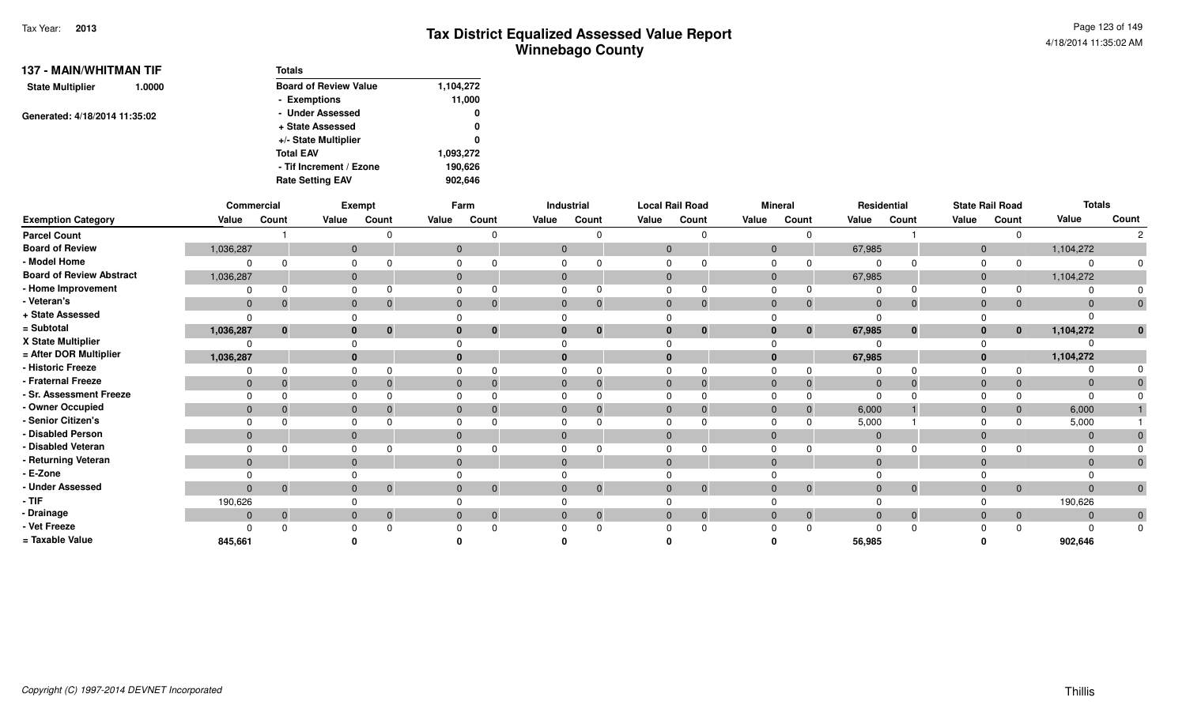| <b>137 - MAIN/WHITMAN TIF</b> |                         | <b>Totals</b>                |           |
|-------------------------------|-------------------------|------------------------------|-----------|
| <b>State Multiplier</b>       | 1.0000                  | <b>Board of Review Value</b> | 1,104,272 |
|                               |                         | - Exemptions                 | 11,000    |
| Generated: 4/18/2014 11:35:02 |                         | - Under Assessed             | 0         |
|                               |                         | + State Assessed             | 0         |
|                               |                         | +/- State Multiplier         | 0         |
|                               |                         | <b>Total EAV</b>             | 1,093,272 |
|                               |                         | - Tif Increment / Ezone      | 190,626   |
|                               | <b>Rate Setting EAV</b> | 902,646                      |           |

|                                 |              | Commercial     |              | Exempt         |              | Farm     |              | Industrial                     | <b>Local Rail Road</b> |                |             | <b>Mineral</b> |                | Residential  |              | <b>State Rail Road</b> | <b>Totals</b>  |                |
|---------------------------------|--------------|----------------|--------------|----------------|--------------|----------|--------------|--------------------------------|------------------------|----------------|-------------|----------------|----------------|--------------|--------------|------------------------|----------------|----------------|
| <b>Exemption Category</b>       | Value        | Count          | Value        | Count          | Value        | Count    | Value        | Count                          | Value                  | Count          | Value       | Count          | Value          | Count        | Value        | Count                  | Value          | Count          |
| <b>Parcel Count</b>             |              |                |              |                |              |          |              |                                |                        |                |             |                |                |              |              |                        |                |                |
| <b>Board of Review</b>          | 1,036,287    |                | $\mathbf{0}$ |                | $\mathbf{0}$ |          | $\mathbf{0}$ |                                | $\Omega$               |                | $\mathbf 0$ |                | 67,985         |              | $\mathbf{0}$ |                        | 1,104,272      |                |
| - Model Home                    |              | $\Omega$       |              |                |              |          |              |                                |                        |                |             |                |                |              |              |                        |                |                |
| <b>Board of Review Abstract</b> | 1,036,287    |                | $\mathbf{0}$ |                | $\Omega$     |          | $\mathbf{0}$ |                                | $\Omega$               |                |             |                | 67,985         |              | $\mathbf{0}$ |                        | 1,104,272      |                |
| - Home Improvement              |              | <sup>n</sup>   |              |                |              |          |              |                                |                        |                |             |                |                |              |              |                        |                |                |
| - Veteran's                     | $\mathbf{0}$ | $\overline{0}$ | $\mathbf{0}$ |                | $\Omega$     |          | $\Omega$     |                                | $\Omega$               | 0              | $\Omega$    | $\mathbf{0}$   | $\Omega$       |              | $\Omega$     | $\overline{0}$         | $\mathbf{0}$   | $\overline{0}$ |
| + State Assessed                |              |                |              |                |              |          |              |                                |                        |                |             |                |                |              |              |                        |                |                |
| = Subtotal                      | 1,036,287    | $\mathbf{0}$   | 0            | $\mathbf 0$    | 0            | $\bf{0}$ | $\bf{0}$     | $\bf{0}$                       | $\mathbf{0}$           | $\bf{0}$       |             | $\mathbf{0}$   | 67,985         | 0            | 0            | $\mathbf{0}$           | 1,104,272      | $\mathbf{0}$   |
| X State Multiplier              |              |                |              |                |              |          |              |                                |                        |                |             |                |                |              |              |                        |                |                |
| = After DOR Multiplier          | 1,036,287    |                | $\bf{0}$     |                | $\bf{0}$     |          | $\bf{0}$     |                                | $\mathbf{0}$           |                |             |                | 67,985         |              | $\bf{0}$     |                        | 1,104,272      |                |
| - Historic Freeze               |              | $\Omega$       |              |                |              |          |              |                                |                        |                |             |                |                |              |              |                        |                |                |
| - Fraternal Freeze              | $\mathbf{0}$ | $\Omega$       | $\mathbf{0}$ |                | $\Omega$     |          | $\Omega$     |                                | $\Omega$               |                |             | $\overline{0}$ | $\Omega$       |              | $\Omega$     | $\mathbf{0}$           | $\Omega$       |                |
| - Sr. Assessment Freeze         |              |                |              |                |              |          |              |                                |                        |                |             |                |                |              |              |                        | $\Omega$       |                |
| - Owner Occupied                | $\mathbf{0}$ | $\mathbf{0}$   | $\Omega$     |                | $\Omega$     |          | $\Omega$     |                                | $\Omega$               | $\Omega$       |             | $\mathbf{0}$   | 6,000          |              | $\Omega$     | $\mathbf{0}$           | 6,000          |                |
| - Senior Citizen's              |              |                |              |                |              |          |              |                                |                        |                |             |                | 5,000          |              |              |                        | 5,000          |                |
| - Disabled Person               | $\mathbf{0}$ |                | $\mathbf{0}$ |                | $\Omega$     |          | $\Omega$     |                                | $\Omega$               |                |             |                | $\mathbf{0}$   |              | $\mathbf 0$  |                        | $\mathbf{0}$   |                |
| - Disabled Veteran              |              | ∩              |              |                |              |          |              |                                |                        |                |             |                | $\cap$         |              |              |                        | $\mathbf 0$    |                |
| - Returning Veteran             | $\mathbf{0}$ |                | $\Omega$     |                | $\Omega$     |          | $\Omega$     |                                | $\Omega$               |                | $\Omega$    |                | $\Omega$       |              | $\Omega$     |                        | $\Omega$       | $\overline{0}$ |
| - E-Zone                        |              |                |              |                |              |          |              |                                |                        |                |             |                |                |              |              |                        |                |                |
| - Under Assessed                | $\mathbf{0}$ | $\overline{0}$ | $\mathbf{0}$ | $\overline{0}$ | $\mathbf{0}$ | $\Omega$ |              | $\mathbf{0}$<br>$\overline{0}$ | $\Omega$               | $\overline{0}$ | $\Omega$    | $\overline{0}$ | $\mathbf{0}$   | $\mathbf{0}$ | $\Omega$     | $\overline{0}$         | $\overline{0}$ | $\overline{0}$ |
| $-$ TIF                         | 190,626      |                |              |                |              |          |              |                                |                        |                |             |                |                |              |              |                        | 190,626        |                |
| - Drainage                      | $\mathbf 0$  | $\overline{0}$ | $\mathbf 0$  |                | $\mathbf{0}$ |          |              | $\mathbf 0$                    | $\mathbf{0}$           | $\mathbf{0}$   |             | $\mathbf{0}$   | $\overline{0}$ |              | $\mathbf{0}$ | $\overline{0}$         | $\mathbf{0}$   | $\mathbf{0}$   |
| - Vet Freeze                    |              | $\Omega$       |              |                |              | $\Omega$ |              |                                |                        |                |             | 0              |                |              |              | $\Omega$               | $\Omega$       | $\mathbf 0$    |
| = Taxable Value                 | 845,661      |                |              |                |              |          |              |                                |                        |                |             |                | 56,985         |              |              |                        | 902,646        |                |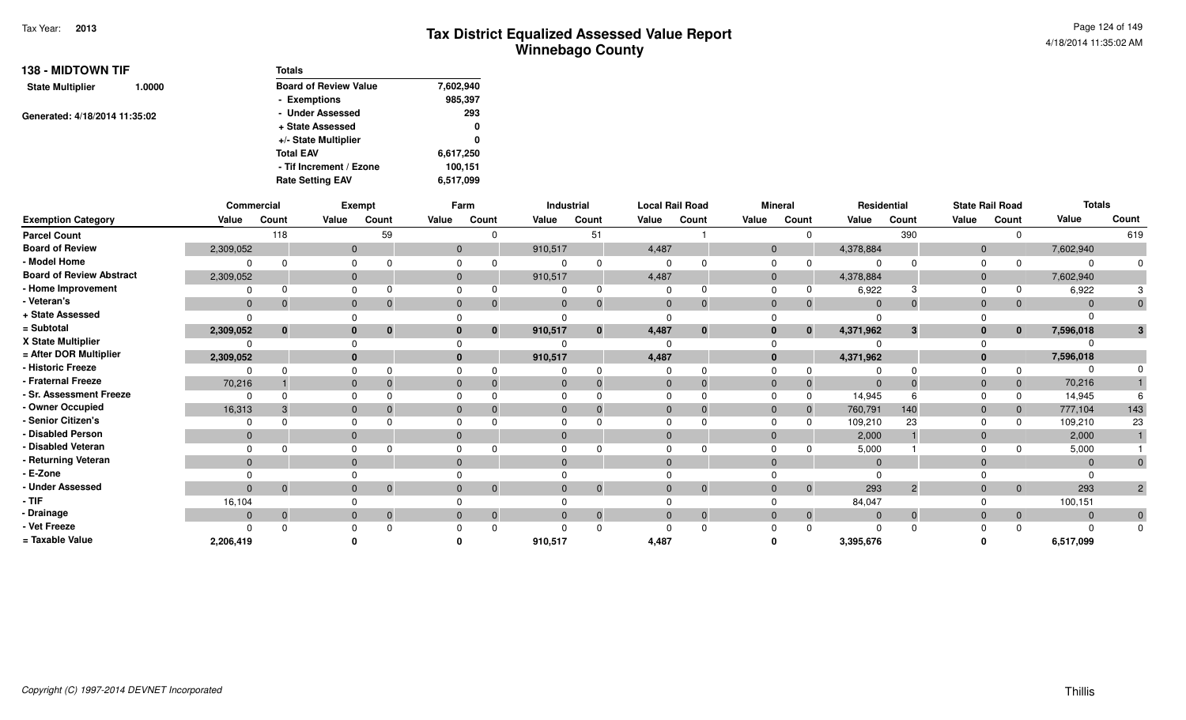| <b>138 - MIDTOWN TIF</b>      |        | <b>Totals</b>                |           |  |  |
|-------------------------------|--------|------------------------------|-----------|--|--|
| <b>State Multiplier</b>       | 1.0000 | <b>Board of Review Value</b> | 7,602,940 |  |  |
|                               |        | - Exemptions                 | 985.397   |  |  |
| Generated: 4/18/2014 11:35:02 |        | - Under Assessed             | 293       |  |  |
|                               |        | + State Assessed             | 0         |  |  |
|                               |        | +/- State Multiplier         | 0         |  |  |
|                               |        | <b>Total EAV</b>             | 6,617,250 |  |  |
|                               |        | - Tif Increment / Ezone      | 100.151   |  |  |
|                               |        | <b>Rate Setting EAV</b>      | 6,517,099 |  |  |

|                                 | Commercial   |          |             | Exempt                      |              | Farm           |          | Industrial     | <b>Local Rail Road</b> |          |                | <b>Mineral</b> | Residential |                |                | <b>State Rail Road</b> | <b>Totals</b>  |                     |
|---------------------------------|--------------|----------|-------------|-----------------------------|--------------|----------------|----------|----------------|------------------------|----------|----------------|----------------|-------------|----------------|----------------|------------------------|----------------|---------------------|
| <b>Exemption Category</b>       | Value        | Count    | Value       | Count                       | Value        | Count          | Value    | Count          | Value                  | Count    | Value          | Count          | Value       | Count          | Value          | Count                  | Value          | Count               |
| <b>Parcel Count</b>             |              | 118      |             | 59                          |              | $\Omega$       |          | 51             |                        |          |                |                |             | 390            |                | $\Omega$               |                | 619                 |
| <b>Board of Review</b>          | 2,309,052    |          |             | $\mathbf 0$                 | $\mathbf{0}$ |                | 910,517  |                | 4,487                  |          | $\overline{0}$ |                | 4,378,884   |                | $\mathbf 0$    |                        | 7,602,940      |                     |
| - Model Home                    | $\Omega$     |          |             |                             |              | $\Omega$       |          |                |                        |          | $\Omega$       |                |             |                | $\Omega$       |                        | $\Omega$       |                     |
| <b>Board of Review Abstract</b> | 2,309,052    |          |             | $\mathbf 0$                 | $\mathbf{0}$ |                | 910,517  |                | 4,487                  |          | $\overline{0}$ |                | 4,378,884   |                | $\mathbf 0$    |                        | 7,602,940      |                     |
| - Home Improvement              | $\Omega$     |          | $\Omega$    |                             |              | $\Omega$       |          |                |                        |          | $\Omega$       |                | 6,922       |                | $\Omega$       |                        | 6,922          |                     |
| - Veteran's                     | $\mathbf{0}$ | $\Omega$ |             | $\Omega$<br>$\mathbf 0$     | $\mathbf{0}$ | $\mathbf 0$    | $\Omega$ | $\overline{0}$ | $\mathbf{0}$           |          | $\Omega$       | $\mathbf{0}$   | $\Omega$    |                | $\Omega$       | $\overline{0}$         | $\mathbf{0}$   |                     |
| + State Assessed                | $\Omega$     |          |             |                             |              |                |          |                |                        |          |                |                |             |                |                |                        |                |                     |
| = Subtotal                      | 2,309,052    | 0        | $\mathbf 0$ | $\bf{0}$                    |              | $\mathbf{0}$   | 910,517  | $\mathbf{0}$   | 4,487                  | 0        |                | $\bf{0}$       | 4,371,962   | 3 <sup>1</sup> | 0              | $\mathbf{0}$           | 7,596,018      | $\mathbf{3}$        |
| X State Multiplier              | O            |          |             |                             |              |                |          |                |                        |          |                |                |             |                |                |                        |                |                     |
| = After DOR Multiplier          | 2,309,052    |          |             |                             |              |                | 910,517  |                | 4,487                  |          |                |                | 4,371,962   |                |                |                        | 7,596,018      |                     |
| - Historic Freeze               | O            |          |             |                             |              | $\Omega$       |          |                |                        |          |                |                |             |                |                | $\Omega$               | $\Omega$       |                     |
| - Fraternal Freeze              | 70,216       |          |             | $\mathbf{0}$                |              | $\Omega$       |          |                | $\mathbf{0}$           |          |                | $\Omega$       | $\Omega$    |                | $\Omega$       | $\overline{0}$         | 70,216         |                     |
| - Sr. Assessment Freeze         | $\Omega$     |          |             |                             |              |                |          |                |                        |          |                |                | 14,945      |                |                | $\Omega$               | 14,945         |                     |
| - Owner Occupied                | 16,313       |          | $\Omega$    |                             |              |                |          |                | $\Omega$               |          |                | $\Omega$       | 760,791     | 140            | $\Omega$       | $\overline{0}$         | 777,104        | 143                 |
| - Senior Citizen's              |              |          |             |                             |              |                |          |                |                        |          |                |                | 109,210     | 23             |                |                        | 109,210        | 23                  |
| - Disabled Person               | $\mathbf{0}$ |          |             | $\mathbf{0}$                |              |                |          |                | $\Omega$               |          | $\Omega$       |                | 2,000       |                | $\overline{0}$ |                        | 2,000          |                     |
| - Disabled Veteran              | $\Omega$     |          | $\Omega$    |                             |              |                |          |                | $\Omega$               |          | $\Omega$       |                | 5,000       |                |                |                        | 5,000          |                     |
| - Returning Veteran             | $\mathbf{0}$ |          |             | $\mathbf{0}$                |              |                |          |                | $\Omega$               |          |                |                | $\Omega$    |                |                |                        | $\Omega$       |                     |
| - E-Zone                        |              |          |             |                             |              |                |          |                |                        |          |                |                |             |                |                |                        |                |                     |
| - Under Assessed                | $\mathbf{0}$ | $\Omega$ |             | $\mathbf{0}$<br>$\mathbf 0$ | $\mathbf{0}$ | $\overline{0}$ | $\Omega$ | $\overline{0}$ | $\Omega$               | $\Omega$ | $\Omega$       | $\overline{0}$ | 293         | $2^{\circ}$    | $\mathbf{0}$   | $\overline{0}$         | 293            | $2 \nightharpoonup$ |
| $-$ TIF                         | 16,104       |          |             |                             |              |                |          |                |                        |          |                |                | 84,047      |                |                |                        | 100,151        |                     |
| - Drainage                      | $\mathbf 0$  | $\Omega$ |             | $\mathbf{0}$<br>$\mathbf 0$ | $\Omega$     | $\overline{0}$ |          | $\overline{0}$ | $\Omega$               | $\Omega$ | $\Omega$       | $\mathbf{0}$   | $\Omega$    | $\Omega$       | $\Omega$       | $\overline{0}$         | $\overline{0}$ | $\mathbf{0}$        |
| - Vet Freeze                    | ∩            |          |             |                             |              | $\Omega$       |          |                |                        |          |                |                |             |                |                | $\Omega$               | $\Omega$       | $\mathbf{0}$        |
| = Taxable Value                 | 2,206,419    |          |             |                             |              |                | 910,517  |                | 4,487                  |          |                |                | 3,395,676   |                |                |                        | 6,517,099      |                     |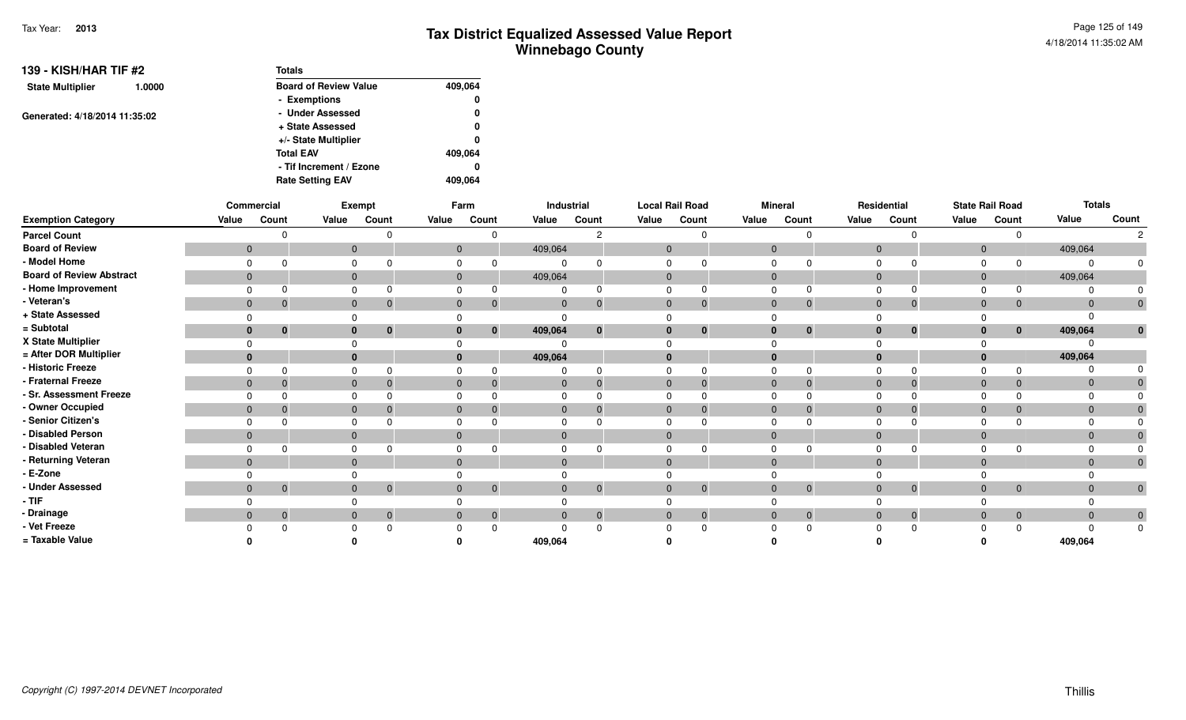| <b>139 - KISH/HAR TIF #2</b>  |                         | <b>Totals</b>                |         |
|-------------------------------|-------------------------|------------------------------|---------|
| <b>State Multiplier</b>       | 1.0000                  | <b>Board of Review Value</b> | 409,064 |
|                               |                         | - Exemptions                 | 0       |
| Generated: 4/18/2014 11:35:02 |                         | - Under Assessed             | 0       |
|                               |                         | + State Assessed             | 0       |
|                               |                         | +/- State Multiplier         | 0       |
|                               |                         | <b>Total EAV</b>             | 409,064 |
|                               |                         | - Tif Increment / Ezone      | 0       |
|                               | <b>Rate Setting EAV</b> | 409.064                      |         |

|                                 |                | Commercial   |       | Exempt                         |                | Farm                         |              | Industrial   |              | <b>Local Rail Road</b> |                | <b>Mineral</b> |       | Residential                    |              | <b>State Rail Road</b> |         | <b>Totals</b> |
|---------------------------------|----------------|--------------|-------|--------------------------------|----------------|------------------------------|--------------|--------------|--------------|------------------------|----------------|----------------|-------|--------------------------------|--------------|------------------------|---------|---------------|
| <b>Exemption Category</b>       | Value          | Count        | Value | Count                          | Value          | Count                        | Value        | Count        | Value        | Count                  | Value          | Count          | Value | Count                          | Value        | Count                  | Value   | Count         |
| <b>Parcel Count</b>             |                | ∩            |       |                                |                | n                            |              | ◠            |              |                        |                |                |       | C                              |              |                        |         | C             |
| <b>Board of Review</b>          | $\overline{0}$ |              |       | $\mathbf{0}$                   |                | $\mathbf{0}$                 | 409,064      |              | $\mathbf{0}$ |                        | $\mathbf{0}$   |                |       | $\mathbf{0}$                   | $\mathbf 0$  |                        | 409,064 |               |
| - Model Home                    | $\Omega$       |              |       | $\Omega$                       | $\Omega$       |                              |              |              |              |                        |                |                |       |                                | $\Omega$     |                        |         |               |
| <b>Board of Review Abstract</b> | $\overline{0}$ |              |       | $\mathbf{0}$                   |                | $\mathbf{0}$                 | 409,064      |              | $\mathbf{0}$ |                        | $\overline{0}$ |                |       | $\mathbf{0}$                   | $\mathbf{0}$ |                        | 409,064 |               |
| - Home Improvement              | $\Omega$       |              |       | $\Omega$                       | $\Omega$       |                              |              |              |              |                        | U              |                |       | $\Omega$                       | $\Omega$     |                        |         |               |
| - Veteran's                     | $\mathbf{0}$   | $\mathbf 0$  |       | $\mathbf{0}$<br>$\mathbf{0}$   |                | $\mathbf{0}$<br>$\mathbf{0}$ | $\mathbf 0$  |              | $\mathbf 0$  | 0                      | $\mathbf{0}$   |                |       | $\mathbf{0}$<br>$\mathbf 0$    | $\mathbf{0}$ | $\overline{0}$         |         | $\mathbf 0$   |
| + State Assessed                |                |              |       |                                |                |                              |              |              |              |                        |                |                |       |                                |              |                        |         |               |
| = Subtotal                      | $\bf{0}$       | $\bf{0}$     |       | $\mathbf{0}$<br>$\mathbf{0}$   |                | $\bf{0}$<br>$\bf{0}$         | 409,064      | $\mathbf{0}$ | $\bf{0}$     | $\bf{0}$               | 0              | $\bf{0}$       |       | $\mathbf{0}$<br>$\bf{0}$       | $\mathbf{0}$ | $\bf{0}$               | 409,064 | $\bf{0}$      |
| X State Multiplier              |                |              |       |                                |                |                              |              |              |              |                        |                |                |       |                                |              |                        |         |               |
| = After DOR Multiplier          | $\bf{0}$       |              |       | $\bf{0}$                       | $\bf{0}$       |                              | 409,064      |              |              |                        |                |                |       |                                | $\bf{0}$     |                        | 409,064 |               |
| - Historic Freeze               |                |              |       |                                |                |                              |              |              |              |                        |                |                |       |                                |              |                        |         |               |
| - Fraternal Freeze              | $\mathbf{0}$   | $\mathbf 0$  |       | $\mathbf{0}$                   | $\overline{0}$ |                              | $\mathbf{0}$ |              | $\mathbf{0}$ |                        | $\mathbf 0$    |                |       | $\mathbf{0}$                   | $\mathbf{0}$ |                        |         |               |
| - Sr. Assessment Freeze         | $\Omega$       |              |       | $\Omega$                       | $\Omega$       |                              |              |              |              |                        |                |                |       |                                |              |                        |         |               |
| - Owner Occupied                | $\mathbf{0}$   | $\mathbf{0}$ |       | $\mathbf{0}$                   |                | $\mathbf{0}$                 | $\mathbf 0$  |              | $\mathbf{0}$ |                        |                |                |       | $\Omega$                       | $\Omega$     |                        |         |               |
| - Senior Citizen's              | $\Omega$       |              |       | $\Omega$                       |                |                              |              |              |              |                        |                |                |       |                                | $\Omega$     |                        |         |               |
| - Disabled Person               | $\mathbf{0}$   |              |       | $\mathbf{0}$                   | $\Omega$       |                              | $\mathbf{0}$ |              |              |                        | $\mathbf{0}$   |                |       | $\mathbf{0}$                   | $\Omega$     |                        |         |               |
| - Disabled Veteran              |                |              |       | $\Omega$                       |                |                              |              |              |              |                        |                |                |       |                                |              |                        |         |               |
| - Returning Veteran             | $\mathbf{0}$   |              |       | $\mathbf{0}$                   | $\Omega$       |                              | $\mathbf{0}$ |              |              |                        | $\mathbf{0}$   |                |       | $\Omega$                       | $\mathbf{0}$ |                        |         | $\mathbf{0}$  |
| - E-Zone                        |                |              |       |                                |                |                              |              |              |              |                        |                |                |       |                                |              |                        |         |               |
| - Under Assessed                | $\mathbf{0}$   | $\mathbf 0$  |       | $\mathbf{0}$<br>$\mathbf{0}$   |                | $\mathbf{0}$<br>$\mathbf{0}$ | $\mathbf{0}$ | $\mathbf 0$  | $\mathbf{0}$ | $\mathbf 0$            | $\mathbf{0}$   | $\mathbf 0$    |       | $\mathbf{0}$<br>$\mathbf 0$    | $\mathbf{0}$ | $\mathbf{0}$           |         | $\mathbf 0$   |
| - TIF                           |                |              |       |                                |                |                              |              |              |              |                        |                |                |       |                                |              |                        |         |               |
| - Drainage                      | $\mathbf{0}$   | $\mathbf 0$  |       | $\mathbf{0}$<br>$\overline{0}$ | $\overline{0}$ | $\Omega$                     | $\mathbf{0}$ |              | $\mathbf{0}$ | $\mathbf 0$            | $\mathbf{0}$   | $\mathbf{0}$   |       | $\mathbf{0}$<br>$\overline{0}$ | $\mathbf{0}$ | $\overline{0}$         |         | $\mathbf 0$   |
| - Vet Freeze                    |                |              |       | ∩                              |                |                              |              |              |              |                        |                |                |       |                                |              |                        |         | $\mathbf 0$   |
| = Taxable Value                 |                |              |       |                                |                |                              | 409,064      |              |              |                        |                |                |       |                                |              |                        | 409,064 |               |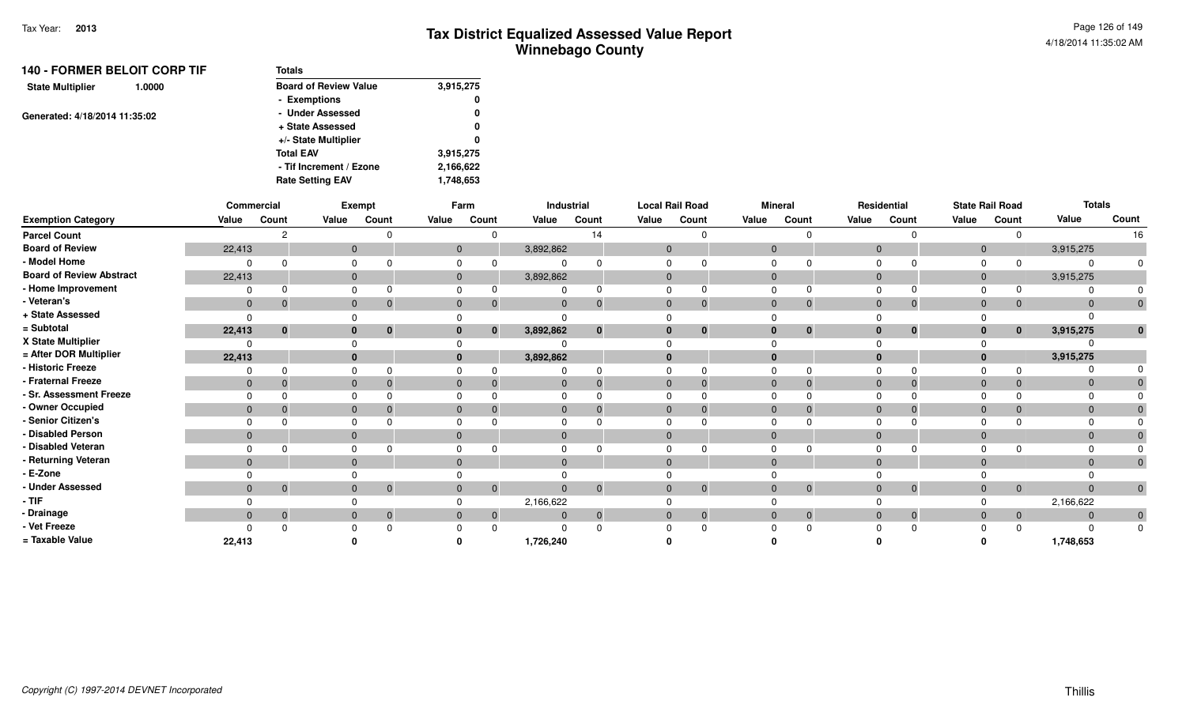| <b>140 - FORMER BELOIT CORP TIF</b> | <b>Totals</b>                |           |
|-------------------------------------|------------------------------|-----------|
| <b>State Multiplier</b><br>1.0000   | <b>Board of Review Value</b> | 3,915,275 |
|                                     | - Exemptions                 | 0         |
| Generated: 4/18/2014 11:35:02       | - Under Assessed             | 0         |
|                                     | + State Assessed             | 0         |
|                                     | +/- State Multiplier         | 0         |
|                                     | <b>Total EAV</b>             | 3,915,275 |
|                                     | - Tif Increment / Ezone      | 2,166,622 |
|                                     | <b>Rate Setting EAV</b>      | 1,748,653 |

|                                 | Commercial     |                   |              | Exempt      |                | Farm           |                | Industrial     | <b>Local Rail Road</b> |          |              | <b>Mineral</b> |       | Residential                  |              | <b>State Rail Road</b> | <b>Totals</b> |                |
|---------------------------------|----------------|-------------------|--------------|-------------|----------------|----------------|----------------|----------------|------------------------|----------|--------------|----------------|-------|------------------------------|--------------|------------------------|---------------|----------------|
| <b>Exemption Category</b>       | Value          | Count             | Value        | Count       | Value          | Count          | Value          | Count          | Value                  | Count    | Value        | Count          | Value | Count                        | Value        | Count                  | Value         | Count          |
| <b>Parcel Count</b>             |                | $\mathbf{\Omega}$ |              |             |                | $\Omega$       |                | 14             |                        | $\cap$   |              |                |       |                              |              |                        |               | 16             |
| <b>Board of Review</b>          | 22,413         |                   | $\mathbf{0}$ |             | $\overline{0}$ |                | 3,892,862      |                | $\mathbf{0}$           |          | $\mathbf 0$  |                |       | $\mathbf{0}$                 | $\mathbf{0}$ |                        | 3,915,275     |                |
| - Model Home                    |                | $\Omega$          | $\Omega$     |             |                |                | $\Omega$       |                |                        |          |              |                |       |                              |              |                        |               |                |
| <b>Board of Review Abstract</b> | 22,413         |                   | $\mathbf{0}$ |             | $\mathbf{0}$   |                | 3,892,862      |                | $\mathbf{0}$           |          | $\mathbf{0}$ |                |       | $\mathbf{0}$                 | $\mathbf{0}$ |                        | 3,915,275     |                |
| - Home Improvement              | $\Omega$       | $\Omega$          | $\mathbf 0$  |             |                |                | $\Omega$       |                |                        |          |              | <sup>0</sup>   |       |                              |              |                        |               |                |
| - Veteran's                     | $\mathbf 0$    | $\overline{0}$    | $\mathbf 0$  |             | $\mathbf 0$    | $\Omega$       | $\mathbf{0}$   | $\Omega$       | $\mathbf{0}$           |          | $\mathbf 0$  | $\mathbf{0}$   |       | $\mathbf{0}$<br>$\Omega$     | $\mathbf{0}$ | $\overline{0}$         |               |                |
| + State Assessed                |                |                   | $\Omega$     |             |                |                | $\Omega$       |                |                        |          |              |                |       |                              |              |                        |               |                |
| = Subtotal                      | 22,413         | $\mathbf{0}$      | $\bf{0}$     | $\bf{0}$    | $\bf{0}$       | $\mathbf{0}$   | 3,892,862      | $\mathbf{0}$   |                        | $\bf{0}$ |              | $\mathbf 0$    |       | $\bf{0}$<br>$\bf{0}$         |              | $\bf{0}$               | 3,915,275     |                |
| X State Multiplier              | $\Omega$       |                   | $\Omega$     |             |                |                |                |                |                        |          |              |                |       |                              |              |                        |               |                |
| = After DOR Multiplier          | 22,413         |                   | $\bf{0}$     |             |                |                | 3,892,862      |                |                        |          |              |                |       |                              |              |                        | 3,915,275     |                |
| - Historic Freeze               |                | $\Omega$          | $\Omega$     |             |                |                | $\Omega$       |                |                        |          |              | $\Omega$       |       |                              |              | $\Omega$               |               |                |
| - Fraternal Freeze              | $\mathbf{0}$   | $\Omega$          | $\mathbf{0}$ |             | $\mathbf{0}$   |                | $\mathbf{0}$   |                | $\Omega$               |          |              | $\Omega$       |       | $\Omega$                     |              | $\mathbf{0}$           |               |                |
| - Sr. Assessment Freeze         |                |                   | $\Omega$     |             |                |                |                |                |                        |          |              |                |       |                              |              |                        |               |                |
| - Owner Occupied                | $\mathbf{0}$   | $\Omega$          | $\mathbf{0}$ |             |                |                | $\Omega$       |                |                        |          |              | $\Omega$       |       | $\Omega$                     |              | $\overline{0}$         |               |                |
| - Senior Citizen's              |                |                   | $\Omega$     |             |                |                |                |                |                        |          |              |                |       |                              |              |                        |               |                |
| - Disabled Person               | $\overline{0}$ |                   | $\mathbf 0$  |             | $\Omega$       |                | $\Omega$       |                |                        |          | $\Omega$     |                |       |                              | $\Omega$     |                        |               |                |
| - Disabled Veteran              |                |                   | $\Omega$     |             |                |                | 0              |                |                        |          |              |                |       |                              |              |                        |               |                |
| - Returning Veteran             | $\Omega$       |                   | $\mathbf{0}$ |             | $\Omega$       |                | $\Omega$       |                |                        |          | 0            |                |       | $\Omega$                     | $\Omega$     |                        |               |                |
| - E-Zone                        |                |                   |              |             |                |                |                |                |                        |          |              |                |       |                              |              |                        |               |                |
| - Under Assessed                | $\mathbf{0}$   | $\overline{0}$    | $\mathbf{0}$ | $\mathbf 0$ | $\mathbf{0}$   | $\mathbf 0$    | $\overline{0}$ | $\mathbf{0}$   | $\Omega$               | $\Omega$ |              | $\mathbf 0$    |       | $\mathbf{0}$<br>$\mathbf{0}$ |              | $\overline{0}$         |               |                |
| $-$ TIF                         |                |                   |              |             |                |                | 2,166,622      |                |                        |          |              |                |       |                              |              |                        | 2,166,622     |                |
| - Drainage                      | $\mathbf{0}$   | $\mathbf 0$       | $\mathbf{0}$ | $\Omega$    | $\mathbf{0}$   | $\overline{0}$ | $\Omega$       | $\overline{0}$ | $\Omega$               | $\Omega$ |              | $\mathbf 0$    |       | $\Omega$<br>$\overline{0}$   | $\Omega$     | $\overline{0}$         |               | $\overline{0}$ |
| - Vet Freeze                    |                | $\Omega$          | <sup>0</sup> |             |                |                |                |                |                        |          |              | <sup>0</sup>   |       |                              |              |                        |               | $\Omega$       |
| = Taxable Value                 | 22,413         |                   |              |             |                |                | 1,726,240      |                |                        |          |              |                |       |                              |              |                        | 1,748,653     |                |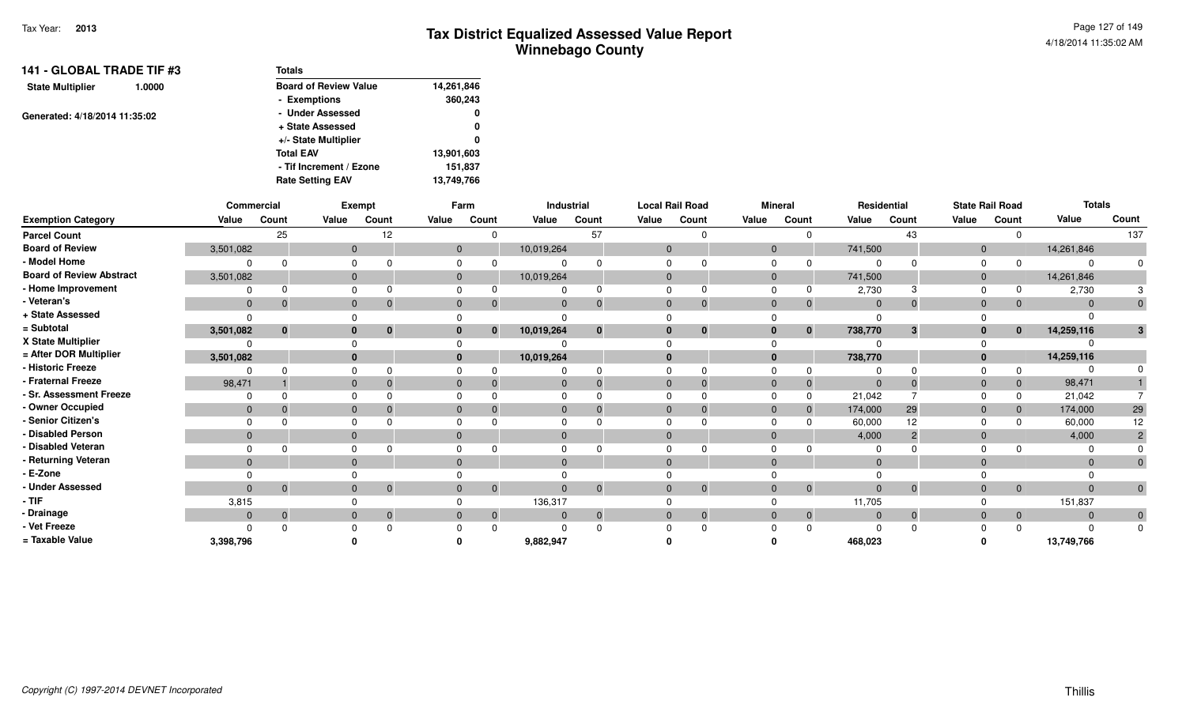| 141 - GLOBAL TRADE TIF #3         | <b>Totals</b>                |            |
|-----------------------------------|------------------------------|------------|
| <b>State Multiplier</b><br>1.0000 | <b>Board of Review Value</b> | 14,261,846 |
|                                   | - Exemptions                 | 360,243    |
| Generated: 4/18/2014 11:35:02     | - Under Assessed             | 0          |
|                                   | + State Assessed             | 0          |
|                                   | +/- State Multiplier         | 0          |
|                                   | <b>Total EAV</b>             | 13,901,603 |
|                                   | - Tif Increment / Ezone      | 151,837    |
|                                   | <b>Rate Setting EAV</b>      | 13,749,766 |

|                                 | Commercial   |              |              | Exempt   |              | Farm                             |            | Industrial     |          | <b>Local Rail Road</b> |                | <b>Mineral</b> | Residential    |          |              | <b>State Rail Road</b> | <b>Totals</b>  |                |
|---------------------------------|--------------|--------------|--------------|----------|--------------|----------------------------------|------------|----------------|----------|------------------------|----------------|----------------|----------------|----------|--------------|------------------------|----------------|----------------|
| <b>Exemption Category</b>       | Value        | Count        | Value        | Count    | Value        | Count                            | Value      | Count          | Value    | Count                  | Value          | Count          | Value          | Count    | Value        | Count                  | Value          | Count          |
| <b>Parcel Count</b>             |              | 25           |              | 12       |              | 0                                |            | 57             |          |                        |                |                |                | 43       |              | $\Omega$               |                | 137            |
| <b>Board of Review</b>          | 3,501,082    |              | $\mathbf{0}$ |          |              | $\mathbf{0}$                     | 10,019,264 |                | $\Omega$ |                        | $\overline{0}$ |                | 741,500        |          | $\mathbf 0$  |                        | 14,261,846     |                |
| - Model Home                    |              |              |              |          | $\Omega$     |                                  |            |                |          |                        | $\Omega$       |                | $\Omega$       |          | $\Omega$     |                        | $\Omega$       |                |
| <b>Board of Review Abstract</b> | 3,501,082    |              | $\Omega$     |          |              | $\mathbf{0}$                     | 10,019,264 |                | $\Omega$ |                        | $\mathbf{0}$   |                | 741,500        |          | $\mathbf 0$  |                        | 14,261,846     |                |
| - Home Improvement              |              |              |              |          |              |                                  |            |                |          |                        | $\Omega$       |                | 2,730          |          |              |                        | 2,730          |                |
| - Veteran's                     | $\mathbf{0}$ | $\mathbf{0}$ | $\Omega$     | $\Omega$ | $\mathbf{0}$ |                                  | $\Omega$   | $\mathbf{0}$   | $\Omega$ | $\Omega$               | $\overline{0}$ |                | $\overline{0}$ | $\Omega$ | $\Omega$     | $\overline{0}$         | $\mathbf{0}$   | $\mathbf{0}$   |
| + State Assessed                |              |              |              |          |              |                                  |            |                |          |                        |                |                | $\Omega$       |          |              |                        |                |                |
| = Subtotal                      | 3,501,082    | $\mathbf{0}$ |              | $\bf{0}$ | $\bf{0}$     | $\mathbf{0}$                     | 10,019,264 | $\bf{0}$       | $\bf{0}$ | $\bf{0}$               | $\bf{0}$       | $\mathbf{0}$   | 738,770        | 3        | 0            | $\mathbf{0}$           | 14,259,116     | 3              |
| X State Multiplier              |              |              |              |          |              |                                  |            |                |          |                        |                |                | $\Omega$       |          |              |                        |                |                |
| = After DOR Multiplier          | 3,501,082    |              |              |          |              |                                  | 10,019,264 |                |          |                        | $\mathbf{0}$   |                | 738,770        |          |              |                        | 14,259,116     |                |
| - Historic Freeze               |              | $\Omega$     |              |          |              |                                  |            | <sup>0</sup>   |          |                        |                |                | $\Omega$       |          |              |                        | $\Omega$       |                |
| - Fraternal Freeze              | 98,471       |              |              |          | $\mathbf{0}$ |                                  | $\Omega$   | $\Omega$       | $\Omega$ | $\Omega$               | $\overline{0}$ |                | $\overline{0}$ |          |              | $\overline{0}$         | 98,471         |                |
| - Sr. Assessment Freeze         |              |              |              |          |              |                                  |            |                |          |                        | $\Omega$       |                | 21,042         |          |              | $\Omega$               | 21,042         |                |
| - Owner Occupied                | $\Omega$     |              |              |          | $\Omega$     |                                  |            | 0              | $\Omega$ | $\Omega$               | $\overline{0}$ |                | 174,000        | 29       | 0            | $\overline{0}$         | 174,000        | 29             |
| - Senior Citizen's              |              |              |              |          |              |                                  |            |                |          |                        | $\Omega$       |                | 60,000         | 12       |              |                        | 60,000         | 12             |
| - Disabled Person               | $\mathbf{0}$ |              | $\Omega$     |          | $\Omega$     |                                  | $\Omega$   |                | $\Omega$ |                        | $\Omega$       |                | 4,000          |          | $\Omega$     |                        | 4,000          |                |
| - Disabled Veteran              |              |              |              |          |              |                                  |            |                |          |                        |                |                | $\Omega$       |          |              |                        |                |                |
| - Returning Veteran             | $\mathbf{0}$ |              | $\Omega$     |          | $\Omega$     |                                  | $\Omega$   |                |          |                        | $\Omega$       |                | $\mathbf{0}$   |          |              |                        | $\mathbf{0}$   |                |
| - E-Zone                        |              |              |              |          |              |                                  |            |                |          |                        |                |                | $\Omega$       |          |              |                        |                |                |
| - Under Assessed                | $\mathbf{0}$ | $\Omega$     |              | $\Omega$ |              | $\overline{0}$<br>$\overline{0}$ | $\Omega$   | $\mathbf{0}$   | $\Omega$ | $\mathbf{0}$           | $\overline{0}$ | $\overline{0}$ | $\Omega$       | $\Omega$ | $\mathbf{0}$ | $\overline{0}$         | $\mathbf{0}$   | $\overline{0}$ |
| - TIF                           | 3,815        |              |              |          |              |                                  | 136,317    |                |          |                        |                |                | 11,705         |          |              |                        | 151,837        |                |
| - Drainage                      | $\mathbf{0}$ | $\mathbf 0$  |              | $\Omega$ | $\mathbf{0}$ | $\mathbf 0$                      | $\Omega$   | $\overline{0}$ | $\Omega$ | $\mathbf{0}$           | $\overline{0}$ | $\mathbf{0}$   | $\Omega$       | $\Omega$ | $\Omega$     | $\overline{0}$         | $\overline{0}$ | $\mathbf{0}$   |
| - Vet Freeze                    |              | <sup>0</sup> |              |          |              |                                  |            |                |          | $\Omega$               |                |                | $\Omega$       |          |              | $\Omega$               | $\Omega$       | $\Omega$       |
| = Taxable Value                 | 3,398,796    |              |              |          |              |                                  | 9,882,947  |                |          |                        |                |                | 468,023        |          |              |                        | 13,749,766     |                |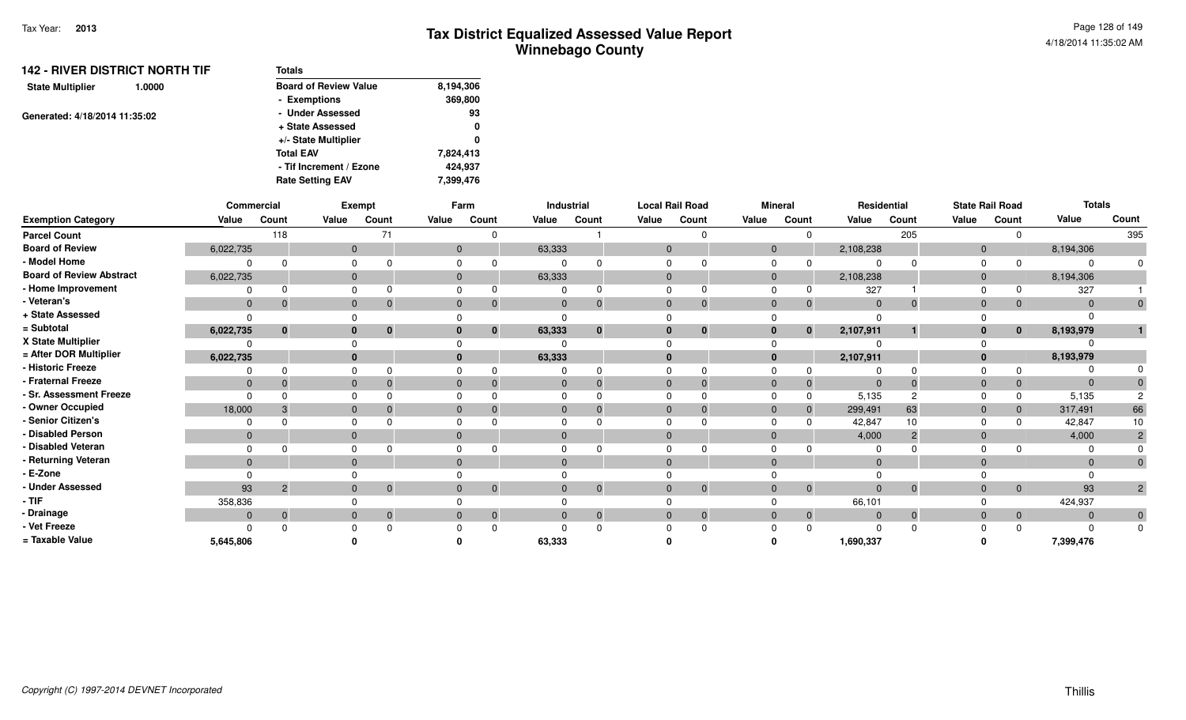| <b>142 - RIVER DISTRICT NORTH TIF</b> | <b>Totals</b>                |           |
|---------------------------------------|------------------------------|-----------|
| <b>State Multiplier</b><br>1.0000     | <b>Board of Review Value</b> | 8,194,306 |
|                                       | - Exemptions                 | 369,800   |
| Generated: 4/18/2014 11:35:02         | - Under Assessed             | 93        |
|                                       | + State Assessed             | 0         |
|                                       | +/- State Multiplier         | 0         |
|                                       | <b>Total EAV</b>             | 7,824,413 |
|                                       | - Tif Increment / Ezone      | 424.937   |
|                                       | <b>Rate Setting EAV</b>      | 7,399,476 |

|                                 | Commercial   |                |              | Exempt   |                | Farm         |              | Industrial     |          | <b>Local Rail Road</b> |                | <b>Mineral</b> | Residential    |          |                | <b>State Rail Road</b> | <b>Totals</b>  |                |
|---------------------------------|--------------|----------------|--------------|----------|----------------|--------------|--------------|----------------|----------|------------------------|----------------|----------------|----------------|----------|----------------|------------------------|----------------|----------------|
| <b>Exemption Category</b>       | Value        | Count          | Value        | Count    | Value          | Count        | Value        | Count          | Value    | Count                  | Value          | Count          | Value          | Count    | Value          | Count                  | Value          | Count          |
| <b>Parcel Count</b>             |              | 118            |              | 71       |                | U            |              |                |          |                        |                |                |                | 205      |                | $\Omega$               |                | 395            |
| <b>Board of Review</b>          | 6,022,735    |                | $\mathbf{0}$ |          | $\overline{0}$ |              | 63,333       |                | $\Omega$ |                        | $\overline{0}$ |                | 2,108,238      |          | $\mathbf 0$    |                        | 8,194,306      |                |
| - Model Home                    |              |                |              |          | $\Omega$       |              |              |                |          |                        | $\Omega$       |                | $\Omega$       |          | $\Omega$       |                        | $\Omega$       |                |
| <b>Board of Review Abstract</b> | 6,022,735    |                |              |          | $\mathbf{0}$   |              | 63,333       |                | 0        |                        | $\mathbf 0$    |                | 2,108,238      |          | $\mathbf 0$    |                        | 8,194,306      |                |
| - Home Improvement              |              |                |              |          |                |              |              |                |          |                        | $\Omega$       |                | 327            |          |                |                        | 327            |                |
| - Veteran's                     | $\mathbf{0}$ | $\Omega$       | $\Omega$     | $\Omega$ | $\mathbf{0}$   |              | $\mathbf{0}$ | $\mathbf{0}$   | $\Omega$ | $\Omega$               | $\overline{0}$ |                | $\overline{0}$ | 0        | $\Omega$       | $\mathbf{0}$           | $\Omega$       |                |
| + State Assessed                |              |                |              |          |                |              |              |                |          |                        |                |                | $\Omega$       |          |                |                        |                |                |
| = Subtotal                      | 6,022,735    | $\mathbf{0}$   |              | $\bf{0}$ | $\bf{0}$       | $\bf{0}$     | 63,333       | $\bf{0}$       | $\bf{0}$ | $\bf{0}$               | $\bf{0}$       | 0              | 2,107,911      |          | 0              | $\mathbf{0}$           | 8,193,979      |                |
| X State Multiplier              |              |                |              |          |                |              |              |                |          |                        |                |                |                |          |                |                        |                |                |
| = After DOR Multiplier          | 6,022,735    |                |              |          |                |              | 63,333       |                |          |                        | $\bf{0}$       |                | 2,107,911      |          |                |                        | 8,193,979      |                |
| - Historic Freeze               |              | O              |              |          |                |              |              |                |          |                        |                |                | $\Omega$       |          |                |                        | $\Omega$       |                |
| - Fraternal Freeze              | $\mathbf{0}$ |                |              |          | $\mathbf{0}$   |              | $\Omega$     | $\Omega$       | $\Omega$ | $\Omega$               | $\Omega$       |                | $\Omega$       |          |                | $\mathbf{0}$           | $\Omega$       |                |
| - Sr. Assessment Freeze         |              |                |              |          |                |              |              |                |          |                        |                |                | 5,135          |          |                | $\Omega$               | 5,135          |                |
| - Owner Occupied                | 18,000       |                |              |          | $\Omega$       |              |              | 0              |          |                        | $\Omega$       |                | 299,491        | 63       | $\Omega$       | $\overline{0}$         | 317,491        | 66             |
| - Senior Citizen's              |              |                |              |          |                |              |              |                |          |                        |                |                | 42,847         | 10       |                |                        | 42,847         | 10             |
| - Disabled Person               | $\mathbf{0}$ |                | $\Omega$     |          | $\overline{0}$ |              | $\Omega$     |                | $\Omega$ |                        | $\Omega$       |                | 4,000          |          | $\overline{0}$ |                        | 4,000          |                |
| - Disabled Veteran              |              |                |              |          |                |              |              |                |          |                        |                |                | $\Omega$       |          |                |                        |                |                |
| - Returning Veteran             | $\Omega$     |                |              |          | $\Omega$       |              | $\Omega$     |                |          |                        | $\Omega$       |                | $\Omega$       |          |                |                        | $\overline{0}$ |                |
| - E-Zone                        |              |                |              |          |                |              |              |                |          |                        |                |                | $\Omega$       |          |                |                        | $\Omega$       |                |
| - Under Assessed                | 93           | $\overline{2}$ | $\Omega$     | $\Omega$ | $\mathbf{0}$   | $\mathbf{0}$ | $\Omega$     | $\mathbf 0$    | $\Omega$ | $\Omega$               | $\overline{0}$ | $\mathbf{0}$   | $\overline{0}$ | $\Omega$ | $\mathbf{0}$   | $\overline{0}$         | 93             | $2^{\circ}$    |
| - TIF                           | 358,836      |                |              |          |                |              |              |                |          |                        |                |                | 66,101         |          |                |                        | 424,937        |                |
| - Drainage                      | $\mathbf{0}$ | $\mathbf{0}$   |              | $\Omega$ | $\mathbf{0}$   |              | $\Omega$     | $\overline{0}$ | $\Omega$ | $\Omega$               | $\overline{0}$ |                | $\Omega$       |          | $\overline{0}$ | $\overline{0}$         | $\overline{0}$ | $\overline{0}$ |
| - Vet Freeze                    |              | $\Omega$       |              |          |                |              |              |                |          |                        |                |                | $\Omega$       |          |                | $\Omega$               | $\Omega$       | $\Omega$       |
| = Taxable Value                 | 5,645,806    |                |              |          |                |              | 63,333       |                |          |                        |                |                | 1,690,337      |          |                |                        | 7,399,476      |                |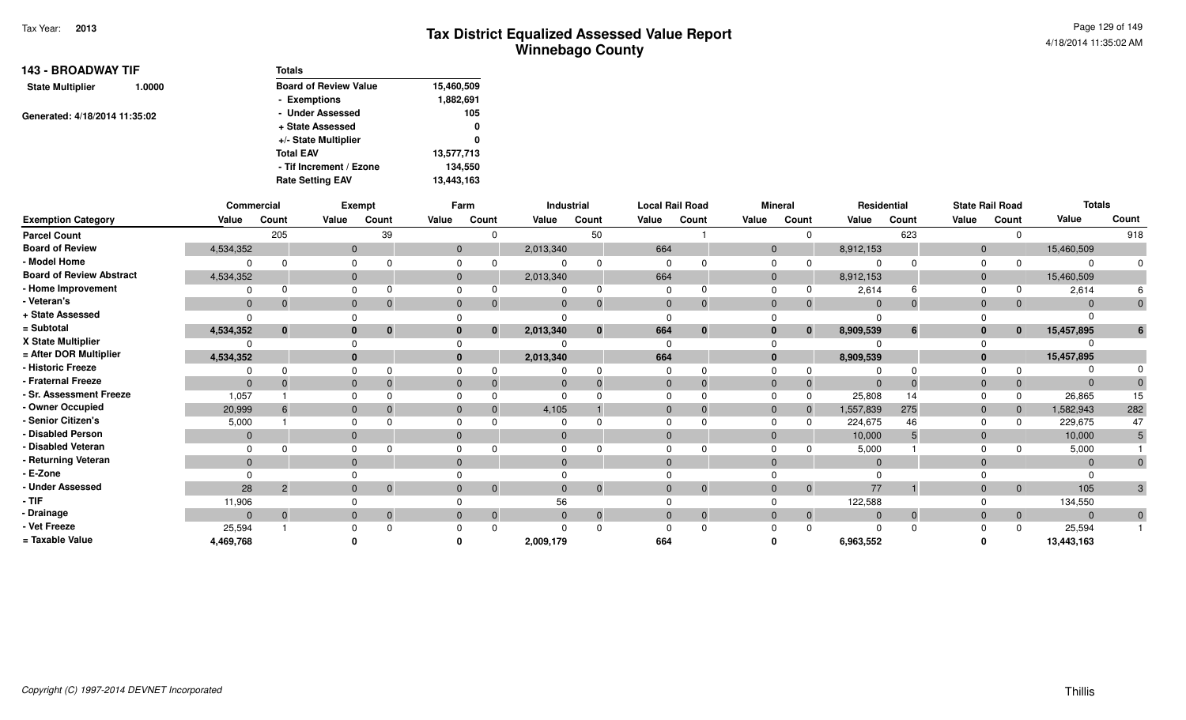| <b>143 - BROADWAY TIF</b>     |        | <b>Totals</b>                |            |
|-------------------------------|--------|------------------------------|------------|
| <b>State Multiplier</b>       | 1.0000 | <b>Board of Review Value</b> | 15,460,509 |
|                               |        | - Exemptions                 | 1,882,691  |
| Generated: 4/18/2014 11:35:02 |        | - Under Assessed             | 105        |
|                               |        | + State Assessed             | 0          |
|                               |        | +/- State Multiplier         | 0          |
|                               |        | <b>Total EAV</b>             | 13,577,713 |
|                               |        | - Tif Increment / Ezone      | 134,550    |
|                               |        | <b>Rate Setting EAV</b>      | 13,443,163 |

|                                 | Commercial     |                |       | <b>Exempt</b> |          |              | Farm         | Industrial   |                |              | <b>Local Rail Road</b> |                | <b>Mineral</b> | Residential |       |                | <b>State Rail Road</b> | <b>Totals</b>  |                |
|---------------------------------|----------------|----------------|-------|---------------|----------|--------------|--------------|--------------|----------------|--------------|------------------------|----------------|----------------|-------------|-------|----------------|------------------------|----------------|----------------|
| <b>Exemption Category</b>       | Value          | Count          | Value | Count         |          | Value        | Count        | Value        | Count          | Value        | Count                  | Value          | Count          | Value       | Count | Value          | Count                  | Value          | Count          |
| <b>Parcel Count</b>             |                | 205            |       |               | 39       |              |              |              | 50             |              |                        |                |                |             | 623   |                |                        |                | 918            |
| <b>Board of Review</b>          | 4,534,352      |                |       | $\mathbf{0}$  |          | $\mathbf{0}$ |              | 2,013,340    |                | 664          |                        | $\overline{0}$ |                | 8,912,153   |       | $\mathbf 0$    |                        | 15,460,509     |                |
| - Model Home                    |                |                |       |               |          |              |              |              |                | $\Omega$     |                        | $\Omega$       |                | $\Omega$    |       | $\Omega$       |                        | $\Omega$       |                |
| <b>Board of Review Abstract</b> | 4,534,352      |                |       | $\mathbf{0}$  |          | $\mathbf{0}$ |              | 2,013,340    |                | 664          |                        | $\overline{0}$ |                | 8,912,153   |       | $\mathbf{0}$   |                        | 15,460,509     |                |
| - Home Improvement              |                |                |       |               |          |              |              |              |                | $\Omega$     |                        | $\Omega$       |                | 2,614       |       | $\Omega$       |                        | 2,614          |                |
| - Veteran's                     | $\mathbf{0}$   |                |       | $\mathbf{0}$  |          | $\mathbf{0}$ |              | $\mathbf{0}$ | $\overline{0}$ | $\mathbf{0}$ | $\Omega$               | $\Omega$       |                | $\mathbf 0$ |       | $\mathbf{0}$   | $\mathbf{0}$           | $\Omega$       |                |
| + State Assessed                |                |                |       |               |          |              |              |              |                |              |                        |                |                | $\Omega$    |       |                |                        |                |                |
| = Subtotal                      | 4,534,352      | $\bf{0}$       |       | $\bf{0}$      | $\bf{0}$ |              | $\mathbf{0}$ | 2,013,340    | $\bf{0}$       | 664          | $\bf{0}$               | $\mathbf{0}$   | 0              | 8,909,539   | 6     | $\bf{0}$       | $\mathbf{0}$           | 15,457,895     |                |
| X State Multiplier              |                |                |       |               |          |              |              |              |                |              |                        |                |                |             |       |                |                        |                |                |
| = After DOR Multiplier          | 4,534,352      |                |       | $\bf{0}$      |          |              |              | 2,013,340    |                | 664          |                        |                |                | 8,909,539   |       |                |                        | 15,457,895     |                |
| - Historic Freeze               |                |                |       |               |          |              |              |              | $\Omega$       |              |                        |                |                |             |       |                |                        | $\Omega$       |                |
| - Fraternal Freeze              | $\Omega$       |                |       | $\Omega$      |          |              |              |              | $\Omega$       | $\Omega$     |                        | $\Omega$       |                | $\Omega$    |       |                | $\mathbf{0}$           | $\Omega$       |                |
| - Sr. Assessment Freeze         | 1,057          |                |       |               |          |              |              |              |                |              |                        |                |                | 25,808      | 14    |                |                        | 26,865         |                |
| - Owner Occupied                | 20,999         |                |       | $\Omega$      |          |              |              | 4,105        |                | $\Omega$     |                        | $\Omega$       |                | 1,557,839   | 275   | $\Omega$       | $\Omega$               | 1,582,943      | 282            |
| - Senior Citizen's              | 5,000          |                |       |               |          |              |              |              |                |              |                        | $\Omega$       |                | 224,675     | 46    |                |                        | 229,675        | 47             |
| <b>Disabled Person</b>          | $\overline{0}$ |                |       | $\Omega$      |          | $\Omega$     |              | $\Omega$     |                | $\Omega$     |                        | $\overline{0}$ |                | 10,000      |       | $\overline{0}$ |                        | 10,000         |                |
| Disabled Veteran                |                |                |       |               |          |              |              |              |                |              |                        | $\Omega$       |                | 5,000       |       |                |                        | 5,000          |                |
| - Returning Veteran             | $\Omega$       |                |       | $\Omega$      |          |              |              | $\Omega$     |                | $\Omega$     |                        | $\Omega$       |                | $\Omega$    |       |                |                        | $\overline{0}$ |                |
| - E-Zone                        |                |                |       |               |          |              |              |              |                |              |                        |                |                | $\Omega$    |       |                |                        |                |                |
| <b>Under Assessed</b>           | 28             | $\overline{2}$ |       | $\Omega$      | $\Omega$ | $\Omega$     | $\Omega$     |              | $\overline{0}$ | $\Omega$     | $\Omega$               | $\Omega$       | $\mathbf{0}$   | 77          |       | $\Omega$       | $\overline{0}$         | 105            | $\mathbf{3}$   |
| $-$ TIF                         | 11,906         |                |       |               |          |              |              | 56           |                |              |                        |                |                | 122,588     |       |                |                        | 134,550        |                |
| - Drainage                      | $\Omega$       | $\mathbf{0}$   |       | $\Omega$      |          | $\mathbf{0}$ | $\Omega$     |              | $\overline{0}$ | $\Omega$     | $\Omega$               | $\Omega$       |                | $\Omega$    | 0     | $\overline{0}$ | $\overline{0}$         | $\overline{0}$ | $\overline{0}$ |
| - Vet Freeze                    | 25,594         |                |       |               |          |              |              |              |                |              |                        |                |                | $\Omega$    |       |                | $\Omega$               | 25,594         |                |
| = Taxable Value                 | 4,469,768      |                |       |               |          |              |              | 2,009,179    |                | 664          |                        |                |                | 6,963,552   |       |                |                        | 13,443,163     |                |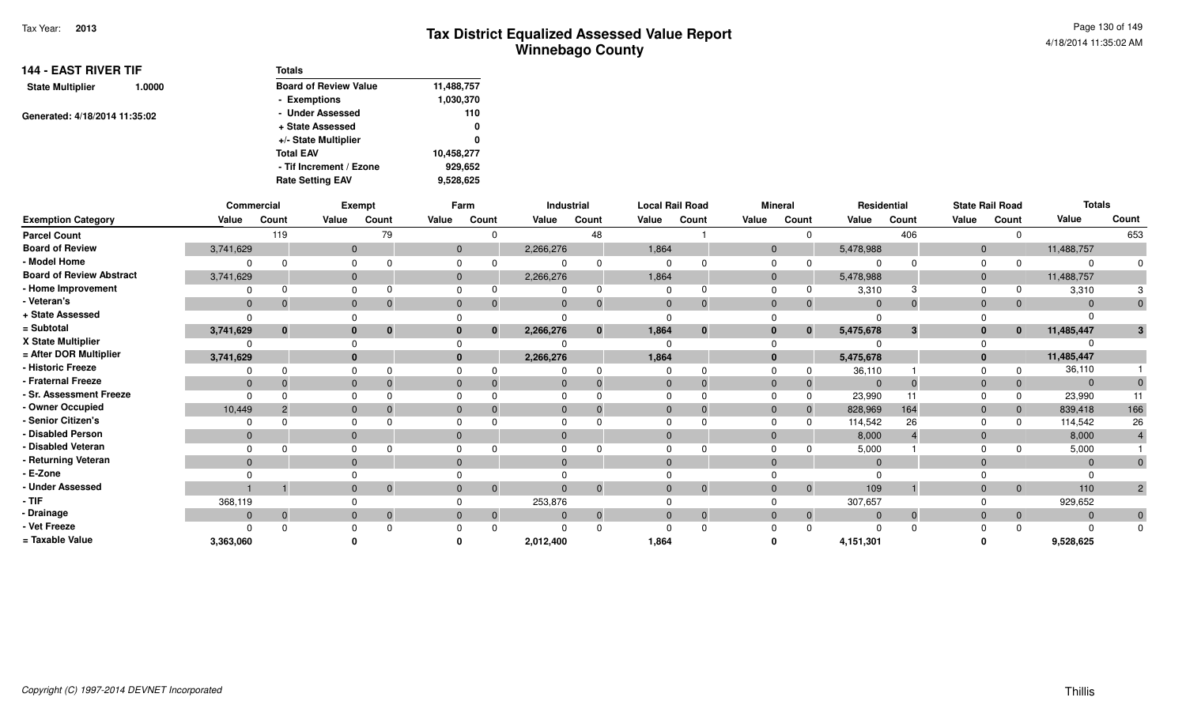| <b>144 - EAST RIVER TIF</b> |                               | <b>Totals</b>                |            |
|-----------------------------|-------------------------------|------------------------------|------------|
| <b>State Multiplier</b>     | 1.0000                        | <b>Board of Review Value</b> | 11,488,757 |
|                             |                               | - Exemptions                 | 1,030,370  |
|                             |                               | - Under Assessed             | 110        |
|                             | Generated: 4/18/2014 11:35:02 | + State Assessed             | 0          |
|                             |                               | +/- State Multiplier         | 0          |
|                             |                               | <b>Total EAV</b>             | 10,458,277 |
|                             |                               | - Tif Increment / Ezone      | 929,652    |
|                             |                               | <b>Rate Setting EAV</b>      | 9,528,625  |

|                                 | Commercial   |              |       | <b>Exempt</b> |          | Farm                           |           | Industrial     |                | <b>Local Rail Road</b> |                | <b>Mineral</b> | Residential  |          |                | <b>State Rail Road</b> | <b>Totals</b>  |              |
|---------------------------------|--------------|--------------|-------|---------------|----------|--------------------------------|-----------|----------------|----------------|------------------------|----------------|----------------|--------------|----------|----------------|------------------------|----------------|--------------|
| <b>Exemption Category</b>       | Value        | Count        | Value | Count         | Value    | Count                          | Value     | Count          | Value          | Count                  | Value          | Count          | Value        | Count    | Value          | Count                  | Value          | Count        |
| <b>Parcel Count</b>             |              | 119          |       | 79            |          |                                |           | 48             |                |                        |                |                |              | 406      |                |                        |                | 653          |
| <b>Board of Review</b>          | 3,741,629    |              |       | $\mathbf{0}$  |          | $\mathbf{0}$                   | 2,266,276 |                | 1,864          |                        | $\overline{0}$ |                | 5,478,988    |          | $\mathbf{0}$   |                        | 11,488,757     |              |
| - Model Home                    |              | n            |       |               | $\Omega$ |                                |           |                | $\Omega$       |                        | $\Omega$       |                | $\Omega$     |          | $\Omega$       |                        | $\Omega$       |              |
| <b>Board of Review Abstract</b> | 3,741,629    |              |       |               |          | $\Omega$                       | 2,266,276 |                | 1,864          |                        | $\Omega$       |                | 5,478,988    |          | $\mathbf 0$    |                        | 11,488,757     |              |
| - Home Improvement              |              |              |       |               | $\Omega$ |                                |           |                |                |                        | $\Omega$       |                | 3,310        |          |                |                        | 3,310          |              |
| - Veteran's                     | $\mathbf{0}$ | $\Omega$     |       | $\Omega$      |          | $\mathbf{0}$                   | $\Omega$  | $\overline{0}$ | $\overline{0}$ | $\Omega$               | $\Omega$       |                | $\mathbf{0}$ |          | $\Omega$       | $\mathbf{0}$           | $\Omega$       |              |
| + State Assessed                |              |              |       |               |          |                                |           |                |                |                        |                |                | $\Omega$     |          |                |                        |                |              |
| = Subtotal                      | 3,741,629    | $\mathbf{0}$ |       | 0             |          | $\bf{0}$                       | 2,266,276 | $\bf{0}$       | 1,864          | $\bf{0}$               | 0              |                | 5,475,678    | 3        | 0              | $\mathbf{0}$           | 11,485,447     | 3            |
| X State Multiplier              |              |              |       |               |          |                                |           |                |                |                        |                |                |              |          |                |                        |                |              |
| = After DOR Multiplier          | 3,741,629    |              |       |               |          |                                | 2,266,276 |                | 1,864          |                        | $\bf{0}$       |                | 5,475,678    |          |                |                        | 11,485,447     |              |
| - Historic Freeze               |              |              |       |               |          |                                |           |                |                |                        |                |                | 36,110       |          |                | 0                      | 36,110         |              |
| - Fraternal Freeze              | $\Omega$     |              |       |               |          | $\mathbf{0}$                   |           | $\Omega$       | $\Omega$       | $\Omega$               | $\overline{0}$ |                | $\mathbf{0}$ |          |                | $\mathbf{0}$           | $\overline{0}$ |              |
| - Sr. Assessment Freeze         |              |              |       |               |          |                                |           |                |                |                        |                |                | 23,990       |          |                |                        | 23,990         | 11           |
| - Owner Occupied                | 10,449       |              |       |               |          | 0                              |           |                | 0              |                        | $\overline{0}$ |                | 828,969      | 164      | $\overline{0}$ | $\overline{0}$         | 839,418        | 166          |
| - Senior Citizen's              |              |              |       |               |          |                                |           |                |                |                        | $\Omega$       |                | 114,542      | 26       |                | $\Omega$               | 114,542        | 26           |
| - Disabled Person               | $\mathbf{0}$ |              |       |               | $\Omega$ |                                | $\Omega$  |                |                |                        | $\Omega$       |                | 8,000        |          |                |                        | 8,000          |              |
| - Disabled Veteran              |              |              |       |               |          |                                |           |                |                |                        |                |                | 5,000        |          |                |                        | 5,000          |              |
| - Returning Veteran             | $\Omega$     |              |       | $\Omega$      | $\Omega$ |                                | $\Omega$  |                |                |                        | $\Omega$       |                | $\Omega$     |          |                |                        | $\Omega$       |              |
| - E-Zone                        |              |              |       |               |          |                                |           |                |                |                        |                |                |              |          |                |                        |                |              |
| - Under Assessed                |              |              |       | $\Omega$      |          | $\overline{0}$<br>$\Omega$     | $\Omega$  | $\mathbf 0$    | $\Omega$       | $\Omega$               | $\Omega$       | $\mathbf{0}$   | 109          |          | $\Omega$       | $\overline{0}$         | 110            | $2^{\circ}$  |
| - TIF                           | 368,119      |              |       |               |          |                                | 253,876   |                |                |                        |                |                | 307,657      |          |                |                        | 929,652        |              |
| - Drainage                      | $\mathbf{0}$ | $\mathbf{0}$ |       | $\Omega$      |          | $\mathbf{0}$<br>$\overline{0}$ | $\Omega$  | $\overline{0}$ | $\Omega$       | $\Omega$               | $\overline{0}$ | $\mathbf{0}$   | $\Omega$     | $\Omega$ | $\overline{0}$ | $\overline{0}$         | $\overline{0}$ | $\mathbf{0}$ |
| - Vet Freeze                    |              |              |       |               |          |                                |           |                |                |                        |                |                |              |          |                |                        |                | $\mathbf{0}$ |
| = Taxable Value                 | 3,363,060    |              |       |               |          |                                | 2,012,400 |                | 1,864          |                        |                |                | 4,151,301    |          |                |                        | 9,528,625      |              |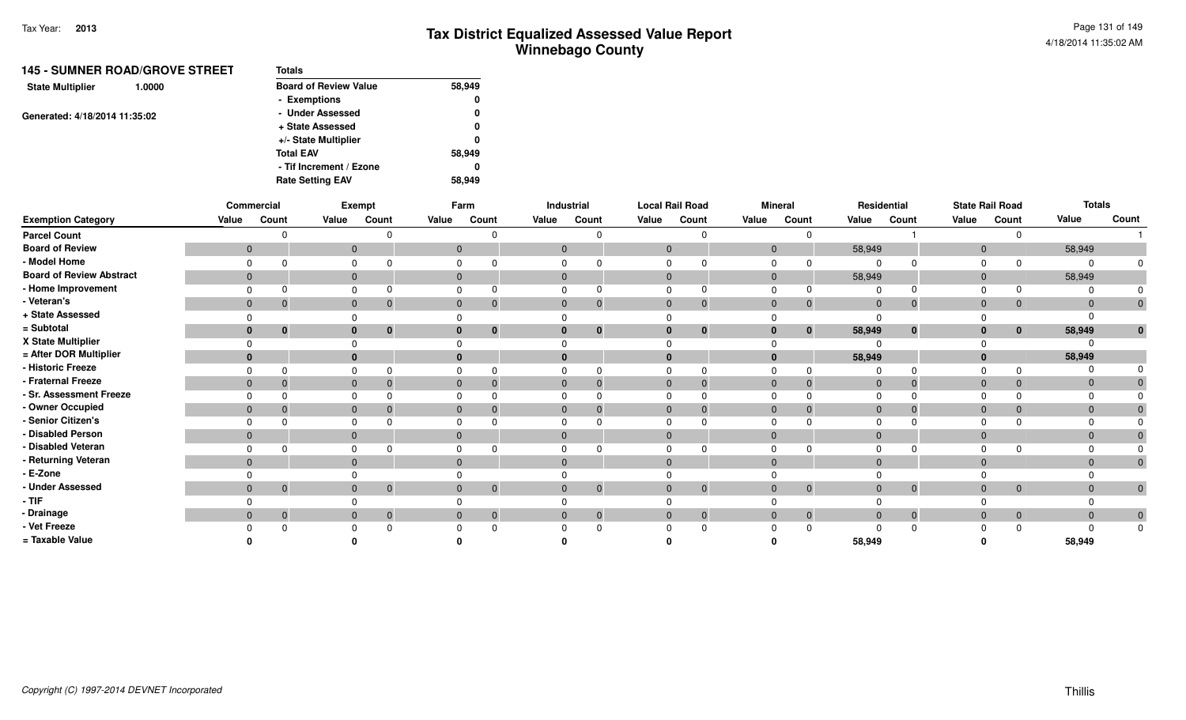| <b>145 - SUMNER ROAD/GROVE STREET</b> | Totals                       |        |
|---------------------------------------|------------------------------|--------|
| <b>State Multiplier</b><br>1.0000     | <b>Board of Review Value</b> | 58,949 |
|                                       | - Exemptions                 | 0      |
| Generated: 4/18/2014 11:35:02         | - Under Assessed             | 0      |
|                                       | + State Assessed             | 0      |
|                                       | +/- State Multiplier         | 0      |
|                                       | <b>Total EAV</b>             | 58,949 |
|                                       | - Tif Increment / Ezone      | 0      |
|                                       | <b>Rate Setting EAV</b>      | 58.949 |

|                                 |              | Commercial     |                | Exempt         |              | Farm                        |              | Industrial     | <b>Local Rail Road</b> |          |                | <b>Mineral</b> |                | Residential    |                | <b>State Rail Road</b> |        | <b>Totals</b>  |
|---------------------------------|--------------|----------------|----------------|----------------|--------------|-----------------------------|--------------|----------------|------------------------|----------|----------------|----------------|----------------|----------------|----------------|------------------------|--------|----------------|
| <b>Exemption Category</b>       | Value        | Count          | Value          | Count          | Value        | Count                       | Value        | Count          | Value                  | Count    | Value          | Count          | Value          | Count          | Value          | Count                  | Value  | Count          |
| <b>Parcel Count</b>             |              | $\Omega$       |                |                |              |                             |              |                |                        |          |                | $\Omega$       |                |                |                |                        |        |                |
| <b>Board of Review</b>          | $\mathbf{0}$ |                | $\mathbf{0}$   |                | $\mathbf 0$  |                             | $\mathbf{0}$ |                | $\mathbf{0}$           |          | $\mathbf{0}$   |                | 58,949         |                | $\overline{0}$ |                        | 58,949 |                |
| - Model Home                    |              |                | $\Omega$       |                |              |                             |              |                |                        |          |                |                |                |                |                |                        |        |                |
| <b>Board of Review Abstract</b> | $\mathbf{0}$ |                |                | $\mathbf{0}$   | $\mathbf{0}$ |                             | $\mathbf{0}$ |                | $\mathbf{0}$           |          | $\mathbf{0}$   |                | 58,949         |                | $\Omega$       |                        | 58,949 |                |
| - Home Improvement              | 0            | $\Omega$       | $\Omega$       |                |              |                             | $\Omega$     |                |                        |          |                | $\Omega$       |                |                |                |                        |        |                |
| - Veteran's                     | $\mathbf{0}$ | $\mathbf 0$    | $\mathbf 0$    | $\Omega$       | $\mathbf{0}$ | 0                           | $\mathbf{0}$ | $\Omega$       | $\mathbf{0}$           |          | $\mathbf{0}$   | $\overline{0}$ | $\mathbf{0}$   | 0              | $\mathbf{0}$   | $\overline{0}$         |        |                |
| + State Assessed                |              |                | $\Omega$       |                |              |                             | $\Omega$     |                |                        |          |                |                |                |                |                |                        |        |                |
| = Subtotal                      | $\bf{0}$     | $\mathbf{0}$   | $\mathbf 0$    | $\mathbf{0}$   | $\bf{0}$     | $\mathbf 0$                 | $\mathbf{0}$ | $\bf{0}$       | $\bf{0}$               | $\bf{0}$ | 0              | $\mathbf{0}$   | 58,949         | $\bf{0}$       |                | $\bf{0}$               | 58,949 |                |
| X State Multiplier              |              |                | $\Omega$       |                |              |                             |              |                |                        |          |                |                |                |                |                |                        |        |                |
| = After DOR Multiplier          | $\mathbf{0}$ |                |                | $\mathbf{0}$   |              |                             | $\mathbf{0}$ |                | $\bf{0}$               |          |                |                | 58,949         |                |                |                        | 58,949 |                |
| - Historic Freeze               |              | $\Omega$       | $\Omega$       |                |              |                             |              |                |                        |          |                | $\Omega$       |                |                |                |                        |        |                |
| - Fraternal Freeze              | $\mathbf{0}$ | $\Omega$       | $\mathbf 0$    |                | $\mathbf{0}$ |                             | $\mathbf{0}$ |                | $\Omega$               |          |                | $\Omega$       | $\Omega$       |                |                | $\overline{0}$         |        |                |
| - Sr. Assessment Freeze         |              |                | $\Omega$       |                |              |                             |              |                |                        |          |                |                |                |                |                |                        |        |                |
| - Owner Occupied                | $\Omega$     | $\Omega$       | $\overline{0}$ |                | $\Omega$     |                             | $\Omega$     |                | $\Omega$               |          |                | $\Omega$       | $\Omega$       |                |                | $\overline{0}$         |        |                |
| - Senior Citizen's              |              |                |                |                |              |                             |              |                |                        |          |                |                |                |                |                |                        |        |                |
| - Disabled Person               | $\mathbf{0}$ |                | $\mathbf{0}$   |                | $\Omega$     |                             | $\mathbf{0}$ |                | $\Omega$               |          | $\overline{0}$ |                | $\Omega$       |                | $\Omega$       |                        |        |                |
| - Disabled Veteran              | 0            |                | $\Omega$       |                |              |                             | $\Omega$     |                |                        |          |                |                |                |                |                |                        |        |                |
| - Returning Veteran             | $\Omega$     |                | $\mathbf{0}$   |                | $\Omega$     |                             | $\mathbf{0}$ |                | $\Omega$               |          |                |                | $\Omega$       |                | $\Omega$       |                        |        |                |
| - E-Zone                        |              |                | $\Omega$       |                |              |                             | $\Omega$     |                |                        |          |                |                |                |                |                |                        |        |                |
| - Under Assessed                | $\mathbf{0}$ | $\overline{0}$ | $\mathbf{0}$   | $\overline{0}$ |              | $\mathbf{0}$<br>$\mathbf 0$ | $\mathbf{0}$ | $\overline{0}$ | $\Omega$               | $\Omega$ |                | $\overline{0}$ | $\overline{0}$ | $\overline{0}$ | $\Omega$       | $\overline{0}$         |        | $\overline{0}$ |
| - TIF                           |              |                |                |                |              |                             |              |                |                        |          |                |                |                |                |                |                        |        |                |
| - Drainage                      | $\mathbf{0}$ | $\mathbf{0}$   | $\mathbf{0}$   | $\mathbf{0}$   | $\mathbf{0}$ | $\mathbf{0}$                | $\mathbf{0}$ | $\overline{0}$ | $\mathbf{0}$           |          |                | $\overline{0}$ | $\mathbf{0}$   |                |                | $\overline{0}$         |        | $\overline{0}$ |
| - Vet Freeze                    |              | $\Omega$       |                |                |              |                             |              |                |                        |          |                | $\Omega$       |                |                |                |                        |        | $\mathbf{0}$   |
| = Taxable Value                 |              |                |                |                |              |                             |              |                |                        |          |                |                | 58,949         |                |                |                        | 58,949 |                |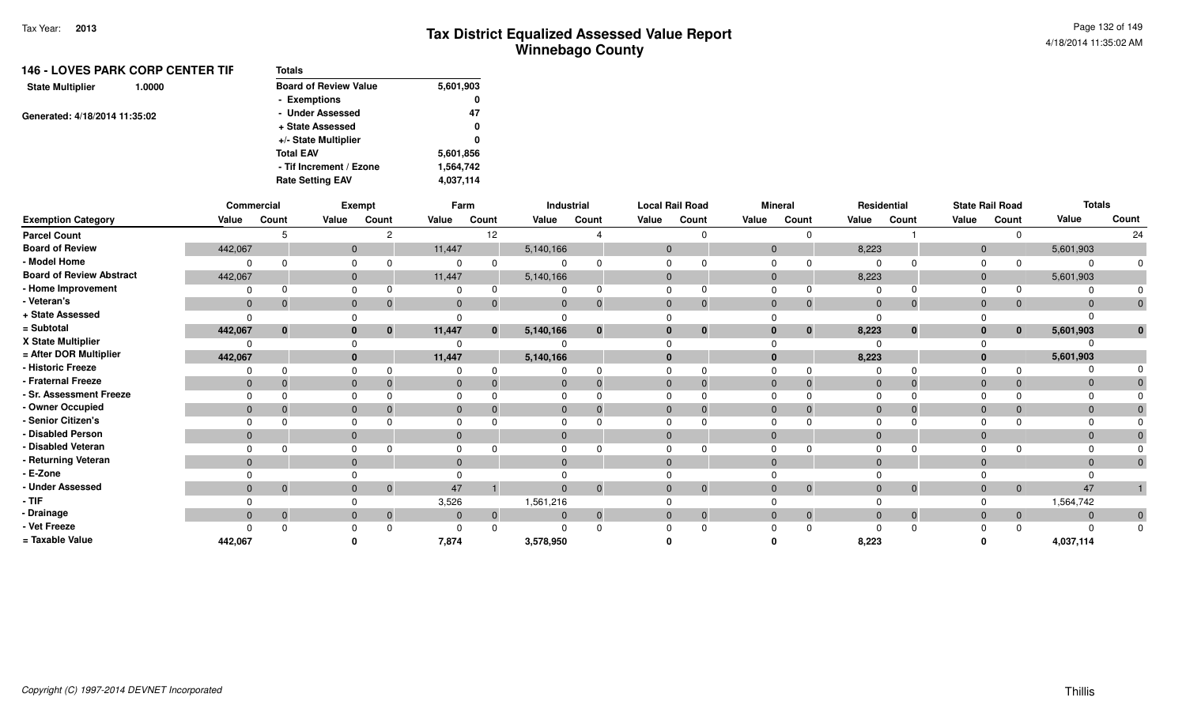| <b>146 - LOVES PARK CORP CENTER TIF</b> |        | Totals                       |           |
|-----------------------------------------|--------|------------------------------|-----------|
| <b>State Multiplier</b>                 | 1.0000 | <b>Board of Review Value</b> | 5,601,903 |
|                                         |        | - Exemptions                 | 0         |
| Generated: 4/18/2014 11:35:02           |        | - Under Assessed             | 47        |
|                                         |        | + State Assessed             | 0         |
|                                         |        | +/- State Multiplier         | 0         |
|                                         |        | <b>Total EAV</b>             | 5,601,856 |
|                                         |        | - Tif Increment / Ezone      | 1,564,742 |
|                                         |        | <b>Rate Setting EAV</b>      | 4,037,114 |
|                                         |        |                              |           |

|                                 |                | Commercial   |                | Exempt                      |              | Farm           |                | Industrial   | <b>Local Rail Road</b> |          |              | <b>Mineral</b> |                | Residential    |              | <b>State Rail Road</b> | <b>Totals</b> |                |
|---------------------------------|----------------|--------------|----------------|-----------------------------|--------------|----------------|----------------|--------------|------------------------|----------|--------------|----------------|----------------|----------------|--------------|------------------------|---------------|----------------|
| <b>Exemption Category</b>       | Value          | Count        | Value          | Count                       | Value        | Count          | Value          | Count        | Value                  | Count    | Value        | Count          | Value          | Count          | Value        | Count                  | Value         | Count          |
| <b>Parcel Count</b>             |                |              |                | 2                           |              | 12             |                |              |                        | $\Omega$ |              | $\Omega$       |                |                |              |                        |               | 24             |
| <b>Board of Review</b>          | 442,067        |              | $\overline{0}$ |                             | 11,447       |                | 5,140,166      |              | $\mathbf{0}$           |          | $\mathbf{0}$ |                | 8,223          |                | $\mathbf{0}$ |                        | 5,601,903     |                |
| - Model Home                    |                |              |                |                             |              | 0              | $\Omega$       |              |                        |          |              |                |                |                |              |                        |               |                |
| <b>Board of Review Abstract</b> | 442,067        |              |                | $\mathbf 0$                 | 11,447       |                | 5,140,166      |              | 0                      |          | $\mathbf{0}$ |                | 8,223          |                | $\mathbf{0}$ |                        | 5,601,903     |                |
| - Home Improvement              | $\Omega$       |              | $\Omega$       |                             | $\Omega$     |                |                |              |                        |          |              |                |                |                |              |                        |               |                |
| - Veteran's                     | $\mathbf{0}$   | $\mathbf{0}$ | $\mathbf 0$    |                             | $\mathbf{0}$ | $\mathbf{0}$   | $\mathbf{0}$   |              | $\Omega$               | $\Omega$ | $\Omega$     | $\mathbf{0}$   | $\mathbf 0$    | $\mathbf 0$    | $\Omega$     | $\overline{0}$         |               |                |
| + State Assessed                |                |              |                |                             |              |                |                |              |                        |          |              |                |                |                |              |                        |               |                |
| = Subtotal                      | 442,067        | $\mathbf{0}$ |                | $\mathbf{0}$<br>$\bf{0}$    | 11,447       | $\mathbf{0}$   | 5,140,166      | $\bf{0}$     |                        | $\bf{0}$ |              | $\mathbf{0}$   | 8,223          | $\bf{0}$       |              | $\mathbf{0}$           | 5,601,903     |                |
| X State Multiplier              |                |              |                |                             |              |                |                |              |                        |          |              |                |                |                |              |                        |               |                |
| = After DOR Multiplier          | 442,067        |              | $\bf{0}$       |                             | 11,447       |                | 5,140,166      |              |                        |          |              |                | 8,223          |                |              |                        | 5,601,903     |                |
| - Historic Freeze               | $\Omega$       | $\Omega$     |                |                             |              | $\Omega$       |                |              |                        |          |              |                |                |                |              | $\Omega$               |               |                |
| - Fraternal Freeze              | $\mathbf 0$    |              | $\mathbf{0}$   |                             | $\mathbf{0}$ |                | $\mathbf{0}$   |              | $\Omega$               |          |              | $\Omega$       | $\mathbf{0}$   |                |              | $\mathbf 0$            |               |                |
| - Sr. Assessment Freeze         | $\Omega$       |              | <sup>0</sup>   |                             |              |                |                |              |                        |          |              |                |                |                |              |                        |               |                |
| - Owner Occupied                | $\mathbf 0$    | $\Omega$     | $\mathbf{0}$   |                             | $\Omega$     |                | $\Omega$       |              |                        |          |              | $\Omega$       | $\Omega$       |                |              | $\mathbf{0}$           |               |                |
| - Senior Citizen's              |                |              |                |                             |              |                |                |              |                        |          |              |                |                |                |              |                        |               |                |
| - Disabled Person               | $\overline{0}$ |              | $\Omega$       |                             | $\Omega$     |                | $\Omega$       |              |                        |          | $\Omega$     |                |                |                | $\Omega$     |                        |               |                |
| - Disabled Veteran              |                |              |                |                             |              |                | $\Omega$       |              |                        |          |              |                |                |                |              |                        |               |                |
| - Returning Veteran             | $\Omega$       |              | $\Omega$       |                             | $\Omega$     |                | $\Omega$       |              |                        |          | $\Omega$     |                | $\Omega$       |                | $\Omega$     |                        |               |                |
| - E-Zone                        |                |              |                |                             |              |                |                |              |                        |          |              |                |                |                |              |                        |               |                |
| - Under Assessed                | $\mathbf{0}$   | $\mathbf 0$  |                | $\mathbf{0}$<br>$\mathbf 0$ | 47           |                | $\overline{0}$ | $\Omega$     | $\Omega$               | $\Omega$ |              | $\mathbf 0$    | $\overline{0}$ | $\mathbf{0}$   | $\Omega$     | $\overline{0}$         | 47            |                |
| $-$ TIF                         |                |              |                |                             | 3,526        |                | 1,561,216      |              |                        |          |              |                |                |                |              |                        | 1,564,742     |                |
| - Drainage                      | $\mathbf{0}$   | $\mathbf 0$  | $\mathbf{0}$   |                             | $\mathbf{0}$ | $\overline{0}$ | $\Omega$       | $\mathbf{0}$ | $\Omega$               | $\Omega$ |              | $\mathbf 0$    | $\Omega$       | $\overline{0}$ | $\Omega$     | $\overline{0}$         |               | $\overline{0}$ |
| - Vet Freeze                    |                | $\Omega$     |                |                             | $\cap$       |                |                |              |                        | $\Omega$ |              | <sup>0</sup>   |                |                |              |                        |               | $\Omega$       |
| = Taxable Value                 | 442,067        |              |                |                             | 7,874        |                | 3,578,950      |              |                        |          |              |                | 8,223          |                |              |                        | 4,037,114     |                |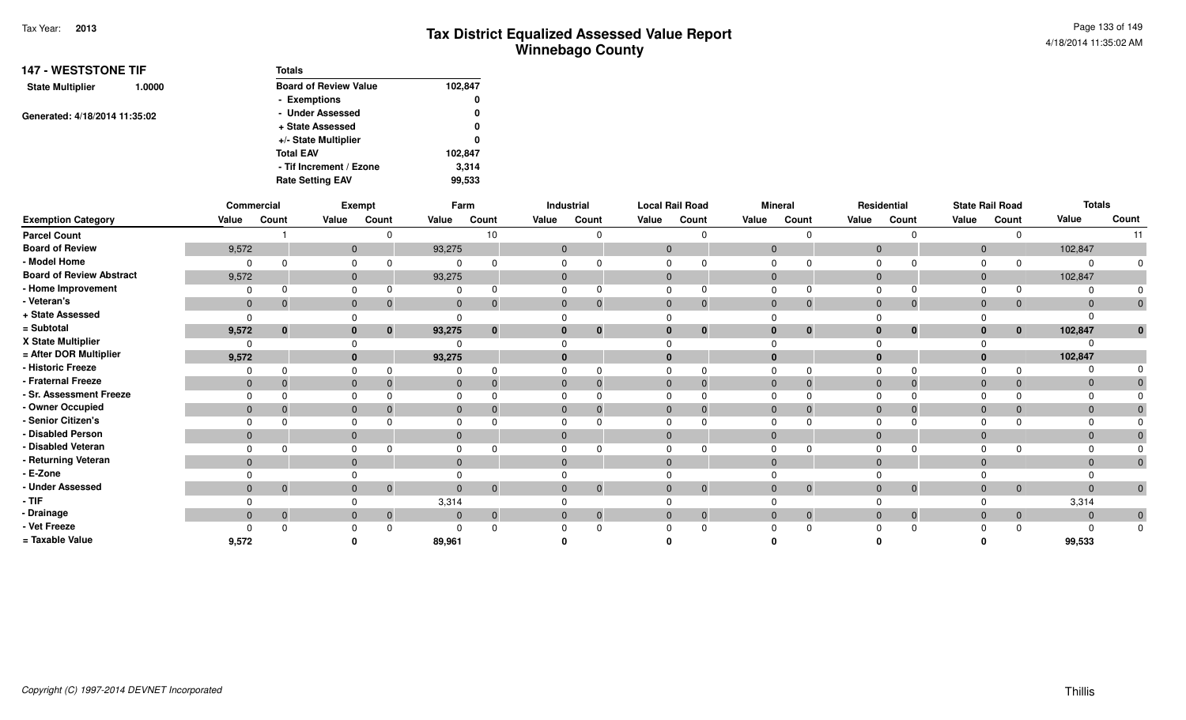| <b>147 - WESTSTONE TIF</b><br><b>State Multiplier</b><br>1.0000<br>Generated: 4/18/2014 11:35:02 | <b>Totals</b> |                              |         |
|--------------------------------------------------------------------------------------------------|---------------|------------------------------|---------|
|                                                                                                  |               | <b>Board of Review Value</b> | 102,847 |
|                                                                                                  |               | - Exemptions                 | 0       |
|                                                                                                  |               | - Under Assessed             | 0       |
|                                                                                                  |               | + State Assessed             | 0       |
|                                                                                                  |               | +/- State Multiplier         | 0       |
|                                                                                                  |               | <b>Total EAV</b>             | 102,847 |
|                                                                                                  |               | - Tif Increment / Ezone      | 3.314   |
|                                                                                                  |               | <b>Rate Setting EAV</b>      | 99.533  |

|                                 | <b>Commercial</b> |              |              | Exempt       |              | Farm           |              | Industrial     |                | <b>Local Rail Road</b> |                | <b>Mineral</b> |                | Residential    |              | <b>State Rail Road</b> | <b>Totals</b>  |                |
|---------------------------------|-------------------|--------------|--------------|--------------|--------------|----------------|--------------|----------------|----------------|------------------------|----------------|----------------|----------------|----------------|--------------|------------------------|----------------|----------------|
| <b>Exemption Category</b>       | Value             | Count        | Value        | Count        | Value        | Count          | Value        | Count          | Value          | Count                  | Value          | Count          | Value          | Count          | Value        | Count                  | Value          | Count          |
| <b>Parcel Count</b>             |                   |              |              |              |              | 10             |              |                |                |                        |                |                |                |                |              |                        |                | 11             |
| <b>Board of Review</b>          | 9,572             |              | $\mathbf{0}$ |              | 93,275       |                | $\Omega$     |                | $\mathbf 0$    |                        | $\overline{0}$ |                | $\mathbf 0$    |                | $\mathbf 0$  |                        | 102,847        |                |
| - Model Home                    |                   |              |              |              |              |                |              |                |                |                        | $\Omega$       |                | $\Omega$       |                |              |                        | $\Omega$       |                |
| <b>Board of Review Abstract</b> | 9,572             |              | $\mathbf{0}$ |              | 93,275       |                | $\mathbf{0}$ |                | $\mathbf 0$    |                        | $\overline{0}$ |                | $\overline{0}$ |                | $\mathbf 0$  |                        | 102,847        |                |
| - Home Improvement              | $\Omega$          |              |              |              |              |                | $\Omega$     |                |                |                        | $\Omega$       |                | $\Omega$       |                |              |                        | $\Omega$       |                |
| - Veteran's                     | $\mathbf{0}$      | $\mathbf{0}$ | $\mathbf{0}$ | $\Omega$     | $\mathbf{0}$ | $\Omega$       | $\mathbf{0}$ | $\mathbf 0$    | $\Omega$       | $\Omega$               | $\overline{0}$ |                | $\mathbf{0}$   | $\Omega$       | $\mathbf{0}$ | $\overline{0}$         | $\overline{0}$ | $\mathbf{0}$   |
| + State Assessed                | $\Omega$          |              |              |              |              |                |              |                |                |                        |                |                | 0              |                |              |                        |                |                |
| = Subtotal                      | 9,572             | $\bf{0}$     |              | $\mathbf 0$  | 93,275       | $\mathbf{0}$   | $\Omega$     | $\bf{0}$       | $\bf{0}$       | $\bf{0}$               | $\bf{0}$       | 0              | $\bf{0}$       | $\mathbf{0}$   |              | $\mathbf{0}$           | 102,847        | $\bf{0}$       |
| X State Multiplier              |                   |              |              |              |              |                |              |                |                |                        |                |                | $\Omega$       |                |              |                        |                |                |
| = After DOR Multiplier          | 9,572             |              |              |              | 93,275       |                |              |                |                |                        | $\mathbf{0}$   |                | $\bf{0}$       |                |              |                        | 102,847        |                |
| - Historic Freeze               |                   | ŋ            |              |              |              |                |              |                |                |                        |                |                | $\Omega$       |                |              |                        |                |                |
| - Fraternal Freeze              | $\mathbf{0}$      |              |              |              | $\mathbf{0}$ |                | $\Omega$     | $\Omega$       | $\Omega$       | $\Omega$               | $\overline{0}$ |                | $\mathbf{0}$   |                | 0            | $\overline{0}$         | $\overline{0}$ |                |
| - Sr. Assessment Freeze         |                   |              |              |              |              |                |              |                |                |                        |                |                | $\Omega$       |                |              |                        | $\Omega$       |                |
| - Owner Occupied                | $\mathbf{0}$      | $\Omega$     |              |              | $\mathbf{0}$ |                |              | 0              | $\mathbf 0$    | $\Omega$               | $\mathbf{0}$   |                | $\mathbf{0}$   |                | $\Omega$     | $\mathbf{0}$           | $\mathbf{0}$   |                |
| - Senior Citizen's              |                   |              |              |              |              |                |              |                |                |                        |                |                | $\Omega$       |                |              |                        | $\Omega$       |                |
| - Disabled Person               | $\overline{0}$    |              |              |              | $\Omega$     |                | $\Omega$     |                | $\Omega$       |                        | $\Omega$       |                | $\Omega$       |                |              |                        | $\Omega$       |                |
| - Disabled Veteran              |                   |              |              |              |              |                |              |                |                |                        |                |                | $\Omega$       |                |              |                        |                |                |
| - Returning Veteran             | $\Omega$          |              | $\Omega$     |              | $\Omega$     |                | $\Omega$     |                | $\Omega$       |                        | $\Omega$       |                | $\overline{0}$ |                |              |                        | $\Omega$       | $\overline{0}$ |
| - E-Zone                        |                   |              |              |              |              |                |              |                |                |                        |                |                |                |                |              |                        |                |                |
| - Under Assessed                | $\mathbf{0}$      | $\mathbf 0$  | $\Omega$     | $\mathbf{0}$ | $\mathbf{0}$ | $\mathbf{0}$   |              | $\overline{0}$ | $\overline{0}$ | $\mathbf{0}$           | $\overline{0}$ | $\mathbf{0}$   | $\mathbf{0}$   | $\mathbf{0}$   | $\Omega$     | $\overline{0}$         | $\Omega$       | $\overline{0}$ |
| - TIF                           |                   |              |              |              | 3,314        |                |              |                |                |                        |                |                |                |                |              |                        | 3,314          |                |
| - Drainage                      | $\mathbf{0}$      | $\mathbf 0$  |              | $\mathbf 0$  | $\mathbf{0}$ | $\overline{0}$ | $\Omega$     | $\overline{0}$ | $\Omega$       | $\mathbf{0}$           | $\overline{0}$ | $\mathbf{0}$   | $\mathbf{0}$   | $\overline{0}$ | $\mathbf{0}$ | $\overline{0}$         | $\overline{0}$ | $\overline{0}$ |
| - Vet Freeze                    |                   |              |              |              | O            |                |              |                |                | $\Omega$               |                |                |                |                |              |                        | $\Omega$       | $\mathbf 0$    |
| = Taxable Value                 | 9,572             |              |              |              | 89,961       |                |              |                |                |                        |                |                |                |                |              |                        | 99,533         |                |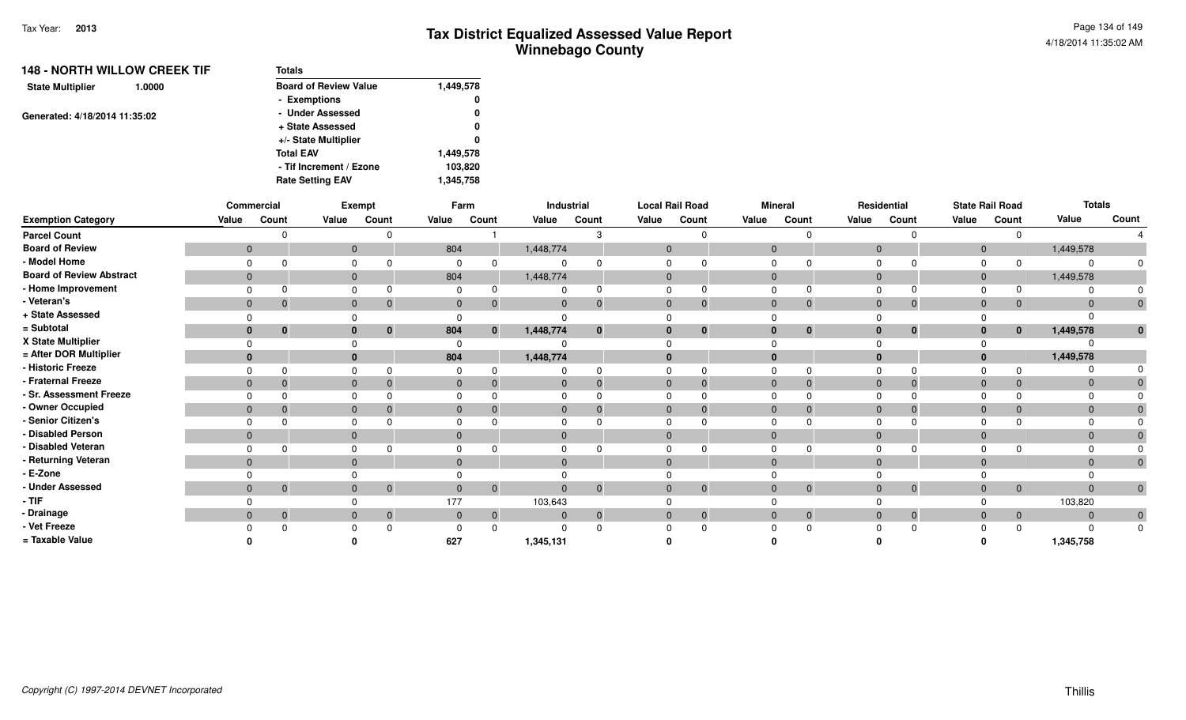| <b>148 - NORTH WILLOW CREEK TIF</b><br><b>State Multiplier</b><br>1.0000<br>Generated: 4/18/2014 11:35:02 | <b>Totals</b>                |           |
|-----------------------------------------------------------------------------------------------------------|------------------------------|-----------|
|                                                                                                           | <b>Board of Review Value</b> | 1,449,578 |
|                                                                                                           | - Exemptions                 | 0         |
|                                                                                                           | - Under Assessed             | 0         |
|                                                                                                           | + State Assessed             | 0         |
|                                                                                                           | +/- State Multiplier         | 0         |
|                                                                                                           | <b>Total EAV</b>             | 1,449,578 |
|                                                                                                           | - Tif Increment / Ezone      | 103,820   |
|                                                                                                           | <b>Rate Setting EAV</b>      | 1,345,758 |

|                                 | Commercial   |                |              | Exempt                   |                | Farm           |              | Industrial     |              | <b>Local Rail Road</b> |                | <b>Mineral</b> |                | Residential    |              | <b>State Rail Road</b> | <b>Totals</b>  |                |
|---------------------------------|--------------|----------------|--------------|--------------------------|----------------|----------------|--------------|----------------|--------------|------------------------|----------------|----------------|----------------|----------------|--------------|------------------------|----------------|----------------|
| <b>Exemption Category</b>       | Value        | Count          | Value        | Count                    | Value          | Count          | Value        | Count          | Value        | Count                  | Value          | Count          | Value          | Count          | Value        | Count                  | Value          | Count          |
| <b>Parcel Count</b>             |              | ∩              |              |                          |                |                |              |                |              |                        |                |                |                |                |              | $\cap$                 |                |                |
| <b>Board of Review</b>          | $\mathbf{0}$ |                | $\mathbf 0$  |                          | 804            |                | 1,448,774    |                | $\mathbf{0}$ |                        | $\overline{0}$ |                | $\mathbf{0}$   |                | $\mathbf 0$  |                        | 1,449,578      |                |
| - Model Home                    |              |                |              |                          |                |                |              |                |              |                        | $\Omega$       |                | $\Omega$       |                | $\Omega$     |                        | $\Omega$       |                |
| <b>Board of Review Abstract</b> | $\mathbf{0}$ |                | $\mathbf{0}$ |                          | 804            |                | 1,448,774    |                | $\Omega$     |                        | $\Omega$       |                | $\mathbf 0$    |                | $\mathbf 0$  |                        | 1,449,578      |                |
| - Home Improvement              |              |                |              |                          |                |                |              |                | $\Omega$     |                        | $\Omega$       |                | $\Omega$       |                | $\Omega$     |                        |                |                |
| - Veteran's                     | $\mathbf{0}$ | $\mathbf 0$    | $\mathbf 0$  |                          | $\mathbf{0}$   | $\mathbf 0$    | $\mathbf{0}$ | $\overline{0}$ | $\mathbf{0}$ | $\Omega$               | $\overline{0}$ |                | $\mathbf{0}$   | 0              | $\mathbf 0$  | $\overline{0}$         | $\Omega$       | $\mathbf{0}$   |
| + State Assessed                |              |                |              |                          |                |                |              |                |              |                        |                |                |                |                |              |                        |                |                |
| = Subtotal                      | $\mathbf{0}$ | $\mathbf{0}$   | $\bf{0}$     | $\bf{0}$                 | 804            | $\mathbf{0}$   | 1,448,774    | $\bf{0}$       | $\bf{0}$     | $\bf{0}$               | $\bf{0}$       | $\mathbf{0}$   | $\mathbf{0}$   | $\mathbf{0}$   | $\bf{0}$     | $\mathbf{0}$           | 1,449,578      |                |
| X State Multiplier              |              |                |              |                          |                |                |              |                |              |                        |                |                |                |                |              |                        |                |                |
| = After DOR Multiplier          |              |                | $\bf{0}$     |                          | 804            |                | 1,448,774    |                |              |                        |                |                | $\bf{0}$       |                |              |                        | 1,449,578      |                |
| - Historic Freeze               |              |                |              |                          |                |                |              | <sup>0</sup>   |              |                        |                |                | $\Omega$       |                |              |                        | $\Omega$       |                |
| - Fraternal Freeze              | $\mathbf{0}$ |                | $\Omega$     |                          | $\mathbf{0}$   |                | $\Omega$     | $\mathbf{0}$   | $\Omega$     | $\Omega$               | $\Omega$       |                | $\Omega$       |                | 0            | $\mathbf{0}$           | $\Omega$       |                |
| - Sr. Assessment Freeze         |              |                |              |                          |                |                |              |                |              |                        |                |                | $\Omega$       |                |              |                        | $\Omega$       |                |
| - Owner Occupied                |              |                | $\Omega$     |                          | $\Omega$       |                |              | $\Omega$       | $\Omega$     |                        | $\Omega$       |                | $\mathbf 0$    |                | $\Omega$     | $\overline{0}$         | $\mathbf{0}$   |                |
| - Senior Citizen's              |              |                |              |                          |                |                |              |                |              |                        |                |                | $\Omega$       |                |              |                        | $\Omega$       |                |
| <b>Disabled Person</b>          | $\mathbf{0}$ |                | $\Omega$     |                          | $\Omega$       |                | $\Omega$     |                | $\Omega$     |                        | $\Omega$       |                | $\Omega$       |                | $\Omega$     |                        | $\Omega$       |                |
| - Disabled Veteran              |              |                |              |                          | n              |                |              |                |              |                        | $\Omega$       |                | $\Omega$       |                |              |                        | $\Omega$       |                |
| - Returning Veteran             | $\Omega$     |                | $\Omega$     |                          | $\Omega$       |                | $\Omega$     |                | $\Omega$     |                        | $\Omega$       |                | $\Omega$       |                |              |                        | $\Omega$       |                |
| - E-Zone                        |              |                |              |                          |                |                |              |                |              |                        |                |                |                |                |              |                        |                |                |
| - Under Assessed                | $\mathbf{0}$ | $\mathbf{0}$   |              | $\mathbf{0}$<br>$\Omega$ | $\mathbf{0}$   | $\mathbf{0}$   |              | $\overline{0}$ | $\mathbf{0}$ | $\Omega$               | $\Omega$       | $\mathbf{0}$   | $\overline{0}$ | $\overline{0}$ | $\mathbf{0}$ | $\overline{0}$         | $\mathbf{0}$   | $\overline{0}$ |
| $-$ TIF                         |              |                |              |                          | 177            |                | 103,643      |                |              |                        |                |                | $\Omega$       |                |              |                        | 103,820        |                |
| - Drainage                      | $\mathbf{0}$ | $\overline{0}$ | $\Omega$     | $\Omega$                 | $\overline{0}$ | $\overline{0}$ | $\Omega$     | $\overline{0}$ | $\mathbf{0}$ | $\mathbf{0}$           | $\overline{0}$ | $\mathbf{0}$   | $\Omega$       | $\Omega$       | $\Omega$     | $\overline{0}$         | $\overline{0}$ | $\mathbf{0}$   |
| - Vet Freeze                    |              |                |              |                          |                |                |              |                |              | $\Omega$               |                |                |                |                |              |                        | $\Omega$       | $\mathbf{0}$   |
| = Taxable Value                 |              |                |              |                          | 627            |                | 1,345,131    |                |              |                        |                |                |                |                |              |                        | 1,345,758      |                |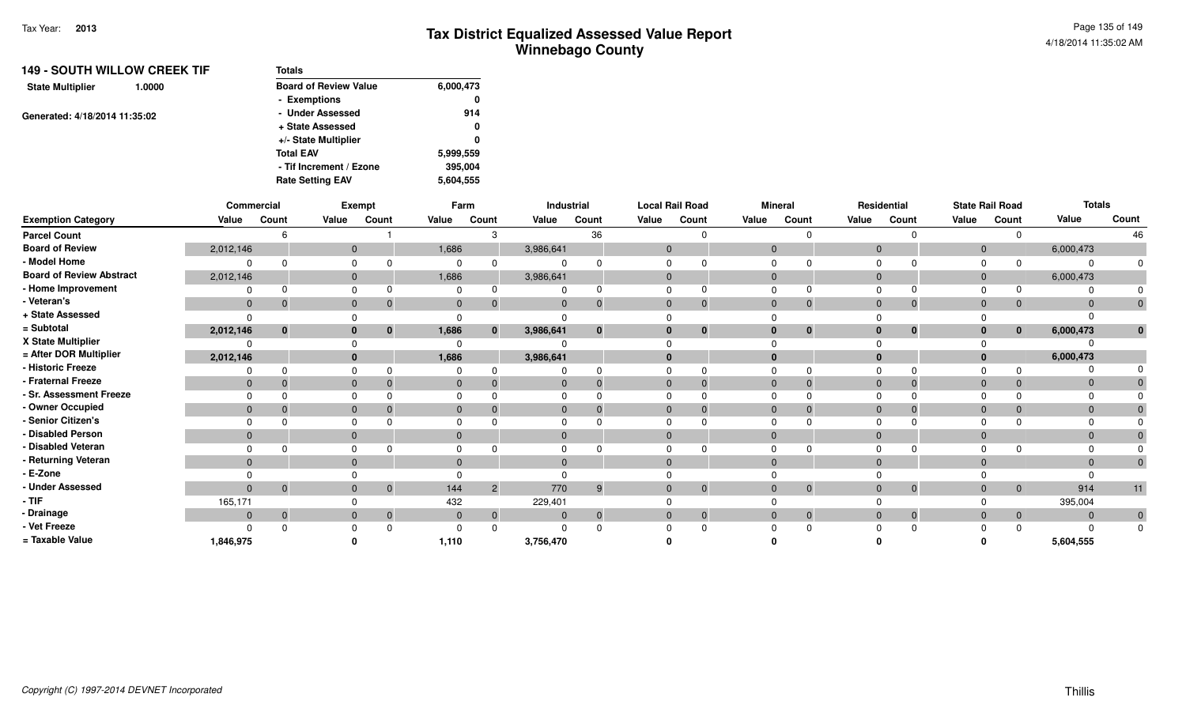| <b>149 - SOUTH WILLOW CREEK TIF</b><br><b>State Multiplier</b><br>1.0000 | <b>Totals</b>                |           |
|--------------------------------------------------------------------------|------------------------------|-----------|
|                                                                          | <b>Board of Review Value</b> | 6,000,473 |
|                                                                          | - Exemptions                 | 0         |
| Generated: 4/18/2014 11:35:02                                            | - Under Assessed             | 914       |
|                                                                          | + State Assessed             | 0         |
|                                                                          | +/- State Multiplier         | 0         |
|                                                                          | <b>Total EAV</b>             | 5,999,559 |
|                                                                          | - Tif Increment / Ezone      | 395.004   |
|                                                                          | <b>Rate Setting EAV</b>      | 5,604,555 |

|                                 | Commercial     |                |              | Exempt |              | Farm           |              | Industrial | <b>Local Rail Road</b> |                |                | <b>Mineral</b> |       | Residential                    | <b>State Rail Road</b> |                | <b>Totals</b> |                |
|---------------------------------|----------------|----------------|--------------|--------|--------------|----------------|--------------|------------|------------------------|----------------|----------------|----------------|-------|--------------------------------|------------------------|----------------|---------------|----------------|
| <b>Exemption Category</b>       | Value          | Count          | Value        | Count  | Value        | Count          | Value        | Count      | Value                  | Count          | Value          | Count          | Value | Count                          | Value                  | Count          | Value         | Count          |
| <b>Parcel Count</b>             |                | 6              |              |        |              | 3              |              | 36         |                        | $\cap$         |                |                |       |                                |                        |                |               | 46             |
| <b>Board of Review</b>          | 2,012,146      |                | $\mathbf 0$  |        | 1,686        |                | 3,986,641    |            | $\overline{0}$         |                | 0              |                |       | $\Omega$                       | $\mathbf{0}$           |                | 6,000,473     |                |
| - Model Home                    |                | $\Omega$       | O            |        |              | $\Omega$       | $\Omega$     |            |                        |                |                |                |       |                                |                        |                |               |                |
| <b>Board of Review Abstract</b> | 2,012,146      |                | $\mathbf 0$  |        | 1,686        |                | 3,986,641    |            |                        |                | $\mathbf{0}$   |                |       | $\Omega$                       | $\mathbf{0}$           |                | 6,000,473     |                |
| - Home Improvement              | $\Omega$       | <sup>0</sup>   | $\Omega$     |        | $\Omega$     |                |              |            |                        |                |                |                |       |                                |                        |                |               |                |
| - Veteran's                     | $\mathbf{0}$   | $\mathbf{0}$   | $\mathbf 0$  |        | $\mathbf{0}$ | $\mathbf{0}$   | $\mathbf{0}$ |            | $\overline{0}$         | $\Omega$       | $\mathbf{0}$   | $\Omega$       |       | $\mathbf{0}$<br>$\overline{0}$ | $\mathbf{0}$           | $\overline{0}$ | $\Omega$      | $\overline{0}$ |
| + State Assessed                | $\Omega$       |                |              |        |              |                |              |            |                        |                |                |                |       |                                |                        |                |               |                |
| = Subtotal                      | 2,012,146      | $\bf{0}$       | $\mathbf{0}$ | 0      | 1,686        | $\mathbf{0}$   | 3,986,641    | $\bf{0}$   |                        | $\mathbf{0}$   | 0              | $\bf{0}$       |       | $\bf{0}$                       | $\bf{0}$               | $\mathbf{0}$   | 6,000,473     | $\bf{0}$       |
| X State Multiplier              | $\Omega$       |                |              |        | $\Omega$     |                |              |            |                        |                |                |                |       |                                |                        |                |               |                |
| = After DOR Multiplier          | 2,012,146      |                | $\bf{0}$     |        | 1,686        |                | 3,986,641    |            |                        |                |                |                |       |                                | $\bf{0}$               |                | 6,000,473     |                |
| - Historic Freeze               |                | $\Omega$       |              |        |              | 0              |              |            |                        | $\Omega$       |                |                |       |                                |                        |                |               |                |
| - Fraternal Freeze              | $\mathbf{0}$   | $\Omega$       | $\mathbf{0}$ |        | $\mathbf{0}$ |                | $\mathbf{0}$ |            |                        |                | $\Omega$       |                |       | $\Omega$                       | $\Omega$               | $\mathbf{0}$   | $\Omega$      |                |
| - Sr. Assessment Freeze         | $\Omega$       |                | $\Omega$     |        |              |                |              |            |                        |                |                |                |       |                                |                        |                |               |                |
| - Owner Occupied                | $\mathbf{0}$   | $\Omega$       | $\mathbf{0}$ |        | $\Omega$     |                | $\Omega$     |            |                        |                | 0              |                |       | $\left($                       | $\Omega$               | $\mathbf{0}$   |               |                |
| - Senior Citizen's              |                |                |              |        |              |                |              |            |                        |                |                |                |       |                                |                        |                |               |                |
| - Disabled Person               | $\overline{0}$ |                | $\Omega$     |        | $\Omega$     |                | $\Omega$     |            |                        |                | $\Omega$       |                |       | $\Omega$                       | $\Omega$               |                |               |                |
| - Disabled Veteran              |                |                |              |        | $\Omega$     |                |              |            |                        |                |                |                |       |                                |                        |                |               |                |
| - Returning Veteran             | $\Omega$       |                | $\Omega$     |        | $\Omega$     |                | $\Omega$     |            |                        |                | $\Omega$       |                |       |                                | $\Omega$               |                | $\Omega$      | $\overline{0}$ |
| - E-Zone                        |                |                |              |        |              |                |              |            |                        |                |                |                |       |                                |                        |                |               |                |
| - Under Assessed                | $\mathbf{0}$   | $\overline{0}$ | $\mathbf{0}$ |        | 144          | $\overline{2}$ | 770          | 9          |                        | $\overline{0}$ | $\overline{0}$ | $\overline{0}$ |       | $\Omega$<br>$\overline{0}$     | $\Omega$               | $\overline{0}$ | 914           | 11             |
| $-TIF$                          | 165,171        |                |              |        | 432          |                | 229,401      |            |                        |                |                |                |       |                                |                        |                | 395,004       |                |
| - Drainage                      | $\overline{0}$ | $\mathbf{0}$   | $\mathbf{0}$ |        | $\mathbf{0}$ | $\overline{0}$ | $\Omega$     | $\Omega$   |                        | $\overline{0}$ | $\Omega$       | $\overline{0}$ |       | $\Omega$<br>$\overline{0}$     | $\Omega$               | $\overline{0}$ | $\Omega$      | $\overline{0}$ |
| - Vet Freeze                    |                | $\Omega$       |              |        |              |                |              |            |                        | $\Omega$       |                |                |       |                                |                        |                |               | $\Omega$       |
| = Taxable Value                 | 1,846,975      |                |              |        | 1,110        |                | 3,756,470    |            |                        |                |                |                |       |                                |                        |                | 5,604,555     |                |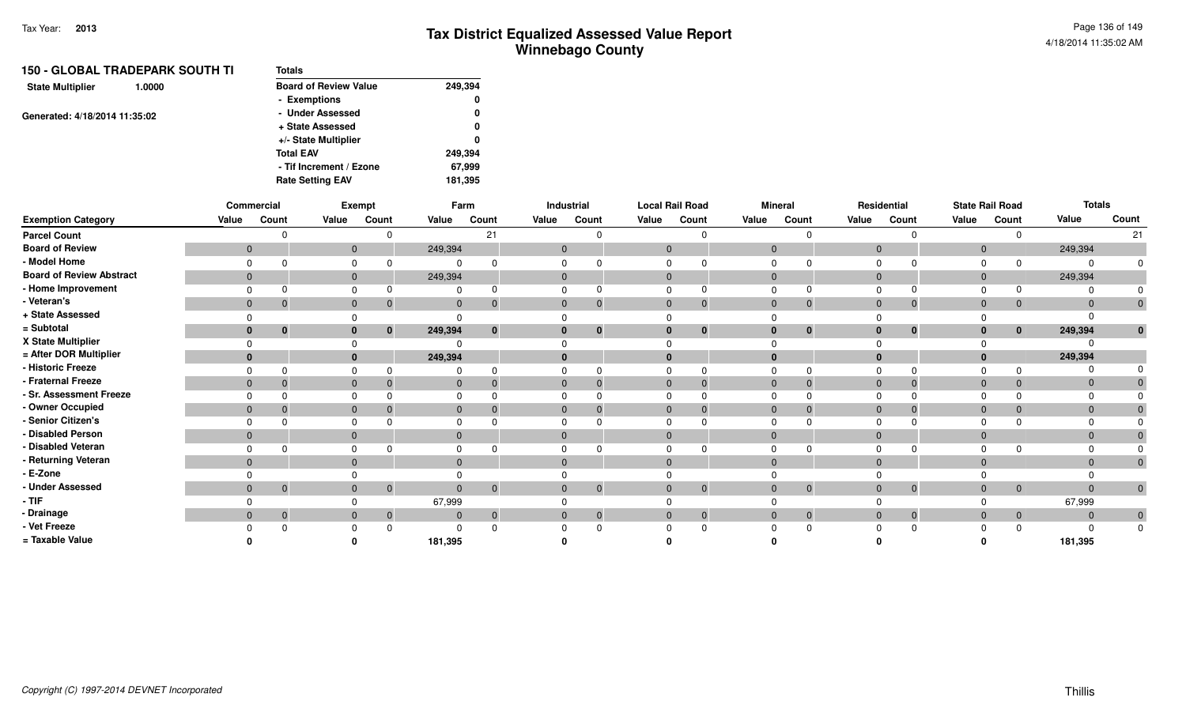| 150 - GLOBAL TRADEPARK SOUTH TI   | Totals                       |         |
|-----------------------------------|------------------------------|---------|
| <b>State Multiplier</b><br>1.0000 | <b>Board of Review Value</b> | 249,394 |
|                                   | - Exemptions                 | 0       |
| Generated: 4/18/2014 11:35:02     | - Under Assessed             | 0       |
|                                   | + State Assessed             | 0       |
|                                   | +/- State Multiplier         | 0       |
|                                   | <b>Total EAV</b>             | 249,394 |
|                                   | - Tif Increment / Ezone      | 67,999  |
|                                   | <b>Rate Setting EAV</b>      | 181,395 |

|                                 | Commercial     |                | Exempt       |                |              | Farm           |                | Industrial     | <b>Local Rail Road</b> |             | <b>Mineral</b> |                |                | Residential    |                | <b>State Rail Road</b> | <b>Totals</b> |                |
|---------------------------------|----------------|----------------|--------------|----------------|--------------|----------------|----------------|----------------|------------------------|-------------|----------------|----------------|----------------|----------------|----------------|------------------------|---------------|----------------|
| <b>Exemption Category</b>       | Value          | Count          | Value        | Count          | Value        | Count          | Value          | Count          | Value                  | Count       | Value          | Count          | Value          | Count          | Value          | Count                  | Value         | Count          |
| <b>Parcel Count</b>             |                |                |              |                |              | 21             |                |                |                        |             |                |                |                |                |                |                        |               | 21             |
| <b>Board of Review</b>          | $\mathbf{0}$   |                | $\mathbf{0}$ |                | 249,394      |                | $\mathbf{0}$   |                | $\mathbf{0}$           |             | $\overline{0}$ |                | $\overline{0}$ |                | $\mathbf{0}$   |                        | 249,394       |                |
| - Model Home                    | $\Omega$       |                |              |                |              |                |                |                | $\Omega$               |             |                |                | $\Omega$       |                |                |                        | $\Omega$      |                |
| <b>Board of Review Abstract</b> | $\mathbf{0}$   |                | $\mathbf{0}$ |                | 249,394      |                | 0              |                | $\Omega$               |             | $\overline{0}$ |                | $\overline{0}$ |                | $\mathbf 0$    |                        | 249,394       |                |
| - Home Improvement              |                |                |              |                |              |                |                |                |                        |             |                |                |                |                |                |                        |               |                |
| - Veteran's                     | $\mathbf 0$    | $\mathbf{0}$   | $\mathbf{0}$ | $\Omega$       | $\mathbf{0}$ | $\Omega$       | $\mathbf{0}$   |                | $\Omega$               | $\Omega$    | $\Omega$       | $\mathbf{0}$   | $\Omega$       |                | $\Omega$       | $\mathbf{0}$           | $\Omega$      | $\overline{0}$ |
| + State Assessed                |                |                |              |                |              |                |                |                |                        |             |                |                |                |                |                |                        | $\Omega$      |                |
| = Subtotal                      | $\bf{0}$       | $\mathbf 0$    | $\bf{0}$     | $\bf{0}$       | 249,394      | $\bf{0}$       | $\bf{0}$       | $\bf{0}$       | $\bf{0}$               | $\bf{0}$    |                | $\mathbf 0$    | $\bf{0}$       | $\mathbf{0}$   |                | $\mathbf{0}$           | 249,394       |                |
| X State Multiplier              |                |                |              |                |              |                |                |                |                        |             |                |                |                |                |                |                        |               |                |
| = After DOR Multiplier          | $\bf{0}$       |                | $\mathbf{0}$ |                | 249,394      |                | 0              |                | $\mathbf{0}$           |             |                |                | $\mathbf{0}$   |                |                |                        | 249,394       |                |
| - Historic Freeze               |                |                |              |                |              |                |                |                |                        |             |                |                |                |                |                |                        |               |                |
| - Fraternal Freeze              | $\mathbf 0$    | $\Omega$       | $\mathbf{0}$ |                | $\Omega$     |                | $\Omega$       |                | $\Omega$               |             |                | $\mathbf{0}$   | $\overline{0}$ |                | $\Omega$       | $\mathbf{0}$           | $\mathbf{0}$  |                |
| - Sr. Assessment Freeze         |                |                |              |                |              |                |                |                |                        |             |                |                |                |                |                |                        | $\Omega$      |                |
| - Owner Occupied                | $\mathbf{0}$   | $\Omega$       | $\Omega$     |                | $\Omega$     |                | $\Omega$       |                | $\Omega$               |             |                | $\overline{0}$ | $\mathbf{0}$   |                | $\Omega$       | $\overline{0}$         | $\Omega$      |                |
| - Senior Citizen's              |                |                |              |                |              |                |                |                |                        |             |                |                |                |                |                |                        |               |                |
| - Disabled Person               | $\overline{0}$ |                | $\mathbf 0$  |                | $\Omega$     |                | $\Omega$       |                | $\Omega$               |             | $\Omega$       |                | $\Omega$       |                | $\Omega$       |                        | $\Omega$      |                |
| - Disabled Veteran              | $\Omega$       |                | $\Omega$     |                |              |                |                |                | $\Omega$               |             | $\Omega$       |                | $\Omega$       |                |                |                        | $\Omega$      |                |
| - Returning Veteran             | $\overline{0}$ |                | $\mathbf{0}$ |                | $\Omega$     |                | $\Omega$       |                | $\Omega$               |             |                |                | $\Omega$       |                | $\Omega$       |                        | $\Omega$      |                |
| - E-Zone                        |                |                |              |                |              |                |                |                |                        |             |                |                |                |                |                |                        |               |                |
| - Under Assessed                | $\mathbf{0}$   | $\overline{0}$ | $\mathbf{0}$ | $\mathbf 0$    | $\Omega$     | $\mathbf{0}$   | $\overline{0}$ | $\overline{0}$ | $\mathbf{0}$           | $\mathbf 0$ |                | $\mathbf 0$    | $\mathbf{0}$   | $\overline{0}$ | $\Omega$       | $\overline{0}$         | $\Omega$      | $\overline{0}$ |
| $-$ TIF                         |                |                |              |                | 67,999       |                |                |                |                        |             |                |                |                |                |                |                        | 67,999        |                |
| - Drainage                      | $\overline{0}$ | $\overline{0}$ | $\mathbf{0}$ | $\overline{0}$ | $\Omega$     | $\overline{0}$ | $\Omega$       | $\overline{0}$ | $\Omega$               | $\mathbf 0$ | $\Omega$       | $\mathbf 0$    | $\Omega$       | $\Omega$       | $\overline{0}$ | $\overline{0}$         | $\mathbf 0$   | $\mathbf{0}$   |
| - Vet Freeze                    |                |                |              |                |              | $\Omega$       |                |                |                        |             |                |                |                |                |                |                        | $\Omega$      | $\mathbf 0$    |
| = Taxable Value                 |                |                |              |                | 181,395      |                |                |                |                        |             |                |                |                |                |                |                        | 181,395       |                |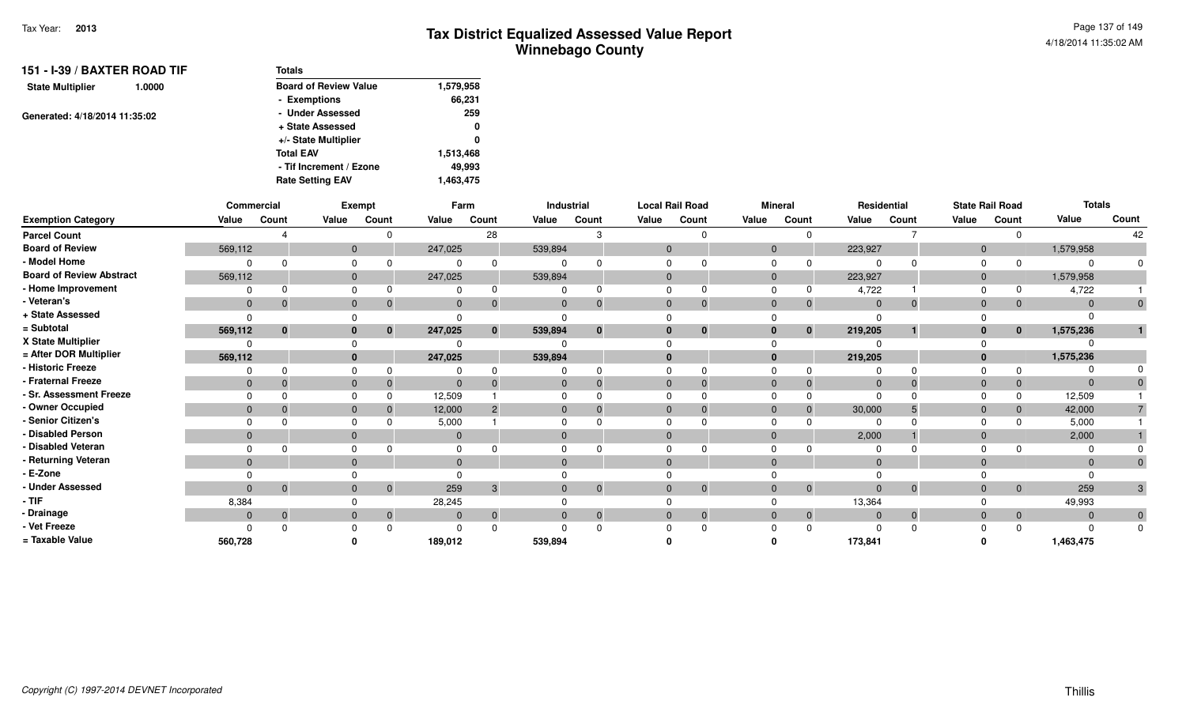| 151 - I-39 / BAXTER ROAD TIF      | <b>Totals</b>                |           |
|-----------------------------------|------------------------------|-----------|
| <b>State Multiplier</b><br>1.0000 | <b>Board of Review Value</b> | 1,579,958 |
|                                   | - Exemptions                 | 66,231    |
| Generated: 4/18/2014 11:35:02     | - Under Assessed             | 259       |
|                                   | + State Assessed             | 0         |
|                                   | +/- State Multiplier         | 0         |
|                                   | <b>Total EAV</b>             | 1,513,468 |
|                                   | - Tif Increment / Ezone      | 49.993    |
|                                   | <b>Rate Setting EAV</b>      | 1,463,475 |

|                                 | Commercial   |          |              | <b>Exempt</b>  |              | Farm           |                | Industrial   |              | <b>Local Rail Road</b> |                | <b>Mineral</b> |              | Residential  |              | <b>State Rail Road</b> | <b>Totals</b> |       |
|---------------------------------|--------------|----------|--------------|----------------|--------------|----------------|----------------|--------------|--------------|------------------------|----------------|----------------|--------------|--------------|--------------|------------------------|---------------|-------|
| <b>Exemption Category</b>       | Value        | Count    | Value        | Count          | Value        | Count          | Value          | Count        | Value        | Count                  | Value          | Count          | Value        | Count        | Value        | Count                  | Value         | Count |
| <b>Parcel Count</b>             |              |          |              | $\Omega$       |              | 28             |                |              |              |                        |                | $\Omega$       |              |              |              |                        |               | 42    |
| <b>Board of Review</b>          | 569,112      |          | $\mathbf 0$  |                | 247,025      |                | 539,894        |              | $\mathbf{0}$ |                        | 0              |                | 223,927      |              | $\Omega$     |                        | 1,579,958     |       |
| - Model Home                    | $\Omega$     |          |              | 0              |              |                |                |              | $\Omega$     |                        |                |                |              |              |              |                        |               |       |
| <b>Board of Review Abstract</b> | 569,112      |          | $\mathbf 0$  |                | 247,025      |                | 539,894        |              | $\mathbf{0}$ |                        | $\overline{0}$ |                | 223,927      |              | $\Omega$     |                        | 1,579,958     |       |
| - Home Improvement              | $\Omega$     |          | $\mathbf 0$  |                |              |                | 0              |              | $\Omega$     |                        |                |                | 4,722        |              |              |                        | 4,722         |       |
| - Veteran's                     | $\mathbf{0}$ | $\Omega$ | $\mathbf 0$  | $\mathbf{0}$   | $\mathbf 0$  |                | $\mathbf{0}$   | $\Omega$     | $\mathbf{0}$ |                        |                | $\overline{0}$ | $\mathbf{0}$ | $\Omega$     | $\mathbf{0}$ | $\overline{0}$         |               |       |
| + State Assessed                | $\Omega$     |          |              |                |              |                |                |              | $\Omega$     |                        |                |                |              |              |              |                        |               |       |
| = Subtotal                      | 569,112      | $\bf{0}$ | $\mathbf{0}$ | $\bf{0}$       | 247,025      | $\bf{0}$       | 539,894        | $\mathbf{0}$ | $\mathbf{0}$ | $\bf{0}$               |                | $\mathbf{0}$   | 219,205      |              |              | $\bf{0}$               | 1,575,236     |       |
| X State Multiplier              | 0            |          | $\Omega$     |                |              |                |                |              | $\Omega$     |                        |                |                |              |              |              |                        |               |       |
| = After DOR Multiplier          | 569,112      |          | $\mathbf{0}$ |                | 247,025      |                | 539,894        |              | $\bf{0}$     |                        |                |                | 219,205      |              |              |                        | 1,575,236     |       |
| - Historic Freeze               | 0            |          | $\Omega$     | 0              | ŋ            |                |                | U            |              |                        |                | $\Omega$       |              |              |              | $\Omega$               |               |       |
| - Fraternal Freeze              | $\mathbf{0}$ |          | $\mathbf{0}$ | $\Omega$       | $\mathbf{0}$ |                | $\mathbf{0}$   |              | $\mathbf{0}$ |                        |                | $\Omega$       | $\mathbf{0}$ |              |              | $\mathbf{0}$           |               |       |
| - Sr. Assessment Freeze         | $\Omega$     |          | $\Omega$     |                | 12,509       |                |                |              | <sup>n</sup> |                        |                |                |              |              |              | $\Omega$               | 12,509        |       |
| - Owner Occupied                | $\mathbf{0}$ |          | $\mathbf{0}$ | $\Omega$       | 12,000       | $\overline{2}$ | $\overline{0}$ |              | $\Omega$     |                        |                | $\Omega$       | 30,000       |              |              | $\mathbf{0}$           | 42,000        |       |
| - Senior Citizen's              |              |          | $\Omega$     |                | 5,000        |                |                |              |              |                        |                |                |              |              |              |                        | 5,000         |       |
| - Disabled Person               | $\mathbf{0}$ |          | $\mathbf{0}$ |                | $\Omega$     |                | $\mathbf{0}$   |              | $\Omega$     |                        |                |                | 2,000        |              | $\Omega$     |                        | 2,000         |       |
| - Disabled Veteran              |              |          | $\Omega$     |                |              |                | $\Omega$       |              |              |                        |                |                |              |              |              |                        |               |       |
| - Returning Veteran             | $\Omega$     |          | $\mathbf{0}$ |                | $\Omega$     |                | $\Omega$       |              | $\Omega$     |                        |                |                | $\Omega$     |              | $\Omega$     |                        |               |       |
| - E-Zone                        |              |          |              |                |              |                |                |              |              |                        |                |                |              |              |              |                        |               |       |
| - Under Assessed                | $\mathbf{0}$ | $\Omega$ | $\mathbf{0}$ | $\overline{0}$ | 259          | 3              | $\overline{0}$ | $\mathbf{0}$ | $\mathbf{0}$ | $\Omega$               |                | $\overline{0}$ | $\mathbf{0}$ | $\mathbf{0}$ |              | $\overline{0}$         | 259           | 3     |
| $-$ TIF                         | 8,384        |          |              |                | 28,245       |                |                |              |              |                        |                |                | 13,364       |              |              |                        | 49,993        |       |
| - Drainage                      | $\mathbf{0}$ | $\Omega$ | $\mathbf{0}$ | $\overline{0}$ | $\mathbf{0}$ |                | $\mathbf{0}$   | $\mathbf{0}$ | $\mathbf{0}$ | $\Omega$               |                | $\overline{0}$ | $\mathbf{0}$ | $\mathbf{0}$ | $\Omega$     | $\overline{0}$         |               |       |
| - Vet Freeze                    |              |          |              | <sup>0</sup>   |              |                |                |              |              |                        |                | $\Omega$       | ŋ            |              |              |                        |               |       |
| = Taxable Value                 | 560,728      |          |              |                | 189,012      |                | 539,894        |              |              |                        |                |                | 173,841      |              |              |                        | 1,463,475     |       |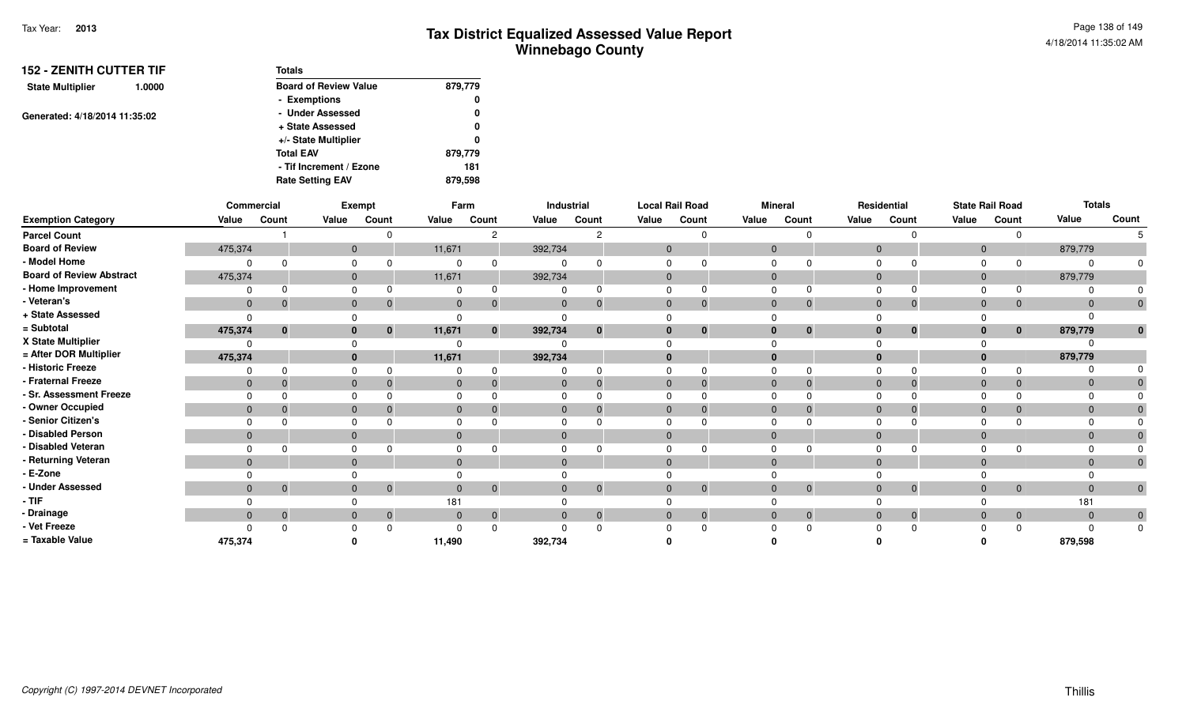| <b>152 - ZENITH CUTTER TIF</b> |        | <b>Totals</b>                |         |
|--------------------------------|--------|------------------------------|---------|
| <b>State Multiplier</b>        | 1.0000 | <b>Board of Review Value</b> | 879,779 |
|                                |        | - Exemptions                 | 0       |
| Generated: 4/18/2014 11:35:02  |        | - Under Assessed             | 0       |
|                                |        | + State Assessed             | 0       |
|                                |        | +/- State Multiplier         | 0       |
|                                |        | <b>Total EAV</b>             | 879,779 |
|                                |        | - Tif Increment / Ezone      | 181     |
|                                |        | <b>Rate Setting EAV</b>      | 879,598 |

|                                 |              | Commercial   |              | Exempt      |                | Farm         |              | Industrial |              | <b>Local Rail Road</b> |              | <b>Mineral</b> |       | Residential                    |              | <b>State Rail Road</b> |          | <b>Totals</b> |
|---------------------------------|--------------|--------------|--------------|-------------|----------------|--------------|--------------|------------|--------------|------------------------|--------------|----------------|-------|--------------------------------|--------------|------------------------|----------|---------------|
| <b>Exemption Category</b>       | Value        | Count        | Value        | Count       | Value          | Count        | Value        | Count      | Value        | Count                  | Value        | Count          | Value | Count                          | Value        | Count                  | Value    | Count         |
| <b>Parcel Count</b>             |              |              |              |             |                | 2            |              |            |              |                        |              |                |       |                                |              |                        |          |               |
| <b>Board of Review</b>          | 475,374      |              | $\mathbf{0}$ |             | 11,671         |              | 392,734      |            | $\mathbf{0}$ |                        | $\mathbf{0}$ |                |       | $\mathbf{0}$                   | $\mathbf 0$  |                        | 879,779  |               |
| - Model Home                    | $\Omega$     |              | $\Omega$     |             | $\Omega$       |              |              |            |              |                        |              |                |       |                                | $\Omega$     |                        |          | $\Omega$      |
| <b>Board of Review Abstract</b> | 475,374      |              | $\mathbf{0}$ |             | 11,671         |              | 392,734      |            | $\mathbf{0}$ |                        | $\mathbf{0}$ |                |       | $\mathbf{0}$                   | $\mathbf 0$  |                        | 879,779  |               |
| - Home Improvement              | $\Omega$     | <sup>0</sup> | $\mathbf 0$  |             | $\Omega$       |              |              |            |              |                        |              |                |       |                                | $\Omega$     |                        |          | $\Omega$      |
| - Veteran's                     | $\mathbf{0}$ | $\mathbf 0$  | $\mathbf{0}$ | $\mathbf 0$ | $\mathbf{0}$   | 0            | $\mathbf 0$  |            | $\mathbf{0}$ |                        | $\mathbf{0}$ |                |       | $\mathbf{0}$<br>$\mathbf 0$    | $\mathbf 0$  | $\overline{0}$         |          | $\mathbf 0$   |
| + State Assessed                |              |              | $\Omega$     |             |                |              |              |            |              |                        |              |                |       |                                |              |                        |          |               |
| = Subtotal                      | 475,374      | $\bf{0}$     | $\bf{0}$     | $\bf{0}$    | 11,671         | $\mathbf{0}$ | 392,734      | $\bf{0}$   |              | $\bf{0}$               | $\bf{0}$     | $\bf{0}$       |       | $\bf{0}$<br>$\bf{0}$           | $\mathbf{0}$ | $\bf{0}$               | 879,779  | $\bf{0}$      |
| X State Multiplier              |              |              |              |             |                |              |              |            |              |                        |              |                |       |                                |              |                        |          |               |
| = After DOR Multiplier          | 475,374      |              | $\bf{0}$     |             | 11,671         |              | 392,734      |            |              |                        |              |                |       |                                | $\bf{0}$     |                        | 879,779  |               |
| - Historic Freeze               | $\Omega$     | $\Omega$     | 0            |             | $\Omega$       |              |              |            |              |                        |              |                |       |                                |              |                        |          |               |
| - Fraternal Freeze              | $\mathbf{0}$ | $\Omega$     | $\mathbf{0}$ |             | $\overline{0}$ |              | $\mathbf 0$  |            | $\mathbf{0}$ |                        | $\mathbf{0}$ |                |       | $\mathbf{0}$                   | $\mathbf{0}$ |                        |          |               |
| - Sr. Assessment Freeze         | $\Omega$     |              | $\Omega$     |             |                |              |              |            |              |                        |              |                |       |                                |              |                        |          |               |
| - Owner Occupied                | $\mathbf{0}$ | $\mathbf{0}$ | $\mathbf{0}$ |             | $\mathbf{0}$   |              | $\mathbf{0}$ |            |              |                        | $\mathbf{0}$ |                |       | $\mathbf{0}$                   | $\mathbf{0}$ |                        |          |               |
| - Senior Citizen's              | $\Omega$     |              | $\Omega$     |             | $\Omega$       |              |              |            |              |                        |              |                |       |                                | $\Omega$     |                        |          |               |
| - Disabled Person               | $\mathbf{0}$ |              | $\mathbf{0}$ |             | $\mathbf{0}$   |              | $\mathbf{0}$ |            | $\Omega$     |                        | $\mathbf{0}$ |                |       | $\mathbf{0}$                   | $\mathbf{0}$ |                        |          |               |
| - Disabled Veteran              |              |              | 0            |             |                |              |              |            |              |                        |              |                |       |                                | 0            |                        |          |               |
| - Returning Veteran             | $\mathbf{0}$ |              | $\mathbf{0}$ |             | $\Omega$       |              | $\mathbf{0}$ |            |              |                        | $\mathbf{0}$ |                |       | $\Omega$                       | $\mathbf{0}$ |                        |          | $\mathbf 0$   |
| - E-Zone                        |              |              |              |             |                |              |              |            |              |                        |              |                |       |                                |              |                        |          |               |
| - Under Assessed                | $\mathbf{0}$ | $\mathbf{0}$ | $\mathbf{0}$ | $\mathbf 0$ | $\mathbf{0}$   | $\Omega$     | $\mathbf{0}$ |            | $\Omega$     | $\mathbf{0}$           | $\mathbf{0}$ | $\mathbf 0$    |       | $\mathbf{0}$<br>$\overline{0}$ | $\mathbf{0}$ | $\overline{0}$         | $\Omega$ | $\mathbf{0}$  |
| - TIF                           |              |              |              |             | 181            |              |              |            |              |                        |              |                |       |                                |              |                        | 181      |               |
| - Drainage                      | $\mathbf{0}$ | $\mathbf 0$  | $\mathbf{0}$ | $\mathbf 0$ | $\overline{0}$ | $\mathbf{0}$ | $\mathbf{0}$ |            | $\mathbf{0}$ | 0                      | $\mathbf{0}$ | 0              |       | $\mathbf{0}$<br>$\overline{0}$ | $\mathbf{0}$ | $\mathbf{0}$           | $\Omega$ | $\mathbf{0}$  |
| - Vet Freeze                    |              | $\Omega$     |              |             | $\Omega$       |              |              |            |              |                        |              |                |       |                                |              |                        |          |               |
| = Taxable Value                 | 475,374      |              |              |             | 11,490         |              | 392,734      |            |              |                        |              |                |       |                                |              |                        | 879,598  |               |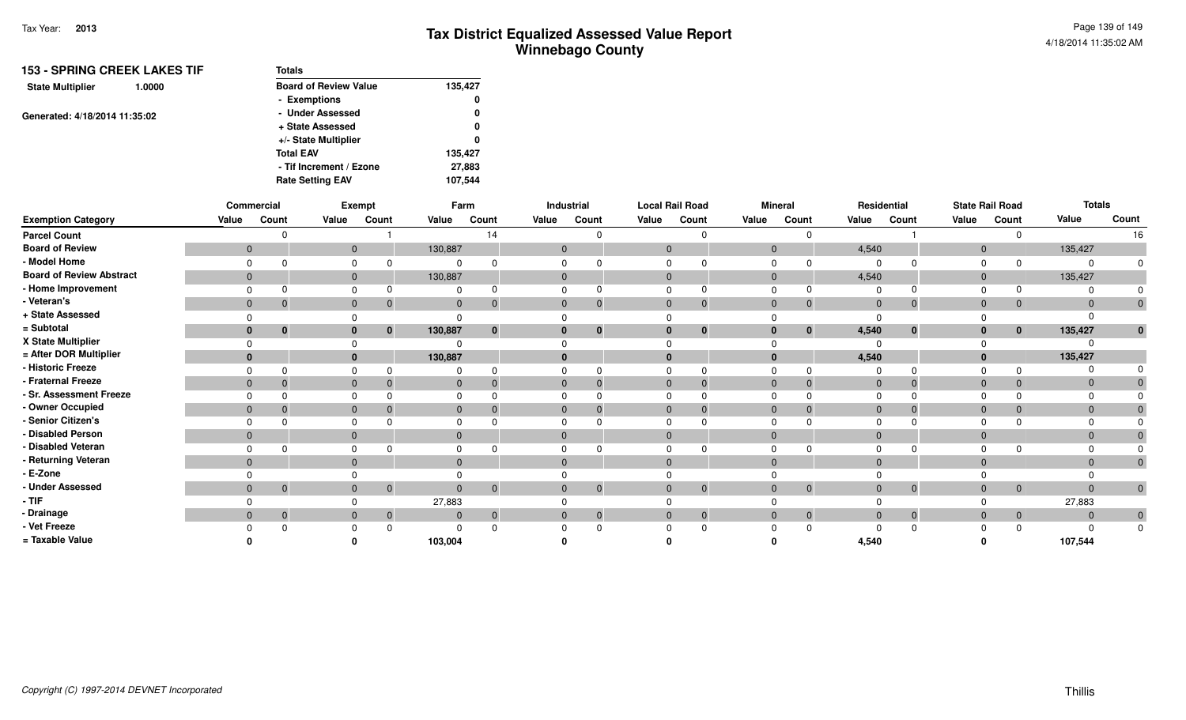| <b>153 - SPRING CREEK LAKES TIF</b> | <b>Totals</b>                |         |
|-------------------------------------|------------------------------|---------|
| <b>State Multiplier</b><br>1.0000   | <b>Board of Review Value</b> | 135,427 |
|                                     | - Exemptions                 | 0       |
|                                     | - Under Assessed             | 0       |
| Generated: 4/18/2014 11:35:02       | + State Assessed             | 0       |
|                                     | +/- State Multiplier         | 0       |
|                                     | <b>Total EAV</b>             | 135,427 |
|                                     | - Tif Increment / Ezone      | 27,883  |
|                                     | <b>Rate Setting EAV</b>      | 107.544 |

|                                 |              | Commercial   |          | Exempt                         |                | Farm           |       | Industrial   |              | <b>Local Rail Road</b> |          | <b>Mineral</b>                 |              | Residential    |                | <b>State Rail Road</b> | <b>Totals</b> |                |
|---------------------------------|--------------|--------------|----------|--------------------------------|----------------|----------------|-------|--------------|--------------|------------------------|----------|--------------------------------|--------------|----------------|----------------|------------------------|---------------|----------------|
| <b>Exemption Category</b>       | Value        | Count        | Value    | Count                          | Value          | Count          | Value | Count        | Value        | Count                  | Value    | Count                          | Value        | Count          | Value          | Count                  | Value         | Count          |
| <b>Parcel Count</b>             |              |              |          |                                |                | 14             |       |              |              | $\Omega$               |          |                                |              |                |                |                        |               | 16             |
| <b>Board of Review</b>          | $\mathbf 0$  |              |          | $\mathbf{0}$                   | 130,887        |                |       |              | $\mathbf{0}$ |                        | 0        |                                | 4,540        |                | $\Omega$       |                        | 135,427       |                |
| - Model Home                    |              |              |          |                                | 0              |                |       |              |              |                        |          |                                |              |                |                |                        |               |                |
| <b>Board of Review Abstract</b> | $\mathbf{0}$ |              |          | $\mathbf{0}$                   | 130,887        |                |       |              | 0            |                        |          |                                | 4,540        |                | $\mathbf{0}$   |                        | 135,427       |                |
| - Home Improvement              |              |              |          |                                |                |                |       |              |              |                        |          |                                |              |                |                |                        |               |                |
| - Veteran's                     | $\mathbf{0}$ |              |          | $\mathbf 0$<br>$\Omega$        | $\mathbf 0$    |                |       | $\Omega$     | $\Omega$     | $\mathbf{0}$           | $\Omega$ | $\mathbf 0$                    | $\mathbf{0}$ | $\overline{0}$ | $\overline{0}$ | $\mathbf{0}$           | $\Omega$      | $\mathbf{0}$   |
| + State Assessed                |              |              |          |                                | $\Omega$       |                |       |              |              |                        |          |                                |              |                |                |                        |               |                |
| = Subtotal                      | 0            | $\bf{0}$     |          | $\bf{0}$<br>$\mathbf{0}$       | 130,887        | $\bf{0}$       |       | $\mathbf{0}$ | $\bf{0}$     | $\mathbf{0}$           |          | $\mathbf{0}$                   | 4,540        | $\bf{0}$       | $\bf{0}$       | $\mathbf{0}$           | 135,427       | $\bf{0}$       |
| X State Multiplier              |              |              |          |                                | <sup>n</sup>   |                |       |              |              |                        |          |                                |              |                |                |                        |               |                |
| = After DOR Multiplier          | $\bf{0}$     |              |          | $\mathbf{0}$                   | 130,887        |                |       |              |              |                        |          |                                | 4,540        |                | $\mathbf{0}$   |                        | 135,427       |                |
| - Historic Freeze               |              |              |          |                                |                |                |       |              |              |                        |          |                                |              |                |                |                        |               |                |
| - Fraternal Freeze              | $\mathbf{0}$ |              |          | $\mathbf{0}$                   | $\mathbf{0}$   |                |       |              | $\mathbf{0}$ | $\Omega$               |          |                                | $\mathbf{0}$ | $\Omega$       | $\Omega$       | $\overline{0}$         |               |                |
| - Sr. Assessment Freeze         |              |              |          |                                |                |                |       |              |              |                        |          |                                |              |                |                |                        |               |                |
| - Owner Occupied                | $\Omega$     |              | $\Omega$ |                                | $\Omega$       |                |       |              | $\Omega$     | $\Omega$               | 0        |                                | $\mathbf{0}$ | $\Omega$       | $\Omega$       | $\overline{0}$         |               |                |
| - Senior Citizen's              |              |              |          |                                |                |                |       |              |              |                        |          |                                |              |                |                |                        |               |                |
| - Disabled Person               | $\mathbf{0}$ |              |          | $\mathbf{0}$                   | $\mathbf{0}$   |                |       |              | $\Omega$     |                        |          |                                | $\Omega$     |                | $\Omega$       |                        |               |                |
| - Disabled Veteran              |              |              | $\Omega$ |                                |                |                |       |              |              |                        |          |                                |              |                |                |                        |               |                |
| - Returning Veteran             | $\mathbf{0}$ |              |          | $\mathbf{0}$                   | $\mathbf{0}$   |                |       |              |              |                        |          |                                | $\Omega$     |                | $\Omega$       |                        | $\Omega$      | $\overline{0}$ |
| - E-Zone                        |              |              |          |                                |                |                |       |              |              |                        |          |                                |              |                |                |                        |               |                |
| - Under Assessed                | $\mathbf{0}$ | $\mathbf{0}$ |          | $\mathbf{0}$<br>$\overline{0}$ | $\overline{0}$ | $\overline{0}$ |       | $\mathbf 0$  | $\mathbf{0}$ | $\overline{0}$         |          | $\overline{0}$<br>$\mathbf{0}$ | $\mathbf{0}$ | $\overline{0}$ | $\mathbf{0}$   | $\overline{0}$         | $\Omega$      | $\overline{0}$ |
| - TIF                           |              |              |          |                                | 27,883         |                |       |              |              |                        |          |                                |              |                |                |                        | 27,883        |                |
| - Drainage                      | $\mathbf{0}$ | $\mathbf 0$  |          | $\mathbf{0}$<br>$\overline{0}$ | $\mathbf{0}$   | $\mathbf{0}$   |       | $\mathbf{0}$ | $\mathbf{0}$ | $\overline{0}$         |          | $\overline{0}$                 | $\mathbf{0}$ | $\overline{0}$ | $\mathbf{0}$   | $\overline{0}$         | $\Omega$      | $\overline{0}$ |
| - Vet Freeze                    |              |              |          |                                | $\Omega$       |                |       | $\Omega$     |              | 0                      |          |                                |              | ∩              |                |                        |               | $\Omega$       |
| = Taxable Value                 |              |              |          |                                | 103,004        |                |       |              |              |                        |          |                                | 4,540        |                |                |                        | 107,544       |                |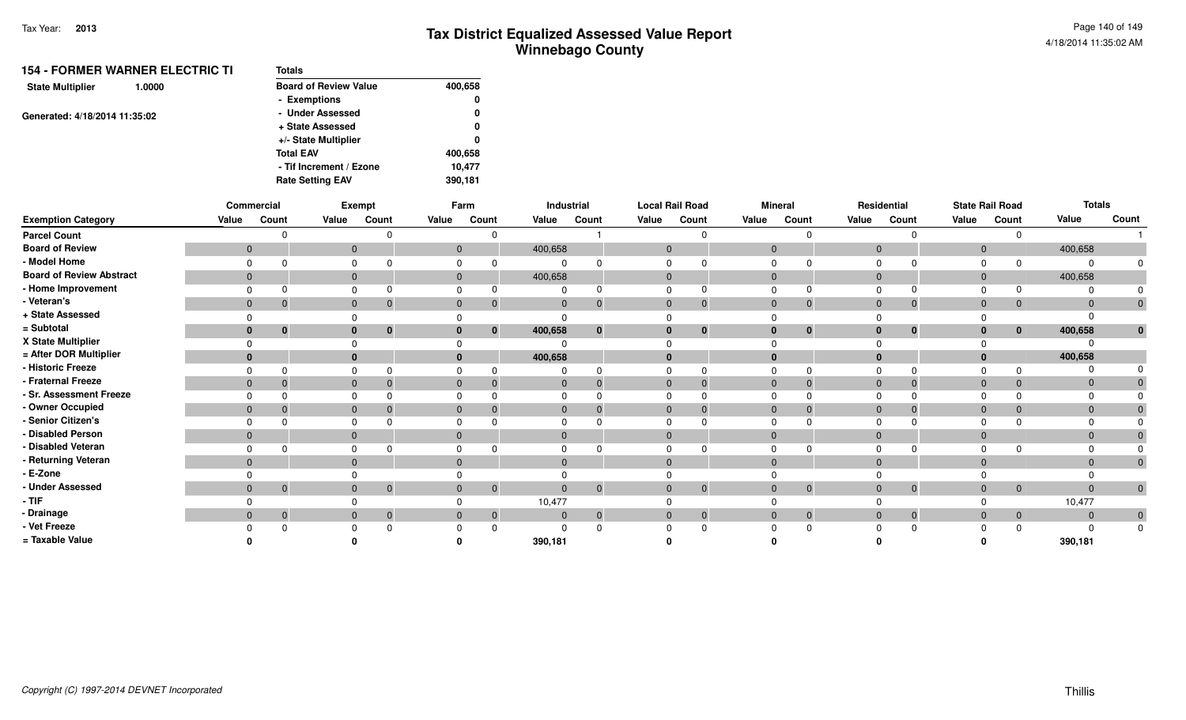| 154 - FORMER WARNER ELECTRIC TI   | <b>Totals</b>                |         |
|-----------------------------------|------------------------------|---------|
| <b>State Multiplier</b><br>1.0000 | <b>Board of Review Value</b> | 400,658 |
|                                   | - Exemptions                 | 0       |
| Generated: 4/18/2014 11:35:02     | - Under Assessed             | 0       |
|                                   | + State Assessed             | 0       |
|                                   | +/- State Multiplier         | 0       |
|                                   | <b>Total EAV</b>             | 400,658 |
|                                   | - Tif Increment / Ezone      | 10.477  |
|                                   | <b>Rate Setting EAV</b>      | 390,181 |

|                                 |                | Commercial   |                | Exempt      |              | Farm                           |              | Industrial | <b>Local Rail Road</b> |                |                | <b>Mineral</b>              |       | Residential                    |              | <b>State Rail Road</b> | <b>Totals</b> |                |
|---------------------------------|----------------|--------------|----------------|-------------|--------------|--------------------------------|--------------|------------|------------------------|----------------|----------------|-----------------------------|-------|--------------------------------|--------------|------------------------|---------------|----------------|
| <b>Exemption Category</b>       | Value          | Count        | Value          | Count       | Value        | Count                          | Value        | Count      | Value                  | Count          | Value          | Count                       | Value | Count                          | Value        | Count                  | Value         | Count          |
| <b>Parcel Count</b>             |                | $\Omega$     |                |             |              | n                              |              |            |                        | $\Omega$       |                |                             |       |                                |              |                        |               |                |
| <b>Board of Review</b>          | $\overline{0}$ |              | $\overline{0}$ |             |              | $\mathbf{0}$                   | 400,658      |            | $\overline{0}$         |                | 0              |                             |       | $\mathbf{0}$                   | $\mathbf{0}$ |                        | 400,658       |                |
| - Model Home                    |                |              |                |             |              |                                |              |            |                        |                |                |                             |       |                                |              |                        |               |                |
| <b>Board of Review Abstract</b> | $\overline{0}$ |              | $\mathbf 0$    |             |              | $\mathbf{0}$                   | 400,658      |            |                        |                | $\overline{0}$ |                             |       | $\mathbf 0$                    | $\mathbf{0}$ |                        | 400,658       |                |
| - Home Improvement              | $\Omega$       | $\Omega$     | $\Omega$       |             | $\Omega$     |                                |              |            |                        | $\Omega$       |                |                             |       |                                |              |                        |               |                |
| - Veteran's                     | $\overline{0}$ | $\mathbf 0$  | $\overline{0}$ |             |              | $\mathbf{0}$<br>$\mathbf{0}$   | $\mathbf{0}$ |            | $\mathbf{0}$           | $\overline{0}$ |                | $\mathbf{0}$<br>$\mathbf 0$ |       | $\overline{0}$<br>$\mathbf{0}$ | $\mathbf{0}$ | $\overline{0}$         | $\mathbf 0$   | $\overline{0}$ |
| + State Assessed                |                |              |                |             |              |                                |              |            |                        |                |                |                             |       |                                |              |                        |               |                |
| = Subtotal                      | $\mathbf{0}$   | $\bf{0}$     | $\mathbf{0}$   | $\bf{0}$    |              | $\bf{0}$<br>$\mathbf{0}$       | 400,658      | $\bf{0}$   |                        | $\bf{0}$       | $\bf{0}$       | $\bf{0}$                    |       | $\bf{0}$<br>$\bf{0}$           | $\bf{0}$     | $\mathbf{0}$           | 400,658       | $\bf{0}$       |
| X State Multiplier              |                |              |                |             |              |                                |              |            |                        |                |                |                             |       |                                |              |                        |               |                |
| = After DOR Multiplier          | $\bf{0}$       |              | $\mathbf{0}$   |             |              | $\bf{0}$                       | 400,658      |            |                        |                | 0              |                             |       |                                | $\mathbf{0}$ |                        | 400,658       |                |
| - Historic Freeze               |                | $\Omega$     |                |             |              |                                |              |            |                        |                |                |                             |       |                                |              |                        |               |                |
| - Fraternal Freeze              | $\mathbf 0$    | $\mathbf{0}$ | $\mathbf 0$    |             |              | $\mathbf{0}$                   | $\Omega$     |            |                        | $\Omega$       | $\Omega$       |                             |       | $\Omega$                       | $\Omega$     | $\overline{0}$         |               |                |
| - Sr. Assessment Freeze         |                |              |                |             |              |                                |              |            |                        |                |                |                             |       |                                |              |                        |               |                |
| - Owner Occupied                | $\mathbf{0}$   | $\mathbf{0}$ | $\mathbf{0}$   |             | $\mathbf{0}$ |                                | $\mathbf{0}$ |            |                        | $\Omega$       | $\mathbf{0}$   |                             |       | $\Omega$<br>0                  | $\Omega$     | $\overline{0}$         | 0             |                |
| - Senior Citizen's              |                |              |                |             |              |                                |              |            |                        |                |                |                             |       |                                |              |                        |               |                |
| - Disabled Person               | $\mathbf{0}$   |              | $\mathbf 0$    |             |              | $\mathbf{0}$                   | $\mathbf{0}$ |            |                        |                | 0              |                             |       |                                | $\Omega$     |                        |               |                |
| - Disabled Veteran              |                |              |                |             | $\Omega$     |                                |              |            |                        |                |                |                             |       |                                |              |                        |               |                |
| - Returning Veteran             | $\overline{0}$ |              | $\mathbf{0}$   |             |              | $\Omega$                       | $\Omega$     |            |                        |                | $\Omega$       |                             |       | $\Omega$                       | $\Omega$     |                        |               | $\overline{0}$ |
| - E-Zone                        |                |              |                |             |              |                                |              |            |                        |                |                |                             |       |                                |              |                        |               |                |
| - Under Assessed                | $\overline{0}$ | $\mathbf 0$  | $\overline{0}$ | $\mathbf 0$ |              | $\mathbf{0}$<br>$\overline{0}$ | $\mathbf{0}$ | $\Omega$   | $\Omega$               | $\mathbf 0$    |                | $\mathbf{0}$<br>$\mathbf 0$ |       | $\Omega$<br>$\overline{0}$     | $\Omega$     | $\overline{0}$         | $\Omega$      | $\overline{0}$ |
| $-$ TIF                         |                |              |                |             |              |                                | 10,477       |            |                        |                |                |                             |       |                                |              |                        | 10,477        |                |
| - Drainage                      | $\overline{0}$ | $\mathbf 0$  | $\mathbf{0}$   |             |              | $\mathbf{0}$<br>$\overline{0}$ | $\mathbf{0}$ |            |                        | $\mathbf{0}$   | $\Omega$       | $\mathbf 0$                 |       | $\Omega$<br>$\overline{0}$     | $\Omega$     | $\overline{0}$         | $\Omega$      | $\overline{0}$ |
| - Vet Freeze                    |                | $\Omega$     |                |             |              |                                |              |            |                        | $\Omega$       |                |                             |       | $\Omega$                       |              |                        |               | $\Omega$       |
| = Taxable Value                 |                |              |                |             |              |                                | 390,181      |            |                        |                |                |                             |       |                                |              |                        | 390,181       |                |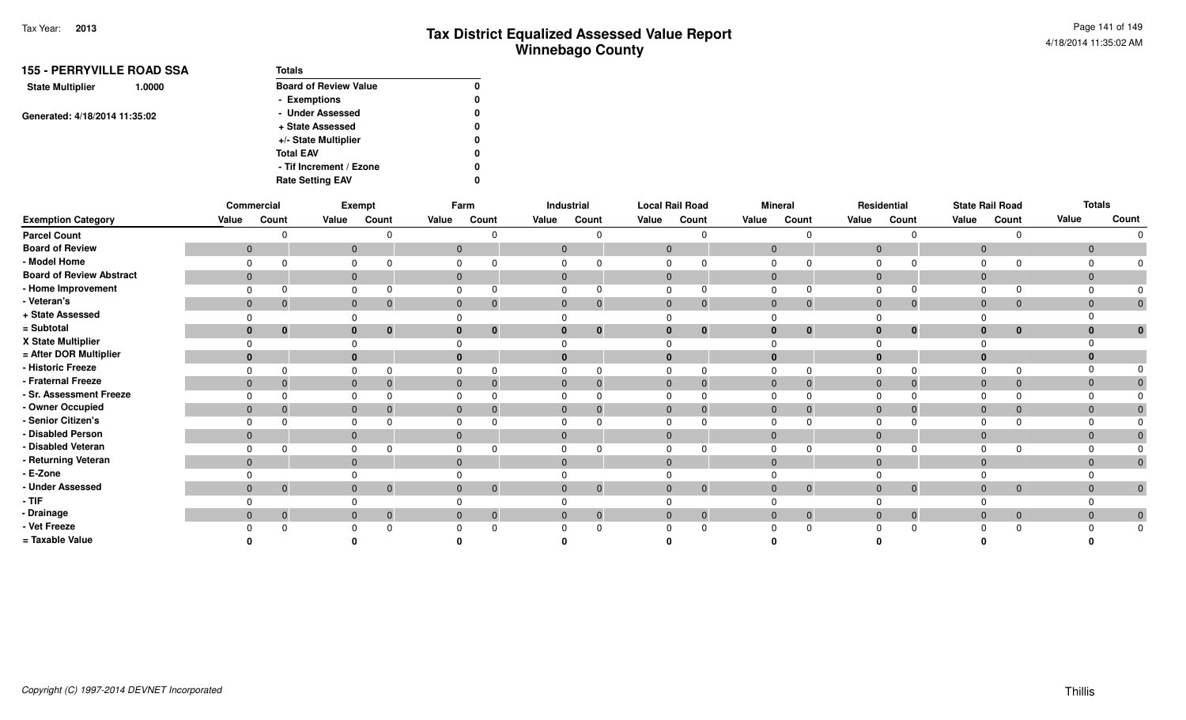| <b>155 - PERRYVILLE ROAD SSA</b><br><b>State Multiplier</b><br>1.0000 | <b>Totals</b>                |   |
|-----------------------------------------------------------------------|------------------------------|---|
|                                                                       | <b>Board of Review Value</b> | 0 |
|                                                                       | - Exemptions                 | 0 |
| Generated: 4/18/2014 11:35:02                                         | - Under Assessed             | 0 |
|                                                                       | + State Assessed             | 0 |
|                                                                       | +/- State Multiplier         | 0 |
|                                                                       | <b>Total EAV</b>             | 0 |
|                                                                       | - Tif Increment / Ezone      | 0 |
|                                                                       | <b>Rate Setting EAV</b>      |   |

|                                 |              | Commercial     |                | <b>Exempt</b>  |                | Farm         |              | Industrial     |                | <b>Local Rail Road</b> |              | <b>Mineral</b> |       | Residential                      |          | <b>State Rail Road</b> |       | <b>Totals</b>  |
|---------------------------------|--------------|----------------|----------------|----------------|----------------|--------------|--------------|----------------|----------------|------------------------|--------------|----------------|-------|----------------------------------|----------|------------------------|-------|----------------|
| <b>Exemption Category</b>       | Value        | Count          | Value          | Count          | Value          | Count        | Value        | Count          | Value          | Count                  | Value        | Count          | Value | Count                            | Value    | Count                  | Value | Count          |
| <b>Parcel Count</b>             |              |                |                |                |                |              |              |                |                |                        |              |                |       |                                  |          |                        |       |                |
| <b>Board of Review</b>          | $\mathbf{0}$ |                | $\overline{0}$ |                | $\mathbf{0}$   |              | $\mathbf{0}$ |                | $\mathbf{0}$   |                        | 0            |                |       | $\mathbf{0}$                     | $\Omega$ |                        |       |                |
| - Model Home                    | $\Omega$     |                | 0              |                |                |              | $\Omega$     |                | $\Omega$       |                        |              |                |       |                                  |          |                        |       |                |
| <b>Board of Review Abstract</b> | $\mathbf{0}$ |                | $\overline{0}$ |                | $\overline{0}$ |              | $\mathbf{0}$ |                | $\mathbf{0}$   |                        |              |                |       | $\Omega$                         |          |                        |       |                |
| - Home Improvement              |              |                |                |                |                |              |              |                |                |                        |              |                |       |                                  |          |                        |       |                |
| - Veteran's                     | $\mathbf{0}$ | $\mathbf 0$    | $\mathbf{0}$   | $\overline{0}$ | $\mathbf{0}$   |              | $\mathbf{0}$ | $\mathbf 0$    | $\mathbf{0}$   |                        |              | $\overline{0}$ |       | $\mathbf 0$                      | $\Omega$ | $\overline{0}$         |       |                |
| + State Assessed                |              |                |                |                |                |              |              |                |                |                        |              |                |       |                                  |          |                        |       |                |
| = Subtotal                      | $\bf{0}$     | 0              | $\bf{0}$       | $\bf{0}$       | 0              | $\bf{0}$     | $\mathbf{0}$ | $\mathbf{0}$   | $\bf{0}$       | $\bf{0}$               |              | $\mathbf{0}$   |       | $\bf{0}$<br>$\bf{0}$             |          | $\bf{0}$               |       |                |
| X State Multiplier              |              |                |                |                |                |              |              |                |                |                        |              |                |       |                                  |          |                        |       |                |
| = After DOR Multiplier          | $\mathbf{0}$ |                |                | $\bf{0}$       | $\bf{0}$       |              | $\mathbf{0}$ |                | $\mathbf{0}$   |                        |              |                |       | $\bf{0}$                         |          |                        |       |                |
| - Historic Freeze               |              |                | 0              |                |                |              |              |                | $\Omega$       |                        |              |                |       |                                  |          |                        |       |                |
| - Fraternal Freeze              | $\mathbf{0}$ |                | $\mathbf{0}$   | $\mathbf 0$    | $\mathbf 0$    |              | $\mathbf{0}$ |                | $\mathbf{0}$   |                        |              | $\mathbf 0$    |       | $\overline{0}$                   |          | $\overline{0}$         |       |                |
| - Sr. Assessment Freeze         | $\Omega$     |                | $\Omega$       |                |                |              | $\Omega$     |                | $\Omega$       |                        |              | $\Omega$       |       |                                  |          |                        |       |                |
| - Owner Occupied                | $\mathbf{0}$ |                | $\mathbf{0}$   |                | $\mathbf{0}$   |              | $\mathbf{0}$ |                | $\mathbf{0}$   |                        |              | $\Omega$       |       | $\Omega$                         |          | $\overline{0}$         |       |                |
| - Senior Citizen's              | 0            |                | $\Omega$       |                |                |              |              |                |                |                        |              |                |       |                                  |          |                        |       |                |
| - Disabled Person               | $\mathbf{0}$ |                | $\mathbf{0}$   |                | $\Omega$       |              | $\mathbf 0$  |                | $\Omega$       |                        |              |                |       | $\Omega$                         |          |                        |       |                |
| - Disabled Veteran              | $\Omega$     |                |                |                |                |              |              |                |                |                        |              |                |       |                                  |          |                        |       |                |
| - Returning Veteran             | $\Omega$     |                | $\mathbf{0}$   |                | $\mathbf{0}$   |              | $\mathbf{0}$ |                | $\Omega$       |                        |              |                |       | $\Omega$                         |          |                        |       |                |
| - E-Zone                        |              |                |                |                |                |              |              |                |                |                        |              |                |       |                                  |          |                        |       |                |
| - Under Assessed                | $\mathbf{0}$ | $\overline{0}$ | $\overline{0}$ | $\mathbf{0}$   | $\overline{0}$ | $\mathbf{0}$ | $\mathbf{0}$ | $\overline{0}$ | $\overline{0}$ | $\overline{0}$         | $\mathbf{0}$ | $\overline{0}$ |       | $\overline{0}$<br>$\overline{0}$ | $\Omega$ | $\overline{0}$         |       | $\overline{0}$ |
| $-TIF$                          |              |                |                |                |                |              |              |                | $\Omega$       |                        |              |                |       |                                  |          |                        |       |                |
| - Drainage                      | $\mathbf{0}$ | $\overline{0}$ | $\overline{0}$ | $\mathbf 0$    | $\overline{0}$ | $\mathbf 0$  | $\mathbf{0}$ | $\mathbf 0$    | $\mathbf{0}$   | $\mathbf{0}$           |              | $\mathbf{0}$   |       | $\overline{0}$<br>$\overline{0}$ |          | $\overline{0}$         |       | $\overline{0}$ |
| - Vet Freeze                    |              |                |                | 0              |                |              |              |                |                |                        |              | $\Omega$       |       |                                  |          |                        |       | $\mathbf 0$    |
| = Taxable Value                 |              |                |                |                |                |              |              |                |                |                        |              |                |       |                                  |          |                        |       |                |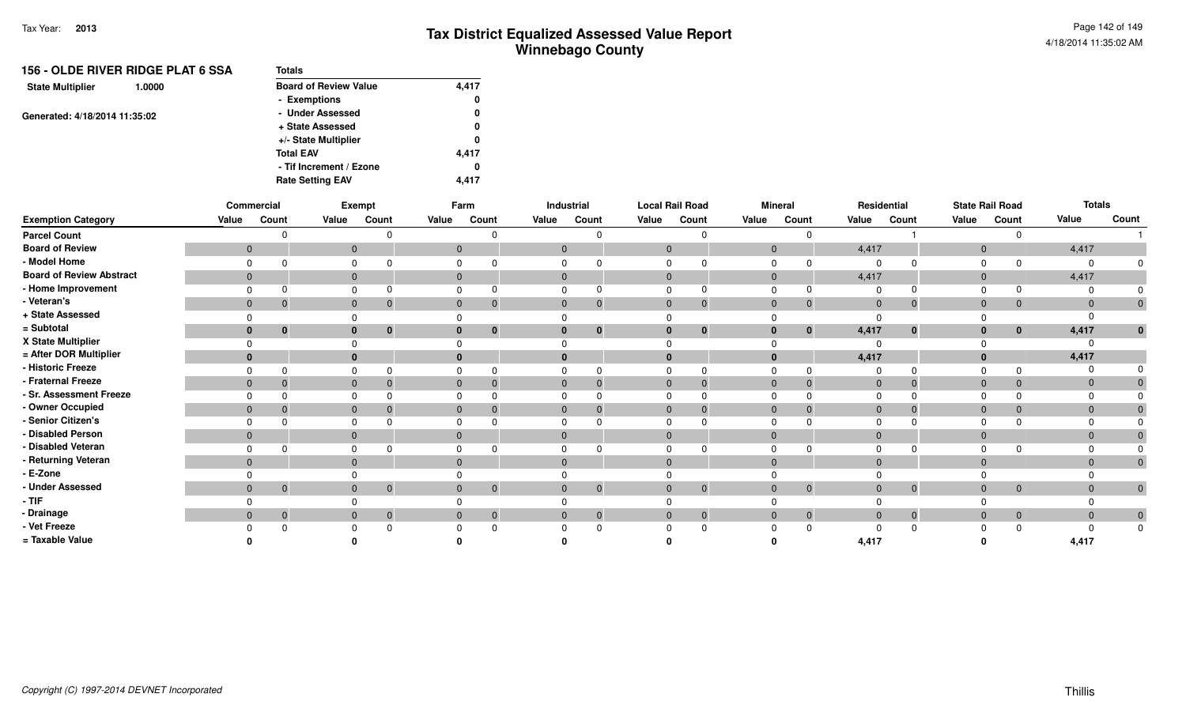| <b>156 - OLDE RIVER RIDGE PLAT 6 SSA</b> |        | <b>Totals</b>                |       |
|------------------------------------------|--------|------------------------------|-------|
| <b>State Multiplier</b>                  | 1.0000 | <b>Board of Review Value</b> | 4,417 |
|                                          |        | - Exemptions                 | 0     |
|                                          |        | - Under Assessed             | 0     |
| Generated: 4/18/2014 11:35:02            |        | + State Assessed             | 0     |
|                                          |        | +/- State Multiplier         | 0     |
|                                          |        | <b>Total EAV</b>             | 4.417 |
|                                          |        | - Tif Increment / Ezone      | 0     |
|                                          |        | <b>Rate Setting EAV</b>      | 4.417 |
|                                          |        |                              |       |

|                                 |                | Commercial   |                | Exempt         |                | Farm           |              | Industrial   | <b>Local Rail Road</b> |              |                | <b>Mineral</b> |              | Residential    |              | <b>State Rail Road</b> | <b>Totals</b> |              |
|---------------------------------|----------------|--------------|----------------|----------------|----------------|----------------|--------------|--------------|------------------------|--------------|----------------|----------------|--------------|----------------|--------------|------------------------|---------------|--------------|
| <b>Exemption Category</b>       | Value          | Count        | Value          | Count          | Value          | Count          | Value        | Count        | Value                  | Count        | Value          | Count          | Value        | Count          | Value        | Count                  | Value         | Count        |
| <b>Parcel Count</b>             |                | <sup>0</sup> |                |                |                |                |              |              |                        |              |                |                |              |                |              |                        |               |              |
| <b>Board of Review</b>          | $\overline{0}$ |              | $\overline{0}$ |                | $\mathbf{0}$   |                | $\mathbf 0$  |              | $\mathbf{0}$           |              | $\mathbf{0}$   |                | 4,417        |                | $\mathbf 0$  |                        | 4,417         |              |
| - Model Home                    | $\Omega$       |              | $\Omega$       |                | $\Omega$       |                | 0            |              |                        |              |                |                |              |                | $\Omega$     |                        |               |              |
| <b>Board of Review Abstract</b> | $\overline{0}$ |              | $\overline{0}$ |                | $\overline{0}$ |                | $\mathbf 0$  |              | $\mathbf{0}$           |              | $\mathbf{0}$   |                | 4,417        |                | $\mathbf 0$  |                        | 4,417         |              |
| - Home Improvement              | ∩              |              | 0              |                |                |                |              |              |                        |              |                |                |              |                |              |                        |               |              |
| - Veteran's                     | $\mathbf{0}$   | $\mathbf 0$  | $\mathbf{0}$   | 0              | $\mathbf 0$    | 0              | $\mathbf{0}$ |              | $\mathbf 0$            |              | $\mathbf{0}$   |                | $\mathbf{0}$ | 0              | $\mathbf{0}$ | $\mathbf{0}$           |               | $\mathbf{0}$ |
| + State Assessed                | $\Omega$       |              | $\Omega$       |                |                |                |              |              |                        |              |                |                |              |                |              |                        |               |              |
| = Subtotal                      | $\bf{0}$       | $\mathbf{0}$ | $\bf{0}$       | $\mathbf{0}$   | $\bf{0}$       | $\bf{0}$       | $\bf{0}$     | $\mathbf{0}$ | $\bf{0}$               | $\bf{0}$     | $\mathbf{0}$   | $\mathbf{0}$   | 4,417        | $\mathbf{0}$   | $\mathbf 0$  | $\mathbf{0}$           | 4,417         | $\bf{0}$     |
| X State Multiplier              |                |              |                |                |                |                |              |              |                        |              |                |                |              |                |              |                        |               |              |
| = After DOR Multiplier          | $\bf{0}$       |              | $\bf{0}$       |                | $\bf{0}$       |                | $\mathbf{0}$ |              |                        |              | $\mathbf{0}$   |                | 4,417        |                | $\mathbf{0}$ |                        | 4,417         |              |
| - Historic Freeze               |                |              |                |                |                |                |              |              |                        |              |                |                |              |                |              |                        |               |              |
| - Fraternal Freeze              | $\overline{0}$ | $\mathbf{0}$ | $\mathbf{0}$   |                | $\mathbf{0}$   |                | $\mathbf{0}$ |              | $\Omega$               |              | $\mathbf{0}$   |                | $\mathbf{0}$ |                | $\mathbf 0$  |                        |               |              |
| - Sr. Assessment Freeze         | $\Omega$       |              | $\Omega$       |                | O              |                |              |              |                        |              |                |                |              |                |              |                        |               |              |
| - Owner Occupied                | $\overline{0}$ | $\mathbf{0}$ | $\overline{0}$ |                | $\overline{0}$ |                | $\mathbf 0$  |              | $\mathbf{0}$           |              | $\overline{0}$ |                | $\mathbf{0}$ |                | $\mathbf{0}$ | $\overline{0}$         |               |              |
| - Senior Citizen's              |                |              | $\Omega$       |                |                |                |              |              |                        |              |                |                |              |                |              |                        |               |              |
| - Disabled Person               | $\mathbf{0}$   |              | $\overline{0}$ |                | $\mathbf{0}$   |                | $\mathbf{0}$ |              |                        |              | $\mathbf{0}$   |                | $\mathbf{0}$ |                | $\mathbf{0}$ |                        |               | $\mathbf 0$  |
| - Disabled Veteran              | $\Omega$       |              | 0              |                |                |                |              |              |                        |              | 0              |                |              |                | $\Omega$     |                        |               |              |
| - Returning Veteran             | $\overline{0}$ |              | $\overline{0}$ |                | $\mathbf{0}$   |                | $\mathbf{0}$ |              | $\Omega$               |              | $\mathbf{0}$   |                | $\Omega$     |                | $\mathbf{0}$ |                        |               | $\mathbf 0$  |
| - E-Zone                        |                |              | $\Omega$       |                | <sup>0</sup>   |                |              |              |                        |              |                |                |              |                |              |                        |               |              |
| - Under Assessed                | $\overline{0}$ | $\mathbf 0$  | $\overline{0}$ | $\overline{0}$ | $\overline{0}$ | $\overline{0}$ | $\mathbf{0}$ | $\mathbf 0$  | $\mathbf{0}$           | $\mathbf 0$  | $\overline{0}$ | $\overline{0}$ | $\mathbf{0}$ | $\overline{0}$ | $\mathbf{0}$ | $\overline{0}$         | $\mathbf{0}$  | $\mathbf 0$  |
| - TIF                           |                |              |                |                |                |                |              |              |                        |              |                |                |              |                |              |                        |               |              |
| - Drainage                      | $\overline{0}$ | $\mathbf 0$  | $\mathbf{0}$   | $\overline{0}$ | $\overline{0}$ | $\mathbf{0}$   | $\mathbf 0$  |              | $\mathbf{0}$           | $\mathbf{0}$ | $\mathbf{0}$   | $\mathbf{0}$   | $\mathbf{0}$ | $\overline{0}$ | $\mathbf{0}$ | $\overline{0}$         |               | $\mathbf 0$  |
| - Vet Freeze                    |                | $\Omega$     | ∩              |                |                |                |              |              |                        |              |                |                |              | $\Omega$       |              |                        |               | $\mathbf 0$  |
| = Taxable Value                 |                |              |                |                |                |                |              |              |                        |              |                |                | 4,417        |                |              |                        | 4,417         |              |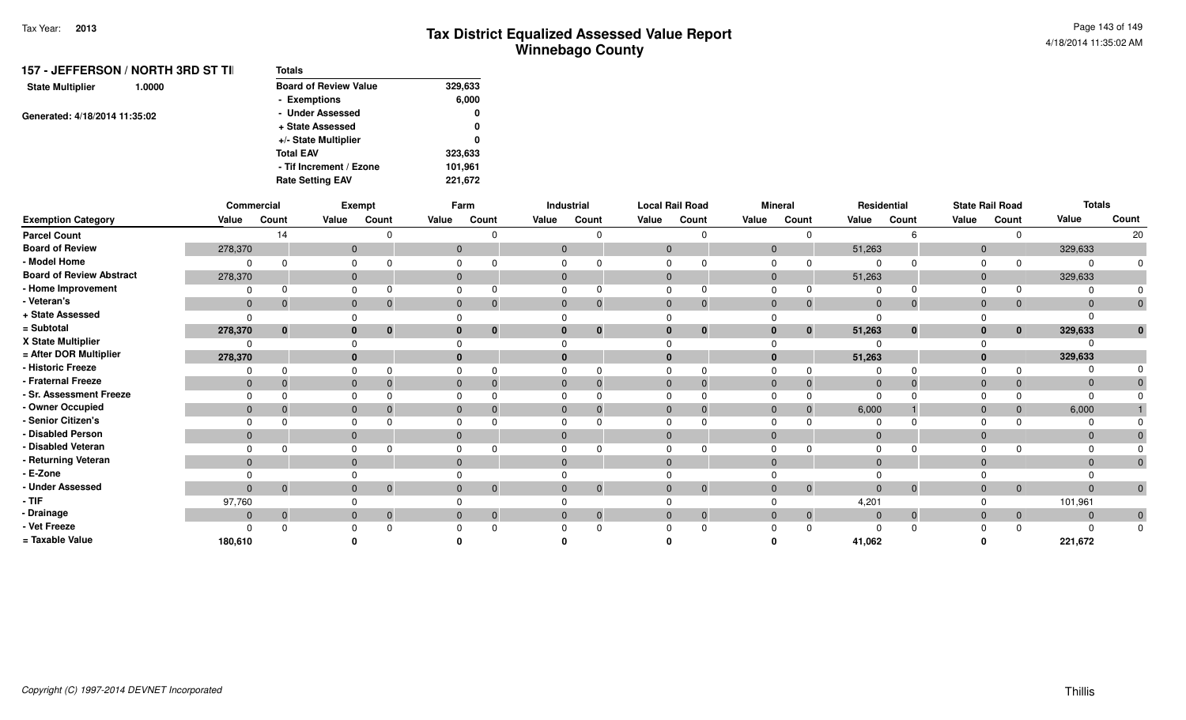| 157 - JEFFERSON / NORTH 3RD ST TII | <b>Totals</b>                |         |
|------------------------------------|------------------------------|---------|
| <b>State Multiplier</b><br>1.0000  | <b>Board of Review Value</b> | 329,633 |
|                                    | - Exemptions                 | 6,000   |
| Generated: 4/18/2014 11:35:02      | - Under Assessed             | 0       |
|                                    | + State Assessed             | 0       |
|                                    | +/- State Multiplier         | 0       |
|                                    | <b>Total EAV</b>             | 323,633 |
|                                    | - Tif Increment / Ezone      | 101,961 |
|                                    | <b>Rate Setting EAV</b>      | 221,672 |

|                                 | Commercial   |                |       | Exempt                   |              | Farm           |              | Industrial     |                | <b>Local Rail Road</b> |                | <b>Mineral</b> | Residential    |                |                | <b>State Rail Road</b> | <b>Totals</b>  |                |
|---------------------------------|--------------|----------------|-------|--------------------------|--------------|----------------|--------------|----------------|----------------|------------------------|----------------|----------------|----------------|----------------|----------------|------------------------|----------------|----------------|
| <b>Exemption Category</b>       | Value        | Count          | Value | Count                    | Value        | Count          | Value        | Count          | Value          | Count                  | Value          | Count          | Value          | Count          | Value          | Count                  | Value          | Count          |
| <b>Parcel Count</b>             |              | 14             |       |                          |              | $\Omega$       |              |                |                |                        |                |                |                |                |                |                        |                | 20             |
| <b>Board of Review</b>          | 278,370      |                |       | $\mathbf{0}$             | $\mathbf{0}$ |                | $\mathbf{0}$ |                | $\mathbf{0}$   |                        | $\overline{0}$ |                | 51,263         |                | $\mathbf 0$    |                        | 329,633        |                |
| - Model Home                    |              |                |       | $\Omega$                 |              |                |              |                |                |                        | $\Omega$       |                |                |                | $\Omega$       |                        | $\Omega$       |                |
| <b>Board of Review Abstract</b> | 278,370      |                |       | $\mathbf{0}$             | $\mathbf{0}$ |                | $\Omega$     |                | $\mathbf{0}$   |                        | $\overline{0}$ |                | 51,263         |                | $\overline{0}$ |                        | 329,633        |                |
| - Home Improvement              |              |                |       | $\Omega$                 |              |                |              |                | <sup>0</sup>   |                        | $\Omega$       |                |                |                | $\Omega$       |                        | $\Omega$       |                |
| - Veteran's                     | $\mathbf{0}$ | $\mathbf 0$    |       | $\mathbf{0}$             | $\mathbf{0}$ | $\mathbf{0}$   | $\Omega$     | $\overline{0}$ | $\mathbf{0}$   | $\Omega$               | $\overline{0}$ | 0              | $\mathbf{0}$   | $\Omega$       | $\mathbf 0$    | $\overline{0}$         | $\mathbf{0}$   | $\overline{0}$ |
| + State Assessed                |              |                |       | $\Omega$                 |              |                |              |                |                |                        |                |                | $\Omega$       |                |                |                        | $\Omega$       |                |
| = Subtotal                      | 278,370      | $\mathbf{0}$   |       | $\mathbf{0}$<br>$\bf{0}$ | 0            | $\mathbf 0$    |              | $\bf{0}$       | $\bf{0}$       | $\bf{0}$               | $\mathbf{0}$   | $\mathbf{0}$   | 51,263         | $\mathbf{0}$   | $\bf{0}$       | $\mathbf{0}$           | 329,633        | $\bf{0}$       |
| X State Multiplier              |              |                |       | $\Omega$                 |              |                |              |                |                |                        |                |                |                |                |                |                        |                |                |
| = After DOR Multiplier          | 278,370      |                |       | $\mathbf{0}$             |              |                |              |                | $\bf{0}$       |                        |                |                | 51,263         |                |                |                        | 329,633        |                |
| - Historic Freeze               |              |                |       |                          |              |                |              |                |                |                        |                |                |                |                |                |                        |                |                |
| - Fraternal Freeze              | $\mathbf 0$  |                |       | $\Omega$                 |              |                |              | 0              | $\overline{0}$ |                        | $\Omega$       |                | $\Omega$       |                | $\Omega$       | $\overline{0}$         | $\Omega$       |                |
| - Sr. Assessment Freeze         |              |                |       |                          |              |                |              |                |                |                        |                |                | $\Omega$       |                |                |                        | $\Omega$       |                |
| - Owner Occupied                | $\mathbf{0}$ |                |       | $\Omega$                 |              | $\Omega$       |              | 0              | $\overline{0}$ |                        | $\Omega$       |                | 6,000          |                | $\Omega$       | $\mathbf{0}$           | 6,000          |                |
| - Senior Citizen's              |              |                |       |                          |              |                |              |                |                |                        |                |                |                |                |                |                        |                |                |
| - Disabled Person               | $\mathbf{0}$ |                |       | $\mathbf{0}$             |              |                |              |                | $\Omega$       |                        | $\Omega$       |                | $\mathbf{0}$   |                |                |                        | $\mathbf{0}$   |                |
| - Disabled Veteran              |              |                |       | $\Omega$                 |              |                |              |                |                |                        | $\Omega$       |                | $\Omega$       |                |                |                        | $\Omega$       |                |
| - Returning Veteran             | $\Omega$     |                |       | $\Omega$                 |              |                |              |                | $\Omega$       |                        | $\Omega$       |                | $\Omega$       |                |                |                        | $\Omega$       | $\overline{0}$ |
| - E-Zone                        |              |                |       |                          |              |                |              |                |                |                        |                |                |                |                |                |                        |                |                |
| - Under Assessed                | $\mathbf{0}$ | $\overline{0}$ |       | $\mathbf{0}$<br>$\Omega$ | $\Omega$     | $\overline{0}$ |              | $\mathbf{0}$   | $\mathbf{0}$   | $\overline{0}$         | $\Omega$       | $\overline{0}$ | $\overline{0}$ | $\overline{0}$ | $\Omega$       | $\overline{0}$         | $\overline{0}$ | $\overline{0}$ |
| $-$ TIF                         | 97,760       |                |       |                          |              |                |              |                |                |                        |                |                | 4,201          |                |                |                        | 101,961        |                |
| - Drainage                      | $\mathbf{0}$ | $\mathbf 0$    |       | $\mathbf{0}$             | $\mathbf{0}$ | $\mathbf{0}$   |              | $\overline{0}$ | $\mathbf{0}$   | $\Omega$               | $\Omega$       | 0              | $\mathbf{0}$   | 0              | $\overline{0}$ | $\overline{0}$         | $\mathbf{0}$   | $\mathbf{0}$   |
| - Vet Freeze                    |              |                |       |                          |              | $\Omega$       |              | $\Omega$       |                | $\Omega$               |                |                | $\Omega$       |                |                | $\Omega$               | $\Omega$       | $\mathbf 0$    |
| = Taxable Value                 | 180,610      |                |       |                          |              |                |              |                |                |                        |                |                | 41,062         |                |                |                        | 221,672        |                |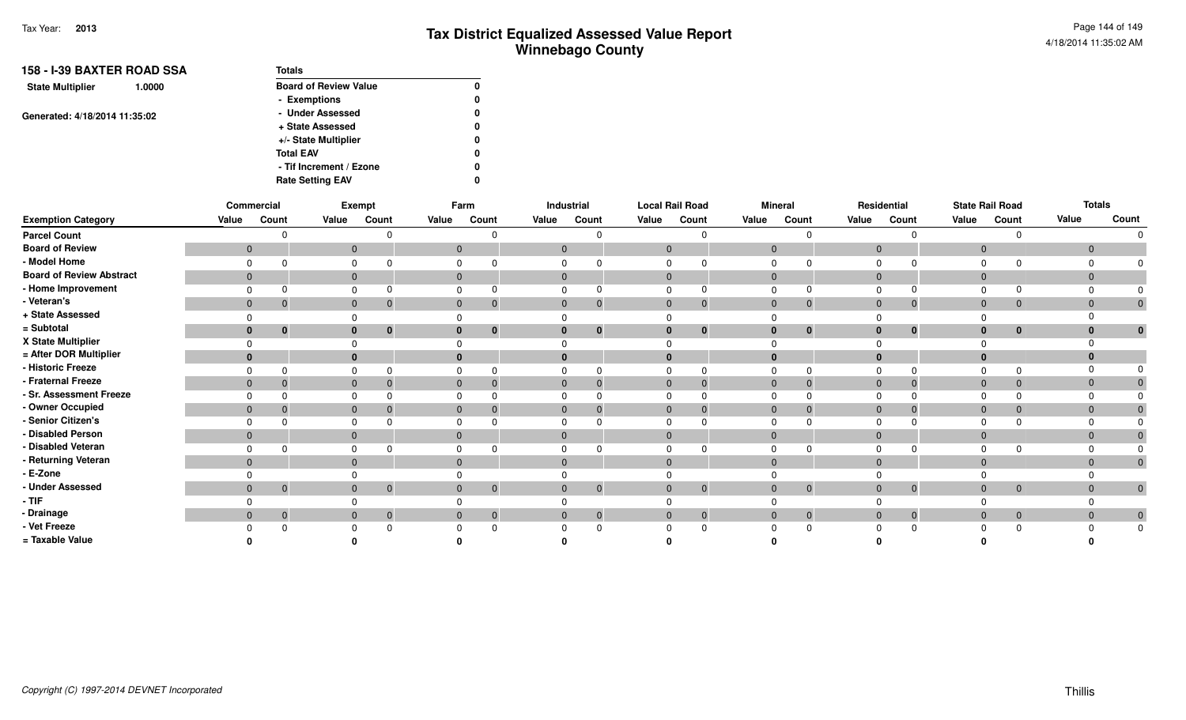| 158 - I-39 BAXTER ROAD SSA<br><b>State Multiplier</b><br>1.0000 | <b>Totals</b>                |   |
|-----------------------------------------------------------------|------------------------------|---|
|                                                                 | <b>Board of Review Value</b> | 0 |
|                                                                 | - Exemptions                 | 0 |
| Generated: 4/18/2014 11:35:02                                   | - Under Assessed             | 0 |
|                                                                 | + State Assessed             | 0 |
|                                                                 | +/- State Multiplier         | 0 |
|                                                                 | <b>Total EAV</b>             | 0 |
|                                                                 | - Tif Increment / Ezone      | 0 |
|                                                                 | <b>Rate Setting EAV</b>      | 0 |

|                                 |                | Commercial     |             | Exempt                         |                | Farm           |                | Industrial   |                | <b>Local Rail Road</b> |                | <b>Mineral</b> |              | Residential                 |                | <b>State Rail Road</b> |                | <b>Totals</b> |
|---------------------------------|----------------|----------------|-------------|--------------------------------|----------------|----------------|----------------|--------------|----------------|------------------------|----------------|----------------|--------------|-----------------------------|----------------|------------------------|----------------|---------------|
| <b>Exemption Category</b>       | Value          | Count          | Value       | Count                          | Value          | Count          | Value          | Count        | Value          | Count                  | Value          | Count          | Value        | Count                       | Value          | Count                  | Value          | Count         |
| <b>Parcel Count</b>             |                |                |             |                                |                |                |                | $\Omega$     |                | $\Omega$               |                |                |              |                             |                |                        |                |               |
| <b>Board of Review</b>          | $\mathbf{0}$   |                |             | $\overline{0}$                 | $\mathbf{0}$   |                | $\mathbf 0$    |              | $\mathbf{0}$   |                        | $\mathbf 0$    |                | $\mathbf{0}$ |                             | $\mathbf{0}$   |                        | $\overline{0}$ |               |
| - Model Home                    | $\Omega$       |                |             | $\Omega$                       | $\Omega$       |                |                |              |                | $\Omega$               | 0              |                |              |                             |                |                        |                |               |
| <b>Board of Review Abstract</b> | $\mathbf{0}$   |                |             | $\mathbf{0}$                   | $\mathbf 0$    |                | $\mathbf 0$    |              | $\mathbf{0}$   |                        | $\mathbf{0}$   |                | $\mathbf{0}$ |                             | $\mathbf{0}$   |                        |                |               |
| - Home Improvement              | $\Omega$       |                | $\mathbf 0$ |                                | $\Omega$       |                | 0              |              | $\Omega$       | $\Omega$               | $\mathbf 0$    |                |              |                             |                |                        |                | $\Omega$      |
| - Veteran's                     | $\mathbf 0$    | $\overline{0}$ |             | $\mathbf{0}$<br>0              | $\mathbf 0$    | $\mathbf 0$    | $\mathbf 0$    | $\Omega$     | $\mathbf 0$    | $\mathbf 0$            | $\overline{0}$ | $\Omega$       | $\mathbf 0$  | 0                           | $\mathbf{0}$   | $\mathbf{0}$           |                | $\mathbf 0$   |
| + State Assessed                | $\Omega$       |                |             | $\Omega$                       |                |                |                |              |                |                        | $\Omega$       |                |              |                             |                |                        |                |               |
| = Subtotal                      | $\mathbf{0}$   | $\mathbf{0}$   |             | $\mathbf 0$<br>0               | $\bf{0}$       | $\mathbf{0}$   | $\mathbf{0}$   | $\mathbf 0$  | $\bf{0}$       | $\bf{0}$               | $\bf{0}$       | $\bf{0}$       |              | $\mathbf{0}$<br>$\bf{0}$    | $\mathbf{0}$   | $\bf{0}$               |                | $\bf{0}$      |
| X State Multiplier              |                |                |             | 0                              | 0              |                |                |              |                |                        | $\Omega$       |                |              |                             |                |                        |                |               |
| = After DOR Multiplier          | $\mathbf{0}$   |                |             | $\bf{0}$                       | $\bf{0}$       |                | $\bf{0}$       |              | $\bf{0}$       |                        | $\mathbf{0}$   |                |              | 0                           | $\bf{0}$       |                        |                |               |
| - Historic Freeze               | $\Omega$       |                |             | $\Omega$                       | $\Omega$       |                | 0              |              | $\Omega$       | <sup>0</sup>           | $\Omega$       |                |              |                             |                |                        |                |               |
| - Fraternal Freeze              | $\mathbf{0}$   | - 0            |             | $\mathbf{0}$                   | $\overline{0}$ |                | $\mathbf 0$    | 0            | $\overline{0}$ | $\mathbf{0}$           | $\overline{0}$ |                | $\mathbf{0}$ |                             | $\mathbf{0}$   |                        |                |               |
| - Sr. Assessment Freeze         | $\Omega$       |                |             | $\Omega$                       | $\Omega$       |                | 0              |              | $\Omega$       |                        | $\Omega$       |                |              |                             |                |                        |                |               |
| - Owner Occupied                | $\mathbf{0}$   | $\Omega$       |             | $\mathbf{0}$                   | $\mathbf{0}$   |                | $\mathbf 0$    |              | $\mathbf 0$    | $\mathbf{0}$           | $\mathbf 0$    |                | $\mathbf{0}$ |                             | $\overline{0}$ |                        |                | 0             |
| - Senior Citizen's              | $\Omega$       |                |             | 0                              | $\Omega$       |                | 0              |              | $\Omega$       |                        | $\Omega$       |                |              |                             |                |                        |                |               |
| - Disabled Person               | $\overline{0}$ |                |             | $\overline{0}$                 | $\mathbf{0}$   |                | $\mathbf 0$    |              | $\mathbf 0$    |                        | $\mathbf{0}$   |                | $\mathbf{0}$ |                             | $\mathbf{0}$   |                        |                | 0             |
| - Disabled Veteran              | $\Omega$       |                |             | $\Omega$                       |                |                |                |              |                |                        |                |                |              |                             |                |                        |                |               |
| - Returning Veteran             | $\mathbf{0}$   |                |             | $\mathbf{0}$                   | $\Omega$       |                | $\mathbf{0}$   |              | $\Omega$       |                        | $\mathbf{0}$   |                | $\Omega$     |                             | $\Omega$       |                        |                | $\mathbf{0}$  |
| - E-Zone                        | $\Omega$       |                |             | $\Omega$                       |                |                |                |              |                |                        |                |                |              |                             |                |                        |                |               |
| - Under Assessed                | $\mathbf{0}$   | $\overline{0}$ |             | $\mathbf{0}$<br>$\overline{0}$ | $\mathbf{0}$   | $\overline{0}$ | $\overline{0}$ | $\mathbf{0}$ | $\mathbf{0}$   | $\mathbf 0$            | $\mathbf{0}$   | $\Omega$       | $\mathbf{0}$ | $\mathbf{0}$                | $\mathbf{0}$   | $\overline{0}$         |                | $\mathbf 0$   |
| $-TIF$                          | $\Omega$       |                |             | 0                              | 0              |                |                |              |                |                        | $\Omega$       |                |              |                             |                |                        |                |               |
| - Drainage                      | $\mathbf 0$    | $\overline{0}$ |             | $\mathbf{0}$<br>$\overline{0}$ | $\mathbf 0$    | $\overline{0}$ | $\mathbf 0$    | $\mathbf 0$  | $\mathbf 0$    | $\mathbf 0$            | $\mathbf{0}$   | $\mathbf{0}$   |              | $\mathbf 0$<br>$\mathbf{0}$ | $\mathbf{0}$   | $\overline{0}$         |                | $\mathbf 0$   |
| - Vet Freeze                    |                |                |             |                                |                |                |                | $\Omega$     |                | $\Omega$               |                |                |              |                             |                |                        |                | 0             |
| = Taxable Value                 |                |                |             |                                |                |                |                |              |                |                        |                |                |              |                             |                |                        |                |               |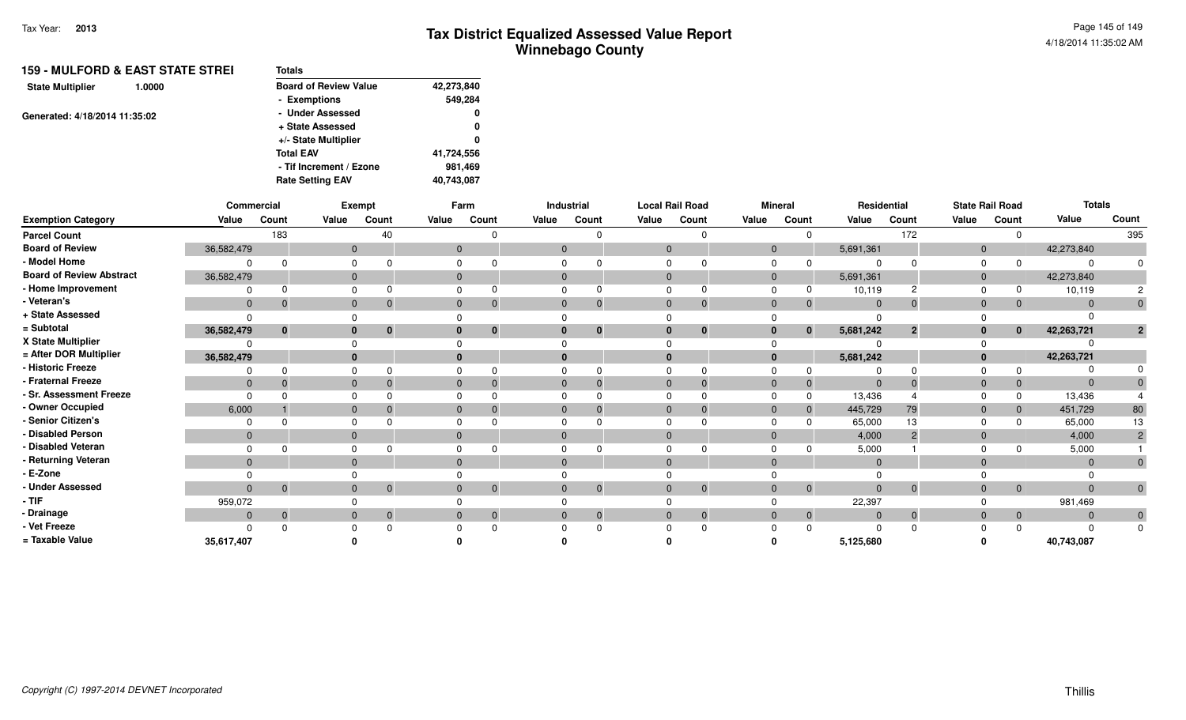|                               | <b>159 - MULFORD &amp; EAST STATE STREI</b> | <b>Totals</b>                |            |  |  |  |  |  |  |  |
|-------------------------------|---------------------------------------------|------------------------------|------------|--|--|--|--|--|--|--|
| <b>State Multiplier</b>       | 1.0000                                      | <b>Board of Review Value</b> | 42,273,840 |  |  |  |  |  |  |  |
|                               |                                             | - Exemptions                 | 549,284    |  |  |  |  |  |  |  |
| Generated: 4/18/2014 11:35:02 |                                             | - Under Assessed             | 0          |  |  |  |  |  |  |  |
|                               |                                             | + State Assessed             | 0          |  |  |  |  |  |  |  |
|                               |                                             | +/- State Multiplier         | 0          |  |  |  |  |  |  |  |
|                               |                                             | <b>Total EAV</b>             | 41,724,556 |  |  |  |  |  |  |  |
|                               |                                             | - Tif Increment / Ezone      | 981,469    |  |  |  |  |  |  |  |
|                               |                                             | <b>Rate Setting EAV</b>      | 40,743,087 |  |  |  |  |  |  |  |
|                               |                                             |                              |            |  |  |  |  |  |  |  |

|                                 | Commercial     |              |                | Exempt   |          | Farm                           |              | Industrial |                | <b>Local Rail Road</b> |                | <b>Mineral</b> |                | Residential    |              | <b>State Rail Road</b> |                | <b>Totals</b>  |  |
|---------------------------------|----------------|--------------|----------------|----------|----------|--------------------------------|--------------|------------|----------------|------------------------|----------------|----------------|----------------|----------------|--------------|------------------------|----------------|----------------|--|
| <b>Exemption Category</b>       | Value          | Count        | Value          | Count    | Value    | Count                          | Value        | Count      | Value          | Count                  | Value          | Count          | Value          | Count          | Value        | Count                  | Value          | Count          |  |
| <b>Parcel Count</b>             |                | 183          |                | 40       |          | U                              |              |            |                | $\Omega$               |                |                |                | 172            |              |                        |                | 395            |  |
| <b>Board of Review</b>          | 36,582,479     |              | $\mathbf{0}$   |          |          | $\mathbf{0}$                   | $\mathbf{0}$ |            | $\overline{0}$ |                        | $\overline{0}$ |                | 5,691,361      |                | $\Omega$     |                        | 42,273,840     |                |  |
| - Model Home                    |                | $\Omega$     | 0              |          |          |                                |              |            |                |                        |                |                |                |                |              |                        |                |                |  |
| <b>Board of Review Abstract</b> | 36,582,479     |              | $\mathbf{0}$   |          |          | $\mathbf{0}$                   | $\mathbf{0}$ |            |                |                        | $\overline{0}$ |                | 5,691,361      |                | $\mathbf{0}$ |                        | 42,273,840     |                |  |
| - Home Improvement              |                | $\Omega$     | $\Omega$       |          | $\Omega$ |                                |              |            |                | $\Omega$               | 0              |                | 10,119         | 2              | $\Omega$     |                        | 10,119         | 2              |  |
| - Veteran's                     | $\mathbf 0$    | $\mathbf 0$  | $\mathbf{0}$   |          |          | $\mathbf{0}$<br>$\Omega$       | $\mathbf{0}$ |            |                | $\Omega$               | $\mathbf{0}$   | 0              | $\overline{0}$ | $\overline{0}$ | $\mathbf{0}$ | $\mathbf{0}$           | $\Omega$       | $\overline{0}$ |  |
| + State Assessed                | $\Omega$       |              |                |          |          |                                |              |            |                |                        |                |                |                |                |              |                        |                |                |  |
| = Subtotal                      | 36,582,479     | $\mathbf{0}$ | $\mathbf{0}$   | $\bf{0}$ |          | $\bf{0}$<br>$\mathbf{0}$       | $\bf{0}$     | $\bf{0}$   |                | $\mathbf{0}$           | $\bf{0}$       | $\mathbf{0}$   | 5,681,242      | $\overline{2}$ | $\bf{0}$     | $\mathbf{0}$           | 42,263,721     | $\overline{2}$ |  |
| X State Multiplier              |                |              | $\Omega$       |          |          |                                |              |            |                |                        |                |                |                |                |              |                        |                |                |  |
| = After DOR Multiplier          | 36,582,479     |              | $\mathbf{0}$   |          | $\bf{0}$ |                                | $\bf{0}$     |            |                |                        | $\mathbf{0}$   |                | 5,681,242      |                | $\bf{0}$     |                        | 42,263,721     |                |  |
| - Historic Freeze               |                | $\Omega$     |                |          |          |                                |              |            |                |                        |                |                |                |                |              |                        |                |                |  |
| - Fraternal Freeze              | $\mathbf{0}$   | $\Omega$     | $\mathbf{0}$   |          |          | $\mathbf{0}$                   | $\Omega$     |            |                | $\Omega$               | $\Omega$       |                |                | $\Omega$       | $\Omega$     | $\mathbf{0}$           | $\Omega$       |                |  |
| - Sr. Assessment Freeze         | $\Omega$       |              |                |          |          |                                |              |            |                |                        |                |                | 13,436         |                |              | $\Omega$               | 13,436         |                |  |
| - Owner Occupied                | 6,000          |              | $\mathbf{0}$   |          | $\Omega$ |                                | $\Omega$     |            |                | $\Omega$               | $\Omega$       | $\Omega$       | 445,729        | 79             | $\mathbf{0}$ | $\mathbf{0}$           | 451,729        | 80             |  |
| - Senior Citizen's              |                |              |                |          |          |                                |              |            |                |                        |                |                | 65,000         | 13             |              |                        | 65,000         | 13             |  |
| - Disabled Person               | $\mathbf{0}$   |              | $\mathbf 0$    |          |          | $\mathbf{0}$                   | $\Omega$     |            |                |                        | $\overline{0}$ |                | 4,000          | $\overline{2}$ | $\Omega$     |                        | 4,000          | $\overline{2}$ |  |
| - Disabled Veteran              | $\Omega$       |              |                |          | $\Omega$ |                                |              |            |                |                        |                |                | 5,000          |                | $\Omega$     |                        | 5,000          |                |  |
| - Returning Veteran             | $\Omega$       |              | $\Omega$       |          |          | $\Omega$                       | $\Omega$     |            |                |                        | $\Omega$       |                | $\Omega$       |                | $\Omega$     |                        | $\Omega$       | $\overline{0}$ |  |
| - E-Zone                        |                |              | <sup>0</sup>   |          |          |                                |              |            |                |                        |                |                |                |                |              |                        |                |                |  |
| - Under Assessed                | $\overline{0}$ | $\mathbf 0$  | $\overline{0}$ | $\Omega$ |          | $\mathbf{0}$<br>$\overline{0}$ | $\Omega$     | $\Omega$   | $\Omega$       | $\overline{0}$         | $\overline{0}$ | $\mathbf 0$    | $\Omega$       | $\overline{0}$ | $\Omega$     | $\overline{0}$         | $\Omega$       | $\overline{0}$ |  |
| - TIF                           | 959,072        |              |                |          |          |                                |              |            |                |                        |                |                | 22,397         |                |              |                        | 981,469        |                |  |
| - Drainage                      | $\mathbf 0$    | $\mathbf 0$  | $\mathbf{0}$   |          |          | $\mathbf{0}$<br>$\mathbf{0}$   | $\mathbf{0}$ |            |                | $\mathbf{0}$           | $\mathbf{0}$   |                | $\Omega$       | $\overline{0}$ | $\Omega$     | $\mathbf{0}$           | $\overline{0}$ | $\overline{0}$ |  |
| - Vet Freeze                    |                | <sup>0</sup> |                |          |          | ŋ                              |              |            |                | $\Omega$               |                |                |                | ∩              |              |                        |                | $\Omega$       |  |
| = Taxable Value                 | 35,617,407     |              |                |          |          |                                |              |            |                |                        |                |                | 5,125,680      |                |              |                        | 40,743,087     |                |  |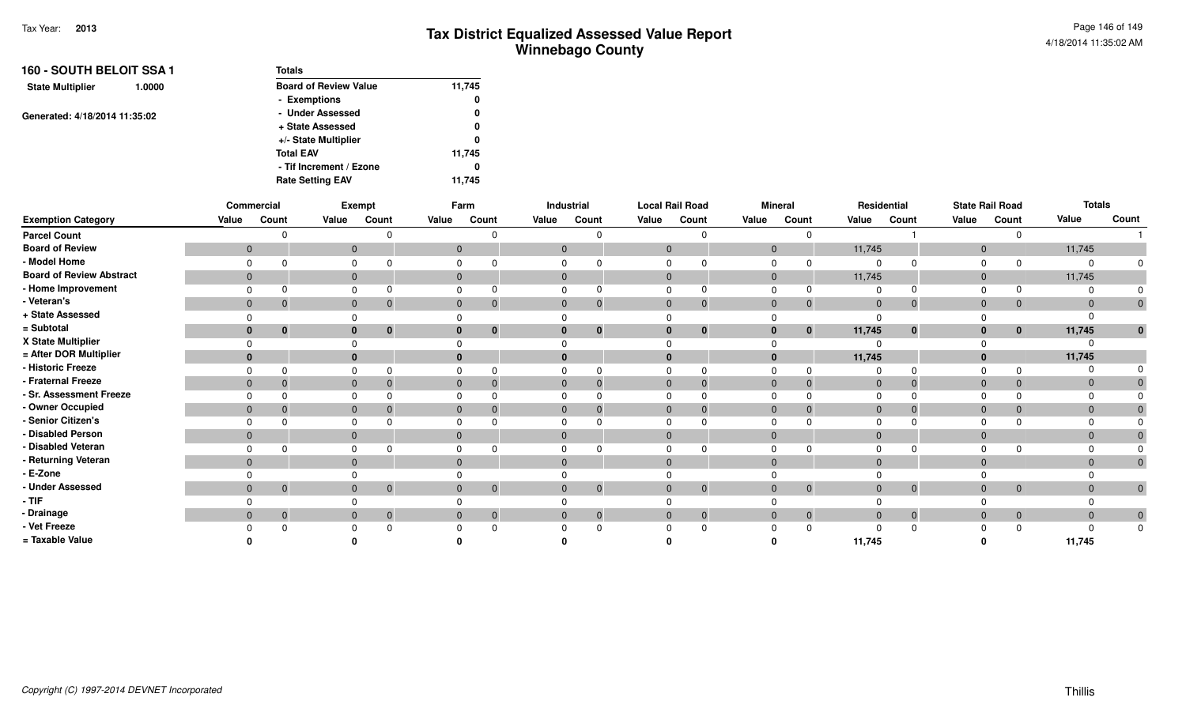| 160 - SOUTH BELOIT SSA 1          | Totals                       |        |
|-----------------------------------|------------------------------|--------|
| <b>State Multiplier</b><br>1.0000 | <b>Board of Review Value</b> | 11,745 |
|                                   | - Exemptions                 | 0      |
| Generated: 4/18/2014 11:35:02     | - Under Assessed             | 0      |
|                                   | + State Assessed             | 0      |
|                                   | +/- State Multiplier         | 0      |
|                                   | <b>Total EAV</b>             | 11,745 |
|                                   | - Tif Increment / Ezone      | 0      |
|                                   | <b>Rate Setting EAV</b>      | 11.745 |

|                                 | Commercial     |                |       | <b>Exempt</b>                    |       | Farm                           |              | Industrial     |       | <b>Local Rail Road</b>         |                | <b>Mineral</b> |                | Residential    |                | <b>State Rail Road</b> |                | <b>Totals</b>  |
|---------------------------------|----------------|----------------|-------|----------------------------------|-------|--------------------------------|--------------|----------------|-------|--------------------------------|----------------|----------------|----------------|----------------|----------------|------------------------|----------------|----------------|
| <b>Exemption Category</b>       | Value          | Count          | Value | Count                            | Value | Count                          | Value        | Count          | Value | Count                          | Value          | Count          | Value          | Count          | Value          | Count                  | Value          | Count          |
| <b>Parcel Count</b>             |                |                |       |                                  |       |                                |              |                |       |                                |                |                |                |                |                |                        |                |                |
| <b>Board of Review</b>          | $\mathbf 0$    |                |       | $\mathbf{0}$                     |       | $\mathbf{0}$                   | $\mathbf{0}$ |                |       | $\mathbf{0}$                   | $\overline{0}$ |                | 11,745         |                | $\mathbf 0$    |                        | 11,745         |                |
| - Model Home                    |                |                |       | $\Omega$                         |       |                                |              |                |       |                                |                |                | $\Omega$       |                |                |                        | $\Omega$       |                |
| <b>Board of Review Abstract</b> | $\mathbf{0}$   |                |       | $\mathbf{0}$                     |       | $\mathbf{0}$                   |              |                |       | $\mathbf{0}$                   | $\Omega$       |                | 11,745         |                | $\mathbf 0$    |                        | 11,745         |                |
| - Home Improvement              |                |                |       |                                  |       |                                |              |                |       | 0                              | $\cap$         |                |                |                | $\Omega$       |                        |                |                |
| - Veteran's                     | $\mathbf 0$    | 0              |       | $\mathbf{0}$                     |       | $\mathbf{0}$<br>$\mathbf{0}$   | $\Omega$     | $\overline{0}$ |       | $\mathbf{0}$<br>$\Omega$       | $\Omega$       | 0              | $\mathbf{0}$   | 0              | $\mathbf{0}$   | $\overline{0}$         | $\mathbf{0}$   | $\overline{0}$ |
| + State Assessed                |                |                |       |                                  |       |                                |              |                |       |                                |                |                | $\Omega$       |                |                |                        | $\Omega$       |                |
| = Subtotal                      | 0              | $\mathbf 0$    |       | $\bf{0}$<br>$\mathbf{0}$         |       | $\mathbf 0$<br>$\mathbf{0}$    |              | $\bf{0}$       |       | $\mathbf{0}$<br>$\bf{0}$       | $\mathbf{0}$   | $\bf{0}$       | 11,745         | $\mathbf{0}$   | 0              | $\mathbf{0}$           | 11,745         | $\mathbf{0}$   |
| X State Multiplier              |                |                |       | $\Omega$                         |       |                                |              |                |       |                                |                |                |                |                |                |                        |                |                |
| = After DOR Multiplier          | 0              |                |       | $\mathbf{0}$                     |       | 0                              |              |                |       | $\mathbf{0}$                   | 0              |                | 11,745         |                |                |                        | 11,745         |                |
| - Historic Freeze               |                |                |       |                                  |       |                                |              |                |       |                                |                |                |                |                |                |                        |                |                |
| - Fraternal Freeze              | $\mathbf{0}$   |                |       | $\mathbf{0}$                     |       |                                |              | -0             |       | $\overline{0}$                 | $\Omega$       |                | $\mathbf 0$    |                | $\Omega$       | $\mathbf{0}$           | $\mathbf{0}$   |                |
| - Sr. Assessment Freeze         |                |                |       |                                  |       |                                |              |                |       |                                |                |                | $\Omega$       |                |                |                        | $\Omega$       |                |
| - Owner Occupied                | $\mathbf{0}$   |                |       | $\Omega$                         |       | $\mathbf{0}$<br>$\Omega$       |              | $\Omega$       |       | $\mathbf{0}$<br>$\Omega$       | $\Omega$       |                | $\overline{0}$ |                | $\Omega$       | $\mathbf{0}$           | $\overline{0}$ |                |
| - Senior Citizen's              |                |                |       |                                  |       |                                |              |                |       | $\Omega$                       |                |                | $\Omega$       |                |                |                        | $\Omega$       |                |
| - Disabled Person               | $\mathbf{0}$   |                |       | $\mathbf{0}$                     |       |                                |              |                |       | $\Omega$                       | $\overline{0}$ |                | $\mathbf{0}$   |                | $\overline{0}$ |                        | $\mathbf{0}$   |                |
| - Disabled Veteran              |                |                |       | $\Omega$                         |       |                                |              |                |       |                                |                |                | 0              |                |                |                        | 0              |                |
| - Returning Veteran             | $\Omega$       |                |       | $\Omega$                         |       |                                |              |                |       | $\Omega$                       | $\Omega$       |                | $\Omega$       |                |                |                        | $\Omega$       | $\overline{0}$ |
| - E-Zone                        |                |                |       |                                  |       |                                |              |                |       |                                |                |                |                |                |                |                        |                |                |
| - Under Assessed                | $\overline{0}$ | $\overline{0}$ |       | $\overline{0}$<br>$\overline{0}$ |       | $\mathbf{0}$<br>$\overline{0}$ |              | $\overline{0}$ |       | $\mathbf{0}$<br>$\overline{0}$ | $\Omega$       | $\overline{0}$ | $\overline{0}$ | $\overline{0}$ | $\Omega$       | $\overline{0}$         | $\overline{0}$ | $\overline{0}$ |
| $-$ TIF                         |                |                |       |                                  |       |                                |              |                |       |                                |                |                |                |                |                |                        |                |                |
| - Drainage                      | $\mathbf{0}$   | $\mathbf 0$    |       | $\mathbf{0}$                     |       | $\mathbf{0}$<br>$\mathbf 0$    |              | $\overline{0}$ |       | $\mathbf{0}$<br>$\mathbf{0}$   | $\Omega$       | 0              | $\mathbf{0}$   | $\overline{0}$ | $\Omega$       | $\overline{0}$         | $\mathbf{0}$   | $\overline{0}$ |
| - Vet Freeze                    |                |                |       |                                  |       | $\Omega$                       |              | $\Omega$       |       | $\Omega$                       |                |                | $\Omega$       |                |                | $\Omega$               | $\Omega$       | $\mathbf 0$    |
| = Taxable Value                 |                |                |       |                                  |       |                                |              |                |       |                                |                |                | 11,745         |                |                |                        | 11,745         |                |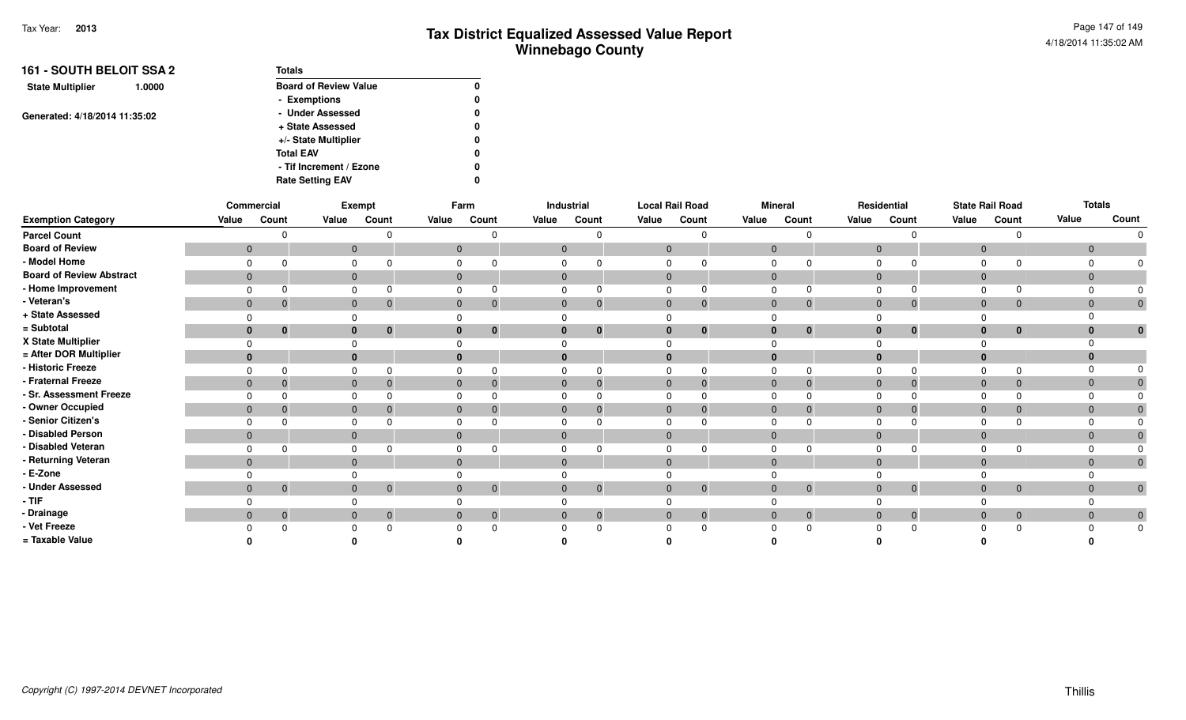| <b>161 - SOUTH BELOIT SSA 2</b>   | Totals                       |   |
|-----------------------------------|------------------------------|---|
| <b>State Multiplier</b><br>1.0000 | <b>Board of Review Value</b> | 0 |
|                                   | - Exemptions                 | 0 |
| Generated: 4/18/2014 11:35:02     | - Under Assessed             | 0 |
|                                   | + State Assessed             | 0 |
|                                   | +/- State Multiplier         | 0 |
|                                   | <b>Total EAV</b>             | 0 |
|                                   | - Tif Increment / Ezone      | 0 |
|                                   | <b>Rate Setting EAV</b>      |   |

|                                 |              | Commercial     |                | <b>Exempt</b> |                | Industrial<br>Farm |              |                | <b>Local Rail Road</b> |                |              | <b>Mineral</b> |       | Residential                      |          | <b>State Rail Road</b> | <b>Totals</b> |                |
|---------------------------------|--------------|----------------|----------------|---------------|----------------|--------------------|--------------|----------------|------------------------|----------------|--------------|----------------|-------|----------------------------------|----------|------------------------|---------------|----------------|
| <b>Exemption Category</b>       | Value        | Count          | Value          | Count         | Value          | Count              | Value        | Count          | Value                  | Count          | Value        | Count          | Value | Count                            | Value    | Count                  | Value         | Count          |
| <b>Parcel Count</b>             |              |                |                |               |                |                    |              |                |                        |                |              |                |       |                                  |          |                        |               |                |
| <b>Board of Review</b>          | $\mathbf{0}$ |                | $\overline{0}$ |               | $\mathbf{0}$   |                    | $\mathbf{0}$ |                | $\overline{0}$         |                | 0            |                |       | $\mathbf{0}$                     | $\Omega$ |                        |               |                |
| - Model Home                    | $\Omega$     |                | 0              |               |                |                    | $\Omega$     |                | $\Omega$               |                |              |                |       |                                  |          |                        |               |                |
| <b>Board of Review Abstract</b> | $\mathbf{0}$ |                | $\overline{0}$ |               | $\overline{0}$ |                    | $\mathbf{0}$ |                | $\mathbf{0}$           |                |              |                |       | $\Omega$                         |          |                        |               |                |
| - Home Improvement              |              |                |                |               |                |                    |              |                |                        |                |              |                |       |                                  |          |                        |               |                |
| - Veteran's                     | $\mathbf{0}$ | $\mathbf 0$    | $\mathbf{0}$   | $\mathbf{0}$  | $\mathbf{0}$   |                    | $\mathbf{0}$ | $\mathbf 0$    | $\mathbf{0}$           |                |              | $\overline{0}$ |       | $\mathbf 0$                      | $\Omega$ | $\mathbf{0}$           |               |                |
| + State Assessed                |              |                |                |               |                |                    |              |                |                        |                |              |                |       |                                  |          |                        |               |                |
| = Subtotal                      | $\bf{0}$     | 0              | $\bf{0}$       | $\bf{0}$      | 0              | $\bf{0}$           | $\mathbf{0}$ | $\mathbf{0}$   | $\bf{0}$               | $\bf{0}$       |              | $\mathbf{0}$   |       | $\bf{0}$<br>$\bf{0}$             |          | $\bf{0}$               |               |                |
| X State Multiplier              |              |                |                |               |                |                    |              |                |                        |                |              |                |       |                                  |          |                        |               |                |
| = After DOR Multiplier          | $\mathbf{0}$ |                |                | $\bf{0}$      | $\bf{0}$       |                    | $\mathbf{0}$ |                | $\mathbf{0}$           |                |              |                |       | $\bf{0}$                         |          |                        |               |                |
| - Historic Freeze               |              |                | 0              |               |                |                    |              |                | $\Omega$               |                |              |                |       |                                  |          |                        |               |                |
| - Fraternal Freeze              | $\mathbf{0}$ |                | $\mathbf{0}$   | $\mathbf 0$   | $\mathbf{0}$   |                    | $\mathbf{0}$ |                | $\mathbf{0}$           |                |              | $\mathbf 0$    |       | $\overline{0}$                   |          | $\overline{0}$         |               |                |
| - Sr. Assessment Freeze         | $\Omega$     |                | $\Omega$       |               |                |                    | $\Omega$     |                | $\Omega$               |                |              | $\Omega$       |       |                                  |          |                        |               |                |
| - Owner Occupied                | $\mathbf{0}$ |                | $\mathbf{0}$   |               | $\mathbf{0}$   |                    | $\mathbf{0}$ |                | $\mathbf{0}$           |                |              | $\Omega$       |       | $\Omega$                         |          | $\overline{0}$         |               |                |
| - Senior Citizen's              | 0            |                | $\Omega$       |               |                |                    |              |                |                        |                |              |                |       |                                  |          |                        |               |                |
| - Disabled Person               | $\mathbf{0}$ |                | $\mathbf{0}$   |               | $\Omega$       |                    | $\mathbf 0$  |                | $\Omega$               |                |              |                |       | $\Omega$                         |          |                        |               |                |
| - Disabled Veteran              | $\Omega$     |                |                |               |                |                    |              |                |                        |                |              |                |       |                                  |          |                        |               |                |
| - Returning Veteran             | $\Omega$     |                | $\mathbf{0}$   |               | $\mathbf{0}$   |                    | $\mathbf{0}$ |                | $\Omega$               |                |              |                |       | $\Omega$                         |          |                        |               |                |
| - E-Zone                        |              |                |                |               |                |                    |              |                |                        |                |              |                |       |                                  |          |                        |               |                |
| - Under Assessed                | $\mathbf{0}$ | $\overline{0}$ | $\overline{0}$ | $\mathbf{0}$  | $\overline{0}$ | $\mathbf{0}$       | $\mathbf{0}$ | $\overline{0}$ | $\overline{0}$         | $\overline{0}$ | $\mathbf{0}$ | $\overline{0}$ |       | $\overline{0}$<br>$\overline{0}$ | $\Omega$ | $\overline{0}$         |               | $\overline{0}$ |
| $-TIF$                          |              |                |                |               |                |                    |              |                | $\Omega$               |                |              |                |       |                                  |          |                        |               |                |
| - Drainage                      | $\mathbf{0}$ | $\overline{0}$ | $\overline{0}$ | $\mathbf{0}$  | $\overline{0}$ | $\mathbf 0$        | $\mathbf{0}$ | $\mathbf 0$    | $\mathbf{0}$           | $\overline{0}$ |              | $\mathbf{0}$   |       | $\overline{0}$<br>$\overline{0}$ |          | $\overline{0}$         |               | $\overline{0}$ |
| - Vet Freeze                    |              |                |                | 0             |                |                    |              |                |                        |                |              | $\Omega$       |       |                                  |          |                        |               | $\mathbf 0$    |
| = Taxable Value                 |              |                |                |               |                |                    |              |                |                        |                |              |                |       |                                  |          |                        |               |                |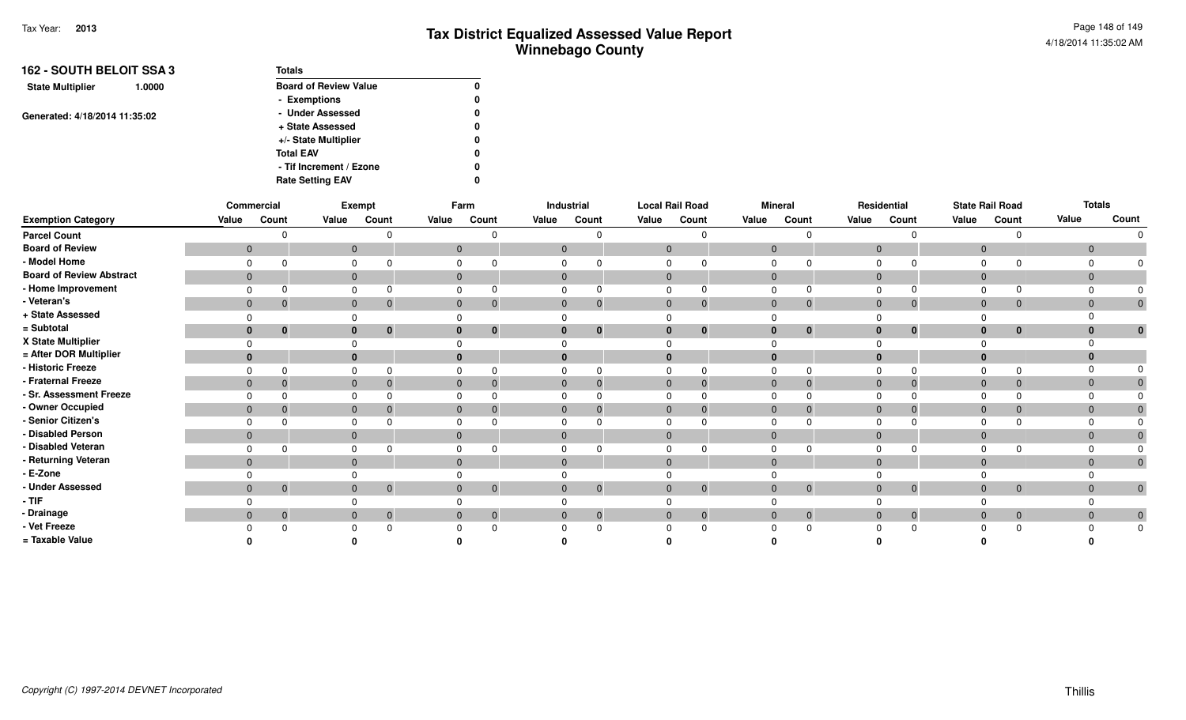| <b>162 - SOUTH BELOIT SSA 3</b>   | <b>Totals</b>                |   |  |  |  |  |  |  |  |
|-----------------------------------|------------------------------|---|--|--|--|--|--|--|--|
| <b>State Multiplier</b><br>1.0000 | <b>Board of Review Value</b> | 0 |  |  |  |  |  |  |  |
|                                   | - Exemptions                 | 0 |  |  |  |  |  |  |  |
| Generated: 4/18/2014 11:35:02     | - Under Assessed             | 0 |  |  |  |  |  |  |  |
|                                   | + State Assessed             | 0 |  |  |  |  |  |  |  |
|                                   | +/- State Multiplier         | 0 |  |  |  |  |  |  |  |
|                                   | <b>Total EAV</b>             | 0 |  |  |  |  |  |  |  |
|                                   | - Tif Increment / Ezone      | 0 |  |  |  |  |  |  |  |
|                                   | <b>Rate Setting EAV</b>      | 0 |  |  |  |  |  |  |  |

|                                 |                | <b>Commercial</b>           |              | Exempt         |                | Farm                             |                | Industrial  | <b>Local Rail Road</b> |              |                | <b>Mineral</b> |              | Residential                    |              | <b>State Rail Road</b> |       | <b>Totals</b>  |
|---------------------------------|----------------|-----------------------------|--------------|----------------|----------------|----------------------------------|----------------|-------------|------------------------|--------------|----------------|----------------|--------------|--------------------------------|--------------|------------------------|-------|----------------|
| <b>Exemption Category</b>       | Value          | Count                       | Value        | Count          | Value          | Count                            | Value          | Count       | Value                  | Count        | Value          | Count          | Value        | Count                          | Value        | Count                  | Value | Count          |
| <b>Parcel Count</b>             |                |                             |              |                |                | ŋ                                |                |             |                        |              |                |                |              |                                |              |                        |       |                |
| <b>Board of Review</b>          | $\overline{0}$ |                             | $\mathbf 0$  |                | $\overline{0}$ |                                  | $\mathbf{0}$   |             | $\overline{0}$         |              | $\mathbf{0}$   |                | $\mathbf{0}$ |                                | $\mathbf{0}$ |                        | 0     |                |
| - Model Home                    |                |                             |              |                |                |                                  |                |             |                        |              |                |                |              |                                |              |                        |       |                |
| <b>Board of Review Abstract</b> | $\overline{0}$ |                             | $\mathbf{0}$ |                |                | $\mathbf{0}$                     | $\mathbf{0}$   |             |                        |              | $\mathbf{0}$   |                | $\mathbf{0}$ |                                | $\Omega$     |                        |       |                |
| - Home Improvement              |                |                             |              |                |                |                                  |                |             |                        |              |                |                |              |                                |              |                        |       |                |
| - Veteran's                     |                | $\mathbf{0}$<br>$\mathbf 0$ | $\mathbf{0}$ |                |                | $\mathbf 0$<br>$\mathbf 0$       | $\mathbf{0}$   |             | $\overline{0}$         | $\mathbf 0$  | $\mathbf{0}$   | $\mathbf{0}$   | $\mathbf{0}$ |                                | $\Omega$     | $\mathbf{0}$           |       |                |
| + State Assessed                |                |                             |              |                |                |                                  |                |             |                        |              |                |                |              |                                |              |                        |       |                |
| = Subtotal                      | $\bf{0}$       | $\bf{0}$                    | $\bf{0}$     | $\bf{0}$       |                | $\bf{0}$<br>$\bf{0}$             | 0              | $\bf{0}$    |                        | $\bf{0}$     |                | $\bf{0}$       |              | $\bf{0}$                       |              | $\bf{0}$               |       |                |
| X State Multiplier              |                |                             |              |                |                |                                  |                |             |                        |              |                |                |              |                                |              |                        |       |                |
| = After DOR Multiplier          | $\mathbf{0}$   |                             | $\bf{0}$     |                |                | $\mathbf{0}$                     | $\mathbf{0}$   |             |                        |              |                |                |              |                                |              |                        |       |                |
| - Historic Freeze               |                |                             |              |                |                |                                  |                |             |                        |              |                |                |              |                                |              |                        |       |                |
| - Fraternal Freeze              | $\mathbf{0}$   | $\Omega$                    | $\mathbf{0}$ |                |                | $\mathbf{0}$                     | $\mathbf{0}$   |             |                        |              |                |                | $\mathbf{0}$ |                                |              | $\mathbf 0$            |       |                |
| - Sr. Assessment Freeze         |                |                             |              |                | $\Omega$       |                                  |                |             |                        |              |                |                |              |                                |              |                        |       |                |
| - Owner Occupied                | $\mathbf 0$    | $\Omega$                    | $\mathbf{0}$ |                |                | $\mathbf{0}$                     | $\mathbf{0}$   |             |                        |              |                |                | $\Omega$     |                                | $\Omega$     | $\mathbf{0}$           |       |                |
| - Senior Citizen's              |                |                             |              |                |                |                                  |                |             |                        |              |                |                |              |                                |              |                        |       |                |
| - Disabled Person               | $\overline{0}$ |                             | $\mathbf 0$  |                |                | $\mathbf{0}$                     | $\mathbf{0}$   |             |                        |              | $\mathbf{0}$   |                |              |                                | $\Omega$     |                        |       |                |
| - Disabled Veteran              |                |                             |              |                |                |                                  |                |             |                        |              |                |                |              |                                |              |                        |       |                |
| - Returning Veteran             | $\mathbf{0}$   |                             | $\mathbf{0}$ |                | $\Omega$       |                                  | $\mathbf{0}$   |             |                        |              | $\mathbf 0$    |                |              |                                | $\Omega$     |                        |       |                |
| - E-Zone                        |                |                             |              |                |                |                                  |                |             |                        |              |                |                |              |                                |              |                        |       |                |
| - Under Assessed                | $\overline{0}$ | $\overline{0}$              | $\mathbf{0}$ | $\overline{0}$ |                | $\overline{0}$<br>$\overline{0}$ | $\overline{0}$ | $\Omega$    | $\mathbf{0}$           | $\mathbf{0}$ | $\overline{0}$ | $\overline{0}$ |              | $\mathbf{0}$<br>$\overline{0}$ | $\Omega$     | $\overline{0}$         |       | $\overline{0}$ |
| - TIF                           |                |                             |              |                |                |                                  |                |             |                        |              |                |                |              |                                |              |                        |       |                |
| - Drainage                      | $\overline{0}$ | $\overline{0}$              | $\mathbf{0}$ | $\overline{0}$ |                | $\mathbf{0}$<br>$\overline{0}$   | $\mathbf{0}$   | $\mathbf 0$ | $\mathbf{0}$           | $\mathbf 0$  | $\Omega$       | $\overline{0}$ |              | $\mathbf{0}$<br>$\mathbf{0}$   | $\Omega$     | $\overline{0}$         |       | $\overline{0}$ |
| - Vet Freeze                    |                |                             |              |                |                | 0                                |                |             |                        |              |                |                |              |                                |              |                        |       | $\overline{0}$ |
| = Taxable Value                 |                |                             |              |                |                |                                  |                |             |                        |              |                |                |              |                                |              |                        |       |                |